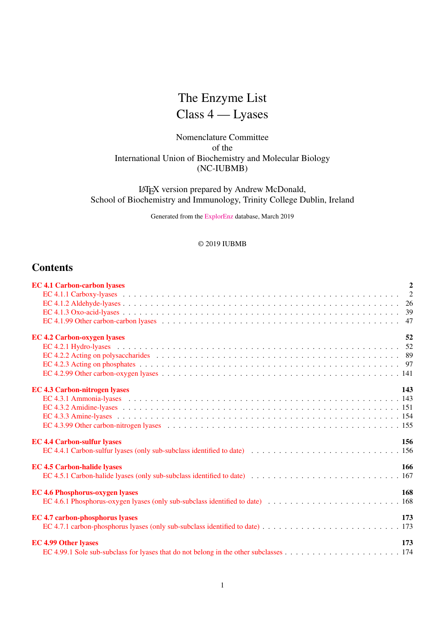# The Enzyme List

# Class 4 — Lyases

## Nomenclature Committee of the International Union of Biochemistry and Molecular Biology (NC-IUBMB)

## LATEX version prepared by Andrew McDonald, School of Biochemistry and Immunology, Trinity College Dublin, Ireland

Generated from the [ExplorEnz](http://www.enzyme-database.org/) database, March 2019

## © 2019 IUBMB

## **Contents**

| <b>EC 4.1 Carbon-carbon lyases</b>     | $\overline{2}$ |
|----------------------------------------|----------------|
|                                        |                |
|                                        |                |
|                                        |                |
|                                        |                |
| <b>EC 4.2 Carbon-oxygen lyases</b>     | 52             |
|                                        |                |
|                                        |                |
|                                        |                |
|                                        |                |
| <b>EC 4.3 Carbon-nitrogen lyases</b>   | 143            |
|                                        |                |
|                                        |                |
|                                        |                |
|                                        |                |
| <b>EC 4.4 Carbon-sulfur lyases</b>     | 156            |
|                                        |                |
| <b>EC 4.5 Carbon-halide lyases</b>     | 166            |
|                                        |                |
| <b>EC 4.6 Phosphorus-oxygen lyases</b> | 168            |
|                                        |                |
| <b>EC 4.7 carbon-phosphorus lyases</b> | 173            |
|                                        |                |
| <b>EC 4.99 Other lyases</b>            | 173            |
|                                        |                |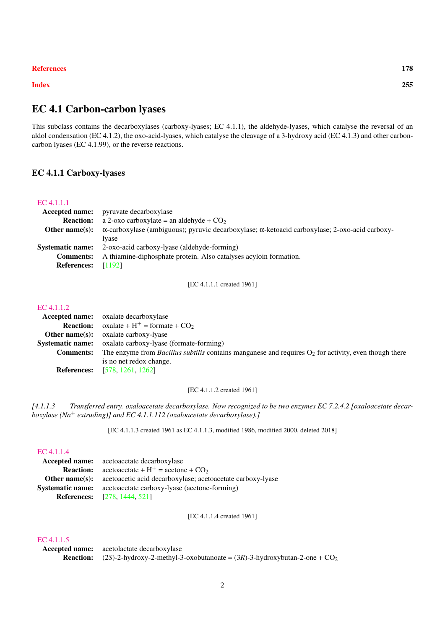#### [References](#page-175-0) 178

[Index](#page-177-0) 255

## <span id="page-1-0"></span>EC 4.1 Carbon-carbon lyases

This subclass contains the decarboxylases (carboxy-lyases; EC 4.1.1), the aldehyde-lyases, which catalyse the reversal of an aldol condensation (EC 4.1.2), the oxo-acid-lyases, which catalyse the cleavage of a 3-hydroxy acid (EC 4.1.3) and other carboncarbon lyases (EC 4.1.99), or the reverse reactions.

## <span id="page-1-1"></span>EC 4.1.1 Carboxy-lyases

#### [EC 4.1.1.1](http://www.enzyme-database.org/query.php?ec=4.1.1.1)

|                    | <b>Accepted name:</b> pyruvate decarboxylase                                                                  |
|--------------------|---------------------------------------------------------------------------------------------------------------|
| <b>Reaction:</b>   | a 2-oxo carboxylate = an aldehyde + $CO2$                                                                     |
| Other name $(s)$ : | $\alpha$ -carboxylase (ambiguous); pyruvic decarboxylase; $\alpha$ -ketoacid carboxylase; 2-oxo-acid carboxy- |
|                    | Ivase                                                                                                         |
|                    | <b>Systematic name:</b> 2-oxo-acid carboxy-lyase (aldehyde-forming)                                           |
| <b>Comments:</b>   | A thiamine-diphosphate protein. Also catalyses acyloin formation.                                             |
| <b>References:</b> | [1192]                                                                                                        |
|                    |                                                                                                               |

[EC 4.1.1.1 created 1961]

#### [EC 4.1.1.2](http://www.enzyme-database.org/query.php?ec=4.1.1.2)

|                         | <b>Accepted name:</b> oxalate decarboxylase                                                                    |
|-------------------------|----------------------------------------------------------------------------------------------------------------|
|                         | <b>Reaction:</b> $\text{o} \text{xalate} + \text{H}^+ = \text{formate} + \text{CO}_2$                          |
| Other name $(s)$ :      | oxalate carboxy-lyase                                                                                          |
| <b>Systematic name:</b> | oxalate carboxy-lyase (formate-forming)                                                                        |
| <b>Comments:</b>        | The enzyme from <i>Bacillus subtilis</i> contains manganese and requires $O_2$ for activity, even though there |
|                         | is no net redox change.                                                                                        |
|                         | <b>References:</b> [578, 1261, 1262]                                                                           |

[EC 4.1.1.2 created 1961]

*[4.1.1.3 Transferred entry. oxaloacetate decarboxylase. Now recognized to be two enzymes EC 7.2.4.2 [oxaloacetate decarboxylase (Na*<sup>+</sup> *extruding)] and EC 4.1.1.112 (oxaloacetate decarboxylase).]*

[EC 4.1.1.3 created 1961 as EC 4.1.1.3, modified 1986, modified 2000, deleted 2018]

#### [EC 4.1.1.4](http://www.enzyme-database.org/query.php?ec=4.1.1.4)

|                         | <b>Accepted name:</b> acetoacetate decarboxylase                            |
|-------------------------|-----------------------------------------------------------------------------|
| <b>Reaction:</b>        | $\alpha$ acetoacetate + H <sup>+</sup> = $\alpha$ acetone + CO <sub>2</sub> |
| Other name(s):          | acetoacetic acid decarboxylase; acetoacetate carboxy-lyase                  |
| <b>Systematic name:</b> | acetoacetate carboxy-lyase (acetone-forming)                                |
|                         | <b>References:</b> [278, 1444, 521]                                         |

[EC 4.1.1.4 created 1961]

## [EC 4.1.1.5](http://www.enzyme-database.org/query.php?ec=4.1.1.5)

Accepted name: acetolactate decarboxylase **Reaction:**  $(2S)$ -2-hydroxy-2-methyl-3-oxobutanoate =  $(3R)$ -3-hydroxybutan-2-one +  $CO_2$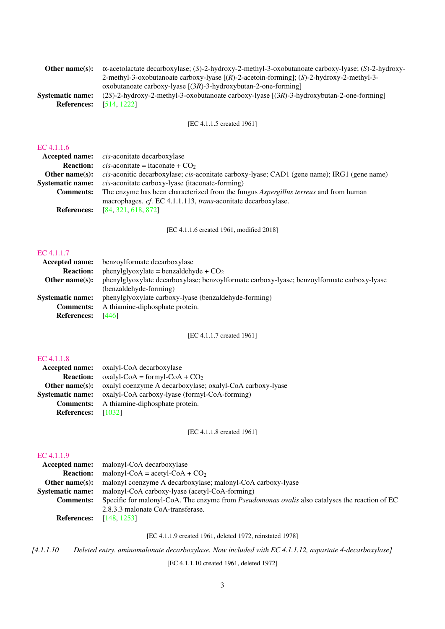| Other name(s):          | $\alpha$ -acetolactate decarboxylase; (S)-2-hydroxy-2-methyl-3-oxobutanoate carboxy-lyase; (S)-2-hydroxy- |
|-------------------------|-----------------------------------------------------------------------------------------------------------|
|                         | 2-methyl-3-oxobutanoate carboxy-lyase $[(R)-2$ -acetoin-forming]; $(S)-2$ -hydroxy-2-methyl-3-            |
|                         | oxobutanoate carboxy-lyase $[(3R)-3-hydroxybutan-2-one-forming]$                                          |
| <b>Systematic name:</b> | $(2S)$ -2-hydroxy-2-methyl-3-oxobutanoate carboxy-lyase $[(3R)$ -3-hydroxybutan-2-one-forming             |
| <b>References:</b>      | [514, 1222]                                                                                               |
|                         |                                                                                                           |

[EC 4.1.1.5 created 1961]

#### [EC 4.1.1.6](http://www.enzyme-database.org/query.php?ec=4.1.1.6)

|                         | <b>Accepted name:</b> <i>cis-aconitate decarboxylase</i>                                    |
|-------------------------|---------------------------------------------------------------------------------------------|
|                         | <b>Reaction:</b> <i>cis</i> -aconitate = itaconate + $CO2$                                  |
| Other name $(s)$ :      | cis-aconitic decarboxylase; cis-aconitate carboxy-lyase; CAD1 (gene name); IRG1 (gene name) |
| <b>Systematic name:</b> | <i>cis</i> -aconitate carboxy-lyase (itaconate-forming)                                     |
| <b>Comments:</b>        | The enzyme has been characterized from the fungus <i>Aspergillus terreus</i> and from human |
|                         | macrophages. cf. EC 4.1.1.113, trans-aconitate decarboxylase.                               |
|                         | <b>References:</b> [84, 321, 618, 872]                                                      |
|                         |                                                                                             |

[EC 4.1.1.6 created 1961, modified 2018]

## [EC 4.1.1.7](http://www.enzyme-database.org/query.php?ec=4.1.1.7)

|                          | <b>Accepted name:</b> benzoylformate decarboxylase                                         |
|--------------------------|--------------------------------------------------------------------------------------------|
| <b>Reaction:</b>         | phenylglyoxylate = benzaldehyde + $CO2$                                                    |
| Other name $(s)$ :       | phenylglyoxylate decarboxylase; benzoylformate carboxy-lyase; benzoylformate carboxy-lyase |
|                          | (benzaldehyde-forming)                                                                     |
| <b>Systematic name:</b>  | phenylglyoxylate carboxy-lyase (benzaldehyde-forming)                                      |
| <b>Comments:</b>         | A thiamine-diphosphate protein.                                                            |
| <b>References:</b> [446] |                                                                                            |
|                          |                                                                                            |

[EC 4.1.1.7 created 1961]

## [EC 4.1.1.8](http://www.enzyme-database.org/query.php?ec=4.1.1.8)

| <b>Accepted name:</b> oxalyl-CoA decarboxylase                                  |
|---------------------------------------------------------------------------------|
| $oxalyl$ -CoA = formyl-CoA + CO <sub>2</sub>                                    |
| <b>Other name(s):</b> oxalyl coenzyme A decarboxylase; oxalyl-CoA carboxy-lyase |
| oxalyl-CoA carboxy-lyase (formyl-CoA-forming)                                   |
| <b>Comments:</b> A thiamine-diphosphate protein.                                |
| - 10321                                                                         |
|                                                                                 |

[EC 4.1.1.8 created 1961]

#### [EC 4.1.1.9](http://www.enzyme-database.org/query.php?ec=4.1.1.9)

| <b>Accepted name:</b> malonyl-CoA decarboxylase                                                       |
|-------------------------------------------------------------------------------------------------------|
| malonyl-CoA = $acetyl$ -CoA + CO <sub>2</sub>                                                         |
| malonyl coenzyme A decarboxylase; malonyl-CoA carboxy-lyase                                           |
| malonyl-CoA carboxy-lyase (acetyl-CoA-forming)                                                        |
| Specific for malonyl-CoA. The enzyme from <i>Pseudomonas ovalis</i> also catalyses the reaction of EC |
| 2.8.3.3 malonate CoA-transferase.                                                                     |
| <b>References:</b> [148, 1253]                                                                        |
|                                                                                                       |

[EC 4.1.1.9 created 1961, deleted 1972, reinstated 1978]

*[4.1.1.10 Deleted entry. aminomalonate decarboxylase. Now included with EC 4.1.1.12, aspartate 4-decarboxylase]*

[EC 4.1.1.10 created 1961, deleted 1972]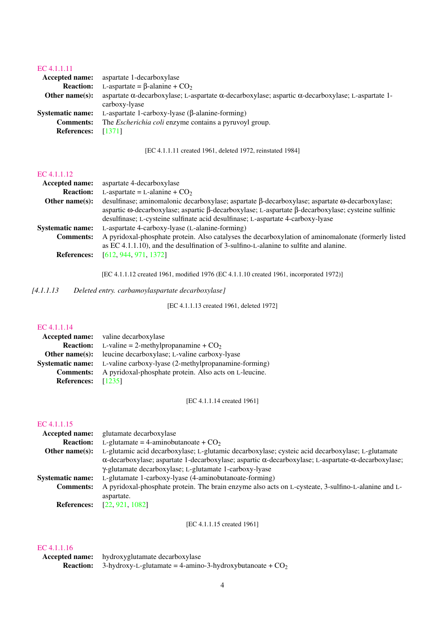### [EC 4.1.1.11](http://www.enzyme-database.org/query.php?ec=4.1.1.11)

| aspartate $\alpha$ -decarboxylase; L-aspartate $\alpha$ -decarboxylase; aspartic $\alpha$ -decarboxylase; L-aspartate 1- |
|--------------------------------------------------------------------------------------------------------------------------|
|                                                                                                                          |
|                                                                                                                          |
|                                                                                                                          |
|                                                                                                                          |
|                                                                                                                          |

[EC 4.1.1.11 created 1961, deleted 1972, reinstated 1984]

#### [EC 4.1.1.12](http://www.enzyme-database.org/query.php?ec=4.1.1.12)

| aspartate 4-decarboxylase                                                                                                                                                                    |
|----------------------------------------------------------------------------------------------------------------------------------------------------------------------------------------------|
| L-aspartate = L-alanine + $CO2$                                                                                                                                                              |
| desulfinase; aminomalonic decarboxylase; aspartate $\beta$ -decarboxylase; aspartate $\omega$ -decarboxylase;                                                                                |
| aspartic $\omega$ -decarboxylase; aspartic $\beta$ -decarboxylase; L-aspartate $\beta$ -decarboxylase; cysteine sulfinic                                                                     |
| desulfinase; L-cysteine sulfinate acid desulfinase; L-aspartate 4-carboxy-lyase                                                                                                              |
| L-aspartate 4-carboxy-lyase (L-alanine-forming)                                                                                                                                              |
| A pyridoxal-phosphate protein. Also catalyses the decarboxylation of aminomalonate (formerly listed<br>as EC 4.1.1.10), and the desulfination of 3-sulfino-L-alanine to sulfite and alanine. |
| [612, 944, 971, 1372]                                                                                                                                                                        |
|                                                                                                                                                                                              |

[EC 4.1.1.12 created 1961, modified 1976 (EC 4.1.1.10 created 1961, incorporated 1972)]

*[4.1.1.13 Deleted entry. carbamoylaspartate decarboxylase]*

[EC 4.1.1.13 created 1961, deleted 1972]

# [EC 4.1.1.14](http://www.enzyme-database.org/query.php?ec=4.1.1.14)

| EC 4.1.1.14        |                                                                       |
|--------------------|-----------------------------------------------------------------------|
|                    | <b>Accepted name:</b> valine decarboxylase                            |
|                    | <b>Reaction:</b> L-valine = 2-methylpropanamine + $CO2$               |
|                    | <b>Other name(s):</b> leucine decarboxylase; L-valine carboxy-lyase   |
|                    | Systematic name: L-valine carboxy-lyase (2-methylpropanamine-forming) |
| <b>Comments:</b>   | A pyridoxal-phosphate protein. Also acts on L-leucine.                |
| <b>References:</b> | [1235]                                                                |

[EC 4.1.1.14 created 1961]

#### [EC 4.1.1.15](http://www.enzyme-database.org/query.php?ec=4.1.1.15)

| glutamate decarboxylase                                                                                                     |  |
|-----------------------------------------------------------------------------------------------------------------------------|--|
| L-glutamate = 4-aminobutanoate + $CO2$                                                                                      |  |
| L-glutamic acid decarboxylase; L-glutamic decarboxylase; cysteic acid decarboxylase; L-glutamate<br>Other name $(s)$ :      |  |
| $\alpha$ -decarboxylase; aspartate 1-decarboxylase; aspartic $\alpha$ -decarboxylase; L-aspartate- $\alpha$ -decarboxylase; |  |
| γ-glutamate decarboxylase; L-glutamate 1-carboxy-lyase                                                                      |  |
| L-glutamate 1-carboxy-lyase (4-aminobutanoate-forming)                                                                      |  |
| A pyridoxal-phosphate protein. The brain enzyme also acts on L-cysteate, 3-sulfino-L-alanine and L-                         |  |
| aspartate.                                                                                                                  |  |
| [22, 921, 1082]                                                                                                             |  |
|                                                                                                                             |  |

[EC 4.1.1.15 created 1961]

| <b>Accepted name:</b> hydroxyglutamate decarboxylase                        |
|-----------------------------------------------------------------------------|
| <b>Reaction:</b> 3-hydroxy-L-glutamate = 4-amino-3-hydroxybutanoate + $CO2$ |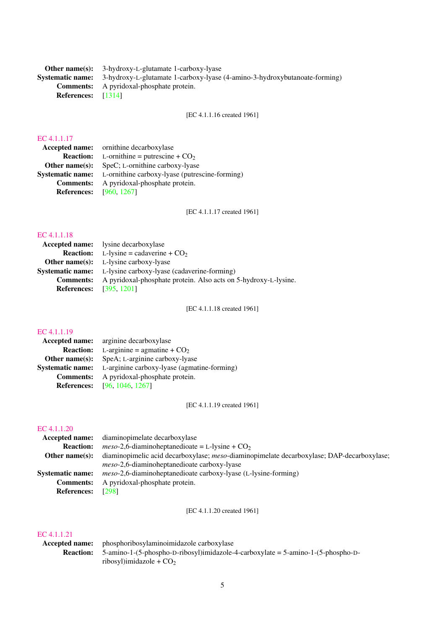Other name(s): 3-hydroxy-L-glutamate 1-carboxy-lyase Systematic name: 3-hydroxy-L-glutamate 1-carboxy-lyase (4-amino-3-hydroxybutanoate-forming) Comments: A pyridoxal-phosphate protein. References: [\[1314\]](#page-245-0)

[EC 4.1.1.16 created 1961]

#### [EC 4.1.1.17](http://www.enzyme-database.org/query.php?ec=4.1.1.17)

| <b>Accepted name:</b> ornithine decarboxylase                          |
|------------------------------------------------------------------------|
| <b>Reaction:</b> L-ornithine = putrescine + $CO2$                      |
| <b>Other name(s):</b> SpeC; L-ornithine carboxy-lyase                  |
| <b>Systematic name:</b> L-ornithine carboxy-lyase (putrescine-forming) |
| <b>Comments:</b> A pyridoxal-phosphate protein.                        |
| <b>References:</b> [960, 1267]                                         |
|                                                                        |

[EC 4.1.1.17 created 1961]

# [EC 4.1.1.18](http://www.enzyme-database.org/query.php?ec=4.1.1.18)

| LU 7.1.1.10                    |                                                                     |
|--------------------------------|---------------------------------------------------------------------|
|                                | <b>Accepted name:</b> lysine decarboxylase                          |
|                                | <b>Reaction:</b> L-lysine = cadaverine + $CO2$                      |
|                                | <b>Other name(s):</b> L-lysine carboxy-lyase                        |
|                                | <b>Systematic name:</b> L-lysine carboxy-lyase (cadaverine-forming) |
| <b>Comments:</b>               | A pyridoxal-phosphate protein. Also acts on 5-hydroxy-L-lysine.     |
| <b>References:</b> [395, 1201] |                                                                     |
|                                |                                                                     |

[EC 4.1.1.18 created 1961]

#### [EC 4.1.1.19](http://www.enzyme-database.org/query.php?ec=4.1.1.19)

| <b>Accepted name:</b>   | arginine decarboxylase                      |
|-------------------------|---------------------------------------------|
| <b>Reaction:</b>        | L-arginine = agmatine + $CO2$               |
| Other name $(s)$ :      | SpeA; L-arginine carboxy-lyase              |
| <b>Systematic name:</b> | L-arginine carboxy-lyase (agmatine-forming) |
| <b>Comments:</b>        | A pyridoxal-phosphate protein.              |
| <b>References:</b>      | [96, 1046, 1267]                            |

[EC 4.1.1.19 created 1961]

#### [EC 4.1.1.20](http://www.enzyme-database.org/query.php?ec=4.1.1.20)

| <b>Accepted name:</b> diaminopimelate decarboxylase                                       |
|-------------------------------------------------------------------------------------------|
| $meso-2.6$ -diaminoheptanedioate = L-lysine + $CO2$                                       |
| diaminopimelic acid decarboxylase; meso-diaminopimelate decarboxylase; DAP-decarboxylase; |
| <i>meso</i> -2,6-diaminoheptanedioate carboxy-lyase                                       |
| <i>meso</i> -2,6-diaminoheptanedioate carboxy-lyase (L-lysine-forming)                    |
| A pyridoxal-phosphate protein.                                                            |
| [298]                                                                                     |
|                                                                                           |

[EC 4.1.1.20 created 1961]

| IC 4.1.1.21    |                                                                                                                   |
|----------------|-------------------------------------------------------------------------------------------------------------------|
| Accepted name: | phosphoribosylaminoimidazole carboxylase                                                                          |
|                | <b>Reaction:</b> $5$ -amino-1- $(5)$ -phospho-D-ribosyl)imidazole-4-carboxylate = $5$ -amino-1- $(5)$ -phospho-D- |
|                | ribosyl) imidazole + $CO2$                                                                                        |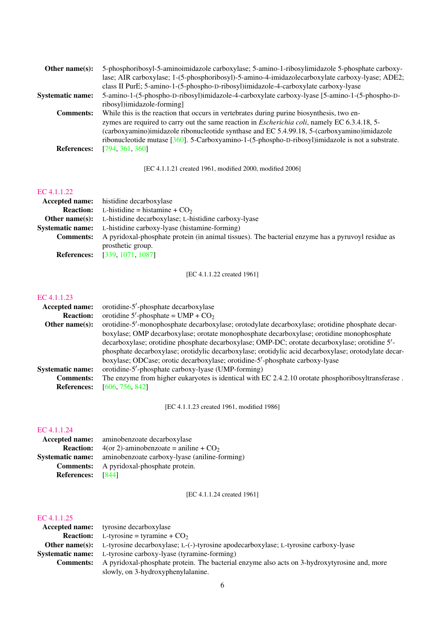| Other name $(s)$ :      | 5-phosphoribosyl-5-aminoimidazole carboxylase; 5-amino-1-ribosylimidazole 5-phosphate carboxy-        |
|-------------------------|-------------------------------------------------------------------------------------------------------|
|                         | lase; AIR carboxylase; 1-(5-phosphoribosyl)-5-amino-4-imidazolecarboxylate carboxy-lyase; ADE2;       |
|                         | class II PurE; 5-amino-1-(5-phospho-D-ribosyl)imidazole-4-carboxylate carboxy-lyase                   |
| <b>Systematic name:</b> | 5-amino-1-(5-phospho-D-ribosyl)imidazole-4-carboxylate carboxy-lyase [5-amino-1-(5-phospho-D-         |
|                         | ribosyl)imidazole-forming                                                                             |
| <b>Comments:</b>        | While this is the reaction that occurs in vertebrates during purine biosynthesis, two en-             |
|                         | zymes are required to carry out the same reaction in <i>Escherichia coli</i> , namely EC 6.3.4.18, 5- |
|                         | (carboxyamino)imidazole ribonucleotide synthase and EC 5.4.99.18, 5-(carboxyamino)imidazole           |
|                         | ribonucleotide mutase [360]. 5-Carboxyamino-1-(5-phospho-D-ribosyl)imidazole is not a substrate.      |
| <b>References:</b>      | [794, 361, 360]                                                                                       |
|                         |                                                                                                       |

[EC 4.1.1.21 created 1961, modified 2000, modified 2006]

## [EC 4.1.1.22](http://www.enzyme-database.org/query.php?ec=4.1.1.22)

|                  | <b>Accepted name:</b> histidine decarboxylase                                                     |  |
|------------------|---------------------------------------------------------------------------------------------------|--|
|                  | <b>Reaction:</b> L-histidine = histamine + $CO2$                                                  |  |
|                  | <b>Other name(s):</b> L-histidine decarboxylase; L-histidine carboxy-lyase                        |  |
|                  | <b>Systematic name:</b> L-histidine carboxy-lyase (histamine-forming)                             |  |
| <b>Comments:</b> | A pyridoxal-phosphate protein (in animal tissues). The bacterial enzyme has a pyruvoyl residue as |  |
|                  | prosthetic group.                                                                                 |  |
|                  | <b>References:</b> [339, 1071, 1087]                                                              |  |

[EC 4.1.1.22 created 1961]

#### [EC 4.1.1.23](http://www.enzyme-database.org/query.php?ec=4.1.1.23)

| <b>Accepted name:</b>   | orotidine-5'-phosphate decarboxylase                                                                 |
|-------------------------|------------------------------------------------------------------------------------------------------|
| <b>Reaction:</b>        | orotidine 5'-phosphate = $UMP + CO2$                                                                 |
| Other name $(s)$ :      | orotidine-5'-monophosphate decarboxylase; orotodylate decarboxylase; orotidine phosphate decar-      |
|                         | boxylase; OMP decarboxylase; orotate monophosphate decarboxylase; orotidine monophosphate            |
|                         | decarboxylase; orotidine phosphate decarboxylase; OMP-DC; orotate decarboxylase; orotidine 5'-       |
|                         | phosphate decarboxylase; orotidylic decarboxylase; orotidylic acid decarboxylase; orotodylate decar- |
|                         | boxylase; ODCase; orotic decarboxylase; orotidine-5'-phosphate carboxy-lyase                         |
| <b>Systematic name:</b> | orotidine-5'-phosphate carboxy-lyase (UMP-forming)                                                   |
| <b>Comments:</b>        | The enzyme from higher eukaryotes is identical with EC 2.4.2.10 orotate phosphoribosyltransferase.   |
| <b>References:</b>      | [606, 756, 842]                                                                                      |
|                         |                                                                                                      |

[EC 4.1.1.23 created 1961, modified 1986]

## [EC 4.1.1.24](http://www.enzyme-database.org/query.php?ec=4.1.1.24)

|                         | <b>Accepted name:</b> aminobenzoate decarboxylase    |
|-------------------------|------------------------------------------------------|
| <b>Reaction:</b>        | $4$ (or 2)-aminobenzoate = aniline + CO <sub>2</sub> |
| <b>Systematic name:</b> | aminobenzoate carboxy-lyase (aniline-forming)        |
|                         | <b>Comments:</b> A pyridoxal-phosphate protein.      |
| <b>References:</b>      | - 18441                                              |

[EC 4.1.1.24 created 1961]

|                  | <b>Accepted name:</b> tyrosine decarboxylase                                                              |
|------------------|-----------------------------------------------------------------------------------------------------------|
|                  | <b>Reaction:</b> L-tyrosine = tyramine + $CO2$                                                            |
|                  | <b>Other name(s):</b> L-tyrosine decarboxylase; L-(-)-tyrosine apodecarboxylase; L-tyrosine carboxy-lyase |
|                  | <b>Systematic name:</b> L-tyrosine carboxy-lyase (tyramine-forming)                                       |
| <b>Comments:</b> | A pyridoxal-phosphate protein. The bacterial enzyme also acts on 3-hydroxytyrosine and, more              |
|                  | slowly, on 3-hydroxyphenylalanine.                                                                        |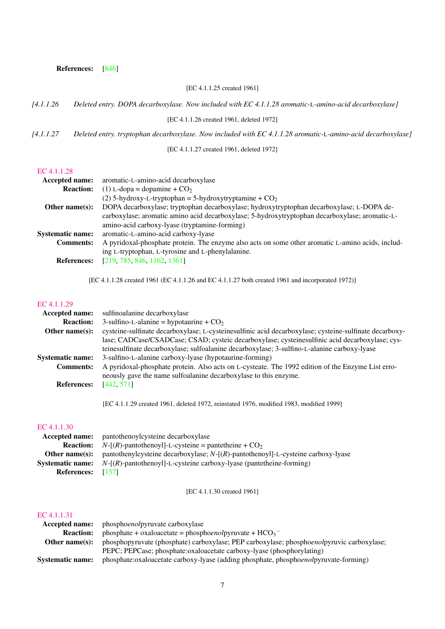#### References: [\[846\]](#page-221-1)

#### [EC 4.1.1.25 created 1961]

#### *[4.1.1.26 Deleted entry. DOPA decarboxylase. Now included with EC 4.1.1.28 aromatic-*L*-amino-acid decarboxylase]*

[EC 4.1.1.26 created 1961, deleted 1972]

*[4.1.1.27 Deleted entry. tryptophan decarboxylase. Now included with EC 4.1.1.28 aromatic-*L*-amino-acid decarboxylase]*

[EC 4.1.1.27 created 1961, deleted 1972]

## [EC 4.1.1.28](http://www.enzyme-database.org/query.php?ec=4.1.1.28)

| <b>Accepted name:</b>   | aromatic-L-amino-acid decarboxylase                                                               |
|-------------------------|---------------------------------------------------------------------------------------------------|
| <b>Reaction:</b>        | (1) L-dopa = dopamine + $CO2$                                                                     |
|                         | (2) 5-hydroxy-L-tryptophan = 5-hydroxytryptamine + $CO2$                                          |
| Other name $(s)$ :      | DOPA decarboxylase; tryptophan decarboxylase; hydroxytryptophan decarboxylase; L-DOPA de-         |
|                         | carboxylase; aromatic amino acid decarboxylase; 5-hydroxytryptophan decarboxylase; aromatic-L-    |
|                         | amino-acid carboxy-lyase (tryptamine-forming)                                                     |
| <b>Systematic name:</b> | aromatic-L-amino-acid carboxy-lyase                                                               |
| <b>Comments:</b>        | A pyridoxal-phosphate protein. The enzyme also acts on some other aromatic L-amino acids, includ- |
|                         | ing L-tryptophan, L-tyrosine and L-phenylalanine.                                                 |
| <b>References:</b>      | [219, 785, 846, 1162, 1361]                                                                       |
|                         |                                                                                                   |

[EC 4.1.1.28 created 1961 (EC 4.1.1.26 and EC 4.1.1.27 both created 1961 and incorporated 1972)]

#### [EC 4.1.1.29](http://www.enzyme-database.org/query.php?ec=4.1.1.29)

| <b>Accepted name:</b>   | sulfinoalanine decarboxylase                                                                                                                                          |
|-------------------------|-----------------------------------------------------------------------------------------------------------------------------------------------------------------------|
| <b>Reaction:</b>        | 3-sulfino-L-alanine = hypotaurine + $CO2$                                                                                                                             |
| Other name $(s)$ :      | cysteine-sulfinate decarboxylase; L-cysteinesulfinic acid decarboxylase; cysteine-sulfinate decarboxy-                                                                |
|                         | lase; CADCase/CSADCase; CSAD; cysteic decarboxylase; cysteinesulfinic acid decarboxylase; cys-                                                                        |
|                         | teinesulfinate decarboxylase; sulfoalanine decarboxylase; 3-sulfino-L-alanine carboxy-lyase                                                                           |
| <b>Systematic name:</b> | 3-sulfino-L-alanine carboxy-lyase (hypotaurine-forming)                                                                                                               |
| <b>Comments:</b>        | A pyridoxal-phosphate protein. Also acts on L-cysteate. The 1992 edition of the Enzyme List erro-<br>neously gave the name sulfoalanine decarboxylase to this enzyme. |
| <b>References:</b>      | [442, 571]                                                                                                                                                            |
|                         |                                                                                                                                                                       |

[EC 4.1.1.29 created 1961, deleted 1972, reinstated 1976, modified 1983, modified 1999]

#### [EC 4.1.1.30](http://www.enzyme-database.org/query.php?ec=4.1.1.30)

| <b>Accepted name:</b> pantothenoylcysteine decarboxylase                                      |
|-----------------------------------------------------------------------------------------------|
| <b>Reaction:</b> $N-[R]$ -pantothenoyl]-L-cysteine = pantetheine + $CO_2$                     |
| pantothenylcysteine decarboxylase; $N-[R]$ -pantothenoyl]-L-cysteine carboxy-lyase            |
| <b>Systematic name:</b> $N-[R]$ -pantothenoyl]-L-cysteine carboxy-lyase (pantetheine-forming) |
| <b>References:</b> [137]                                                                      |
|                                                                                               |

[EC 4.1.1.30 created 1961]

|                         | <b>Accepted name:</b> phosphoenolpyruvate carboxylase                                     |
|-------------------------|-------------------------------------------------------------------------------------------|
| <b>Reaction:</b>        | phosphate + oxaloacetate = phosphoenolpyruvate + $HCO_3^-$                                |
| Other name(s):          | phosphopyruvate (phosphate) carboxylase; PEP carboxylase; phosphoenolpyruvic carboxylase; |
|                         | PEPC; PEPCase; phosphate:oxaloacetate carboxy-lyase (phosphorylating)                     |
| <b>Systematic name:</b> | phosphate:oxaloacetate carboxy-lyase (adding phosphate, phosphoenolpyruvate-forming)      |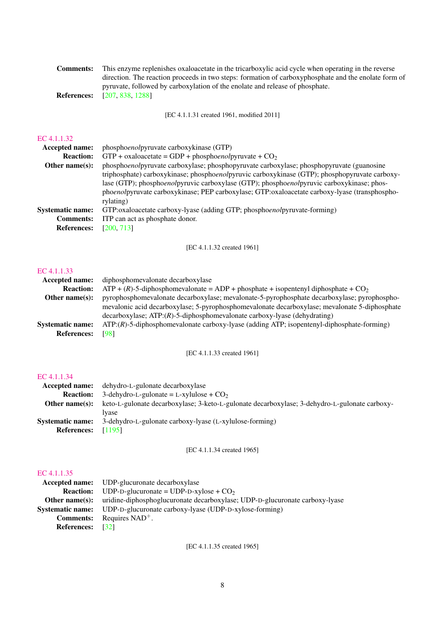| <b>Comments:</b> | This enzyme replenishes oxaloacetate in the tricarboxylic acid cycle when operating in the reverse   |
|------------------|------------------------------------------------------------------------------------------------------|
|                  | direction. The reaction proceeds in two steps: formation of carboxyphosphate and the enolate form of |
|                  | pyruvate, followed by carboxylation of the enolate and release of phosphate.                         |
|                  | <b>References:</b> [207, 838, 1288]                                                                  |

[EC 4.1.1.31 created 1961, modified 2011]

#### [EC 4.1.1.32](http://www.enzyme-database.org/query.php?ec=4.1.1.32)

| Accepted name:          | phosphoenolpyruvate carboxykinase (GTP)                                                       |
|-------------------------|-----------------------------------------------------------------------------------------------|
| <b>Reaction:</b>        | GTP + oxaloacetate = GDP + phosphoenolpyruvate + $CO2$                                        |
| Other name $(s)$ :      | phosphoenolpyruvate carboxylase; phosphopyruvate carboxylase; phosphopyruvate (guanosine      |
|                         | triphosphate) carboxykinase; phosphoenolpyruvic carboxykinase (GTP); phosphopyruvate carboxy- |
|                         | lase (GTP); phosphoenolpyruvic carboxylase (GTP); phosphoenolpyruvic carboxykinase; phos-     |
|                         | phoenolpyruvate carboxykinase; PEP carboxylase; GTP:oxaloacetate carboxy-lyase (transphospho- |
|                         | rylating)                                                                                     |
| <b>Systematic name:</b> | GTP:oxaloacetate carboxy-lyase (adding GTP; phosphoenolpyruvate-forming)                      |
| <b>Comments:</b>        | ITP can act as phosphate donor.                                                               |
| <b>References:</b>      | [200, 713]                                                                                    |
|                         |                                                                                               |

[EC 4.1.1.32 created 1961]

#### [EC 4.1.1.33](http://www.enzyme-database.org/query.php?ec=4.1.1.33)

| <b>Accepted name:</b>   | diphosphomevalonate decarboxylase                                                                |
|-------------------------|--------------------------------------------------------------------------------------------------|
| <b>Reaction:</b>        | $ATP + (R)$ -5-diphosphomevalonate = ADP + phosphate + isopentenyl diphosphate + CO <sub>2</sub> |
| Other name $(s)$ :      | pyrophosphomevalonate decarboxylase; mevalonate-5-pyrophosphate decarboxylase; pyrophospho-      |
|                         | mevalonic acid decarboxylase; 5-pyrophosphomevalonate decarboxylase; mevalonate 5-diphosphate    |
|                         | $\alpha$ decarboxylase; ATP: $(R)$ -5-diphosphomevalonate carboxy-lyase (dehydrating)            |
| <b>Systematic name:</b> | $ATP$ : $(R)$ -5-diphosphomevalonate carboxy-lyase (adding ATP; isopentenyl-diphosphate-forming) |
| <b>References:</b>      | [98]                                                                                             |
|                         |                                                                                                  |

[EC 4.1.1.33 created 1961]

## [EC 4.1.1.34](http://www.enzyme-database.org/query.php?ec=4.1.1.34)

|                         | <b>Accepted name:</b> dehydro-L-gulonate decarboxylase                                        |
|-------------------------|-----------------------------------------------------------------------------------------------|
| <b>Reaction:</b>        | 3-dehydro-L-gulonate = L-xylulose + $CO2$                                                     |
| Other name(s):          | keto-L-gulonate decarboxylase; 3-keto-L-gulonate decarboxylase; 3-dehydro-L-gulonate carboxy- |
|                         | Ivase                                                                                         |
| <b>Systematic name:</b> | 3-dehydro-L-gulonate carboxy-lyase (L-xylulose-forming)                                       |
| <b>References:</b>      | [1195]                                                                                        |

[EC 4.1.1.34 created 1965]

## [EC 4.1.1.35](http://www.enzyme-database.org/query.php?ec=4.1.1.35)

| <b>Other name(s):</b> uridine-diphosphoglucuronate decarboxylase; UDP-D-glucuronate carboxy-lyase |
|---------------------------------------------------------------------------------------------------|
|                                                                                                   |
|                                                                                                   |
|                                                                                                   |
|                                                                                                   |

[EC 4.1.1.35 created 1965]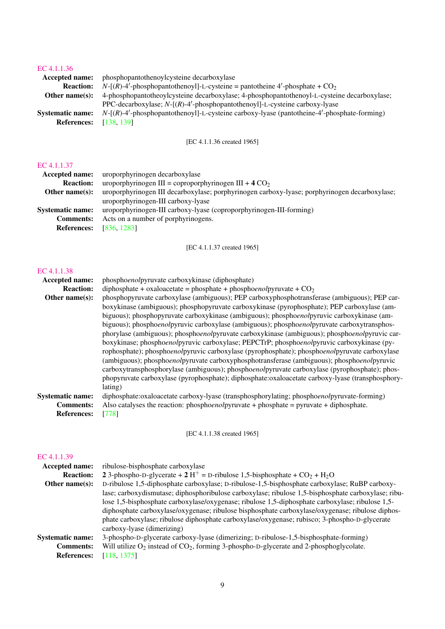## [EC 4.1.1.36](http://www.enzyme-database.org/query.php?ec=4.1.1.36)

| <b>Accepted name:</b>   | phosphopantothenoylcysteine decarboxylase                                                   |
|-------------------------|---------------------------------------------------------------------------------------------|
| <b>Reaction:</b>        | $N-[R]-4'$ -phosphopantothenoyl]-L-cysteine = pantotheine 4'-phosphate + $CO_2$             |
| Other name $(s)$ :      | 4-phosphopantotheoylcysteine decarboxylase; 4-phosphopantothenoyl-L-cysteine decarboxylase; |
|                         | PPC-decarboxylase; $N-[R]-4'$ -phosphopantothenoyl]-L-cysteine carboxy-lyase                |
| <b>Systematic name:</b> | $N-[R]-4$ -phosphopantothenoyl]-L-cysteine carboxy-lyase (pantotheine-4'-phosphate-forming) |
| <b>References:</b>      | [138, 139]                                                                                  |

## [EC 4.1.1.36 created 1965]

## [EC 4.1.1.37](http://www.enzyme-database.org/query.php?ec=4.1.1.37)

| Accepted name:          | uroporphyrinogen decarboxylase                                                                |
|-------------------------|-----------------------------------------------------------------------------------------------|
| <b>Reaction:</b>        | uroporphyrinogen III = coproporphyrinogen III + $4 \text{ CO}_2$                              |
| Other name $(s)$ :      | uroporphyrinogen III decarboxylase; porphyrinogen carboxy-lyase; porphyrinogen decarboxylase; |
|                         | uroporphyrinogen-III carboxy-lyase                                                            |
| <b>Systematic name:</b> | uroporphyrinogen-III carboxy-lyase (coproporphyrinogen-III-forming)                           |
| <b>Comments:</b>        | Acts on a number of porphyrinogens.                                                           |
| <b>References:</b>      | [836, 1283]                                                                                   |
|                         |                                                                                               |

[EC 4.1.1.37 created 1965]

#### [EC 4.1.1.38](http://www.enzyme-database.org/query.php?ec=4.1.1.38)

| Accepted name:                                                    | phosphoenolpyruvate carboxykinase (diphosphate)                                                                                                                                                                                                                                                                                                                                                                                                                                                                                                                                                                                                                                                                                                                                                                                                                                                                                                                                             |
|-------------------------------------------------------------------|---------------------------------------------------------------------------------------------------------------------------------------------------------------------------------------------------------------------------------------------------------------------------------------------------------------------------------------------------------------------------------------------------------------------------------------------------------------------------------------------------------------------------------------------------------------------------------------------------------------------------------------------------------------------------------------------------------------------------------------------------------------------------------------------------------------------------------------------------------------------------------------------------------------------------------------------------------------------------------------------|
| <b>Reaction:</b>                                                  | diphosphate + oxaloacetate = phosphate + phosphoenolpyruvate + $CO2$                                                                                                                                                                                                                                                                                                                                                                                                                                                                                                                                                                                                                                                                                                                                                                                                                                                                                                                        |
| Other name(s):                                                    | phosphopyruvate carboxylase (ambiguous); PEP carboxyphosphotransferase (ambiguous); PEP car-<br>boxykinase (ambiguous); phosphopyruvate carboxykinase (pyrophosphate); PEP carboxylase (am-<br>biguous); phosphopyruvate carboxykinase (ambiguous); phosphoenolpyruvic carboxykinase (am-<br>biguous); phosphoenolpyruvic carboxylase (ambiguous); phosphoenolpyruvate carboxytransphos-<br>phorylase (ambiguous); phosphoenolpyruvate carboxykinase (ambiguous); phosphoenolpyruvic car-<br>boxykinase; phosphoenolpyruvic carboxylase; PEPCTrP; phosphoenolpyruvic carboxykinase (py-<br>rophosphate); phosphoenolpyruvic carboxylase (pyrophosphate); phosphoenolpyruvate carboxylase<br>(ambiguous); phosphoenolpyruvate carboxyphosphotransferase (ambiguous); phosphoenolpyruvic<br>carboxytransphosphorylase (ambiguous); phosphoenolpyruvate carboxylase (pyrophosphate); phos-<br>phopyruvate carboxylase (pyrophosphate); diphosphate:oxaloacetate carboxy-lyase (transphosphory- |
|                                                                   | lating)                                                                                                                                                                                                                                                                                                                                                                                                                                                                                                                                                                                                                                                                                                                                                                                                                                                                                                                                                                                     |
| <b>Systematic name:</b><br><b>Comments:</b><br><b>References:</b> | diphosphate:oxaloacetate carboxy-lyase (transphosphorylating; phosphoenolpyruvate-forming)<br>Also catalyses the reaction: phosphoenolypruvate + phosphate = pyruvate + diphosphate.<br>[778]                                                                                                                                                                                                                                                                                                                                                                                                                                                                                                                                                                                                                                                                                                                                                                                               |

[EC 4.1.1.38 created 1965]

| Accepted name:          | ribulose-bisphosphate carboxylase                                                                    |  |
|-------------------------|------------------------------------------------------------------------------------------------------|--|
| <b>Reaction:</b>        | 2 3-phospho-D-glycerate + 2 H <sup>+</sup> = D-ribulose 1,5-bisphosphate + $CO_2$ + H <sub>2</sub> O |  |
| Other name $(s)$ :      | D-ribulose 1,5-diphosphate carboxylase; D-ribulose-1,5-bisphosphate carboxylase; RuBP carboxy-       |  |
|                         | lase; carboxydismutase; diphosphoribulose carboxylase; ribulose 1,5-bisphosphate carboxylase; ribu-  |  |
|                         | lose 1,5-bisphosphate carboxylase/oxygenase; ribulose 1,5-diphosphate carboxylase; ribulose 1,5-     |  |
|                         | diphosphate carboxylase/oxygenase; ribulose bisphosphate carboxylase/oxygenase; ribulose diphos-     |  |
|                         | phate carboxylase; ribulose diphosphate carboxylase/oxygenase; rubisco; 3-phospho-D-glycerate        |  |
|                         | carboxy-lyase (dimerizing)                                                                           |  |
| <b>Systematic name:</b> | 3-phospho-D-glycerate carboxy-lyase (dimerizing; D-ribulose-1,5-bisphosphate-forming)                |  |
| <b>Comments:</b>        | Will utilize $O_2$ instead of $CO_2$ , forming 3-phospho-D-glycerate and 2-phosphoglycolate.         |  |
| <b>References:</b>      | [118, 1375]                                                                                          |  |
|                         |                                                                                                      |  |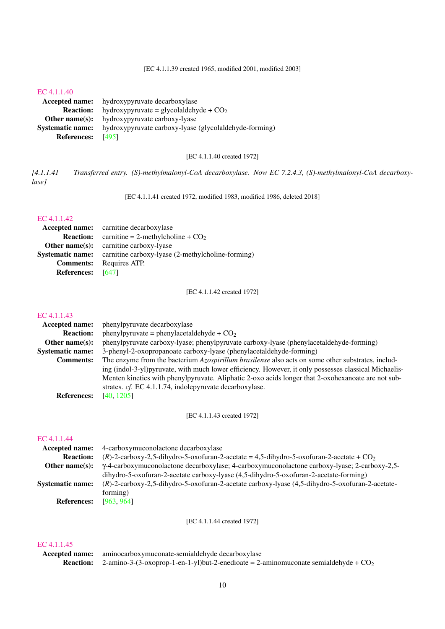[EC 4.1.1.39 created 1965, modified 2001, modified 2003]

#### [EC 4.1.1.40](http://www.enzyme-database.org/query.php?ec=4.1.1.40)

Accepted name: hydroxypyruvate decarboxylase **Reaction:** hydroxypyruvate = glycolaldehyde +  $CO<sub>2</sub>$ Other name(s): hydroxypyruvate carboxy-lyase Systematic name: hydroxypyruvate carboxy-lyase (glycolaldehyde-forming) References: [\[495\]](#page-202-0)

[EC 4.1.1.40 created 1972]

*[4.1.1.41 Transferred entry. (S)-methylmalonyl-CoA decarboxylase. Now EC 7.2.4.3, (S)-methylmalonyl-CoA decarboxylase]*

[EC 4.1.1.41 created 1972, modified 1983, modified 1986, deleted 2018]

#### [EC 4.1.1.42](http://www.enzyme-database.org/query.php?ec=4.1.1.42)

|                   | Accepted name: carnitine decarboxylase                                    |
|-------------------|---------------------------------------------------------------------------|
|                   | <b>Reaction:</b> carnitine = 2-methylcholine + $CO2$                      |
|                   | <b>Other name(s):</b> carnitine carboxy-lyase                             |
|                   | <b>Systematic name:</b> carnitine carboxy-lyase (2-methylcholine-forming) |
|                   | <b>Comments:</b> Requires ATP.                                            |
| References: [647] |                                                                           |

[EC 4.1.1.42 created 1972]

## [EC 4.1.1.43](http://www.enzyme-database.org/query.php?ec=4.1.1.43)

| phenylpyruvate decarboxylase                                                                          |  |
|-------------------------------------------------------------------------------------------------------|--|
| phenylpyruvate = phenylacetaldehyde + $CO2$                                                           |  |
| phenylpyruvate carboxy-lyase; phenylpyruvate carboxy-lyase (phenylacetaldehyde-forming)               |  |
| 3-phenyl-2-oxopropanoate carboxy-lyase (phenylacetaldehyde-forming)                                   |  |
| The enzyme from the bacterium Azospirillum brasilense also acts on some other substrates, includ-     |  |
| ing (indol-3-yl)pyruvate, with much lower efficiency. However, it only possesses classical Michaelis- |  |
| Menten kinetics with phenylpyruvate. Aliphatic 2-oxo acids longer that 2-oxohexanoate are not sub-    |  |
| strates. cf. EC 4.1.1.74, indolepyruvate decarboxylase.                                               |  |
| [40, 1205]                                                                                            |  |
|                                                                                                       |  |

[EC 4.1.1.43 created 1972]

#### [EC 4.1.1.44](http://www.enzyme-database.org/query.php?ec=4.1.1.44)

|                         | <b>Accepted name:</b> 4-carboxymuconolactone decarboxylase                                           |  |
|-------------------------|------------------------------------------------------------------------------------------------------|--|
| <b>Reaction:</b>        | $(R)$ -2-carboxy-2,5-dihydro-5-oxofuran-2-acetate = 4,5-dihydro-5-oxofuran-2-acetate + $CO2$         |  |
| Other name $(s)$ :      | $\gamma$ -4-carboxymuconolactone decarboxylase; 4-carboxymuconolactone carboxy-lyase; 2-carboxy-2,5- |  |
|                         | dihydro-5-oxofuran-2-acetate carboxy-lyase (4,5-dihydro-5-oxofuran-2-acetate-forming)                |  |
| <b>Systematic name:</b> | (R)-2-carboxy-2,5-dihydro-5-oxofuran-2-acetate carboxy-lyase (4,5-dihydro-5-oxofuran-2-acetate-      |  |
|                         | forming)                                                                                             |  |
| <b>References:</b>      | [963, 964]                                                                                           |  |
|                         |                                                                                                      |  |

[EC 4.1.1.44 created 1972]

| Accepted name: aminocarboxymuconate-semialdehyde decarboxylase                                          |
|---------------------------------------------------------------------------------------------------------|
| <b>Reaction:</b> 2-amino-3-(3-oxoprop-1-en-1-yl)but-2-enedioate = 2-aminomuconate semialdehyde + $CO_2$ |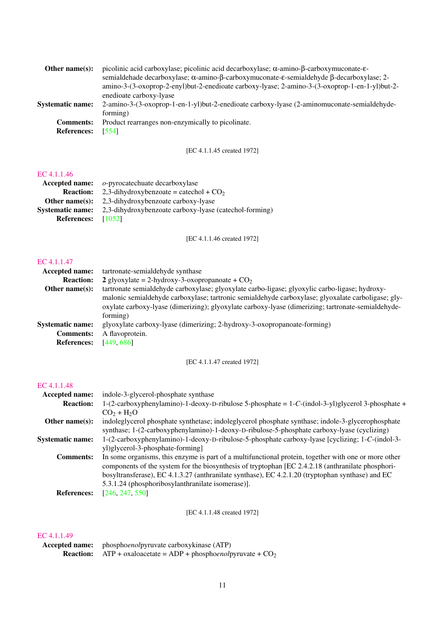| Other name $(s)$ :      | picolinic acid carboxylase; picolinic acid decarboxylase; $\alpha$ -amino- $\beta$ -carboxymuconate- $\varepsilon$ - |
|-------------------------|----------------------------------------------------------------------------------------------------------------------|
|                         | semialdehade decarboxylase; α-amino-β-carboxymuconate-ε-semialdehyde β-decarboxylase; 2-                             |
|                         | amino-3-(3-oxoprop-2-enyl)but-2-enedioate carboxy-lyase; 2-amino-3-(3-oxoprop-1-en-1-yl)but-2-                       |
|                         | enedioate carboxy-lyase                                                                                              |
| <b>Systematic name:</b> | 2-amino-3-(3-oxoprop-1-en-1-yl)but-2-enedioate carboxy-lyase (2-aminomuconate-semialdehyde-                          |
|                         | forming)                                                                                                             |
| <b>Comments:</b>        | Product rearranges non-enzymically to picolinate.                                                                    |
| <b>References:</b>      | [554]                                                                                                                |
|                         |                                                                                                                      |

## [EC 4.1.1.45 created 1972]

#### [EC 4.1.1.46](http://www.enzyme-database.org/query.php?ec=4.1.1.46)

|                         | <b>Accepted name:</b> $o$ -pyrocatechuate decarboxylase |
|-------------------------|---------------------------------------------------------|
| <b>Reaction:</b>        | 2,3-dihydroxybenzoate = catechol + $CO2$                |
| Other name $(s)$ :      | 2,3-dihydroxybenzoate carboxy-lyase                     |
| <b>Systematic name:</b> | 2,3-dihydroxybenzoate carboxy-lyase (catechol-forming)  |
| <b>References:</b>      | [1052]                                                  |
|                         |                                                         |

[EC 4.1.1.46 created 1972]

## [EC 4.1.1.47](http://www.enzyme-database.org/query.php?ec=4.1.1.47)

| tartronate-semialdehyde synthase                                                                                                                                                                                     |
|----------------------------------------------------------------------------------------------------------------------------------------------------------------------------------------------------------------------|
| 2 glyoxylate = 2-hydroxy-3-oxopropanoate + $CO2$                                                                                                                                                                     |
| tartronate semialdehyde carboxylase; glyoxylate carbo-ligase; glyoxylic carbo-ligase; hydroxy-                                                                                                                       |
| malonic semialdehyde carboxylase; tartronic semialdehyde carboxylase; glyoxalate carboligase; gly-<br>oxylate carboxy-lyase (dimerizing); glyoxylate carboxy-lyase (dimerizing; tartronate-semialdehyde-<br>forming) |
| glyoxylate carboxy-lyase (dimerizing; 2-hydroxy-3-oxopropanoate-forming)                                                                                                                                             |
| A flavoprotein.                                                                                                                                                                                                      |
| [449, 686]                                                                                                                                                                                                           |
|                                                                                                                                                                                                                      |

[EC 4.1.1.47 created 1972]

## [EC 4.1.1.48](http://www.enzyme-database.org/query.php?ec=4.1.1.48)

| <b>Accepted name:</b>   | indole-3-glycerol-phosphate synthase                                                                 |
|-------------------------|------------------------------------------------------------------------------------------------------|
| <b>Reaction:</b>        | $1-(2-carboxyphenylamino)-1-deoxy-D-ribulose 5-phosphate = 1-C-(indol-3-yl)glycerol 3-phosphate +$   |
|                         | $CO2 + H2O$                                                                                          |
| Other name $(s)$ :      | indoleglycerol phosphate synthetase; indoleglycerol phosphate synthase; indole-3-glycerophosphate    |
|                         | synthase; 1-(2-carboxyphenylamino)-1-deoxy-D-ribulose-5-phosphate carboxy-lyase (cyclizing)          |
| <b>Systematic name:</b> | 1-(2-carboxyphenylamino)-1-deoxy-D-ribulose-5-phosphate carboxy-lyase [cyclizing; 1-C-(indol-3-      |
|                         | yl)glycerol-3-phosphate-forming                                                                      |
| <b>Comments:</b>        | In some organisms, this enzyme is part of a multifunctional protein, together with one or more other |
|                         | components of the system for the biosynthesis of tryptophan [EC 2.4.2.18 (anthranilate phosphori-    |
|                         | bosyltransferase), EC 4.1.3.27 (anthranilate synthase), EC 4.2.1.20 (tryptophan synthase) and EC     |
|                         | 5.3.1.24 (phosphoribosylanthranilate isomerase)].                                                    |
| <b>References:</b>      | [246, 247, 550]                                                                                      |
|                         |                                                                                                      |

[EC 4.1.1.48 created 1972]

| <b>Accepted name:</b> phosphoenolpyruvate carboxykinase (ATP)           |
|-------------------------------------------------------------------------|
| <b>Reaction:</b> ATP + oxaloacetate = ADP + phosphoenolpyruvate + $CO2$ |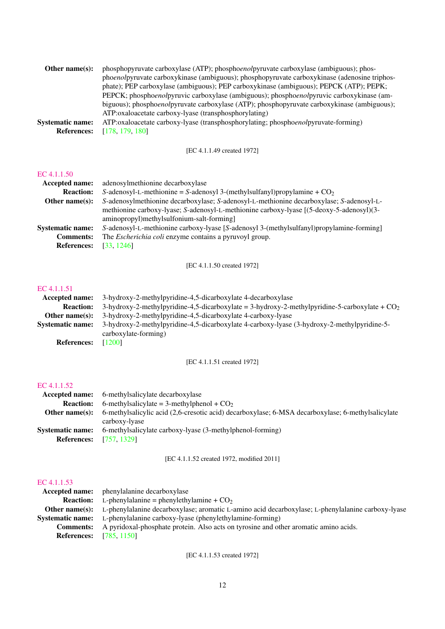| Other name $(s)$ :      | phosphopyruvate carboxylase (ATP); phosphoenolpyruvate carboxylase (ambiguous); phos-        |
|-------------------------|----------------------------------------------------------------------------------------------|
|                         | phoenolpyruvate carboxykinase (ambiguous); phosphopyruvate carboxykinase (adenosine triphos- |
|                         | phate); PEP carboxylase (ambiguous); PEP carboxykinase (ambiguous); PEPCK (ATP); PEPK;       |
|                         | PEPCK; phosphoenolpyruvic carboxylase (ambiguous); phosphoenolpyruvic carboxykinase (am-     |
|                         | biguous); phosphoenolpyruvate carboxylase (ATP); phosphopyruvate carboxykinase (ambiguous);  |
|                         | ATP:oxaloacetate carboxy-lyase (transphosphorylating)                                        |
| <b>Systematic name:</b> | ATP:oxaloacetate carboxy-lyase (transphosphorylating; phosphoenolpyruvate-forming)           |
| <b>References:</b>      | [178, 179, 180]                                                                              |

[EC 4.1.1.49 created 1972]

#### [EC 4.1.1.50](http://www.enzyme-database.org/query.php?ec=4.1.1.50)

| <b>Accepted name:</b>   | adenosylmethionine decarboxylase                                                         |  |
|-------------------------|------------------------------------------------------------------------------------------|--|
| <b>Reaction:</b>        | S-adenosyl-L-methionine = S-adenosyl 3-(methylsulfanyl)propylamine + $CO2$               |  |
| Other name $(s)$ :      | S-adenosylmethionine decarboxylase; S-adenosyl-L-methionine decarboxylase; S-adenosyl-L- |  |
|                         | methionine carboxy-lyase; S-adenosyl-L-methionine carboxy-lyase [(5-deoxy-5-adenosyl)(3- |  |
|                         | aminopropyl)methylsulfonium-salt-forming]                                                |  |
| <b>Systematic name:</b> | S-adenosyl-L-methionine carboxy-lyase [S-adenosyl 3-(methylsulfanyl)propylamine-forming] |  |
| <b>Comments:</b>        | The <i>Escherichia coli</i> enzyme contains a pyruvoyl group.                            |  |
| <b>References:</b>      | [33, 1246]                                                                               |  |

[EC 4.1.1.50 created 1972]

## [EC 4.1.1.51](http://www.enzyme-database.org/query.php?ec=4.1.1.51)

| Accepted name:          | 3-hydroxy-2-methylpyridine-4,5-dicarboxylate 4-decarboxylase                                    |  |
|-------------------------|-------------------------------------------------------------------------------------------------|--|
| <b>Reaction:</b>        | 3-hydroxy-2-methylpyridine-4,5-dicarboxylate = 3-hydroxy-2-methylpyridine-5-carboxylate + $CO2$ |  |
| Other name $(s)$ :      | 3-hydroxy-2-methylpyridine-4,5-dicarboxylate 4-carboxy-lyase                                    |  |
| <b>Systematic name:</b> | 3-hydroxy-2-methylpyridine-4,5-dicarboxylate 4-carboxy-lyase (3-hydroxy-2-methylpyridine-5-     |  |
|                         | carboxylate-forming)                                                                            |  |
| <b>References:</b>      | [1200]                                                                                          |  |

[EC 4.1.1.51 created 1972]

## [EC 4.1.1.52](http://www.enzyme-database.org/query.php?ec=4.1.1.52)

|                         | <b>Accepted name:</b> 6-methylsalicylate decarboxylase                                            |
|-------------------------|---------------------------------------------------------------------------------------------------|
| <b>Reaction:</b>        | 6-methylsalicylate = 3-methylphenol + $CO2$                                                       |
| Other name $(s)$ :      | 6-methylsalicylic acid (2,6-cresotic acid) decarboxylase; 6-MSA decarboxylase; 6-methylsalicylate |
|                         | carboxy-lyase                                                                                     |
| <b>Systematic name:</b> | 6-methylsalicylate carboxy-lyase (3-methylphenol-forming)                                         |
| <b>References:</b>      | [757.1329]                                                                                        |

[EC 4.1.1.52 created 1972, modified 2011]

#### [EC 4.1.1.53](http://www.enzyme-database.org/query.php?ec=4.1.1.53)

|                    | <b>Accepted name:</b> phenylalanine decarboxylase                                                                       |
|--------------------|-------------------------------------------------------------------------------------------------------------------------|
| <b>Reaction:</b>   | L-phenylalanine = phenylethylamine + $CO2$                                                                              |
|                    | <b>Other name(s):</b> L-phenylalanine decarboxylase; aromatic L-amino acid decarboxylase; L-phenylalanine carboxy-lyase |
|                    | <b>Systematic name:</b> L-phenylalanine carboxy-lyase (phenylethylamine-forming)                                        |
| <b>Comments:</b>   | A pyridoxal-phosphate protein. Also acts on tyrosine and other aromatic amino acids.                                    |
| <b>References:</b> | [785, 1150]                                                                                                             |

[EC 4.1.1.53 created 1972]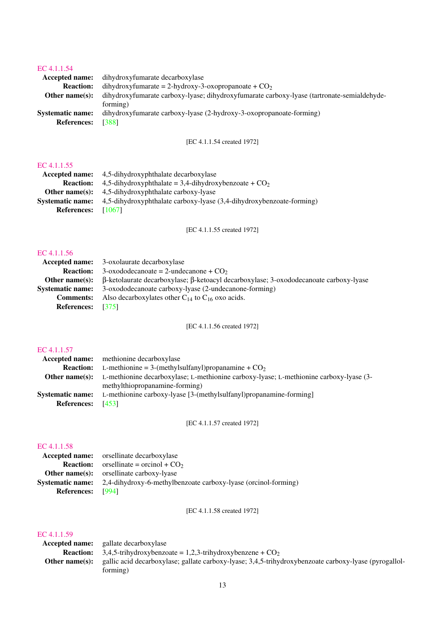## [EC 4.1.1.54](http://www.enzyme-database.org/query.php?ec=4.1.1.54)

|                         | <b>Accepted name:</b> dihydroxyfumarate decarboxylase                                      |  |
|-------------------------|--------------------------------------------------------------------------------------------|--|
| <b>Reaction:</b>        | dihydroxyfumarate = 2-hydroxy-3-oxopropanoate + $CO2$                                      |  |
| Other name $(s)$ :      | dihydroxyfumarate carboxy-lyase; dihydroxyfumarate carboxy-lyase (tartronate-semialdehyde- |  |
|                         | forming)                                                                                   |  |
| <b>Systematic name:</b> | dihydroxyfumarate carboxy-lyase (2-hydroxy-3-oxopropanoate-forming)                        |  |
| <b>References:</b>      | [388]                                                                                      |  |
|                         |                                                                                            |  |

[EC 4.1.1.54 created 1972]

## [EC 4.1.1.55](http://www.enzyme-database.org/query.php?ec=4.1.1.55)

|                         | <b>Accepted name:</b> 4.5-dihydroxyphthalate decarboxylase           |
|-------------------------|----------------------------------------------------------------------|
| <b>Reaction:</b>        | 4,5-dihydroxyphthalate = 3,4-dihydroxybenzoate + $CO2$               |
|                         | <b>Other name(s):</b> $4.5$ -dihydroxyphthalate carboxy-lyase        |
| <b>Systematic name:</b> | 4,5-dihydroxyphthalate carboxy-lyase (3,4-dihydroxybenzoate-forming) |
| References: [1067]      |                                                                      |
|                         |                                                                      |

[EC 4.1.1.55 created 1972]

## [EC 4.1.1.56](http://www.enzyme-database.org/query.php?ec=4.1.1.56)

|                          | <b>Accepted name:</b> 3-oxolaurate decarboxylase                                                                          |
|--------------------------|---------------------------------------------------------------------------------------------------------------------------|
|                          | <b>Reaction:</b> 3-oxododecanoate = 2-undecanone + $CO2$                                                                  |
|                          | <b>Other name(s):</b> $\beta$ -ketolaurate decarboxylase; $\beta$ -ketoacyl decarboxylase; 3-oxododecanoate carboxy-lyase |
|                          | <b>Systematic name:</b> 3-oxododecanoate carboxy-lyase (2-undecanone-forming)                                             |
| <b>Comments:</b>         | Also decarboxylates other $C_{14}$ to $C_{16}$ oxo acids.                                                                 |
| <b>References:</b> [375] |                                                                                                                           |
|                          |                                                                                                                           |

[EC 4.1.1.56 created 1972]

## [EC 4.1.1.57](http://www.enzyme-database.org/query.php?ec=4.1.1.57)

|                          | Accepted name: methionine decarboxylase                                                    |
|--------------------------|--------------------------------------------------------------------------------------------|
|                          | <b>Reaction:</b> L-methionine = 3-(methylsulfanyl)propanamine + $CO2$                      |
| Other name $(s)$ :       | L-methionine decarboxylase; L-methionine carboxy-lyase; L-methionine carboxy-lyase (3-     |
|                          | methylthiopropanamine-forming)                                                             |
|                          | <b>Systematic name:</b> L-methionine carboxy-lyase [3-(methylsulfanyl)propanamine-forming] |
| <b>References:</b> [453] |                                                                                            |

[EC 4.1.1.57 created 1972]

## [EC 4.1.1.58](http://www.enzyme-database.org/query.php?ec=4.1.1.58)

|                          | <b>Accepted name:</b> or sellinate decarboxylase               |
|--------------------------|----------------------------------------------------------------|
|                          | <b>Reaction:</b> orgellinate = orginol + $CO2$                 |
|                          | <b>Other name(s):</b> orsellinate carboxy-lyase                |
| Systematic name:         | 2,4-dihydroxy-6-methylbenzoate carboxy-lyase (orcinol-forming) |
| <b>References:</b> [994] |                                                                |

[EC 4.1.1.58 created 1972]

| U 4. L L DY    |                                                                                                       |
|----------------|-------------------------------------------------------------------------------------------------------|
| Accepted name: | gallate decarboxylase                                                                                 |
|                | <b>Reaction:</b> 3,4,5-trihydroxybenzoate = 1,2,3-trihydroxybenzene + $CO2$                           |
| Other name(s): | gallic acid decarboxylase; gallate carboxy-lyase; 3,4,5-trihydroxybenzoate carboxy-lyase (pyrogallol- |
|                | forming)                                                                                              |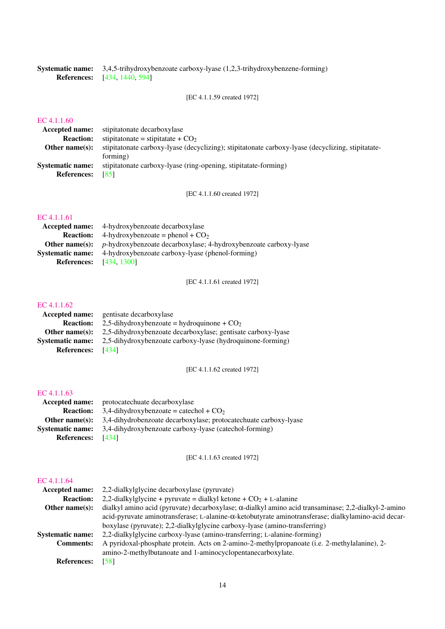Systematic name: 3,4,5-trihydroxybenzoate carboxy-lyase (1,2,3-trihydroxybenzene-forming) References: [\[434,](#page-199-1) [1440,](#page-251-0) [594\]](#page-207-1)

[EC 4.1.1.59 created 1972]

## [EC 4.1.1.60](http://www.enzyme-database.org/query.php?ec=4.1.1.60)

| <b>Accepted name:</b> stipitatonate decarboxylase                                                      |
|--------------------------------------------------------------------------------------------------------|
| stipitationate = stipitatate + $CO2$                                                                   |
| stipitationate carboxy-lyase (decyclizing); stipitationate carboxy-lyase (decyclizing, stipitationate- |
| forming)                                                                                               |
| stipitatonate carboxy-lyase (ring-opening, stipitatate-forming)                                        |
| - 1851                                                                                                 |
|                                                                                                        |

[EC 4.1.1.60 created 1972]

## [EC 4.1.1.61](http://www.enzyme-database.org/query.php?ec=4.1.1.61)

|                                | <b>Accepted name:</b> 4-hydroxybenzoate decarboxylase                                          |
|--------------------------------|------------------------------------------------------------------------------------------------|
| <b>Reaction:</b>               | 4-hydroxybenzoate = phenol + $CO2$                                                             |
|                                | <b>Other name(s):</b> <i>p</i> -hydroxybenzoate decarboxylase; 4-hydroxybenzoate carboxy-lyase |
| <b>Systematic name:</b>        | 4-hydroxybenzoate carboxy-lyase (phenol-forming)                                               |
| <b>References:</b> [434, 1300] |                                                                                                |

[EC 4.1.1.61 created 1972]

#### [EC 4.1.1.62](http://www.enzyme-database.org/query.php?ec=4.1.1.62)

| <b>Accepted name:</b>   | gentisate decarboxylase                                      |
|-------------------------|--------------------------------------------------------------|
| <b>Reaction:</b>        | 2,5-dihydroxybenzoate = hydroquinone + $CO2$                 |
| Other name $(s)$ :      | 2,5-dihydroxybenzoate decarboxylase; gentisate carboxy-lyase |
| <b>Systematic name:</b> | 2,5-dihydroxybenzoate carboxy-lyase (hydroquinone-forming)   |
| <b>References:</b>      | [434]                                                        |

[EC 4.1.1.62 created 1972]

#### [EC 4.1.1.63](http://www.enzyme-database.org/query.php?ec=4.1.1.63)

|                         | <b>Accepted name:</b> protocate chuate decarboxylase                                       |
|-------------------------|--------------------------------------------------------------------------------------------|
|                         | <b>Reaction:</b> 3.4-dihydroxybenzoate = catechol + $CO2$                                  |
|                         | <b>Other name(s):</b> $3,4$ -dihydrobenzoate decarboxylase; protocate chuate carboxy-lyase |
| <b>Systematic name:</b> | 3.4-dihydroxybenzoate carboxy-lyase (catechol-forming)                                     |
| <b>References:</b>      | - 14341                                                                                    |

[EC 4.1.1.63 created 1972]

| <b>Accepted name:</b>   | 2.2-dial kylglycine decarboxylase (pyruvate)                                                                |
|-------------------------|-------------------------------------------------------------------------------------------------------------|
| <b>Reaction:</b>        | 2,2-dialkylglycine + pyruvate = dialkyl ketone + $CO2$ + L-alanine                                          |
| Other name $(s)$ :      | dialkyl amino acid (pyruvate) decarboxylase; $\alpha$ -dialkyl amino acid transaminase; 2,2-dialkyl-2-amino |
|                         | acid-pyruvate aminotransferase; L-alanine-α-ketobutyrate aminotransferase; dialkylamino-acid decar-         |
|                         | boxylase (pyruvate); 2,2-dialkylglycine carboxy-lyase (amino-transferring)                                  |
| <b>Systematic name:</b> | 2,2-dialkylglycine carboxy-lyase (amino-transferring; L-alanine-forming)                                    |
| <b>Comments:</b>        | A pyridoxal-phosphate protein. Acts on 2-amino-2-methylpropanoate (i.e. 2-methylalanine), 2-                |
|                         | amino-2-methylbutanoate and 1-aminocyclopentanecarboxylate.                                                 |
| <b>References:</b>      | [58]                                                                                                        |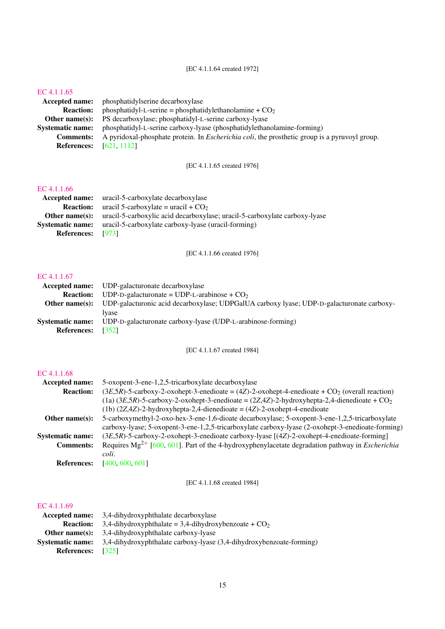[EC 4.1.1.64 created 1972]

### [EC 4.1.1.65](http://www.enzyme-database.org/query.php?ec=4.1.1.65)

Accepted name: phosphatidylserine decarboxylase<br>Reaction: phosphatidyl-L-serine = phosphati phosphatidyl-L-serine = phosphatidylethanolamine +  $CO<sub>2</sub>$ Other name(s): PS decarboxylase; phosphatidyl-L-serine carboxy-lyase Systematic name: phosphatidyl-L-serine carboxy-lyase (phosphatidylethanolamine-forming) Comments: A pyridoxal-phosphate protein. In *Escherichia coli*, the prosthetic group is a pyruvoyl group. References: [\[621,](#page-209-2) [1112\]](#page-234-0)

[EC 4.1.1.65 created 1976]

#### [EC 4.1.1.66](http://www.enzyme-database.org/query.php?ec=4.1.1.66)

|                          | <b>Accepted name:</b> uracil-5-carboxylate decarboxylase                                         |
|--------------------------|--------------------------------------------------------------------------------------------------|
|                          | <b>Reaction:</b> uracil 5-carboxylate = uracil + $CO2$                                           |
|                          | <b>Other name(s):</b> uracil-5-carboxylic acid decarboxylase; uracil-5-carboxylate carboxy-lyase |
| Systematic name:         | uracil-5-carboxylate carboxy-lyase (uracil-forming)                                              |
| <b>References:</b> [973] |                                                                                                  |

[EC 4.1.1.66 created 1976]

#### [EC 4.1.1.67](http://www.enzyme-database.org/query.php?ec=4.1.1.67)

|                          | <b>Accepted name:</b> UDP-galacturonate decarboxylase                                                           |
|--------------------------|-----------------------------------------------------------------------------------------------------------------|
|                          | <b>Reaction:</b> UDP-D-galacturonate = UDP-L-arabinose + $CO2$                                                  |
|                          | <b>Other name(s):</b> UDP-galacturonic acid decarboxylase; UDPGalUA carboxy lyase; UDP-D-galacturonate carboxy- |
|                          | Ivase                                                                                                           |
|                          | <b>Systematic name:</b> UDP-D-galacturonate carboxy-lyase (UDP-L-arabinose-forming)                             |
| <b>References:</b> [352] |                                                                                                                 |

[EC 4.1.1.67 created 1984]

#### [EC 4.1.1.68](http://www.enzyme-database.org/query.php?ec=4.1.1.68)

| <b>Accepted name:</b>   | 5-oxopent-3-ene-1,2,5-tricarboxylate decarboxylase                                                              |
|-------------------------|-----------------------------------------------------------------------------------------------------------------|
| <b>Reaction:</b>        | $(3E,5R)$ -5-carboxy-2-oxohept-3-enedioate = $(4Z)$ -2-oxohept-4-enedioate + CO <sub>2</sub> (overall reaction) |
|                         | (1a) $(3E,5R)$ -5-carboxy-2-oxohept-3-enedioate = $(2Z,4Z)$ -2-hydroxyhepta-2,4-dienedioate + CO <sub>2</sub>   |
|                         | $(1b)$ $(2Z,4Z)$ -2-hydroxyhepta-2,4-dienedioate = $(4Z)$ -2-oxohept-4-enedioate                                |
| Other name $(s)$ :      | 5-carboxymethyl-2-oxo-hex-3-ene-1,6-dioate decarboxylase; 5-oxopent-3-ene-1,2,5-tricarboxylate                  |
|                         | carboxy-lyase; 5-oxopent-3-ene-1,2,5-tricarboxylate carboxy-lyase (2-oxohept-3-enedioate-forming)               |
| <b>Systematic name:</b> | (3E,5R)-5-carboxy-2-oxohept-3-enedioate carboxy-lyase [(4Z)-2-oxohept-4-enedioate-forming]                      |
| <b>Comments:</b>        | Requires $Mg^{2+}$ [600, 601]. Part of the 4-hydroxyphenylacetate degradation pathway in <i>Escherichia</i>     |
|                         | coli.                                                                                                           |
| <b>References:</b>      | [400, 600, 601]                                                                                                 |
|                         |                                                                                                                 |

[EC 4.1.1.68 created 1984]

|                         | <b>Accepted name:</b> 3,4-dihydroxyphthalate decarboxylase              |  |
|-------------------------|-------------------------------------------------------------------------|--|
|                         | <b>Reaction:</b> 3,4-dihydroxyphthalate = 3,4-dihydroxybenzoate + $CO2$ |  |
|                         | <b>Other name(s):</b> 3.4-dihydroxyphthalate carboxy-lyase              |  |
| <b>Systematic name:</b> | 3,4-dihydroxyphthalate carboxy-lyase (3,4-dihydroxybenzoate-forming)    |  |
| <b>References:</b>      | [325]                                                                   |  |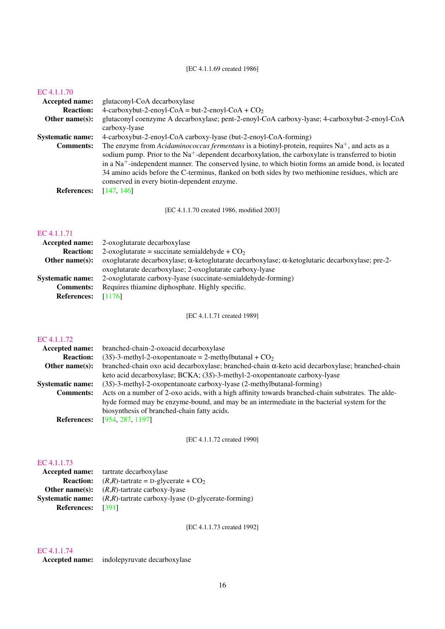## [EC 4.1.1.69 created 1986]

### [EC 4.1.1.70](http://www.enzyme-database.org/query.php?ec=4.1.1.70)

| <b>Accepted name:</b>   | glutaconyl-CoA decarboxylase                                                                                                                                                                                                                                                                                                        |
|-------------------------|-------------------------------------------------------------------------------------------------------------------------------------------------------------------------------------------------------------------------------------------------------------------------------------------------------------------------------------|
| <b>Reaction:</b>        | 4-carboxybut-2-enoyl-CoA = but-2-enoyl-CoA + $CO2$                                                                                                                                                                                                                                                                                  |
| Other name $(s)$ :      | glutaconyl coenzyme A decarboxylase; pent-2-enoyl-CoA carboxy-lyase; 4-carboxybut-2-enoyl-CoA                                                                                                                                                                                                                                       |
|                         | carboxy-lyase                                                                                                                                                                                                                                                                                                                       |
| <b>Systematic name:</b> | 4-carboxybut-2-enoyl-CoA carboxy-lyase (but-2-enoyl-CoA-forming)                                                                                                                                                                                                                                                                    |
| <b>Comments:</b>        | The enzyme from Acidaminococcus fermentans is a biotinyl-protein, requires $\text{Na}^+$ , and acts as a<br>sodium pump. Prior to the Na <sup>+</sup> -dependent decarboxylation, the carboxylate is transferred to biotin<br>in a $Na+$ -independent manner. The conserved lysine, to which biotin forms an amide bond, is located |
|                         | 34 amino acids before the C-terminus, flanked on both sides by two methionine residues, which are<br>conserved in every biotin-dependent enzyme.                                                                                                                                                                                    |
| <b>References:</b>      | [147, 146]                                                                                                                                                                                                                                                                                                                          |

[EC 4.1.1.70 created 1986, modified 2003]

## [EC 4.1.1.71](http://www.enzyme-database.org/query.php?ec=4.1.1.71)

| 2-oxoglutarate decarboxylase                                                                    |
|-------------------------------------------------------------------------------------------------|
| 2-oxoglutarate = succinate semialdehyde + $CO2$                                                 |
| oxoglutarate decarboxylase; α-ketoglutarate decarboxylase; α-ketoglutaric decarboxylase; pre-2- |
| oxoglutarate decarboxylase; 2-oxoglutarate carboxy-lyase                                        |
| 2-oxoglutarate carboxy-lyase (succinate-semialdehyde-forming)                                   |
| Requires thiamine diphosphate. Highly specific.                                                 |
| - [1176]                                                                                        |
|                                                                                                 |

[EC 4.1.1.71 created 1989]

## [EC 4.1.1.72](http://www.enzyme-database.org/query.php?ec=4.1.1.72)

| <b>Accepted name:</b>   | branched-chain-2-oxoacid decarboxylase                                                                  |
|-------------------------|---------------------------------------------------------------------------------------------------------|
| <b>Reaction:</b>        | $(3S)$ -3-methyl-2-oxopentanoate = 2-methylbutanal + $CO2$                                              |
| Other name $(s)$ :      | branched-chain oxo acid decarboxylase; branched-chain $\alpha$ -keto acid decarboxylase; branched-chain |
|                         | keto acid decarboxylase; BCKA; (3S)-3-methyl-2-oxopentanoate carboxy-lyase                              |
| <b>Systematic name:</b> | (3S)-3-methyl-2-oxopentanoate carboxy-lyase (2-methylbutanal-forming)                                   |
| <b>Comments:</b>        | Acts on a number of 2-oxo acids, with a high affinity towards branched-chain substrates. The alde-      |
|                         | hyde formed may be enzyme-bound, and may be an intermediate in the bacterial system for the             |
|                         | biosynthesis of branched-chain fatty acids.                                                             |
| <b>References:</b>      | [954, 287, 1197]                                                                                        |
|                         |                                                                                                         |

[EC 4.1.1.72 created 1990]

## [EC 4.1.1.73](http://www.enzyme-database.org/query.php?ec=4.1.1.73)

|                          | <b>Accepted name:</b> tartrate decarboxylase                                  |
|--------------------------|-------------------------------------------------------------------------------|
|                          | <b>Reaction:</b> $(R,R)$ -tartrate = D-glycerate + $CO2$                      |
|                          | <b>Other name(s):</b> $(R,R)$ -tartrate carboxy-lyase                         |
|                          | <b>Systematic name:</b> $(R,R)$ -tartrate carboxy-lyase (D-glycerate-forming) |
| <b>References:</b> [391] |                                                                               |

[EC 4.1.1.73 created 1992]

## [EC 4.1.1.74](http://www.enzyme-database.org/query.php?ec=4.1.1.74)

Accepted name: indolepyruvate decarboxylase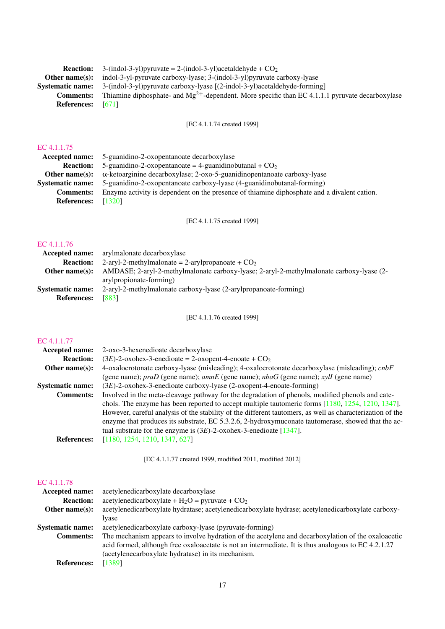| <b>Reaction:</b>   | 3-(indol-3-yl)pyruvate = 2-(indol-3-yl)acetaldehyde + $CO2$                                                 |
|--------------------|-------------------------------------------------------------------------------------------------------------|
| Other name $(s)$ : | indol-3-yl-pyruvate carboxy-lyase; 3-(indol-3-yl) pyruvate carboxy-lyase                                    |
| Systematic name:   | 3-(indol-3-yl)pyruvate carboxy-lyase [(2-indol-3-yl)acetaldehyde-forming]                                   |
| <b>Comments:</b>   | Thiamine diphosphate- and Mg <sup>2+</sup> -dependent. More specific than EC 4.1.1.1 pyruvate decarboxylase |
| <b>References:</b> | - 16711                                                                                                     |

[EC 4.1.1.74 created 1999]

# [EC 4.1.1.75](http://www.enzyme-database.org/query.php?ec=4.1.1.75)

| EC 4.1.1.75             |                                                                                             |
|-------------------------|---------------------------------------------------------------------------------------------|
| <b>Accepted name:</b>   | 5-guantique-2-oxopentanoate decarboxylase                                                   |
| <b>Reaction:</b>        | 5-guanidino-2-oxopentanoate = 4-guanidinobutanal + $CO2$                                    |
| Other name $(s)$ :      | $\alpha$ -ketoarginine decarboxylase; 2-oxo-5-guanidinopentanoate carboxy-lyase             |
| <b>Systematic name:</b> | 5-guanidino-2-oxopentanoate carboxy-lyase (4-guanidinobutanal-forming)                      |
| <b>Comments:</b>        | Enzyme activity is dependent on the presence of thiamine diphosphate and a divalent cation. |
| <b>References:</b>      | [1320]                                                                                      |
|                         |                                                                                             |

[EC 4.1.1.75 created 1999]

## [EC 4.1.1.76](http://www.enzyme-database.org/query.php?ec=4.1.1.76)

| Accepted name:          | arylmalonate decarboxylase                                                               |
|-------------------------|------------------------------------------------------------------------------------------|
| <b>Reaction:</b>        | 2-aryl-2-methylmalonate = 2-arylpropanoate + $CO2$                                       |
| Other name $(s)$ :      | AMDASE; 2-aryl-2-methylmalonate carboxy-lyase; 2-aryl-2-methylmalonate carboxy-lyase (2- |
|                         | arylpropionate-forming)                                                                  |
| <b>Systematic name:</b> | 2-aryl-2-methylmalonate carboxy-lyase (2-arylpropanoate-forming)                         |
| <b>References:</b>      | [883]                                                                                    |

[EC 4.1.1.76 created 1999]

## [EC 4.1.1.77](http://www.enzyme-database.org/query.php?ec=4.1.1.77)

| $(3E)$ -2-oxohex-3-enedioate = 2-oxopent-4-enoate + CO <sub>2</sub><br><b>Reaction:</b><br>Other name $(s)$ :<br>(gene name); $prab$ (gene name); $amnE$ (gene name); $nbaG$ (gene name); $xylI$ (gene name)<br>$(3E)$ -2-oxohex-3-enedioate carboxy-lyase (2-oxopent-4-enoate-forming)<br><b>Systematic name:</b><br><b>Comments:</b><br>tual substrate for the enzyme is $(3E)$ -2-oxohex-3-enedioate [1347].<br>[1180, 1254, 1210, 1347, 627]<br><b>References:</b> | <b>Accepted name:</b> | 2-oxo-3-hexenedioate decarboxylase                                                                                                                                                                              |
|------------------------------------------------------------------------------------------------------------------------------------------------------------------------------------------------------------------------------------------------------------------------------------------------------------------------------------------------------------------------------------------------------------------------------------------------------------------------|-----------------------|-----------------------------------------------------------------------------------------------------------------------------------------------------------------------------------------------------------------|
|                                                                                                                                                                                                                                                                                                                                                                                                                                                                        |                       |                                                                                                                                                                                                                 |
|                                                                                                                                                                                                                                                                                                                                                                                                                                                                        |                       | 4-oxalocrotonate carboxy-lyase (misleading); 4-oxalocrotonate decarboxylase (misleading); cnbF                                                                                                                  |
|                                                                                                                                                                                                                                                                                                                                                                                                                                                                        |                       |                                                                                                                                                                                                                 |
|                                                                                                                                                                                                                                                                                                                                                                                                                                                                        |                       |                                                                                                                                                                                                                 |
|                                                                                                                                                                                                                                                                                                                                                                                                                                                                        |                       | Involved in the meta-cleavage pathway for the degradation of phenols, modified phenols and cate-                                                                                                                |
|                                                                                                                                                                                                                                                                                                                                                                                                                                                                        |                       | chols. The enzyme has been reported to accept multiple tautomeric forms $[1180, 1254, 1210, 1347]$ .                                                                                                            |
|                                                                                                                                                                                                                                                                                                                                                                                                                                                                        |                       | However, careful analysis of the stability of the different tautomers, as well as characterization of the<br>enzyme that produces its substrate, EC 5.3.2.6, 2-hydroxymuconate tautomerase, showed that the ac- |
|                                                                                                                                                                                                                                                                                                                                                                                                                                                                        |                       |                                                                                                                                                                                                                 |

[EC 4.1.1.77 created 1999, modified 2011, modified 2012]

| <b>Accepted name:</b>   | acetylenedicarboxylate decarboxylase                                                                                                                                                                      |
|-------------------------|-----------------------------------------------------------------------------------------------------------------------------------------------------------------------------------------------------------|
| <b>Reaction:</b>        | acetylenedicarboxylate + $H_2O$ = pyruvate + $CO_2$                                                                                                                                                       |
| Other name $(s)$ :      | acetylenedicarboxylate hydratase; acetylenedicarboxylate hydrase; acetylenedicarboxylate carboxy-                                                                                                         |
|                         | lyase                                                                                                                                                                                                     |
| <b>Systematic name:</b> | acetylenedicarboxylate carboxy-lyase (pyruvate-forming)                                                                                                                                                   |
| <b>Comments:</b>        | The mechanism appears to involve hydration of the acetylene and decarboxylation of the oxaloacetic<br>acid formed, although free oxaloacetate is not an intermediate. It is thus analogous to EC 4.2.1.27 |
|                         | (acetylenecarboxylate hydratase) in its mechanism.                                                                                                                                                        |
| <b>References:</b>      | [1389]                                                                                                                                                                                                    |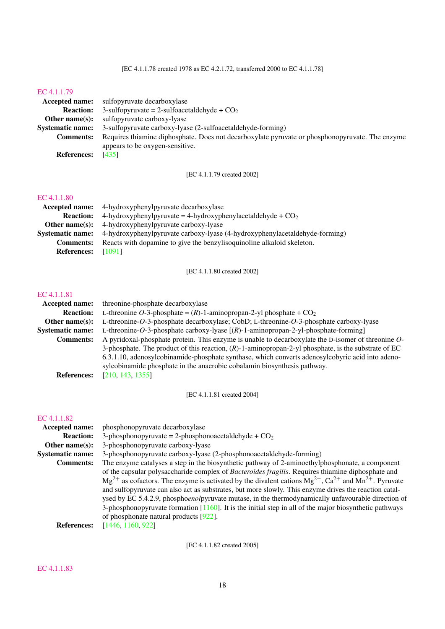#### [EC 4.1.1.79](http://www.enzyme-database.org/query.php?ec=4.1.1.79)

|                         | <b>Accepted name:</b> sulfopyruvate decarboxylase                                               |
|-------------------------|-------------------------------------------------------------------------------------------------|
| <b>Reaction:</b>        | 3-sulfopyruvate = 2-sulfoacetaldehyde + $CO2$                                                   |
| Other name $(s)$ :      | sulfopyruvate carboxy-lyase                                                                     |
| <b>Systematic name:</b> | 3-sulfopyruvate carboxy-lyase (2-sulfoacetaldehyde-forming)                                     |
| <b>Comments:</b>        | Requires thiamine diphosphate. Does not decarboxylate pyruvate or phosphonopyruvate. The enzyme |
|                         | appears to be oxygen-sensitive.                                                                 |
| <b>References:</b>      | [435]                                                                                           |

[EC 4.1.1.79 created 2002]

## [EC 4.1.1.80](http://www.enzyme-database.org/query.php?ec=4.1.1.80)

| EU 4.1.1.00             |                                                                             |
|-------------------------|-----------------------------------------------------------------------------|
| Accepted name:          | 4-hydroxyphenylpyruvate decarboxylase                                       |
| <b>Reaction:</b>        | 4-hydroxyphenylpyruvate = 4-hydroxyphenylacetaldehyde + $CO2$               |
| Other name $(s)$ :      | 4-hydroxyphenylpyruvate carboxy-lyase                                       |
| <b>Systematic name:</b> | 4-hydroxyphenylpyruvate carboxy-lyase (4-hydroxyphenylacetaldehyde-forming) |
| <b>Comments:</b>        | Reacts with dopamine to give the benzylisoquinoline alkaloid skeleton.      |
| <b>References:</b>      | [1091]                                                                      |

[EC 4.1.1.80 created 2002]

#### [EC 4.1.1.81](http://www.enzyme-database.org/query.php?ec=4.1.1.81)

| <b>Accepted name:</b>   | threonine-phosphate decarboxylase                                                                      |
|-------------------------|--------------------------------------------------------------------------------------------------------|
| <b>Reaction:</b>        | L-threonine O-3-phosphate = $(R)$ -1-aminopropan-2-yl phosphate + $CO2$                                |
| Other name $(s)$ :      | L-threonine-O-3-phosphate decarboxylase; CobD; L-threonine-O-3-phosphate carboxy-lyase                 |
| <b>Systematic name:</b> | L-threonine-O-3-phosphate carboxy-lyase $[(R)-1$ -aminopropan-2-yl-phosphate-forming]                  |
| <b>Comments:</b>        | A pyridoxal-phosphate protein. This enzyme is unable to decarboxylate the D-isomer of threonine O-     |
|                         | 3-phosphate. The product of this reaction, $(R)$ -1-aminopropan-2-yl phosphate, is the substrate of EC |
|                         | 6.3.1.10, adenosylcobinamide-phosphate synthase, which converts adenosylcobyric acid into adeno-       |
|                         | sylcobinamide phosphate in the anaerobic cobalamin biosynthesis pathway.                               |
| <b>References:</b>      | [210, 143, 1355]                                                                                       |

[EC 4.1.1.81 created 2004]

#### [EC 4.1.1.82](http://www.enzyme-database.org/query.php?ec=4.1.1.82)

| <b>Accepted name:</b>   | phosphonopyruvate decarboxylase                                                                                                                                                                                                                                                                                                                                                                                                                                                                                                                                                                                                                                                                                               |
|-------------------------|-------------------------------------------------------------------------------------------------------------------------------------------------------------------------------------------------------------------------------------------------------------------------------------------------------------------------------------------------------------------------------------------------------------------------------------------------------------------------------------------------------------------------------------------------------------------------------------------------------------------------------------------------------------------------------------------------------------------------------|
| <b>Reaction:</b>        | 3-phosphonopyruvate = 2-phosphonoacetaldehyde + $CO2$                                                                                                                                                                                                                                                                                                                                                                                                                                                                                                                                                                                                                                                                         |
| Other name $(s)$ :      | 3-phosphonopyruvate carboxy-lyase                                                                                                                                                                                                                                                                                                                                                                                                                                                                                                                                                                                                                                                                                             |
| <b>Systematic name:</b> | 3-phosphonopyruvate carboxy-lyase (2-phosphonoacetaldehyde-forming)                                                                                                                                                                                                                                                                                                                                                                                                                                                                                                                                                                                                                                                           |
| <b>Comments:</b>        | The enzyme catalyses a step in the biosynthetic pathway of 2-aminoethylphosphonate, a component<br>of the capsular polysaccharide complex of <i>Bacteroides fragilis</i> . Requires thiamine diphosphate and<br>$Mg^{2+}$ as cofactors. The enzyme is activated by the divalent cations $Mg^{2+}$ , Ca <sup>2+</sup> and Mn <sup>2+</sup> . Pyruvate<br>and sulfopyruvate can also act as substrates, but more slowly. This enzyme drives the reaction catal-<br>ysed by EC 5.4.2.9, phosphoenolpyruvate mutase, in the thermodynamically unfavourable direction of<br>3-phosphonopyruvate formation $[1160]$ . It is the initial step in all of the major biosynthetic pathways<br>of phosphonate natural products $[922]$ . |
| <b>References:</b>      | [1446, 1160, 922]                                                                                                                                                                                                                                                                                                                                                                                                                                                                                                                                                                                                                                                                                                             |
|                         |                                                                                                                                                                                                                                                                                                                                                                                                                                                                                                                                                                                                                                                                                                                               |

[EC 4.1.1.82 created 2005]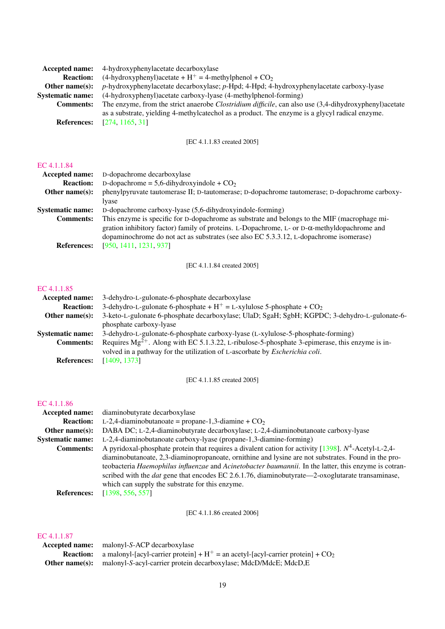| Accepted name:          | 4-hydroxyphenylacetate decarboxylase                                                                           |
|-------------------------|----------------------------------------------------------------------------------------------------------------|
| <b>Reaction:</b>        | $(4-hydroxyphenyl)acetate + H+ = 4-methylphenol + CO2$                                                         |
| Other name $(s)$ :      | $p$ -hydroxyphenylacetate decarboxylase; $p$ -Hpd; 4-Hpd; 4-hydroxyphenylacetate carboxy-lyase                 |
| <b>Systematic name:</b> | (4-hydroxyphenyl) acetate carboxy-lyase (4-methylphenol-forming)                                               |
| <b>Comments:</b>        | The enzyme, from the strict anaerobe <i>Clostridium difficile</i> , can also use (3,4-dihydroxyphenyl) acetate |
|                         | as a substrate, yielding 4-methylcate chol as a product. The enzyme is a glycyl radical enzyme.                |
| <b>References:</b>      | [274, 1165, 31]                                                                                                |

[EC 4.1.1.83 created 2005]

## [EC 4.1.1.84](http://www.enzyme-database.org/query.php?ec=4.1.1.84)

| Accepted name:          | D-dopachrome decarboxylase                                                                          |
|-------------------------|-----------------------------------------------------------------------------------------------------|
| <b>Reaction:</b>        | D-dopachrome = 5,6-dihydroxyindole + $CO2$                                                          |
| Other name $(s)$ :      | phenylpyruvate tautomerase II; D-tautomerase; D-dopachrome tautomerase; D-dopachrome carboxy-       |
|                         | lyase                                                                                               |
| <b>Systematic name:</b> | D-dopachrome carboxy-lyase (5,6-dihydroxyindole-forming)                                            |
| <b>Comments:</b>        | This enzyme is specific for D-dopachrome as substrate and belongs to the MIF (macrophage mi-        |
|                         | gration inhibitory factor) family of proteins. L-Dopachrome, L- or $D-\alpha$ -methyldopachrome and |
|                         | dopaminochrome do not act as substrates (see also EC 5.3.3.12, L-dopachrome isomerase)              |
| <b>References:</b>      | [950, 1411, 1231, 937]                                                                              |

[EC 4.1.1.84 created 2005]

## [EC 4.1.1.85](http://www.enzyme-database.org/query.php?ec=4.1.1.85)

| <b>Accepted name:</b>   | 3-dehydro-L-gulonate-6-phosphate decarboxylase                                                      |
|-------------------------|-----------------------------------------------------------------------------------------------------|
| <b>Reaction:</b>        | 3-dehydro-L-gulonate 6-phosphate + $H^+$ = L-xylulose 5-phosphate + $CO_2$                          |
| Other name $(s)$ :      | 3-keto-L-gulonate 6-phosphate decarboxylase; UlaD; SgaH; SgbH; KGPDC; 3-dehydro-L-gulonate-6-       |
|                         | phosphate carboxy-lyase                                                                             |
| <b>Systematic name:</b> | 3-dehydro-L-gulonate-6-phosphate carboxy-lyase (L-xylulose-5-phosphate-forming)                     |
| <b>Comments:</b>        | Requires $Mg^{2+}$ . Along with EC 5.1.3.22, L-ribulose-5-phosphate 3-epimerase, this enzyme is in- |
|                         | volved in a pathway for the utilization of L-ascorbate by <i>Escherichia coli</i> .                 |
| <b>References:</b>      | [1409, 1373]                                                                                        |

[EC 4.1.1.85 created 2005]

## [EC 4.1.1.86](http://www.enzyme-database.org/query.php?ec=4.1.1.86)

| <b>Accepted name:</b>   | diaminobutyrate decarboxylase                                                                           |
|-------------------------|---------------------------------------------------------------------------------------------------------|
| <b>Reaction:</b>        | L-2,4-diaminobutanoate = propane-1,3-diamine + $CO2$                                                    |
| Other name $(s)$ :      | DABA DC; L-2,4-diaminobutyrate decarboxylase; L-2,4-diaminobutanoate carboxy-lyase                      |
| <b>Systematic name:</b> | L-2,4-diaminobutanoate carboxy-lyase (propane-1,3-diamine-forming)                                      |
| <b>Comments:</b>        | A pyridoxal-phosphate protein that requires a divalent cation for activity [1398]. $N^4$ -Acetyl-L-2,4- |
|                         | diaminobutanoate, 2,3-diaminopropanoate, ornithine and lysine are not substrates. Found in the pro-     |
|                         | teobacteria Haemophilus influenzae and Acinetobacter baumannii. In the latter, this enzyme is cotran-   |
|                         | scribed with the <i>dat</i> gene that encodes EC 2.6.1.76, diaminobutyrate—2-oxoglutarate transaminase, |
|                         | which can supply the substrate for this enzyme.                                                         |
|                         |                                                                                                         |

References: [\[1398,](#page-249-1) [556,](#page-206-1) [557\]](#page-206-2)

[EC 4.1.1.86 created 2006]

| Accepted name: | malonyl-S-ACP decarboxylase                                                                           |
|----------------|-------------------------------------------------------------------------------------------------------|
|                | <b>Reaction:</b> a malonyl-[acyl-carrier protein] + $H^+$ = an acetyl-[acyl-carrier protein] + $CO_2$ |
| Other name(s): | malonyl-S-acyl-carrier protein decarboxylase; MdcD/MdcE; MdcD,E                                       |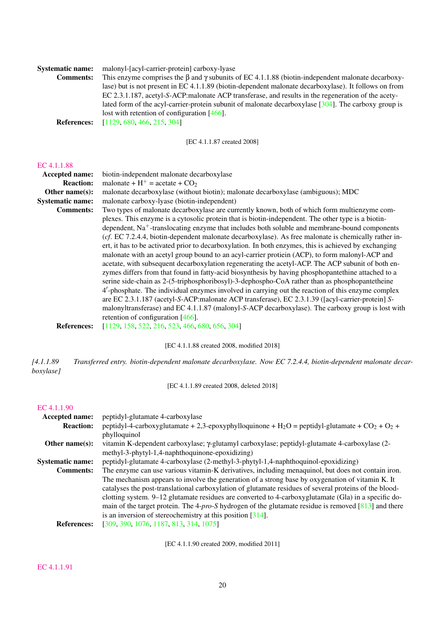| <b>Systematic name:</b> | malonyl-[acyl-carrier-protein] carboxy-lyase                                                                        |
|-------------------------|---------------------------------------------------------------------------------------------------------------------|
| <b>Comments:</b>        | This enzyme comprises the $\beta$ and $\gamma$ subunits of EC 4.1.1.88 (biotin-independent malonate decarboxy-      |
|                         | lase) but is not present in EC 4.1.1.89 (biotin-dependent malonate decarboxylase). It follows on from               |
|                         | EC 2.3.1.187, acetyl-S-ACP: malonate ACP transferase, and results in the regeneration of the acety-                 |
|                         | lated form of the acyl-carrier-protein subunit of malonate decarboxylase $\lceil 304 \rceil$ . The carboxy group is |
|                         | lost with retention of configuration $[466]$ .                                                                      |
| <b>References:</b>      | [1129, 680, 466, 215, 304]                                                                                          |

[EC 4.1.1.87 created 2008]

#### [EC 4.1.1.88](http://www.enzyme-database.org/query.php?ec=4.1.1.88)

| Accepted name:          | biotin-independent malonate decarboxylase                                                                 |
|-------------------------|-----------------------------------------------------------------------------------------------------------|
| <b>Reaction:</b>        | malonate + $H^+$ = acetate + $CO_2$                                                                       |
| Other name $(s)$ :      | malonate decarboxylase (without biotin); malonate decarboxylase (ambiguous); MDC                          |
| <b>Systematic name:</b> | malonate carboxy-lyase (biotin-independent)                                                               |
| <b>Comments:</b>        | Two types of malonate decarboxylase are currently known, both of which form multienzyme com-              |
|                         | plexes. This enzyme is a cytosolic protein that is biotin-independent. The other type is a biotin-        |
|                         | dependent, Na <sup>+</sup> -translocating enzyme that includes both soluble and membrane-bound components |
|                         | (cf. EC 7.2.4.4, biotin-dependent malonate decarboxylase). As free malonate is chemically rather in-      |
|                         | ert, it has to be activated prior to decarboxylation. In both enzymes, this is achieved by exchanging     |
|                         | malonate with an acetyl group bound to an acyl-carrier protiein (ACP), to form malonyl-ACP and            |
|                         | acetate, with subsequent decarboxylation regenerating the acetyl-ACP. The ACP subunit of both en-         |
|                         | zymes differs from that found in fatty-acid biosynthesis by having phosphopantethine attached to a        |
|                         | serine side-chain as 2-(5-triphosphoribosyl)-3-dephospho-CoA rather than as phosphopantetheine            |
|                         | 4'-phosphate. The individual enzymes involved in carrying out the reaction of this enzyme complex         |
|                         | are EC 2.3.1.187 (acetyl-S-ACP:malonate ACP transferase), EC 2.3.1.39 ([acyl-carrier-protein] S-          |
|                         | malonyltransferase) and EC 4.1.1.87 (malonyl-S-ACP decarboxylase). The carboxy group is lost with         |
|                         | retention of configuration $[466]$ .                                                                      |
| <b>References:</b>      | [1129, 158, 522, 216, 523, 466, 680, 656, 304]                                                            |
|                         |                                                                                                           |

[EC 4.1.1.88 created 2008, modified 2018]

*[4.1.1.89 Transferred entry. biotin-dependent malonate decarboxylase. Now EC 7.2.4.4, biotin-dependent malonate decarboxylase]*

[EC 4.1.1.89 created 2008, deleted 2018]

#### [EC 4.1.1.90](http://www.enzyme-database.org/query.php?ec=4.1.1.90)

| Accepted name:          | peptidyl-glutamate 4-carboxylase                                                                                                  |
|-------------------------|-----------------------------------------------------------------------------------------------------------------------------------|
| <b>Reaction:</b>        | peptidyl-4-carboxyglutamate + 2,3-epoxyphylloquinone + H <sub>2</sub> O = peptidyl-glutamate + CO <sub>2</sub> + O <sub>2</sub> + |
|                         | phylloquinol                                                                                                                      |
| Other name $(s)$ :      | vitamin K-dependent carboxylase; γ-glutamyl carboxylase; peptidyl-glutamate 4-carboxylase (2-                                     |
|                         | methyl-3-phytyl-1,4-naphthoquinone-epoxidizing)                                                                                   |
| <b>Systematic name:</b> | peptidyl-glutamate 4-carboxylase (2-methyl-3-phytyl-1,4-naphthoquinol-epoxidizing)                                                |
| <b>Comments:</b>        | The enzyme can use various vitamin-K derivatives, including menaquinol, but does not contain iron.                                |
|                         | The mechanism appears to involve the generation of a strong base by oxygenation of vitamin K. It                                  |
|                         | catalyses the post-translational carboxylation of glutamate residues of several proteins of the blood-                            |
|                         | clotting system. 9–12 glutamate residues are converted to 4-carboxyglutamate (Gla) in a specific do-                              |
|                         | main of the target protein. The 4-pro-S hydrogen of the glutamate residue is removed $[813]$ and there                            |
|                         | is an inversion of stereochemistry at this position $[314]$ .                                                                     |
| <b>References:</b>      | [309, 390, 1076, 1187, 813, 314, 1075]                                                                                            |

[EC 4.1.1.90 created 2009, modified 2011]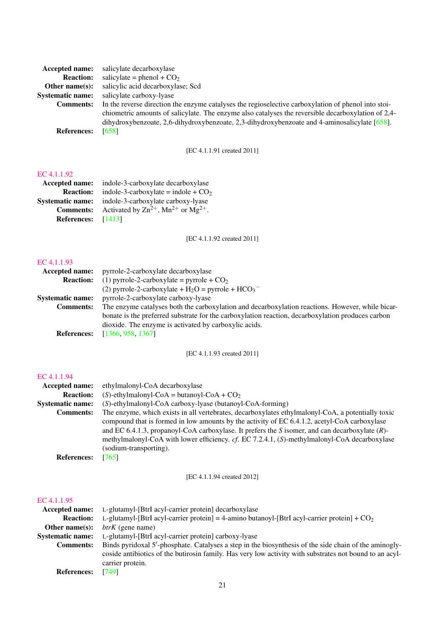| salicylate decarboxylase                                                                            |
|-----------------------------------------------------------------------------------------------------|
| salicylate = phenol + $CO2$                                                                         |
| salicylic acid decarboxylase; Scd                                                                   |
| salicylate carboxy-lyase                                                                            |
| In the reverse direction the enzyme catalyses the regioselective carboxylation of phenol into stoi- |
| chiometric amounts of salicylate. The enzyme also catalyses the reversible decarboxylation of 2,4-  |
| dihydroxybenzoate, 2,6-dihydroxybenzoate, 2,3-dihydroxybenzoate and 4-aminosalicylate $[658]$ .     |
| [658]                                                                                               |
|                                                                                                     |

[EC 4.1.1.91 created 2011]

## [EC 4.1.1.92](http://www.enzyme-database.org/query.php?ec=4.1.1.92)

| <b>Accepted name:</b>   | indole-3-carboxylate decarboxylase                                     |
|-------------------------|------------------------------------------------------------------------|
| <b>Reaction:</b>        | indole-3-carboxylate = indole + $CO2$                                  |
| <b>Systematic name:</b> | indole-3-carboxylate carboxy-lyase                                     |
| <b>Comments:</b>        | Activated by $\text{Zn}^{2+}$ , Mn <sup>2+</sup> or Mg <sup>2+</sup> . |
| <b>References:</b>      | [1413]                                                                 |

[EC 4.1.1.92 created 2011]

## [EC 4.1.1.93](http://www.enzyme-database.org/query.php?ec=4.1.1.93)

| pyrrole-2-carboxylate decarboxylase                                                               |
|---------------------------------------------------------------------------------------------------|
| (1) pyrrole-2-carboxylate = pyrrole + $CO2$                                                       |
| (2) pyrrole-2-carboxylate + $H_2O$ = pyrrole + $HCO_3^-$                                          |
| pyrrole-2-carboxylate carboxy-lyase                                                               |
| The enzyme catalyses both the carboxylation and decarboxylation reactions. However, while bicar-  |
| bonate is the preferred substrate for the carboxylation reaction, decarboxylation produces carbon |
| dioxide. The enzyme is activated by carboxylic acids.                                             |
| [1366, 958, 1367]                                                                                 |
|                                                                                                   |

[EC 4.1.1.93 created 2011]

## [EC 4.1.1.94](http://www.enzyme-database.org/query.php?ec=4.1.1.94)

| Accepted name:          | ethylmalonyl-CoA decarboxylase                                                                    |
|-------------------------|---------------------------------------------------------------------------------------------------|
| <b>Reaction:</b>        | (S)-ethylmalonyl-CoA = butanoyl-CoA + $CO2$                                                       |
| <b>Systematic name:</b> | (S)-ethylmalonyl-CoA carboxy-lyase (butanoyl-CoA-forming)                                         |
| <b>Comments:</b>        | The enzyme, which exists in all vertebrates, decarboxylates ethylmalonyl-CoA, a potentially toxic |
|                         | compound that is formed in low amounts by the activity of EC 6.4.1.2, acetyl-CoA carboxylase      |
|                         | and EC 6.4.1.3, propanoyl-CoA carboxylase. It prefers the S isomer, and can decarboxylate $(R)$ - |
|                         | methylmalonyl-CoA with lower efficiency. cf. EC 7.2.4.1, (S)-methylmalonyl-CoA decarboxylase      |
|                         | (sodium-transporting).                                                                            |
| <b>References:</b>      | [765]                                                                                             |

[EC 4.1.1.94 created 2012]

| Accepted name:          | L-glutamyl-[BtrI acyl-carrier protein] decarboxylase                                                    |
|-------------------------|---------------------------------------------------------------------------------------------------------|
| <b>Reaction:</b>        | L-glutamyl-[BtrI acyl-carrier protein] = 4-amino butanoyl-[BtrI acyl-carrier protein] + $CO2$           |
| Other name $(s)$ :      | $btrK$ (gene name)                                                                                      |
| <b>Systematic name:</b> | L-glutamyl-[BtrI acyl-carrier protein] carboxy-lyase                                                    |
| <b>Comments:</b>        | Binds pyridoxal 5'-phosphate. Catalyses a step in the biosynthesis of the side chain of the aminogly-   |
|                         | coside antibiotics of the butirosin family. Has very low activity with substrates not bound to an acyl- |
|                         | carrier protein.                                                                                        |
| <b>References:</b>      | [749]                                                                                                   |
|                         |                                                                                                         |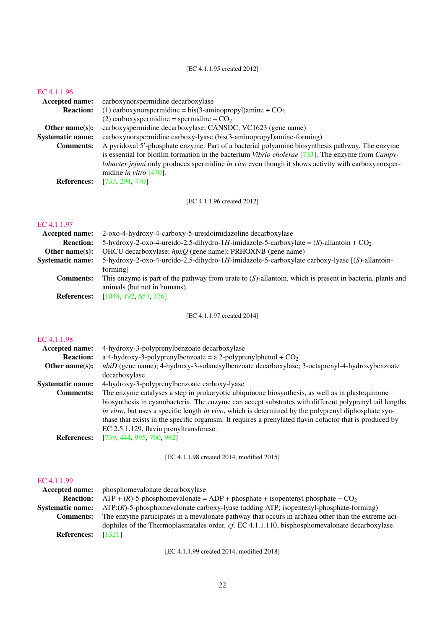[EC 4.1.1.95 created 2012]

#### [EC 4.1.1.96](http://www.enzyme-database.org/query.php?ec=4.1.1.96)

| Accepted name:          | carboxynorspermidine decarboxylase                                                                                |
|-------------------------|-------------------------------------------------------------------------------------------------------------------|
| <b>Reaction:</b>        | (1) carboxynorspermidine = bis(3-aminopropyl)amine + $CO2$                                                        |
|                         | (2) carboxyspermidine = spermidine + $CO2$                                                                        |
| Other name $(s)$ :      | carboxyspermidine decarboxylase; CANSDC; VC1623 (gene name)                                                       |
| <b>Systematic name:</b> | carboxynorspermidine carboxy-lyase (bis(3-aminopropyl)amine-forming)                                              |
| <b>Comments:</b>        | A pyridoxal 5'-phosphate enzyme. Part of a bacterial polyamine biosynthesis pathway. The enzyme                   |
|                         | is essential for biofilm formation in the bacterium <i>Vibrio cholerae</i> [733]. The enzyme from <i>Campy</i> -  |
|                         | <i>lobacter jejuni</i> only produces spermidine <i>in vivo</i> even though it shows activity with carboxynorsper- |
|                         | midine <i>in vitro</i> $[470]$ .                                                                                  |
| <b>References:</b>      | [733, 294, 470]                                                                                                   |
|                         |                                                                                                                   |

[EC 4.1.1.96 created 2012]

## [EC 4.1.1.97](http://www.enzyme-database.org/query.php?ec=4.1.1.97)

| <b>Accepted name:</b>   | 2-oxo-4-hydroxy-4-carboxy-5-ureidoimidazoline decarboxylase                                                 |
|-------------------------|-------------------------------------------------------------------------------------------------------------|
| <b>Reaction:</b>        | 5-hydroxy-2-oxo-4-ureido-2,5-dihydro-1H-imidazole-5-carboxylate = $(S)$ -allantoin + $CO2$                  |
| Other name $(s)$ :      | OHCU decarboxylase; $hpxQ$ (gene name); PRHOXNB (gene name)                                                 |
| <b>Systematic name:</b> | 5-hydroxy-2-oxo-4-ureido-2,5-dihydro-1H-imidazole-5-carboxylate carboxy-lyase [(S)-allantoin-               |
|                         | forming]                                                                                                    |
| <b>Comments:</b>        | This enzyme is part of the pathway from urate to $(S)$ -allantoin, which is present in bacteria, plants and |
|                         | animals (but not in humans).                                                                                |
| <b>References:</b>      | [1048, 192, 654, 376]                                                                                       |
|                         |                                                                                                             |

[EC 4.1.1.97 created 2014]

## [EC 4.1.1.98](http://www.enzyme-database.org/query.php?ec=4.1.1.98)

| Accepted name:          | 4-hydroxy-3-polyprenylbenzoate decarboxylase                                                             |
|-------------------------|----------------------------------------------------------------------------------------------------------|
| <b>Reaction:</b>        | a 4-hydroxy-3-polyprenylbenzoate = a 2-polyprenylphenol + $CO2$                                          |
| Other name $(s)$ :      | ubiD (gene name); 4-hydroxy-3-solanesylbenzoate decarboxylase; 3-octaprenyl-4-hydroxybenzoate            |
|                         | decarboxylase                                                                                            |
| <b>Systematic name:</b> | 4-hydroxy-3-polyprenylbenzoate carboxy-lyase                                                             |
| <b>Comments:</b>        | The enzyme catalyses a step in prokaryotic ubiquinone biosynthesis, as well as in plastoquinone          |
|                         | biosynthesis in cyanobacteria. The enzyme can accept substrates with different polyprenyl tail lengths   |
|                         | in vitro, but uses a specific length in vivo, which is determined by the polyprenyl diphosphate syn-     |
|                         | thase that exists in the specific organism. It requires a prenylated flavin cofactor that is produced by |
|                         | EC 2.5.1.129, flavin prenyltransferase.                                                                  |
| <b>References:</b>      | [739, 444, 995, 760, 982]                                                                                |
|                         |                                                                                                          |

[EC 4.1.1.98 created 2014, modified 2015]

## [EC 4.1.1.99](http://www.enzyme-database.org/query.php?ec=4.1.1.99)

|                    | <b>Accepted name:</b> phosphomevalonate decarboxylase                                                         |
|--------------------|---------------------------------------------------------------------------------------------------------------|
| <b>Reaction:</b>   | $ATP + (R)$ -5-phosphomevalonate = ADP + phosphate + isopentenyl phosphate + CO <sub>2</sub>                  |
|                    | <b>Systematic name:</b> ATP:(R)-5-phosphomevalonate carboxy-lyase (adding ATP; isopentenyl-phosphate-forming) |
| Comments:          | The enzyme participates in a mevalonate pathway that occurs in archaea other than the extreme aci-            |
|                    | dophiles of the Thermoplasmatales order. cf. EC 4.1.1.110, bisphosphomevalonate decarboxylase.                |
| <b>References:</b> | [1321]                                                                                                        |

[EC 4.1.1.99 created 2014, modified 2018]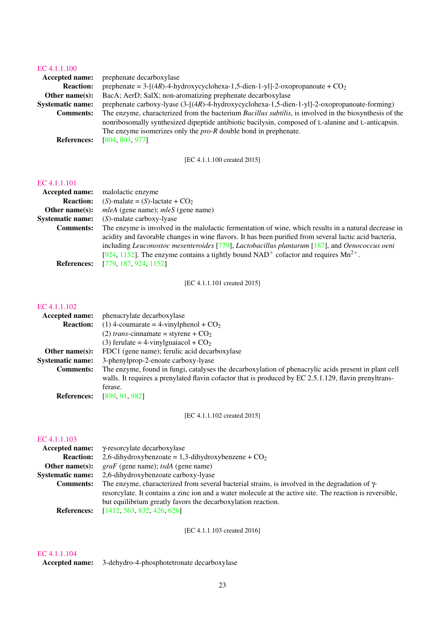# EC  $4.1.1.100$ <br>Accented n

| LU T.I.I.IUU            |                                                                                                                |
|-------------------------|----------------------------------------------------------------------------------------------------------------|
| <b>Accepted name:</b>   | prephenate decarboxylase                                                                                       |
| <b>Reaction:</b>        | prephenate = $3-[4R)-4-hydroxycyclohexa-1,5-dien-1-y]$ -2-oxopropanoate + $CO2$                                |
| Other name $(s)$ :      | BacA; AerD; SalX; non-aromatizing prephenate decarboxylase                                                     |
| <b>Systematic name:</b> | prephenate carboxy-lyase $(3-[(4R)-4-hydroxycyclohexa-1,5-dien-1-yl]-2-oxopropanoate-forming)$                 |
| <b>Comments:</b>        | The enzyme, characterized from the bacterium <i>Bacillus subtilis</i> , is involved in the biosynthesis of the |
|                         | nonribosomally synthesized dipeptide antibiotic bacilysin, composed of L-alanine and L-anticapsin.             |
|                         | The enzyme isomerizes only the $pro-R$ double bond in prephenate.                                              |
| <b>References:</b>      | [804, 803, 977]                                                                                                |

[EC 4.1.1.100 created 2015]

### [EC 4.1.1.101](http://www.enzyme-database.org/query.php?ec=4.1.1.101)

| <b>Accepted name:</b>   | malolactic enzyme                                                                                                                                                                                                                                                                                                                                                                                          |
|-------------------------|------------------------------------------------------------------------------------------------------------------------------------------------------------------------------------------------------------------------------------------------------------------------------------------------------------------------------------------------------------------------------------------------------------|
| <b>Reaction:</b>        | $(S)$ -malate = $(S)$ -lactate + $CO2$                                                                                                                                                                                                                                                                                                                                                                     |
| Other name $(s)$ :      | <i>mleA</i> (gene name); <i>mleS</i> (gene name)                                                                                                                                                                                                                                                                                                                                                           |
| <b>Systematic name:</b> | $(S)$ -malate carboxy-lyase                                                                                                                                                                                                                                                                                                                                                                                |
| <b>Comments:</b>        | The enzyme is involved in the malolactic fermentation of wine, which results in a natural decrease in<br>acidity and favorable changes in wine flavors. It has been purified from several lactic acid bacteria,<br>including Leuconostoc mesenteroides [779], Lactobacillus plantarum [187], and Oenococcus oeni<br>[924, 1152]. The enzyme contains a tightly bound $NAD+$ cofactor and requires $Mn2+$ . |
| <b>References:</b>      | [779, 187, 924, 1152]                                                                                                                                                                                                                                                                                                                                                                                      |

[EC 4.1.1.101 created 2015]

## [EC 4.1.1.102](http://www.enzyme-database.org/query.php?ec=4.1.1.102)

| Accepted name:          | phenacrylate decarboxylase                                                                            |
|-------------------------|-------------------------------------------------------------------------------------------------------|
| <b>Reaction:</b>        | (1) 4-coumarate = 4-vinylphenol + $CO2$                                                               |
|                         | (2) trans-cinnamate = styrene + $CO2$                                                                 |
|                         | (3) ferulate = 4-vinylguaiacol + $CO2$                                                                |
| Other name $(s)$ :      | FDC1 (gene name); ferulic acid decarboxylase                                                          |
| <b>Systematic name:</b> | 3-phenylprop-2-enoate carboxy-lyase                                                                   |
| <b>Comments:</b>        | The enzyme, found in fungi, catalyses the decarboxylation of phenacrylic acids present in plant cell  |
|                         | walls. It requires a prenylated flavin cofactor that is produced by EC 2.5.1.129, flavin prenyltrans- |
|                         | ferase.                                                                                               |
| <b>References:</b>      | [899.91.982]                                                                                          |

[EC 4.1.1.102 created 2015]

## [EC 4.1.1.103](http://www.enzyme-database.org/query.php?ec=4.1.1.103)

|                         | $Accepted name: \gamma$ -resorcylate decarboxylase                                                       |
|-------------------------|----------------------------------------------------------------------------------------------------------|
| <b>Reaction:</b>        | 2,6-dihydroxybenzoate = 1,3-dihydroxybenzene + $CO2$                                                     |
| Other name $(s)$ :      | $graf$ (gene name); tsdA (gene name)                                                                     |
| <b>Systematic name:</b> | 2,6-dihydroxybenzoate carboxy-lyase                                                                      |
| <b>Comments:</b>        | The enzyme, characterized from several bacterial strains, is involved in the degradation of $\gamma$ -   |
|                         | resorcylate. It contains a zinc ion and a water molecule at the active site. The reaction is reversible, |
|                         | but equilibrium greatly favors the decarboxylation reaction.                                             |
| <b>References:</b>      | [1412, 563, 832, 426, 626]                                                                               |

[EC 4.1.1.103 created 2016]

## [EC 4.1.1.104](http://www.enzyme-database.org/query.php?ec=4.1.1.104)

Accepted name: 3-dehydro-4-phosphotetronate decarboxylase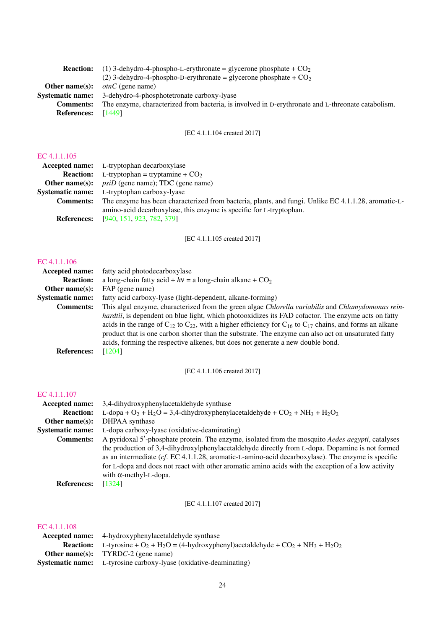| <b>Reaction:</b>        | (1) 3-dehydro-4-phospho-L-erythronate = glycerone phosphate + $CO2$                               |
|-------------------------|---------------------------------------------------------------------------------------------------|
|                         | (2) 3-dehydro-4-phospho-D-erythronate = glycerone phosphate + $CO2$                               |
| Other name $(s)$ :      | <i>otnC</i> (gene name)                                                                           |
| <b>Systematic name:</b> | 3-dehydro-4-phosphotetronate carboxy-lyase                                                        |
| <b>Comments:</b>        | The enzyme, characterized from bacteria, is involved in D-erythronate and L-threonate catabolism. |
| <b>References:</b>      | [1449]                                                                                            |
|                         |                                                                                                   |

## [EC 4.1.1.104 created 2017]

#### [EC 4.1.1.105](http://www.enzyme-database.org/query.php?ec=4.1.1.105)

|                  | <b>Accepted name:</b> L-tryptophan decarboxylase                                                    |
|------------------|-----------------------------------------------------------------------------------------------------|
|                  | <b>Reaction:</b> L-tryptophan = tryptamine + $CO2$                                                  |
|                  | <b>Other name(s):</b> $psiD$ (gene name); TDC (gene name)                                           |
|                  | <b>Systematic name:</b> L-tryptophan carboxy-lyase                                                  |
| <b>Comments:</b> | The enzyme has been characterized from bacteria, plants, and fungi. Unlike EC 4.1.1.28, aromatic-L- |
|                  | amino-acid decarboxylase, this enzyme is specific for L-tryptophan.                                 |
|                  | <b>References:</b> [940, 151, 923, 782, 379]                                                        |

[EC 4.1.1.105 created 2017]

#### [EC 4.1.1.106](http://www.enzyme-database.org/query.php?ec=4.1.1.106)

| Accepted name:          | fatty acid photodecarboxylase                                                                                              |
|-------------------------|----------------------------------------------------------------------------------------------------------------------------|
| <b>Reaction:</b>        | a long-chain fatty acid + $hv = a$ long-chain alkane + $CO2$                                                               |
| Other name $(s)$ :      | FAP (gene name)                                                                                                            |
| <b>Systematic name:</b> | fatty acid carboxy-lyase (light-dependent, alkane-forming)                                                                 |
| <b>Comments:</b>        | This algal enzyme, characterized from the green algae Chlorella variabilis and Chlamydomonas rein-                         |
|                         | <i>hardtii</i> , is dependent on blue light, which photooxidizes its FAD cofactor. The enzyme acts on fatty                |
|                         | acids in the range of $C_{12}$ to $C_{22}$ , with a higher efficiency for $C_{16}$ to $C_{17}$ chains, and forms an alkane |
|                         | product that is one carbon shorter than the substrate. The enzyme can also act on unsaturated fatty                        |
|                         | acids, forming the respective alkenes, but does not generate a new double bond.                                            |
| <b>References:</b>      | [1204]                                                                                                                     |

[EC 4.1.1.106 created 2017]

## [EC 4.1.1.107](http://www.enzyme-database.org/query.php?ec=4.1.1.107)

| 3,4-dihydroxyphenylacetaldehyde synthase                                                                                                                                                                                                                                                                                                       |
|------------------------------------------------------------------------------------------------------------------------------------------------------------------------------------------------------------------------------------------------------------------------------------------------------------------------------------------------|
| L-dopa + O <sub>2</sub> + H <sub>2</sub> O = 3,4-dihydroxyphenylacetaldehyde + CO <sub>2</sub> + NH <sub>3</sub> + H <sub>2</sub> O <sub>2</sub>                                                                                                                                                                                               |
| DHPAA synthase                                                                                                                                                                                                                                                                                                                                 |
| L-dopa carboxy-lyase (oxidative-deaminating)                                                                                                                                                                                                                                                                                                   |
| A pyridoxal 5'-phosphate protein. The enzyme, isolated from the mosquito <i>Aedes aegypti</i> , catalyses                                                                                                                                                                                                                                      |
| the production of 3,4-dihydroxylphenylacetaldehyde directly from L-dopa. Dopamine is not formed<br>as an intermediate ( $cf.$ EC 4.1.1.28, aromatic-L-amino-acid decarboxylase). The enzyme is specific<br>for L-dopa and does not react with other aromatic amino acids with the exception of a low activity<br>with $\alpha$ -methyl-L-dopa. |
| [1324]                                                                                                                                                                                                                                                                                                                                         |
|                                                                                                                                                                                                                                                                                                                                                |

[EC 4.1.1.107 created 2017]

| <b>Accepted name:</b> | 4-hydroxyphenylacetaldehyde synthase                                                                                                                                |
|-----------------------|---------------------------------------------------------------------------------------------------------------------------------------------------------------------|
|                       | <b>Reaction:</b> L-tyrosine + O <sub>2</sub> + H <sub>2</sub> O = (4-hydroxyphenyl)acetaldehyde + CO <sub>2</sub> + NH <sub>3</sub> + H <sub>2</sub> O <sub>2</sub> |
|                       | <b>Other name(s):</b> TYRDC-2 (gene name)                                                                                                                           |
|                       | <b>Systematic name:</b> L-tyrosine carboxy-lyase (oxidative-deaminating)                                                                                            |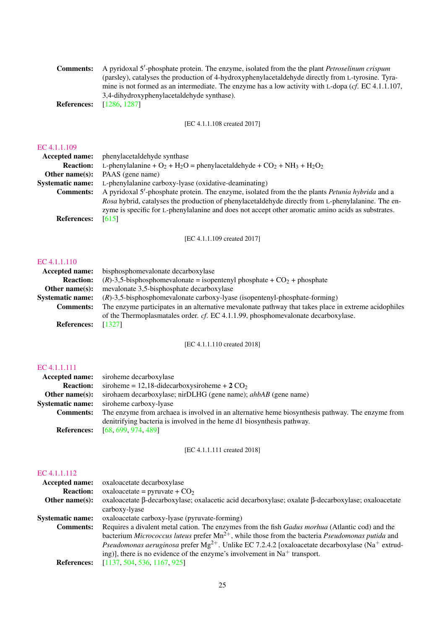| <b>Comments:</b>   | A pyridoxal 5'-phosphate protein. The enzyme, isolated from the the plant <i>Petroselinum crispum</i>            |
|--------------------|------------------------------------------------------------------------------------------------------------------|
|                    | (parsley), catalyses the production of 4-hydroxyphenylacetaldehyde directly from L-tyrosine. Tyra-               |
|                    | mine is not formed as an intermediate. The enzyme has a low activity with L-dopa ( $cf. \text{ EC } 4.1.1.107$ , |
|                    | 3.4-dihydroxyphenylacetaldehyde synthase).                                                                       |
| <b>References:</b> | [1286, 1287]                                                                                                     |

[EC 4.1.1.108 created 2017]

## [EC 4.1.1.109](http://www.enzyme-database.org/query.php?ec=4.1.1.109)

| Accepted name:          | phenylacetaldehyde synthase                                                                                                                                                                              |
|-------------------------|----------------------------------------------------------------------------------------------------------------------------------------------------------------------------------------------------------|
| <b>Reaction:</b>        | L-phenylalanine + O <sub>2</sub> + H <sub>2</sub> O = phenylacetaldehyde + CO <sub>2</sub> + NH <sub>3</sub> + H <sub>2</sub> O <sub>2</sub>                                                             |
| Other name $(s)$ :      | PAAS (gene name)                                                                                                                                                                                         |
| <b>Systematic name:</b> | L-phenylalanine carboxy-lyase (oxidative-deaminating)                                                                                                                                                    |
| <b>Comments:</b>        | A pyridoxal 5'-phosphate protein. The enzyme, isolated from the the plants <i>Petunia hybrida</i> and a                                                                                                  |
|                         | Rosa hybrid, catalyses the production of phenylacetaldehyde directly from L-phenylalanine. The en-<br>zyme is specific for L-phenylalanine and does not accept other aromatic amino acids as substrates. |
| <b>References:</b>      | [615]                                                                                                                                                                                                    |

[EC 4.1.1.109 created 2017]

## [EC 4.1.1.110](http://www.enzyme-database.org/query.php?ec=4.1.1.110)

| <b>Accepted name:</b>   | bisphosphomevalonate decarboxylase                                                                   |
|-------------------------|------------------------------------------------------------------------------------------------------|
| <b>Reaction:</b>        | $(R)$ -3,5-bisphosphomevalonate = isopentenyl phosphate + CO <sub>2</sub> + phosphate                |
| Other name $(s)$ :      | mevalonate 3,5-bisphosphate decarboxylase                                                            |
| <b>Systematic name:</b> | $(R)$ -3,5-bisphosphomevalonate carboxy-lyase (isopentenyl-phosphate-forming)                        |
| <b>Comments:</b>        | The enzyme participates in an alternative mevalonate pathway that takes place in extreme acidophiles |
|                         | of the Thermoplasmatales order. cf. EC 4.1.1.99, phosphomevalonate decarboxylase.                    |
| <b>References:</b>      | [1327]                                                                                               |

## [EC 4.1.1.110 created 2018]

## [EC 4.1.1.111](http://www.enzyme-database.org/query.php?ec=4.1.1.111)

|                         | <b>Accepted name:</b> siroheme decarboxylase                                                     |
|-------------------------|--------------------------------------------------------------------------------------------------|
| <b>Reaction:</b>        | siroheme = 12,18-didecarboxysiroheme + $2 \text{ CO}_2$                                          |
| Other name $(s)$ :      | sirohaem decarboxylase; nirDLHG (gene name); <i>ahbAB</i> (gene name)                            |
| <b>Systematic name:</b> | siroheme carboxy-lyase                                                                           |
| <b>Comments:</b>        | The enzyme from archaea is involved in an alternative heme biosynthesis pathway. The enzyme from |
|                         | denitrifying bacteria is involved in the heme d1 biosynthesis pathway.                           |
| <b>References:</b>      | [68, 699, 974, 489]                                                                              |

## [EC 4.1.1.111 created 2018]

| <b>Accepted name:</b>   | oxaloacetate decarboxylase                                                                                              |
|-------------------------|-------------------------------------------------------------------------------------------------------------------------|
| <b>Reaction:</b>        | oxaloacetate = pyruvate + $CO2$                                                                                         |
| Other name $(s)$ :      | oxaloacetate β-decarboxylase; oxalacetic acid decarboxylase; oxalate β-decarboxylase; oxaloacetate                      |
|                         | carboxy-lyase                                                                                                           |
| <b>Systematic name:</b> | oxaloacetate carboxy-lyase (pyruvate-forming)                                                                           |
| <b>Comments:</b>        | Requires a divalent metal cation. The enzymes from the fish <i>Gadus morhua</i> (Atlantic cod) and the                  |
|                         | bacterium Micrococcus luteus prefer $Mn^{2+}$ , while those from the bacteria <i>Pseudomonas putida</i> and             |
|                         | <i>Pseudomonas aeruginosa</i> prefer $Mg^{2+}$ . Unlike EC 7.2.4.2 [oxaloacetate decarboxylase (Na <sup>+</sup> extrud- |
|                         | ing)], there is no evidence of the enzyme's involvement in $Na+$ transport.                                             |
| <b>References:</b>      | [1137, 504, 536, 1167, 925]                                                                                             |
|                         |                                                                                                                         |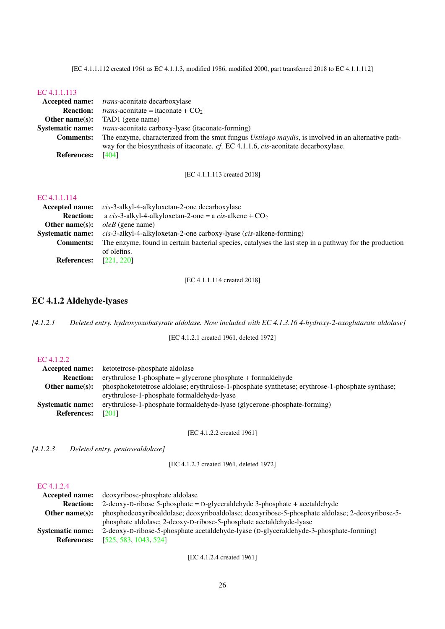[EC 4.1.1.112 created 1961 as EC 4.1.1.3, modified 1986, modified 2000, part transferred 2018 to EC 4.1.1.112]

#### [EC 4.1.1.113](http://www.enzyme-database.org/query.php?ec=4.1.1.113)

|                         | <b>Accepted name:</b> <i>trans-aconitate decarboxylase</i>                                                  |
|-------------------------|-------------------------------------------------------------------------------------------------------------|
| <b>Reaction:</b>        | <i>trans</i> -aconitate = itaconate + $CO2$                                                                 |
| Other name $(s)$ :      | TAD1 (gene name)                                                                                            |
| <b>Systematic name:</b> | <i>trans</i> -aconitate carboxy-lyase (itaconate-forming)                                                   |
| <b>Comments:</b>        | The enzyme, characterized from the smut fungus <i>Ustilago maydis</i> , is involved in an alternative path- |
|                         | way for the biosynthesis of iteconate. cf. EC 4.1.1.6, cis-aconitate decarboxylase.                         |
| <b>References:</b>      | [404]                                                                                                       |
|                         |                                                                                                             |

[EC 4.1.1.113 created 2018]

## [EC 4.1.1.114](http://www.enzyme-database.org/query.php?ec=4.1.1.114)

|                         | <b>Accepted name:</b> cis-3-alkyl-4-alkyloxetan-2-one decarboxylase                                     |
|-------------------------|---------------------------------------------------------------------------------------------------------|
| <b>Reaction:</b>        | a cis-3-alkyl-4-alkyloxetan-2-one = a cis-alkene + $CO2$                                                |
| Other name $(s)$ :      | <i>oleB</i> (gene name)                                                                                 |
| <b>Systematic name:</b> | $cis$ -3-alkyl-4-alkyloxetan-2-one carboxy-lyase ( <i>cis</i> -alkene-forming)                          |
| <b>Comments:</b>        | The enzyme, found in certain bacterial species, catalyses the last step in a pathway for the production |
|                         | of olefins.                                                                                             |
| <b>References:</b>      | [221, 220]                                                                                              |

[EC 4.1.1.114 created 2018]

## <span id="page-25-0"></span>EC 4.1.2 Aldehyde-lyases

*[4.1.2.1 Deleted entry. hydroxyoxobutyrate aldolase. Now included with EC 4.1.3.16 4-hydroxy-2-oxoglutarate aldolase]*

[EC 4.1.2.1 created 1961, deleted 1972]

## [EC 4.1.2.2](http://www.enzyme-database.org/query.php?ec=4.1.2.2)

| Accepted name:          | ketotetrose-phosphate aldolase                                                                   |
|-------------------------|--------------------------------------------------------------------------------------------------|
| <b>Reaction:</b>        | erythrulose 1-phosphate = glycerone phosphate + formaldehyde                                     |
| Other name $(s)$ :      | phosphoketotetrose aldolase; erythrulose-1-phosphate synthetase; erythrose-1-phosphate synthase; |
|                         | erythrulose-1-phosphate formaldehyde-lyase                                                       |
| <b>Systematic name:</b> | erythrulose-1-phosphate formaldehyde-lyase (glycerone-phosphate-forming)                         |
| <b>References:</b>      | <b>F2011</b>                                                                                     |

[EC 4.1.2.2 created 1961]

*[4.1.2.3 Deleted entry. pentosealdolase]*

[EC 4.1.2.3 created 1961, deleted 1972]

# [EC 4.1.2.4](http://www.enzyme-database.org/query.php?ec=4.1.2.4)

| deoxyribose-phosphate aldolase                                                                  |
|-------------------------------------------------------------------------------------------------|
| 2-deoxy-D-ribose 5-phosphate = D-glyceraldehyde 3-phosphate + acetaldehyde                      |
| phosphodeoxyriboaldolase; deoxyriboaldolase; deoxyribose-5-phosphate aldolase; 2-deoxyribose-5- |
| phosphate aldolase; 2-deoxy-D-ribose-5-phosphate acetaldehyde-lyase                             |
| 2-deoxy-D-ribose-5-phosphate acetaldehyde-lyase (D-glyceraldehyde-3-phosphate-forming)          |
| [525, 583, 1043, 524]                                                                           |
|                                                                                                 |

[EC 4.1.2.4 created 1961]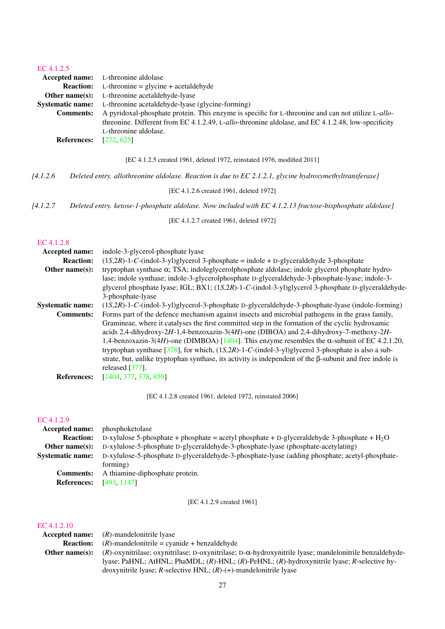## [EC 4.1.2.5](http://www.enzyme-database.org/query.php?ec=4.1.2.5)

| 111.7777.11.21     |                                                                                                                     |
|--------------------|---------------------------------------------------------------------------------------------------------------------|
|                    | <b>Accepted name:</b> L-threonine aldolase                                                                          |
|                    | <b>Reaction:</b> L-threonine = glycine + acetaldehyde                                                               |
|                    | <b>Other name(s):</b> L-threonine acetaldehyde-lyase                                                                |
|                    | <b>Systematic name:</b> L-threonine acetaldehyde-lyase (glycine-forming)                                            |
|                    | <b>Comments:</b> A pyridoxal-phosphate protein. This enzyme is specific for L-threonine and can not utilize L-allo- |
|                    | threonine. Different from EC 4.1.2.49, L-allo-threonine aldolase, and EC 4.1.2.48, low-specificity                  |
|                    | L-threonine aldolase.                                                                                               |
| <b>References:</b> | [272, 625]                                                                                                          |

[EC 4.1.2.5 created 1961, deleted 1972, reinstated 1976, modified 2011]

*[4.1.2.6 Deleted entry. allothreonine aldolase. Reaction is due to EC 2.1.2.1, glycine hydroxymethyltransferase]*

[EC 4.1.2.6 created 1961, deleted 1972]

*[4.1.2.7 Deleted entry. ketose-1-phosphate aldolase. Now included with EC 4.1.2.13 fructose-bisphosphate aldolase]*

[EC 4.1.2.7 created 1961, deleted 1972]

#### [EC 4.1.2.8](http://www.enzyme-database.org/query.php?ec=4.1.2.8)

| Accepted name:          | indole-3-glycerol-phosphate lyase                                                                               |
|-------------------------|-----------------------------------------------------------------------------------------------------------------|
| <b>Reaction:</b>        | $(1S, 2R)$ -1-C-(indol-3-yl)glycerol 3-phosphate = indole + D-glyceraldehyde 3-phosphate                        |
| Other name $(s)$ :      | tryptophan synthase $\alpha$ ; TSA; indoleglycerolphosphate aldolase; indole glycerol phosphate hydro-          |
|                         | lase; indole synthase; indole-3-glycerolphosphate D-glyceraldehyde-3-phosphate-lyase; indole-3-                 |
|                         | glycerol phosphate lyase; IGL; BX1; (1S,2R)-1-C-(indol-3-yl)glycerol 3-phosphate D-glyceraldehyde-              |
|                         | 3-phosphate-lyase                                                                                               |
| <b>Systematic name:</b> | $(1S,2R)-1-C$ -(indol-3-yl)glycerol-3-phosphate D-glyceraldehyde-3-phosphate-lyase (indole-forming)             |
| <b>Comments:</b>        | Forms part of the defence mechanism against insects and microbial pathogens in the grass family,                |
|                         | Gramineae, where it catalyses the first committed step in the formation of the cyclic hydroxamic                |
|                         | acids 2,4-dihydroxy-2H-1,4-benzoxazin-3(4H)-one (DIBOA) and 2,4-dihydroxy-7-methoxy-2H-                         |
|                         | 1,4-benzoxazin-3(4H)-one (DIMBOA) [1404]. This enzyme resembles the $\alpha$ -subunit of EC 4.2.1.20,           |
|                         | tryptophan synthase [378], for which, $(1S, 2R)$ -1-C-(indol-3-yl)glycerol 3-phosphate is also a sub-           |
|                         | strate, but, unlike tryptophan synthase, its activity is independent of the $\beta$ -subunit and free indole is |
|                         | released $[377]$ .                                                                                              |
| <b>References:</b>      | [1404, 377, 378, 859]                                                                                           |

[EC 4.1.2.8 created 1961, deleted 1972, reinstated 2006]

#### [EC 4.1.2.9](http://www.enzyme-database.org/query.php?ec=4.1.2.9)

| <b>Accepted name:</b>   | phosphoketolase                                                                                |
|-------------------------|------------------------------------------------------------------------------------------------|
| <b>Reaction:</b>        | D-xylulose 5-phosphate + phosphate = acetyl phosphate + D-glyceraldehyde 3-phosphate + $H_2O$  |
| Other name $(s)$ :      | D-xylulose-5-phosphate D-glyceraldehyde-3-phosphate-lyase (phosphate-acetylating)              |
| <b>Systematic name:</b> | D-xylulose-5-phosphate D-glyceraldehyde-3-phosphate-lyase (adding phosphate; acetyl-phosphate- |
|                         | forming)                                                                                       |
| <b>Comments:</b>        | A thiamine-diphosphate protein.                                                                |
| <b>References:</b>      | [493.1147]                                                                                     |

[EC 4.1.2.9 created 1961]

|                    | <b>Accepted name:</b> $(R)$ -mandelonitrile lyase                                                                  |
|--------------------|--------------------------------------------------------------------------------------------------------------------|
| <b>Reaction:</b>   | $(R)$ -mandelonitrile = cyanide + benzaldehyde                                                                     |
| Other name $(s)$ : | $(R)$ -oxynitrilase; oxynitrilase; D-oxynitrilase; D- $\alpha$ -hydroxynitrile lyase; mandelonitrile benzaldehyde- |
|                    | lyase; PaHNL; AtHNL; PhaMDL; $(R)$ -HNL; $(R)$ -PeHNL; $(R)$ -hydroxynitrile lyase; R-selective hy-                |
|                    | droxynitrile lyase; $R$ -selective HNL; $(R)$ - $(+)$ -mandelonitrile lyase                                        |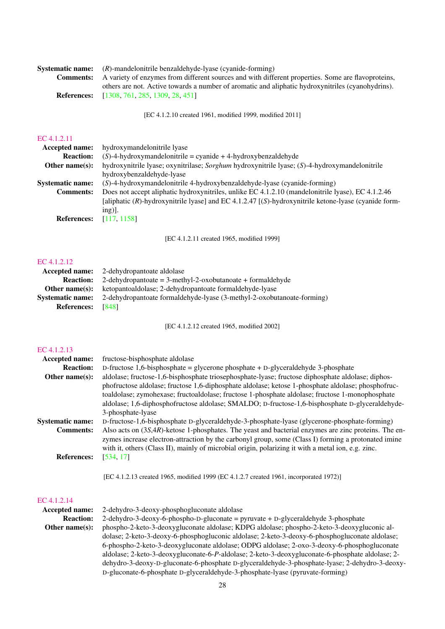| Systematic name: | $(R)$ -mandelonitrile benzaldehyde-lyase (cyanide-forming)                                         |
|------------------|----------------------------------------------------------------------------------------------------|
| <b>Comments:</b> | A variety of enzymes from different sources and with different properties. Some are flavoproteins, |
|                  | others are not. Active towards a number of aromatic and aliphatic hydroxynitriles (cyanohydrins).  |
|                  | <b>References:</b> [1308, 761, 285, 1309, 28, 451]                                                 |
|                  |                                                                                                    |

[EC 4.1.2.10 created 1961, modified 1999, modified 2011]

## [EC 4.1.2.11](http://www.enzyme-database.org/query.php?ec=4.1.2.11)

| <b>Accepted name:</b>   | hydroxymandelonitrile lyase                                                                             |
|-------------------------|---------------------------------------------------------------------------------------------------------|
| <b>Reaction:</b>        | $(S)$ -4-hydroxymandelonitrile = cyanide + 4-hydroxybenzaldehyde                                        |
| Other name $(s)$ :      | hydroxynitrile lyase; oxynitrilase; Sorghum hydroxynitrile lyase; (S)-4-hydroxymandelonitrile           |
|                         | hydroxybenzaldehyde-lyase                                                                               |
| <b>Systematic name:</b> | (S)-4-hydroxymandelonitrile 4-hydroxybenzaldehyde-lyase (cyanide-forming)                               |
| <b>Comments:</b>        | Does not accept aliphatic hydroxynitriles, unlike EC 4.1.2.10 (mandelonitrile lyase), EC 4.1.2.46       |
|                         | [aliphatic $(R)$ -hydroxynitrile lyase] and EC 4.1.2.47 [(S)-hydroxynitrile ketone-lyase (cyanide form- |
|                         | $ing$ ).                                                                                                |
| <b>References:</b>      | [117, 1158]                                                                                             |
|                         |                                                                                                         |

[EC 4.1.2.11 created 1965, modified 1999]

#### [EC 4.1.2.12](http://www.enzyme-database.org/query.php?ec=4.1.2.12)

|                         | <b>Accepted name:</b> 2-dehydropantoate aldolase                              |
|-------------------------|-------------------------------------------------------------------------------|
|                         | <b>Reaction:</b> 2-dehydropantoate = 3-methyl-2-oxobutanoate + formaldehyde   |
|                         | <b>Other name(s):</b> ketopantoaldolase; 2-dehydropantoate formaldehyde-lyase |
| <b>Systematic name:</b> | 2-dehydropantoate formaldehyde-lyase (3-methyl-2-oxobutanoate-forming)        |
| <b>References:</b>      | [848]                                                                         |

[EC 4.1.2.12 created 1965, modified 2002]

## [EC 4.1.2.13](http://www.enzyme-database.org/query.php?ec=4.1.2.13)

| <b>Accepted name:</b>   | fructose-bisphosphate aldolase                                                                                                                                                                                                                                                                                       |
|-------------------------|----------------------------------------------------------------------------------------------------------------------------------------------------------------------------------------------------------------------------------------------------------------------------------------------------------------------|
| <b>Reaction:</b>        | D-fructose 1,6-bisphosphate = glycerone phosphate + D-glyceraldehyde 3-phosphate                                                                                                                                                                                                                                     |
| Other name $(s)$ :      | aldolase; fructose-1,6-bisphosphate triosephosphate-lyase; fructose diphosphate aldolase; diphos-                                                                                                                                                                                                                    |
|                         | phofructose aldolase; fructose 1,6-diphosphate aldolase; ketose 1-phosphate aldolase; phosphofruc-                                                                                                                                                                                                                   |
|                         | toaldolase; zymohexase; fructoaldolase; fructose 1-phosphate aldolase; fructose 1-monophosphate                                                                                                                                                                                                                      |
|                         | aldolase; 1,6-diphosphofructose aldolase; SMALDO; D-fructose-1,6-bisphosphate D-glyceraldehyde-                                                                                                                                                                                                                      |
|                         | 3-phosphate-lyase                                                                                                                                                                                                                                                                                                    |
| <b>Systematic name:</b> | D-fructose-1,6-bisphosphate D-glyceraldehyde-3-phosphate-lyase (glycerone-phosphate-forming)                                                                                                                                                                                                                         |
| <b>Comments:</b>        | Also acts on $(3S,4R)$ -ketose 1-phosphates. The yeast and bacterial enzymes are zinc proteins. The en-<br>zymes increase electron-attraction by the carbonyl group, some (Class I) forming a protonated imine<br>with it, others (Class II), mainly of microbial origin, polarizing it with a metal ion, e.g. zinc. |
| <b>References:</b>      | [534, 17]                                                                                                                                                                                                                                                                                                            |

[EC 4.1.2.13 created 1965, modified 1999 (EC 4.1.2.7 created 1961, incorporated 1972)]

| <b>Accepted name:</b> | 2-dehydro-3-deoxy-phosphogluconate aldolase                                                      |
|-----------------------|--------------------------------------------------------------------------------------------------|
| <b>Reaction:</b>      | 2-dehydro-3-deoxy-6-phospho-D-gluconate = pyruvate + D-glyceraldehyde 3-phosphate                |
| Other name $(s)$ :    | phospho-2-keto-3-deoxygluconate aldolase; KDPG aldolase; phospho-2-keto-3-deoxygluconic al-      |
|                       | dolase; 2-keto-3-deoxy-6-phosphogluconic aldolase; 2-keto-3-deoxy-6-phosphogluconate aldolase;   |
|                       | 6-phospho-2-keto-3-deoxygluconate aldolase; ODPG aldolase; 2-oxo-3-deoxy-6-phosphogluconate      |
|                       | aldolase; 2-keto-3-deoxygluconate-6-P-aldolase; 2-keto-3-deoxygluconate-6-phosphate aldolase; 2- |
|                       | dehydro-3-deoxy-D-gluconate-6-phosphate D-glyceraldehyde-3-phosphate-lyase; 2-dehydro-3-deoxy-   |
|                       | D-gluconate-6-phosphate D-glyceraldehyde-3-phosphate-lyase (pyruvate-forming)                    |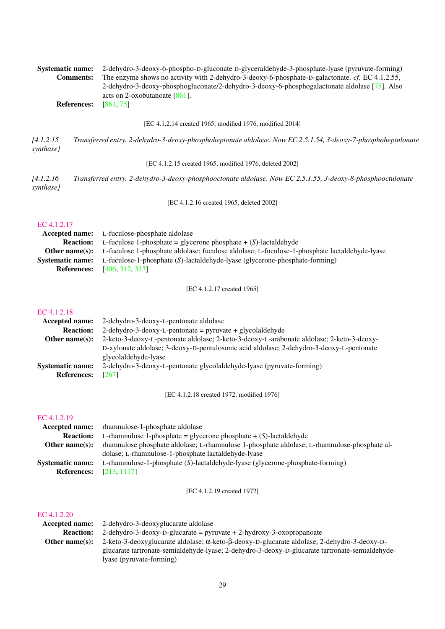| <b>Systematic name:</b><br><b>Comments:</b><br><b>References:</b>   | 2-dehydro-3-deoxy-6-phospho-D-gluconate D-glyceraldehyde-3-phosphate-lyase (pyruvate-forming)<br>The enzyme shows no activity with 2-dehydro-3-deoxy-6-phosphate-D-galactonate. cf. EC 4.1.2.55,<br>2-dehydro-3-deoxy-phosphogluconate/2-dehydro-3-deoxy-6-phosphogalactonate aldolase [75]. Also<br>acts on 2-oxobutanoate $[861]$ .<br>[861, 75] |
|---------------------------------------------------------------------|----------------------------------------------------------------------------------------------------------------------------------------------------------------------------------------------------------------------------------------------------------------------------------------------------------------------------------------------------|
|                                                                     | [EC 4.1.2.14 created 1965, modified 1976, modified 2014]                                                                                                                                                                                                                                                                                           |
| [4.1.2.15]<br>synthase]                                             | Transferred entry. 2-dehydro-3-deoxy-phosphoheptonate aldolase. Now EC 2.5.1.54, 3-deoxy-7-phosphoheptulonate                                                                                                                                                                                                                                      |
|                                                                     | [EC 4.1.2.15 created 1965, modified 1976, deleted 2002]                                                                                                                                                                                                                                                                                            |
| [4.1.2.16]<br>synthase]                                             | Transferred entry. 2-dehydro-3-deoxy-phosphooctonate aldolase. Now EC 2.5.1.55, 3-deoxy-8-phosphooctulonate                                                                                                                                                                                                                                        |
|                                                                     | [EC 4.1.2.16 created 1965, deleted 2002]                                                                                                                                                                                                                                                                                                           |
| EC 4.1.2.17                                                         |                                                                                                                                                                                                                                                                                                                                                    |
| Accepted name:                                                      | L-fuculose-phosphate aldolase                                                                                                                                                                                                                                                                                                                      |
| <b>Reaction:</b><br>Other name(s):                                  | L-fuculose 1-phosphate = glycerone phosphate + $(S)$ -lactaldehyde<br>L-fuculose 1-phosphate aldolase; fuculose aldolase; L-fuculose-1-phosphate lactaldehyde-lyase                                                                                                                                                                                |
| <b>Systematic name:</b>                                             | L-fuculose-1-phosphate (S)-lactaldehyde-lyase (glycerone-phosphate-forming)                                                                                                                                                                                                                                                                        |
| <b>References:</b>                                                  | [406, 312, 313]                                                                                                                                                                                                                                                                                                                                    |
|                                                                     | [EC 4.1.2.17 created 1965]                                                                                                                                                                                                                                                                                                                         |
| EC 4.1.2.18<br>Accepted name:<br><b>Reaction:</b><br>Other name(s): | 2-dehydro-3-deoxy-L-pentonate aldolase<br>2-dehydro-3-deoxy-L-pentonate = pyruvate + glycolaldehyde<br>2-keto-3-deoxy-L-pentonate aldolase; 2-keto-3-deoxy-L-arabonate aldolase; 2-keto-3-deoxy-<br>D-xylonate aldolase; 3-deoxy-D-pentulosonic acid aldolase; 2-dehydro-3-deoxy-L-pentonate                                                       |
| <b>Systematic name:</b><br><b>References:</b>                       | glycolaldehyde-lyase<br>2-dehydro-3-deoxy-L-pentonate glycolaldehyde-lyase (pyruvate-forming)<br>$[267]$                                                                                                                                                                                                                                           |
|                                                                     | [EC 4.1.2.18 created 1972, modified 1976]                                                                                                                                                                                                                                                                                                          |
| EC 4.1.2.19<br>Accepted name:<br><b>Reaction:</b><br>Other name(s): | rhamnulose-1-phosphate aldolase<br>L-rhamnulose 1-phosphate = glycerone phosphate + $(S)$ -lactaldehyde<br>rhamnulose phosphate aldolase; L-rhamnulose 1-phosphate aldolase; L-rhamnulose-phosphate al-                                                                                                                                            |
| <b>Systematic name:</b>                                             | dolase; L-rhamnulose-1-phosphate lactaldehyde-lyase<br>L-rhamnulose-1-phosphate (S)-lactaldehyde-lyase (glycerone-phosphate-forming)                                                                                                                                                                                                               |
| <b>References:</b>                                                  | [213, 1117]                                                                                                                                                                                                                                                                                                                                        |
|                                                                     | [EC 4.1.2.19 created 1972]                                                                                                                                                                                                                                                                                                                         |
| EC 4.1.2.20                                                         |                                                                                                                                                                                                                                                                                                                                                    |
| Accepted name:<br><b>Reaction:</b>                                  | 2-dehydro-3-deoxyglucarate aldolase<br>2-dehydro-3-deoxy-D-glucarate = pyruvate + 2-hydroxy-3-oxopropanoate                                                                                                                                                                                                                                        |
| Other name(s):                                                      | 2-keto-3-deoxyglucarate aldolase; α-keto-β-deoxy-D-glucarate aldolase; 2-dehydro-3-deoxy-D-                                                                                                                                                                                                                                                        |

glucarate tartronate-semialdehyde-lyase; 2-dehydro-3-deoxy-D-glucarate tartronate-semialdehydelyase (pyruvate-forming)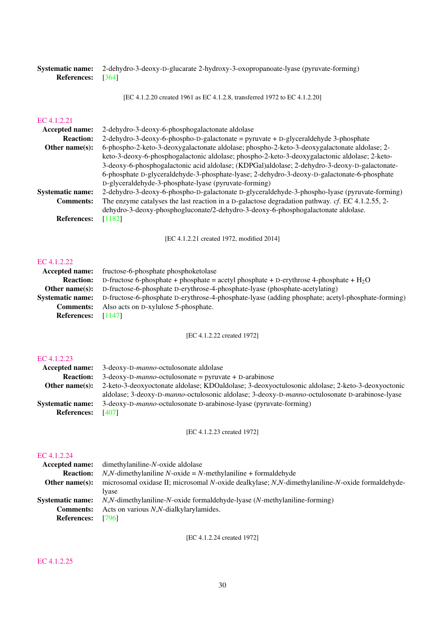### Systematic name: 2-dehydro-3-deoxy-D-glucarate 2-hydroxy-3-oxopropanoate-lyase (pyruvate-forming) References: [\[364\]](#page-195-3)

[EC 4.1.2.20 created 1961 as EC 4.1.2.8, transferred 1972 to EC 4.1.2.20]

## [EC 4.1.2.21](http://www.enzyme-database.org/query.php?ec=4.1.2.21)

| <b>Accepted name:</b>   | 2-dehydro-3-deoxy-6-phosphogalactonate aldolase                                                     |
|-------------------------|-----------------------------------------------------------------------------------------------------|
| <b>Reaction:</b>        | 2-dehydro-3-deoxy-6-phospho-D-galactonate = pyruvate + D-glyceraldehyde 3-phosphate                 |
| Other name $(s)$ :      | 6-phospho-2-keto-3-deoxygalactonate aldolase; phospho-2-keto-3-deoxygalactonate aldolase; 2-        |
|                         | keto-3-deoxy-6-phosphogalactonic aldolase; phospho-2-keto-3-deoxygalactonic aldolase; 2-keto-       |
|                         | 3-deoxy-6-phosphogalactonic acid aldolase; (KDPGal)aldolase; 2-dehydro-3-deoxy-D-galactonate-       |
|                         | 6-phosphate D-glyceraldehyde-3-phosphate-lyase; 2-dehydro-3-deoxy-D-galactonate-6-phosphate         |
|                         | D-glyceraldehyde-3-phosphate-lyase (pyruvate-forming)                                               |
| <b>Systematic name:</b> | 2-dehydro-3-deoxy-6-phospho-D-galactonate D-glyceraldehyde-3-phospho-lyase (pyruvate-forming)       |
| <b>Comments:</b>        | The enzyme catalyses the last reaction in a D-galactose degradation pathway. $cf. EC 4.1.2.55$ , 2- |
|                         | dehydro-3-deoxy-phosphogluconate/2-dehydro-3-deoxy-6-phosphogalactonate aldolase.                   |
| <b>References:</b>      | [1182]                                                                                              |
|                         |                                                                                                     |

[EC 4.1.2.21 created 1972, modified 2014]

#### [EC 4.1.2.22](http://www.enzyme-database.org/query.php?ec=4.1.2.22)

| <b>Accepted name:</b> fructose-6-phosphate phosphoketolase                                                         |
|--------------------------------------------------------------------------------------------------------------------|
| D-fructose 6-phosphate + phosphate = acetyl phosphate + D-erythrose 4-phosphate + $H_2O$                           |
| D-fructose-6-phosphate D-erythrose-4-phosphate-lyase (phosphate-acetylating)                                       |
| Systematic name: D-fructose-6-phosphate D-erythrose-4-phosphate-lyase (adding phosphate; acetyl-phosphate-forming) |
| Also acts on D-xylulose 5-phosphate.                                                                               |
| References: $[1147]$                                                                                               |
|                                                                                                                    |

[EC 4.1.2.22 created 1972]

#### [EC 4.1.2.23](http://www.enzyme-database.org/query.php?ec=4.1.2.23)

|                         | <b>Accepted name:</b> 3-deoxy-D- <i>manno</i> -octulosonate aldolase                             |
|-------------------------|--------------------------------------------------------------------------------------------------|
| <b>Reaction:</b>        | $3$ -deoxy-D- <i>manno</i> -octulosonate = pyruvate + D-arabinose                                |
| Other name $(s)$ :      | 2-keto-3-deoxyoctonate aldolase; KDOaldolase; 3-deoxyoctulosonic aldolase; 2-keto-3-deoxyoctonic |
|                         | aldolase; 3-deoxy-D-manno-octulosonic aldolase; 3-deoxy-D-manno-octulosonate D-arabinose-lyase   |
| <b>Systematic name:</b> | 3-deoxy-D- <i>manno</i> -octulosonate D-arabinose-lyase (pyruvate-forming)                       |
| <b>References:</b>      | [407]                                                                                            |

[EC 4.1.2.23 created 1972]

## [EC 4.1.2.24](http://www.enzyme-database.org/query.php?ec=4.1.2.24)

| microsomal oxidase II; microsomal N-oxide dealkylase; N,N-dimethylaniline-N-oxide formaldehyde- |
|-------------------------------------------------------------------------------------------------|
|                                                                                                 |
|                                                                                                 |
|                                                                                                 |
|                                                                                                 |
|                                                                                                 |

[EC 4.1.2.24 created 1972]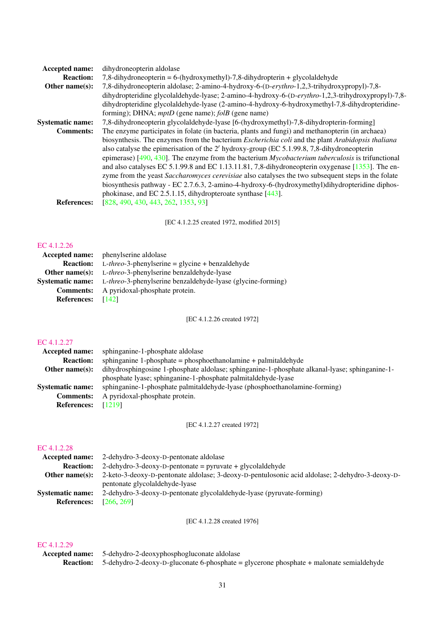| <b>Accepted name:</b>   | dihydroneopterin aldolase                                                                                      |
|-------------------------|----------------------------------------------------------------------------------------------------------------|
| <b>Reaction:</b>        | 7,8-dihydroneopterin = $6-(hydroxymethyl)-7,8-dihydropterin + glycolaldehyde$                                  |
| Other name $(s)$ :      | 7,8-dihydroneopterin aldolase; 2-amino-4-hydroxy-6-(D-erythro-1,2,3-trihydroxypropyl)-7,8-                     |
|                         | dihydropteridine glycolaldehyde-lyase; 2-amino-4-hydroxy-6-(D-erythro-1,2,3-trihydroxypropyl)-7,8-             |
|                         | dihydropteridine glycolaldehyde-lyase (2-amino-4-hydroxy-6-hydroxymethyl-7,8-dihydropteridine-                 |
|                         | forming); DHNA; <i>mptD</i> (gene name); <i>folB</i> (gene name)                                               |
| <b>Systematic name:</b> | 7,8-dihydroneopterin glycolaldehyde-lyase [6-(hydroxymethyl)-7,8-dihydropterin-forming]                        |
| <b>Comments:</b>        | The enzyme participates in folate (in bacteria, plants and fungi) and methanopterin (in archaea)               |
|                         | biosynthesis. The enzymes from the bacterium <i>Escherichia coli</i> and the plant <i>Arabidopsis thaliana</i> |
|                         | also catalyse the epimerisation of the 2' hydroxy-group (EC 5.1.99.8, 7,8-dihydroneopterin                     |
|                         | epimerase) [490, 430]. The enzyme from the bacterium $Mycobacterium$ tuberculosis is trifunctional             |
|                         | and also catalyses EC 5.1.99.8 and EC 1.13.11.81, 7,8-dihydrone opter in oxygenase $[1353]$ . The en-          |
|                         | zyme from the yeast Saccharomyces cerevisiae also catalyses the two subsequent steps in the folate             |
|                         | biosynthesis pathway - EC 2.7.6.3, 2-amino-4-hydroxy-6-(hydroxymethyl)dihydropteridine diphos-                 |
|                         | phokinase, and EC 2.5.1.15, dihydropteroate synthase $[443]$ .                                                 |
| <b>References:</b>      | [828, 490, 430, 443, 262, 1353, 93]                                                                            |
|                         |                                                                                                                |

[EC 4.1.2.25 created 1972, modified 2015]

#### [EC 4.1.2.26](http://www.enzyme-database.org/query.php?ec=4.1.2.26)

|                         | <b>Accepted name:</b> phenylserine aldolase                 |
|-------------------------|-------------------------------------------------------------|
| <b>Reaction:</b>        | $L$ - <i>threo</i> -3-phenylserine = glycine + benzaldehyde |
| Other name $(s)$ :      | L-threo-3-phenylserine benzaldehyde-lyase                   |
| <b>Systematic name:</b> | L-threo-3-phenylserine benzaldehyde-lyase (glycine-forming) |
| <b>Comments:</b>        | A pyridoxal-phosphate protein.                              |
| <b>References:</b>      | [142]                                                       |

[EC 4.1.2.26 created 1972]

## [EC 4.1.2.27](http://www.enzyme-database.org/query.php?ec=4.1.2.27)

| Accepted name:          | sphinganine-1-phosphate aldolase                                                               |
|-------------------------|------------------------------------------------------------------------------------------------|
| <b>Reaction:</b>        | sphinganine 1-phosphate = phosphoethanolamine + palmitaldehyde                                 |
| Other name $(s)$ :      | dihydrosphingosine 1-phosphate aldolase; sphinganine-1-phosphate alkanal-lyase; sphinganine-1- |
|                         | phosphate lyase; sphinganine-1-phosphate palmitaldehyde-lyase                                  |
| <b>Systematic name:</b> | sphinganine-1-phosphate palmitaldehyde-lyase (phosphoethanolamine-forming)                     |
| <b>Comments:</b>        | A pyridoxal-phosphate protein.                                                                 |
| <b>References:</b>      | [1219]                                                                                         |

[EC 4.1.2.27 created 1972]

## [EC 4.1.2.28](http://www.enzyme-database.org/query.php?ec=4.1.2.28)

| 2-dehydro-3-deoxy-D-pentonate aldolase                                                          |
|-------------------------------------------------------------------------------------------------|
| 2-dehydro-3-deoxy-D-pentonate = pyruvate + glycolaldehyde                                       |
| 2-keto-3-deoxy-D-pentonate aldolase; 3-deoxy-D-pentulosonic acid aldolase; 2-dehydro-3-deoxy-D- |
| pentonate glycolaldehyde-lyase                                                                  |
| 2-dehydro-3-deoxy-D-pentonate glycolaldehyde-lyase (pyruvate-forming)                           |
| [266, 269]                                                                                      |
|                                                                                                 |

[EC 4.1.2.28 created 1976]

| <b>Accepted name:</b> 5-dehydro-2-deoxyphosphogluconate aldolase                                         |
|----------------------------------------------------------------------------------------------------------|
| <b>Reaction:</b> 5-dehydro-2-deoxy-D-gluconate 6-phosphate = glycerone phosphate + malonate semialdehyde |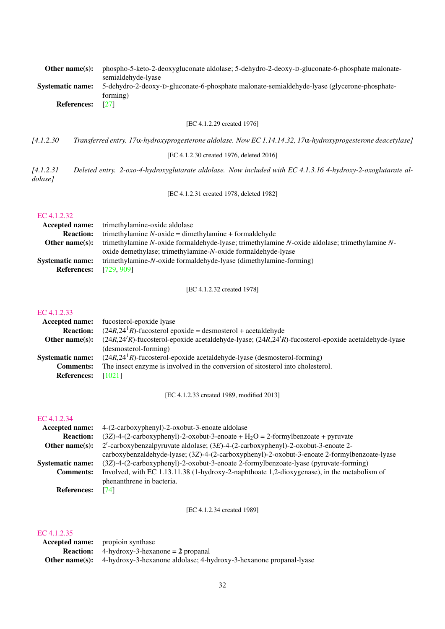| Other name $(s)$ :      | phospho-5-keto-2-deoxygluconate aldolase; 5-dehydro-2-deoxy-D-gluconate-6-phosphate malonate-<br>semialdehyde-lyase |
|-------------------------|---------------------------------------------------------------------------------------------------------------------|
| <b>Systematic name:</b> | 5-dehydro-2-deoxy-D-gluconate-6-phosphate malonate-semialdehyde-lyase (glycerone-phosphate-                         |
|                         | forming)                                                                                                            |
| <b>References:</b>      | [27]                                                                                                                |
|                         | [EC 4.1.2.29 created 1976]                                                                                          |
| [4.1.2.30]              | Transferred entry. 17a-hydroxyprogesterone aldolase. Now EC 1.14.14.32, 17a-hydroxyprogesterone deacetylase]        |
|                         | [EC 4.1.2.30 created 1976, deleted 2016]                                                                            |
| [4.1.2.31]<br>dolase]   | Deleted entry. 2-oxo-4-hydroxyglutarate aldolase. Now included with EC 4.1.3.16 4-hydroxy-2-oxoglutarate al-        |
|                         | [EC 4.1.2.31 created 1978, deleted 1982]                                                                            |
| EC 4.1.2.32             |                                                                                                                     |
| Accepted name:          | trimethylamine-oxide aldolase                                                                                       |
| <b>Reaction:</b>        | trimethylamine $N$ -oxide = dimethylamine + formaldehyde                                                            |
| Other name $(s)$ :      | trimethylamine N-oxide formaldehyde-lyase; trimethylamine N-oxide aldolase; trimethylamine N-                       |
|                         | oxide demethylase; trimethylamine-N-oxide formaldehyde-lyase                                                        |
| <b>Systematic name:</b> | trimethylamine-N-oxide formaldehyde-lyase (dimethylamine-forming)                                                   |

[EC 4.1.2.32 created 1978]

#### [EC 4.1.2.33](http://www.enzyme-database.org/query.php?ec=4.1.2.33)

References: [\[729,](#page-215-2) [909\]](#page-224-3)

|                         | <b>Accepted name:</b> fucosterol-epoxide lyase                                                           |
|-------------------------|----------------------------------------------------------------------------------------------------------|
| <b>Reaction:</b>        | $(24R,241R)$ -fucosterol epoxide = desmosterol + acetaldehyde                                            |
| Other name $(s)$ :      | $(24R,24'R)$ -fucosterol-epoxide acetaldehyde-lyase; $(24R,24'R)$ -fucosterol-epoxide acetaldehyde-lyase |
|                         | (desmosterol-forming)                                                                                    |
| <b>Systematic name:</b> | $(24R, 241R)$ -fucosterol-epoxide acetaldehyde-lyase (desmosterol-forming)                               |
| <b>Comments:</b>        | The insect enzyme is involved in the conversion of sitosterol into cholesterol.                          |
| <b>References:</b>      | [1021]                                                                                                   |

[EC 4.1.2.33 created 1989, modified 2013]

## [EC 4.1.2.34](http://www.enzyme-database.org/query.php?ec=4.1.2.34)

| Accepted name:          | 4-(2-carboxyphenyl)-2-oxobut-3-enoate aldolase                                                     |
|-------------------------|----------------------------------------------------------------------------------------------------|
| <b>Reaction:</b>        | $(3Z)$ -4- $(2$ -carboxyphenyl)-2-oxobut-3-enoate + H <sub>2</sub> O = 2-formylbenzoate + pyruvate |
| Other name $(s)$ :      | $2'$ -carboxybenzalpyruvate aldolase; $(3E)$ -4- $(2$ -carboxyphenyl)-2-oxobut-3-enoate 2-         |
|                         | carboxybenzaldehyde-lyase; (3Z)-4-(2-carboxyphenyl)-2-oxobut-3-enoate 2-formylbenzoate-lyase       |
| <b>Systematic name:</b> | (3Z)-4-(2-carboxyphenyl)-2-oxobut-3-enoate 2-formylbenzoate-lyase (pyruvate-forming)               |
| <b>Comments:</b>        | Involved, with EC 1.13.11.38 (1-hydroxy-2-naphthoate 1,2-dioxygenase), in the metabolism of        |
|                         | phenanthrene in bacteria.                                                                          |
| <b>References:</b>      | [74]                                                                                               |

[EC 4.1.2.34 created 1989]

| <b>Accepted name:</b> propioin synthase                                                  |
|------------------------------------------------------------------------------------------|
| <b>Reaction:</b> $4$ -hydroxy-3-hexanone = 2 propanal                                    |
| <b>Other name(s):</b> 4-hydroxy-3-hexanone aldolase; 4-hydroxy-3-hexanone propanal-lyase |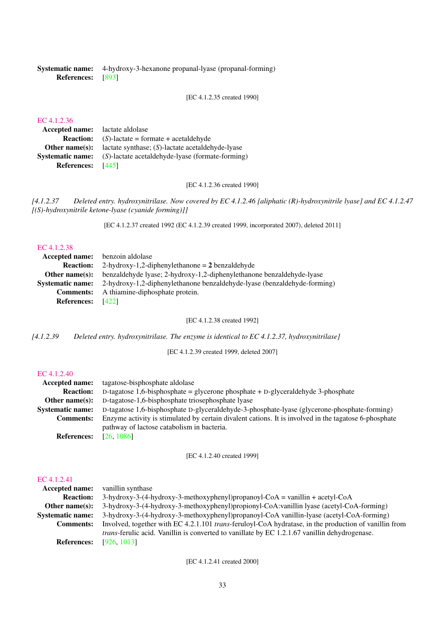|                          | <b>Systematic name:</b> 4-hydroxy-3-hexanone propanal-lyase (propanal-forming) |
|--------------------------|--------------------------------------------------------------------------------|
| <b>References:</b> [893] |                                                                                |

[EC 4.1.2.35 created 1990]

## [EC 4.1.2.36](http://www.enzyme-database.org/query.php?ec=4.1.2.36)

| <b>Accepted name:</b> lactate aldolase |                                                     |
|----------------------------------------|-----------------------------------------------------|
| <b>Reaction:</b>                       | $(S)$ -lactate = formate + acetaldehyde             |
| Other name $(s)$ :                     | lactate synthase; $(S)$ -lactate acetaldehyde-lyase |
| <b>Systematic name:</b>                | (S)-lactate acetaldehyde-lyase (formate-forming)    |
| <b>References:</b>                     | - 14451                                             |

[EC 4.1.2.36 created 1990]

*[4.1.2.37 Deleted entry. hydroxynitrilase. Now covered by EC 4.1.2.46 [aliphatic (R)-hydroxynitrile lyase] and EC 4.1.2.47 [(S)-hydroxynitrile ketone-lyase (cyanide forming)]]*

[EC 4.1.2.37 created 1992 (EC 4.1.2.39 created 1999, incorporated 2007), deleted 2011]

#### [EC 4.1.2.38](http://www.enzyme-database.org/query.php?ec=4.1.2.38)

| <b>Accepted name:</b> benzoin aldolase |                                                                                                  |
|----------------------------------------|--------------------------------------------------------------------------------------------------|
|                                        | <b>Reaction:</b> 2-hydroxy-1,2-diphenylethanone $= 2$ benzaldehyde                               |
|                                        | <b>Other name(s):</b> benzaldehyde lyase; 2-hydroxy-1,2-diphenylethanone benzaldehyde-lyase      |
|                                        | <b>Systematic name:</b> 2-hydroxy-1,2-diphenylethanone benzaldehyde-lyase (benzaldehyde-forming) |
|                                        | <b>Comments:</b> A thiamine-diphosphate protein.                                                 |
| <b>References:</b> [422]               |                                                                                                  |

[EC 4.1.2.38 created 1992]

*[4.1.2.39 Deleted entry. hydroxynitrilase. The enzyme is identical to EC 4.1.2.37, hydroxynitrilase]*

[EC 4.1.2.39 created 1999, deleted 2007]

#### [EC 4.1.2.40](http://www.enzyme-database.org/query.php?ec=4.1.2.40)

| Accepted name:          | tagatose-bisphosphate aldolase                                                                        |
|-------------------------|-------------------------------------------------------------------------------------------------------|
| <b>Reaction:</b>        | D-tagatose 1,6-bisphosphate = glycerone phosphate + D-glyceraldehyde 3-phosphate                      |
| Other name $(s)$ :      | D-tagatose-1,6-bisphosphate triosephosphate lyase                                                     |
| <b>Systematic name:</b> | D-tagatose 1,6-bisphosphate D-glyceraldehyde-3-phosphate-lyase (glycerone-phosphate-forming)          |
| <b>Comments:</b>        | Enzyme activity is stimulated by certain divalent cations. It is involved in the tagatose 6-phosphate |
|                         | pathway of lactose catabolism in bacteria.                                                            |
| <b>References:</b>      | [26, 1086]                                                                                            |

[EC 4.1.2.40 created 1999]

## [EC 4.1.2.41](http://www.enzyme-database.org/query.php?ec=4.1.2.41)

| <b>Accepted name:</b>   | vanillin synthase                                                                                             |
|-------------------------|---------------------------------------------------------------------------------------------------------------|
| <b>Reaction:</b>        | $3-hydroxy-3-(4-hydroxy-3-methoxyphenyl)propanoyl-CoA = vanillin + acetyl-CoA$                                |
| Other name $(s)$ :      | 3-hydroxy-3-(4-hydroxy-3-methoxyphenyl)propionyl-CoA:vanillin lyase (acetyl-CoA-forming)                      |
| <b>Systematic name:</b> | 3-hydroxy-3-(4-hydroxy-3-methoxyphenyl)propanoyl-CoA vanillin-lyase (acetyl-CoA-forming)                      |
| <b>Comments:</b>        | Involved, together with EC 4.2.1.101 <i>trans</i> -feruloyl-CoA hydratase, in the production of vanillin from |
|                         | <i>trans</i> -ferulic acid. Vanillin is converted to vanillate by EC 1.2.1.67 vanillin dehydrogenase.         |
| <b>References:</b>      | [926, 1013]                                                                                                   |

[EC 4.1.2.41 created 2000]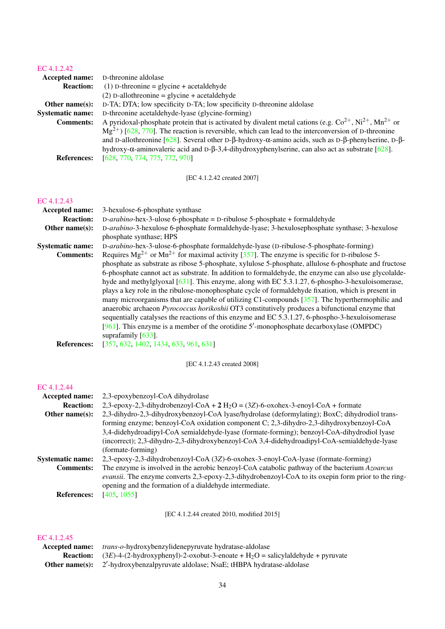## [EC 4.1.2.42](http://www.enzyme-database.org/query.php?ec=4.1.2.42)

| <b>Accepted name:</b>   | D-threonine aldolase                                                                                                                   |
|-------------------------|----------------------------------------------------------------------------------------------------------------------------------------|
| <b>Reaction:</b>        | $(1)$ D-threonine = glycine + acetal dehyde                                                                                            |
|                         | $(2)$ D-allothreonine = glycine + acetaldehyde                                                                                         |
| Other name $(s)$ :      | D-TA; DTA; low specificity D-TA; low specificity D-threonine aldolase                                                                  |
| <b>Systematic name:</b> | D-threonine acetaldehyde-lyase (glycine-forming)                                                                                       |
| <b>Comments:</b>        | A pyridoxal-phosphate protein that is activated by divalent metal cations (e.g. $Co^{2+}$ , $Ni^{2+}$ , $Mn^{2+}$ or                   |
|                         | $Mg^{2+}$ ) [628, 770]. The reaction is reversible, which can lead to the interconversion of D-threonine                               |
|                         | and D-allothreonine $[628]$ . Several other D- $\beta$ -hydroxy- $\alpha$ -amino acids, such as D- $\beta$ -phenylserine, D- $\beta$ - |
|                         | hydroxy- $\alpha$ -aminovaleric acid and D- $\beta$ -3,4-dihydroxyphenylserine, can also act as substrate [628].                       |
| <b>References:</b>      | [628, 770, 774, 775, 772, 970]                                                                                                         |
|                         |                                                                                                                                        |
|                         |                                                                                                                                        |

[EC 4.1.2.42 created 2007]

## [EC 4.1.2.43](http://www.enzyme-database.org/query.php?ec=4.1.2.43)

| Accepted name:          | 3-hexulose-6-phosphate synthase                                                                       |
|-------------------------|-------------------------------------------------------------------------------------------------------|
| <b>Reaction:</b>        | $D$ - <i>arabino</i> -hex-3-ulose 6-phosphate = D-ribulose 5-phosphate + formaldehyde                 |
| Other name $(s)$ :      | D-arabino-3-hexulose 6-phosphate formaldehyde-lyase; 3-hexulosephosphate synthase; 3-hexulose         |
|                         | phosphate synthase; HPS                                                                               |
| <b>Systematic name:</b> | D-arabino-hex-3-ulose-6-phosphate formaldehyde-lyase (D-ribulose-5-phosphate-forming)                 |
| <b>Comments:</b>        | Requires $Mg^{2+}$ or $Mn^{2+}$ for maximal activity [357]. The enzyme is specific for D-ribulose 5-  |
|                         | phosphate as substrate as ribose 5-phosphate, xylulose 5-phosphate, allulose 6-phosphate and fructose |
|                         | 6-phosphate cannot act as substrate. In addition to formaldehyde, the enzyme can also use glycolalde- |
|                         | hyde and methylglyoxal $[631]$ . This enzyme, along with EC 5.3.1.27, 6-phospho-3-hexuloisomerase,    |
|                         | plays a key role in the ribulose-monophosphate cycle of formal dehyde fixation, which is present in   |
|                         | many microorganisms that are capable of utilizing C1-compounds $[357]$ . The hyperthermophilic and    |
|                         | anaerobic archaeon Pyrococcus horikoshii OT3 constitutively produces a bifunctional enzyme that       |
|                         | sequentially catalyses the reactions of this enzyme and EC 5.3.1.27, 6-phospho-3-hexuloisomerase      |
|                         | [961]. This enzyme is a member of the orotidine $5'$ -monophosphate decarboxylase (OMPDC)             |
|                         | suprafamily $[633]$ .                                                                                 |
| <b>References:</b>      | [357, 632, 1402, 1434, 633, 961, 631]                                                                 |

[EC 4.1.2.43 created 2008]

## [EC 4.1.2.44](http://www.enzyme-database.org/query.php?ec=4.1.2.44)

| <b>Accepted name:</b>   | 2,3-epoxybenzoyl-CoA dihydrolase                                                                    |
|-------------------------|-----------------------------------------------------------------------------------------------------|
| <b>Reaction:</b>        | 2,3-epoxy-2,3-dihydrobenzoyl-CoA + $2$ H <sub>2</sub> O = (3Z)-6-oxohex-3-enoyl-CoA + formate       |
| Other name $(s)$ :      | 2,3-dihydro-2,3-dihydroxybenzoyl-CoA lyase/hydrolase (deformylating); BoxC; dihydrodiol trans-      |
|                         | forming enzyme; benzoyl-CoA oxidation component C; 2,3-dihydro-2,3-dihydroxybenzoyl-CoA             |
|                         | 3,4-didehydroadipyl-CoA semialdehyde-lyase (formate-forming); benzoyl-CoA-dihydrodiol lyase         |
|                         | (incorrect); 2,3-dihydro-2,3-dihydroxybenzoyl-CoA 3,4-didehydroadipyl-CoA-semialdehyde-lyase        |
|                         | (formate-forming)                                                                                   |
| <b>Systematic name:</b> | 2,3-epoxy-2,3-dihydrobenzoyl-CoA (3Z)-6-oxohex-3-enoyl-CoA-lyase (formate-forming)                  |
| <b>Comments:</b>        | The enzyme is involved in the aerobic benzoyl-CoA catabolic pathway of the bacterium Azoarcus       |
|                         | evansii. The enzyme converts 2,3-epoxy-2,3-dihydrobenzoyl-CoA to its oxepin form prior to the ring- |
|                         | opening and the formation of a dialdehyde intermediate.                                             |
| <b>References:</b>      | [405, 1055]                                                                                         |

[EC 4.1.2.44 created 2010, modified 2015]

| <b>Accepted name:</b> <i>trans-o-hydroxybenzylidenepyruvate hydratase-aldolase</i>                                 |
|--------------------------------------------------------------------------------------------------------------------|
| <b>Reaction:</b> $(3E)$ -4- $(2-hydroxyphenyl)$ -2-oxobut-3-enoate + H <sub>2</sub> O = salicylaldehyde + pyruvate |
| <b>Other name(s):</b> 2'-hydroxybenzalpyruvate aldolase; NsaE; tHBPA hydratase-aldolase                            |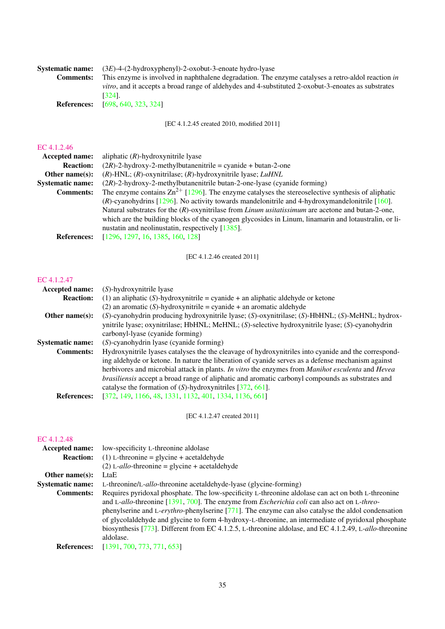| <b>Systematic name:</b> | $(3E)$ -4- $(2$ -hydroxyphenyl)-2-oxobut-3-enoate hydro-lyase                                               |
|-------------------------|-------------------------------------------------------------------------------------------------------------|
| <b>Comments:</b>        | This enzyme is involved in naphthalene degradation. The enzyme catalyses a retro-aldol reaction in          |
|                         | <i>vitro</i> , and it accepts a broad range of aldehydes and 4-substituted 2-oxobut-3-enoates as substrates |
|                         | [324].                                                                                                      |
| <b>References:</b>      | [698, 640, 323, 324]                                                                                        |

[EC 4.1.2.45 created 2010, modified 2011]

## [EC 4.1.2.46](http://www.enzyme-database.org/query.php?ec=4.1.2.46)

| <b>Accepted name:</b>   | aliphatic $(R)$ -hydroxynitrile lyase                                                                        |
|-------------------------|--------------------------------------------------------------------------------------------------------------|
| <b>Reaction:</b>        | $(2R)$ -2-hydroxy-2-methylbutanenitrile = cyanide + butan-2-one                                              |
| Other name $(s)$ :      | $(R)$ -HNL; $(R)$ -oxynitrilase; $(R)$ -hydroxynitrile lyase; <i>LuHNL</i>                                   |
| <b>Systematic name:</b> | $(2R)$ -2-hydroxy-2-methylbutanenitrile butan-2-one-lyase (cyanide forming)                                  |
| <b>Comments:</b>        | The enzyme contains $\text{Zn}^{2+}$ [1296]. The enzyme catalyses the stereoselective synthesis of aliphatic |
|                         | $(R)$ -cyanohydrins [1296]. No activity towards mandelonitrile and 4-hydroxymandelonitrile [160].            |
|                         | Natural substrates for the $(R)$ -oxynitrilase from <i>Linum usitatissimum</i> are acetone and butan-2-one,  |
|                         | which are the building blocks of the cyanogen glycosides in Linum, linamarin and lotaustralin, or li-        |
|                         | nustatin and neolinustatin, respectively [1385].                                                             |
| <b>References:</b>      | [1296, 1297, 16, 1385, 160, 128]                                                                             |
|                         |                                                                                                              |

[EC 4.1.2.46 created 2011]

## [EC 4.1.2.47](http://www.enzyme-database.org/query.php?ec=4.1.2.47)

| <b>Accepted name:</b>   | (S)-hydroxynitrile lyase                                                                                |
|-------------------------|---------------------------------------------------------------------------------------------------------|
| <b>Reaction:</b>        | (1) an aliphatic (S)-hydroxynitrile = cyanide + an aliphatic aldehyde or ketone                         |
|                         | (2) an aromatic (S)-hydroxynitrile = cyanide + an aromatic aldehyde                                     |
| Other name $(s)$ :      | (S)-cyanohydrin producing hydroxynitrile lyase; (S)-oxynitrilase; (S)-HbHNL; (S)-MeHNL; hydrox-         |
|                         | ynitrile lyase; oxynitrilase; HbHNL; MeHNL; (S)-selective hydroxynitrile lyase; (S)-cyanohydrin         |
|                         | carbonyl-lyase (cyanide forming)                                                                        |
| <b>Systematic name:</b> | (S)-cyanohydrin lyase (cyanide forming)                                                                 |
| <b>Comments:</b>        | Hydroxynitrile lyases catalyses the the cleavage of hydroxynitriles into cyanide and the correspond-    |
|                         | ing aldehyde or ketone. In nature the liberation of cyanide serves as a defense mechanism against       |
|                         | herbivores and microbial attack in plants. In vitro the enzymes from Manihot esculenta and Hevea        |
|                         | <i>brasiliensis</i> accept a broad range of aliphatic and aromatic carbonyl compounds as substrates and |
|                         | catalyse the formation of $(S)$ -hydroxynitriles [372, 661].                                            |
| <b>References:</b>      | [372, 149, 1166, 48, 1331, 1132, 401, 1334, 1136, 661]                                                  |

[EC 4.1.2.47 created 2011]

| <b>Accepted name:</b>   | low-specificity L-threonine aldolase                                                                   |
|-------------------------|--------------------------------------------------------------------------------------------------------|
| <b>Reaction:</b>        | $(1)$ L-threonine = glycine + acetal dehyde                                                            |
|                         | $(2)$ L- <i>allo</i> -threonine = glycine + acetaldehyde                                               |
| Other name $(s)$ :      | LtaE                                                                                                   |
| <b>Systematic name:</b> | L-threonine/L-allo-threonine acetaldehyde-lyase (glycine-forming)                                      |
| <b>Comments:</b>        | Requires pyridoxal phosphate. The low-specificity L-threonine aldolase can act on both L-threonine     |
|                         | and L-allo-threonine [1391, 700]. The enzyme from <i>Escherichia coli</i> can also act on L-threo-     |
|                         | phenylserine and L-erythro-phenylserine [771]. The enzyme can also catalyse the aldol condensation     |
|                         | of glycolaldehyde and glycine to form 4-hydroxy-L-threonine, an intermediate of pyridoxal phosphate    |
|                         | biosynthesis [773]. Different from EC 4.1.2.5, L-threonine aldolase, and EC 4.1.2.49, L-allo-threonine |
|                         | aldolase.                                                                                              |
| <b>References:</b>      | [1391, 700, 773, 771, 653]                                                                             |
|                         |                                                                                                        |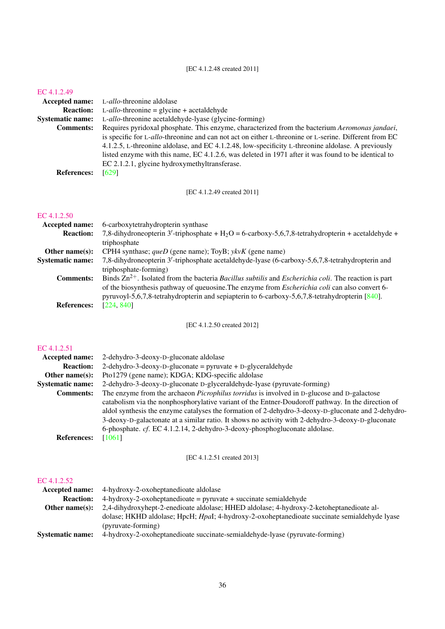[EC 4.1.2.48 created 2011]

#### [EC 4.1.2.49](http://www.enzyme-database.org/query.php?ec=4.1.2.49)

| $L$ - <i>allo</i> -threonine = glycine + acetaldehyde<br><b>Reaction:</b><br>L-allo-threonine acetaldehyde-lyase (glycine-forming)<br>Requires pyridoxal phosphate. This enzyme, characterized from the bacterium Aeromonas jandaei,<br><b>Comments:</b><br>is specific for L-allo-threonine and can not act on either L-threonine or L-serine. Different from EC<br>4.1.2.5, L-threonine aldolase, and EC 4.1.2.48, low-specificity L-threonine aldolase. A previously<br>listed enzyme with this name, EC 4.1.2.6, was deleted in 1971 after it was found to be identical to<br>EC 2.1.2.1, glycine hydroxymethyltransferase.<br>[629]<br><b>References:</b> |                         | <b>Accepted name:</b> L-allo-threonine aldolase |
|----------------------------------------------------------------------------------------------------------------------------------------------------------------------------------------------------------------------------------------------------------------------------------------------------------------------------------------------------------------------------------------------------------------------------------------------------------------------------------------------------------------------------------------------------------------------------------------------------------------------------------------------------------------|-------------------------|-------------------------------------------------|
|                                                                                                                                                                                                                                                                                                                                                                                                                                                                                                                                                                                                                                                                |                         |                                                 |
|                                                                                                                                                                                                                                                                                                                                                                                                                                                                                                                                                                                                                                                                | <b>Systematic name:</b> |                                                 |
|                                                                                                                                                                                                                                                                                                                                                                                                                                                                                                                                                                                                                                                                |                         |                                                 |
|                                                                                                                                                                                                                                                                                                                                                                                                                                                                                                                                                                                                                                                                |                         |                                                 |
|                                                                                                                                                                                                                                                                                                                                                                                                                                                                                                                                                                                                                                                                |                         |                                                 |
|                                                                                                                                                                                                                                                                                                                                                                                                                                                                                                                                                                                                                                                                |                         |                                                 |
|                                                                                                                                                                                                                                                                                                                                                                                                                                                                                                                                                                                                                                                                |                         |                                                 |
|                                                                                                                                                                                                                                                                                                                                                                                                                                                                                                                                                                                                                                                                |                         |                                                 |

[EC 4.1.2.49 created 2011]

## [EC 4.1.2.50](http://www.enzyme-database.org/query.php?ec=4.1.2.50)

| Accepted name:          | 6-carboxytetrahydropterin synthase                                                                                              |
|-------------------------|---------------------------------------------------------------------------------------------------------------------------------|
| <b>Reaction:</b>        | 7,8-dihydroneopterin 3'-triphosphate + H <sub>2</sub> O = 6-carboxy-5,6,7,8-tetrahydropterin + acetaldehyde +                   |
|                         | triphosphate                                                                                                                    |
| Other name $(s)$ :      | CPH4 synthase; $queD$ (gene name); ToyB; $ykvK$ (gene name)                                                                     |
| <b>Systematic name:</b> | 7,8-dihydroneopterin 3'-triphosphate acetaldehyde-lyase (6-carboxy-5,6,7,8-tetrahydropterin and                                 |
|                         | triphosphate-forming)                                                                                                           |
| <b>Comments:</b>        | Binds $\text{Zn}^{2+}$ . Isolated from the bacteria <i>Bacillus subtilis</i> and <i>Escherichia coli</i> . The reaction is part |
|                         | of the biosynthesis pathway of queuosine. The enzyme from <i>Escherichia coli</i> can also convert 6-                           |
|                         | pyruvoyl-5,6,7,8-tetrahydropterin and sepiapterin to 6-carboxy-5,6,7,8-tetrahydropterin [840].                                  |
| <b>References:</b>      | [224, 840]                                                                                                                      |
|                         |                                                                                                                                 |

[EC 4.1.2.50 created 2012]

## [EC 4.1.2.51](http://www.enzyme-database.org/query.php?ec=4.1.2.51)

| <b>Accepted name:</b>   | 2-dehydro-3-deoxy-D-gluconate aldolase                                                             |
|-------------------------|----------------------------------------------------------------------------------------------------|
| <b>Reaction:</b>        | $2$ -dehydro-3-deoxy-D-gluconate = pyruvate + D-glyceraldehyde                                     |
| Other name $(s)$ :      | Pto1279 (gene name); KDGA; KDG-specific aldolase                                                   |
| <b>Systematic name:</b> | 2-dehydro-3-deoxy-D-gluconate D-glyceraldehyde-lyase (pyruvate-forming)                            |
| <b>Comments:</b>        | The enzyme from the archaeon <i>Picrophilus torridus</i> is involved in D-glucose and D-galactose  |
|                         | catabolism via the nonphosphorylative variant of the Entner-Doudoroff pathway. In the direction of |
|                         | aldol synthesis the enzyme catalyses the formation of 2-dehydro-3-deoxy-D-gluconate and 2-dehydro- |
|                         | 3-deoxy-D-galactonate at a similar ratio. It shows no activity with 2-dehydro-3-deoxy-D-gluconate  |
|                         | 6-phosphate. cf. EC 4.1.2.14, 2-dehydro-3-deoxy-phosphogluconate aldolase.                         |
| <b>References:</b>      | [1061]                                                                                             |
|                         |                                                                                                    |

## [EC 4.1.2.51 created 2013]

| Accepted name:          | 4-hydroxy-2-oxoheptanedioate aldolase                                                        |
|-------------------------|----------------------------------------------------------------------------------------------|
| <b>Reaction:</b>        | $4-hydroxy-2-oxoheptane dioate = pyruvate + succinate semialdehyde$                          |
| Other name $(s)$ :      | 2,4-dihydroxyhept-2-enedioate aldolase; HHED aldolase; 4-hydroxy-2-ketoheptanedioate al-     |
|                         | dolase; HKHD aldolase; HpcH; HpaI; 4-hydroxy-2-oxoheptanedioate succinate semialdehyde lyase |
|                         | (pyruvate-forming)                                                                           |
| <b>Systematic name:</b> | 4-hydroxy-2-oxoheptanedioate succinate-semialdehyde-lyase (pyruvate-forming)                 |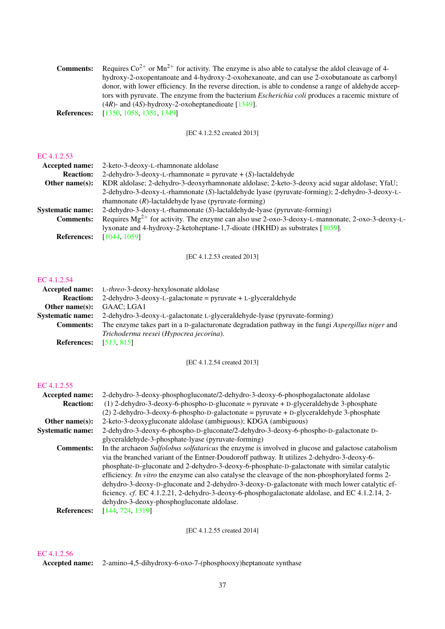| <b>Comments:</b>   | Requires $Co^{2+}$ or Mn <sup>2+</sup> for activity. The enzyme is also able to catalyse the aldol cleavage of 4- |
|--------------------|-------------------------------------------------------------------------------------------------------------------|
|                    | hydroxy-2-oxopentanoate and 4-hydroxy-2-oxohexanoate, and can use 2-oxobutanoate as carbonyl                      |
|                    | donor, with lower efficiency. In the reverse direction, is able to condense a range of aldehyde accep-            |
|                    | tors with pyruvate. The enzyme from the bacterium <i>Escherichia coli</i> produces a racemic mixture of           |
|                    | $(4R)$ - and $(4S)$ -hydroxy-2-oxoheptanedioate [1349].                                                           |
| <b>References:</b> | [1350, 1058, 1351, 1349]                                                                                          |

[EC 4.1.2.52 created 2013]

## [EC 4.1.2.53](http://www.enzyme-database.org/query.php?ec=4.1.2.53)

| <b>Accepted name:</b>   | 2-keto-3-deoxy-L-rhamnonate aldolase                                                                 |
|-------------------------|------------------------------------------------------------------------------------------------------|
| <b>Reaction:</b>        | 2-dehydro-3-deoxy-L-rhamnonate = pyruvate + $(S)$ -lactaldehyde                                      |
| Other name $(s)$ :      | KDR aldolase; 2-dehydro-3-deoxyrhamnonate aldolase; 2-keto-3-deoxy acid sugar aldolase; YfaU;        |
|                         | 2-dehydro-3-deoxy-L-rhamnonate (S)-lactaldehyde lyase (pyruvate-forming); 2-dehydro-3-deoxy-L-       |
|                         | rhamnonate $(R)$ -lactaldehyde lyase (pyruvate-forming)                                              |
| <b>Systematic name:</b> | 2-dehydro-3-deoxy-L-rhamnonate (S)-lactaldehyde-lyase (pyruvate-forming)                             |
| <b>Comments:</b>        | Requires $Mg^{2+}$ for activity. The enzyme can also use 2-oxo-3-deoxy-L-mannonate, 2-oxo-3-deoxy-L- |
|                         | lyxonate and 4-hydroxy-2-ketoheptane-1,7-dioate (HKHD) as substrates [1059].                         |
| <b>References:</b>      | [1044, 1059]                                                                                         |

[EC 4.1.2.53 created 2013]

## [EC 4.1.2.54](http://www.enzyme-database.org/query.php?ec=4.1.2.54)

|                         | <b>Accepted name:</b> L-threo-3-deoxy-hexylosonate aldolase                                       |
|-------------------------|---------------------------------------------------------------------------------------------------|
| <b>Reaction:</b>        | 2-dehydro-3-deoxy-L-galactonate = pyruvate + L-glyceraldehyde                                     |
| Other name $(s)$ :      | GAAC: LGA1                                                                                        |
| <b>Systematic name:</b> | 2-dehydro-3-deoxy-L-galactonate L-glyceraldehyde-lyase (pyruvate-forming)                         |
| <b>Comments:</b>        | The enzyme takes part in a D-galacturonate degradation pathway in the fungi Aspergillus niger and |
|                         | Trichoderma reesei (Hypocrea jecorina).                                                           |
| <b>References:</b>      | [513, 815]                                                                                        |

[EC 4.1.2.54 created 2013]

## [EC 4.1.2.55](http://www.enzyme-database.org/query.php?ec=4.1.2.55)

| Accepted name:          | 2-dehydro-3-deoxy-phosphogluconate/2-dehydro-3-deoxy-6-phosphogalactonate aldolase                 |
|-------------------------|----------------------------------------------------------------------------------------------------|
| <b>Reaction:</b>        | $(1)$ 2-dehydro-3-deoxy-6-phospho-D-gluconate = pyruvate + D-glyceraldehyde 3-phosphate            |
|                         | $(2)$ 2-dehydro-3-deoxy-6-phospho-D-galactonate = pyruvate + D-glyceraldehyde 3-phosphate          |
| Other name $(s)$ :      | 2-keto-3-deoxygluconate aldolase (ambiguous); KDGA (ambiguous)                                     |
| <b>Systematic name:</b> | 2-dehydro-3-deoxy-6-phospho-D-gluconate/2-dehydro-3-deoxy-6-phospho-D-galactonate D-               |
|                         | glyceraldehyde-3-phosphate-lyase (pyruvate-forming)                                                |
| <b>Comments:</b>        | In the archaeon Sulfolobus solfataricus the enzyme is involved in glucose and galactose catabolism |
|                         | via the branched variant of the Entner-Doudoroff pathway. It utilizes 2-dehydro-3-deoxy-6-         |
|                         | phosphate-D-gluconate and 2-dehydro-3-deoxy-6-phosphate-D-galactonate with similar catalytic       |
|                         | efficiency. In vitro the enzyme can also catalyse the cleavage of the non-phosphorylated forms 2-  |
|                         | dehydro-3-deoxy-D-gluconate and 2-dehydro-3-deoxy-D-galactonate with much lower catalytic ef-      |
|                         | ficiency. cf. EC 4.1.2.21, 2-dehydro-3-deoxy-6-phosphogalactonate aldolase, and EC 4.1.2.14, 2-    |
|                         | dehydro-3-deoxy-phosphogluconate aldolase.                                                         |
| <b>References:</b>      | [144, 724, 1319]                                                                                   |

[EC 4.1.2.55 created 2014]

## [EC 4.1.2.56](http://www.enzyme-database.org/query.php?ec=4.1.2.56)

Accepted name: 2-amino-4,5-dihydroxy-6-oxo-7-(phosphooxy)heptanoate synthase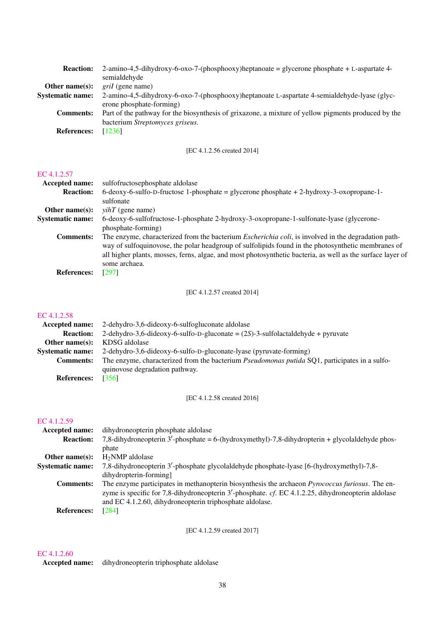| <b>Reaction:</b>        | $2\text{-amino-4,5-dihydroxy-6-oxo-7-(phosphooxy)}$ heptanoate = glycerone phosphate + L-aspartate 4- |
|-------------------------|-------------------------------------------------------------------------------------------------------|
|                         | semialdehyde                                                                                          |
| Other name $(s)$ :      | <i>gril</i> (gene name)                                                                               |
| <b>Systematic name:</b> | 2-amino-4,5-dihydroxy-6-oxo-7-(phosphooxy)heptanoate L-aspartate 4-semialdehyde-lyase (glyc-          |
|                         | erone phosphate-forming)                                                                              |
| <b>Comments:</b>        | Part of the pathway for the biosynthesis of grixazone, a mixture of yellow pigments produced by the   |
|                         | bacterium Streptomyces griseus.                                                                       |
| <b>References:</b>      | [1236]                                                                                                |

[EC 4.1.2.56 created 2014]

#### [EC 4.1.2.57](http://www.enzyme-database.org/query.php?ec=4.1.2.57)

| <b>Accepted name:</b>   | sulfofructosephosphate aldolase                                                                                                                                                                                                                                                                                                                  |
|-------------------------|--------------------------------------------------------------------------------------------------------------------------------------------------------------------------------------------------------------------------------------------------------------------------------------------------------------------------------------------------|
| <b>Reaction:</b>        | 6-deoxy-6-sulfo-D-fructose 1-phosphate = glycerone phosphate + 2-hydroxy-3-oxopropane-1-                                                                                                                                                                                                                                                         |
|                         | sulfonate                                                                                                                                                                                                                                                                                                                                        |
| Other name $(s)$ :      | $vihT$ (gene name)                                                                                                                                                                                                                                                                                                                               |
| <b>Systematic name:</b> | 6-deoxy-6-sulfofructose-1-phosphate 2-hydroxy-3-oxopropane-1-sulfonate-lyase (glycerone-                                                                                                                                                                                                                                                         |
|                         | phosphate-forming)                                                                                                                                                                                                                                                                                                                               |
| <b>Comments:</b>        | The enzyme, characterized from the bacterium <i>Escherichia coli</i> , is involved in the degradation path-<br>way of sulfoquinovose, the polar headgroup of sulfolipids found in the photosynthetic membranes of<br>all higher plants, mosses, ferns, algae, and most photosynthetic bacteria, as well as the surface layer of<br>some archaea. |
| <b>References:</b>      | [297]                                                                                                                                                                                                                                                                                                                                            |

[EC 4.1.2.57 created 2014]

## [EC 4.1.2.58](http://www.enzyme-database.org/query.php?ec=4.1.2.58)

| Accepted name:          | 2-dehydro-3,6-dideoxy-6-sulfogluconate aldolase                                                      |
|-------------------------|------------------------------------------------------------------------------------------------------|
| <b>Reaction:</b>        | 2-dehydro-3,6-dideoxy-6-sulfo-D-gluconate = $(2S)$ -3-sulfolactaldehyde + pyruvate                   |
| Other name $(s)$ :      | KDSG aldolase                                                                                        |
| <b>Systematic name:</b> | 2-dehydro-3,6-dideoxy-6-sulfo-D-gluconate-lyase (pyruvate-forming)                                   |
| <b>Comments:</b>        | The enzyme, characterized from the bacterium <i>Pseudomonas putida</i> SQ1, participates in a sulfo- |
|                         | quinovose degradation pathway.                                                                       |
| <b>References:</b>      | [356]                                                                                                |

[EC 4.1.2.58 created 2016]

## [EC 4.1.2.59](http://www.enzyme-database.org/query.php?ec=4.1.2.59)

| <b>Accepted name:</b>   | dihydroneopterin phosphate aldolase                                                                     |
|-------------------------|---------------------------------------------------------------------------------------------------------|
| <b>Reaction:</b>        | 7,8-dihydroneopterin 3'-phosphate = 6-(hydroxymethyl)-7,8-dihydropterin + glycolaldehyde phos-          |
|                         | phate                                                                                                   |
| Other name $(s)$ :      | $H_2NMP$ aldolase                                                                                       |
| <b>Systematic name:</b> | 7,8-dihydroneopterin 3'-phosphate glycolaldehyde phosphate-lyase [6-(hydroxymethyl)-7,8-                |
|                         | dihydropterin-forming]                                                                                  |
| <b>Comments:</b>        | The enzyme participates in methanopterin biosynthesis the archaeon <i>Pyrococcus furiosus</i> . The en- |
|                         | zyme is specific for 7,8-dihydroneopterin $3'$ -phosphate. cf. EC 4.1.2.25, dihydroneopterin aldolase   |
|                         | and EC 4.1.2.60, dihydroneopterin triphosphate aldolase.                                                |
| <b>References:</b>      | [284]                                                                                                   |

[EC 4.1.2.59 created 2017]

## [EC 4.1.2.60](http://www.enzyme-database.org/query.php?ec=4.1.2.60)

Accepted name: dihydroneopterin triphosphate aldolase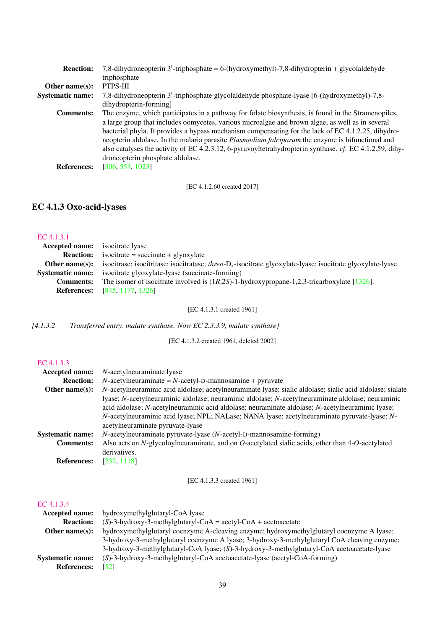| <b>Reaction:</b>        | 7,8-dihydroneopterin 3'-triphosphate = 6-(hydroxymethyl)-7,8-dihydropterin + glycolaldehyde               |
|-------------------------|-----------------------------------------------------------------------------------------------------------|
|                         | triphosphate                                                                                              |
| Other name $(s)$ :      | PTPS-III                                                                                                  |
| <b>Systematic name:</b> | 7,8-dihydroneopterin 3'-triphosphate glycolaldehyde phosphate-lyase [6-(hydroxymethyl)-7,8-               |
|                         | dihydropterin-forming]                                                                                    |
| <b>Comments:</b>        | The enzyme, which participates in a pathway for folate biosynthesis, is found in the Stramenopiles,       |
|                         | a large group that includes oomycetes, various microalgae and brown algae, as well as in several          |
|                         | bacterial phyla. It provides a bypass mechanism compensating for the lack of EC 4.1.2.25, dihydro-        |
|                         | neopterin aldolase. In the malaria parasite <i>Plasmodium falciparum</i> the enzyme is bifunctional and   |
|                         | also catalyses the activity of EC 4.2.3.12, 6-pyruvoyltetrahydropterin synthase. $cf.$ EC 4.1.2.59, dihy- |
|                         | droneopterin phosphate aldolase.                                                                          |
| <b>References:</b>      | [306, 553, 1023]                                                                                          |

[EC 4.1.2.60 created 2017]

# EC 4.1.3 Oxo-acid-lyases

| EC 4.1.3.1              |                                                                                                                |
|-------------------------|----------------------------------------------------------------------------------------------------------------|
| <b>Accepted name:</b>   | isocitrate lyase                                                                                               |
| <b>Reaction:</b>        | $isocitrate = succinate + glyoxylate$                                                                          |
| Other name(s):          | isocitrase; isocitritase; isocitratase; three- $D_s$ -isocitrate glyoxylate-lyase; isocitrate glyoxylate-lyase |
| <b>Systematic name:</b> | isocitrate glyoxylate-lyase (succinate-forming)                                                                |
| <b>Comments:</b>        | The isomer of isocitrate involved is $(1R,2S)$ -1-hydroxypropane-1,2,3-tricarboxylate [1326].                  |
| <b>References:</b>      | [845, 1177, 1326]                                                                                              |

[EC 4.1.3.1 created 1961]

*[4.1.3.2 Transferred entry. malate synthase. Now EC 2.3.3.9, malate synthase]*

[EC 4.1.3.2 created 1961, deleted 2002]

#### [EC 4.1.3.3](http://www.enzyme-database.org/query.php?ec=4.1.3.3)

| <b>Accepted name:</b>   | <i>N</i> -acetylneuraminate lyase                                                                                                |
|-------------------------|----------------------------------------------------------------------------------------------------------------------------------|
| <b>Reaction:</b>        | $N$ -acetylneuraminate = $N$ -acetyl-D-mannosamine + pyruvate                                                                    |
| Other name $(s)$ :      | N-acetylneuraminic acid aldolase; acetylneuraminate lyase; sialic aldolase; sialic acid aldolase; sialate                        |
|                         | lyase; N-acetylneuraminic aldolase; neuraminic aldolase; N-acetylneuraminate aldolase; neuraminic                                |
|                         | acid aldolase; N-acetylneuraminic acid aldolase; neuraminate aldolase; N-acetylneuraminic lyase;                                 |
|                         | N-acetylneuraminic acid lyase; NPL; NALase; NANA lyase; acetylneuraminate pyruvate-lyase; N-<br>acetylneuraminate pyruvate-lyase |
| <b>Systematic name:</b> | $N$ -acetylneuraminate pyruvate-lyase ( $N$ -acetyl-D-mannosamine-forming)                                                       |
| <b>Comments:</b>        | Also acts on $N$ -glycoloylneuraminate, and on $O$ -acetylated sialic acids, other than 4- $O$ -acetylated                       |
|                         | derivatives.                                                                                                                     |
| <b>References:</b>      | [232, 1118]                                                                                                                      |
|                         |                                                                                                                                  |

[EC 4.1.3.3 created 1961]

| Accepted name:          | hydroxymethylglutaryl-CoA lyase                                                              |
|-------------------------|----------------------------------------------------------------------------------------------|
| <b>Reaction:</b>        | $(S)$ -3-hydroxy-3-methylglutaryl-CoA = acetyl-CoA + acetoacetate                            |
| Other name $(s)$ :      | hydroxymethylglutaryl coenzyme A-cleaving enzyme; hydroxymethylglutaryl coenzyme A lyase;    |
|                         | 3-hydroxy-3-methylglutaryl coenzyme A lyase; 3-hydroxy-3-methylglutaryl CoA cleaving enzyme; |
|                         | 3-hydroxy-3-methylglutaryl-CoA lyase; (S)-3-hydroxy-3-methylglutaryl-CoA acetoacetate-lyase  |
| <b>Systematic name:</b> | $(S)$ -3-hydroxy-3-methylglutaryl-CoA acetoacetate-lyase (acetyl-CoA-forming)                |
| <b>References:</b>      | $\sqrt{521}$                                                                                 |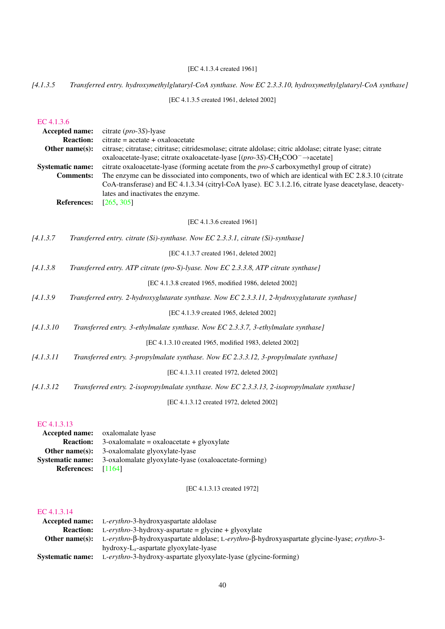## [EC 4.1.3.4 created 1961]

## *[4.1.3.5 Transferred entry. hydroxymethylglutaryl-CoA synthase. Now EC 2.3.3.10, hydroxymethylglutaryl-CoA synthase]*

[EC 4.1.3.5 created 1961, deleted 2002]

#### [EC 4.1.3.6](http://www.enzyme-database.org/query.php?ec=4.1.3.6)

|            | Accepted name:                              | citrate $(pro-3S)$ -lyase                                                                                                                                                                                |
|------------|---------------------------------------------|----------------------------------------------------------------------------------------------------------------------------------------------------------------------------------------------------------|
|            | <b>Reaction:</b>                            | $citrate = acetate + oxaloacetate$                                                                                                                                                                       |
|            | Other name $(s)$ :                          | citrase; citratase; citritase; citridesmolase; citrate aldolase; citric aldolase; citrate lyase; citrate                                                                                                 |
|            |                                             | oxaloacetate-lyase; citrate oxaloacetate-lyase $[(pro-3S)$ -CH <sub>2</sub> COO <sup>-</sup> $\rightarrow$ acetate]                                                                                      |
|            | <b>Systematic name:</b><br><b>Comments:</b> | citrate oxaloacetate-lyase (forming acetate from the <i>pro-S</i> carboxymethyl group of citrate)<br>The enzyme can be dissociated into components, two of which are identical with EC 2.8.3.10 (citrate |
|            |                                             | CoA-transferase) and EC 4.1.3.34 (citryl-CoA lyase). EC 3.1.2.16, citrate lyase deacetylase, deacety-                                                                                                    |
|            |                                             | lates and inactivates the enzyme.                                                                                                                                                                        |
|            | <b>References:</b>                          | [265, 305]                                                                                                                                                                                               |
|            |                                             |                                                                                                                                                                                                          |
|            |                                             | [EC 4.1.3.6 created 1961]                                                                                                                                                                                |
| [4.1.3.7]  |                                             | Transferred entry. citrate (Si)-synthase. Now EC 2.3.3.1, citrate (Si)-synthase]                                                                                                                         |
|            |                                             | [EC 4.1.3.7 created 1961, deleted 2002]                                                                                                                                                                  |
| [4.1.3.8]  |                                             | Transferred entry. ATP citrate (pro-S)-lyase. Now EC 2.3.3.8, ATP citrate synthase]                                                                                                                      |
|            |                                             | [EC 4.1.3.8 created 1965, modified 1986, deleted 2002]                                                                                                                                                   |
| [4.1.3.9]  |                                             | Transferred entry. 2-hydroxyglutarate synthase. Now EC 2.3.3.11, 2-hydroxyglutarate synthase]                                                                                                            |
|            |                                             | [EC 4.1.3.9 created 1965, deleted 2002]                                                                                                                                                                  |
| [4.1.3.10] |                                             | Transferred entry. 3-ethylmalate synthase. Now EC 2.3.3.7, 3-ethylmalate synthase]                                                                                                                       |
|            |                                             | [EC 4.1.3.10 created 1965, modified 1983, deleted 2002]                                                                                                                                                  |
| [4.1.3.11] |                                             | Transferred entry. 3-propylmalate synthase. Now EC 2.3.3.12, 3-propylmalate synthase]                                                                                                                    |
|            |                                             | [EC 4.1.3.11 created 1972, deleted 2002]                                                                                                                                                                 |
| [4.1.3.12] |                                             | Transferred entry. 2-isopropylmalate synthase. Now EC 2.3.3.13, 2-isopropylmalate synthase]                                                                                                              |
|            |                                             | [EC 4.1.3.12 created 1972, deleted 2002]                                                                                                                                                                 |

## [EC 4.1.3.13](http://www.enzyme-database.org/query.php?ec=4.1.3.13)

|                         | <b>Accepted name:</b> oxalomalate lyase               |
|-------------------------|-------------------------------------------------------|
| <b>Reaction:</b>        | $3$ -oxalomalate = oxaloacetate + glyoxylate          |
| Other name $(s)$ :      | 3-oxalomalate glyoxylate-lyase                        |
| <b>Systematic name:</b> | 3-oxalomalate glyoxylate-lyase (oxaloacetate-forming) |
| <b>References:</b>      | - [1164]                                              |

[EC 4.1.3.13 created 1972]

|                         | <b>Accepted name:</b> L-erythro-3-hydroxyaspartate aldolase                                                                         |
|-------------------------|-------------------------------------------------------------------------------------------------------------------------------------|
|                         | <b>Reaction:</b> L-erythro-3-hydroxy-aspartate = glycine + glyoxylate                                                               |
|                         | <b>Other name(s):</b> L-erythro- $\beta$ -hydroxyaspartate aldolase; L-erythro- $\beta$ -hydroxyaspartate glycine-lyase; erythro-3- |
|                         | $hydroxy-Ls$ -aspartate glyoxylate-lyase                                                                                            |
| <b>Systematic name:</b> | L-erythro-3-hydroxy-aspartate glyoxylate-lyase (glycine-forming)                                                                    |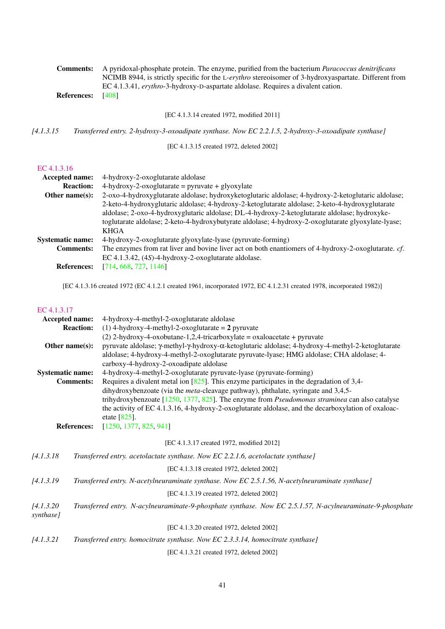| <b>Comments:</b>         | A pyridoxal-phosphate protein. The enzyme, purified from the bacterium <i>Paracoccus denitrificans</i> |
|--------------------------|--------------------------------------------------------------------------------------------------------|
|                          | NCIMB 8944, is strictly specific for the L-erythro stereoisomer of 3-hydroxyaspartate. Different from  |
|                          | EC 4.1.3.41, erythro-3-hydroxy-D-aspartate aldolase. Requires a divalent cation.                       |
| <b>References:</b> [408] |                                                                                                        |

[EC 4.1.3.14 created 1972, modified 2011]

*[4.1.3.15 Transferred entry. 2-hydroxy-3-oxoadipate synthase. Now EC 2.2.1.5, 2-hydroxy-3-oxoadipate synthase]*

[EC 4.1.3.15 created 1972, deleted 2002]

## [EC 4.1.3.16](http://www.enzyme-database.org/query.php?ec=4.1.3.16)

| <b>Accepted name:</b>   | 4-hydroxy-2-oxoglutarate aldolase                                                                    |
|-------------------------|------------------------------------------------------------------------------------------------------|
| <b>Reaction:</b>        | $4$ -hydroxy-2-oxoglutarate = pyruvate + glyoxylate                                                  |
| Other name $(s)$ :      | 2-oxo-4-hydroxyglutarate aldolase; hydroxyketoglutaric aldolase; 4-hydroxy-2-ketoglutaric aldolase;  |
|                         | 2-keto-4-hydroxyglutaric aldolase; 4-hydroxy-2-ketoglutarate aldolase; 2-keto-4-hydroxyglutarate     |
|                         | aldolase; 2-oxo-4-hydroxyglutaric aldolase; DL-4-hydroxy-2-ketoglutarate aldolase; hydroxyke-        |
|                         | toglutarate aldolase; 2-keto-4-hydroxybutyrate aldolase; 4-hydroxy-2-oxoglutarate glyoxylate-lyase;  |
|                         | <b>KHGA</b>                                                                                          |
| <b>Systematic name:</b> | 4-hydroxy-2-oxoglutarate glyoxylate-lyase (pyruvate-forming)                                         |
| <b>Comments:</b>        | The enzymes from rat liver and bovine liver act on both enantiomers of 4-hydroxy-2-oxoglutarate. cf. |
|                         | EC 4.1.3.42, $(4S)$ -4-hydroxy-2-oxoglutarate aldolase.                                              |
| <b>References:</b>      | [714, 668, 727, 1146]                                                                                |

[EC 4.1.3.16 created 1972 (EC 4.1.2.1 created 1961, incorporated 1972, EC 4.1.2.31 created 1978, incorporated 1982)]

| Accepted name:          |                    | 4-hydroxy-4-methyl-2-oxoglutarate aldolase                                                                                                                                                                                                 |
|-------------------------|--------------------|--------------------------------------------------------------------------------------------------------------------------------------------------------------------------------------------------------------------------------------------|
|                         | <b>Reaction:</b>   | $(1)$ 4-hydroxy-4-methyl-2-oxoglutarate = 2 pyruvate                                                                                                                                                                                       |
|                         |                    | $(2)$ 2-hydroxy-4-oxobutane-1,2,4-tricarboxylate = oxaloacetate + pyruvate                                                                                                                                                                 |
| Other name(s):          |                    | pyruvate aldolase; γ-methyl-γ-hydroxy-α-ketoglutaric aldolase; 4-hydroxy-4-methyl-2-ketoglutarate<br>aldolase; 4-hydroxy-4-methyl-2-oxoglutarate pyruvate-lyase; HMG aldolase; CHA aldolase; 4-<br>carboxy-4-hydroxy-2-oxoadipate aldolase |
| <b>Systematic name:</b> |                    | 4-hydroxy-4-methyl-2-oxoglutarate pyruvate-lyase (pyruvate-forming)                                                                                                                                                                        |
| <b>Comments:</b>        |                    | Requires a divalent metal ion $[825]$ . This enzyme participates in the degradation of 3,4-                                                                                                                                                |
|                         |                    | dihydroxybenzoate (via the <i>meta</i> -cleavage pathway), phthalate, syringate and 3,4,5-                                                                                                                                                 |
|                         |                    | trihydroxybenzoate $[1250, 1377, 825]$ . The enzyme from <i>Pseudomonas straminea</i> can also catalyse                                                                                                                                    |
|                         |                    | the activity of EC 4.1.3.16, 4-hydroxy-2-oxoglutarate aldolase, and the decarboxylation of oxaloac-                                                                                                                                        |
|                         |                    | etate $[825]$ .                                                                                                                                                                                                                            |
|                         | <b>References:</b> | [1250, 1377, 825, 941]                                                                                                                                                                                                                     |
|                         |                    | [EC 4.1.3.17 created 1972, modified 2012]                                                                                                                                                                                                  |
| [4.1.3.18]              |                    | Transferred entry. acetolactate synthase. Now EC 2.2.1.6, acetolactate synthase]                                                                                                                                                           |
|                         |                    | [EC 4.1.3.18 created 1972, deleted 2002]                                                                                                                                                                                                   |
| [4.1.3.19               |                    | Transferred entry. N-acetylneuraminate synthase. Now EC 2.5.1.56, N-acetylneuraminate synthase]                                                                                                                                            |
|                         |                    | [EC 4.1.3.19 created 1972, deleted 2002]                                                                                                                                                                                                   |
| [4.1.3.20]<br>synthase] |                    | Transferred entry. N-acylneuraminate-9-phosphate synthase. Now EC 2.5.1.57, N-acylneuraminate-9-phosphate                                                                                                                                  |
|                         |                    | [EC 4.1.3.20 created 1972, deleted 2002]                                                                                                                                                                                                   |
| [4.1.3.21]              |                    | Transferred entry. homocitrate synthase. Now EC 2.3.3.14, homocitrate synthase]                                                                                                                                                            |
|                         |                    | [EC 4.1.3.21 created 1972, deleted 2002]                                                                                                                                                                                                   |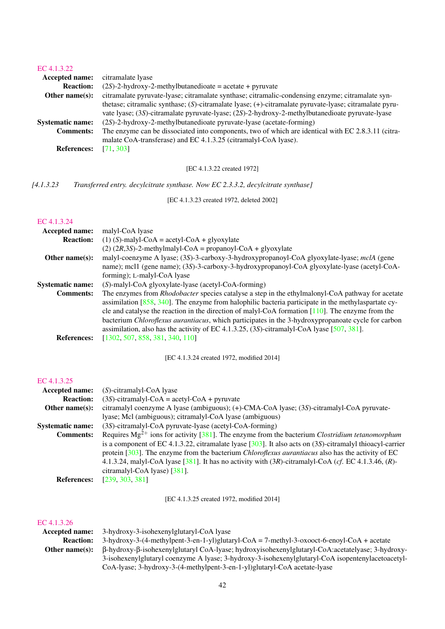| EC 4.1.3.22             |                                                                                                                                                                                                           |
|-------------------------|-----------------------------------------------------------------------------------------------------------------------------------------------------------------------------------------------------------|
| Accepted name:          | citramalate lyase                                                                                                                                                                                         |
| <b>Reaction:</b>        | $(2S)$ -2-hydroxy-2-methylbutanedioate = acetate + pyruvate                                                                                                                                               |
| Other name $(s)$ :      | citramalate pyruvate-lyase; citramalate synthase; citramalic-condensing enzyme; citramalate syn-                                                                                                          |
|                         | thetase; citramalic synthase; (S)-citramalate lyase; (+)-citramalate pyruvate-lyase; citramalate pyru-<br>vate lyase; (3S)-citramalate pyruvate-lyase; (2S)-2-hydroxy-2-methylbutanedioate pyruvate-lyase |
| <b>Systematic name:</b> | (2S)-2-hydroxy-2-methylbutanedioate pyruvate-lyase (acetate-forming)                                                                                                                                      |
| <b>Comments:</b>        | The enzyme can be dissociated into components, two of which are identical with EC 2.8.3.11 (citra-                                                                                                        |
|                         | malate CoA-transferase) and EC 4.1.3.25 (citramalyl-CoA lyase).                                                                                                                                           |
| <b>References:</b>      | [71, 303]                                                                                                                                                                                                 |

## [EC 4.1.3.22 created 1972]

*[4.1.3.23 Transferred entry. decylcitrate synthase. Now EC 2.3.3.2, decylcitrate synthase]*

[EC 4.1.3.23 created 1972, deleted 2002]

#### [EC 4.1.3.24](http://www.enzyme-database.org/query.php?ec=4.1.3.24)

| Accepted name:          | malyl-CoA lyase                                                                                            |
|-------------------------|------------------------------------------------------------------------------------------------------------|
| <b>Reaction:</b>        | $(1)$ (S)-malyl-CoA = acetyl-CoA + glyoxylate                                                              |
|                         | $(2)$ (2R,3S)-2-methylmalyl-CoA = propanoyl-CoA + glyoxylate                                               |
| Other name $(s)$ :      | malyl-coenzyme A lyase; (3S)-3-carboxy-3-hydroxypropanoyl-CoA glyoxylate-lyase; mclA (gene                 |
|                         | name); mcl1 (gene name); (3S)-3-carboxy-3-hydroxypropanoyl-CoA glyoxylate-lyase (acetyl-CoA-               |
|                         | forming); L-malyl-CoA lyase                                                                                |
| <b>Systematic name:</b> | (S)-malyl-CoA glyoxylate-lyase (acetyl-CoA-forming)                                                        |
| <b>Comments:</b>        | The enzymes from <i>Rhodobacter</i> species catalyse a step in the ethylmalonyl-CoA pathway for acetate    |
|                         | assimilation [858, 340]. The enzyme from halophilic bacteria participate in the methylaspartate cy-        |
|                         | cle and catalyse the reaction in the direction of malyl-CoA formation $[110]$ . The enzyme from the        |
|                         | bacterium <i>Chloroflexus aurantiacus</i> , which participates in the 3-hydroxypropanoate cycle for carbon |
|                         | assimilation, also has the activity of EC 4.1.3.25, $(3S)$ -citramalyl-CoA lyase [507, 381].               |
| <b>References:</b>      | [1302, 507, 858, 381, 340, 110]                                                                            |

[EC 4.1.3.24 created 1972, modified 2014]

## [EC 4.1.3.25](http://www.enzyme-database.org/query.php?ec=4.1.3.25)

| <b>Accepted name:</b>   | $(S)$ -citramalyl-CoA lyase                                                                                                                                                                                                                                                                                                                                                               |
|-------------------------|-------------------------------------------------------------------------------------------------------------------------------------------------------------------------------------------------------------------------------------------------------------------------------------------------------------------------------------------------------------------------------------------|
| <b>Reaction:</b>        | $(3S)$ -citramalyl-CoA = acetyl-CoA + pyruvate                                                                                                                                                                                                                                                                                                                                            |
| Other name $(s)$ :      | citramalyl coenzyme A lyase (ambiguous); (+)-CMA-CoA lyase; (3S)-citramalyl-CoA pyruvate-                                                                                                                                                                                                                                                                                                 |
|                         | lyase; Mcl (ambiguous); citramalyl-CoA lyase (ambiguous)                                                                                                                                                                                                                                                                                                                                  |
| <b>Systematic name:</b> | (3S)-citramalyl-CoA pyruvate-lyase (acetyl-CoA-forming)                                                                                                                                                                                                                                                                                                                                   |
| <b>Comments:</b>        | Requires $Mg^{2+}$ ions for activity [381]. The enzyme from the bacterium <i>Clostridium tetanomorphum</i>                                                                                                                                                                                                                                                                                |
|                         | is a component of EC 4.1.3.22, citramalate lyase $[303]$ . It also acts on (3S)-citramalyl thioacyl-carrier<br>protein $[303]$ . The enzyme from the bacterium <i>Chloroflexus aurantiacus</i> also has the activity of EC<br>4.1.3.24, malyl-CoA lyase [ $381$ ]. It has no activity with $(3R)$ -citramalyl-CoA (cf. EC 4.1.3.46, $(R)$ -<br>citramalyl-CoA lyase) $\left[381\right]$ . |
| <b>References:</b>      | [239, 303, 381]                                                                                                                                                                                                                                                                                                                                                                           |

[EC 4.1.3.25 created 1972, modified 2014]

|                  | <b>Accepted name:</b> 3-hydroxy-3-isohexenylglutaryl-CoA lyase                                                  |
|------------------|-----------------------------------------------------------------------------------------------------------------|
| <b>Reaction:</b> | $3$ -hydroxy-3-(4-methylpent-3-en-1-yl)glutaryl-CoA = 7-methyl-3-oxooct-6-enoyl-CoA + acetate                   |
| Other name(s):   | $\beta$ -hydroxy- $\beta$ -isohexenylglutaryl CoA-lyase; hydroxyisohexenylglutaryl-CoA:acetatelyase; 3-hydroxy- |
|                  | 3-isohexenylglutaryl coenzyme A lyase; 3-hydroxy-3-isohexenylglutaryl-CoA isopentenylacetoacetyl-               |
|                  | CoA-lyase; 3-hydroxy-3-(4-methylpent-3-en-1-yl)glutaryl-CoA acetate-lyase                                       |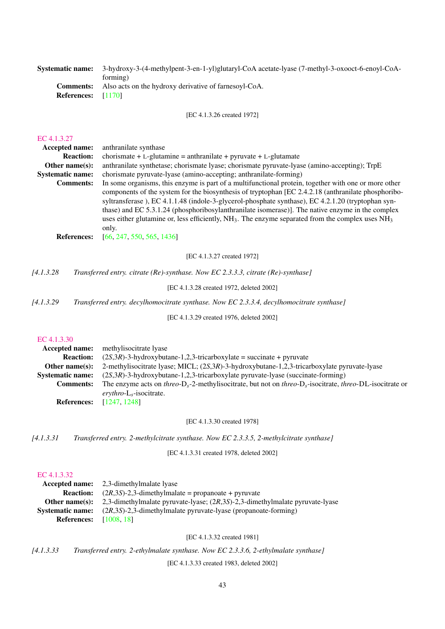| <b>Systematic name:</b>   | 3-hydroxy-3-(4-methylpent-3-en-1-yl)glutaryl-CoA acetate-lyase (7-methyl-3-oxooct-6-enoyl-CoA- |
|---------------------------|------------------------------------------------------------------------------------------------|
|                           | forming)                                                                                       |
|                           | <b>Comments:</b> Also acts on the hydroxy derivative of farnesovl-CoA.                         |
| <b>References:</b> [1170] |                                                                                                |
|                           |                                                                                                |

[EC 4.1.3.26 created 1972]

#### [EC 4.1.3.27](http://www.enzyme-database.org/query.php?ec=4.1.3.27)

| <b>Accepted name:</b>   | anthranilate synthase                                                                                    |
|-------------------------|----------------------------------------------------------------------------------------------------------|
| <b>Reaction:</b>        | chorismate + L-glutamine = anthranilate + pyruvate + L-glutamate                                         |
| Other name $(s)$ :      | anthranilate synthetase; chorismate lyase; chorismate pyruvate-lyase (amino-accepting); TrpE             |
| <b>Systematic name:</b> | chorismate pyruvate-lyase (amino-accepting; anthranilate-forming)                                        |
| <b>Comments:</b>        | In some organisms, this enzyme is part of a multifunctional protein, together with one or more other     |
|                         | components of the system for the biosynthesis of tryptophan [EC 2.4.2.18 (anthranilate phosphoribo-      |
|                         | syltransferase), EC 4.1.1.48 (indole-3-glycerol-phosphate synthase), EC 4.2.1.20 (tryptophan syn-        |
|                         | thase) and EC 5.3.1.24 (phosphoribosylanthranilate isomerase)]. The native enzyme in the complex         |
|                         | uses either glutamine or, less efficiently, $NH_3$ . The enzyme separated from the complex uses $NH_3$ . |
|                         | only.                                                                                                    |
| <b>References:</b>      | [66, 247, 550, 565, 1436]                                                                                |
|                         |                                                                                                          |

[EC 4.1.3.27 created 1972]

*[4.1.3.28 Transferred entry. citrate (Re)-synthase. Now EC 2.3.3.3, citrate (Re)-synthase]*

[EC 4.1.3.28 created 1972, deleted 2002]

*[4.1.3.29 Transferred entry. decylhomocitrate synthase. Now EC 2.3.3.4, decylhomocitrate synthase]*

[EC 4.1.3.29 created 1976, deleted 2002]

#### [EC 4.1.3.30](http://www.enzyme-database.org/query.php?ec=4.1.3.30)

|                                 | <b>Accepted name:</b> methylisocitrate lyase                                                                                     |
|---------------------------------|----------------------------------------------------------------------------------------------------------------------------------|
| <b>Reaction:</b>                | $(2S,3R)$ -3-hydroxybutane-1,2,3-tricarboxylate = succinate + pyruvate                                                           |
| Other name $(s)$ :              | 2-methylisocitrate lyase; MICL; $(2S,3R)$ -3-hydroxybutane-1,2,3-tricarboxylate pyruvate-lyase                                   |
| <b>Systematic name:</b>         | $(2S,3R)$ -3-hydroxybutane-1,2,3-tricarboxylate pyruvate-lyase (succinate-forming)                                               |
| <b>Comments:</b>                | The enzyme acts on threo-D <sub>s</sub> -2-methylisocitrate, but not on threo-D <sub>s</sub> -isocitrate, threo-DL-isocitrate or |
|                                 | $\frac{evv}{c}$ -isocitrate.                                                                                                     |
| <b>References:</b> [1247, 1248] |                                                                                                                                  |

#### [EC 4.1.3.30 created 1978]

*[4.1.3.31 Transferred entry. 2-methylcitrate synthase. Now EC 2.3.3.5, 2-methylcitrate synthase]*

[EC 4.1.3.31 created 1978, deleted 2002]

#### [EC 4.1.3.32](http://www.enzyme-database.org/query.php?ec=4.1.3.32)

|                               | <b>Accepted name:</b> 2.3-dimethylmalate lyase                                                        |
|-------------------------------|-------------------------------------------------------------------------------------------------------|
|                               | <b>Reaction:</b> $(2R,3S)$ -2,3-dimethylmalate = propanoate + pyruvate                                |
|                               | <b>Other name(s):</b> 2,3-dimethylmalate pyruvate-lyase; $(2R,3S)$ -2,3-dimethylmalate pyruvate-lyase |
|                               | <b>Systematic name:</b> $(2R.3S)-2.3$ -dimethylmalate pyruvate-lyase (propanoate-forming)             |
| <b>References:</b> [1008, 18] |                                                                                                       |

[EC 4.1.3.32 created 1981]

*[4.1.3.33 Transferred entry. 2-ethylmalate synthase. Now EC 2.3.3.6, 2-ethylmalate synthase]*

[EC 4.1.3.33 created 1983, deleted 2002]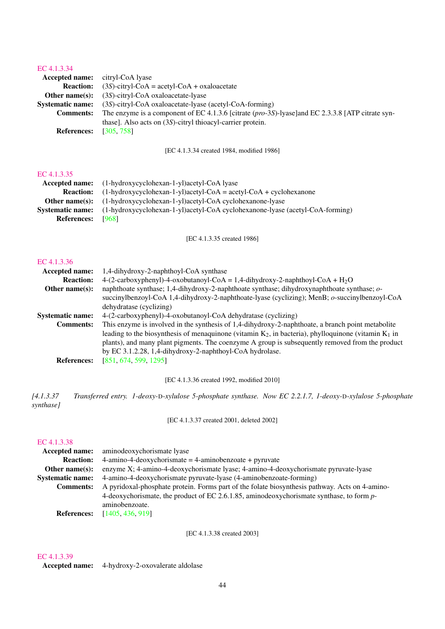## [EC 4.1.3.34](http://www.enzyme-database.org/query.php?ec=4.1.3.34)

| <b>Accepted name:</b> citryl-CoA lyase |                                                                                                      |
|----------------------------------------|------------------------------------------------------------------------------------------------------|
| <b>Reaction:</b>                       | $(3S)$ -citryl-CoA = acetyl-CoA + oxaloacetate                                                       |
| Other name $(s)$ :                     | $(3S)$ -citryl-CoA oxaloacetate-lyase                                                                |
| <b>Systematic name:</b>                | $(3S)$ -citryl-CoA oxaloacetate-lyase (acetyl-CoA-forming)                                           |
| <b>Comments:</b>                       | The enzyme is a component of EC 4.1.3.6 [citrate $(pro-3S)$ -lyase] and EC 2.3.3.8 [ATP citrate syn- |
|                                        | thase]. Also acts on (3S)-citryl thioacyl-carrier protein.                                           |
| <b>References:</b>                     | [305, 758]                                                                                           |

[EC 4.1.3.34 created 1984, modified 1986]

#### [EC 4.1.3.35](http://www.enzyme-database.org/query.php?ec=4.1.3.35)

| Accepted name:          | (1-hydroxycyclohexan-1-yl)acetyl-CoA lyase                                    |
|-------------------------|-------------------------------------------------------------------------------|
| <b>Reaction:</b>        | $(1-hydroxycyclohexan-1-yl)acetyl-CoA = acetyl-CoA + cyclohexanone$           |
| Other name $(s)$ :      | (1-hydroxycyclohexan-1-yl)acetyl-CoA cyclohexanone-lyase                      |
| <b>Systematic name:</b> | (1-hydroxycyclohexan-1-yl)acetyl-CoA cyclohexanone-lyase (acetyl-CoA-forming) |
| <b>References:</b>      | [968]                                                                         |

[EC 4.1.3.35 created 1986]

#### [EC 4.1.3.36](http://www.enzyme-database.org/query.php?ec=4.1.3.36)

| <b>Accepted name:</b>   | 1,4-dihydroxy-2-naphthoyl-CoA synthase                                                                    |
|-------------------------|-----------------------------------------------------------------------------------------------------------|
| <b>Reaction:</b>        | $4-(2-carboxyphenyl)-4-oxobutanoyl-CoA = 1,4-dihydroxy-2-naphthoyl-CoA + H2O$                             |
| Other name $(s)$ :      | naphthoate synthase; 1,4-dihydroxy-2-naphthoate synthase; dihydroxynaphthoate synthase; o-                |
|                         | succinylbenzoyl-CoA 1,4-dihydroxy-2-naphthoate-lyase (cyclizing); MenB; o-succinylbenzoyl-CoA             |
|                         | dehydratase (cyclizing)                                                                                   |
| <b>Systematic name:</b> | 4-(2-carboxyphenyl)-4-oxobutanoyl-CoA dehydratase (cyclizing)                                             |
| <b>Comments:</b>        | This enzyme is involved in the synthesis of 1,4-dihydroxy-2-naphthoate, a branch point metabolite         |
|                         | leading to the biosynthesis of menaquinone (vitamin $K_2$ , in bacteria), phylloquinone (vitamin $K_1$ in |
|                         | plants), and many plant pigments. The coenzyme A group is subsequently removed from the product           |
|                         | by EC 3.1.2.28, 1,4-dihydroxy-2-naphthoyl-CoA hydrolase.                                                  |
| <b>References:</b>      | [851, 674, 599, 1295]                                                                                     |
|                         |                                                                                                           |

[EC 4.1.3.36 created 1992, modified 2010]

*[4.1.3.37 Transferred entry. 1-deoxy-*D*-xylulose 5-phosphate synthase. Now EC 2.2.1.7, 1-deoxy-*D*-xylulose 5-phosphate synthase]*

[EC 4.1.3.37 created 2001, deleted 2002]

#### [EC 4.1.3.38](http://www.enzyme-database.org/query.php?ec=4.1.3.38)

| <b>Accepted name:</b>   | aminodeoxychorismate lyase                                                                     |
|-------------------------|------------------------------------------------------------------------------------------------|
| <b>Reaction:</b>        | $4$ -amino-4-deoxychorismate = $4$ -aminobenzoate + pyruvate                                   |
| Other name $(s)$ :      | enzyme X; 4-amino-4-deoxychorismate lyase; 4-amino-4-deoxychorismate pyruvate-lyase            |
| <b>Systematic name:</b> | 4-amino-4-deoxychorismate pyruvate-lyase (4-aminobenzoate-forming)                             |
| <b>Comments:</b>        | A pyridoxal-phosphate protein. Forms part of the folate biosynthesis pathway. Acts on 4-amino- |
|                         | 4-deoxychorismate, the product of EC 2.6.1.85, aminodeoxychorismate synthase, to form p-       |
|                         | aminobenzoate.                                                                                 |
| <b>References:</b>      | [1405, 436, 919]                                                                               |

[EC 4.1.3.38 created 2003]

## [EC 4.1.3.39](http://www.enzyme-database.org/query.php?ec=4.1.3.39)

Accepted name: 4-hydroxy-2-oxovalerate aldolase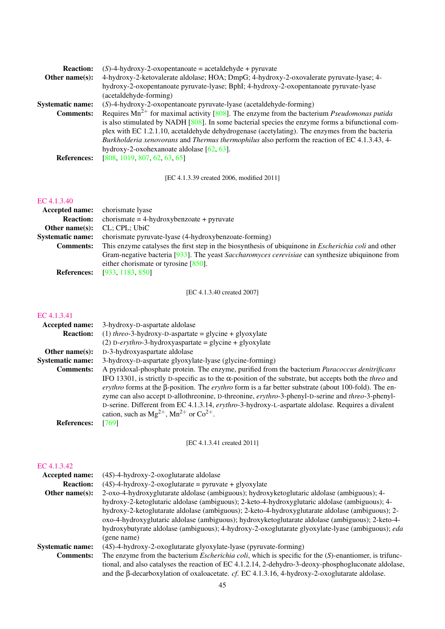| <b>Reaction:</b>        | $(S)$ -4-hydroxy-2-oxopentanoate = acetaldehyde + pyruvate                                             |
|-------------------------|--------------------------------------------------------------------------------------------------------|
| Other name $(s)$ :      | 4-hydroxy-2-ketovalerate aldolase; HOA; DmpG; 4-hydroxy-2-oxovalerate pyruvate-lyase; 4-               |
|                         | hydroxy-2-oxopentanoate pyruvate-lyase; BphI; 4-hydroxy-2-oxopentanoate pyruvate-lyase                 |
|                         | (acetaldehyde-forming)                                                                                 |
| <b>Systematic name:</b> | (S)-4-hydroxy-2-oxopentanoate pyruvate-lyase (acetaldehyde-forming)                                    |
| <b>Comments:</b>        | Requires $Mn^{2+}$ for maximal activity [808]. The enzyme from the bacterium <i>Pseudomonas putida</i> |
|                         | is also stimulated by NADH $[808]$ . In some bacterial species the enzyme forms a bifunctional com-    |
|                         | plex with EC 1.2.1.10, acetaldehyde dehydrogenase (acetylating). The enzymes from the bacteria         |
|                         | Burkholderia xenovorans and Thermus thermophilus also perform the reaction of EC 4.1.3.43, 4-          |
|                         | hydroxy-2-oxohexanoate aldolase $[62, 63]$ .                                                           |
| <b>References:</b>      | [808, 1019, 807, 62, 63, 65]                                                                           |

[EC 4.1.3.39 created 2006, modified 2011]

## [EC 4.1.3.40](http://www.enzyme-database.org/query.php?ec=4.1.3.40)

| <b>Accepted name:</b> chorismate lyase |                                                                                                             |
|----------------------------------------|-------------------------------------------------------------------------------------------------------------|
| <b>Reaction:</b>                       | $chorismate = 4-hydroxybenzoate + pyruvate$                                                                 |
| Other name $(s)$ :                     | CL; CPL; UbiC                                                                                               |
| <b>Systematic name:</b>                | chorismate pyruvate-lyase (4-hydroxybenzoate-forming)                                                       |
| <b>Comments:</b>                       | This enzyme catalyses the first step in the biosynthesis of ubiquinone in <i>Escherichia coli</i> and other |
|                                        | Gram-negative bacteria [933]. The yeast Saccharomyces cerevisiae can synthesize ubiquinone from             |
|                                        | either chorismate or tyrosine $[850]$ .                                                                     |
| <b>References:</b>                     | [933, 1183, 850]                                                                                            |

[EC 4.1.3.40 created 2007]

## [EC 4.1.3.41](http://www.enzyme-database.org/query.php?ec=4.1.3.41)

| <b>Accepted name:</b>   | 3-hydroxy-D-aspartate aldolase                                                                                                                                                                                                                                                                                                                                                                                                                                                                  |
|-------------------------|-------------------------------------------------------------------------------------------------------------------------------------------------------------------------------------------------------------------------------------------------------------------------------------------------------------------------------------------------------------------------------------------------------------------------------------------------------------------------------------------------|
| <b>Reaction:</b>        | (1) threo-3-hydroxy-D-aspartate = glycine + glyoxylate                                                                                                                                                                                                                                                                                                                                                                                                                                          |
|                         | (2) D-erythro-3-hydroxyaspartate = glycine + glyoxylate                                                                                                                                                                                                                                                                                                                                                                                                                                         |
| Other name $(s)$ :      | D-3-hydroxyaspartate aldolase                                                                                                                                                                                                                                                                                                                                                                                                                                                                   |
| <b>Systematic name:</b> | 3-hydroxy-D-aspartate glyoxylate-lyase (glycine-forming)                                                                                                                                                                                                                                                                                                                                                                                                                                        |
| <b>Comments:</b>        | A pyridoxal-phosphate protein. The enzyme, purified from the bacterium Paracoccus denitrificans                                                                                                                                                                                                                                                                                                                                                                                                 |
|                         | IFO 13301, is strictly D-specific as to the α-position of the substrate, but accepts both the <i>threo</i> and<br>erythro forms at the $\beta$ -position. The erythro form is a far better substrate (about 100-fold). The en-<br>zyme can also accept D-allothreonine, D-threonine, erythro-3-phenyl-D-serine and threo-3-phenyl-<br>D-serine. Different from EC 4.1.3.14, erythro-3-hydroxy-L-aspartate aldolase. Requires a divalent<br>cation, such as $Mg^{2+}$ , $Mn^{2+}$ or $Co^{2+}$ . |
| <b>References:</b>      | [769]                                                                                                                                                                                                                                                                                                                                                                                                                                                                                           |

[EC 4.1.3.41 created 2011]

| <b>Accepted name:</b>   | $(4S)$ -4-hydroxy-2-oxoglutarate aldolase                                                                     |
|-------------------------|---------------------------------------------------------------------------------------------------------------|
| <b>Reaction:</b>        | $(4S)$ -4-hydroxy-2-oxoglutarate = pyruvate + glyoxylate                                                      |
| Other name $(s)$ :      | 2-oxo-4-hydroxyglutarate aldolase (ambiguous); hydroxyketoglutaric aldolase (ambiguous); 4-                   |
|                         | hydroxy-2-ketoglutaric aldolase (ambiguous); 2-keto-4-hydroxyglutaric aldolase (ambiguous); 4-                |
|                         | hydroxy-2-ketoglutarate aldolase (ambiguous); 2-keto-4-hydroxyglutarate aldolase (ambiguous); 2-              |
|                         | oxo-4-hydroxyglutaric aldolase (ambiguous); hydroxyketoglutarate aldolase (ambiguous); 2-keto-4-              |
|                         | hydroxybutyrate aldolase (ambiguous); 4-hydroxy-2-oxoglutarate glyoxylate-lyase (ambiguous); eda              |
|                         | (gene name)                                                                                                   |
| <b>Systematic name:</b> | $(4S)$ -4-hydroxy-2-oxoglutarate glyoxylate-lyase (pyruvate-forming)                                          |
| <b>Comments:</b>        | The enzyme from the bacterium <i>Escherichia coli</i> , which is specific for the (S)-enantiomer, is trifunc- |
|                         | tional, and also catalyses the reaction of EC 4.1.2.14, 2-dehydro-3-deoxy-phosphogluconate aldolase,          |
|                         | and the $\beta$ -decarboxylation of oxaloacetate. cf. EC 4.1.3.16, 4-hydroxy-2-oxoglutarate aldolase.         |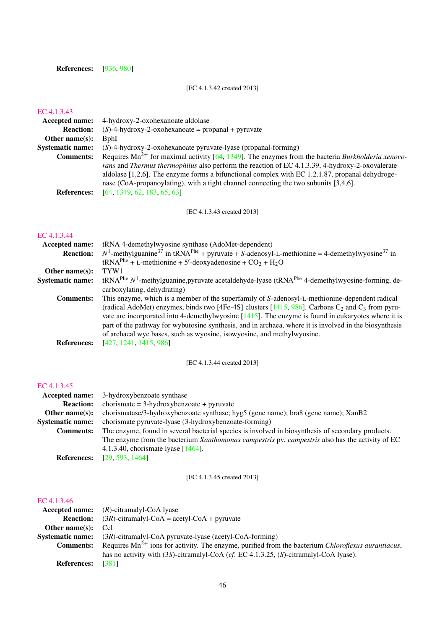## References: [\[936,](#page-225-2) [980\]](#page-228-0)

## [EC 4.1.3.42 created 2013]

## [EC 4.1.3.43](http://www.enzyme-database.org/query.php?ec=4.1.3.43)

| Accepted name:          | 4-hydroxy-2-oxohexanoate aldolase                                                                                                                                                                                                                                                                                                                                                                          |
|-------------------------|------------------------------------------------------------------------------------------------------------------------------------------------------------------------------------------------------------------------------------------------------------------------------------------------------------------------------------------------------------------------------------------------------------|
| <b>Reaction:</b>        | $(S)$ -4-hydroxy-2-oxohexanoate = propanal + pyruvate                                                                                                                                                                                                                                                                                                                                                      |
| Other name $(s)$ :      | <b>B</b> phI                                                                                                                                                                                                                                                                                                                                                                                               |
| <b>Systematic name:</b> | $(S)$ -4-hydroxy-2-oxohexanoate pyruvate-lyase (propanal-forming)                                                                                                                                                                                                                                                                                                                                          |
| <b>Comments:</b>        | Requires $Mn^{2+}$ for maximal activity [64, 1349]. The enzymes from the bacteria Burkholderia xenovo-<br>rans and Thermus thermophilus also perform the reaction of EC 4.1.3.39, 4-hydroxy-2-oxovalerate<br>aldolase $[1,2,6]$ . The enzyme forms a bifunctional complex with EC 1.2.1.87, propanal dehydroge-<br>nase (CoA-propanoylating), with a tight channel connecting the two subunits $[3,4,6]$ . |
| <b>References:</b>      | [64, 1349, 62, 183, 65, 63]                                                                                                                                                                                                                                                                                                                                                                                |

[EC 4.1.3.43 created 2013]

## [EC 4.1.3.44](http://www.enzyme-database.org/query.php?ec=4.1.3.44)

| tRNA 4-demethylwyosine synthase (AdoMet-dependent)                                                                                  |
|-------------------------------------------------------------------------------------------------------------------------------------|
| $N^1$ -methylguanine <sup>37</sup> in tRNA <sup>Phe</sup> + pyruvate + S-adenosyl-L-methionine = 4-demethylwyosine <sup>37</sup> in |
| $tRNAPhe + L-methionine + 5'-deoxyadenosine + CO2 + H2O$                                                                            |
| TYW <sub>1</sub>                                                                                                                    |
| $tRNA^{Phe} N1$ -methylguanine, pyruvate acetaldehyde-lyase (tRNA <sup>Phe</sup> 4-demethylwyosine-forming, de-                     |
| carboxylating, dehydrating)                                                                                                         |
| This enzyme, which is a member of the superfamily of S-adenosyl-L-methionine-dependent radical                                      |
| (radical AdoMet) enzymes, binds two [4Fe-4S] clusters [1415, 986]. Carbons $C_2$ and $C_3$ from pyru-                               |
| vate are incorporated into 4-demethylwyosine $[1415]$ . The enzyme is found in eukaryotes where it is                               |
| part of the pathway for wybutosine synthesis, and in archaea, where it is involved in the biosynthesis                              |
| of archaeal wye bases, such as wyosine, isowyosine, and methylwyosine.                                                              |
| [427, 1241, 1415, 986]                                                                                                              |
|                                                                                                                                     |

[EC 4.1.3.44 created 2013]

#### [EC 4.1.3.45](http://www.enzyme-database.org/query.php?ec=4.1.3.45)

| <b>Accepted name:</b>   | 3-hydroxybenzoate synthase                                                                        |
|-------------------------|---------------------------------------------------------------------------------------------------|
| <b>Reaction:</b>        | $chorismate = 3-hydroxybenzoate + pyruvate$                                                       |
| Other name $(s)$ :      | chorismatase/3-hydroxybenzoate synthase; hyg5 (gene name); bra8 (gene name); XanB2                |
| <b>Systematic name:</b> | chorismate pyruvate-lyase (3-hydroxybenzoate-forming)                                             |
| <b>Comments:</b>        | The enzyme, found in several bacterial species is involved in biosynthesis of secondary products. |
|                         | The enzyme from the bacterium Xanthomonas campestris pv. campestris also has the activity of EC   |
|                         | 4.1.3.40, chorismate lyase $[1464]$ .                                                             |
| <b>References:</b>      | [29, 593, 1464]                                                                                   |

[EC 4.1.3.45 created 2013]

|                    | <b>Accepted name:</b> $(R)$ -citramalyl-CoA lyase                                                               |
|--------------------|-----------------------------------------------------------------------------------------------------------------|
| <b>Reaction:</b>   | $(3R)$ -citramalyl-CoA = acetyl-CoA + pyruvate                                                                  |
| Other name(s):     | Ccl                                                                                                             |
|                    | <b>Systematic name:</b> $(3R)$ -citramalyl-CoA pyruvate-lyase (acetyl-CoA-forming)                              |
| <b>Comments:</b>   | Requires $Mn^{2+}$ ions for activity. The enzyme, purified from the bacterium <i>Chloroflexus aurantiacus</i> , |
|                    | has no activity with $(3S)$ -citramalyl-CoA ( <i>cf.</i> EC 4.1.3.25, ( <i>S</i> )-citramalyl-CoA lyase).       |
| <b>References:</b> | <b>13811</b>                                                                                                    |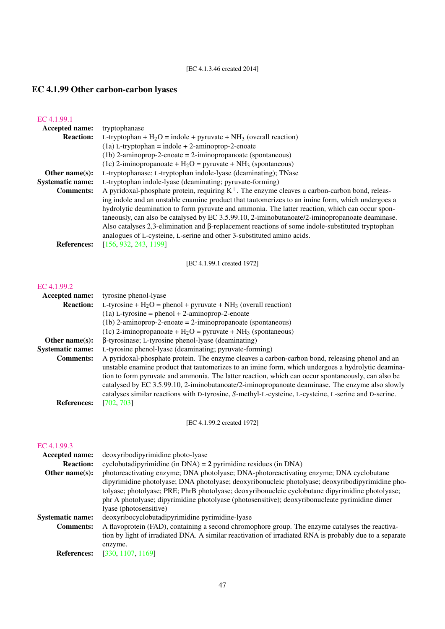## [EC 4.1.3.46 created 2014]

# EC 4.1.99 Other carbon-carbon lyases

| EC 4.1.99.1             |                                                                                                            |
|-------------------------|------------------------------------------------------------------------------------------------------------|
| Accepted name:          | tryptophanase                                                                                              |
| <b>Reaction:</b>        | L-tryptophan + $H_2O$ = indole + pyruvate + $NH_3$ (overall reaction)                                      |
|                         | $(1a)$ L-tryptophan = indole + 2-aminoprop-2-enoate                                                        |
|                         | $(1b)$ 2-aminoprop-2-enoate = 2-iminopropanoate (spontaneous)                                              |
|                         | (1c) 2-iminopropanoate + $H_2O$ = pyruvate + $NH_3$ (spontaneous)                                          |
| Other name $(s)$ :      | L-tryptophanase; L-tryptophan indole-lyase (deaminating); TNase                                            |
| <b>Systematic name:</b> | L-tryptophan indole-lyase (deaminating; pyruvate-forming)                                                  |
| <b>Comments:</b>        | A pyridoxal-phosphate protein, requiring $K^+$ . The enzyme cleaves a carbon-carbon bond, releas-          |
|                         | ing indole and an unstable enamine product that tautomerizes to an imine form, which undergoes a           |
|                         | hydrolytic deamination to form pyruvate and ammonia. The latter reaction, which can occur spon-            |
|                         | taneously, can also be catalysed by EC 3.5.99.10, 2-iminobutanoate/2-iminopropanoate deaminase.            |
|                         | Also catalyses $2,3$ -elimination and $\beta$ -replacement reactions of some indole-substituted tryptophan |
|                         | analogues of L-cysteine, L-serine and other 3-substituted amino acids.                                     |
| <b>References:</b>      | [156, 932, 243, 1199]                                                                                      |

[EC 4.1.99.1 created 1972]

## [EC 4.1.99.2](http://www.enzyme-database.org/query.php?ec=4.1.99.2)

| <b>Accepted name:</b>   | tyrosine phenol-lyase                                                                                |
|-------------------------|------------------------------------------------------------------------------------------------------|
| <b>Reaction:</b>        | L-tyrosine + $H_2O$ = phenol + pyruvate + NH <sub>3</sub> (overall reaction)                         |
|                         | $(1a)$ L-tyrosine = phenol + 2-aminoprop-2-enoate                                                    |
|                         | $(1b)$ 2-aminoprop-2-enoate = 2-iminopropanoate (spontaneous)                                        |
|                         | (1c) 2-iminopropanoate + $H_2O$ = pyruvate + NH <sub>3</sub> (spontaneous)                           |
| Other name $(s)$ :      | $\beta$ -tyrosinase; L-tyrosine phenol-lyase (deaminating)                                           |
| <b>Systematic name:</b> | L-tyrosine phenol-lyase (deaminating; pyruvate-forming)                                              |
| <b>Comments:</b>        | A pyridoxal-phosphate protein. The enzyme cleaves a carbon-carbon bond, releasing phenol and an      |
|                         | unstable enamine product that tautomerizes to an imine form, which undergoes a hydrolytic deamina-   |
|                         | tion to form pyruvate and ammonia. The latter reaction, which can occur spontaneously, can also be   |
|                         | catalysed by EC 3.5.99.10, 2-iminobutanoate/2-iminopropanoate deaminase. The enzyme also slowly      |
|                         | catalyses similar reactions with D-tyrosine, S-methyl-L-cysteine, L-cysteine, L-serine and D-serine. |
| <b>References:</b>      | [702, 703]                                                                                           |

[EC 4.1.99.2 created 1972]

## [EC 4.1.99.3](http://www.enzyme-database.org/query.php?ec=4.1.99.3)

| deoxyribodipyrimidine photo-lyase                                                                       |
|---------------------------------------------------------------------------------------------------------|
| cyclobutadipyrimidine (in $DNA$ ) = 2 pyrimidine residues (in $DNA$ )                                   |
| photoreactivating enzyme; DNA photolyase; DNA-photoreactivating enzyme; DNA cyclobutane                 |
| dipyrimidine photolyase; DNA photolyase; deoxyribonucleic photolyase; deoxyribodipyrimidine pho-        |
| tolyase; photolyase; PRE; PhrB photolyase; deoxyribonucleic cyclobutane dipyrimidine photolyase;        |
| phr A photolyase; dipyrimidine photolyase (photosensitive); deoxyribonucleate pyrimidine dimer          |
| lyase (photosensitive)                                                                                  |
| deoxyribocyclobutadipyrimidine pyrimidine-lyase                                                         |
| A flavoprotein (FAD), containing a second chromophore group. The enzyme catalyses the reactiva-         |
| tion by light of irradiated DNA. A similar reactivation of irradiated RNA is probably due to a separate |
| enzyme.                                                                                                 |
| [330, 1107, 1169]                                                                                       |
|                                                                                                         |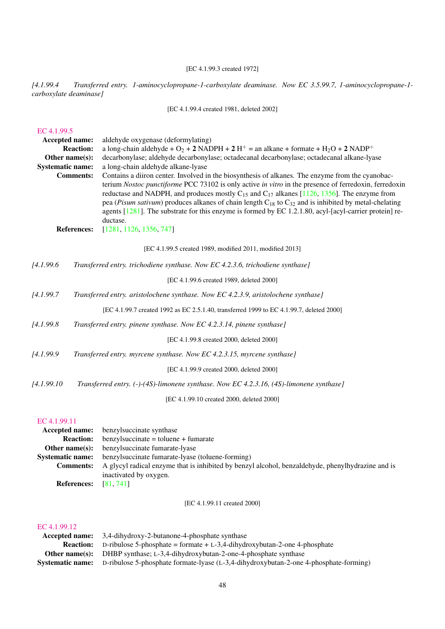## [EC 4.1.99.3 created 1972]

*[4.1.99.4 Transferred entry. 1-aminocyclopropane-1-carboxylate deaminase. Now EC 3.5.99.7, 1-aminocyclopropane-1 carboxylate deaminase]*

[EC 4.1.99.4 created 1981, deleted 2002]

#### [EC 4.1.99.5](http://www.enzyme-database.org/query.php?ec=4.1.99.5)

| Accepted name:          |                                        | aldehyde oxygenase (deformylating)                                                                                                                                                                                                                                                                                                                                                                                                                                                                                                                                                                  |
|-------------------------|----------------------------------------|-----------------------------------------------------------------------------------------------------------------------------------------------------------------------------------------------------------------------------------------------------------------------------------------------------------------------------------------------------------------------------------------------------------------------------------------------------------------------------------------------------------------------------------------------------------------------------------------------------|
|                         | <b>Reaction:</b>                       | a long-chain aldehyde + $O_2$ + 2 NADPH + 2 H <sup>+</sup> = an alkane + formate + H <sub>2</sub> O + 2 NADP <sup>+</sup>                                                                                                                                                                                                                                                                                                                                                                                                                                                                           |
| Other name(s):          |                                        | decarbonylase; aldehyde decarbonylase; octadecanal decarbonylase; octadecanal alkane-lyase                                                                                                                                                                                                                                                                                                                                                                                                                                                                                                          |
| <b>Systematic name:</b> |                                        | a long-chain aldehyde alkane-lyase                                                                                                                                                                                                                                                                                                                                                                                                                                                                                                                                                                  |
|                         | <b>Comments:</b><br><b>References:</b> | Contains a diiron center. Involved in the biosynthesis of alkanes. The enzyme from the cyanobac-<br>terium Nostoc punctiforme PCC 73102 is only active in vitro in the presence of ferredoxin, ferredoxin<br>reductase and NADPH, and produces mostly $C_{15}$ and $C_{17}$ alkanes [1126, 1356]. The enzyme from<br>pea ( <i>Pisum sativum</i> ) produces alkanes of chain length $C_{18}$ to $C_{32}$ and is inhibited by metal-chelating<br>agents $[1281]$ . The substrate for this enzyme is formed by EC 1.2.1.80, acyl- $[acy]$ -carrier protein] re-<br>ductase.<br>[1281, 1126, 1356, 747] |
|                         |                                        | [EC 4.1.99.5 created 1989, modified 2011, modified 2013]                                                                                                                                                                                                                                                                                                                                                                                                                                                                                                                                            |
|                         |                                        |                                                                                                                                                                                                                                                                                                                                                                                                                                                                                                                                                                                                     |
| [4.1.99.6               |                                        | Transferred entry. trichodiene synthase. Now EC 4.2.3.6, trichodiene synthase]                                                                                                                                                                                                                                                                                                                                                                                                                                                                                                                      |
|                         |                                        | [EC 4.1.99.6 created 1989, deleted 2000]                                                                                                                                                                                                                                                                                                                                                                                                                                                                                                                                                            |
| [4.1.99.7]              |                                        | Transferred entry. aristolochene synthase. Now EC 4.2.3.9, aristolochene synthase]                                                                                                                                                                                                                                                                                                                                                                                                                                                                                                                  |
|                         |                                        | [EC 4.1.99.7 created 1992 as EC 2.5.1.40, transferred 1999 to EC 4.1.99.7, deleted 2000]                                                                                                                                                                                                                                                                                                                                                                                                                                                                                                            |
| [4.1.99.8]              |                                        | Transferred entry. pinene synthase. Now EC 4.2.3.14, pinene synthase]                                                                                                                                                                                                                                                                                                                                                                                                                                                                                                                               |
|                         |                                        | [EC 4.1.99.8 created 2000, deleted 2000]                                                                                                                                                                                                                                                                                                                                                                                                                                                                                                                                                            |
| [4.1.99.9               |                                        | Transferred entry. myrcene synthase. Now EC 4.2.3.15, myrcene synthase]                                                                                                                                                                                                                                                                                                                                                                                                                                                                                                                             |
|                         |                                        | [EC 4.1.99.9 created 2000, deleted 2000]                                                                                                                                                                                                                                                                                                                                                                                                                                                                                                                                                            |
| [4.1.99.10]             |                                        | Transferred entry. (-)-(4S)-limonene synthase. Now EC 4.2.3.16, (4S)-limonene synthase]                                                                                                                                                                                                                                                                                                                                                                                                                                                                                                             |
|                         |                                        |                                                                                                                                                                                                                                                                                                                                                                                                                                                                                                                                                                                                     |

[EC 4.1.99.10 created 2000, deleted 2000]

## [EC 4.1.99.11](http://www.enzyme-database.org/query.php?ec=4.1.99.11)

| Accepted name:          | benzyl succinate synthase                                                                         |
|-------------------------|---------------------------------------------------------------------------------------------------|
| <b>Reaction:</b>        | $benzylsuccinate = toluene + fumarate$                                                            |
| Other name $(s)$ :      | benzyl succinate fumarate-lyase                                                                   |
| <b>Systematic name:</b> | benzyl succinate fumarate-lyase (toluene-forming)                                                 |
| <b>Comments:</b>        | A glycyl radical enzyme that is inhibited by benzyl alcohol, benzaldehyde, phenylhydrazine and is |
|                         | inactivated by oxygen.                                                                            |
| <b>References:</b>      | [81, 741]                                                                                         |

[EC 4.1.99.11 created 2000]

#### [EC 4.1.99.12](http://www.enzyme-database.org/query.php?ec=4.1.99.12)

| <b>Accepted name:</b> 3,4-dihydroxy-2-butanone-4-phosphate synthase                                    |
|--------------------------------------------------------------------------------------------------------|
| <b>Reaction:</b> D-ribulose 5-phosphate = formate + L-3,4-dihydroxybutan-2-one 4-phosphate             |
| <b>Other name(s):</b> DHBP synthase; L-3,4-dihydroxybutan-2-one-4-phosphate synthase                   |
| Systematic name: D-ribulose 5-phosphate formate-lyase (L-3,4-dihydroxybutan-2-one 4-phosphate-forming) |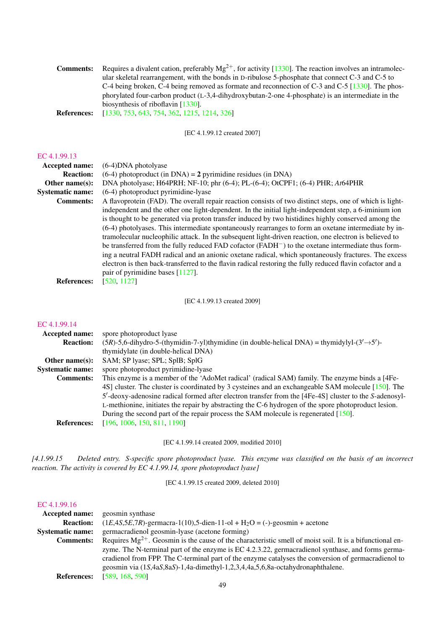| <b>Comments:</b>   | Requires a divalent cation, preferably $Mg^{2+}$ , for activity [1330]. The reaction involves an intramolec- |
|--------------------|--------------------------------------------------------------------------------------------------------------|
|                    | ular skeletal rearrangement, with the bonds in D-ribulose 5-phosphate that connect C-3 and C-5 to            |
|                    | C-4 being broken, C-4 being removed as formate and reconnection of C-3 and C-5 $[1330]$ . The phos-          |
|                    | phorylated four-carbon product (L-3,4-dihydroxybutan-2-one 4-phosphate) is an intermediate in the            |
|                    | biosynthesis of riboflavin $[1330]$ .                                                                        |
| <b>References:</b> | $[1330, 753, 643, 754, 362, 1215, 1214, 326]$                                                                |

[EC 4.1.99.12 created 2007]

## [EC 4.1.99.13](http://www.enzyme-database.org/query.php?ec=4.1.99.13)

| Accepted name:          | $(6-4)$ DNA photolyase                                                                                         |
|-------------------------|----------------------------------------------------------------------------------------------------------------|
| <b>Reaction:</b>        | $(6-4)$ photoproduct (in DNA) = 2 pyrimidine residues (in DNA)                                                 |
| Other name $(s)$ :      | DNA photolyase; H64PRH; NF-10; phr (6-4); PL-(6-4); OtCPF1; (6-4) PHR; At64PHR                                 |
| <b>Systematic name:</b> | (6-4) photoproduct pyrimidine-lyase                                                                            |
| <b>Comments:</b>        | A flavoprotein (FAD). The overall repair reaction consists of two distinct steps, one of which is light-       |
|                         | independent and the other one light-dependent. In the initial light-independent step, a 6-iminium ion          |
|                         | is thought to be generated via proton transfer induced by two histidines highly conserved among the            |
|                         | (6-4) photolyases. This intermediate spontaneously rearranges to form an oxetane intermediate by in-           |
|                         | tramolecular nucleophilic attack. In the subsequent light-driven reaction, one electron is believed to         |
|                         | be transferred from the fully reduced FAD cofactor (FADH <sup>-</sup> ) to the oxetane intermediate thus form- |
|                         | ing a neutral FADH radical and an anionic oxetane radical, which spontaneously fractures. The excess           |
|                         | electron is then back-transferred to the flavin radical restoring the fully reduced flavin cofactor and a      |
|                         | pair of pyrimidine bases $[1127]$ .                                                                            |
| <b>References:</b>      | [520, 1127]                                                                                                    |

[EC 4.1.99.13 created 2009]

#### [EC 4.1.99.14](http://www.enzyme-database.org/query.php?ec=4.1.99.14)

| Accepted name:          | spore photoproduct lyase                                                                                     |
|-------------------------|--------------------------------------------------------------------------------------------------------------|
| <b>Reaction:</b>        | $(5R)$ -5,6-dihydro-5-(thymidin-7-yl)thymidine (in double-helical DNA) = thymidylyl- $(3' \rightarrow 5')$ - |
|                         | thymidylate (in double-helical DNA)                                                                          |
| Other name $(s)$ :      | SAM; SP lyase; SPL; SplB; SplG                                                                               |
| <b>Systematic name:</b> | spore photoproduct pyrimidine-lyase                                                                          |
| <b>Comments:</b>        | This enzyme is a member of the 'AdoMet radical' (radical SAM) family. The enzyme binds a [4Fe-               |
|                         | 4S] cluster. The cluster is coordinated by 3 cysteines and an exchangeable SAM molecule [150]. The           |
|                         | 5'-deoxy-adenosine radical formed after electron transfer from the [4Fe-4S] cluster to the S-adenosyl-       |
|                         | L-methionine, initiates the repair by abstracting the C-6 hydrogen of the spore photoproduct lesion.         |
|                         | During the second part of the repair process the SAM molecule is regenerated [150].                          |
| <b>References:</b>      | [196, 1006, 150, 811, 1190]                                                                                  |

[EC 4.1.99.14 created 2009, modified 2010]

*[4.1.99.15 Deleted entry. S-specific spore photoproduct lyase. This enzyme was classified on the basis of an incorrect reaction. The activity is covered by EC 4.1.99.14, spore photoproduct lyase]*

[EC 4.1.99.15 created 2009, deleted 2010]

## [EC 4.1.99.16](http://www.enzyme-database.org/query.php?ec=4.1.99.16)

| <b>Accepted name:</b>   | geosmin synthase                                                                                              |
|-------------------------|---------------------------------------------------------------------------------------------------------------|
| <b>Reaction:</b>        | $(1E, 4S, 5E, 7R)$ -germacra-1(10),5-dien-11-ol + H <sub>2</sub> O = (-)-geosmin + acetone                    |
| <b>Systematic name:</b> | germacradienol geosmin-lyase (acetone forming)                                                                |
| <b>Comments:</b>        | Requires $Mg^{2+}$ . Geosmin is the cause of the characteristic smell of moist soil. It is a bifunctional en- |
|                         | zyme. The N-terminal part of the enzyme is EC 4.2.3.22, germacradienol synthase, and forms germa-             |
|                         | cradienol from FPP. The C-terminal part of the enzyme catalyses the conversion of germacradienol to           |
|                         | geosmin via (1S,4aS,8aS)-1,4a-dimethyl-1,2,3,4,4a,5,6,8a-octahydronaphthalene.                                |
| <b>References:</b>      | [589, 168, 590]                                                                                               |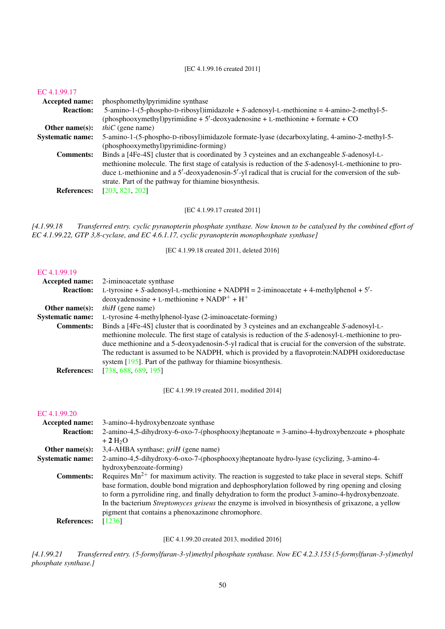#### [EC 4.1.99.16 created 2011]

#### [EC 4.1.99.17](http://www.enzyme-database.org/query.php?ec=4.1.99.17)

| <b>Accepted name:</b>   | phosphomethylpyrimidine synthase                                                                      |
|-------------------------|-------------------------------------------------------------------------------------------------------|
| <b>Reaction:</b>        | 5-amino-1-(5-phospho-D-ribosyl)imidazole + S-adenosyl-L-methionine = $4$ -amino-2-methyl-5-           |
|                         | (phosphooxymethyl)pyrimidine + $5'$ -deoxyadenosine + L-methionine + formate + CO                     |
| Other name $(s)$ :      | <i>thiC</i> (gene name)                                                                               |
| <b>Systematic name:</b> | 5-amino-1-(5-phospho-D-ribosyl)imidazole formate-lyase (decarboxylating, 4-amino-2-methyl-5-          |
|                         | (phosphooxymethyl)pyrimidine-forming)                                                                 |
| <b>Comments:</b>        | Binds a [4Fe-4S] cluster that is coordinated by 3 cysteines and an exchangeable S-adenosyl-L-         |
|                         | methionine molecule. The first stage of catalysis is reduction of the S-adenosyl-L-methionine to pro- |
|                         | duce L-methionine and a 5'-deoxyadenosin-5'-yl radical that is crucial for the conversion of the sub- |
|                         | strate. Part of the pathway for thiamine biosynthesis.                                                |
| <b>References:</b>      | [203, 821, 202]                                                                                       |
|                         |                                                                                                       |

[EC 4.1.99.17 created 2011]

*[4.1.99.18 Transferred entry. cyclic pyranopterin phosphate synthase. Now known to be catalysed by the combined effort of EC 4.1.99.22, GTP 3,8-cyclase, and EC 4.6.1.17, cyclic pyranopterin monophosphate synthase]*

[EC 4.1.99.18 created 2011, deleted 2016]

#### [EC 4.1.99.19](http://www.enzyme-database.org/query.php?ec=4.1.99.19)

| <b>Accepted name:</b>   | 2-iminoacetate synthase                                                                                 |
|-------------------------|---------------------------------------------------------------------------------------------------------|
| <b>Reaction:</b>        | L-tyrosine + S-adenosyl-L-methionine + NADPH = 2-iminoacetate + 4-methylphenol + $5'$ -                 |
|                         | $deoxyadenosine + L-methionine + NADP+ + H+$                                                            |
| Other name $(s)$ :      | <i>thiH</i> (gene name)                                                                                 |
| <b>Systematic name:</b> | L-tyrosine 4-methylphenol-lyase (2-iminoacetate-forming)                                                |
| <b>Comments:</b>        | Binds a [4Fe-4S] cluster that is coordinated by 3 cysteines and an exchangeable S-adenosyl-L-           |
|                         | methionine molecule. The first stage of catalysis is reduction of the S-adenosyl-L-methionine to pro-   |
|                         | duce methionine and a 5-deoxyadenosin-5-yl radical that is crucial for the conversion of the substrate. |
|                         | The reductant is assumed to be NADPH, which is provided by a flavoprotein: NADPH oxidoreductase         |
|                         | system [195]. Part of the pathway for thiamine biosynthesis.                                            |
| <b>References:</b>      | [738, 688, 689, 195]                                                                                    |

[EC 4.1.99.19 created 2011, modified 2014]

## [EC 4.1.99.20](http://www.enzyme-database.org/query.php?ec=4.1.99.20)<br>Accepted name: 3-amino-4-hydroxybenzoate synthase Reaction: 2-amino-4,5-dihydroxy-6-oxo-7-(phosphooxy)heptanoate = 3-amino-4-hydroxybenzoate + phosphate  $+ 2 H<sub>2</sub>O$ Other name(s): 3,4-AHBA synthase; *griH* (gene name) Systematic name: 2-amino-4,5-dihydroxy-6-oxo-7-(phosphooxy)heptanoate hydro-lyase (cyclizing, 3-amino-4 hydroxybenzoate-forming) **Comments:** Requires  $\text{Mn}^{2+}$  for maximum activity. The reaction is suggested to take place in several steps. Schiff base formation, double bond migration and dephosphorylation followed by ring opening and closing to form a pyrrolidine ring, and finally dehydration to form the product 3-amino-4-hydroxybenzoate. In the bacterium *Streptomyces griseus* the enzyme is involved in biosynthesis of grixazone, a yellow pigment that contains a phenoxazinone chromophore. References: [\[1236\]](#page-241-0)

#### [EC 4.1.99.20 created 2013, modified 2016]

*[4.1.99.21 Transferred entry. (5-formylfuran-3-yl)methyl phosphate synthase. Now EC 4.2.3.153 (5-formylfuran-3-yl)methyl phosphate synthase.]*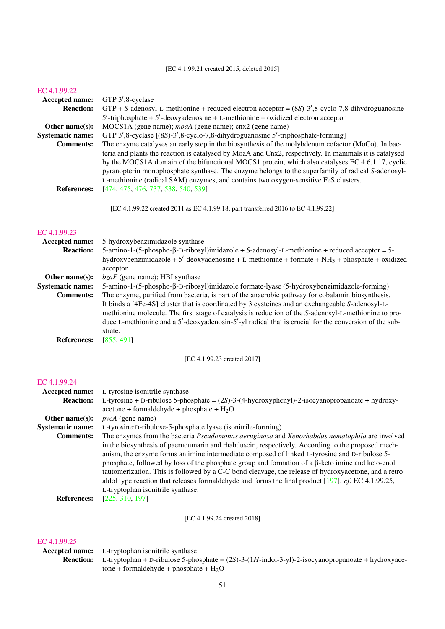[EC 4.1.99.21 created 2015, deleted 2015]

#### [EC 4.1.99.22](http://www.enzyme-database.org/query.php?ec=4.1.99.22)

| Accepted name:                              | GTP 3',8-cyclase                                                                                                                                                                                                                                                                                                                                                                                                                                                                                                               |
|---------------------------------------------|--------------------------------------------------------------------------------------------------------------------------------------------------------------------------------------------------------------------------------------------------------------------------------------------------------------------------------------------------------------------------------------------------------------------------------------------------------------------------------------------------------------------------------|
| <b>Reaction:</b>                            | $GTP + S$ -adenosyl-L-methionine + reduced electron acceptor = $(8S)$ -3', 8-cyclo-7, 8-dihydroguanosine                                                                                                                                                                                                                                                                                                                                                                                                                       |
|                                             | $5'$ -triphosphate + $5'$ -deoxyadenosine + L-methionine + oxidized electron acceptor                                                                                                                                                                                                                                                                                                                                                                                                                                          |
| Other name(s):                              | MOCS1A (gene name); <i>moaA</i> (gene name); cnx2 (gene name)                                                                                                                                                                                                                                                                                                                                                                                                                                                                  |
| <b>Systematic name:</b>                     | GTP 3',8-cyclase [(8S)-3',8-cyclo-7,8-dihydroguanosine 5'-triphosphate-forming]                                                                                                                                                                                                                                                                                                                                                                                                                                                |
| <b>Comments:</b>                            | The enzyme catalyses an early step in the biosynthesis of the molybdenum cofactor (MoCo). In bac-<br>teria and plants the reaction is catalysed by MoaA and Cnx2, respectively. In mammals it is catalysed<br>by the MOCS1A domain of the bifunctional MOCS1 protein, which also catalyses EC 4.6.1.17, cyclic<br>pyranopterin monophosphate synthase. The enzyme belongs to the superfamily of radical S-adenosyl-<br>L-methionine (radical SAM) enzymes, and contains two oxygen-sensitive FeS clusters.                     |
| <b>References:</b>                          | [474, 475, 476, 737, 538, 540, 539]                                                                                                                                                                                                                                                                                                                                                                                                                                                                                            |
|                                             | [EC 4.1.99.22 created 2011 as EC 4.1.99.18, part transferred 2016 to EC 4.1.99.22]                                                                                                                                                                                                                                                                                                                                                                                                                                             |
| EC 4.1.99.23                                |                                                                                                                                                                                                                                                                                                                                                                                                                                                                                                                                |
| Accepted name:                              | 5-hydroxybenzimidazole synthase                                                                                                                                                                                                                                                                                                                                                                                                                                                                                                |
| <b>Reaction:</b>                            | 5-amino-1-(5-phospho-β-D-ribosyl)imidazole + S-adenosyl-L-methionine + reduced acceptor = 5-<br>hydroxybenzimidazole + 5'-deoxyadenosine + L-methionine + formate + NH <sub>3</sub> + phosphate + oxidized<br>acceptor                                                                                                                                                                                                                                                                                                         |
| Other name(s):                              | $bzaF$ (gene name); HBI synthase                                                                                                                                                                                                                                                                                                                                                                                                                                                                                               |
| <b>Systematic name:</b><br><b>Comments:</b> | 5-amino-1-(5-phospho-β-D-ribosyl)imidazole formate-lyase (5-hydroxybenzimidazole-forming)<br>The enzyme, purified from bacteria, is part of the anaerobic pathway for cobalamin biosynthesis.<br>It binds a [4Fe-4S] cluster that is coordinated by 3 cysteines and an exchangeable S-adenosyl-L-<br>methionine molecule. The first stage of catalysis is reduction of the S-adenosyl-L-methionine to pro-<br>duce L-methionine and a 5'-deoxyadenosin-5'-yl radical that is crucial for the conversion of the sub-<br>strate. |
| <b>References:</b>                          | [855, 491]                                                                                                                                                                                                                                                                                                                                                                                                                                                                                                                     |
|                                             | [EC 4.1.99.23 created 2017]                                                                                                                                                                                                                                                                                                                                                                                                                                                                                                    |

## [EC 4.1.99.24](http://www.enzyme-database.org/query.php?ec=4.1.99.24)

| Accepted name:          | L-tyrosine isonitrile synthase                                                                                |
|-------------------------|---------------------------------------------------------------------------------------------------------------|
| <b>Reaction:</b>        | L-tyrosine + D-ribulose 5-phosphate = $(2S)$ -3- $(4-hydroxyphenyl)$ -2-isocyanopropanoate + hydroxy-         |
|                         | $\alpha$ acetone + formaldehyde + phosphate + H <sub>2</sub> O                                                |
| Other name $(s)$ :      | $pvcA$ (gene name)                                                                                            |
| <b>Systematic name:</b> | L-tyrosine:D-ribulose-5-phosphate lyase (isonitrile-forming)                                                  |
| <b>Comments:</b>        | The enzymes from the bacteria <i>Pseudomonas aeruginosa</i> and <i>Xenorhabdus nematophila</i> are involved   |
|                         | in the biosynthesis of paerucumarin and rhabduscin, respectively. According to the proposed mech-             |
|                         | anism, the enzyme forms an imine intermediate composed of linked L-tyrosine and D-ribulose 5-                 |
|                         | phosphate, followed by loss of the phosphate group and formation of a $\beta$ -keto imine and keto-enol       |
|                         | tautomerization. This is followed by a C-C bond cleavage, the release of hydroxyacetone, and a retro          |
|                         | aldol type reaction that releases formaldehyde and forms the final product $[197]$ . <i>cf.</i> EC 4.1.99.25, |
|                         | L-tryptophan isonitrile synthase.                                                                             |
| <b>References:</b>      | [225, 310, 197]                                                                                               |

[EC 4.1.99.24 created 2018]

## [EC 4.1.99.25](http://www.enzyme-database.org/query.php?ec=4.1.99.25)

## Accepted name: L-tryptophan isonitrile synthase

Reaction: L-tryptophan + D-ribulose 5-phosphate = (2*S*)-3-(1*H*-indol-3-yl)-2-isocyanopropanoate + hydroxyace- $\text{cone} + \text{formaldehyde} + \text{phosphate} + \text{H}_2\text{O}$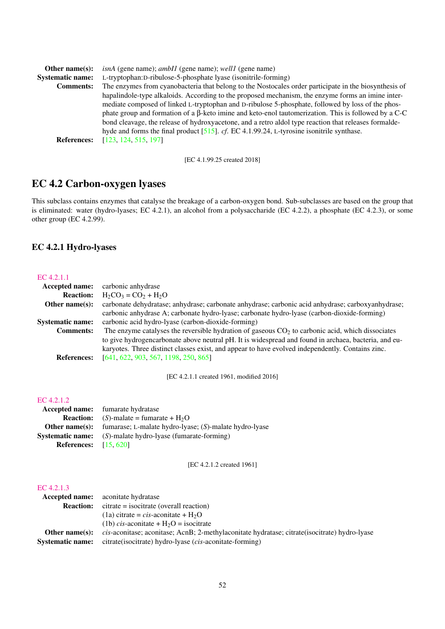| Other name $(s)$ :      | <i>isnA</i> (gene name); <i>ambI1</i> (gene name); <i>well1</i> (gene name)                                 |
|-------------------------|-------------------------------------------------------------------------------------------------------------|
| <b>Systematic name:</b> | L-tryptophan:D-ribulose-5-phosphate lyase (isonitrile-forming)                                              |
| <b>Comments:</b>        | The enzymes from cyanobacteria that belong to the Nostocales order participate in the biosynthesis of       |
|                         | hapalindole-type alkaloids. According to the proposed mechanism, the enzyme forms an imine inter-           |
|                         | mediate composed of linked L-tryptophan and D-ribulose 5-phosphate, followed by loss of the phos-           |
|                         | phate group and formation of a $\beta$ -keto imine and keto-enol tautomerization. This is followed by a C-C |
|                         | bond cleavage, the release of hydroxyacetone, and a retro aldol type reaction that releases formalde-       |
|                         | hyde and forms the final product $[515]$ . cf. EC 4.1.99.24, L-tyrosine isonitrile synthase.                |
| <b>References:</b>      | [123, 124, 515, 197]                                                                                        |

[EC 4.1.99.25 created 2018]

# EC 4.2 Carbon-oxygen lyases

This subclass contains enzymes that catalyse the breakage of a carbon-oxygen bond. Sub-subclasses are based on the group that is eliminated: water (hydro-lyases; EC 4.2.1), an alcohol from a polysaccharide (EC 4.2.2), a phosphate (EC 4.2.3), or some other group (EC 4.2.99).

# EC 4.2.1 Hydro-lyases

#### [EC 4.2.1.1](http://www.enzyme-database.org/query.php?ec=4.2.1.1)

| <b>Accepted name:</b>   | carbonic anhydrase                                                                                   |
|-------------------------|------------------------------------------------------------------------------------------------------|
| <b>Reaction:</b>        | $H_2CO_3 = CO_2 + H_2O$                                                                              |
| Other name $(s)$ :      | carbonate dehydratase; anhydrase; carbonate anhydrase; carbonic acid anhydrase; carboxyanhydrase;    |
|                         | carbonic anhydrase A; carbonate hydro-lyase; carbonate hydro-lyase (carbon-dioxide-forming)          |
| <b>Systematic name:</b> | carbonic acid hydro-lyase (carbon-dioxide-forming)                                                   |
| <b>Comments:</b>        | The enzyme catalyses the reversible hydration of gaseous $CO2$ to carbonic acid, which dissociates   |
|                         | to give hydrogencarbonate above neutral pH. It is widespread and found in archaea, bacteria, and eu- |
|                         | karyotes. Three distinct classes exist, and appear to have evolved independently. Contains zinc.     |
| <b>References:</b>      | [641, 622, 903, 567, 1198, 250, 865]                                                                 |

[EC 4.2.1.1 created 1961, modified 2016]

## [EC 4.2.1.2](http://www.enzyme-database.org/query.php?ec=4.2.1.2)

|                                | <b>Accepted name:</b> fumarate hydratase                                        |
|--------------------------------|---------------------------------------------------------------------------------|
|                                | <b>Reaction:</b> (S)-malate = fumarate + $H_2O$                                 |
|                                | <b>Other name(s):</b> fumarase; L-malate hydro-lyase; $(S)$ -malate hydro-lyase |
|                                | <b>Systematic name:</b> (S)-malate hydro-lyase (fumarate-forming)               |
| <b>References:</b> $[15, 620]$ |                                                                                 |

[EC 4.2.1.2 created 1961]

| <b>Accepted name:</b>   | aconitate hydratase                                                                                  |
|-------------------------|------------------------------------------------------------------------------------------------------|
| <b>Reaction:</b>        | $citrate = isocitrate (overall reaction)$                                                            |
|                         | (1a) citrate = <i>cis</i> -aconitate + $H_2O$                                                        |
|                         | (1b) <i>cis</i> -aconitate + $H_2O$ = isocitrate                                                     |
| Other name $(s)$ :      | <i>cis</i> -aconitase; aconitase; AcnB; 2-methylaconitate hydratase; citrate(isocitrate) hydro-lyase |
| <b>Systematic name:</b> | citrate(isocitrate) hydro-lyase ( <i>cis</i> -aconitate-forming)                                     |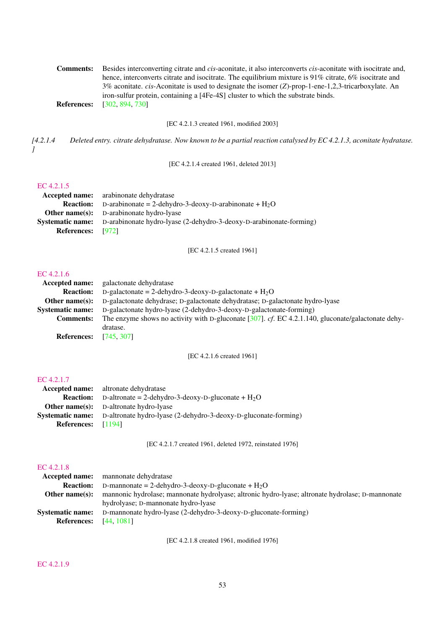| <b>Comments:</b> | Besides interconverting citrate and <i>cis</i> -aconitate, it also interconverts <i>cis</i> -aconitate with isocitrate and, |
|------------------|-----------------------------------------------------------------------------------------------------------------------------|
|                  | hence, interconverts citrate and isocitrate. The equilibrium mixture is 91% citrate, 6% isocitrate and                      |
|                  | 3% aconitate. cis-Aconitate is used to designate the isomer (Z)-prop-1-ene-1,2,3-tricarboxylate. An                         |
|                  | iron-sulfur protein, containing a [4Fe-4S] cluster to which the substrate binds.                                            |
|                  | <b>References:</b> [302, 894, 730]                                                                                          |

[EC 4.2.1.3 created 1961, modified 2003]

*[4.2.1.4 Deleted entry. citrate dehydratase. Now known to be a partial reaction catalysed by EC 4.2.1.3, aconitate hydratase. ]*

[EC 4.2.1.4 created 1961, deleted 2013]

## [EC 4.2.1.5](http://www.enzyme-database.org/query.php?ec=4.2.1.5)

|                          | <b>Accepted name:</b> arabinonate dehydratase                                               |
|--------------------------|---------------------------------------------------------------------------------------------|
|                          | <b>Reaction:</b> D-arabinonate = 2-dehydro-3-deoxy-D-arabinonate + $H_2O$                   |
|                          | <b>Other name(s):</b> D-arabinonate hydro-lyase                                             |
|                          | <b>Systematic name:</b> D-arabinonate hydro-lyase (2-dehydro-3-deoxy-D-arabinonate-forming) |
| <b>References:</b> [972] |                                                                                             |

[EC 4.2.1.5 created 1961]

# [EC 4.2.1.6](http://www.enzyme-database.org/query.php?ec=4.2.1.6)

| EU 4.2.1.0              |                                                                                                       |
|-------------------------|-------------------------------------------------------------------------------------------------------|
| <b>Accepted name:</b>   | galactonate dehydratase                                                                               |
| <b>Reaction:</b>        | D-galactonate = 2-dehydro-3-deoxy-D-galactonate + $H_2O$                                              |
| Other name $(s)$ :      | D-galactonate dehydrase; D-galactonate dehydratase; D-galactonate hydro-lyase                         |
| <b>Systematic name:</b> | D-galactonate hydro-lyase (2-dehydro-3-deoxy-D-galactonate-forming)                                   |
| <b>Comments:</b>        | The enzyme shows no activity with D-gluconate $[307]$ . cf. EC 4.2.1.140, gluconate/galactonate dehy- |
|                         | dratase.                                                                                              |
| <b>References:</b>      | [745, 307]                                                                                            |
|                         |                                                                                                       |

[EC 4.2.1.6 created 1961]

## [EC 4.2.1.7](http://www.enzyme-database.org/query.php?ec=4.2.1.7)

|                      | <b>Accepted name:</b> altronate dehydratase                                             |
|----------------------|-----------------------------------------------------------------------------------------|
|                      | <b>Reaction:</b> D-altronate = 2-dehydro-3-deoxy-D-gluconate + $H_2O$                   |
|                      | <b>Other name(s):</b> D-altronate hydro-lyase                                           |
|                      | <b>Systematic name:</b> D-altronate hydro-lyase (2-dehydro-3-deoxy-D-gluconate-forming) |
| References: $[1194]$ |                                                                                         |

[EC 4.2.1.7 created 1961, deleted 1972, reinstated 1976]

#### [EC 4.2.1.8](http://www.enzyme-database.org/query.php?ec=4.2.1.8)

| mannonate dehydratase                                                                            |  |
|--------------------------------------------------------------------------------------------------|--|
| D-mannonate = 2-dehydro-3-deoxy-D-gluconate + $H_2O$                                             |  |
| mannonic hydrolase; mannonate hydrolyase; altronic hydro-lyase; altronate hydrolase; D-mannonate |  |
| hydrolyase; D-mannonate hydro-lyase                                                              |  |
| D-mannonate hydro-lyase (2-dehydro-3-deoxy-D-gluconate-forming)                                  |  |
| <b>References:</b> [44, 1081]                                                                    |  |
|                                                                                                  |  |

[EC 4.2.1.8 created 1961, modified 1976]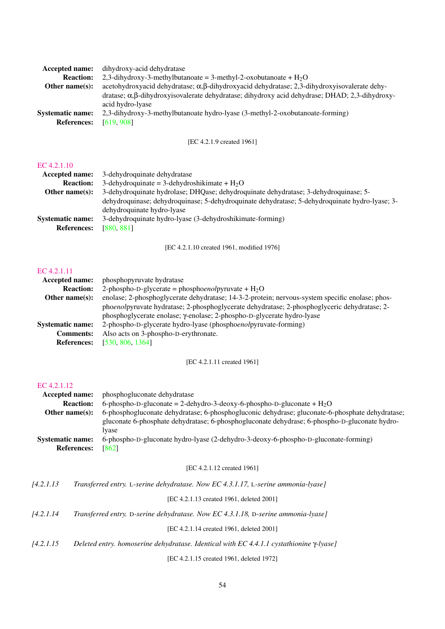| dihydroxy-acid dehydratase                                                                                  |  |
|-------------------------------------------------------------------------------------------------------------|--|
| 2,3-dihydroxy-3-methylbutanoate = 3-methyl-2-oxobutanoate + $H_2O$                                          |  |
| acetohydroxyacid dehydratase; $\alpha$ , $\beta$ -dihydroxyacid dehydratase; 2,3-dihydroxyisovalerate dehy- |  |
| dratase; α,β-dihydroxyisovalerate dehydratase; dihydroxy acid dehydrase; DHAD; 2,3-dihydroxy-               |  |
| acid hydro-lyase                                                                                            |  |
| 2,3-dihydroxy-3-methylbutanoate hydro-lyase (3-methyl-2-oxobutanoate-forming)                               |  |
| [619, 908]                                                                                                  |  |
|                                                                                                             |  |

[EC 4.2.1.9 created 1961]

#### [EC 4.2.1.10](http://www.enzyme-database.org/query.php?ec=4.2.1.10)

| <b>Accepted name:</b>   | 3-dehydroquinate dehydratase                                                                   |
|-------------------------|------------------------------------------------------------------------------------------------|
| <b>Reaction:</b>        | 3-dehydroquinate = 3-dehydroshikimate + $H_2O$                                                 |
| Other name $(s)$ :      | 3-dehydroquinate hydrolase; DHQase; dehydroquinate dehydratase; 3-dehydroquinase; 5-           |
|                         | dehydroquinase; dehydroquinase; 5-dehydroquinate dehydratase; 5-dehydroquinate hydro-lyase; 3- |
|                         | dehydroquinate hydro-lyase                                                                     |
| <b>Systematic name:</b> | 3-dehydroquinate hydro-lyase (3-dehydroshikimate-forming)                                      |
| <b>References:</b>      | [880, 881]                                                                                     |
|                         |                                                                                                |

[EC 4.2.1.10 created 1961, modified 1976]

#### [EC 4.2.1.11](http://www.enzyme-database.org/query.php?ec=4.2.1.11)

| Accepted name:          | phosphopyruvate hydratase                                                                       |  |  |
|-------------------------|-------------------------------------------------------------------------------------------------|--|--|
| <b>Reaction:</b>        | 2-phospho-D-glycerate = phosphoenolpyruvate + $H_2O$                                            |  |  |
| Other name $(s)$ :      | enolase; 2-phosphoglycerate dehydratase; 14-3-2-protein; nervous-system specific enolase; phos- |  |  |
|                         | phoenolpyruvate hydratase; 2-phosphoglycerate dehydratase; 2-phosphoglyceric dehydratase; 2-    |  |  |
|                         | phosphoglycerate enolase; γ-enolase; 2-phospho-D-glycerate hydro-lyase                          |  |  |
| <b>Systematic name:</b> | 2-phospho-D-glycerate hydro-lyase (phosphoenolpyruvate-forming)                                 |  |  |
| <b>Comments:</b>        | Also acts on 3-phospho-D-erythronate.                                                           |  |  |
| <b>References:</b>      | [530, 806, 1364]                                                                                |  |  |
|                         |                                                                                                 |  |  |

#### [EC 4.2.1.11 created 1961]

#### [EC 4.2.1.12](http://www.enzyme-database.org/query.php?ec=4.2.1.12)

| Accepted name:          | phosphogluconate dehydratase                                                                    |  |  |
|-------------------------|-------------------------------------------------------------------------------------------------|--|--|
| <b>Reaction:</b>        | 6-phospho-D-gluconate = 2-dehydro-3-deoxy-6-phospho-D-gluconate + $H_2O$                        |  |  |
| Other name $(s)$ :      | 6-phosphogluconate dehydratase; 6-phosphogluconic dehydrase; gluconate-6-phosphate dehydratase; |  |  |
|                         | gluconate 6-phosphate dehydratase; 6-phosphogluconate dehydrase; 6-phospho-D-gluconate hydro-   |  |  |
|                         | Iyase                                                                                           |  |  |
| <b>Systematic name:</b> | 6-phospho-D-gluconate hydro-lyase (2-dehydro-3-deoxy-6-phospho-D-gluconate-forming)             |  |  |
| <b>References:</b>      | [862]                                                                                           |  |  |

#### [EC 4.2.1.12 created 1961]

| 14.2.1.13 |  | Transferred entry. L-serine dehydratase. Now EC 4.3.1.17, L-serine ammonia-lyase] |
|-----------|--|-----------------------------------------------------------------------------------|
|           |  |                                                                                   |

[EC 4.2.1.13 created 1961, deleted 2001]

| 14.2.1.14 |  | Transferred entry. D-serine dehydratase. Now EC 4.3.1.18, D-serine ammonia-lyase] |  |
|-----------|--|-----------------------------------------------------------------------------------|--|
|           |  |                                                                                   |  |

[EC 4.2.1.14 created 1961, deleted 2001]

*[4.2.1.15 Deleted entry. homoserine dehydratase. Identical with EC 4.4.1.1 cystathionine* γ*-lyase]*

[EC 4.2.1.15 created 1961, deleted 1972]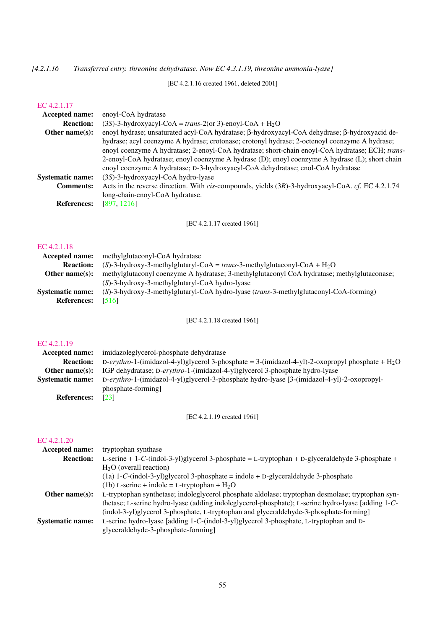*[4.2.1.16 Transferred entry. threonine dehydratase. Now EC 4.3.1.19, threonine ammonia-lyase]*

[EC 4.2.1.16 created 1961, deleted 2001]

#### [EC 4.2.1.17](http://www.enzyme-database.org/query.php?ec=4.2.1.17)

| <b>Accepted name:</b>   | enoyl-CoA hydratase                                                                                       |
|-------------------------|-----------------------------------------------------------------------------------------------------------|
| <b>Reaction:</b>        | $(3S)$ -3-hydroxyacyl-CoA = trans-2(or 3)-enoyl-CoA + H <sub>2</sub> O                                    |
| Other name $(s)$ :      | enoyl hydrase; unsaturated acyl-CoA hydratase; β-hydroxyacyl-CoA dehydrase; β-hydroxyacid de-             |
|                         | hydrase; acyl coenzyme A hydrase; crotonase; crotonyl hydrase; 2-octenoyl coenzyme A hydrase;             |
|                         | enoyl coenzyme A hydratase; 2-enoyl-CoA hydratase; short-chain enoyl-CoA hydratase; ECH; trans-           |
|                         | 2-enoyl-CoA hydratase; enoyl coenzyme A hydrase (D); enoyl coenzyme A hydrase (L); short chain            |
|                         | enoyl coenzyme A hydratase; D-3-hydroxyacyl-CoA dehydratase; enol-CoA hydratase                           |
| <b>Systematic name:</b> | (3S)-3-hydroxyacyl-CoA hydro-lyase                                                                        |
| <b>Comments:</b>        | Acts in the reverse direction. With <i>cis</i> -compounds, yields (3R)-3-hydroxyacyl-CoA. cf. EC 4.2.1.74 |
|                         | long-chain-enoyl-CoA hydratase.                                                                           |
| <b>References:</b>      | [897, 1216]                                                                                               |

[EC 4.2.1.17 created 1961]

## [EC 4.2.1.18](http://www.enzyme-database.org/query.php?ec=4.2.1.18)

| Accepted name:          | methylglutaconyl-CoA hydratase                                                              |
|-------------------------|---------------------------------------------------------------------------------------------|
| <b>Reaction:</b>        | (S)-3-hydroxy-3-methylglutaryl-CoA = trans-3-methylglutaconyl-CoA + $H_2O$                  |
| Other name $(s)$ :      | methylglutaconyl coenzyme A hydratase; 3-methylglutaconyl CoA hydratase; methylglutaconase; |
|                         | $(S)$ -3-hydroxy-3-methylglutaryl-CoA hydro-lyase                                           |
| <b>Systematic name:</b> | $(S)$ -3-hydroxy-3-methylglutaryl-CoA hydro-lyase (trans-3-methylglutaconyl-CoA-forming)    |
| <b>References:</b>      | [516]                                                                                       |
|                         |                                                                                             |

[EC 4.2.1.18 created 1961]

## [EC 4.2.1.19](http://www.enzyme-database.org/query.php?ec=4.2.1.19)

| <b>Accepted name:</b>   | imidazoleglycerol-phosphate dehydratase                                                            |
|-------------------------|----------------------------------------------------------------------------------------------------|
| <b>Reaction:</b>        | D-erythro-1-(imidazol-4-yl)glycerol 3-phosphate = 3-(imidazol-4-yl)-2-oxopropyl phosphate + $H_2O$ |
| Other name(s):          | IGP dehydratase; D-erythro-1-(imidazol-4-yl)glycerol 3-phosphate hydro-lyase                       |
| <b>Systematic name:</b> | D-erythro-1-(imidazol-4-yl)glycerol-3-phosphate hydro-lyase [3-(imidazol-4-yl)-2-oxopropyl-        |
|                         | phosphate-forming                                                                                  |
| <b>References:</b>      | $\lceil 23 \rceil$                                                                                 |

[EC 4.2.1.19 created 1961]

| <b>Accepted name:</b>   | tryptophan synthase                                                                                |
|-------------------------|----------------------------------------------------------------------------------------------------|
| <b>Reaction:</b>        | L-serine + 1-C-(indol-3-yl)glycerol 3-phosphate = L-tryptophan + D-glyceraldehyde 3-phosphate +    |
|                         | $H2O$ (overall reaction)                                                                           |
|                         | $(1a)$ 1-C-(indol-3-yl)glycerol 3-phosphate = indole + D-glyceraldehyde 3-phosphate                |
|                         | (1b) L-serine + indole = L-tryptophan + $H_2O$                                                     |
| Other name $(s)$ :      | L-tryptophan synthetase; indoleglycerol phosphate aldolase; tryptophan desmolase; tryptophan syn-  |
|                         | thetase; L-serine hydro-lyase (adding indoleglycerol-phosphate); L-serine hydro-lyase [adding 1-C- |
|                         | (indol-3-yl)glycerol 3-phosphate, L-tryptophan and glyceraldehyde-3-phosphate-forming]             |
| <b>Systematic name:</b> | L-serine hydro-lyase [adding 1-C-(indol-3-yl)glycerol 3-phosphate, L-tryptophan and D-             |
|                         | glyceraldehyde-3-phosphate-forming]                                                                |
|                         |                                                                                                    |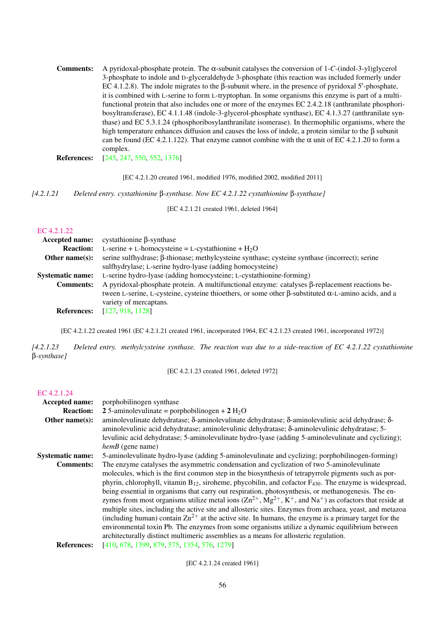Comments: A pyridoxal-phosphate protein. The α-subunit catalyses the conversion of 1-*C*-(indol-3-yl)glycerol 3-phosphate to indole and D-glyceraldehyde 3-phosphate (this reaction was included formerly under EC 4.1.2.8). The indole migrates to the β-subunit where, in the presence of pyridoxal 5'-phosphate, it is combined with L-serine to form L-tryptophan. In some organisms this enzyme is part of a multifunctional protein that also includes one or more of the enzymes EC 2.4.2.18 (anthranilate phosphoribosyltransferase), EC 4.1.1.48 (indole-3-glycerol-phosphate synthase), EC 4.1.3.27 (anthranilate synthase) and EC 5.3.1.24 (phosphoribosylanthranilate isomerase). In thermophilic organisms, where the high temperature enhances diffusion and causes the loss of indole, a protein similar to the β subunit can be found (EC 4.2.1.122). That enzyme cannot combine with the  $\alpha$  unit of EC 4.2.1.20 to form a complex.

References: [\[245,](#page-189-5) [247,](#page-189-2) [550,](#page-205-1) [552,](#page-205-5) [1376\]](#page-248-1)

[EC 4.2.1.20 created 1961, modified 1976, modified 2002, modified 2011]

*[4.2.1.21 Deleted entry. cystathionine* β*-synthase. Now EC 4.2.1.22 cystathionine* β*-synthase]*

[EC 4.2.1.21 created 1961, deleted 1964]

#### [EC 4.2.1.22](http://www.enzyme-database.org/query.php?ec=4.2.1.22)

| <b>Accepted name:</b>   | cystathionine β-synthase                                                                                           |  |  |
|-------------------------|--------------------------------------------------------------------------------------------------------------------|--|--|
| <b>Reaction:</b>        | L-serine + L-homocysteine = L-cystathionine + $H_2O$                                                               |  |  |
| Other name $(s)$ :      | serine sulfhydrase; β-thionase; methylcysteine synthase; cysteine synthase (incorrect); serine                     |  |  |
|                         | sulfhydrylase; L-serine hydro-lyase (adding homocysteine)                                                          |  |  |
| <b>Systematic name:</b> | L-serine hydro-lyase (adding homocysteine; L-cystathionine-forming)                                                |  |  |
| <b>Comments:</b>        | A pyridoxal-phosphate protein. A multifunctional enzyme: catalyses β-replacement reactions be-                     |  |  |
|                         | tween L-serine, L-cysteine, cysteine thioethers, or some other $\beta$ -substituted $\alpha$ -L-amino acids, and a |  |  |
|                         | variety of mercaptans.                                                                                             |  |  |
| <b>References:</b>      | [127, 918, 1128]                                                                                                   |  |  |

[EC 4.2.1.22 created 1961 (EC 4.2.1.21 created 1961, incorporated 1964, EC 4.2.1.23 created 1961, incorporated 1972)]

*[4.2.1.23 Deleted entry. methylcysteine synthase. The reaction was due to a side-reaction of EC 4.2.1.22 cystathionine* β*-synthase]*

[EC 4.2.1.23 created 1961, deleted 1972]

#### [EC 4.2.1.24](http://www.enzyme-database.org/query.php?ec=4.2.1.24)

| Accepted name:          | porphobilinogen synthase                                                                                                                                                                                                                                                                                                                                                                                                                                                                                                                                                                                                                                                                                                                                                                                                                                                                                                                                                         |  |
|-------------------------|----------------------------------------------------------------------------------------------------------------------------------------------------------------------------------------------------------------------------------------------------------------------------------------------------------------------------------------------------------------------------------------------------------------------------------------------------------------------------------------------------------------------------------------------------------------------------------------------------------------------------------------------------------------------------------------------------------------------------------------------------------------------------------------------------------------------------------------------------------------------------------------------------------------------------------------------------------------------------------|--|
| <b>Reaction:</b>        | 2.5-aminolevulinate = porphobilinogen + 2 $H_2O$                                                                                                                                                                                                                                                                                                                                                                                                                                                                                                                                                                                                                                                                                                                                                                                                                                                                                                                                 |  |
| Other name $(s)$ :      | aminolevulinate dehydratase; $\delta$ -aminolevulinate dehydratase; $\delta$ -aminolevulinic acid dehydrase; $\delta$ -<br>aminolevulinic acid dehydratase; aminolevulinic dehydratase; $\delta$ -aminolevulinic dehydratase; 5-<br>levulinic acid dehydratase; 5-aminolevulinate hydro-lyase (adding 5-aminolevulinate and cyclizing);<br>$hemB$ (gene name)                                                                                                                                                                                                                                                                                                                                                                                                                                                                                                                                                                                                                    |  |
| <b>Systematic name:</b> | 5-aminolevulinate hydro-lyase (adding 5-aminolevulinate and cyclizing; porphobilinogen-forming)                                                                                                                                                                                                                                                                                                                                                                                                                                                                                                                                                                                                                                                                                                                                                                                                                                                                                  |  |
| <b>Comments:</b>        | The enzyme catalyses the asymmetric condensation and cyclization of two 5-aminolevulinate<br>molecules, which is the first common step in the biosynthesis of tetrapyrrole pigments such as por-<br>phyrin, chlorophyll, vitamin $B_{12}$ , siroheme, phycobilin, and cofactor $F_{430}$ . The enzyme is widespread,<br>being essential in organisms that carry out respiration, photosynthesis, or methanogenesis. The en-<br>zymes from most organisms utilize metal ions $(Zn^{2+}, Mg^{2+}, K^+,$ and Na <sup>+</sup> ) as cofactors that reside at<br>multiple sites, including the active site and allosteric sites. Enzymes from archaea, yeast, and metazoa<br>(including human) contain $\text{Zn}^{2+}$ at the active site. In humans, the enzyme is a primary target for the<br>environmental toxin Pb. The enzymes from some organisms utilize a dynamic equilibrium between<br>architecturally distinct multimeric assemblies as a means for allosteric regulation. |  |
| <b>References:</b>      | [410, 678, 1399, 879, 575, 1354, 576, 1279]                                                                                                                                                                                                                                                                                                                                                                                                                                                                                                                                                                                                                                                                                                                                                                                                                                                                                                                                      |  |

[EC 4.2.1.24 created 1961]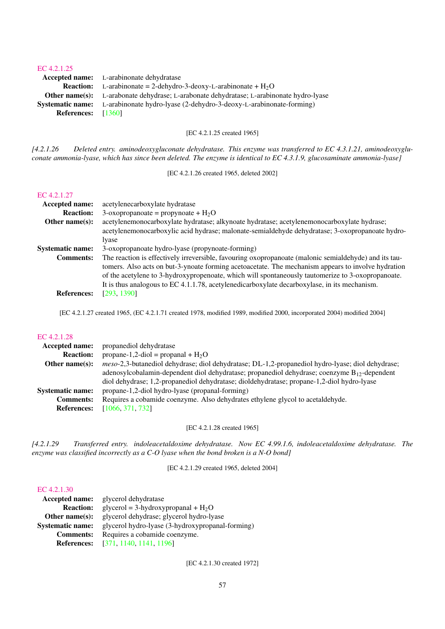#### [EC 4.2.1.25](http://www.enzyme-database.org/query.php?ec=4.2.1.25)

|                      | <b>Accepted name:</b> L-arabinonate dehydratase                                                 |
|----------------------|-------------------------------------------------------------------------------------------------|
|                      | <b>Reaction:</b> L-arabinonate = 2-dehydro-3-deoxy-L-arabinonate + $H_2O$                       |
|                      | <b>Other name(s):</b> L-arabonate dehydrase; L-arabonate dehydratase; L-arabinonate hydro-lyase |
|                      | <b>Systematic name:</b> L-arabinonate hydro-lyase (2-dehydro-3-deoxy-L-arabinonate-forming)     |
| References: $[1360]$ |                                                                                                 |

[EC 4.2.1.25 created 1965]

*[4.2.1.26 Deleted entry. aminodeoxygluconate dehydratase. This enzyme was transferred to EC 4.3.1.21, aminodeoxygluconate ammonia-lyase, which has since been deleted. The enzyme is identical to EC 4.3.1.9, glucosaminate ammonia-lyase]*

[EC 4.2.1.26 created 1965, deleted 2002]

#### [EC 4.2.1.27](http://www.enzyme-database.org/query.php?ec=4.2.1.27)

| <b>Accepted name:</b>   | acetylenecarboxylate hydratase                                                                        |  |
|-------------------------|-------------------------------------------------------------------------------------------------------|--|
| <b>Reaction:</b>        | 3-oxopropanoate = propynoate + $H_2O$                                                                 |  |
| Other name $(s)$ :      | acetylenemonocarboxylate hydratase; alkynoate hydratase; acetylenemonocarboxylate hydrase;            |  |
|                         | acetylenemonocarboxylic acid hydrase; malonate-semialdehyde dehydratase; 3-oxopropanoate hydro-       |  |
|                         | lyase                                                                                                 |  |
| <b>Systematic name:</b> | 3-oxopropanoate hydro-lyase (propynoate-forming)                                                      |  |
| <b>Comments:</b>        | The reaction is effectively irreversible, favouring oxopropanoate (malonic semialdehyde) and its tau- |  |
|                         | tomers. Also acts on but-3-ynoate forming acetoacetate. The mechanism appears to involve hydration    |  |
|                         | of the acetylene to 3-hydroxypropenoate, which will spontaneously tautomerize to 3-oxopropanoate.     |  |
|                         | It is thus analogous to EC 4.1.1.78, acetylenedicarboxylate decarboxylase, in its mechanism.          |  |
| <b>References:</b>      | [293, 1390]                                                                                           |  |

[EC 4.2.1.27 created 1965, (EC 4.2.1.71 created 1978, modified 1989, modified 2000, incorporated 2004) modified 2004]

#### [EC 4.2.1.28](http://www.enzyme-database.org/query.php?ec=4.2.1.28)

| <b>Accepted name:</b>   | propanediol dehydratase                                                                                 |  |
|-------------------------|---------------------------------------------------------------------------------------------------------|--|
| <b>Reaction:</b>        | propane-1,2-diol = propanal + $H_2O$                                                                    |  |
| Other name $(s)$ :      | <i>meso-2,3-butanediol dehydrase; diol dehydratase; DL-1,2-propanediol hydro-lyase; diol dehydrase;</i> |  |
|                         | adenosylcobalamin-dependent diol dehydratase; propanediol dehydrase; coenzyme $B_{12}$ -dependent       |  |
|                         | diol dehydrase; 1,2-propanediol dehydratase; dioldehydratase; propane-1,2-diol hydro-lyase              |  |
| <b>Systematic name:</b> | propane-1,2-diol hydro-lyase (propanal-forming)                                                         |  |
| <b>Comments:</b>        | Requires a cobamide coenzyme. Also dehydrates ethylene glycol to acetaldehyde.                          |  |
| <b>References:</b>      | [1066, 371, 732]                                                                                        |  |
|                         |                                                                                                         |  |

[EC 4.2.1.28 created 1965]

*[4.2.1.29 Transferred entry. indoleacetaldoxime dehydratase. Now EC 4.99.1.6, indoleacetaldoxime dehydratase. The enzyme was classified incorrectly as a C-O lyase when the bond broken is a N-O bond]*

[EC 4.2.1.29 created 1965, deleted 2004]

#### [EC 4.2.1.30](http://www.enzyme-database.org/query.php?ec=4.2.1.30)

| glycerol dehydratase                             |
|--------------------------------------------------|
| glycerol = 3-hydroxypropanal + $H_2O$            |
| glycerol dehydrase; glycerol hydro-lyase         |
| glycerol hydro-lyase (3-hydroxypropanal-forming) |
| Requires a cobamide coenzyme.                    |
| [371, 1140, 1141, 1196]                          |
|                                                  |

[EC 4.2.1.30 created 1972]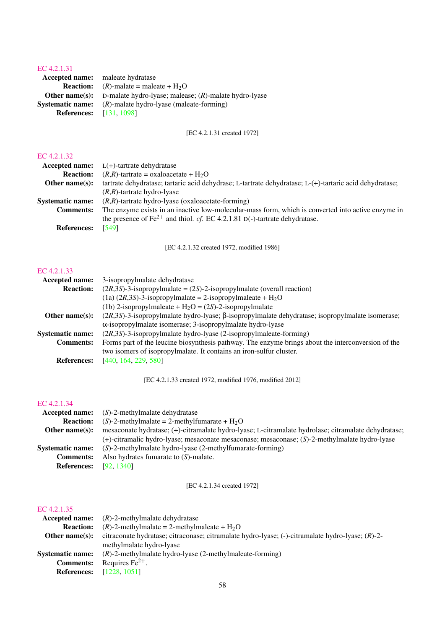## [EC 4.2.1.31](http://www.enzyme-database.org/query.php?ec=4.2.1.31)

Accepted name: maleate hydratase **Reaction:**  $(R)$ -malate = maleate +  $H_2O$ Other name(s): D-malate hydro-lyase; malease; (*R*)-malate hydro-lyase Systematic name: (*R*)-malate hydro-lyase (maleate-forming) **References:** [\[131,](#page-183-3) [1098\]](#page-234-1)

[EC 4.2.1.31 created 1972]

#### [EC 4.2.1.32](http://www.enzyme-database.org/query.php?ec=4.2.1.32)

| <b>Accepted name:</b>   | $L(+)$ -tartrate dehydratase                                                                                                                                                          |
|-------------------------|---------------------------------------------------------------------------------------------------------------------------------------------------------------------------------------|
| <b>Reaction:</b>        | $(R,R)$ -tartrate = oxaloacetate + H <sub>2</sub> O                                                                                                                                   |
| Other name $(s)$ :      | tartrate dehydratase; tartaric acid dehydrase; L-tartrate dehydratase; L-(+)-tartaric acid dehydratase;                                                                               |
|                         | $(R,R)$ -tartrate hydro-lyase                                                                                                                                                         |
| <b>Systematic name:</b> | $(R,R)$ -tartrate hydro-lyase (oxaloacetate-forming)                                                                                                                                  |
| <b>Comments:</b>        | The enzyme exists in an inactive low-molecular-mass form, which is converted into active enzyme in<br>the presence of $Fe^{2+}$ and thiol. cf. EC 4.2.1.81 D(-)-tartrate dehydratase. |
| <b>References:</b>      | [549]                                                                                                                                                                                 |

[EC 4.2.1.32 created 1972, modified 1986]

## [EC 4.2.1.33](http://www.enzyme-database.org/query.php?ec=4.2.1.33)

| <b>Accepted name:</b>   | 3-isopropylmalate dehydratase                                                                              |  |
|-------------------------|------------------------------------------------------------------------------------------------------------|--|
| <b>Reaction:</b>        | $(2R,3S)$ -3-isopropylmalate = $(2S)$ -2-isopropylmalate (overall reaction)                                |  |
|                         | $(1a)$ (2R,3S)-3-isopropylmalate = 2-isopropylmaleate + H <sub>2</sub> O                                   |  |
|                         | (1b) 2-isopropylmaleate + $H_2O = (2S)$ -2-isopropylmalate                                                 |  |
| Other name $(s)$ :      | $(2R,3S)$ -3-isopropylmalate hydro-lyase; $\beta$ -isopropylmalate dehydratase; isopropylmalate isomerase; |  |
|                         | $\alpha$ -isopropylmalate isomerase; 3-isopropylmalate hydro-lyase                                         |  |
| <b>Systematic name:</b> | $(2R,3S)$ -3-isopropylmalate hydro-lyase (2-isopropylmaleate-forming)                                      |  |
| <b>Comments:</b>        | Forms part of the leucine biosynthesis pathway. The enzyme brings about the interconversion of the         |  |
|                         | two isomers of isopropylmalate. It contains an iron-sulfur cluster.                                        |  |
| <b>References:</b>      | [440, 164, 229, 580]                                                                                       |  |
|                         |                                                                                                            |  |

[EC 4.2.1.33 created 1972, modified 1976, modified 2012]

#### [EC 4.2.1.34](http://www.enzyme-database.org/query.php?ec=4.2.1.34)

|                    | <b>Accepted name:</b> $(S)$ -2-methylmalate dehydratase                                              |  |
|--------------------|------------------------------------------------------------------------------------------------------|--|
| <b>Reaction:</b>   | $(S)$ -2-methylmalate = 2-methylfumarate + H <sub>2</sub> O                                          |  |
| Other name $(s)$ : | mesaconate hydratase; (+)-citramalate hydro-lyase; L-citramalate hydrolase; citramalate dehydratase; |  |
|                    | $(+)$ -citramalic hydro-lyase; mesaconate mesaconase; mesaconase; $(S)$ -2-methylmalate hydro-lyase  |  |
| Systematic name:   | $(S)$ -2-methylmalate hydro-lyase (2-methylfumarate-forming)                                         |  |
| <b>Comments:</b>   | Also hydrates fumarate to $(S)$ -malate.                                                             |  |
| <b>References:</b> | [92, 1340]                                                                                           |  |

#### [EC 4.2.1.34 created 1972]

|                    | <b>Accepted name:</b> $(R)$ -2-methylmalate dehydratase                                                |  |
|--------------------|--------------------------------------------------------------------------------------------------------|--|
| <b>Reaction:</b>   | $(R)$ -2-methylmalate = 2-methylmaleate + H <sub>2</sub> O                                             |  |
| Other name $(s)$ : | citraconate hydratase; citraconase; citramalate hydro-lyase; $(-)$ -citramalate hydro-lyase; $(R)$ -2- |  |
|                    | methylmalate hydro-lyase                                                                               |  |
| Systematic name:   | $(R)$ -2-methylmalate hydro-lyase (2-methylmaleate-forming)                                            |  |
| <b>Comments:</b>   | Requires $Fe2+$ .                                                                                      |  |
|                    | <b>References:</b> [1228, 1051]                                                                        |  |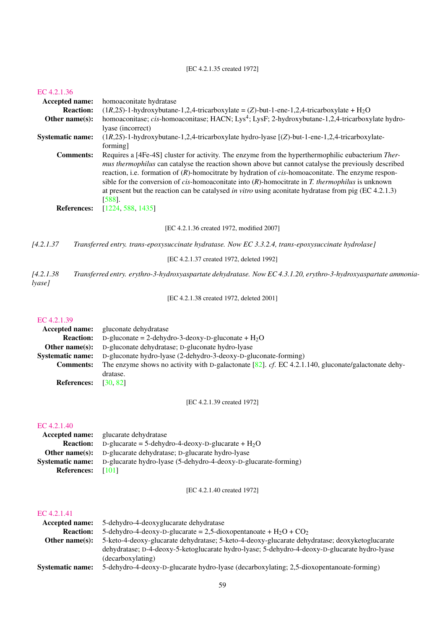## [EC 4.2.1.35 created 1972]

#### [EC 4.2.1.36](http://www.enzyme-database.org/query.php?ec=4.2.1.36)

| Accepted name:                         |                  | homoaconitate hydratase                                                                                                                                                                                                                                                                                                                                                                                                                                                                                                                                                                    |  |
|----------------------------------------|------------------|--------------------------------------------------------------------------------------------------------------------------------------------------------------------------------------------------------------------------------------------------------------------------------------------------------------------------------------------------------------------------------------------------------------------------------------------------------------------------------------------------------------------------------------------------------------------------------------------|--|
|                                        | <b>Reaction:</b> | $(1R,2S)$ -1-hydroxybutane-1,2,4-tricarboxylate = (Z)-but-1-ene-1,2,4-tricarboxylate + H <sub>2</sub> O                                                                                                                                                                                                                                                                                                                                                                                                                                                                                    |  |
| Other name $(s)$ :                     |                  | homoaconitase; cis-homoaconitase; HACN; Lys <sup>4</sup> ; LysF; 2-hydroxybutane-1,2,4-tricarboxylate hydro-<br>lyase (incorrect)                                                                                                                                                                                                                                                                                                                                                                                                                                                          |  |
| <b>Systematic name:</b>                |                  | $(1R,2S)$ -1-hydroxybutane-1,2,4-tricarboxylate hydro-lyase $[(Z)$ -but-1-ene-1,2,4-tricarboxylate-<br>forming]                                                                                                                                                                                                                                                                                                                                                                                                                                                                            |  |
| <b>Comments:</b><br><b>References:</b> |                  | Requires a [4Fe-4S] cluster for activity. The enzyme from the hyperthermophilic eubacterium Ther-<br>mus thermophilus can catalyse the reaction shown above but cannot catalyse the previously described<br>reaction, i.e. formation of $(R)$ -homocitrate by hydration of <i>cis</i> -homoaconitate. The enzyme respon-<br>sible for the conversion of <i>cis</i> -homoaconitate into $(R)$ -homocitrate in <i>T. thermophilus</i> is unknown<br>at present but the reaction can be catalysed in vitro using a conitate hydratase from pig (EC 4.2.1.3)<br>$[588]$ .<br>[1224, 588, 1435] |  |
|                                        |                  | [EC 4.2.1.36 created 1972, modified 2007]                                                                                                                                                                                                                                                                                                                                                                                                                                                                                                                                                  |  |
| [4.2.1.37]                             |                  | Transferred entry. trans-epoxysuccinate hydratase. Now EC 3.3.2.4, trans-epoxysuccinate hydrolase]                                                                                                                                                                                                                                                                                                                                                                                                                                                                                         |  |
|                                        |                  | [EC 4.2.1.37 created 1972, deleted 1992]                                                                                                                                                                                                                                                                                                                                                                                                                                                                                                                                                   |  |
| [4.2.1.38]<br>lyase]                   |                  | Transferred entry. erythro-3-hydroxyaspartate dehydratase. Now EC 4.3.1.20, erythro-3-hydroxyaspartate ammonia-                                                                                                                                                                                                                                                                                                                                                                                                                                                                            |  |
|                                        |                  | [EC 4.2.1.38 created 1972, deleted 2001]                                                                                                                                                                                                                                                                                                                                                                                                                                                                                                                                                   |  |

## [EC 4.2.1.39](http://www.enzyme-database.org/query.php?ec=4.2.1.39)

| Accepted name:          | gluconate dehydratase                                                                               |  |
|-------------------------|-----------------------------------------------------------------------------------------------------|--|
| <b>Reaction:</b>        | D-gluconate = 2-dehydro-3-deoxy-D-gluconate + $H_2O$                                                |  |
| Other name $(s)$ :      | D-gluconate dehydratase; D-gluconate hydro-lyase                                                    |  |
| <b>Systematic name:</b> | D-gluconate hydro-lyase (2-dehydro-3-deoxy-D-gluconate-forming)                                     |  |
| <b>Comments:</b>        | The enzyme shows no activity with D-galactonate [82]. cf. EC 4.2.1.140, gluconate/galactonate dehy- |  |
|                         | dratase.                                                                                            |  |
| <b>References:</b>      | [30, 82]                                                                                            |  |

[EC 4.2.1.39 created 1972]

## [EC 4.2.1.40](http://www.enzyme-database.org/query.php?ec=4.2.1.40)

|                          | <b>Accepted name:</b> glucarate dehydratase                                      |
|--------------------------|----------------------------------------------------------------------------------|
|                          | <b>Reaction:</b> D-glucarate = 5-dehydro-4-deoxy-D-glucarate + $H_2O$            |
|                          | <b>Other name(s):</b> D-glucarate dehydratase; D-glucarate hydro-lyase           |
|                          | Systematic name: D-glucarate hydro-lyase (5-dehydro-4-deoxy-D-glucarate-forming) |
| <b>References:</b> [101] |                                                                                  |

[EC 4.2.1.40 created 1972]

| <b>Accepted name:</b>   | 5-dehydro-4-deoxyglucarate dehydratase                                                         |
|-------------------------|------------------------------------------------------------------------------------------------|
| <b>Reaction:</b>        | 5-dehydro-4-deoxy-D-glucarate = 2,5-dioxopentanoate + $H_2O$ + $CO_2$                          |
| Other name $(s)$ :      | 5-keto-4-deoxy-glucarate dehydratase; 5-keto-4-deoxy-glucarate dehydratase; deoxyketoglucarate |
|                         | dehydratase; D-4-deoxy-5-ketoglucarate hydro-lyase; 5-dehydro-4-deoxy-D-glucarate hydro-lyase  |
|                         | (decarboxylating)                                                                              |
| <b>Systematic name:</b> | 5-dehydro-4-deoxy-D-glucarate hydro-lyase (decarboxylating; 2,5-dioxopentanoate-forming)       |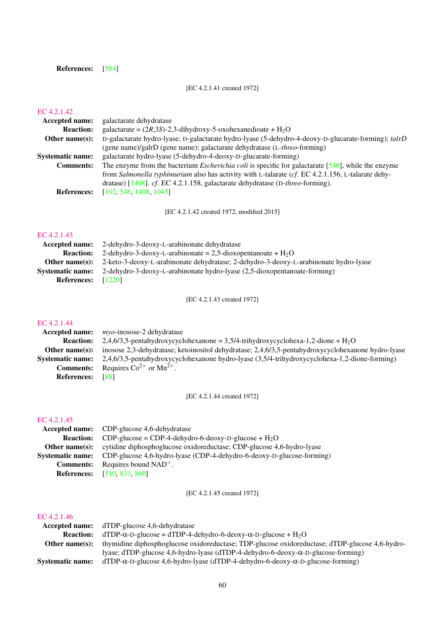## References: [\[584\]](#page-207-7)

[EC 4.2.1.41 created 1972]

## [EC 4.2.1.42](http://www.enzyme-database.org/query.php?ec=4.2.1.42)

| <b>Accepted name:</b>   | galactarate dehydratase                                                                                      |
|-------------------------|--------------------------------------------------------------------------------------------------------------|
| <b>Reaction:</b>        | galactarate = $(2R,3S)$ -2,3-dihydroxy-5-oxohexanedioate + H <sub>2</sub> O                                  |
| Other name $(s)$ :      | D-galactarate hydro-lyase; D-galactarate hydro-lyase (5-dehydro-4-deoxy-D-glucarate-forming); talrD          |
|                         | (gene name)/galrD (gene name); galactarate dehydratase (L-threo-forming)                                     |
| <b>Systematic name:</b> | galactarate hydro-lyase (5-dehydro-4-deoxy-D-glucarate-forming)                                              |
| <b>Comments:</b>        | The enzyme from the bacterium <i>Escherichia coli</i> is specific for galactarate $[546]$ , while the enzyme |
|                         | from Salmonella typhimurium also has activity with L-talarate (cf. EC 4.2.1.156, L-talarate dehy-            |
|                         | dratase) [ $1408$ ]. cf. EC 4.2.1.158, galactarate dehydratase (D-threo-forming).                            |
| <b>References:</b>      | [102, 546, 1408, 1045]                                                                                       |
|                         |                                                                                                              |

[EC 4.2.1.42 created 1972, modified 2015]

## [EC 4.2.1.43](http://www.enzyme-database.org/query.php?ec=4.2.1.43)

|                             | <b>Accepted name:</b> 2-dehydro-3-deoxy-L-arabinonate dehydratase                                           |
|-----------------------------|-------------------------------------------------------------------------------------------------------------|
| <b>Reaction:</b>            | 2-dehydro-3-deoxy-L-arabinonate = 2,5-dioxopentanoate + $H_2O$                                              |
|                             | <b>Other name(s):</b> 2-keto-3-deoxy-L-arabinonate dehydratase; 2-dehydro-3-deoxy-L-arabinonate hydro-lyase |
| <b>Systematic name:</b>     | 2-dehydro-3-deoxy-L-arabinonate hydro-lyase (2,5-dioxopentanoate-forming)                                   |
| <b>References:</b> $[1220]$ |                                                                                                             |

[EC 4.2.1.43 created 1972]

## [EC 4.2.1.44](http://www.enzyme-database.org/query.php?ec=4.2.1.44)

|                         | <b>Accepted name:</b> <i>myo-inosose-2 dehydratase</i>                                             |
|-------------------------|----------------------------------------------------------------------------------------------------|
| <b>Reaction:</b>        | 2,4,6/3,5-pentahydroxycyclohexanone = 3,5/4-trihydroxycyclohexa-1,2-dione + H <sub>2</sub> O       |
| Other name $(s)$ :      | inosose 2,3-dehydratase; ketoinositol dehydratase; 2,4,6/3,5-pentahydroxycyclohexanone hydro-lyase |
| <b>Systematic name:</b> | 2,4,6/3,5-pentahydroxycyclohexanone hydro-lyase (3,5/4-trihydroxycyclohexa-1,2-dione-forming)      |
| <b>Comments:</b>        | Requires $Co^{2+}$ or $Mn^{2+}$ .                                                                  |
| <b>References:</b>      | [88]                                                                                               |

[EC 4.2.1.44 created 1972]

#### [EC 4.2.1.45](http://www.enzyme-database.org/query.php?ec=4.2.1.45)

| Accepted name: CDP-glucose 4,6-dehydratase                                                    |
|-----------------------------------------------------------------------------------------------|
| <b>Reaction:</b> CDP-glucose = CDP-4-dehydro-6-deoxy-D-glucose + $H_2O$                       |
| <b>Other name(s):</b> cytidine diphosphoglucose oxidoreductase; CDP-glucose 4,6-hydro-lyase   |
| <b>Systematic name:</b> CDP-glucose 4.6-hydro-lyase (CDP-4-dehydro-6-deoxy-D-glucose-forming) |
| <b>Comments:</b> Requires bound $NAD^+$ .                                                     |
| <b>References:</b> [510, 831, 860]                                                            |

[EC 4.2.1.45 created 1972]

|                         | <b>Accepted name:</b> dTDP-glucose 4,6-dehydratase                                             |
|-------------------------|------------------------------------------------------------------------------------------------|
| <b>Reaction:</b>        | $dTDP-\alpha-D-glu\csc = dTDP-4-dehydro-6-deoxy-\alpha-D-glu\csc + H_2O$                       |
| Other name $(s)$ :      | thymidine diphosphoglucose oxidoreductase; TDP-glucose oxidoreductase; dTDP-glucose 4,6-hydro- |
|                         | lyase; dTDP-glucose 4,6-hydro-lyase (dTDP-4-dehydro-6-deoxy-α-D-glucose-forming)               |
| <b>Systematic name:</b> | $dTDP-\alpha-D-glucose 4,6-hydro-lyase (dTDP-4-dehydro-6-deoxy-\alpha-D-glucose-forming)$      |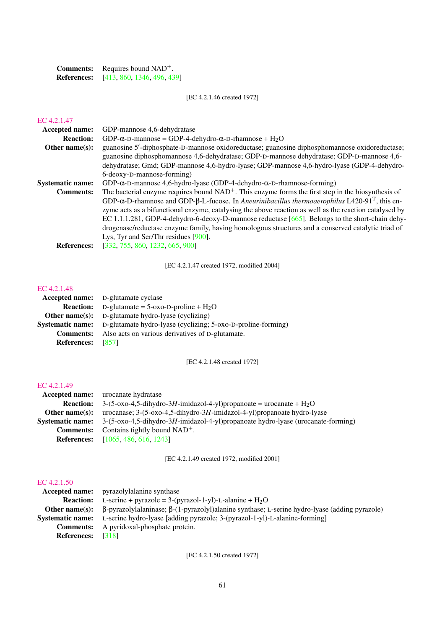| <b>Comments:</b>   | Requires bound $NAD^+$ .   |
|--------------------|----------------------------|
| <b>References:</b> | [413, 860, 1346, 496, 439] |

[EC 4.2.1.46 created 1972]

## [EC 4.2.1.47](http://www.enzyme-database.org/query.php?ec=4.2.1.47)

| <b>Accepted name:</b>   | GDP-mannose 4,6-dehydratase                                                                                                |
|-------------------------|----------------------------------------------------------------------------------------------------------------------------|
| <b>Reaction:</b>        | GDP- $\alpha$ -D-mannose = GDP-4-dehydro- $\alpha$ -D-rhamnose + H <sub>2</sub> O                                          |
| Other name $(s)$ :      | guanosine 5'-diphosphate-D-mannose oxidoreductase; guanosine diphosphomannose oxidoreductase;                              |
|                         | guanosine diphosphomannose 4,6-dehydratase; GDP-D-mannose dehydratase; GDP-D-mannose 4,6-                                  |
|                         | dehydratase; Gmd; GDP-mannose 4,6-hydro-lyase; GDP-mannose 4,6-hydro-lyase (GDP-4-dehydro-                                 |
|                         | 6-deoxy-D-mannose-forming)                                                                                                 |
| <b>Systematic name:</b> | GDP- $\alpha$ -D-mannose 4,6-hydro-lyase (GDP-4-dehydro- $\alpha$ -D-rhamnose-forming)                                     |
| <b>Comments:</b>        | The bacterial enzyme requires bound $NAD+$ . This enzyme forms the first step in the biosynthesis of                       |
|                         | GDP- $\alpha$ -D-rhamnose and GDP- $\beta$ -L-fucose. In Aneurinibacillus thermoaerophilus L420-91 <sup>T</sup> , this en- |
|                         | zyme acts as a bifunctional enzyme, catalysing the above reaction as well as the reaction catalysed by                     |
|                         | EC 1.1.1.281, GDP-4-dehydro-6-deoxy-D-mannose reductase $[665]$ . Belongs to the short-chain dehy-                         |
|                         | drogenase/reductase enzyme family, having homologous structures and a conserved catalytic triad of                         |
|                         | Lys, Tyr and Ser/Thr residues [900].                                                                                       |
| <b>References:</b>      | [332, 755, 860, 1232, 665, 900]                                                                                            |
|                         |                                                                                                                            |

[EC 4.2.1.47 created 1972, modified 2004]

#### [EC 4.2.1.48](http://www.enzyme-database.org/query.php?ec=4.2.1.48)

| <b>Accepted name:</b> D-glutamate cyclase                    |
|--------------------------------------------------------------|
| <b>Reaction:</b> D-glutamate = $5$ -oxo-D-proline + $H_2O$   |
| <b>Other name(s):</b> D-glutamate hydro-lyase (cyclizing)    |
| D-glutamate hydro-lyase (cyclizing; 5-oxo-D-proline-forming) |
| Also acts on various derivatives of D-glutamate.             |
| - 18571                                                      |
|                                                              |

[EC 4.2.1.48 created 1972]

#### [EC 4.2.1.49](http://www.enzyme-database.org/query.php?ec=4.2.1.49)

| <b>Accepted name:</b> urocanate hydratase                                                                                                                                                                                                                                                                        |
|------------------------------------------------------------------------------------------------------------------------------------------------------------------------------------------------------------------------------------------------------------------------------------------------------------------|
| $3-(5-\alpha x)^{-1}$ -1 $\mu$ -1 $\mu$ -1 $\mu$ -1 $\mu$ -1 $\mu$ $\alpha$ -4 $\alpha$ -4 $\mu$ $\beta$ or $\mu$ -1 $\mu$ or $\alpha$ = $\mu$ $\alpha$ = $\mu$ $\alpha$ = $\mu$ $\alpha$ = $\mu$ $\alpha$ = $\mu$ $\alpha$ = $\mu$ $\alpha$ = $\mu$ $\alpha$ = $\mu$ $\alpha$ = $\mu$ $\alpha$ = $\mu$ $\alpha$ |
| urocanase; $3-(5-\alpha x)^{-1}$ , $5-\frac{dihydro-3H-imidazol-4-yl}$ ) propanoate hydro-lyase                                                                                                                                                                                                                  |
| <b>Systematic name:</b> $3-(5-\alpha x)^2 - 4.5-\frac{1}{2}$ billy dro-3H-imidazol-4-yl) propanoate hydro-lyase (urocanate-forming)                                                                                                                                                                              |
| <b>Comments:</b> Contains tightly bound $NAD^+$ .                                                                                                                                                                                                                                                                |
| <b>References:</b> [1065, 486, 616, 1243]                                                                                                                                                                                                                                                                        |
|                                                                                                                                                                                                                                                                                                                  |

[EC 4.2.1.49 created 1972, modified 2001]

#### [EC 4.2.1.50](http://www.enzyme-database.org/query.php?ec=4.2.1.50)

|                          | <b>Accepted name:</b> pyrazolylalanine synthase                                                                                   |
|--------------------------|-----------------------------------------------------------------------------------------------------------------------------------|
|                          | <b>Reaction:</b> L-serine + pyrazole = $3-(pyrazol-1-vl)-L$ -alanine + $H_2O$                                                     |
|                          | <b>Other name(s):</b> $\beta$ -pyrazolylalaninase; $\beta$ -(1-pyrazolyl)alanine synthase; L-serine hydro-lyase (adding pyrazole) |
|                          | <b>Systematic name:</b> L-serine hydro-lyase [adding pyrazole; 3-(pyrazol-1-yl)-L-alanine-forming]                                |
|                          | <b>Comments:</b> A pyridoxal-phosphate protein.                                                                                   |
| <b>References:</b> [318] |                                                                                                                                   |

[EC 4.2.1.50 created 1972]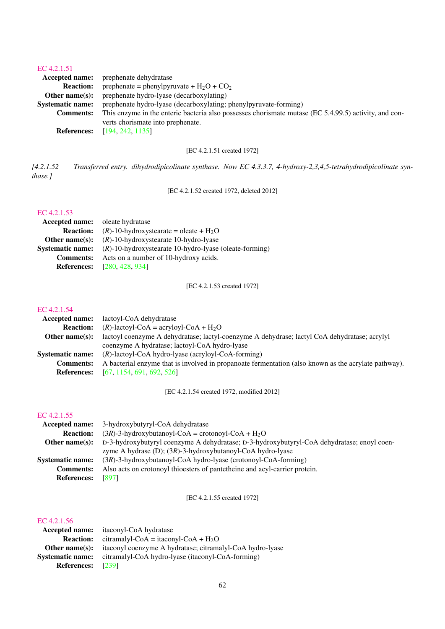#### [EC 4.2.1.51](http://www.enzyme-database.org/query.php?ec=4.2.1.51)

| <b>Accepted name:</b>   | prephenate dehydratase                                                                                |
|-------------------------|-------------------------------------------------------------------------------------------------------|
| <b>Reaction:</b>        | prephenate = phenylpyruvate + $H_2O$ + $CO_2$                                                         |
| Other name $(s)$ :      | prephenate hydro-lyase (decarboxylating)                                                              |
| <b>Systematic name:</b> | prephenate hydro-lyase (decarboxylating; phenylpyruvate-forming)                                      |
| <b>Comments:</b>        | This enzyme in the enteric bacteria also possesses chorismate mutase (EC 5.4.99.5) activity, and con- |
|                         | verts chorismate into prephenate.                                                                     |
| <b>References:</b>      | [194, 242, 1135]                                                                                      |
|                         |                                                                                                       |

[EC 4.2.1.51 created 1972]

*[4.2.1.52 Transferred entry. dihydrodipicolinate synthase. Now EC 4.3.3.7, 4-hydroxy-2,3,4,5-tetrahydrodipicolinate synthase.]*

[EC 4.2.1.52 created 1972, deleted 2012]

## [EC 4.2.1.53](http://www.enzyme-database.org/query.php?ec=4.2.1.53)

| <b>Accepted name:</b> oleate hydratase                                    |  |
|---------------------------------------------------------------------------|--|
| $(R)$ -10-hydroxystearate = oleate + H <sub>2</sub> O<br><b>Reaction:</b> |  |
| $(R)$ -10-hydroxystearate 10-hydro-lyase<br>Other name $(s)$ :            |  |
| $(R)$ -10-hydroxystearate 10-hydro-lyase (oleate-forming)                 |  |
| Acts on a number of 10-hydroxy acids.                                     |  |
| <b>References:</b> [280, 428, 934]                                        |  |
|                                                                           |  |

[EC 4.2.1.53 created 1972]

## [EC 4.2.1.54](http://www.enzyme-database.org/query.php?ec=4.2.1.54)

| lactoyl-CoA dehydratase                                                                              |
|------------------------------------------------------------------------------------------------------|
| $(R)$ -lactoyl-CoA = acryloyl-CoA + H <sub>2</sub> O                                                 |
| lactoyl coenzyme A dehydratase; lactyl-coenzyme A dehydrase; lactyl CoA dehydratase; acrylyl         |
| coenzyme A hydratase; lactoyl-CoA hydro-lyase                                                        |
| $(R)$ -lactoyl-CoA hydro-lyase (acryloyl-CoA-forming)                                                |
| A bacterial enzyme that is involved in propanoate fermentation (also known as the acrylate pathway). |
| <b>References:</b> [67, 1154, 691, 692, 526]                                                         |
| Accepted name:                                                                                       |

[EC 4.2.1.54 created 1972, modified 2012]

#### [EC 4.2.1.55](http://www.enzyme-database.org/query.php?ec=4.2.1.55)

| <b>Accepted name:</b>   | 3-hydroxybutyryl-CoA dehydratase                                                           |  |
|-------------------------|--------------------------------------------------------------------------------------------|--|
| <b>Reaction:</b>        | $(3R)$ -3-hydroxybutanoyl-CoA = crotonoyl-CoA + H <sub>2</sub> O                           |  |
| Other name $(s)$ :      | D-3-hydroxybutyryl coenzyme A dehydratase; D-3-hydroxybutyryl-CoA dehydratase; enoyl coen- |  |
|                         | zyme A hydrase (D); $(3R)$ -3-hydroxybutanoyl-CoA hydro-lyase                              |  |
| <b>Systematic name:</b> | $(3R)$ -3-hydroxybutanoyl-CoA hydro-lyase (crotonoyl-CoA-forming)                          |  |
| <b>Comments:</b>        | Also acts on crotonoyl thioesters of pantetheine and acyl-carrier protein.                 |  |
| <b>References:</b>      | [897]                                                                                      |  |

[EC 4.2.1.55 created 1972]

|                         | <b>Accepted name:</b> its its its its hydratase           |  |
|-------------------------|-----------------------------------------------------------|--|
| <b>Reaction:</b>        | citramalyl-CoA = itaconyl-CoA + $H_2O$                    |  |
| Other name $(s)$ :      | itaconyl coenzyme A hydratase; citramalyl-CoA hydro-lyase |  |
| <b>Systematic name:</b> | citramalyl-CoA hydro-lyase (itaconyl-CoA-forming)         |  |
| <b>References:</b>      | [239]                                                     |  |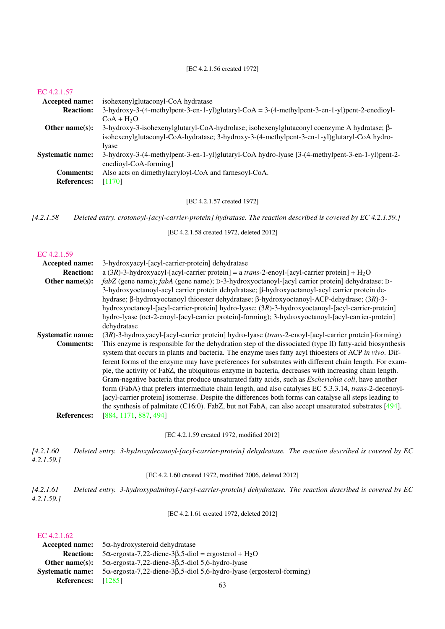[EC 4.2.1.56 created 1972]

#### [EC 4.2.1.57](http://www.enzyme-database.org/query.php?ec=4.2.1.57)

| <b>Accepted name:</b>   | isohexenylglutaconyl-CoA hydratase                                                                                                                                                                |
|-------------------------|---------------------------------------------------------------------------------------------------------------------------------------------------------------------------------------------------|
| <b>Reaction:</b>        | $3-hydroxy-3-(4-methylpent-3-en-1-yl)glutaryl-CoA = 3-(4-methylpent-3-en-1-yl)pent-2-enedioyl-$                                                                                                   |
|                         | $CoA + H2O$                                                                                                                                                                                       |
| Other name $(s)$ :      | 3-hydroxy-3-isohexenylglutaryl-CoA-hydrolase; isohexenylglutaconyl coenzyme A hydratase; $\beta$ -<br>isohexenylglutaconyl-CoA-hydratase; 3-hydroxy-3-(4-methylpent-3-en-1-yl)glutaryl-CoA hydro- |
|                         | lvase                                                                                                                                                                                             |
| <b>Systematic name:</b> | 3-hydroxy-3-(4-methylpent-3-en-1-yl)glutaryl-CoA hydro-lyase [3-(4-methylpent-3-en-1-yl)pent-2-<br>enedioyl-CoA-forming                                                                           |
| <b>Comments:</b>        | Also acts on dimethylacryloyl-CoA and farnesoyl-CoA.                                                                                                                                              |
| <b>References:</b>      | [1170]                                                                                                                                                                                            |

[EC 4.2.1.57 created 1972]

*[4.2.1.58 Deleted entry. crotonoyl-[acyl-carrier-protein] hydratase. The reaction described is covered by EC 4.2.1.59.]*

[EC 4.2.1.58 created 1972, deleted 2012]

#### [EC 4.2.1.59](http://www.enzyme-database.org/query.php?ec=4.2.1.59)

| Accepted name:                         | 3-hydroxyacyl-[acyl-carrier-protein] dehydratase                                                                                                                                                                                                                                                                                                                                                                                                                                                                                                                                                                                                                                                                                                                                                                                                                                                        |  |  |
|----------------------------------------|---------------------------------------------------------------------------------------------------------------------------------------------------------------------------------------------------------------------------------------------------------------------------------------------------------------------------------------------------------------------------------------------------------------------------------------------------------------------------------------------------------------------------------------------------------------------------------------------------------------------------------------------------------------------------------------------------------------------------------------------------------------------------------------------------------------------------------------------------------------------------------------------------------|--|--|
| <b>Reaction:</b>                       | a (3R)-3-hydroxyacyl-[acyl-carrier protein] = a trans-2-enoyl-[acyl-carrier protein] + $H_2O$                                                                                                                                                                                                                                                                                                                                                                                                                                                                                                                                                                                                                                                                                                                                                                                                           |  |  |
| Other name(s):                         | fabZ (gene name); fabA (gene name); D-3-hydroxyoctanoyl-[acyl carrier protein] dehydratase; D-<br>3-hydroxyoctanoyl-acyl carrier protein dehydratase; β-hydroxyoctanoyl-acyl carrier protein de-<br>hydrase; β-hydroxyoctanoyl thioester dehydratase; β-hydroxyoctanoyl-ACP-dehydrase; (3R)-3-<br>hydroxyoctanoyl-[acyl-carrier-protein] hydro-lyase; (3R)-3-hydroxyoctanoyl-[acyl-carrier-protein]<br>hydro-lyase (oct-2-enoyl-[acyl-carrier protein]-forming); 3-hydroxyoctanoyl-[acyl-carrier-protein]<br>dehydratase                                                                                                                                                                                                                                                                                                                                                                                |  |  |
| <b>Systematic name:</b>                | (3R)-3-hydroxyacyl-[acyl-carrier protein] hydro-lyase (trans-2-enoyl-[acyl-carrier protein]-forming)                                                                                                                                                                                                                                                                                                                                                                                                                                                                                                                                                                                                                                                                                                                                                                                                    |  |  |
| <b>Comments:</b><br><b>References:</b> | This enzyme is responsible for the dehydration step of the dissociated (type II) fatty-acid biosynthesis<br>system that occurs in plants and bacteria. The enzyme uses fatty acyl thioesters of ACP in vivo. Dif-<br>ferent forms of the enzyme may have preferences for substrates with different chain length. For exam-<br>ple, the activity of FabZ, the ubiquitous enzyme in bacteria, decreases with increasing chain length.<br>Gram-negative bacteria that produce unsaturated fatty acids, such as <i>Escherichia coli</i> , have another<br>form (FabA) that prefers intermediate chain length, and also catalyses EC 5.3.3.14, trans-2-decenoyl-<br>[acyl-carrier protein] isomerase. Despite the differences both forms can catalyse all steps leading to<br>the synthesis of palmitate (C16:0). FabZ, but not FabA, can also accept unsaturated substrates [494].<br>[884, 1171, 887, 494] |  |  |
|                                        | [EC 4.2.1.59 created 1972, modified 2012]                                                                                                                                                                                                                                                                                                                                                                                                                                                                                                                                                                                                                                                                                                                                                                                                                                                               |  |  |
| [4.2.1.60]<br>4.2.1.59.                | Deleted entry. 3-hydroxydecanoyl-[acyl-carrier-protein] dehydratase. The reaction described is covered by EC                                                                                                                                                                                                                                                                                                                                                                                                                                                                                                                                                                                                                                                                                                                                                                                            |  |  |
|                                        | [EC 4.2.1.60 created 1972, modified 2006, deleted 2012]                                                                                                                                                                                                                                                                                                                                                                                                                                                                                                                                                                                                                                                                                                                                                                                                                                                 |  |  |
| [4.2.1.61]<br>4.2.1.59.                | Deleted entry. 3-hydroxypalmitoyl-[acyl-carrier-protein] dehydratase. The reaction described is covered by EC                                                                                                                                                                                                                                                                                                                                                                                                                                                                                                                                                                                                                                                                                                                                                                                           |  |  |
|                                        | [EC 4.2.1.61 created 1972, deleted 2012]                                                                                                                                                                                                                                                                                                                                                                                                                                                                                                                                                                                                                                                                                                                                                                                                                                                                |  |  |

|                         | Accepted name: $5\alpha$ -hydroxysteroid dehydratase                                 |  |
|-------------------------|--------------------------------------------------------------------------------------|--|
| <b>Reaction:</b>        | $5\alpha$ -ergosta-7,22-diene-3 $\beta$ ,5-diol = ergosterol + H <sub>2</sub> O      |  |
|                         | Other name(s): $5\alpha$ -ergosta-7,22-diene-3 $\beta$ ,5-diol 5,6-hydro-lyase       |  |
| <b>Systematic name:</b> | $5\alpha$ -ergosta-7,22-diene-3 $\beta$ ,5-diol 5,6-hydro-lyase (ergosterol-forming) |  |
| <b>References:</b>      | [1285]                                                                               |  |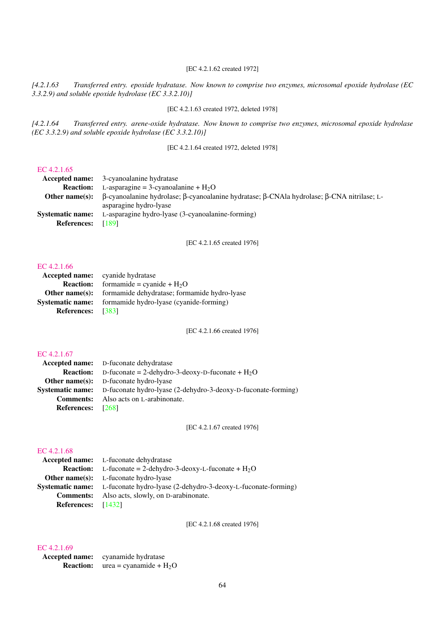## [EC 4.2.1.62 created 1972]

*[4.2.1.63 Transferred entry. epoxide hydratase. Now known to comprise two enzymes, microsomal epoxide hydrolase (EC 3.3.2.9) and soluble epoxide hydrolase (EC 3.3.2.10)]*

[EC 4.2.1.63 created 1972, deleted 1978]

*[4.2.1.64 Transferred entry. arene-oxide hydratase. Now known to comprise two enzymes, microsomal epoxide hydrolase (EC 3.3.2.9) and soluble epoxide hydrolase (EC 3.3.2.10)]*

[EC 4.2.1.64 created 1972, deleted 1978]

## [EC 4.2.1.65](http://www.enzyme-database.org/query.php?ec=4.2.1.65)

|                    | <b>Accepted name:</b> 3-cyanoalanine hydratase                                                                   |  |
|--------------------|------------------------------------------------------------------------------------------------------------------|--|
|                    | <b>Reaction:</b> L-asparagine = 3-cyanoalanine + $H_2O$                                                          |  |
|                    | <b>Other name(s):</b> B-cyanoalanine hydrolase; B-cyanoalanine hydratase; B-CNAla hydrolase; B-CNA nitrilase; L- |  |
|                    | asparagine hydro-lyase                                                                                           |  |
| Systematic name:   | L-asparagine hydro-lyase (3-cyanoalanine-forming)                                                                |  |
| <b>References:</b> | - [189]                                                                                                          |  |
|                    |                                                                                                                  |  |

#### [EC 4.2.1.65 created 1976]

#### [EC 4.2.1.66](http://www.enzyme-database.org/query.php?ec=4.2.1.66)

|                         | <b>Accepted name:</b> cyanide hydratase      |  |
|-------------------------|----------------------------------------------|--|
| <b>Reaction:</b>        | formamide = cyanide + $H_2O$                 |  |
| Other name $(s)$ :      | formamide dehydratase; formamide hydro-lyase |  |
| <b>Systematic name:</b> | formamide hydro-lyase (cyanide-forming)      |  |
| References: [383]       |                                              |  |

[EC 4.2.1.66 created 1976]

#### [EC 4.2.1.67](http://www.enzyme-database.org/query.php?ec=4.2.1.67)

|                          | <b>Accepted name:</b> D-fuconate dehydratase                                          |  |
|--------------------------|---------------------------------------------------------------------------------------|--|
|                          | <b>Reaction:</b> D-fuconate = 2-dehydro-3-deoxy-D-fuconate + $H_2O$                   |  |
|                          | <b>Other name(s):</b> D-fuconate hydro-lyase                                          |  |
|                          | <b>Systematic name:</b> D-fuconate hydro-lyase (2-dehydro-3-deoxy-D-fuconate-forming) |  |
|                          | <b>Comments:</b> Also acts on L-arabinonate.                                          |  |
| <b>References:</b> [268] |                                                                                       |  |
|                          |                                                                                       |  |

[EC 4.2.1.67 created 1976]

#### [EC 4.2.1.68](http://www.enzyme-database.org/query.php?ec=4.2.1.68)

|                           | <b>Accepted name:</b> L-fuconate dehydratase                                          |  |
|---------------------------|---------------------------------------------------------------------------------------|--|
|                           | <b>Reaction:</b> L-fuconate = 2-dehydro-3-deoxy-L-fuconate + $H_2O$                   |  |
|                           | <b>Other name(s):</b> L-fuconate hydro-lyase                                          |  |
|                           | <b>Systematic name:</b> L-fuconate hydro-lyase (2-dehydro-3-deoxy-L-fuconate-forming) |  |
|                           | <b>Comments:</b> Also acts, slowly, on D-arabinonate.                                 |  |
| <b>References:</b> [1432] |                                                                                       |  |

[EC 4.2.1.68 created 1976]

| Accepted name:   | cyanamide hydratase      |
|------------------|--------------------------|
| <b>Reaction:</b> | $area = cyanamide + H2O$ |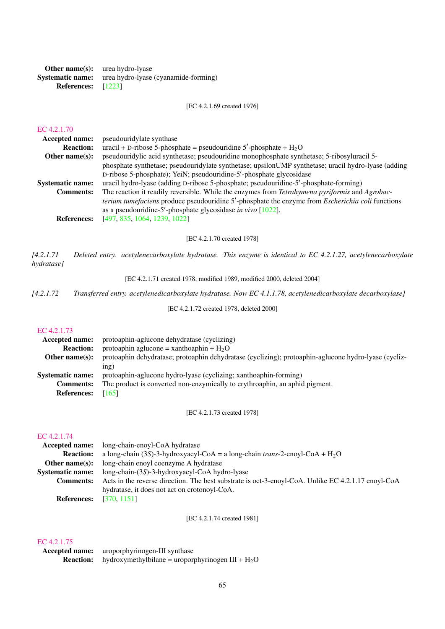|                             | <b>Other name(s):</b> urea hydro-lyase                       |
|-----------------------------|--------------------------------------------------------------|
|                             | <b>Systematic name:</b> urea hydro-lyase (cyanamide-forming) |
| <b>References:</b> $[1223]$ |                                                              |

[EC 4.2.1.69 created 1976]

# [EC 4.2.1.70](http://www.enzyme-database.org/query.php?ec=4.2.1.70)

| LU 7.2.1.70             |                                                                                                         |
|-------------------------|---------------------------------------------------------------------------------------------------------|
| <b>Accepted name:</b>   | pseudouridy late synthase                                                                               |
| <b>Reaction:</b>        | uracil + D-ribose 5-phosphate = pseudouridine $5'$ -phosphate + $H_2O$                                  |
| Other name $(s)$ :      | pseudouridylic acid synthetase; pseudouridine monophosphate synthetase; 5-ribosyluracil 5-              |
|                         | phosphate synthetase; pseudouridylate synthetase; upsilonUMP synthetase; uracil hydro-lyase (adding     |
|                         | D-ribose 5-phosphate); YeiN; pseudouridine-5'-phosphate glycosidase                                     |
| <b>Systematic name:</b> | uracil hydro-lyase (adding D-ribose 5-phosphate; pseudouridine-5'-phosphate-forming)                    |
| <b>Comments:</b>        | The reaction it readily reversible. While the enzymes from Tetrahymena pyriformis and Agrobac-          |
|                         | terium tumefaciens produce pseudouridine 5'-phosphate the enzyme from <i>Escherichia coli</i> functions |
|                         | as a pseudouridine-5'-phosphate glycosidase in vivo $[1022]$ .                                          |
| <b>References:</b>      | [497, 835, 1064, 1239, 1022]                                                                            |
|                         |                                                                                                         |

[EC 4.2.1.70 created 1978]

*[4.2.1.71 Deleted entry. acetylenecarboxylate hydratase. This enzyme is identical to EC 4.2.1.27, acetylenecarboxylate hydratase]*

[EC 4.2.1.71 created 1978, modified 1989, modified 2000, deleted 2004]

*[4.2.1.72 Transferred entry. acetylenedicarboxylate hydratase. Now EC 4.1.1.78, acetylenedicarboxylate decarboxylase]*

[EC 4.2.1.72 created 1978, deleted 2000]

#### [EC 4.2.1.73](http://www.enzyme-database.org/query.php?ec=4.2.1.73)

| Accepted name:          | protoaphin-aglucone dehydratase (cyclizing)                                                          |
|-------------------------|------------------------------------------------------------------------------------------------------|
| <b>Reaction:</b>        | protoaphin aglucone = xanthoaphin + $H_2O$                                                           |
| Other name $(s)$ :      | protoaphin dehydratase; protoaphin dehydratase (cyclizing); protoaphin-aglucone hydro-lyase (cycliz- |
|                         | inp)                                                                                                 |
| <b>Systematic name:</b> | protoaphin-aglucone hydro-lyase (cyclizing; xanthoaphin-forming)                                     |
| <b>Comments:</b>        | The product is converted non-enzymically to erythroaphin, an aphid pigment.                          |
| <b>References:</b>      | [165]                                                                                                |

[EC 4.2.1.73 created 1978]

#### [EC 4.2.1.74](http://www.enzyme-database.org/query.php?ec=4.2.1.74)

| <b>Accepted name:</b>   | long-chain-enoyl-CoA hydratase                                                                     |
|-------------------------|----------------------------------------------------------------------------------------------------|
| <b>Reaction:</b>        | a long-chain (3S)-3-hydroxyacyl-CoA = a long-chain trans-2-enoyl-CoA + $H_2O$                      |
| Other name $(s)$ :      | long-chain enoyl coenzyme A hydratase                                                              |
| <b>Systematic name:</b> | $long-chain-(3S)-3-hydroxyacy1-CoA hydro-lyase$                                                    |
| <b>Comments:</b>        | Acts in the reverse direction. The best substrate is oct-3-enoyl-CoA. Unlike EC 4.2.1.17 enoyl-CoA |
|                         | hydratase, it does not act on crotonoyl-CoA.                                                       |
| <b>References:</b>      | [370, 1151]                                                                                        |

[EC 4.2.1.74 created 1981]

| <b>Accepted name:</b> | uroporphyrinogen-III synthase                      |
|-----------------------|----------------------------------------------------|
| <b>Reaction:</b>      | hydroxymethylbilane = uroporphyrinogen $III + H2O$ |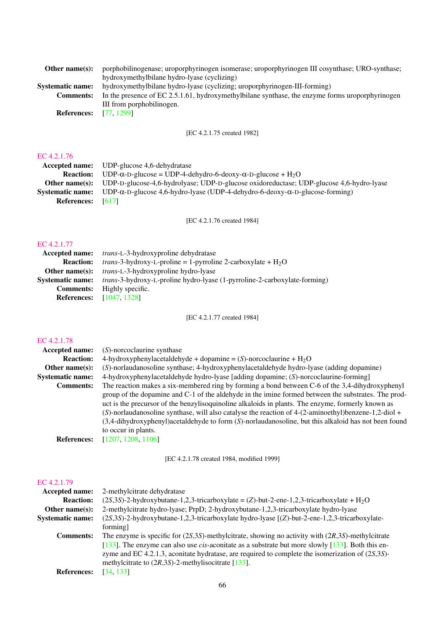| Other name $(s)$ :      | porphobilinogenase; uroporphyrinogen isomerase; uroporphyrinogen III cosynthase; URO-synthase;  |
|-------------------------|-------------------------------------------------------------------------------------------------|
|                         | hydroxymethylbilane hydro-lyase (cyclizing)                                                     |
| <b>Systematic name:</b> | hydroxymethylbilane hydro-lyase (cyclizing; uroporphyrinogen-III-forming)                       |
| <b>Comments:</b>        | In the presence of EC 2.5.1.61, hydroxymethylbilane synthase, the enzyme forms uroporphyrinogen |
|                         | III from porphobilinogen.                                                                       |
| <b>References:</b>      | [77.1299]                                                                                       |

[EC 4.2.1.75 created 1982]

## [EC 4.2.1.76](http://www.enzyme-database.org/query.php?ec=4.2.1.76)

|                     | <b>Accepted name:</b> UDP-glucose 4.6-dehydratase                                                                     |
|---------------------|-----------------------------------------------------------------------------------------------------------------------|
|                     | <b>Reaction:</b> UDP- $\alpha$ -D-glucose = UDP-4-dehydro-6-deoxy- $\alpha$ -D-glucose + H <sub>2</sub> O             |
|                     | <b>Other name(s):</b> UDP-D-glucose-4,6-hydrolyase; UDP-D-glucose oxidoreductase; UDP-glucose 4,6-hydro-lyase         |
|                     | <b>Systematic name:</b> UDP- $\alpha$ -D-glucose 4,6-hydro-lyase (UDP-4-dehydro-6-deoxy- $\alpha$ -D-glucose-forming) |
| References: $[617]$ |                                                                                                                       |
|                     |                                                                                                                       |

[EC 4.2.1.76 created 1984]

## [EC 4.2.1.77](http://www.enzyme-database.org/query.php?ec=4.2.1.77)

| Accepted name:          | trans-L-3-hydroxyproline dehydratase                                              |
|-------------------------|-----------------------------------------------------------------------------------|
| <b>Reaction:</b>        | <i>trans</i> -3-hydroxy-L-proline = 1-pyrroline 2-carboxylate + $H_2O$            |
| <b>Other name(s):</b>   | <i>trans-L-3-hydroxyproline hydro-lyase</i>                                       |
| <b>Systematic name:</b> | <i>trans</i> -3-hydroxy-L-proline hydro-lyase (1-pyrroline-2-carboxylate-forming) |
| <b>Comments:</b>        | Highly specific.                                                                  |
| <b>References:</b>      | [1047, 1328]                                                                      |
|                         |                                                                                   |

[EC 4.2.1.77 created 1984]

## [EC 4.2.1.78](http://www.enzyme-database.org/query.php?ec=4.2.1.78)

| <b>Accepted name:</b>   | $(S)$ -norcoclaurine synthase                                                                          |
|-------------------------|--------------------------------------------------------------------------------------------------------|
| <b>Reaction:</b>        | 4-hydroxyphenylacetaldehyde + dopamine = $(S)$ -norcoclaurine + $H_2O$                                 |
| Other name $(s)$ :      | (S)-norlaudanosoline synthase; 4-hydroxyphenylacetaldehyde hydro-lyase (adding dopamine)               |
| <b>Systematic name:</b> | 4-hydroxyphenylacetaldehyde hydro-lyase [adding dopamine; (S)-norcoclaurine-forming]                   |
| <b>Comments:</b>        | The reaction makes a six-membered ring by forming a bond between C-6 of the 3,4-dihydroxyphenyl        |
|                         | group of the dopamine and C-1 of the aldehyde in the imine formed between the substrates. The prod-    |
|                         | uct is the precursor of the benzylisoquinoline alkaloids in plants. The enzyme, formerly known as      |
|                         | (S)-norlaudanosoline synthase, will also catalyse the reaction of 4-(2-aminoethyl)benzene-1,2-diol +   |
|                         | (3,4-dihydroxyphenyl) acetal dehyde to form (S)-norlaudanosoline, but this alkaloid has not been found |
|                         | to occur in plants.                                                                                    |
| <b>References:</b>      | [1207, 1208, 1106]                                                                                     |
|                         |                                                                                                        |

[EC 4.2.1.78 created 1984, modified 1999]

| Accepted name:          | 2-methylcitrate dehydratase                                                                                            |
|-------------------------|------------------------------------------------------------------------------------------------------------------------|
| <b>Reaction:</b>        | $(2S,3S)$ -2-hydroxybutane-1,2,3-tricarboxylate = (Z)-but-2-ene-1,2,3-tricarboxylate + H <sub>2</sub> O                |
| Other name $(s)$ :      | 2-methylcitrate hydro-lyase; PrpD; 2-hydroxybutane-1,2,3-tricarboxylate hydro-lyase                                    |
| <b>Systematic name:</b> | $(2S,3S)$ -2-hydroxybutane-1,2,3-tricarboxylate hydro-lyase $[(Z)$ -but-2-ene-1,2,3-tricarboxylate-                    |
|                         | forming]                                                                                                               |
| <b>Comments:</b>        | The enzyme is specific for $(2S,3S)$ -methylcitrate, showing no activity with $(2R,3S)$ -methylcitrate                 |
|                         | [133]. The enzyme can also use <i>cis</i> -aconitate as a substrate but more slowly $\left[133\right]$ . Both this en- |
|                         | zyme and EC 4.2.1.3, aconitate hydratase, are required to complete the isomerization of $(2S,3S)$ -                    |
|                         | methylcitrate to $(2R,3S)$ -2-methylisocitrate [133].                                                                  |
| <b>References:</b>      | [34, 133]                                                                                                              |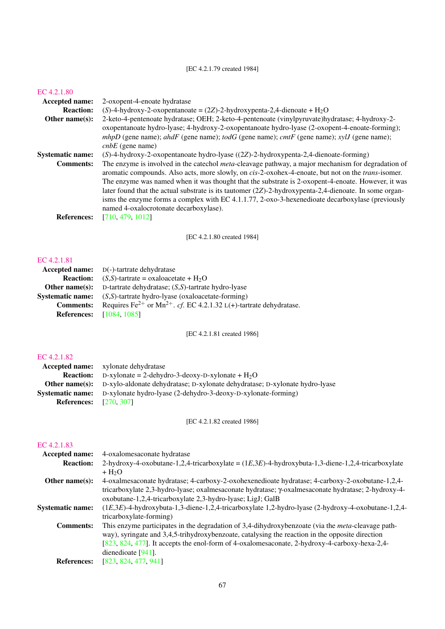## [EC 4.2.1.79 created 1984]

#### [EC 4.2.1.80](http://www.enzyme-database.org/query.php?ec=4.2.1.80)

| <b>Accepted name:</b>   | 2-oxopent-4-enoate hydratase                                                                                                                                                                                                     |
|-------------------------|----------------------------------------------------------------------------------------------------------------------------------------------------------------------------------------------------------------------------------|
| <b>Reaction:</b>        | (S)-4-hydroxy-2-oxopentanoate = $(2Z)$ -2-hydroxypenta-2,4-dienoate + H <sub>2</sub> O                                                                                                                                           |
| Other name $(s)$ :      | 2-keto-4-pentenoate hydratase; OEH; 2-keto-4-pentenoate (vinylpyruvate)hydratase; 4-hydroxy-2-                                                                                                                                   |
|                         | oxopentanoate hydro-lyase; 4-hydroxy-2-oxopentanoate hydro-lyase (2-oxopent-4-enoate-forming);<br>mhpD (gene name); ahdF (gene name); todG (gene name); cmtF (gene name); xylJ (gene name);<br>$cnbE$ (gene name)                |
| <b>Systematic name:</b> | $(S)$ -4-hydroxy-2-oxopentanoate hydro-lyase $((2Z)$ -2-hydroxypenta-2,4-dienoate-forming)                                                                                                                                       |
| <b>Comments:</b>        | The enzyme is involved in the catechol <i>meta</i> -cleavage pathway, a major mechanism for degradation of<br>aromatic compounds. Also acts, more slowly, on <i>cis-2-oxohex-4-enoate</i> , but not on the <i>trans</i> -isomer. |
|                         | The enzyme was named when it was thought that the substrate is 2-oxopent-4-enoate. However, it was<br>later found that the actual substrate is its tautomer $(2Z)$ -2-hydroxypenta-2,4-dienoate. In some organ-                  |
|                         | isms the enzyme forms a complex with EC $4.1.1.77$ , $2$ -oxo-3-hexenedioate decarboxylase (previously<br>named 4-oxalocrotonate decarboxylase).                                                                                 |
| <b>References:</b>      | [710, 479, 1012]                                                                                                                                                                                                                 |
|                         |                                                                                                                                                                                                                                  |

[EC 4.2.1.80 created 1984]

#### [EC 4.2.1.81](http://www.enzyme-database.org/query.php?ec=4.2.1.81)

|                  | <b>Accepted name:</b> $D(-)$ -tartrate dehydratase                                         |
|------------------|--------------------------------------------------------------------------------------------|
| <b>Reaction:</b> | $(S, S)$ -tartrate = oxaloacetate + H <sub>2</sub> O                                       |
|                  | <b>Other name(s):</b> D-tartrate dehydratase; $(S, S)$ -tartrate hydro-lyase               |
| Systematic name: | $(S, S)$ -tartrate hydro-lyase (oxaloacetate-forming)                                      |
| <b>Comments:</b> | Requires Fe <sup>2+</sup> or Mn <sup>2+</sup> . cf. EC 4.2.1.32 L(+)-tartrate dehydratase. |
|                  | <b>References:</b> [1084, 1085]                                                            |

[EC 4.2.1.81 created 1986]

## [EC 4.2.1.82](http://www.enzyme-database.org/query.php?ec=4.2.1.82)

|                               | <b>Accepted name:</b> xylonate dehydratase                                                        |
|-------------------------------|---------------------------------------------------------------------------------------------------|
|                               | <b>Reaction:</b> D-xylonate = 2-dehydro-3-deoxy-D-xylonate + $H_2O$                               |
|                               | <b>Other name(s):</b> D-xylo-aldonate dehydratase; D-xylonate dehydratase; D-xylonate hydro-lyase |
|                               | <b>Systematic name:</b> D-xylonate hydro-lyase (2-dehydro-3-deoxy-D-xylonate-forming)             |
| <b>References:</b> [270, 307] |                                                                                                   |

[EC 4.2.1.82 created 1986]

| <b>Accepted name:</b>   | 4-oxalomes aconate hydratase                                                                               |
|-------------------------|------------------------------------------------------------------------------------------------------------|
| <b>Reaction:</b>        | 2-hydroxy-4-oxobutane-1,2,4-tricarboxylate = $(1E,3E)$ -4-hydroxybuta-1,3-diene-1,2,4-tricarboxylate       |
|                         | $+ H2O$                                                                                                    |
| Other name $(s)$ :      | 4-oxalmesaconate hydratase; 4-carboxy-2-oxohexenedioate hydratase; 4-carboxy-2-oxobutane-1,2,4-            |
|                         | tricarboxylate 2,3-hydro-lyase; oxalmesaconate hydratase; $\gamma$ -oxalmesaconate hydratase; 2-hydroxy-4- |
|                         | oxobutane-1,2,4-tricarboxylate 2,3-hydro-lyase; LigJ; GalB                                                 |
| <b>Systematic name:</b> | $(1E,3E)$ -4-hydroxybuta-1,3-diene-1,2,4-tricarboxylate 1,2-hydro-lyase (2-hydroxy-4-oxobutane-1,2,4-      |
|                         | tricarboxylate-forming)                                                                                    |
| <b>Comments:</b>        | This enzyme participates in the degradation of 3,4-dihydroxybenzoate (via the <i>meta</i> -cleavage path-  |
|                         | way), syringate and 3,4,5-trihydroxybenzoate, catalysing the reaction in the opposite direction            |
|                         | [823, 824, 477]. It accepts the enol-form of 4-oxalomes aconate, 2-hydroxy-4-carboxy-hexa-2,4-             |
|                         | dienedioate $[941]$ .                                                                                      |
| <b>References:</b>      | [823, 824, 477, 941]                                                                                       |
|                         |                                                                                                            |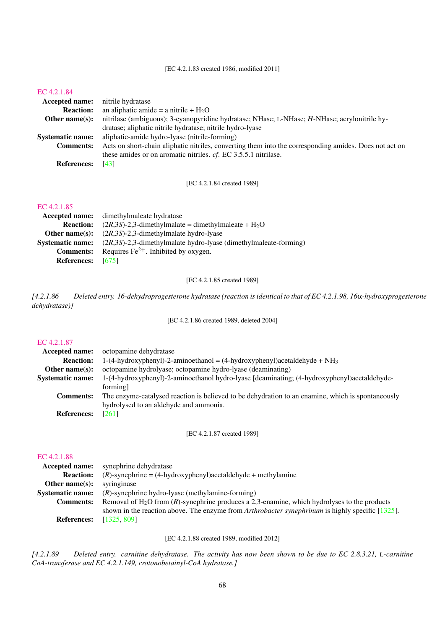#### [EC 4.2.1.83 created 1986, modified 2011]

#### [EC 4.2.1.84](http://www.enzyme-database.org/query.php?ec=4.2.1.84)

| <b>Accepted name:</b>   | nitrile hydratase                                                                                      |
|-------------------------|--------------------------------------------------------------------------------------------------------|
| <b>Reaction:</b>        | an aliphatic amide = a nitrile + $H_2O$                                                                |
| Other name $(s)$ :      | nitrilase (ambiguous); 3-cyanopyridine hydratase; NHase; L-NHase; H-NHase; acrylonitrile hy-           |
|                         | dratase; aliphatic nitrile hydratase; nitrile hydro-lyase                                              |
| <b>Systematic name:</b> | aliphatic-amide hydro-lyase (nitrile-forming)                                                          |
| <b>Comments:</b>        | Acts on short-chain aliphatic nitriles, converting them into the corresponding amides. Does not act on |
|                         | these amides or on aromatic nitriles. <i>cf.</i> EC 3.5.5.1 nitrilase.                                 |
| <b>References:</b>      | [43]                                                                                                   |

[EC 4.2.1.84 created 1989]

#### [EC 4.2.1.85](http://www.enzyme-database.org/query.php?ec=4.2.1.85)

|                          | <b>Accepted name:</b> dimethylmaleate hydratase                                             |
|--------------------------|---------------------------------------------------------------------------------------------|
| <b>Reaction:</b>         | $(2R,3S)$ -2,3-dimethylmalate = dimethylmaleate + H <sub>2</sub> O                          |
|                          | <b>Other name(s):</b> $(2R,3S)$ -2,3-dimethylmalate hydro-lyase                             |
|                          | <b>Systematic name:</b> $(2R,3S)-2,3$ -dimethylmalate hydro-lyase (dimethylmaleate-forming) |
| <b>Comments:</b>         | Requires $Fe^{2+}$ . Inhibited by oxygen.                                                   |
| <b>References:</b> [675] |                                                                                             |

[EC 4.2.1.85 created 1989]

*[4.2.1.86 Deleted entry. 16-dehydroprogesterone hydratase (reaction is identical to that of EC 4.2.1.98, 16*α*-hydroxyprogesterone dehydratase)]*

[EC 4.2.1.86 created 1989, deleted 2004]

## [EC 4.2.1.87](http://www.enzyme-database.org/query.php?ec=4.2.1.87)

| Accepted name:          | octopamine dehydratase                                                                            |
|-------------------------|---------------------------------------------------------------------------------------------------|
| <b>Reaction:</b>        | 1-(4-hydroxyphenyl)-2-aminoethanol = (4-hydroxyphenyl)acetaldehyde + $NH3$                        |
| Other name $(s)$ :      | octopamine hydrolyase; octopamine hydro-lyase (deaminating)                                       |
| <b>Systematic name:</b> | 1-(4-hydroxyphenyl)-2-aminoethanol hydro-lyase [deaminating; (4-hydroxyphenyl)acetaldehyde-       |
|                         | forming]                                                                                          |
| <b>Comments:</b>        | The enzyme-catalysed reaction is believed to be dehydration to an enamine, which is spontaneously |
|                         | hydrolysed to an aldehyde and ammonia.                                                            |
| <b>References:</b>      | [261]                                                                                             |
|                         |                                                                                                   |

[EC 4.2.1.87 created 1989]

#### [EC 4.2.1.88](http://www.enzyme-database.org/query.php?ec=4.2.1.88)

| <b>Accepted name:</b>   | synephrine dehydratase                                                                                     |
|-------------------------|------------------------------------------------------------------------------------------------------------|
| <b>Reaction:</b>        | $(R)$ -synephrine = (4-hydroxyphenyl)acetaldehyde + methylamine                                            |
| Other name $(s)$ :      | syringinase                                                                                                |
| <b>Systematic name:</b> | $(R)$ -synephrine hydro-lyase (methylamine-forming)                                                        |
| <b>Comments:</b>        | Removal of $H_2O$ from $(R)$ -synephrine produces a 2,3-enamine, which hydrolyses to the products          |
|                         | shown in the reaction above. The enzyme from <i>Arthrobacter synephrinum</i> is highly specific $[1325]$ . |
| <b>References:</b>      | [1325, 809]                                                                                                |

[EC 4.2.1.88 created 1989, modified 2012]

*[4.2.1.89 Deleted entry. carnitine dehydratase. The activity has now been shown to be due to EC 2.8.3.21,* L*-carnitine CoA-transferase and EC 4.2.1.149, crotonobetainyl-CoA hydratase.]*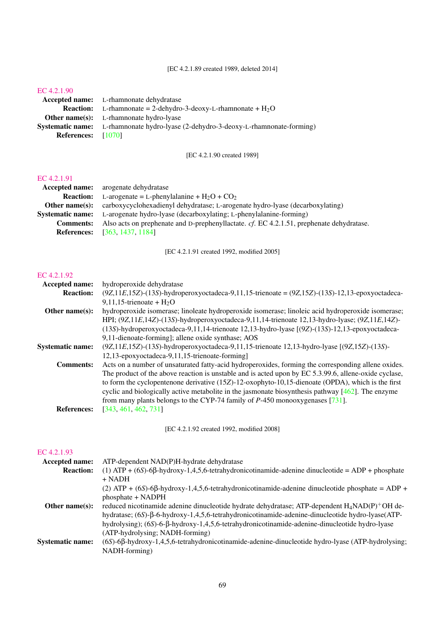## [EC 4.2.1.90](http://www.enzyme-database.org/query.php?ec=4.2.1.90)

|                           | <b>Accepted name:</b> L-rhamnonate dehydratase                                            |
|---------------------------|-------------------------------------------------------------------------------------------|
|                           | <b>Reaction:</b> L-rhamnonate = 2-dehydro-3-deoxy-L-rhamnonate + $H_2O$                   |
|                           | <b>Other name(s):</b> L-rhamnonate hydro-lyase                                            |
|                           | <b>Systematic name:</b> L-rhamnonate hydro-lyase (2-dehydro-3-deoxy-L-rhamnonate-forming) |
| <b>References:</b> [1070] |                                                                                           |

[EC 4.2.1.90 created 1989]

#### [EC 4.2.1.91](http://www.enzyme-database.org/query.php?ec=4.2.1.91)

| <b>Accepted name:</b> arogenate dehydratase                                              |
|------------------------------------------------------------------------------------------|
| L-arogenate = L-phenylalanine + $H_2O$ + $CO_2$                                          |
| carboxycyclohexadienyl dehydratase; L-arogenate hydro-lyase (decarboxylating)            |
| L-arogenate hydro-lyase (decarboxylating; L-phenylalanine-forming)                       |
| Also acts on prephenate and D-prephenyllactate. cf. EC 4.2.1.51, prephenate dehydratase. |
| <b>References:</b> [363, 1437, 1184]                                                     |
|                                                                                          |

[EC 4.2.1.91 created 1992, modified 2005]

## [EC 4.2.1.92](http://www.enzyme-database.org/query.php?ec=4.2.1.92)

| Accepted name:          | hydroperoxide dehydratase                                                                               |
|-------------------------|---------------------------------------------------------------------------------------------------------|
| <b>Reaction:</b>        | $(9Z, 11E, 15Z)$ -(13S)-hydroperoxyoctadeca-9,11,15-trienoate = $(9Z, 15Z)$ -(13S)-12,13-epoxyoctadeca- |
|                         | 9,11,15-trienoate + $H_2O$                                                                              |
| Other name $(s)$ :      | hydroperoxide isomerase; linoleate hydroperoxide isomerase; linoleic acid hydroperoxide isomerase;      |
|                         | HPI; (9Z,11E,14Z)-(13S)-hydroperoxyoctadeca-9,11,14-trienoate 12,13-hydro-lyase; (9Z,11E,14Z)-          |
|                         | (13S)-hydroperoxyoctadeca-9,11,14-trienoate 12,13-hydro-lyase [(9Z)-(13S)-12,13-epoxyoctadeca-          |
|                         | 9,11-dienoate-forming]; allene oxide synthase; AOS                                                      |
| <b>Systematic name:</b> | $(9Z, 11E, 15Z)$ -(13S)-hydroperoxyoctadeca-9,11,15-trienoate 12,13-hydro-lyase $[(9Z, 15Z)$ -(13S)-    |
|                         | 12,13-epoxyoctadeca-9,11,15-trienoate-forming]                                                          |
| <b>Comments:</b>        | Acts on a number of unsaturated fatty-acid hydroperoxides, forming the corresponding allene oxides.     |
|                         | The product of the above reaction is unstable and is acted upon by EC 5.3.99.6, allene-oxide cyclase,   |
|                         | to form the cyclopentenone derivative $(15Z)$ -12-oxophyto-10,15-dienoate (OPDA), which is the first    |
|                         | cyclic and biologically active metabolite in the jasmonate biosynthesis pathway $[462]$ . The enzyme    |
|                         | from many plants belongs to the CYP-74 family of $P-450$ monooxygeneses [731].                          |
| <b>References:</b>      | [343, 461, 462, 731]                                                                                    |

[EC 4.2.1.92 created 1992, modified 2008]

| <b>Accepted name:</b>   | ATP-dependent NAD(P)H-hydrate dehydratase                                                                    |
|-------------------------|--------------------------------------------------------------------------------------------------------------|
| <b>Reaction:</b>        | $(1)$ ATP + $(6S)$ -6 $\beta$ -hydroxy-1,4,5,6-tetrahydronicotinamide-adenine dinucleotide = ADP + phosphate |
|                         | $+$ NADH                                                                                                     |
|                         | (2) ATP + $(6S)$ -6 $\beta$ -hydroxy-1,4,5,6-tetrahydronicotinamide-adenine dinucleotide phosphate = ADP +   |
|                         | phosphate + NADPH                                                                                            |
| Other name $(s)$ :      | reduced nicotinamide adenine dinucleotide hydrate dehydratase; ATP-dependent $H_4NAD(P)^+OH$ de-             |
|                         | hydratase; (6S)-B-6-hydroxy-1,4,5,6-tetrahydronicotinamide-adenine-dinucleotide hydro-lyase(ATP-             |
|                         | hydrolysing); (6S)-6-β-hydroxy-1,4,5,6-tetrahydronicotinamide-adenine-dinucleotide hydro-lyase               |
|                         | (ATP-hydrolysing; NADH-forming)                                                                              |
| <b>Systematic name:</b> | $(6S)$ -6 $\beta$ -hydroxy-1,4,5,6-tetrahydronicotinamide-adenine-dinucleotide hydro-lyase (ATP-hydrolysing; |
|                         | NADH-forming)                                                                                                |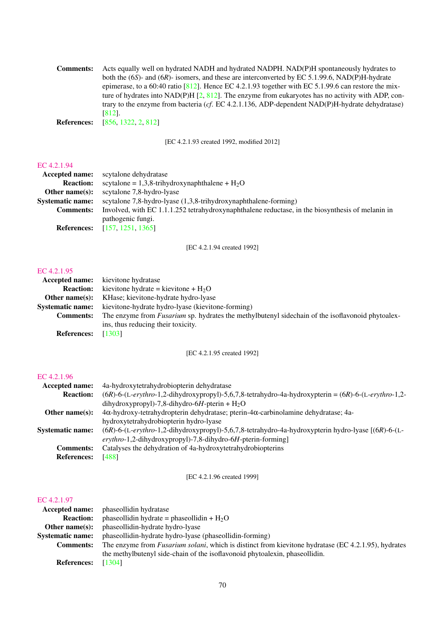| <b>Comments:</b>   | Acts equally well on hydrated NADH and hydrated NADPH. NAD(P)H spontaneously hydrates to             |
|--------------------|------------------------------------------------------------------------------------------------------|
|                    | both the $(6S)$ - and $(6R)$ - isomers, and these are interconverted by EC 5.1.99.6, NAD(P)H-hydrate |
|                    | epimerase, to a 60:40 ratio [812]. Hence EC 4.2.1.93 together with EC 5.1.99.6 can restore the mix-  |
|                    | ture of hydrates into NAD(P)H $[2, 812]$ . The enzyme from eukaryotes has no activity with ADP, con- |
|                    | trary to the enzyme from bacteria (cf. EC 4.2.1.136, ADP-dependent $NAD(P)H$ -hydrate dehydratase)   |
|                    | [812].                                                                                               |
| <b>References:</b> | [856, 1322, 2, 812]                                                                                  |

[EC 4.2.1.93 created 1992, modified 2012]

## [EC 4.2.1.94](http://www.enzyme-database.org/query.php?ec=4.2.1.94)

|                         | <b>Accepted name:</b> scytalone dehydratase                                                      |
|-------------------------|--------------------------------------------------------------------------------------------------|
| <b>Reaction:</b>        | scytalone = $1,3,8$ -trihydroxynaphthalene + $H_2O$                                              |
| Other name $(s)$ :      | scytalone 7.8-hydro-lyase                                                                        |
| <b>Systematic name:</b> | scytalone 7,8-hydro-lyase $(1,3,8$ -trihydroxynaphthalene-forming)                               |
| <b>Comments:</b>        | Involved, with EC 1.1.1.252 tetrahydroxynaphthalene reductase, in the biosynthesis of melanin in |
|                         | pathogenic fungi.                                                                                |
|                         | <b>References:</b> [157, 1251, 1365]                                                             |

[EC 4.2.1.94 created 1992]

#### [EC 4.2.1.95](http://www.enzyme-database.org/query.php?ec=4.2.1.95)

| <b>Accepted name:</b>   | kievitone hydratase                                                                                      |
|-------------------------|----------------------------------------------------------------------------------------------------------|
| <b>Reaction:</b>        | kievitone hydrate = kievitone + $H_2O$                                                                   |
| Other name $(s)$ :      | KHase; kievitone-hydrate hydro-lyase                                                                     |
| <b>Systematic name:</b> | kievitone-hydrate hydro-lyase (kievitone-forming)                                                        |
| <b>Comments:</b>        | The enzyme from <i>Fusarium</i> sp. hydrates the methylbutenyl side chain of the isoflavonoid phytoalex- |
|                         | ins, thus reducing their toxicity.                                                                       |
| <b>References:</b>      | [1303]                                                                                                   |

[EC 4.2.1.95 created 1992]

## [EC 4.2.1.96](http://www.enzyme-database.org/query.php?ec=4.2.1.96)

| Accepted name:          | 4a-hydroxytetrahydrobiopterin dehydratase                                                                 |
|-------------------------|-----------------------------------------------------------------------------------------------------------|
| <b>Reaction:</b>        | $(6R)$ -6-(L-erythro-1,2-dihydroxypropyl)-5,6,7,8-tetrahydro-4a-hydroxypterin = $(6R)$ -6-(L-erythro-1,2- |
|                         | dihydroxypropyl)-7,8-dihydro-6H-pterin + $H_2O$                                                           |
| Other name $(s)$ :      | $4\alpha$ -hydroxy-tetrahydropterin dehydratase; pterin- $4\alpha$ -carbinolamine dehydratase; 4a-        |
|                         | hydroxytetrahydrobiopterin hydro-lyase                                                                    |
| <b>Systematic name:</b> | (6R)-6-(L-erythro-1,2-dihydroxypropyl)-5,6,7,8-tetrahydro-4a-hydroxypterin hydro-lyase [(6R)-6-(L-        |
|                         | erythro-1,2-dihydroxypropyl)-7,8-dihydro-6H-pterin-forming]                                               |
| <b>Comments:</b>        | Catalyses the dehydration of 4a-hydroxytetrahydrobiopterins                                               |
| <b>References:</b>      | [488]                                                                                                     |

[EC 4.2.1.96 created 1999]

|                         | <b>Accepted name:</b> phaseollidin hydratase                                                                |
|-------------------------|-------------------------------------------------------------------------------------------------------------|
| <b>Reaction:</b>        | phaseollidin hydrate = phaseollidin + $H_2O$                                                                |
| Other name $(s)$ :      | phaseollidin-hydrate hydro-lyase                                                                            |
| <b>Systematic name:</b> | phaseollidin-hydrate hydro-lyase (phaseollidin-forming)                                                     |
| <b>Comments:</b>        | The enzyme from <i>Fusarium solani</i> , which is distinct from kievitone hydratase (EC 4.2.1.95), hydrates |
|                         | the methylbutenyl side-chain of the isoflavonoid phytoalexin, phaseollidin.                                 |
| <b>References:</b>      | [1304]                                                                                                      |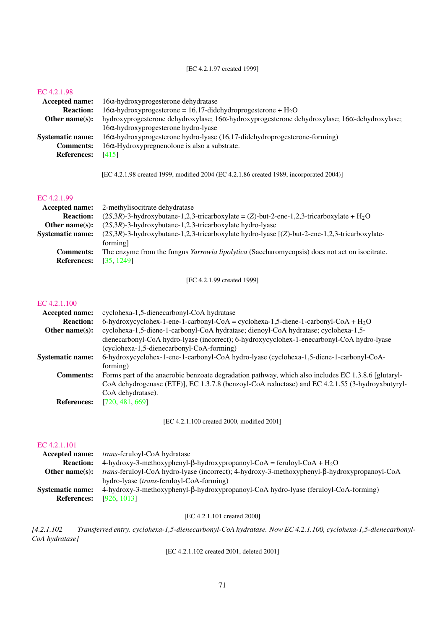[EC 4.2.1.97 created 1999]

#### [EC 4.2.1.98](http://www.enzyme-database.org/query.php?ec=4.2.1.98)

| <b>Accepted name:</b>   | $16\alpha$ -hydroxyprogesterone dehydratase                                                                  |
|-------------------------|--------------------------------------------------------------------------------------------------------------|
| <b>Reaction:</b>        | $16\alpha$ -hydroxyprogesterone = 16,17-didehydroprogesterone + H <sub>2</sub> O                             |
| Other name $(s)$ :      | hydroxyprogesterone dehydroxylase; $16\alpha$ -hydroxyprogesterone dehydroxylase; $16\alpha$ -dehydroxylase; |
|                         | $16\alpha$ -hydroxyprogesterone hydro-lyase                                                                  |
| <b>Systematic name:</b> | $16\alpha$ -hydroxyprogesterone hydro-lyase (16,17-didehydroprogesterone-forming)                            |
| <b>Comments:</b>        | $16\alpha$ -Hydroxypregnenolone is also a substrate.                                                         |
| <b>References:</b>      | [415]                                                                                                        |
|                         |                                                                                                              |
|                         | [EC 4.2.1.98 created 1999, modified 2004 (EC 4.2.1.86 created 1989, incorporated 2004)]                      |

#### [EC 4.2.1.99](http://www.enzyme-database.org/query.php?ec=4.2.1.99)

|                         | <b>Accepted name:</b> 2-methylisocitrate dehydratase                                                    |
|-------------------------|---------------------------------------------------------------------------------------------------------|
| <b>Reaction:</b>        | $(2S,3R)$ -3-hydroxybutane-1,2,3-tricarboxylate = (Z)-but-2-ene-1,2,3-tricarboxylate + H <sub>2</sub> O |
| Other name $(s)$ :      | $(2S,3R)$ -3-hydroxybutane-1,2,3-tricarboxylate hydro-lyase                                             |
| <b>Systematic name:</b> | $(2S,3R)$ -3-hydroxybutane-1,2,3-tricarboxylate hydro-lyase [ $(Z)$ -but-2-ene-1,2,3-tricarboxylate-    |
|                         | forming]                                                                                                |
| <b>Comments:</b>        | The enzyme from the fungus <i>Yarrowia lipolytica</i> (Saccharomycopsis) does not act on isocitrate.    |
| <b>References:</b>      | [35, 1249]                                                                                              |

[EC 4.2.1.99 created 1999]

#### [EC 4.2.1.100](http://www.enzyme-database.org/query.php?ec=4.2.1.100)

| <b>Accepted name:</b>   | cyclohexa-1,5-dienecarbonyl-CoA hydratase                                                           |
|-------------------------|-----------------------------------------------------------------------------------------------------|
| <b>Reaction:</b>        | 6-hydroxycyclohex-1-ene-1-carbonyl-CoA = cyclohexa-1,5-diene-1-carbonyl-CoA + $H_2O$                |
| Other name $(s)$ :      | cyclohexa-1,5-diene-1-carbonyl-CoA hydratase; dienoyl-CoA hydratase; cyclohexa-1,5-                 |
|                         | dienecarbonyl-CoA hydro-lyase (incorrect); 6-hydroxycyclohex-1-enecarbonyl-CoA hydro-lyase          |
|                         | (cyclohexa-1,5-dienecarbonyl-CoA-forming)                                                           |
| <b>Systematic name:</b> | 6-hydroxycyclohex-1-ene-1-carbonyl-CoA hydro-lyase (cyclohexa-1,5-diene-1-carbonyl-CoA-             |
|                         | forming)                                                                                            |
| <b>Comments:</b>        | Forms part of the anaerobic benzoate degradation pathway, which also includes EC 1.3.8.6 [glutaryl- |
|                         | CoA dehydrogenase (ETF)], EC 1.3.7.8 (benzoyl-CoA reductase) and EC 4.2.1.55 (3-hydroyxbutyryl-     |
|                         | CoA dehydratase).                                                                                   |
| <b>References:</b>      | [720, 481, 669]                                                                                     |

[EC 4.2.1.100 created 2000, modified 2001]

#### [EC 4.2.1.101](http://www.enzyme-database.org/query.php?ec=4.2.1.101)

| <b>Accepted name:</b> | <i>trans-feruloyl-CoA hydratase</i>                                                                  |
|-----------------------|------------------------------------------------------------------------------------------------------|
| <b>Reaction:</b>      | 4-hydroxy-3-methoxyphenyl- $\beta$ -hydroxypropanoyl-CoA = feruloyl-CoA + H <sub>2</sub> O           |
| Other name $(s)$ :    | trans-feruloyl-CoA hydro-lyase (incorrect); 4-hydroxy-3-methoxyphenyl- $\beta$ -hydroxypropanoyl-CoA |
|                       | hydro-lyase <i>(trans-feruloyl-CoA-forming)</i>                                                      |
| Systematic name:      | 4-hydroxy-3-methoxyphenyl-β-hydroxypropanoyl-CoA hydro-lyase (feruloyl-CoA-forming)                  |
| <b>References:</b>    | [926, 1013]                                                                                          |

[EC 4.2.1.101 created 2000]

*[4.2.1.102 Transferred entry. cyclohexa-1,5-dienecarbonyl-CoA hydratase. Now EC 4.2.1.100, cyclohexa-1,5-dienecarbonyl-CoA hydratase]*

[EC 4.2.1.102 created 2001, deleted 2001]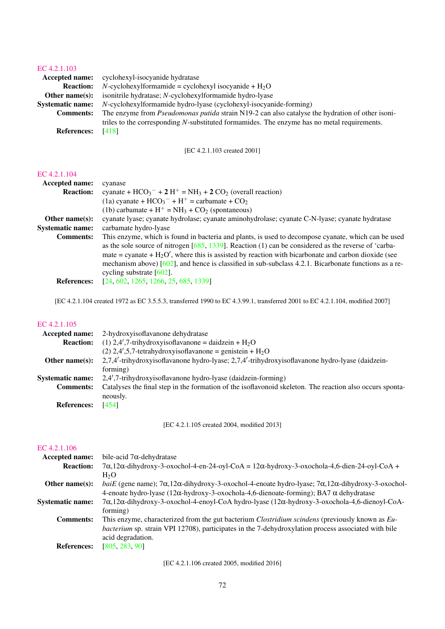## [EC 4.2.1.103](http://www.enzyme-database.org/query.php?ec=4.2.1.103)

|                         | <b>Accepted name:</b> cyclohexyl-isocyanide hydratase                                                  |
|-------------------------|--------------------------------------------------------------------------------------------------------|
| <b>Reaction:</b>        | $N$ -cyclohexylformamide = cyclohexyl isocyanide + H <sub>2</sub> O                                    |
| Other name $(s)$ :      | isonitrile hydratase; N-cyclohexylformamide hydro-lyase                                                |
| <b>Systematic name:</b> | <i>N</i> -cyclohexylformamide hydro-lyase (cyclohexyl-isocyanide-forming)                              |
| <b>Comments:</b>        | The enzyme from <i>Pseudomonas putida</i> strain N19-2 can also catalyse the hydration of other isoni- |
|                         | triles to the corresponding N-substituted formamides. The enzyme has no metal requirements.            |
| <b>References:</b>      | [418]                                                                                                  |

[EC 4.2.1.103 created 2001]

#### [EC 4.2.1.104](http://www.enzyme-database.org/query.php?ec=4.2.1.104)

| <b>Accepted name:</b>   | cyanase                                                                                                  |
|-------------------------|----------------------------------------------------------------------------------------------------------|
| <b>Reaction:</b>        | cyanate + $HCO_3^-$ + 2 $H^+$ = NH <sub>3</sub> + 2 CO <sub>2</sub> (overall reaction)                   |
|                         | (1a) cyanate + $HCO_3^-$ + $H^+$ = carbamate + $CO_2$                                                    |
|                         | (1b) carbamate + $H^+$ = NH <sub>3</sub> + CO <sub>2</sub> (spontaneous)                                 |
| Other name $(s)$ :      | cyanate lyase; cyanate hydrolase; cyanate aminohydrolase; cyanate C-N-lyase; cyanate hydratase           |
| <b>Systematic name:</b> | carbamate hydro-lyase                                                                                    |
| <b>Comments:</b>        | This enzyme, which is found in bacteria and plants, is used to decompose cyanate, which can be used      |
|                         | as the sole source of nitrogen $[685, 1339]$ . Reaction (1) can be considered as the reverse of 'carba-  |
|                         | mate = cyanate + $H_2O'$ , where this is assisted by reaction with bicarbonate and carbon dioxide (see   |
|                         | mechanism above) $[602]$ , and hence is classified in sub-subclass 4.2.1. Bicarbonate functions as a re- |
|                         | cycling substrate $[602]$ .                                                                              |
| <b>References:</b>      | [24, 602, 1265, 1266, 25, 685, 1339]                                                                     |

[EC 4.2.1.104 created 1972 as EC 3.5.5.3, transferred 1990 to EC 4.3.99.1, transferred 2001 to EC 4.2.1.104, modified 2007]

## [EC 4.2.1.105](http://www.enzyme-database.org/query.php?ec=4.2.1.105)

| <b>Accepted name:</b>   | 2-hydroxyisoflavanone dehydratase                                                                                    |
|-------------------------|----------------------------------------------------------------------------------------------------------------------|
| <b>Reaction:</b>        | (1) 2,4',7-trihydroxyisoflavanone = daidzein + $H_2O$                                                                |
|                         | (2) $2,4',5,7$ -tetrahydroxyisoflavanone = genistein + H <sub>2</sub> O                                              |
| Other name $(s)$ :      | 2,7,4'-trihydroxyisoflavanone hydro-lyase; 2,7,4'-trihydroxyisoflavanone hydro-lyase (daidzein-                      |
|                         | forming)                                                                                                             |
| <b>Systematic name:</b> | 2,4',7-trihydroxyisoflavanone hydro-lyase (daidzein-forming)                                                         |
| <b>Comments:</b>        | Catalyses the final step in the formation of the isoflavonoid skeleton. The reaction also occurs sponta-<br>neously. |
| <b>References:</b>      | [454]                                                                                                                |

[EC 4.2.1.105 created 2004, modified 2013]

## [EC 4.2.1.106](http://www.enzyme-database.org/query.php?ec=4.2.1.106)

| Accepted name:          | bile-acid $7\alpha$ -dehydratase                                                                                                 |
|-------------------------|----------------------------------------------------------------------------------------------------------------------------------|
| <b>Reaction:</b>        | $7\alpha$ , 12 $\alpha$ -dihydroxy-3-oxochol-4-en-24-oyl-CoA = 12 $\alpha$ -hydroxy-3-oxochola-4,6-dien-24-oyl-CoA +             |
|                         | H <sub>2</sub> O                                                                                                                 |
| Other name $(s)$ :      | baiE (gene name); $7\alpha$ , $12\alpha$ -dihydroxy-3-oxochol-4-enoate hydro-lyase; $7\alpha$ , $12\alpha$ -dihydroxy-3-oxochol- |
|                         | 4-enoate hydro-lyase ( $12\alpha$ -hydroxy-3-oxochola-4,6-dienoate-forming); BA7 $\alpha$ dehydratase                            |
| <b>Systematic name:</b> | $7\alpha$ , 12 $\alpha$ -dihydroxy-3-oxochol-4-enoyl-CoA hydro-lyase (12 $\alpha$ -hydroxy-3-oxochola-4,6-dienoyl-CoA-           |
|                         | forming)                                                                                                                         |
| <b>Comments:</b>        | This enzyme, characterized from the gut bacterium <i>Clostridium scindens</i> (previously known as <i>Eu</i> -                   |
|                         | <i>bacterium</i> sp. strain VPI 12708), participates in the 7-dehydroxylation process associated with bile                       |
|                         | acid degradation.                                                                                                                |
| <b>References:</b>      | [805, 283, 90]                                                                                                                   |
|                         |                                                                                                                                  |

[EC 4.2.1.106 created 2005, modified 2016]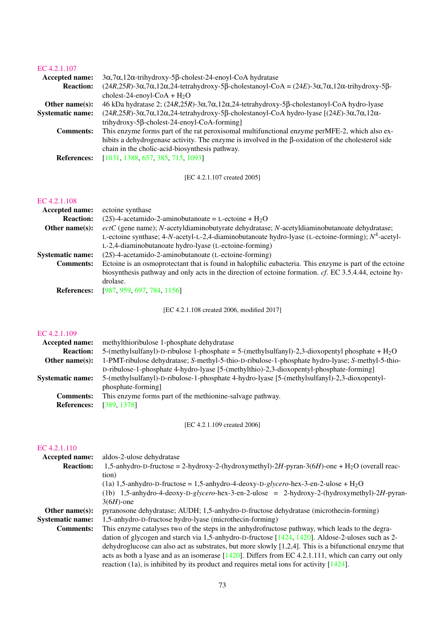### [EC 4.2.1.107](http://www.enzyme-database.org/query.php?ec=4.2.1.107)

| Accepted name:          | $3\alpha$ , $7\alpha$ , $12\alpha$ -trihydroxy-5 $\beta$ -cholest-24-enoyl-CoA hydratase                                                                                   |
|-------------------------|----------------------------------------------------------------------------------------------------------------------------------------------------------------------------|
| <b>Reaction:</b>        | $(24R, 25R)$ -3 $\alpha$ , 7 $\alpha$ , 12 $\alpha$ , 24-tetrahydroxy-5 $\beta$ -cholestanoyl-CoA = $(24E)$ -3 $\alpha$ , 7 $\alpha$ , 12 $\alpha$ -trihydroxy-5 $\beta$ - |
|                         | cholest-24-enoyl-CoA + $H_2O$                                                                                                                                              |
| Other name $(s)$ :      | 46 kDa hydratase 2; $(24R,25R)$ -3 $\alpha$ ,7 $\alpha$ ,12 $\alpha$ ,24-tetrahydroxy-5 $\beta$ -cholestanoyl-CoA hydro-lyase                                              |
| <b>Systematic name:</b> | $(24R, 25R)$ -3 $\alpha$ , 7 $\alpha$ , 12 $\alpha$ , 24-tetrahydroxy-5 $\beta$ -cholestanoyl-CoA hydro-lyase $[(24E)$ -3 $\alpha$ , 7 $\alpha$ , 12 $\alpha$ -            |
|                         | trihydroxy-5 $\beta$ -cholest-24-enoyl-CoA-forming]                                                                                                                        |
| <b>Comments:</b>        | This enzyme forms part of the rat peroxisomal multifunctional enzyme perMFE-2, which also ex-                                                                              |
|                         | hibits a dehydrogenase activity. The enzyme is involved in the $\beta$ -oxidation of the cholesterol side                                                                  |
|                         | chain in the cholic-acid-biosynthesis pathway.                                                                                                                             |
| <b>References:</b>      | [1031, 1388, 657, 385, 715, 1093]                                                                                                                                          |
|                         |                                                                                                                                                                            |

[EC 4.2.1.107 created 2005]

### [EC 4.2.1.108](http://www.enzyme-database.org/query.php?ec=4.2.1.108)

| ectoine synthase                                                                                        |
|---------------------------------------------------------------------------------------------------------|
| $(2S)$ -4-acetamido-2-aminobutanoate = L-ectoine + H <sub>2</sub> O                                     |
| $ectC$ (gene name); N-acetyldiaminobutyrate dehydratase; N-acetyldiaminobutanoate dehydratase;          |
| L-ectoine synthase; 4-N-acetyl-L-2,4-diaminobutanoate hydro-lyase (L-ectoine-forming); $N^4$ -acetyl-   |
| L-2,4-diaminobutanoate hydro-lyase (L-ectoine-forming)                                                  |
| $(2S)$ -4-acetamido-2-aminobutanoate (L-ectoine-forming)                                                |
| Ectoine is an osmoprotectant that is found in halophilic eubacteria. This enzyme is part of the ectoine |
| biosynthesis pathway and only acts in the direction of ectoine formation. cf. EC 3.5.4.44, ectoine hy-  |
| drolase.                                                                                                |
| [987, 959, 697, 784, 1156]                                                                              |
|                                                                                                         |

[EC 4.2.1.108 created 2006, modified 2017]

#### [EC 4.2.1.109](http://www.enzyme-database.org/query.php?ec=4.2.1.109)

| methylthioribulose 1-phosphate dehydratase                                                        |
|---------------------------------------------------------------------------------------------------|
| 5-(methylsulfanyl)-D-ribulose 1-phosphate = 5-(methylsulfanyl)-2,3-dioxopentyl phosphate + $H_2O$ |
| 1-PMT-ribulose dehydratase; S-methyl-5-thio-D-ribulose-1-phosphate hydro-lyase; S-methyl-5-thio-  |
| D-ribulose-1-phosphate 4-hydro-lyase [5-(methylthio)-2,3-dioxopentyl-phosphate-forming]           |
| 5-(methylsulfanyl)-D-ribulose-1-phosphate 4-hydro-lyase [5-(methylsulfanyl)-2,3-dioxopentyl-      |
| phosphate-forming                                                                                 |
| This enzyme forms part of the methionine-salvage pathway.                                         |
| [389, 1378]                                                                                       |
|                                                                                                   |

[EC 4.2.1.109 created 2006]

| <b>Accepted name:</b>   | aldos-2-ulose dehydratase                                                                                 |
|-------------------------|-----------------------------------------------------------------------------------------------------------|
| <b>Reaction:</b>        | 1,5-anhydro-D-fructose = 2-hydroxy-2-(hydroxymethyl)-2H-pyran-3(6H)-one + H <sub>2</sub> O (overall reac- |
|                         | tion)                                                                                                     |
|                         | $(1a)$ 1,5-anhydro-D-fructose = 1,5-anhydro-4-deoxy-D- <i>glycero-hex-3-en-2-ulose + H<sub>2</sub>O</i>   |
|                         | (1b) $1,5$ -anhydro-4-deoxy-D-glycero-hex-3-en-2-ulose = 2-hydroxy-2-(hydroxymethyl)-2H-pyran-            |
|                         | $3(6H)$ -one                                                                                              |
| Other name $(s)$ :      | pyranosone dehydratase; AUDH; 1,5-anhydro-D-fructose dehydratase (microthecin-forming)                    |
| <b>Systematic name:</b> | 1,5-anhydro-D-fructose hydro-lyase (microthecin-forming)                                                  |
| <b>Comments:</b>        | This enzyme catalyses two of the steps in the anhydrofructose pathway, which leads to the degra-          |
|                         | dation of glycogen and starch via 1,5-anhydro-D-fructose [1424, 1420]. Aldose-2-uloses such as 2-         |
|                         | dehydroglucose can also act as substrates, but more slowly $[1,2,4]$ . This is a bifunctional enzyme that |
|                         | acts as both a lyase and as an isomerase $[1420]$ . Differs from EC 4.2.1.111, which can carry out only   |
|                         | reaction (1a), is inhibited by its product and requires metal ions for activity $[1424]$ .                |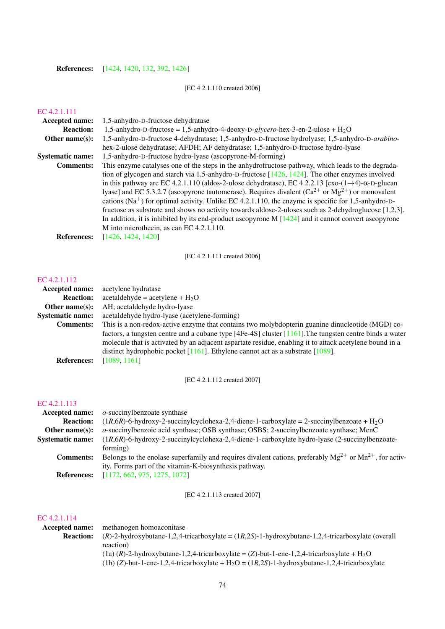### References: [\[1424,](#page-251-0) [1420,](#page-250-0) [132,](#page-183-0) [392,](#page-197-1) [1426\]](#page-251-1)

### [EC 4.2.1.110 created 2006]

### [EC 4.2.1.111](http://www.enzyme-database.org/query.php?ec=4.2.1.111)

| <b>Accepted name:</b>   | 1,5-anhydro-D-fructose dehydratase                                                                                     |
|-------------------------|------------------------------------------------------------------------------------------------------------------------|
| <b>Reaction:</b>        | 1,5-anhydro-D-fructose = 1,5-anhydro-4-deoxy-D-glycero-hex-3-en-2-ulose + $H_2O$                                       |
| Other name $(s)$ :      | 1,5-anhydro-D-fructose 4-dehydratase; 1,5-anhydro-D-fructose hydrolyase; 1,5-anhydro-D-arabino-                        |
|                         | hex-2-ulose dehydratase; AFDH; AF dehydratase; 1,5-anhydro-D-fructose hydro-lyase                                      |
| <b>Systematic name:</b> | 1,5-anhydro-D-fructose hydro-lyase (ascopyrone-M-forming)                                                              |
| <b>Comments:</b>        | This enzyme catalyses one of the steps in the anhydrofructose pathway, which leads to the degrada-                     |
|                         | tion of glycogen and starch via 1,5-anhydro-D-fructose $[1426, 1424]$ . The other enzymes involved                     |
|                         | in this pathway are EC 4.2.1.110 (aldos-2-ulose dehydratase), EC 4.2.2.13 [exo- $(1\rightarrow4)$ - $\alpha$ -D-glucan |
|                         | lyase] and EC 5.3.2.7 (ascopyrone tautomerase). Requires divalent $(Ca^{2+}$ or $Mg^{2+}$ ) or monovalent              |
|                         | cations ( $Na+$ ) for optimal activity. Unlike EC 4.2.1.110, the enzyme is specific for 1,5-anhydro-D-                 |
|                         | fructose as substrate and shows no activity towards aldose-2-uloses such as 2-dehydroglucose [1,2,3].                  |
|                         | In addition, it is inhibited by its end-product ascopyrone M $[1424]$ and it cannot convert ascopyrone                 |
|                         | M into microthecin, as can EC 4.2.1.110.                                                                               |
| <b>References:</b>      | [1426, 1424, 1420]                                                                                                     |
|                         |                                                                                                                        |

[EC 4.2.1.111 created 2006]

### [EC 4.2.1.112](http://www.enzyme-database.org/query.php?ec=4.2.1.112)

| acetylene hydratase                                                                                        |
|------------------------------------------------------------------------------------------------------------|
| $\text{acetaldehyde} = \text{acetylene} + H_2O$                                                            |
| AH; acetaldehyde hydro-lyase                                                                               |
| acetaldehyde hydro-lyase (acetylene-forming)                                                               |
| This is a non-redox-active enzyme that contains two molybdopterin guanine dinucleotide (MGD) co-           |
| factors, a tungsten centre and a cubane type [4Fe-4S] cluster $[1161]$ . The tungsten centre binds a water |
| molecule that is activated by an adjacent aspartate residue, enabling it to attack acetylene bound in a    |
| distinct hydrophobic pocket $[1161]$ . Ethylene cannot act as a substrate $[1089]$ .                       |
| [1089, 1161]                                                                                               |
|                                                                                                            |

[EC 4.2.1.112 created 2007]

### [EC 4.2.1.113](http://www.enzyme-database.org/query.php?ec=4.2.1.113)

| <b>Accepted name:</b>   | $o$ -succinylbenzoate synthase                                                                                   |
|-------------------------|------------------------------------------------------------------------------------------------------------------|
| <b>Reaction:</b>        | $(1R,6R)$ -6-hydroxy-2-succinylcyclohexa-2,4-diene-1-carboxylate = 2-succinylbenzoate + H <sub>2</sub> O         |
| Other name $(s)$ :      | o-succinylbenzoic acid synthase; OSB synthase; OSBS; 2-succinylbenzoate synthase; MenC                           |
| <b>Systematic name:</b> | $(1R, 6R)$ -6-hydroxy-2-succinylcyclohexa-2,4-diene-1-carboxylate hydro-lyase (2-succinylbenzoate-               |
|                         | forming)                                                                                                         |
| <b>Comments:</b>        | Belongs to the enolase superfamily and requires divalent cations, preferably $Mg^{2+}$ or $Mn^{2+}$ , for activ- |
|                         | ity. Forms part of the vitamin-K-biosynthesis pathway.                                                           |
| <b>References:</b>      | [1172, 662, 975, 1275, 1072]                                                                                     |

[EC 4.2.1.113 created 2007]

| Accepted name:   | methanogen homoaconitase                                                                                   |
|------------------|------------------------------------------------------------------------------------------------------------|
| <b>Reaction:</b> | $(R)$ -2-hydroxybutane-1,2,4-tricarboxylate = $(1R,2S)$ -1-hydroxybutane-1,2,4-tricarboxylate (overall     |
|                  | reaction)                                                                                                  |
|                  | $(1a)$ $(R)$ -2-hydroxybutane-1,2,4-tricarboxylate = (Z)-but-1-ene-1,2,4-tricarboxylate + H <sub>2</sub> O |
|                  | (1b) (Z)-but-1-ene-1,2,4-tricarboxylate + $H_2O = (1R,2S)$ -1-hydroxybutane-1,2,4-tricarboxylate           |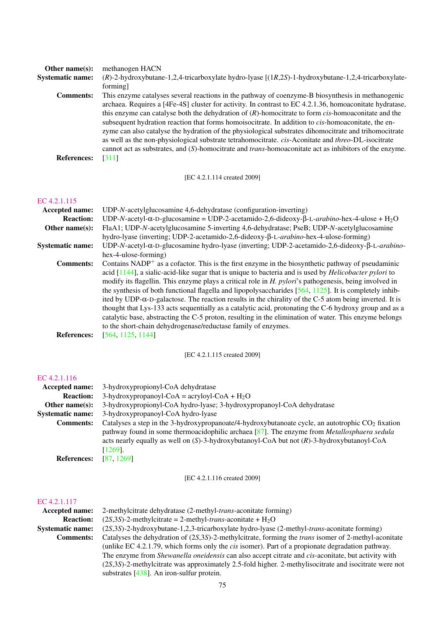| Other name $(s)$ :      | methanogen HACN                                                                                                |
|-------------------------|----------------------------------------------------------------------------------------------------------------|
| <b>Systematic name:</b> | $(R)$ -2-hydroxybutane-1,2,4-tricarboxylate hydro-lyase $[(1R,2S)$ -1-hydroxybutane-1,2,4-tricarboxylate-      |
|                         | forming]                                                                                                       |
| <b>Comments:</b>        | This enzyme catalyses several reactions in the pathway of coenzyme-B biosynthesis in methanogenic              |
|                         | archaea. Requires a [4Fe-4S] cluster for activity. In contrast to EC 4.2.1.36, homoaconitate hydratase,        |
|                         | this enzyme can catalyse both the dehydration of $(R)$ -homocitrate to form <i>cis</i> -homoaconitate and the  |
|                         | subsequent hydration reaction that forms homoisocitrate. In addition to cis-homoaconitate, the en-             |
|                         | zyme can also catalyse the hydration of the physiological substrates dihomocitrate and trihomocitrate          |
|                         | as well as the non-physiological substrate tetrahomocitrate. cis-Aconitate and threo-DL-isocitrate             |
|                         | cannot act as substrates, and (S)-homocitrate and <i>trans</i> -homoaconitate act as inhibitors of the enzyme. |
| <b>References:</b>      | [311]                                                                                                          |
|                         |                                                                                                                |

### [EC 4.2.1.114 created 2009]

### [EC 4.2.1.115](http://www.enzyme-database.org/query.php?ec=4.2.1.115)

| <b>Accepted name:</b>   | UDP-N-acetylglucosamine 4,6-dehydratase (configuration-inverting)                                                               |
|-------------------------|---------------------------------------------------------------------------------------------------------------------------------|
| <b>Reaction:</b>        | UDP-N-acetyl- $\alpha$ -D-glucosamine = UDP-2-acetamido-2,6-dideoxy- $\beta$ -L- <i>arabino</i> -hex-4-ulose + H <sub>2</sub> O |
| Other name $(s)$ :      | FlaA1; UDP-N-acetylglucosamine 5-inverting 4,6-dehydratase; PseB; UDP-N-acetylglucosamine                                       |
|                         | hydro-lyase (inverting; UDP-2-acetamido-2,6-dideoxy-β-L- <i>arabino</i> -hex-4-ulose-forming)                                   |
| <b>Systematic name:</b> | UDP-N-acetyl- $\alpha$ -D-glucosamine hydro-lyase (inverting; UDP-2-acetamido-2,6-dideoxy- $\beta$ -L- <i>arabino</i> -         |
|                         | hex-4-ulose-forming)                                                                                                            |
| <b>Comments:</b>        | Contains $NADP^+$ as a cofactor. This is the first enzyme in the biosynthetic pathway of pseudaminic                            |
|                         | acid $[1144]$ , a sialic-acid-like sugar that is unique to bacteria and is used by <i>Helicobacter pylori</i> to                |
|                         | modify its flagellin. This enzyme plays a critical role in H. pylori's pathogenesis, being involved in                          |
|                         | the synthesis of both functional flagella and lipopolysaccharides $[564, 1125]$ . It is completely inhib-                       |
|                         | ited by UDP- $\alpha$ -D-galactose. The reaction results in the chirality of the C-5 atom being inverted. It is                 |
|                         | thought that Lys-133 acts sequentially as a catalytic acid, protonating the C-6 hydroxy group and as a                          |
|                         | catalytic base, abstracting the C-5 proton, resulting in the elimination of water. This enzyme belongs                          |
|                         | to the short-chain dehydrogenase/reductase family of enzymes.                                                                   |
| <b>References:</b>      | [564, 1125, 1144]                                                                                                               |
|                         |                                                                                                                                 |

[EC 4.2.1.115 created 2009]

### [EC 4.2.1.116](http://www.enzyme-database.org/query.php?ec=4.2.1.116)

| Accepted name:          | 3-hydroxypropionyl-CoA dehydratase                                                                  |
|-------------------------|-----------------------------------------------------------------------------------------------------|
| <b>Reaction:</b>        | 3-hydroxypropanoyl-CoA = acryloyl-CoA + $H_2O$                                                      |
| Other name $(s)$ :      | 3-hydroxypropionyl-CoA hydro-lyase; 3-hydroxypropanoyl-CoA dehydratase                              |
| <b>Systematic name:</b> | 3-hydroxypropanoyl-CoA hydro-lyase                                                                  |
| <b>Comments:</b>        | Catalyses a step in the 3-hydroxypropanoate/4-hydroxybutanoate cycle, an autotrophic $CO2$ fixation |
|                         | pathway found in some thermoacidophilic archaea [87]. The enzyme from Metallosphaera sedula         |
|                         | acts nearly equally as well on $(S)$ -3-hydroxybutanoyl-CoA but not $(R)$ -3-hydroxybutanoyl-CoA    |
|                         | $[1269]$ .                                                                                          |
| <b>References:</b>      | [87, 1269]                                                                                          |

[EC 4.2.1.116 created 2009]

### [EC 4.2.1.117](http://www.enzyme-database.org/query.php?ec=4.2.1.117)

| <b>Accepted name:</b>   | 2-methylcitrate dehydratase (2-methyl- <i>trans</i> -aconitate forming)                                        |
|-------------------------|----------------------------------------------------------------------------------------------------------------|
| <b>Reaction:</b>        | $(2S,3S)$ -2-methylcitrate = 2-methyl- <i>trans</i> -aconitate + H <sub>2</sub> O                              |
| <b>Systematic name:</b> | (2S,3S)-2-hydroxybutane-1,2,3-tricarboxylate hydro-lyase (2-methyl-trans-aconitate forming)                    |
| <b>Comments:</b>        | Catalyses the dehydration of $(2S,3S)$ -2-methylcitrate, forming the <i>trans</i> isomer of 2-methyl-aconitate |
|                         | (unlike EC 4.2.1.79, which forms only the <i>cis</i> isomer). Part of a propionate degradation pathway.        |
|                         | The enzyme from Shewanella oneidensis can also accept citrate and cis-aconitate, but activity with             |
|                         | $(2S,3S)$ -2-methylcitrate was approximately 2.5-fold higher. 2-methylisocitrate and isocitrate were not       |
|                         |                                                                                                                |

substrates [\[438\]](#page-199-0). An iron-sulfur protein.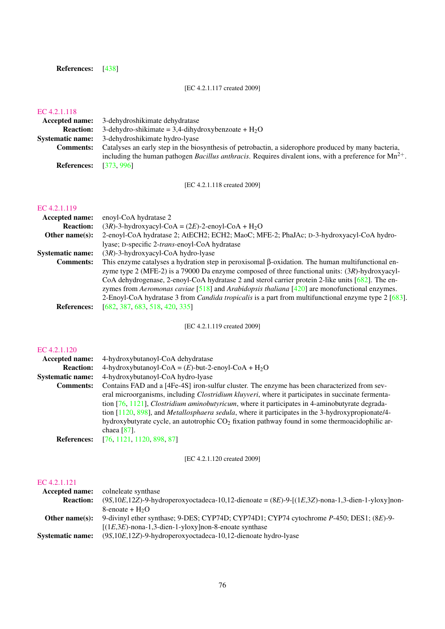### References: [\[438\]](#page-199-0)

### [EC 4.2.1.117 created 2009]

### [EC 4.2.1.118](http://www.enzyme-database.org/query.php?ec=4.2.1.118)

|                    | <b>Accepted name:</b> 3-dehydroshikimate dehydratase                                                               |
|--------------------|--------------------------------------------------------------------------------------------------------------------|
| <b>Reaction:</b>   | 3-dehydro-shikimate = 3.4-dihydroxybenzoate + $H_2O$                                                               |
|                    | <b>Systematic name:</b> 3-dehydroshikimate hydro-lyase                                                             |
| <b>Comments:</b>   | Catalyses an early step in the biosynthesis of petrobactin, a siderophore produced by many bacteria,               |
|                    | including the human pathogen <i>Bacillus anthracis</i> . Requires divalent ions, with a preference for $Mn^{2+}$ . |
| <b>References:</b> | [373.996]                                                                                                          |

[EC 4.2.1.118 created 2009]

### [EC 4.2.1.119](http://www.enzyme-database.org/query.php?ec=4.2.1.119)

| <b>Accepted name:</b>   | enoyl-CoA hydratase 2                                                                                      |
|-------------------------|------------------------------------------------------------------------------------------------------------|
| <b>Reaction:</b>        | $(3R)$ -3-hydroxyacyl-CoA = $(2E)$ -2-enoyl-CoA + H <sub>2</sub> O                                         |
| Other name $(s)$ :      | 2-enoyl-CoA hydratase 2; AtECH2; ECH2; MaoC; MFE-2; PhaJAc; D-3-hydroxyacyl-CoA hydro-                     |
|                         | lyase; D-specific 2-trans-enoyl-CoA hydratase                                                              |
| <b>Systematic name:</b> | $(3R)$ -3-hydroxyacyl-CoA hydro-lyase                                                                      |
| <b>Comments:</b>        | This enzyme catalyses a hydration step in peroxisomal $\beta$ -oxidation. The human multifunctional en-    |
|                         | zyme type 2 (MFE-2) is a 79000 Da enzyme composed of three functional units: $(3R)$ -hydroxyacyl-          |
|                         | CoA dehydrogenase, 2-enoyl-CoA hydratase 2 and sterol carrier protein 2-like units [682]. The en-          |
|                         | zymes from Aeromonas caviae $[518]$ and Arabidopsis thaliana $[420]$ are monofunctional enzymes.           |
|                         | 2-Enoyl-CoA hydratase 3 from <i>Candida tropicalis</i> is a part from multifunctional enzyme type 2 [683]. |
| <b>References:</b>      | [682, 387, 683, 518, 420, 335]                                                                             |
|                         |                                                                                                            |

[EC 4.2.1.119 created 2009]

### [EC 4.2.1.120](http://www.enzyme-database.org/query.php?ec=4.2.1.120)

| Accepted name:          | 4-hydroxybutanoyl-CoA dehydratase                                                                           |
|-------------------------|-------------------------------------------------------------------------------------------------------------|
| <b>Reaction:</b>        | 4-hydroxybutanoyl-CoA = $(E)$ -but-2-enoyl-CoA + H <sub>2</sub> O                                           |
| <b>Systematic name:</b> | 4-hydroxybutanoyl-CoA hydro-lyase                                                                           |
| <b>Comments:</b>        | Contains FAD and a [4Fe-4S] iron-sulfur cluster. The enzyme has been characterized from sev-                |
|                         | eral microorganisms, including <i>Clostridium kluyveri</i> , where it participates in succinate fermenta-   |
|                         | tion $[76, 1121]$ , <i>Clostridium aminobutyricum</i> , where it participates in 4-aminobutyrate degrada-   |
|                         | tion $[1120, 898]$ , and <i>Metallosphaera sedula</i> , where it participates in the 3-hydroxypropionate/4- |
|                         | hydroxybutyrate cycle, an autotrophic $CO2$ fixation pathway found in some thermoacidophilic ar-            |
|                         | chaea $[87]$ .                                                                                              |
| <b>References:</b>      | [76, 1121, 1120, 898, 87]                                                                                   |

[EC 4.2.1.120 created 2009]

| <b>Accepted name:</b>   | colneleate synthase                                                                                      |
|-------------------------|----------------------------------------------------------------------------------------------------------|
| <b>Reaction:</b>        | $(9S,10E,12Z)$ -9-hydroperoxyoctadeca-10,12-dienoate = $(8E)$ -9-[ $(1E,3Z)$ -nona-1,3-dien-1-yloxy]non- |
|                         | 8-enoate + $H_2O$                                                                                        |
| Other name $(s)$ :      | 9-divinyl ether synthase; 9-DES; CYP74D; CYP74D1; CYP74 cytochrome P-450; DES1; (8E)-9-                  |
|                         | $[(1E,3E)$ -nona-1,3-dien-1-yloxy]non-8-enoate synthase                                                  |
| <b>Systematic name:</b> | $(9S, 10E, 12Z)$ -9-hydroperoxyoctadeca-10,12-dienoate hydro-lyase                                       |
|                         |                                                                                                          |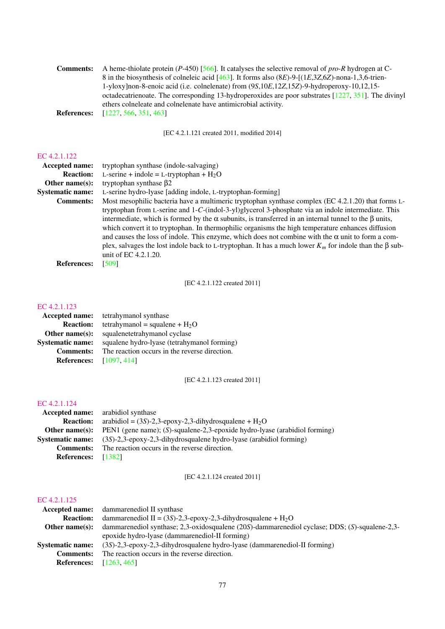| <b>Comments:</b>   | A heme-thiolate protein (P-450) [566]. It catalyses the selective removal of <i>pro-R</i> hydrogen at C- |
|--------------------|----------------------------------------------------------------------------------------------------------|
|                    | 8 in the biosynthesis of colneleic acid [463]. It forms also $(8E)$ -9-[ $(1E,3Z,6Z)$ -nona-1,3,6-trien- |
|                    | 1-yloxy]non-8-enoic acid (i.e. colnelenate) from (9S,10E,12Z,15Z)-9-hydroperoxy-10,12,15-                |
|                    | octadecatrienoate. The corresponding 13-hydroperoxides are poor substrates $[1227, 351]$ . The divinyl   |
|                    | ethers colneleate and colnelenate have antimicrobial activity.                                           |
| <b>References:</b> | [1227, 566, 351, 463]                                                                                    |

[EC 4.2.1.121 created 2011, modified 2014]

#### [EC 4.2.1.122](http://www.enzyme-database.org/query.php?ec=4.2.1.122)

| tryptophan synthase (indole-salvaging)                                                                                                                                                                                                                                                                                                                                                                                                                                                                                                                                                                                                                                                     |
|--------------------------------------------------------------------------------------------------------------------------------------------------------------------------------------------------------------------------------------------------------------------------------------------------------------------------------------------------------------------------------------------------------------------------------------------------------------------------------------------------------------------------------------------------------------------------------------------------------------------------------------------------------------------------------------------|
| L-serine + indole = L-tryptophan + $H_2O$                                                                                                                                                                                                                                                                                                                                                                                                                                                                                                                                                                                                                                                  |
| tryptophan synthase $\beta$ 2                                                                                                                                                                                                                                                                                                                                                                                                                                                                                                                                                                                                                                                              |
| L-serine hydro-lyase [adding indole, L-tryptophan-forming]                                                                                                                                                                                                                                                                                                                                                                                                                                                                                                                                                                                                                                 |
| Most mesophilic bacteria have a multimeric tryptophan synthase complex (EC 4.2.1.20) that forms L-<br>tryptophan from L-serine and 1-C-(indol-3-yl)glycerol 3-phosphate via an indole intermediate. This<br>intermediate, which is formed by the $\alpha$ subunits, is transferred in an internal tunnel to the $\beta$ units,<br>which convert it to tryptophan. In thermophilic organisms the high temperature enhances diffusion<br>and causes the loss of indole. This enzyme, which does not combine with the $\alpha$ unit to form a com-<br>plex, salvages the lost indole back to L-tryptophan. It has a much lower $K_m$ for indole than the $\beta$ sub-<br>unit of EC 4.2.1.20. |
| [509]                                                                                                                                                                                                                                                                                                                                                                                                                                                                                                                                                                                                                                                                                      |
|                                                                                                                                                                                                                                                                                                                                                                                                                                                                                                                                                                                                                                                                                            |

[EC 4.2.1.122 created 2011]

### [EC 4.2.1.123](http://www.enzyme-database.org/query.php?ec=4.2.1.123)

|                         | <b>Accepted name:</b> tetrahymanol synthase   |
|-------------------------|-----------------------------------------------|
| <b>Reaction:</b>        | tetrahymanol = squalene + $H_2O$              |
| Other name $(s)$ :      | squalenetetrahymanol cyclase                  |
| <b>Systematic name:</b> | squalene hydro-lyase (tetrahymanol forming)   |
| <b>Comments:</b>        | The reaction occurs in the reverse direction. |
| <b>References:</b>      | [1097, 414]                                   |
|                         |                                               |

[EC 4.2.1.123 created 2011]

#### [EC 4.2.1.124](http://www.enzyme-database.org/query.php?ec=4.2.1.124)

|                           | <b>Accepted name:</b> arabidiol synthase                                                         |
|---------------------------|--------------------------------------------------------------------------------------------------|
| <b>Reaction:</b>          | arabidiol = $(3S)$ -2,3-epoxy-2,3-dihydrosqualene + $H_2O$                                       |
|                           | <b>Other name(s):</b> PEN1 (gene name); (S)-squalene-2,3-epoxide hydro-lyase (arabidiol forming) |
|                           | <b>Systematic name:</b> $(3S)$ -2,3-epoxy-2,3-dihydrosqualene hydro-lyase (arabidiol forming)    |
| <b>Comments:</b>          | The reaction occurs in the reverse direction.                                                    |
| <b>References:</b> [1382] |                                                                                                  |

[EC 4.2.1.124 created 2011]

| <b>Accepted name:</b> dammare nediol II synthase                                                      |
|-------------------------------------------------------------------------------------------------------|
| dammarenediol II = (3S)-2,3-epoxy-2,3-dihydrosqualene + $H_2O$                                        |
| dammare nediol synthase; 2,3-oxidosqualene $(20S)$ -dammare nediol cyclase; DDS; $(S)$ -squalene-2,3- |
| epoxide hydro-lyase (dammare nediol-II forming)                                                       |
| $(3S)$ -2,3-epoxy-2,3-dihydrosqualene hydro-lyase (dammarenediol-II forming)                          |
| The reaction occurs in the reverse direction.                                                         |
| <b>References:</b> [1263, 465]                                                                        |
|                                                                                                       |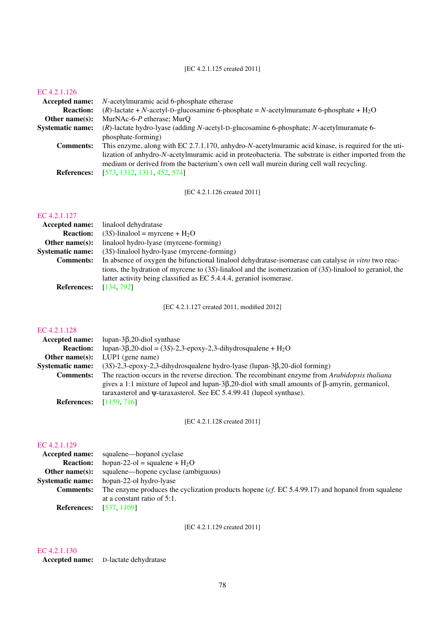#### [EC 4.2.1.125 created 2011]

#### [EC 4.2.1.126](http://www.enzyme-database.org/query.php?ec=4.2.1.126)

| Accepted name:          | <i>N</i> -acetylmuramic acid 6-phosphate etherase                                                                                                                                                |
|-------------------------|--------------------------------------------------------------------------------------------------------------------------------------------------------------------------------------------------|
| <b>Reaction:</b>        | (R)-lactate + N-acetyl-D-glucosamine 6-phosphate = N-acetylmuramate 6-phosphate + $H_2O$                                                                                                         |
| Other name $(s)$ :      | MurNAc-6- $P$ etherase; MurQ                                                                                                                                                                     |
| <b>Systematic name:</b> | $(R)$ -lactate hydro-lyase (adding N-acetyl-D-glucosamine 6-phosphate; N-acetylmuramate 6-                                                                                                       |
|                         | phosphate-forming)                                                                                                                                                                               |
| <b>Comments:</b>        | This enzyme, along with EC 2.7.1.170, anhydro-N-acetylmuramic acid kinase, is required for the uti-                                                                                              |
|                         | lization of anhydro-N-acetylmuramic acid in proteobacteria. The substrate is either imported from the<br>medium or derived from the bacterium's own cell wall murein during cell wall recycling. |
| <b>References:</b>      | [573, 1312, 1311, 452, 574]                                                                                                                                                                      |

[EC 4.2.1.126 created 2011]

#### [EC 4.2.1.127](http://www.enzyme-database.org/query.php?ec=4.2.1.127)

| <b>Accepted name:</b>                                                                                                    | linalool dehydratase                                                                                           |
|--------------------------------------------------------------------------------------------------------------------------|----------------------------------------------------------------------------------------------------------------|
| <b>Reaction:</b>                                                                                                         | $(3S)$ -linalool = myrcene + H <sub>2</sub> O                                                                  |
| Other name $(s)$ :                                                                                                       | linalool hydro-lyase (myrcene-forming)                                                                         |
| <b>Systematic name:</b>                                                                                                  | $(3S)$ -linalool hydro-lyase (myrcene-forming)                                                                 |
| In absence of oxygen the bifunctional linalool dehydratase-isomerase can catalyse in vitro two reac-<br><b>Comments:</b> |                                                                                                                |
|                                                                                                                          | tions, the hydration of myrcene to $(3S)$ -linalool and the isomerization of $(3S)$ -linalool to geraniol, the |
|                                                                                                                          | latter activity being classified as EC 5.4.4.4, geraniol isomerase.                                            |
| References:                                                                                                              | [134, 792]                                                                                                     |

**References:** [\[134,](#page-183-1) [792\]](#page-218-0)

[EC 4.2.1.127 created 2011, modified 2012]

### [EC 4.2.1.128](http://www.enzyme-database.org/query.php?ec=4.2.1.128)

| <b>Accepted name:</b>   | lupan- $3\beta$ , 20-diol synthase                                                                             |
|-------------------------|----------------------------------------------------------------------------------------------------------------|
| <b>Reaction:</b>        | lupan-3 $\beta$ ,20-diol = (3S)-2,3-epoxy-2,3-dihydrosqualene + H <sub>2</sub> O                               |
| Other name $(s)$ :      | $LUP1$ (gene name)                                                                                             |
| <b>Systematic name:</b> | $(3S)$ -2,3-epoxy-2,3-dihydrosqualene hydro-lyase (lupan-3 $\beta$ ,20-diol forming)                           |
| <b>Comments:</b>        | The reaction occurs in the reverse direction. The recombinant enzyme from Arabidopsis thaliana                 |
|                         | gives a 1:1 mixture of lupeol and lupan- $3\beta$ , 20-diol with small amounts of $\beta$ -amyrin, germanicol, |
|                         | taraxasterol and $\psi$ -taraxasterol. See EC 5.4.99.41 (lupeol synthase).                                     |
| <b>References:</b>      | [1159, 716]                                                                                                    |

[EC 4.2.1.128 created 2011]

### [EC 4.2.1.129](http://www.enzyme-database.org/query.php?ec=4.2.1.129)

|                         | <b>Accepted name:</b> squalene—hopanol cyclase                                                                |
|-------------------------|---------------------------------------------------------------------------------------------------------------|
| <b>Reaction:</b>        | hopan-22-ol = squalene + $H_2O$                                                                               |
| Other name(s):          | squalene—hopene cyclase (ambiguous)                                                                           |
| <b>Systematic name:</b> | hopan-22-ol hydro-lyase                                                                                       |
| <b>Comments:</b>        | The enzyme produces the cyclization products hopene ( $cf. \text{ EC } 5.4.99.17$ ) and hopanol from squalene |
|                         | at a constant ratio of 5:1.                                                                                   |
| <b>References:</b>      | [537, 1109]                                                                                                   |

[EC 4.2.1.129 created 2011]

#### [EC 4.2.1.130](http://www.enzyme-database.org/query.php?ec=4.2.1.130)

Accepted name: D-lactate dehydratase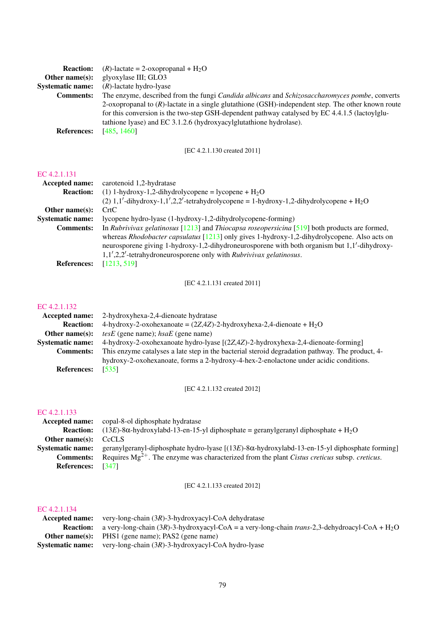| <b>Reaction:</b>        | $(R)$ -lactate = 2-oxopropanal + H <sub>2</sub> O                                                     |
|-------------------------|-------------------------------------------------------------------------------------------------------|
| Other name $(s)$ :      | glyoxylase III; GLO3                                                                                  |
| <b>Systematic name:</b> | $(R)$ -lactate hydro-lyase                                                                            |
| <b>Comments:</b>        | The enzyme, described from the fungi Candida albicans and Schizosaccharomyces pombe, converts         |
|                         | 2-oxopropanal to $(R)$ -lactate in a single glutathione (GSH)-independent step. The other known route |
|                         | for this conversion is the two-step GSH-dependent pathway catalysed by EC 4.4.1.5 (lactoylglu-        |
|                         | tathione lyase) and EC 3.1.2.6 (hydroxyacylglutathione hydrolase).                                    |
| <b>References:</b>      | [485, 1460]                                                                                           |

[EC 4.2.1.130 created 2011]

#### [EC 4.2.1.131](http://www.enzyme-database.org/query.php?ec=4.2.1.131)

| Accepted name:          | carotenoid 1,2-hydratase                                                                                                                                                                                                                                                                                                                                                           |
|-------------------------|------------------------------------------------------------------------------------------------------------------------------------------------------------------------------------------------------------------------------------------------------------------------------------------------------------------------------------------------------------------------------------|
| <b>Reaction:</b>        | (1) 1-hydroxy-1,2-dihydrolycopene = lycopene + $H_2O$                                                                                                                                                                                                                                                                                                                              |
|                         | $(2)$ 1,1'-dihydroxy-1,1',2,2'-tetrahydrolycopene = 1-hydroxy-1,2-dihydrolycopene + H <sub>2</sub> O                                                                                                                                                                                                                                                                               |
| Other name $(s)$ :      | CrtC                                                                                                                                                                                                                                                                                                                                                                               |
| <b>Systematic name:</b> | lycopene hydro-lyase (1-hydroxy-1,2-dihydrolycopene-forming)                                                                                                                                                                                                                                                                                                                       |
| <b>Comments:</b>        | In Rubrivivax gelatinosus $[1213]$ and Thiocapsa roseopersicina $[519]$ both products are formed,<br>whereas Rhodobacter capsulatus [1213] only gives 1-hydroxy-1,2-dihydrolycopene. Also acts on<br>neurosporene giving 1-hydroxy-1,2-dihydroneurosporene with both organism but 1,1'-dihydroxy-<br>$1,1',2,2'$ -tetrahydroneurosporene only with <i>Rubrivivax gelatinosus</i> . |
| <b>References:</b>      | [1213, 519]                                                                                                                                                                                                                                                                                                                                                                        |

[EC 4.2.1.131 created 2011]

### [EC 4.2.1.132](http://www.enzyme-database.org/query.php?ec=4.2.1.132)

|                          | <b>Accepted name:</b> 2-hydroxyhexa-2,4-dienoate hydratase                                      |
|--------------------------|-------------------------------------------------------------------------------------------------|
| <b>Reaction:</b>         | 4-hydroxy-2-oxohexanoate = $(2Z,4Z)$ -2-hydroxyhexa-2,4-dienoate + H <sub>2</sub> O             |
| Other name $(s)$ :       | <i>tesE</i> (gene name); $hsaE$ (gene name)                                                     |
| <b>Systematic name:</b>  | 4-hydroxy-2-oxohexanoate hydro-lyase [(2Z,4Z)-2-hydroxyhexa-2,4-dienoate-forming]               |
| <b>Comments:</b>         | This enzyme catalyses a late step in the bacterial steroid degradation pathway. The product, 4- |
|                          | hydroxy-2-oxohexanoate, forms a 2-hydroxy-4-hex-2-enolactone under acidic conditions.           |
| <b>References:</b> [535] |                                                                                                 |

[EC 4.2.1.132 created 2012]

### [EC 4.2.1.133](http://www.enzyme-database.org/query.php?ec=4.2.1.133)

|                         | <b>Accepted name:</b> copal-8-ol diphosphate hydratase                                                           |
|-------------------------|------------------------------------------------------------------------------------------------------------------|
| <b>Reaction:</b>        | $(13E)$ -8 $\alpha$ -hydroxylabd-13-en-15-yl diphosphate = geranylgeranyl diphosphate + H <sub>2</sub> O         |
| Other name $(s)$ :      | <b>CcCLS</b>                                                                                                     |
| <b>Systematic name:</b> | geranylgeranyl-diphosphate hydro-lyase $[(13E)$ -8 $\alpha$ -hydroxylabd-13-en-15-yl diphosphate forming         |
| <b>Comments:</b>        | Requires $Mg^{2+}$ . The enzyme was characterized from the plant <i>Cistus creticus</i> subsp. <i>creticus</i> . |
| <b>References:</b>      | [347]                                                                                                            |

[EC 4.2.1.133 created 2012]

|                  | <b>Accepted name:</b> very-long-chain $(3R)$ -3-hydroxyacyl-CoA dehydratase                                                           |
|------------------|---------------------------------------------------------------------------------------------------------------------------------------|
|                  | <b>Reaction:</b> a very-long-chain $(3R)$ -3-hydroxyacyl-CoA = a very-long-chain <i>trans</i> -2,3-dehydroacyl-CoA + H <sub>2</sub> O |
|                  | <b>Other name(s):</b> PHS1 (gene name); PAS2 (gene name)                                                                              |
| Systematic name: | very-long-chain (3R)-3-hydroxyacyl-CoA hydro-lyase                                                                                    |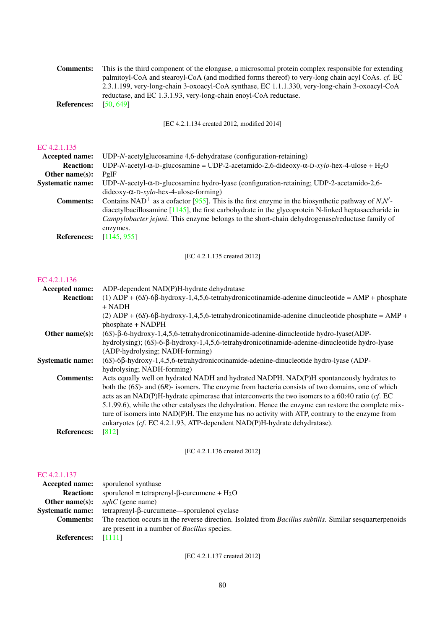| <b>Comments:</b><br><b>References:</b> | This is the third component of the elongase, a microsomal protein complex responsible for extending<br>palmitoyl-CoA and stearoyl-CoA (and modified forms thereof) to very-long chain acyl CoAs. cf. EC<br>2.3.1.199, very-long-chain 3-oxoacyl-CoA synthase, EC 1.1.1.330, very-long-chain 3-oxoacyl-CoA<br>reductase, and EC 1.3.1.93, very-long-chain enoyl-CoA reductase.<br>[50, 649] |
|----------------------------------------|--------------------------------------------------------------------------------------------------------------------------------------------------------------------------------------------------------------------------------------------------------------------------------------------------------------------------------------------------------------------------------------------|
|                                        | [EC 4.2.1.134 created 2012, modified 2014]                                                                                                                                                                                                                                                                                                                                                 |
| EC 4.2.1.135                           |                                                                                                                                                                                                                                                                                                                                                                                            |
| Accepted name:                         | UDP-N-acetylglucosamine 4,6-dehydratase (configuration-retaining)                                                                                                                                                                                                                                                                                                                          |
| <b>Reaction:</b>                       | UDP-N-acetyl- $\alpha$ -D-glucosamine = UDP-2-acetamido-2,6-dideoxy- $\alpha$ -D-xylo-hex-4-ulose + H <sub>2</sub> O                                                                                                                                                                                                                                                                       |
| Other name(s):                         | $Pg$ <sup>IF</sup>                                                                                                                                                                                                                                                                                                                                                                         |
| <b>Systematic name:</b>                | UDP-N-acetyl- $\alpha$ -D-glucosamine hydro-lyase (configuration-retaining; UDP-2-acetamido-2,6-<br>$dideoxy-α-D-xylo-hex-4-ulose-forming)$                                                                                                                                                                                                                                                |
| <b>Comments:</b>                       | Contains NAD <sup>+</sup> as a cofactor [955]. This is the first enzyme in the biosynthetic pathway of $N$ , $N'$ -<br>diacetylbacillosamine $[1145]$ , the first carbohydrate in the glycoprotein N-linked heptasaccharide in<br>Campylobacter jejuni. This enzyme belongs to the short-chain dehydrogenase/reductase family of<br>enzymes.                                               |
| <b>References:</b>                     | [1145, 955]                                                                                                                                                                                                                                                                                                                                                                                |
|                                        | [EC 4.2.1.135 created 2012]                                                                                                                                                                                                                                                                                                                                                                |
|                                        |                                                                                                                                                                                                                                                                                                                                                                                            |

### [EC 4.2.1.136](http://www.enzyme-database.org/query.php?ec=4.2.1.136)

| Accepted name:          | ADP-dependent NAD(P)H-hydrate dehydratase                                                                  |
|-------------------------|------------------------------------------------------------------------------------------------------------|
| <b>Reaction:</b>        | (1) ADP + $(6S)$ -6 $\beta$ -hydroxy-1,4,5,6-tetrahydronicotinamide-adenine dinucleotide = AMP + phosphate |
|                         | $+$ NADH                                                                                                   |
|                         | (2) ADP + $(6S)$ -6 $\beta$ -hydroxy-1,4,5,6-tetrahydronicotinamide-adenine dinucleotide phosphate = AMP + |
|                         | phosphate + NADPH                                                                                          |
| Other name $(s)$ :      | $(6S)$ - $\beta$ -6-hydroxy-1,4,5,6-tetrahydronicotinamide-adenine-dinucleotide hydro-lyase $(ADP-$        |
|                         | hydrolysing); (6S)-6-β-hydroxy-1,4,5,6-tetrahydronicotinamide-adenine-dinucleotide hydro-lyase             |
|                         | (ADP-hydrolysing; NADH-forming)                                                                            |
| <b>Systematic name:</b> | $(6S)$ -6 $\beta$ -hydroxy-1,4,5,6-tetrahydronicotinamide-adenine-dinucleotide hydro-lyase (ADP-           |
|                         | hydrolysing; NADH-forming)                                                                                 |
| <b>Comments:</b>        | Acts equally well on hydrated NADH and hydrated NADPH. NAD(P)H spontaneously hydrates to                   |
|                         | both the $(6S)$ - and $(6R)$ - isomers. The enzyme from bacteria consists of two domains, one of which     |
|                         | acts as an NAD(P)H-hydrate epimerase that interconverts the two isomers to a 60:40 ratio (cf. EC           |
|                         | 5.1.99.6), while the other catalyses the dehydration. Hence the enzyme can restore the complete mix-       |
|                         | ture of isomers into NAD(P)H. The enzyme has no activity with ATP, contrary to the enzyme from             |
|                         | eukaryotes (cf. EC 4.2.1.93, ATP-dependent NAD(P)H-hydrate dehydratase).                                   |
| <b>References:</b>      | [812]                                                                                                      |
|                         |                                                                                                            |

### [EC 4.2.1.136 created 2012]

### [EC 4.2.1.137](http://www.enzyme-database.org/query.php?ec=4.2.1.137)

|                           | <b>Accepted name:</b> sporulenol synthase                                                                        |
|---------------------------|------------------------------------------------------------------------------------------------------------------|
|                           | <b>Reaction:</b> sporulenol = tetraprenyl- $\beta$ -curcumene + $H_2O$                                           |
|                           | <b>Other name(s):</b> $\mathfrak{s}qh\mathcal{C}$ (gene name)                                                    |
|                           | $Systematic name:$ tetraprenyl- $\beta$ -curcumene—sporulenol cyclase                                            |
| <b>Comments:</b>          | The reaction occurs in the reverse direction. Isolated from <i>Bacillus subtilis</i> . Similar sesquarterpenoids |
|                           | are present in a number of <i>Bacillus</i> species.                                                              |
| <b>References:</b> [1111] |                                                                                                                  |

[EC 4.2.1.137 created 2012]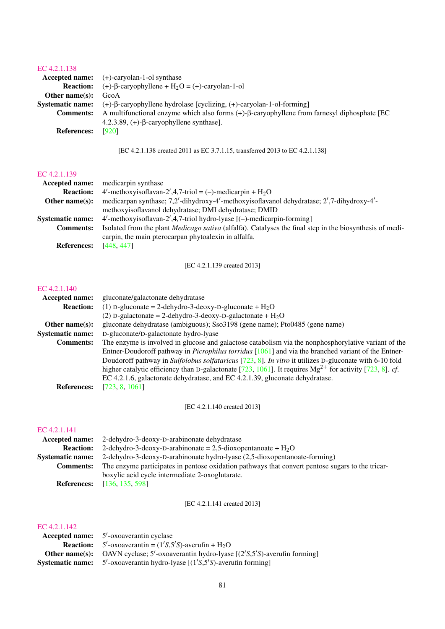### [EC 4.2.1.138](http://www.enzyme-database.org/query.php?ec=4.2.1.138)

|                         | <b>Accepted name:</b> $(+)$ -caryolan-1-ol synthase                                                    |
|-------------------------|--------------------------------------------------------------------------------------------------------|
| <b>Reaction:</b>        | $(+)$ - $\beta$ -caryophyllene + H <sub>2</sub> O = (+)-caryolan-1-ol                                  |
| Other name $(s)$ :      | GcoA                                                                                                   |
| <b>Systematic name:</b> | $(+)$ - $\beta$ -caryophyllene hydrolase [cyclizing, $(+)$ -caryolan-1-ol-forming]                     |
| <b>Comments:</b>        | A multifunctional enzyme which also forms $(+)$ - $\beta$ -caryophyllene from farnesyl diphosphate [EC |
|                         | 4.2.3.89, $(+)$ - $\beta$ -caryophyllene synthase].                                                    |
| <b>References:</b>      | [920]                                                                                                  |

[EC 4.2.1.138 created 2011 as EC 3.7.1.15, transferred 2013 to EC 4.2.1.138]

#### [EC 4.2.1.139](http://www.enzyme-database.org/query.php?ec=4.2.1.139)

|                         | <b>Accepted name:</b> medicarpin synthase                                                                       |
|-------------------------|-----------------------------------------------------------------------------------------------------------------|
| <b>Reaction:</b>        | 4'-methoxyisoflavan-2',4,7-triol = (-)-medicarpin + $H_2O$                                                      |
| Other name $(s)$ :      | medicarpan synthase; 7,2'-dihydroxy-4'-methoxyisoflavanol dehydratase; 2',7-dihydroxy-4'-                       |
|                         | methoxyisoflavanol dehydratase; DMI dehydratase; DMID                                                           |
| <b>Systematic name:</b> | $4'$ -methoxyisoflavan-2', 4,7-triol hydro-lyase [(-)-medicarpin-forming]                                       |
| <b>Comments:</b>        | Isolated from the plant <i>Medicago sativa</i> (alfalfa). Catalyses the final step in the biosynthesis of medi- |
|                         | carpin, the main pterocarpan phytoalexin in alfalfa.                                                            |
| <b>References:</b>      | [448, 447]                                                                                                      |

[EC 4.2.1.139 created 2013]

#### [EC 4.2.1.140](http://www.enzyme-database.org/query.php?ec=4.2.1.140)

| <b>Accepted name:</b>   | gluconate/galactonate dehydratase                                                                            |
|-------------------------|--------------------------------------------------------------------------------------------------------------|
| <b>Reaction:</b>        | (1) D-gluconate = 2-dehydro-3-deoxy-D-gluconate + $H_2O$                                                     |
|                         | (2) D-galactonate = 2-dehydro-3-deoxy-D-galactonate + $H_2O$                                                 |
| Other name $(s)$ :      | gluconate dehydratase (ambiguous); Sso3198 (gene name); Pto0485 (gene name)                                  |
| <b>Systematic name:</b> | D-gluconate/D-galactonate hydro-lyase                                                                        |
| <b>Comments:</b>        | The enzyme is involved in glucose and galactose catabolism via the nonphosphorylative variant of the         |
|                         | Entner-Doudoroff pathway in <i>Picrophilus torridus</i> [1061] and via the branched variant of the Entner-   |
|                         | Doudoroff pathway in Sulfolobus solfataricus [723, 8]. In vitro it utilizes D-gluconate with 6-10 fold       |
|                         | higher catalytic efficiency than D-galactonate [723, 1061]. It requires $Mg^{2+}$ for activity [723, 8]. cf. |
|                         | EC 4.2.1.6, galactonate dehydratase, and EC 4.2.1.39, gluconate dehydratase.                                 |
| <b>References:</b>      | [723, 8, 1061]                                                                                               |
|                         |                                                                                                              |

[EC 4.2.1.140 created 2013]

#### [EC 4.2.1.141](http://www.enzyme-database.org/query.php?ec=4.2.1.141)

|                         | <b>Accepted name:</b> 2-dehydro-3-deoxy-D-arabinonate dehydratase                                |
|-------------------------|--------------------------------------------------------------------------------------------------|
| <b>Reaction:</b>        | 2-dehydro-3-deoxy-D-arabinonate = 2,5-dioxopentanoate + $H_2O$                                   |
| <b>Systematic name:</b> | 2-dehydro-3-deoxy-D-arabinonate hydro-lyase (2,5-dioxopentanoate-forming)                        |
| <b>Comments:</b>        | The enzyme participates in pentose oxidation pathways that convert pentose sugars to the tricar- |
|                         | boxylic acid cycle intermediate 2-oxoglutarate.                                                  |
|                         | <b>References:</b> [136, 135, 598]                                                               |

[EC 4.2.1.141 created 2013]

| <b>Accepted name:</b> 5'-oxoaverantin cyclase                                                      |
|----------------------------------------------------------------------------------------------------|
| <b>Reaction:</b> $5'$ -oxoaverantin = $(1'S, 5'S)$ -averufin + $H_2O$                              |
| <b>Other name(s):</b> OAVN cyclase; $5'$ -oxoaverantin hydro-lyase $[(2'S, 5'S)$ -averufin forming |
| <b>Systematic name:</b> 5'-oxoaverantin hydro-lyase $[(1'S, 5'S)$ -averufin forming                |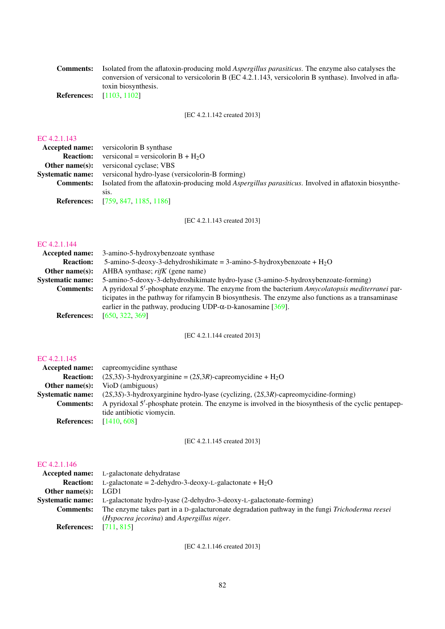Comments: Isolated from the aflatoxin-producing mold *Aspergillus parasiticus*. The enzyme also catalyses the conversion of versiconal to versicolorin B (EC 4.2.1.143, versicolorin B synthase). Involved in aflatoxin biosynthesis.

References: [\[1103,](#page-234-4) [1102\]](#page-234-5)

[EC 4.2.1.142 created 2013]

### [EC 4.2.1.143](http://www.enzyme-database.org/query.php?ec=4.2.1.143)

|                         | <b>Accepted name:</b> versicolorin B synthase                                                                |
|-------------------------|--------------------------------------------------------------------------------------------------------------|
| <b>Reaction:</b>        | versiconal = versicolorin $B + H2O$                                                                          |
|                         | <b>Other name(s):</b> versiconal cyclase; VBS                                                                |
| <b>Systematic name:</b> | versiconal hydro-lyase (versicolorin-B forming)                                                              |
| <b>Comments:</b>        | Isolated from the aflatoxin-producing mold <i>Aspergillus parasiticus</i> . Involved in aflatoxin biosynthe- |
|                         | S <sub>1</sub> S.                                                                                            |
|                         | <b>References:</b> [759, 847, 1185, 1186]                                                                    |

[EC 4.2.1.143 created 2013]

#### [EC 4.2.1.144](http://www.enzyme-database.org/query.php?ec=4.2.1.144)

| Accepted name:          | 3-amino-5-hydroxybenzoate synthase                                                                 |
|-------------------------|----------------------------------------------------------------------------------------------------|
| <b>Reaction:</b>        | 5-amino-5-deoxy-3-dehydroshikimate = 3-amino-5-hydroxybenzoate + $H_2O$                            |
| Other name $(s)$ :      | AHBA synthase; $ri f K$ (gene name)                                                                |
| <b>Systematic name:</b> | 5-amino-5-deoxy-3-dehydroshikimate hydro-lyase (3-amino-5-hydroxybenzoate-forming)                 |
| <b>Comments:</b>        | A pyridoxal 5'-phosphate enzyme. The enzyme from the bacterium Amycolatopsis mediterranei par-     |
|                         | ticipates in the pathway for rifamycin B biosynthesis. The enzyme also functions as a transaminase |
|                         | earlier in the pathway, producing UDP- $\alpha$ -D-kanosamine [369].                               |
| <b>References:</b>      | [650, 322, 369]                                                                                    |

[EC 4.2.1.144 created 2013]

### [EC 4.2.1.145](http://www.enzyme-database.org/query.php?ec=4.2.1.145)

| <b>Accepted name:</b>   | capreomycidine synthase                                                                              |
|-------------------------|------------------------------------------------------------------------------------------------------|
| <b>Reaction:</b>        | $(2S,3S)$ -3-hydroxyarginine = $(2S,3R)$ -capreomycidine + H <sub>2</sub> O                          |
| Other name $(s)$ :      | VioD (ambiguous)                                                                                     |
| <b>Systematic name:</b> | $(2S,3S)$ -3-hydroxyarginine hydro-lyase (cyclizing, $(2S,3R)$ -capreomycidine-forming)              |
| <b>Comments:</b>        | A pyridoxal 5'-phosphate protein. The enzyme is involved in the biosynthesis of the cyclic pentapep- |
|                         | tide antibiotic viomycin.                                                                            |
| <b>References:</b>      | [1410, 608]                                                                                          |
|                         |                                                                                                      |

[EC 4.2.1.145 created 2013]

### [EC 4.2.1.146](http://www.enzyme-database.org/query.php?ec=4.2.1.146)

|                         | <b>Accepted name:</b> L-galactonate dehydratase                                                |
|-------------------------|------------------------------------------------------------------------------------------------|
| <b>Reaction:</b>        | L-galactonate = 2-dehydro-3-deoxy-L-galactonate + $H_2O$                                       |
| Other name $(s)$ :      | LGD1                                                                                           |
| <b>Systematic name:</b> | L-galactonate hydro-lyase (2-dehydro-3-deoxy-L-galactonate-forming)                            |
| <b>Comments:</b>        | The enzyme takes part in a D-galacturonate degradation pathway in the fungi Trichoderma reesei |
|                         | (Hypocrea jecorina) and Aspergillus niger.                                                     |
| <b>References:</b>      | [711, 815]                                                                                     |

[EC 4.2.1.146 created 2013]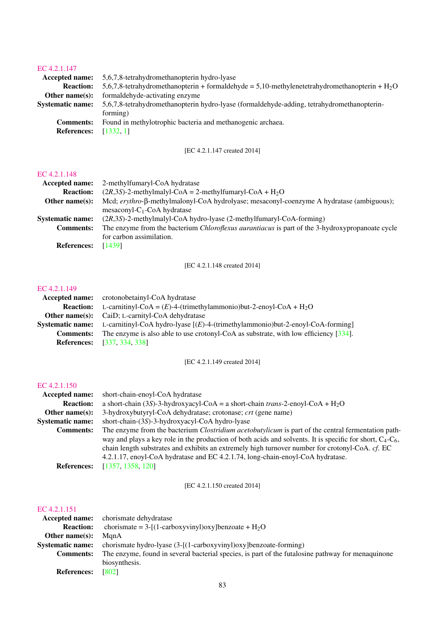### [EC 4.2.1.147](http://www.enzyme-database.org/query.php?ec=4.2.1.147)

| <b>Accepted name:</b>   | 5,6,7,8-tetrahydromethanopterin hydro-lyase                                                     |
|-------------------------|-------------------------------------------------------------------------------------------------|
| <b>Reaction:</b>        | 5,6,7,8-tetrahydromethanopterin + formaldehyde = 5,10-methylenetetrahydromethanopterin + $H_2O$ |
| Other name $(s)$ :      | formaldehyde-activating enzyme                                                                  |
| <b>Systematic name:</b> | 5,6,7,8-tetrahydromethanopterin hydro-lyase (formaldehyde-adding, tetrahydromethanopterin-      |
|                         | forming)                                                                                        |
| <b>Comments:</b>        | Found in methylotrophic bacteria and methanogenic archaea.                                      |
| <b>References:</b>      | [1332, 1]                                                                                       |

### [EC 4.2.1.147 created 2014]

#### [EC 4.2.1.148](http://www.enzyme-database.org/query.php?ec=4.2.1.148)

| 2-methylfumaryl-CoA hydratase                                                                              |
|------------------------------------------------------------------------------------------------------------|
| $(2R,3S)$ -2-methylmalyl-CoA = 2-methylfumaryl-CoA + H <sub>2</sub> O                                      |
| Mcd; $\epsilon$ rythro- $\beta$ -methylmalonyl-CoA hydrolyase; mesaconyl-coenzyme A hydratase (ambiguous); |
| $measconv1-C1-CoA hydratase$                                                                               |
| (2R,3S)-2-methylmalyl-CoA hydro-lyase (2-methylfumaryl-CoA-forming)                                        |
| The enzyme from the bacterium <i>Chloroflexus aurantiacus</i> is part of the 3-hydroxypropanoate cycle     |
| for carbon assimilation.                                                                                   |
| [1439]                                                                                                     |
|                                                                                                            |

[EC 4.2.1.148 created 2014]

### [EC 4.2.1.149](http://www.enzyme-database.org/query.php?ec=4.2.1.149)

|                  | <b>Accepted name:</b> crotonobetainyl-CoA hydratase                                                             |
|------------------|-----------------------------------------------------------------------------------------------------------------|
|                  | <b>Reaction:</b> L-carnitinyl-CoA = $(E)$ -4-(trimethylammonio)but-2-enoyl-CoA + H <sub>2</sub> O               |
|                  | <b>Other name(s):</b> CaiD; L-carnityl-CoA dehydratase                                                          |
|                  | <b>Systematic name:</b> L-carnitinyl-CoA hydro-lyase $[(E)-4-(\text{trimethylammonio})but-2-enoyl-CoA-forming]$ |
| <b>Comments:</b> | The enzyme is also able to use crotonyl-CoA as substrate, with low efficiency $[334]$ .                         |
|                  | <b>References:</b> [337, 334, 338]                                                                              |

[EC 4.2.1.149 created 2014]

#### [EC 4.2.1.150](http://www.enzyme-database.org/query.php?ec=4.2.1.150)

| <b>Accepted name:</b>   | short-chain-enoyl-CoA hydratase                                                                                                                                                                                                                                                                                                                                                                                    |
|-------------------------|--------------------------------------------------------------------------------------------------------------------------------------------------------------------------------------------------------------------------------------------------------------------------------------------------------------------------------------------------------------------------------------------------------------------|
| <b>Reaction:</b>        | a short-chain (3S)-3-hydroxyacyl-CoA = a short-chain trans-2-enoyl-CoA + H <sub>2</sub> O                                                                                                                                                                                                                                                                                                                          |
| Other name $(s)$ :      | 3-hydroxybutyryl-CoA dehydratase; crotonase; crt (gene name)                                                                                                                                                                                                                                                                                                                                                       |
| <b>Systematic name:</b> | short-chain-(3S)-3-hydroxyacyl-CoA hydro-lyase                                                                                                                                                                                                                                                                                                                                                                     |
| <b>Comments:</b>        | The enzyme from the bacterium <i>Clostridium acetobutylicum</i> is part of the central fermentation path-<br>way and plays a key role in the production of both acids and solvents. It is specific for short, $C_4$ - $C_6$ ,<br>chain length substrates and exhibits an extremely high turnover number for crotonyl-CoA. cf. EC<br>4.2.1.17, enoyl-CoA hydratase and EC 4.2.1.74, long-chain-enoyl-CoA hydratase. |
| <b>References:</b>      | [1357, 1358, 120]                                                                                                                                                                                                                                                                                                                                                                                                  |

[EC 4.2.1.150 created 2014]

|                         | Accepted name: chorismate dehydratase                                                             |
|-------------------------|---------------------------------------------------------------------------------------------------|
| <b>Reaction:</b>        | chorismate = $3-[1-carboxyvinyl)$ oxylbenzoate + $H_2O$                                           |
| Other name $(s)$ :      | ManA                                                                                              |
| <b>Systematic name:</b> | chorismate hydro-lyase (3-[(1-carboxyvinyl)oxy]benzoate-forming)                                  |
| <b>Comments:</b>        | The enzyme, found in several bacterial species, is part of the futalosine pathway for menaquinone |
|                         | biosynthesis.                                                                                     |
| <b>References:</b>      | [802]                                                                                             |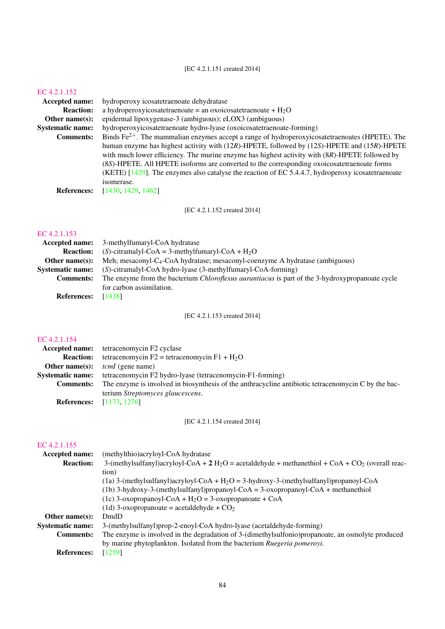### [EC 4.2.1.151 created 2014]

[EC 4.2.1.152](http://www.enzyme-database.org/query.php?ec=4.2.1.152)<br>Accepted name:

**ted name:** hydroperoxy icosatetraenoate dehydratase<br>**Reaction:** a hydroperoxyicosatetraenoate = an oxoice **Reaction:** a hydroperoxyicosatetraenoate = an oxoicosatetraenoate +  $H_2O$ <br>**Other name(s):** epidermal lipoxygenase-3 (ambiguous); eLOX3 (ambiguous) epidermal lipoxygenase-3 (ambiguous); eLOX3 (ambiguous) **Systematic name:** hydroperoxyicosatetraenoate hydro-lyase (oxoicosatetraenoate-forming)<br> **Comments:** Binds  $Fe^{2+}$  The mammalian enzymes accept a range of hydroperoxyico Binds  $Fe^{2+}$ . The mammalian enzymes accept a range of hydroperoxyicosatetraenoates (HPETE). The human enzyme has highest activity with (12*R*)-HPETE, followed by (12*S*)-HPETE and (15*R*)-HPETE with much lower efficiency. The murine enzyme has highest activity with (8*R*)-HPETE followed by (8*S*)-HPETE. All HPETE isoforms are converted to the corresponding oxoicosatetraenoate forms (KETE) [\[1429\]](#page-251-3). The enzymes also catalyse the reaction of EC 5.4.4.7, hydroperoxy icosatetraenoate isomerase. References: [\[1430,](#page-251-4) [1429,](#page-251-3) [1462\]](#page-253-0)

[EC 4.2.1.152 created 2014]

### [EC 4.2.1.153](http://www.enzyme-database.org/query.php?ec=4.2.1.153)

| <b>Accepted name:</b>   | 3-methylfumaryl-CoA hydratase                                                                          |
|-------------------------|--------------------------------------------------------------------------------------------------------|
| <b>Reaction:</b>        | (S)-citramalyl-CoA = 3-methylfumaryl-CoA + $H_2O$                                                      |
| Other name $(s)$ :      | Meh; mesaconyl-C <sub>4</sub> -CoA hydratase; mesaconyl-coenzyme A hydratase (ambiguous)               |
| <b>Systematic name:</b> | $(S)$ -citramalyl-CoA hydro-lyase $(3$ -methylfumaryl-CoA-forming)                                     |
| <b>Comments:</b>        | The enzyme from the bacterium <i>Chloroflexus aurantiacus</i> is part of the 3-hydroxypropanoate cycle |
|                         | for carbon assimilation.                                                                               |
| <b>References:</b>      | [1438]                                                                                                 |

[EC 4.2.1.153 created 2014]

### [EC 4.2.1.154](http://www.enzyme-database.org/query.php?ec=4.2.1.154)

| Accepted name:          | tetracenomycin F2 cyclase                                                                            |
|-------------------------|------------------------------------------------------------------------------------------------------|
| <b>Reaction:</b>        | tetracenomycin F2 = tetracenomycin F1 + $H_2O$                                                       |
| Other name(s):          | <i>tcmI</i> (gene name)                                                                              |
| <b>Systematic name:</b> | tetracenomycin F2 hydro-lyase (tetracenomycin-F1-forming)                                            |
| <b>Comments:</b>        | The enzyme is involved in biosynthesis of the anthracycline antibiotic tetrace nonvein C by the bac- |
|                         | terium Streptomyces glaucescens.                                                                     |
| <b>References:</b>      | [1173, 1276]                                                                                         |

[EC 4.2.1.154 created 2014]

| <b>Accepted name:</b>   | (methylthio)acryloyl-CoA hydratase                                                                                       |
|-------------------------|--------------------------------------------------------------------------------------------------------------------------|
| <b>Reaction:</b>        | 3-(methylsulfanyl)acryloyl-CoA + 2 H <sub>2</sub> O = acetaldehyde + methanethiol + CoA + CO <sub>2</sub> (overall reac- |
|                         | tion)                                                                                                                    |
|                         | (1a) 3-(methylsulfanyl)acryloyl-CoA + $H_2O = 3$ -hydroxy-3-(methylsulfanyl)propanoyl-CoA                                |
|                         | $(1b)$ 3-hydroxy-3-(methylsulfanyl)propanoyl-CoA = 3-oxopropanoyl-CoA + methanethiol                                     |
|                         | (1c) 3-oxopropanoyl-CoA + $H_2O = 3$ -oxopropanoate + CoA                                                                |
|                         | (1d) 3-oxopropanoate = acetaldehyde + $CO2$                                                                              |
| Other name $(s)$ :      | DmdD                                                                                                                     |
| <b>Systematic name:</b> | 3-(methylsulfanyl)prop-2-enoyl-CoA hydro-lyase (acetaldehyde-forming)                                                    |
| <b>Comments:</b>        | The enzyme is involved in the degradation of 3-(dimethylsulfonio) propanoate, an osmolyte produced                       |
|                         | by marine phytoplankton. Isolated from the bacterium Ruegeria pomeroyi.                                                  |
| <b>References:</b>      | [1259]                                                                                                                   |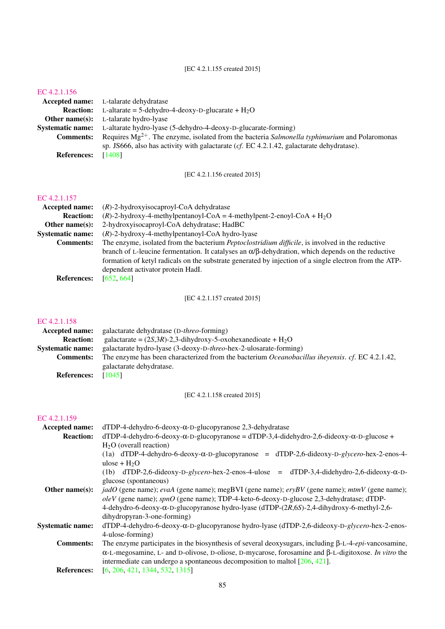#### [EC 4.2.1.156](http://www.enzyme-database.org/query.php?ec=4.2.1.156)

|                    | <b>Accepted name:</b> L-talarate dehydratase                                                       |
|--------------------|----------------------------------------------------------------------------------------------------|
| <b>Reaction:</b>   | L-altarate = 5-dehydro-4-deoxy-D-glucarate + $H_2O$                                                |
|                    | <b>Other name(s):</b> L-talarate hydro-lyase                                                       |
|                    | Systematic name: L-altarate hydro-lyase (5-dehydro-4-deoxy-D-glucarate-forming)                    |
| <b>Comments:</b>   | Requires $Mg^{2+}$ . The enzyme, isolated from the bacteria Salmonella typhimurium and Polaromonas |
|                    | sp. JS666, also has activity with galactarate ( $cf. EC$ 4.2.1.42, galactarate dehydratase).       |
| <b>References:</b> | [1408]                                                                                             |

[EC 4.2.1.156 created 2015]

### [EC 4.2.1.157](http://www.enzyme-database.org/query.php?ec=4.2.1.157)

| $(R)$ -2-hydroxyisocaproyl-CoA dehydratase                                                                    |
|---------------------------------------------------------------------------------------------------------------|
| $(R)$ -2-hydroxy-4-methylpentanoyl-CoA = 4-methylpent-2-enoyl-CoA + H <sub>2</sub> O                          |
| 2-hydroxyisocaproyl-CoA dehydratase; HadBC                                                                    |
| $(R)$ -2-hydroxy-4-methylpentanoyl-CoA hydro-lyase                                                            |
| The enzyme, isolated from the bacterium Peptoclostridium difficile, is involved in the reductive              |
| branch of L-leucine fermentation. It catalyses an $\alpha/\beta$ -dehydration, which depends on the reductive |
| formation of ketyl radicals on the substrate generated by injection of a single electron from the ATP-        |
| dependent activator protein HadI.                                                                             |
| [652, 664]                                                                                                    |
|                                                                                                               |

[EC 4.2.1.157 created 2015]

### [EC 4.2.1.158](http://www.enzyme-database.org/query.php?ec=4.2.1.158)

| <b>Accepted name:</b>   | galactarate dehydratase (D- <i>threo</i> -forming)                                                     |
|-------------------------|--------------------------------------------------------------------------------------------------------|
| <b>Reaction:</b>        | galactarate = $(2S,3R)$ -2,3-dihydroxy-5-oxohexanedioate + H <sub>2</sub> O                            |
| <b>Systematic name:</b> | galactarate hydro-lyase (3-deoxy-D-threo-hex-2-ulosarate-forming)                                      |
| <b>Comments:</b>        | The enzyme has been characterized from the bacterium <i>Oceanobacillus ihevensis. cf.</i> EC 4.2.1.42, |
|                         | galactarate dehydratase.                                                                               |
| <b>References:</b>      | [1045]                                                                                                 |

[EC 4.2.1.158 created 2015]

| Accepted name:          | $dTDP-4$ -dehydro-6-deoxy- $\alpha$ -D-glucopyranose 2,3-dehydratase                                                 |
|-------------------------|----------------------------------------------------------------------------------------------------------------------|
| <b>Reaction:</b>        | $dTDP-4-dehydro-6-deoxy-\alpha-D-glucopyranose = dTDP-3,4-didehydro-2,6-dideoxy-\alpha-D-glucose +$                  |
|                         | $H2O$ (overall reaction)                                                                                             |
|                         | (1a) dTDP-4-dehydro-6-deoxy- $\alpha$ -D-glucopyranose = dTDP-2,6-dideoxy-D-glycero-hex-2-enos-4-                    |
|                         | $ulose + H2O$                                                                                                        |
|                         | (1b) dTDP-2,6-dideoxy-D-glycero-hex-2-enos-4-ulose = dTDP-3,4-didehydro-2,6-dideoxy- $\alpha$ -D-                    |
|                         | glucose (spontaneous)                                                                                                |
| Other name $(s)$ :      | jadO (gene name); evaA (gene name); megBVI (gene name); eryBV (gene name); mtmV (gene name);                         |
|                         | $oleV$ (gene name); $spnO$ (gene name); TDP-4-keto-6-deoxy-D-glucose 2,3-dehydratase; dTDP-                          |
|                         | 4-dehydro-6-deoxy- $\alpha$ -D-glucopyranose hydro-lyase (dTDP- $(2R, 6S)$ -2,4-dihydroxy-6-methyl-2,6-              |
|                         | dihydropyran-3-one-forming)                                                                                          |
| <b>Systematic name:</b> | dTDP-4-dehydro-6-deoxy- $\alpha$ -D-glucopyranose hydro-lyase (dTDP-2,6-dideoxy-D-glycero-hex-2-enos-                |
|                         | 4-ulose-forming)                                                                                                     |
| <b>Comments:</b>        | The enzyme participates in the biosynthesis of several deoxysugars, including $\beta$ -L-4- <i>epi</i> -vancosamine, |
|                         | $\alpha$ -L-megosamine, L- and D-olivose, D-oliose, D-mycarose, forosamine and $\beta$ -L-digitoxose. In vitro the   |
|                         | intermediate can undergo a spontaneous decomposition to maltol $[206, 421]$ .                                        |
| <b>References:</b>      | [6, 206, 421, 1344, 532, 1315]                                                                                       |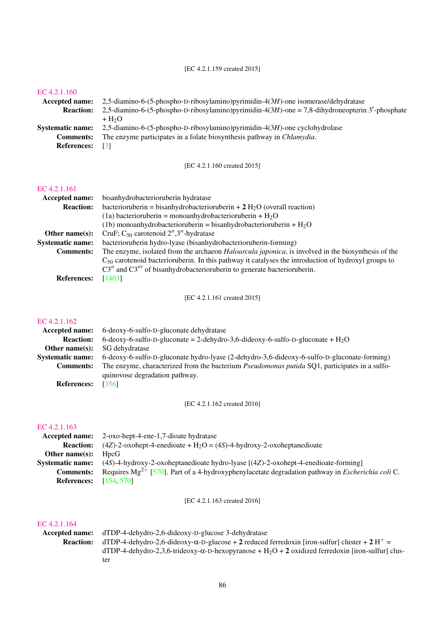[EC 4.2.1.159 created 2015]

#### [EC 4.2.1.160](http://www.enzyme-database.org/query.php?ec=4.2.1.160)

| <b>Accepted name:</b> | 2,5-diamino-6-(5-phospho-D-ribosylamino) pyrimidin-4(3H)-one isomerase/dehydratase              |
|-----------------------|-------------------------------------------------------------------------------------------------|
| <b>Reaction:</b>      | 2,5-diamino-6-(5-phospho-D-ribosylamino)pyrimidin-4(3H)-one = 7,8-dihydroneopterin 3'-phosphate |
|                       | $+ H2O$                                                                                         |
| Systematic name:      | $2,5$ -diamino-6- $(5$ -phospho-D-ribosylamino) pyrimidin-4 $(3H)$ -one cyclohydrolase          |
| <b>Comments:</b>      | The enzyme participates in a folate biosynthesis pathway in <i>Chlamydia</i> .                  |
| <b>References:</b>    | <b>3</b>                                                                                        |
|                       |                                                                                                 |

[EC 4.2.1.160 created 2015]

#### [EC 4.2.1.161](http://www.enzyme-database.org/query.php?ec=4.2.1.161)

| Accepted name:          | bisanhydrobacterioruberin hydratase                                                                        |
|-------------------------|------------------------------------------------------------------------------------------------------------|
| <b>Reaction:</b>        | bacterioruberin = bisanhydrobacterioruberin + $2 \text{ H}_2\text{O}$ (overall reaction)                   |
|                         | (1a) bacterioruberin = monoanhydrobacterioruberin + $H_2O$                                                 |
|                         | (1b) monoanhydrobacterioruberin = bisanhydrobacterioruberin + $H_2O$                                       |
| Other name $(s)$ :      | CruF; $C_{50}$ carotenoid $2^{\prime\prime}$ , $3^{\prime\prime}$ -hydratase                               |
| <b>Systematic name:</b> | bacterioruberin hydro-lyase (bisanhydrobacterioruberin-forming)                                            |
| <b>Comments:</b>        | The enzyme, isolated from the archaeon <i>Haloarcula japonica</i> , is involved in the biosynthesis of the |
|                         | $C_{50}$ carotenoid bacterioruberin. In this pathway it catalyses the introduction of hydroxyl groups to   |
|                         | $C3''$ and $C3'''$ of bisanhydrobacterioruberin to generate bacterioruberin.                               |
| <b>References:</b>      | [1403]                                                                                                     |
|                         |                                                                                                            |

[EC 4.2.1.161 created 2015]

#### [EC 4.2.1.162](http://www.enzyme-database.org/query.php?ec=4.2.1.162)

| 6-deoxy-6-sulfo-D-gluconate dehydratase                                                              |
|------------------------------------------------------------------------------------------------------|
| 6-deoxy-6-sulfo-D-gluconate = 2-dehydro-3.6-dideoxy-6-sulfo-D-gluconate + $H_2O$                     |
| SG dehydratase                                                                                       |
| 6-deoxy-6-sulfo-D-gluconate hydro-lyase (2-dehydro-3,6-dideoxy-6-sulfo-D-gluconate-forming)          |
| The enzyme, characterized from the bacterium <i>Pseudomonas putida</i> SQ1, participates in a sulfo- |
| quinovose degradation pathway.                                                                       |
| [356]                                                                                                |
|                                                                                                      |

[EC 4.2.1.162 created 2016]

#### [EC 4.2.1.163](http://www.enzyme-database.org/query.php?ec=4.2.1.163)

| Accepted name:                | 2-oxo-hept-4-ene-1,7-dioate hydratase                                                                        |
|-------------------------------|--------------------------------------------------------------------------------------------------------------|
| <b>Reaction:</b>              | $(4Z)$ -2-oxohept-4-enedioate + H <sub>2</sub> O = $(4S)$ -4-hydroxy-2-oxoheptanedioate                      |
| Other name $(s)$ :            | HncG                                                                                                         |
|                               | <b>Systematic name:</b> (4S)-4-hydroxy-2-oxoheptanedioate hydro-lyase [(4Z)-2-oxohept-4-enedioate-forming]   |
| <b>Comments:</b>              | Requires $Mg^{2+}$ [570]. Part of a 4-hydroxyphenylacetate degradation pathway in <i>Escherichia coli</i> C. |
| <b>References:</b> [154, 570] |                                                                                                              |

[EC 4.2.1.163 created 2016]

#### [EC 4.2.1.164](http://www.enzyme-database.org/query.php?ec=4.2.1.164)

Accepted name: dTDP-4-dehydro-2,6-dideoxy-D-glucose 3-dehydratase<br>Reaction: dTDP-4-dehydro-2,6-dideoxy-α-D-glucose + 2 reduced **Reaction:** dTDP-4-dehydro-2,6-dideoxy- $\alpha$ -D-glucose + 2 reduced ferredoxin [iron-sulfur] cluster + 2 H<sup>+</sup> = dTDP-4-dehydro-2,3,6-trideoxy-α-D-hexopyranose + H<sub>2</sub>O + 2 oxidized ferredoxin [iron-sulfur] cluster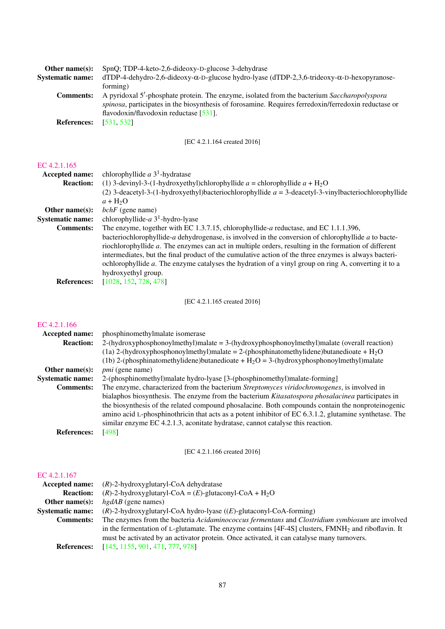| Other name $(s)$ :      | SpnQ; TDP-4-keto-2,6-dideoxy-D-glucose 3-dehydrase                                                        |
|-------------------------|-----------------------------------------------------------------------------------------------------------|
| <b>Systematic name:</b> | $dTDP-4-dehydro-2, 6-diideoxy-\alpha-D-glucose hydro-lyase (dTDP-2, 3, 6-trideoxy-\alpha-D-hexopyranose-$ |
|                         | forming)                                                                                                  |
| <b>Comments:</b>        | A pyridoxal 5'-phosphate protein. The enzyme, isolated from the bacterium Saccharopolyspora               |
|                         | spinosa, participates in the biosynthesis of forosamine. Requires ferredoxin/ferredoxin reductase or      |
|                         | flavodoxin/flavodoxin reductase $[531]$ .                                                                 |
| <b>References:</b>      | [531, 532]                                                                                                |
|                         |                                                                                                           |

[EC 4.2.1.164 created 2016]

### [EC 4.2.1.165](http://www.enzyme-database.org/query.php?ec=4.2.1.165)

| Accepted name:          | chlorophyllide $a$ 3 <sup>1</sup> -hydratase                                                            |
|-------------------------|---------------------------------------------------------------------------------------------------------|
| <b>Reaction:</b>        | (1) 3-devinyl-3-(1-hydroxyethyl)chlorophyllide $a =$ chlorophyllide $a + H_2O$                          |
|                         | (2) 3-deacetyl-3-(1-hydroxyethyl)bacteriochlorophyllide $a = 3$ -deacetyl-3-vinylbacteriochlorophyllide |
|                         | $a + H2O$                                                                                               |
| Other name $(s)$ :      | $bchF$ (gene name)                                                                                      |
| <b>Systematic name:</b> | chlorophyllide- $a$ 3 <sup>1</sup> -hydro-lyase                                                         |
| <b>Comments:</b>        | The enzyme, together with EC 1.3.7.15, chlorophyllide-a reductase, and EC 1.1.1.396,                    |
|                         | bacteriochlorophyllide-a dehydrogenase, is involved in the conversion of chlorophyllide a to bacte-     |
|                         | riochlorophyllide a. The enzymes can act in multiple orders, resulting in the formation of different    |
|                         | intermediates, but the final product of the cumulative action of the three enzymes is always bacteri-   |
|                         | ochlorophyllide a. The enzyme catalyses the hydration of a vinyl group on ring A, converting it to a    |
|                         | hydroxyethyl group.                                                                                     |
| <b>References:</b>      | [1028, 152, 728, 478]                                                                                   |

[EC 4.2.1.165 created 2016]

### [EC 4.2.1.166](http://www.enzyme-database.org/query.php?ec=4.2.1.166)

| Accepted name:          | phosphinomethylmalate isomerase                                                                        |
|-------------------------|--------------------------------------------------------------------------------------------------------|
| <b>Reaction:</b>        | $2-(\text{hydroxyphosphonoylmethyl})$ malate = 3-(hydroxyphosphonoylmethyl) malate (overall reaction)  |
|                         | (1a) 2-(hydroxyphosphonoylmethyl)malate = 2-(phosphinatomethylidene)butanedioate + $H_2O$              |
|                         | (1b) 2-(phosphinatomethylidene)butanedioate + $H_2O = 3$ -(hydroxyphosphonoylmethyl)malate             |
| Other name $(s)$ :      | <i>pmi</i> (gene name)                                                                                 |
| <b>Systematic name:</b> | 2-(phosphinomethyl)malate hydro-lyase [3-(phosphinomethyl)malate-forming]                              |
| <b>Comments:</b>        | The enzyme, characterized from the bacterium Streptomyces viridochromogenes, is involved in            |
|                         | bialaphos biosynthesis. The enzyme from the bacterium Kitasatospora phosalacinea participates in       |
|                         | the biosynthesis of the related compound phosalacine. Both compounds contain the nonproteinogenic      |
|                         | amino acid L-phosphinothricin that acts as a potent inhibitor of EC 6.3.1.2, glutamine synthetase. The |
|                         | similar enzyme EC 4.2.1.3, aconitate hydratase, cannot catalyse this reaction.                         |
| <b>References:</b>      | [498]                                                                                                  |
|                         |                                                                                                        |
|                         | [EC 4.2.1.166 created 2016]                                                                            |

| <b>Accepted name:</b>   | $(R)$ -2-hydroxyglutaryl-CoA dehydratase                                                             |
|-------------------------|------------------------------------------------------------------------------------------------------|
| <b>Reaction:</b>        | $(R)$ -2-hydroxyglutaryl-CoA = $(E)$ -glutaconyl-CoA + H <sub>2</sub> O                              |
| Other name $(s)$ :      | $h$ gdAB (gene names)                                                                                |
| <b>Systematic name:</b> | $(R)$ -2-hydroxyglutaryl-CoA hydro-lyase $((E)$ -glutaconyl-CoA-forming)                             |
| <b>Comments:</b>        | The enzymes from the bacteria Acidaminococcus fermentans and Clostridium symbiosum are involved      |
|                         | in the fermentation of L-glutamate. The enzyme contains [4F-4S] clusters, $FMNH2$ and riboflavin. It |
|                         | must be activated by an activator protein. Once activated, it can catalyse many turnovers.           |
| <b>References:</b>      | [145, 1155, 901, 471, 777, 978]                                                                      |
|                         |                                                                                                      |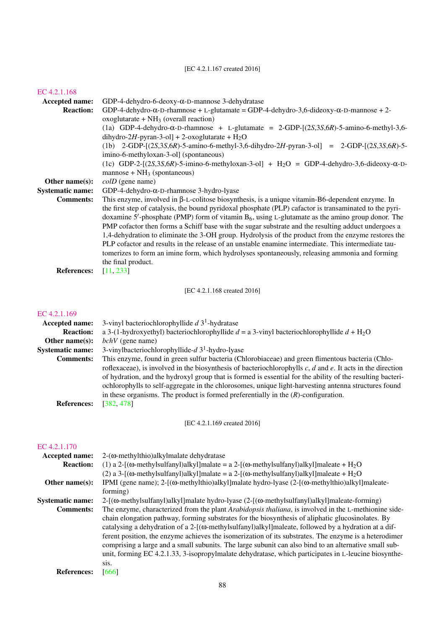#### [EC 4.2.1.167 created 2016]

### [EC 4.2.1.168](http://www.enzyme-database.org/query.php?ec=4.2.1.168) Accepted name: GDP-4-dehydro-6-deoxy-α-D-mannose 3-dehydratase<br>Reaction: GDP-4-dehydro-α-D-rhamnose + L-glutamate = GDP-GDP-4-dehydro- $\alpha$ -D-rhamnose + L-glutamate = GDP-4-dehydro-3,6-dideoxy- $\alpha$ -D-mannose + 2 $oxoglutarate + NH<sub>3</sub> (overall reaction)$ (1a) GDP-4-dehydro- $\alpha$ -D-rhamnose + L-glutamate = 2-GDP- $[(2S, 3S, 6R)$ -5-amino-6-methyl-3,6dihydro-2H-pyran-3-ol] + 2-oxoglutarate +  $H_2O$ (1b) 2-GDP-[(2*S*,3*S*,6*R*)-5-amino-6-methyl-3,6-dihydro-2*H*-pyran-3-ol] = 2-GDP-[(2*S*,3*S*,6*R*)-5 imino-6-methyloxan-3-ol] (spontaneous) (1c) GDP-2-[(2*S*,3*S*,6*R*)-5-imino-6-methyloxan-3-ol] + H2O = GDP-4-dehydro-3,6-dideoxy-α-D $mannose + NH<sub>3</sub>$  (spontaneous) **Other name(s):** *colD* (gene name) Systematic name: GDP-4-dehydro-α-D-rhamnose 3-hydro-lyase Comments: This enzyme, involved in β-L-colitose biosynthesis, is a unique vitamin-B6-dependent enzyme. In the first step of catalysis, the bound pyridoxal phosphate (PLP) cafactor is transaminated to the pyridoxamine 5'-phosphate (PMP) form of vitamin  $B_6$ , using L-glutamate as the amino group donor. The PMP cofactor then forms a Schiff base with the sugar substrate and the resulting adduct undergoes a 1,4-dehydration to eliminate the 3-OH group. Hydrolysis of the product from the enzyme restores the PLP cofactor and results in the release of an unstable enamine intermediate. This intermediate tautomerizes to form an imine form, which hydrolyses spontaneously, releasing ammonia and forming the final product. References: [\[11,](#page-177-4) [233\]](#page-189-0)

[EC 4.2.1.168 created 2016]

#### [EC 4.2.1.169](http://www.enzyme-database.org/query.php?ec=4.2.1.169)

| <b>Accepted name:</b>   | 3-vinyl bacteriochlorophyllide $d$ 3 <sup>1</sup> -hydratase                                                    |
|-------------------------|-----------------------------------------------------------------------------------------------------------------|
| <b>Reaction:</b>        | a 3-(1-hydroxyethyl) bacteriochlorophyllide $d = a$ 3-vinyl bacteriochlorophyllide $d + H_2O$                   |
| Other name $(s)$ :      | $bchV$ (gene name)                                                                                              |
| <b>Systematic name:</b> | 3-vinylbacteriochlorophyllide- $d$ 3 <sup>1</sup> -hydro-lyase                                                  |
| <b>Comments:</b>        | This enzyme, found in green sulfur bacteria (Chlorobiaceae) and green flimentous bacteria (Chlo-                |
|                         | roflexaceae), is involved in the biosynthesis of bacteriochlorophylls $c, d$ and $e$ . It acts in the direction |
|                         | of hydration, and the hydroxyl group that is formed is essential for the ability of the resulting bacteri-      |
|                         | ochlorophylls to self-aggregate in the chlorosomes, unique light-harvesting antenna structures found            |
|                         | in these organisms. The product is formed preferentially in the $(R)$ -configuration.                           |
| <b>References:</b>      | [382, 478]                                                                                                      |

[EC 4.2.1.169 created 2016]

| Accepted name:          | $2-(\omega$ -methylthio) alkylmalate dehydratase                                                                    |
|-------------------------|---------------------------------------------------------------------------------------------------------------------|
| <b>Reaction:</b>        | (1) a 2-[( $\omega$ -methylsulfanyl)alkyl]malate = a 2-[( $\omega$ -methylsulfanyl)alkyl]maleate + H <sub>2</sub> O |
|                         | (2) a 3-[( $\omega$ -methylsulfanyl)alkyl]malate = a 2-[( $\omega$ -methylsulfanyl)alkyl]maleate + H <sub>2</sub> O |
| Other name $(s)$ :      | IPMI (gene name); 2- $[(\omega$ -methylthio)alkyl]malate hydro-lyase (2- $[(\omega$ -methylthio)alkyl]maleate-      |
|                         | forming)                                                                                                            |
| <b>Systematic name:</b> | $2-[$ ( $\omega$ -methylsulfanyl)alkyl]malate hydro-lyase ( $2-[$ ( $\omega$ -methylsulfanyl)alkyl]maleate-forming) |
| <b>Comments:</b>        | The enzyme, characterized from the plant Arabidopsis thaliana, is involved in the L-methionine side-                |
|                         | chain elongation pathway, forming substrates for the biosynthesis of aliphatic glucosinolates. By                   |
|                         | catalysing a dehydration of a $2-[$ ( $\omega$ -methylsulfanyl)alkyl]maleate, followed by a hydration at a dif-     |
|                         | ferent position, the enzyme achieves the isomerization of its substrates. The enzyme is a heterodimer               |
|                         | comprising a large and a small subunits. The large subunit can also bind to an alternative small sub-               |
|                         | unit, forming EC 4.2.1.33, 3-isopropylmalate dehydratase, which participates in L-leucine biosynthe-                |
|                         | Sis.                                                                                                                |
| <b>References:</b>      | [666]                                                                                                               |
|                         |                                                                                                                     |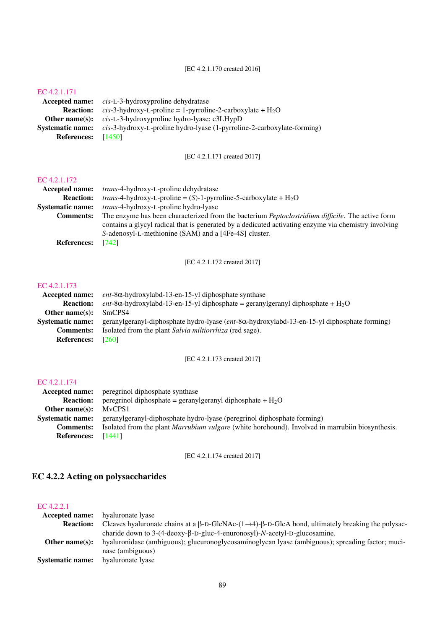### [EC 4.2.1.170 created 2016]

### [EC 4.2.1.171](http://www.enzyme-database.org/query.php?ec=4.2.1.171)

|                      | <b>Accepted name:</b> cis-L-3-hydroxyproline dehydratase                |
|----------------------|-------------------------------------------------------------------------|
| <b>Reaction:</b>     | <i>cis</i> -3-hydroxy-L-proline = 1-pyrroline-2-carboxylate + $H_2O$    |
|                      | <b>Other name(s):</b> $cis$ -L-3-hydroxyproline hydro-lyase; $c3LHypD$  |
| Systematic name:     | cis-3-hydroxy-L-proline hydro-lyase (1-pyrroline-2-carboxylate-forming) |
| References: $[1450]$ |                                                                         |

[EC 4.2.1.171 created 2017]

### [EC 4.2.1.172](http://www.enzyme-database.org/query.php?ec=4.2.1.172)

| Accepted name:          | <i>trans</i> -4-hydroxy-L-proline dehydratase                                                            |
|-------------------------|----------------------------------------------------------------------------------------------------------|
| <b>Reaction:</b>        | <i>trans</i> -4-hydroxy-L-proline = (S)-1-pyrroline-5-carboxylate + $H_2O$                               |
| <b>Systematic name:</b> | <i>trans</i> -4-hydroxy-L-proline hydro-lyase                                                            |
| <b>Comments:</b>        | The enzyme has been characterized from the bacterium <i>Peptoclostridium difficile</i> . The active form |
|                         | contains a glycyl radical that is generated by a dedicated activating enzyme via chemistry involving     |
|                         | S-adenosyl-L-methionine (SAM) and a [4Fe-4S] cluster.                                                    |
| <b>References:</b>      | [742]                                                                                                    |

[EC 4.2.1.172 created 2017]

#### [EC 4.2.1.173](http://www.enzyme-database.org/query.php?ec=4.2.1.173)

| Accepted name:          | $ent$ -8 $\alpha$ -hydroxylabd-13-en-15-yl diphosphate synthase                                               |
|-------------------------|---------------------------------------------------------------------------------------------------------------|
| <b>Reaction:</b>        | ent-8 $\alpha$ -hydroxylabd-13-en-15-yl diphosphate = geranylgeranyl diphosphate + H <sub>2</sub> O           |
| Other name $(s)$ :      | SmCPS4                                                                                                        |
| <b>Systematic name:</b> | geranylgeranyl-diphosphate hydro-lyase ( <i>ent</i> -8 $\alpha$ -hydroxylabd-13-en-15-yl diphosphate forming) |
| <b>Comments:</b>        | Isolated from the plant Salvia militorrhiza (red sage).                                                       |
| <b>References:</b>      | [260]                                                                                                         |

### [EC 4.2.1.173 created 2017]

### [EC 4.2.1.174](http://www.enzyme-database.org/query.php?ec=4.2.1.174)

|                         | <b>Accepted name:</b> peregrinol diphosphate synthase                                                   |
|-------------------------|---------------------------------------------------------------------------------------------------------|
| <b>Reaction:</b>        | peregrinol diphosphate = geranylgeranyl diphosphate + $H_2O$                                            |
| Other name $(s)$ :      | MvCPS1                                                                                                  |
| <b>Systematic name:</b> | geranylgeranyl-diphosphate hydro-lyase (peregrinol diphosphate forming)                                 |
| <b>Comments:</b>        | Isolated from the plant <i>Marrubium vulgare</i> (white horehound). Involved in marrubiin biosynthesis. |
| <b>References:</b>      | [1441]                                                                                                  |

### [EC 4.2.1.174 created 2017]

## EC 4.2.2 Acting on polysaccharides

| Accepted name:          | hyaluronate lyase                                                                                                              |
|-------------------------|--------------------------------------------------------------------------------------------------------------------------------|
| <b>Reaction:</b>        | Cleaves hyaluronate chains at a $\beta$ -D-GlcNAc- $(1\rightarrow 4)$ - $\beta$ -D-GlcA bond, ultimately breaking the polysac- |
|                         | charide down to $3-(4-\text{deoxy-}\beta-D-gluc-4\text{-enuronsyl})-N\text{-acetyl-D-glucosamine}$ .                           |
| Other name $(s)$ :      | hyaluronidase (ambiguous); glucuronoglycosaminoglycan lyase (ambiguous); spreading factor; muci-                               |
|                         | nase (ambiguous)                                                                                                               |
| <b>Systematic name:</b> | hyaluronate lyase                                                                                                              |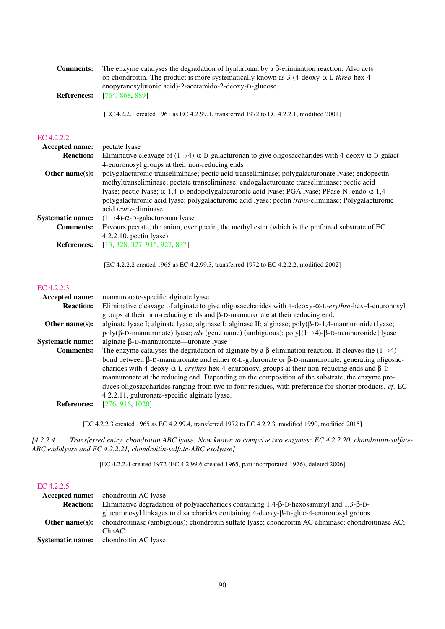| <b>Comments:</b><br><b>References:</b> | The enzyme catalyses the degradation of hyaluronan by a $\beta$ -elimination reaction. Also acts<br>on chondroitin. The product is more systematically known as $3-(4-\text{deoxy-}\alpha-L-\text{three-hex-4-})$<br>enopyranosyluronic acid)-2-acetamido-2-deoxy-D-glucose<br>[764, 868, 889]                                                                                                                                         |
|----------------------------------------|----------------------------------------------------------------------------------------------------------------------------------------------------------------------------------------------------------------------------------------------------------------------------------------------------------------------------------------------------------------------------------------------------------------------------------------|
|                                        | [EC 4.2.2.1 created 1961 as EC 4.2.99.1, transferred 1972 to EC 4.2.2.1, modified 2001]                                                                                                                                                                                                                                                                                                                                                |
| EC 4.2.2.2                             |                                                                                                                                                                                                                                                                                                                                                                                                                                        |
| Accepted name:                         | pectate lyase                                                                                                                                                                                                                                                                                                                                                                                                                          |
| <b>Reaction:</b>                       | Eliminative cleavage of $(1\rightarrow 4)$ - $\alpha$ -D-galacturonan to give oligosaccharides with 4-deoxy- $\alpha$ -D-galact-<br>4-enuronosyl groups at their non-reducing ends                                                                                                                                                                                                                                                     |
| Other name $(s)$ :                     | polygalacturonic transeliminase; pectic acid transeliminase; polygalacturonate lyase; endopectin<br>methyltranseliminase; pectate transeliminase; endogalacturonate transeliminase; pectic acid<br>lyase; pectic lyase; α-1,4-D-endopolygalacturonic acid lyase; PGA lyase; PPase-N; endo-α-1,4-<br>polygalacturonic acid lyase; polygalacturonic acid lyase; pectin trans-eliminase; Polygalacturonic<br>acid <i>trans</i> -eliminase |
| <b>Systematic name:</b>                | $(1\rightarrow 4)$ - $\alpha$ -D-galacturonan lyase                                                                                                                                                                                                                                                                                                                                                                                    |

Comments: Favours pectate, the anion, over pectin, the methyl ester (which is the preferred substrate of EC 4.2.2.10, pectin lyase). References: [\[13,](#page-177-5) [328,](#page-193-2) [327,](#page-193-3) [915,](#page-224-1) [927,](#page-225-0) [837\]](#page-220-0)

[EC 4.2.2.2 created 1965 as EC 4.2.99.3, transferred 1972 to EC 4.2.2.2, modified 2002]

#### [EC 4.2.2.3](http://www.enzyme-database.org/query.php?ec=4.2.2.3)

| <b>Accepted name:</b>   | mannuronate-specific alginate lyase                                                                             |
|-------------------------|-----------------------------------------------------------------------------------------------------------------|
| <b>Reaction:</b>        | Eliminative cleavage of alginate to give oligosaccharides with $4$ -deoxy- $\alpha$ -L-erythro-hex-4-enuronosyl |
|                         | groups at their non-reducing ends and $\beta$ -D-mannuronate at their reducing end.                             |
| Other name $(s)$ :      | alginate lyase I; alginate lyase; alginase I; alginase II; alginase; $poly(\beta-D-1,4-mannuronide)$ lyase;     |
|                         | poly(β-D-mannuronate) lyase; aly (gene name) (ambiguous); poly[(1-+4)-β-D-mannuronide] lyase                    |
| <b>Systematic name:</b> | alginate $\beta$ -D-mannuronate—uronate lyase                                                                   |
| <b>Comments:</b>        | The enzyme catalyses the degradation of alginate by a $\beta$ -elimination reaction. It cleaves the (1–4)       |
|                         | bond between β-D-mannuronate and either α-L-guluronate or β-D-mannuronate, generating oligosac-                 |
|                         | charides with 4-deoxy- $\alpha$ -L-erythro-hex-4-enuronosyl groups at their non-reducing ends and $\beta$ -D-   |
|                         | mannuronate at the reducing end. Depending on the composition of the substrate, the enzyme pro-                 |
|                         | duces oligosaccharides ranging from two to four residues, with preference for shorter products. cf. EC          |
|                         | 4.2.2.11, guluronate-specific alginate lyase.                                                                   |
| <b>References:</b>      | [276, 916, 1020]                                                                                                |
|                         |                                                                                                                 |

[EC 4.2.2.3 created 1965 as EC 4.2.99.4, transferred 1972 to EC 4.2.2.3, modified 1990, modified 2015]

*[4.2.2.4 Transferred entry. chondroitin ABC lyase. Now known to comprise two enzymes: EC 4.2.2.20, chondroitin-sulfate-ABC endolyase and EC 4.2.2.21, chondroitin-sulfate-ABC exolyase]*

[EC 4.2.2.4 created 1972 (EC 4.2.99.6 created 1965, part incorporated 1976), deleted 2006]

| EC 4.2.2.5            |                                                                                                                                                                                                                       |
|-----------------------|-----------------------------------------------------------------------------------------------------------------------------------------------------------------------------------------------------------------------|
| <b>Accepted name:</b> | chondroitin AC lyase                                                                                                                                                                                                  |
| <b>Reaction:</b>      | Eliminative degradation of polysaccharides containing $1,4-\beta$ -D-hexosaminyl and $1,3-\beta$ -D-                                                                                                                  |
| Other name $(s)$ :    | glucuronosyl linkages to disaccharides containing $4$ -deoxy- $\beta$ -D-gluc- $4$ -enuronosyl groups<br>chondroitinase (ambiguous); chondroitin sulfate lyase; chondroitin AC eliminase; chondroitinase AC;<br>ChnAC |
|                       | <b>Systematic name:</b> chondroitin AC lyase                                                                                                                                                                          |
|                       |                                                                                                                                                                                                                       |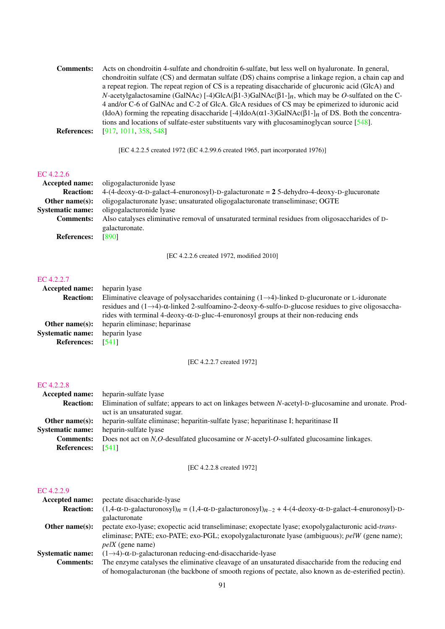| <b>Comments:</b>   | Acts on chondroitin 4-sulfate and chondroitin 6-sulfate, but less well on hyaluronate. In general,                        |
|--------------------|---------------------------------------------------------------------------------------------------------------------------|
|                    | chondroitin sulfate (CS) and dermatan sulfate (DS) chains comprise a linkage region, a chain cap and                      |
|                    | a repeat region. The repeat region of CS is a repeating disaccharide of glucuronic acid (GlcA) and                        |
|                    | N-acetylgalactosamine (GalNAc) [-4)GlcA( $\beta$ 1-3)GalNAc( $\beta$ 1-] <sub>n</sub> , which may be O-sulfated on the C- |
|                    | 4 and/or C-6 of GalNAc and C-2 of GlcA. GlcA residues of CS may be epimerized to iduronic acid                            |
|                    | (IdoA) forming the repeating disaccharide [-4)IdoA( $\alpha$ 1-3)GalNAc( $\beta$ 1- $\eta$ of DS. Both the concentra-     |
|                    | tions and locations of sulfate-ester substituents vary with glucosaminoglycan source $[548]$ .                            |
| <b>References:</b> | [917, 1011, 358, 548]                                                                                                     |

[EC 4.2.2.5 created 1972 (EC 4.2.99.6 created 1965, part incorporated 1976)]

#### [EC 4.2.2.6](http://www.enzyme-database.org/query.php?ec=4.2.2.6)

| Accepted name:          | oligogalacturonide lyase                                                                                      |
|-------------------------|---------------------------------------------------------------------------------------------------------------|
| <b>Reaction:</b>        | $4-(4-\text{deoxy-C}-D-galact-4\text{-ennronosyl})-D-galacturonate = 25-\text{dehydro-4-deoxy-D-glucuronate}$ |
| Other name $(s)$ :      | oligogalacturonate lyase; unsaturated oligogalacturonate transeliminase; OGTE                                 |
| <b>Systematic name:</b> | oligogalacturonide lyase                                                                                      |
| <b>Comments:</b>        | Also catalyses eliminative removal of unsaturated terminal residues from oligosaccharides of D-               |
|                         | galacturonate.                                                                                                |
| <b>References:</b>      | [890]                                                                                                         |
|                         |                                                                                                               |

[EC 4.2.2.6 created 1972, modified 2010]

#### [EC 4.2.2.7](http://www.enzyme-database.org/query.php?ec=4.2.2.7)

| Accepted name:          | heparin lyase                                                                                                           |
|-------------------------|-------------------------------------------------------------------------------------------------------------------------|
| <b>Reaction:</b>        | Eliminative cleavage of polysaccharides containing $(1\rightarrow 4)$ -linked D-glucuronate or L-iduronate              |
|                         | residues and $(1\rightarrow 4)$ - $\alpha$ -linked 2-sulfoamino-2-deoxy-6-sulfo-D-glucose residues to give oligosaccha- |
|                         | rides with terminal 4-deoxy-α-D-gluc-4-enuronosyl groups at their non-reducing ends                                     |
| Other name $(s)$ :      | heparin eliminase; heparinase                                                                                           |
| <b>Systematic name:</b> | heparin lyase                                                                                                           |
| <b>References:</b>      | [541]                                                                                                                   |

### [EC 4.2.2.7 created 1972]

### [EC 4.2.2.8](http://www.enzyme-database.org/query.php?ec=4.2.2.8)

| heparin-sulfate lyase                                                                                |
|------------------------------------------------------------------------------------------------------|
| Elimination of sulfate; appears to act on linkages between N-acetyl-D-glucosamine and uronate. Prod- |
| uct is an unsaturated sugar.                                                                         |
| heparin-sulfate eliminase; heparitin-sulfate lyase; heparitinase I; heparitinase II                  |
| heparin-sulfate lyase                                                                                |
| Does not act on N,O-desulfated glucosamine or N-acetyl-O-sulfated glucosamine linkages.              |
| [541]                                                                                                |
|                                                                                                      |

### [EC 4.2.2.8 created 1972]

| <b>Accepted name:</b>   | pectate disaccharide-lyase                                                                                                                           |
|-------------------------|------------------------------------------------------------------------------------------------------------------------------------------------------|
| <b>Reaction:</b>        | $(1,4-\alpha-\text{D-galacturonosyl})_n = (1,4-\alpha-\text{D-galacturonosyl})_{n-2} + 4-(4-\text{deoxy}-\alpha-\text{D-galact-4-enuronosyl})_{n-2}$ |
|                         | galacturonate                                                                                                                                        |
| Other name $(s)$ :      | pectate exo-lyase; exopectic acid transeliminase; exopectate lyase; exopolygalacturonic acid-trans-                                                  |
|                         | eliminase; PATE; exo-PATE; exo-PGL; exopolygalacturonate lyase (ambiguous); pelW (gene name);                                                        |
|                         | $pelX$ (gene name)                                                                                                                                   |
| <b>Systematic name:</b> | $(1\rightarrow 4)$ - $\alpha$ -D-galacturonan reducing-end-disaccharide-lyase                                                                        |
| <b>Comments:</b>        | The enzyme catalyses the eliminative cleavage of an unsaturated disaccharide from the reducing end                                                   |
|                         | of homogalacturonan (the backbone of smooth regions of pectate, also known as de-esterified pectin).                                                 |
|                         |                                                                                                                                                      |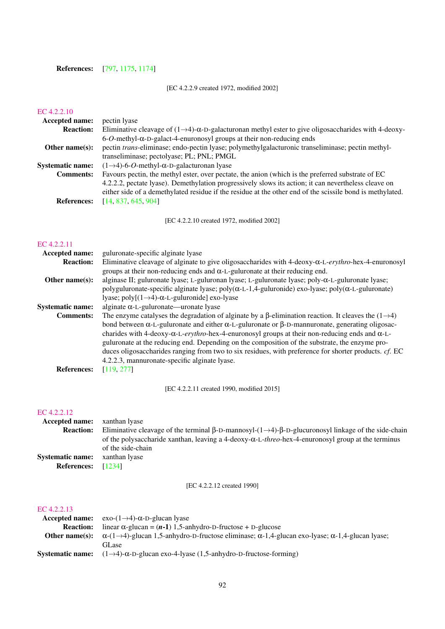### References: [\[797,](#page-218-2) [1175,](#page-238-4) [1174\]](#page-238-5)

### [EC 4.2.2.9 created 1972, modified 2002]

### [EC 4.2.2.10](http://www.enzyme-database.org/query.php?ec=4.2.2.10)

| <b>Accepted name:</b>   | pectin lyase                                                                                                              |
|-------------------------|---------------------------------------------------------------------------------------------------------------------------|
| <b>Reaction:</b>        | Eliminative cleavage of $(1\rightarrow 4)$ - $\alpha$ -D-galacturonan methyl ester to give oligosaccharides with 4-deoxy- |
|                         | $6$ -O-methyl- $\alpha$ -D-galact-4-enuronosyl groups at their non-reducing ends                                          |
| Other name $(s)$ :      | pectin <i>trans</i> -eliminase; endo-pectin lyase; polymethylgalacturonic transeliminase; pectin methyl-                  |
|                         | transeliminase; pectolyase; PL; PNL; PMGL                                                                                 |
| <b>Systematic name:</b> | $(1\rightarrow4)$ -6- <i>O</i> -methyl- $\alpha$ -D-galacturonan lyase                                                    |
| <b>Comments:</b>        | Favours pectin, the methyl ester, over pectate, the anion (which is the preferred substrate of EC                         |
|                         | 4.2.2.2, pectate lyase). Demethylation progressively slows its action; it can nevertheless cleave on                      |
|                         | either side of a demethylated residue if the residue at the other end of the scissile bond is methylated.                 |
| <b>References:</b>      | [14, 837, 645, 904]                                                                                                       |
|                         |                                                                                                                           |

[EC 4.2.2.10 created 1972, modified 2002]

#### [EC 4.2.2.11](http://www.enzyme-database.org/query.php?ec=4.2.2.11)

| Accepted name:          | guluronate-specific alginate lyase                                                                              |
|-------------------------|-----------------------------------------------------------------------------------------------------------------|
| <b>Reaction:</b>        | Eliminative cleavage of alginate to give oligosaccharides with $4$ -deoxy- $\alpha$ -L-erythro-hex-4-enuronosyl |
|                         | groups at their non-reducing ends and $\alpha$ -L-guluronate at their reducing end.                             |
| Other name $(s)$ :      | alginase II; guluronate lyase; L-guluronan lyase; L-guluronate lyase; poly- $\alpha$ -L-guluronate lyase;       |
|                         | polyguluronate-specific alginate lyase; poly(α-L-1,4-guluronide) exo-lyase; poly(α-L-guluronate)                |
|                         | lyase; poly $[(1 \rightarrow 4)$ - $\alpha$ -L-guluronide] exo-lyase                                            |
| <b>Systematic name:</b> | alginate $\alpha$ -L-guluronate—uronate lyase                                                                   |
| <b>Comments:</b>        | The enzyme catalyses the degradation of alginate by a $\beta$ -elimination reaction. It cleaves the (1–4)       |
|                         | bond between α-L-guluronate and either α-L-guluronate or β-D-mannuronate, generating oligosac-                  |
|                         | charides with 4-deoxy- $\alpha$ -L-erythro-hex-4-enuronosyl groups at their non-reducing ends and $\alpha$ -L-  |
|                         | guluronate at the reducing end. Depending on the composition of the substrate, the enzyme pro-                  |
|                         | duces oligosaccharides ranging from two to six residues, with preference for shorter products. cf. EC           |
|                         | 4.2.2.3, mannuronate-specific alginate lyase.                                                                   |
| <b>References:</b>      | [119, 277]                                                                                                      |

[EC 4.2.2.11 created 1990, modified 2015]

### [EC 4.2.2.12](http://www.enzyme-database.org/query.php?ec=4.2.2.12)

| <b>Accepted name:</b> xanthan lyase |                                                                                                                                  |
|-------------------------------------|----------------------------------------------------------------------------------------------------------------------------------|
| <b>Reaction:</b>                    | Eliminative cleavage of the terminal $\beta$ -D-mannosyl- $(1\rightarrow 4)$ - $\beta$ -D-glucuronosyl linkage of the side-chain |
|                                     | of the polysaccharide xanthan, leaving a 4-deoxy- $\alpha$ -L-threo-hex-4-enuronosyl group at the terminus                       |
|                                     | of the side-chain                                                                                                                |
| <b>Systematic name:</b>             | xanthan lyase                                                                                                                    |
| <b>References:</b> $[1234]$         |                                                                                                                                  |

### [EC 4.2.2.12 created 1990]

|                    | <b>Accepted name:</b> exo- $(1\rightarrow 4)$ - $\alpha$ -D-glucan lyase                                              |
|--------------------|-----------------------------------------------------------------------------------------------------------------------|
| <b>Reaction:</b>   | linear $\alpha$ -glucan = $(n-1)$ 1,5-anhydro-D-fructose + D-glucose                                                  |
| Other name $(s)$ : | $\alpha$ -(1->4)-glucan 1,5-anhydro-D-fructose eliminase; $\alpha$ -1,4-glucan exo-lyase; $\alpha$ -1,4-glucan lyase; |
|                    | <b>GLase</b>                                                                                                          |
| Systematic name:   | $(1\rightarrow 4)$ - $\alpha$ -D-glucan exo-4-lyase (1,5-anhydro-D-fructose-forming)                                  |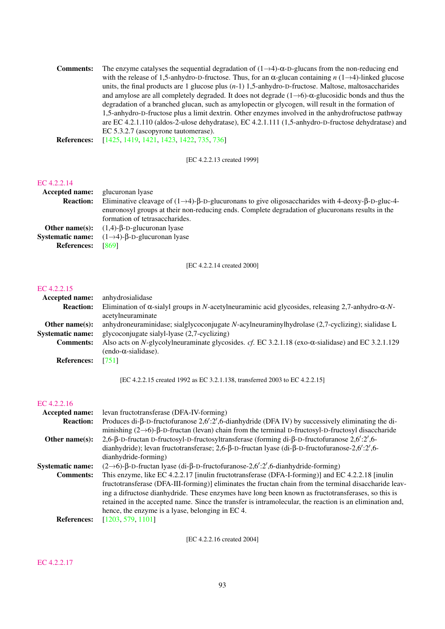Comments: The enzyme catalyses the sequential degradation of  $(1\rightarrow 4)$ -α-D-glucans from the non-reducing end with the release of 1,5-anhydro-D-fructose. Thus, for an α-glucan containing *n* (1→4)-linked glucose units, the final products are 1 glucose plus (*n*-1) 1,5-anhydro-D-fructose. Maltose, maltosaccharides and amylose are all completely degraded. It does not degrade  $(1\rightarrow 6)$ - $\alpha$ -glucosidic bonds and thus the degradation of a branched glucan, such as amylopectin or glycogen, will result in the formation of 1,5-anhydro-D-fructose plus a limit dextrin. Other enzymes involved in the anhydrofructose pathway are EC 4.2.1.110 (aldos-2-ulose dehydratase), EC 4.2.1.111 (1,5-anhydro-D-fructose dehydratase) and EC 5.3.2.7 (ascopyrone tautomerase).

**References:** [\[1425,](#page-251-7) [1419,](#page-250-3) [1421,](#page-250-4) [1423,](#page-251-8) [1422,](#page-250-5) [735,](#page-215-2) [736\]](#page-215-3)

[EC 4.2.2.13 created 1999]

#### [EC 4.2.2.14](http://www.enzyme-database.org/query.php?ec=4.2.2.14)

| Accepted name:     | glucuronan lyase                                                                                                              |
|--------------------|-------------------------------------------------------------------------------------------------------------------------------|
| <b>Reaction:</b>   | Eliminative cleavage of $(1\rightarrow 4)$ - $\beta$ -D-glucuronans to give oligosaccharides with 4-deoxy- $\beta$ -D-gluc-4- |
|                    | enuronosyl groups at their non-reducing ends. Complete degradation of glucuronans results in the                              |
|                    | formation of tetrasaccharides.                                                                                                |
|                    | <b>Other name(s):</b> $(1,4)$ - $\beta$ -D-glucuronan lyase                                                                   |
|                    | <b>Systematic name:</b> $(1\rightarrow4)$ - $\beta$ -D-glucuronan lyase                                                       |
| <b>References:</b> | [869]                                                                                                                         |

[EC 4.2.2.14 created 2000]

#### [EC 4.2.2.15](http://www.enzyme-database.org/query.php?ec=4.2.2.15)

| <b>Accepted name:</b>   | anhydrosialidase                                                                                                                         |
|-------------------------|------------------------------------------------------------------------------------------------------------------------------------------|
| <b>Reaction:</b>        | Elimination of $\alpha$ -sialyl groups in N-acetylneuraminic acid glycosides, releasing 2,7-anhydro- $\alpha$ -N-                        |
|                         | acetylneuraminate                                                                                                                        |
| Other name $(s)$ :      | anhydroneuraminidase; sialglycoconjugate $N$ -acylneuraminylhydrolase $(2,7$ -cyclizing); sialidase L                                    |
| <b>Systematic name:</b> | glycoconjugate sialyl-lyase (2,7-cyclizing)                                                                                              |
| <b>Comments:</b>        | Also acts on N-glycolylneuraminate glycosides. cf. EC 3.2.1.18 (exo- $\alpha$ -sialidase) and EC 3.2.1.129<br>$(endo-\alpha-sialidase).$ |
| <b>References:</b>      | - 17511                                                                                                                                  |

[EC 4.2.2.15 created 1992 as EC 3.2.1.138, transferred 2003 to EC 4.2.2.15]

#### [EC 4.2.2.16](http://www.enzyme-database.org/query.php?ec=4.2.2.16)

| <b>Accepted name:</b>   | levan fructotransferase (DFA-IV-forming)                                                                               |
|-------------------------|------------------------------------------------------------------------------------------------------------------------|
| <b>Reaction:</b>        | Produces di- $\beta$ -D-fructofuranose 2,6':2',6-dianhydride (DFA IV) by successively eliminating the di-              |
|                         | minishing $(2\rightarrow 6)$ - $\beta$ -D-fructan (levan) chain from the terminal D-fructosyl-D-fructosyl disaccharide |
| Other name $(s)$ :      | 2,6- $\beta$ -D-fructan D-fructosyl-D-fructosyltransferase (forming di- $\beta$ -D-fructofuranose 2,6':2',6-           |
|                         | dianhydride); levan fructotransferase; 2,6- $\beta$ -D-fructan lyase (di- $\beta$ -D-fructofuranose-2,6':2',6-         |
|                         | dianhydride-forming)                                                                                                   |
| <b>Systematic name:</b> | $(2\rightarrow 6)$ -β-D-fructan lyase (di-β-D-fructofuranose-2,6':2',6-dianhydride-forming)                            |
| <b>Comments:</b>        | This enzyme, like EC 4.2.2.17 [inulin fructotransferase (DFA-I-forming)] and EC 4.2.2.18 [inulin]                      |
|                         | fructotransferase (DFA-III-forming)] eliminates the fructan chain from the terminal disaccharide leav-                 |
|                         | ing a difructose dianhydride. These enzymes have long been known as fructotransferases, so this is                     |
|                         | retained in the accepted name. Since the transfer is intramolecular, the reaction is an elimination and,               |
|                         | hence, the enzyme is a lyase, belonging in EC 4.                                                                       |
| <b>References:</b>      | [1203, 579, 1101]                                                                                                      |
|                         |                                                                                                                        |

[EC 4.2.2.16 created 2004]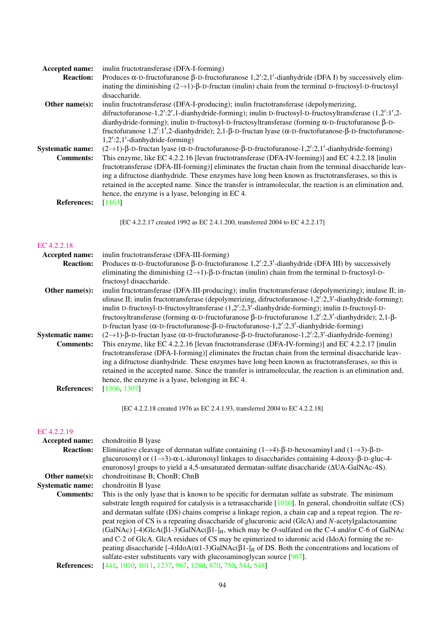| <b>Accepted name:</b>   | inulin fructotransferase (DFA-I-forming)                                                                                             |
|-------------------------|--------------------------------------------------------------------------------------------------------------------------------------|
| <b>Reaction:</b>        | Produces $\alpha$ -D-fructofuranose $\beta$ -D-fructofuranose 1,2':2,1'-dianhydride (DFA I) by successively elim-                    |
|                         | inating the diminishing $(2\rightarrow 1)$ - $\beta$ -D-fructan (inulin) chain from the terminal D-fructosyl-D-fructosyl             |
|                         | disaccharide.                                                                                                                        |
| Other name $(s)$ :      | inulin fructotransferase (DFA-I-producing); inulin fructotransferase (depolymerizing,                                                |
|                         | difructofuranose-1,2':2',1-dianhydride-forming); inulin D-fructosyl-D-fructosyltransferase $(1,2';1',2$                              |
|                         | dianhydride-forming); inulin D-fructosyl-D-fructosyltransferase (forming $\alpha$ -D-fructofuranose $\beta$ -D-                      |
|                         | fructofuranose $1,2'$ :1',2-dianhydride); 2,1- $\beta$ -D-fructan lyase ( $\alpha$ -D-fructofuranose- $\beta$ -D-fructofuranose-     |
|                         | $1,2^{\prime}:2,1^{\prime}$ -dianhydride-forming)                                                                                    |
| <b>Systematic name:</b> | $(2\rightarrow 1)$ - $\beta$ -D-fructan lyase ( $\alpha$ -D-fructofuranose- $\beta$ -D-fructofuranose-1,2':2,1'-dianhydride-forming) |
| <b>Comments:</b>        | This enzyme, like EC 4.2.2.16 [levan fructotransferase (DFA-IV-forming)] and EC 4.2.2.18 [inulin]                                    |
|                         | fructotransferase (DFA-III-forming)] eliminates the fructan chain from the terminal disaccharide leav-                               |
|                         | ing a difructose dianhydride. These enzymes have long been known as fructotransferases, so this is                                   |
|                         | retained in the accepted name. Since the transfer is intramolecular, the reaction is an elimination and,                             |
|                         | hence, the enzyme is a lyase, belonging in EC 4.                                                                                     |
| <b>References:</b>      | [1163]                                                                                                                               |
|                         |                                                                                                                                      |

[EC 4.2.2.17 created 1992 as EC 2.4.1.200, transferred 2004 to EC 4.2.2.17]

#### [EC 4.2.2.18](http://www.enzyme-database.org/query.php?ec=4.2.2.18)

| Accepted name:          | inulin fructotransferase (DFA-III-forming)                                                                                           |
|-------------------------|--------------------------------------------------------------------------------------------------------------------------------------|
| <b>Reaction:</b>        | Produces $\alpha$ -D-fructofuranose $\beta$ -D-fructofuranose 1,2':2,3'-dianhydride (DFA III) by successively                        |
|                         | eliminating the diminishing $(2\rightarrow 1)$ - $\beta$ -D-fructan (inulin) chain from the terminal D-fructosyl-D-                  |
|                         | fructosyl disaccharide.                                                                                                              |
| Other name $(s)$ :      | inulin fructotransferase (DFA-III-producing); inulin fructotransferase (depolymerizing); inulase II; in-                             |
|                         | ulinase II; inulin fructotransferase (depolymerizing, difructofuranose-1,2':2,3'-dianhydride-forming);                               |
|                         | inulin D-fructosyl-D-fructosyltransferase (1,2':2,3'-dianhydride-forming); inulin D-fructosyl-D-                                     |
|                         | fructosyltransferase (forming $\alpha$ -D-fructofuranose $\beta$ -D-fructofuranose 1,2':2,3'-dianhydride); 2,1- $\beta$ -            |
|                         | D-fructan lyase ( $\alpha$ -D-fructofuranose- $\beta$ -D-fructofuranose-1,2':2,3'-dianhydride-forming)                               |
| <b>Systematic name:</b> | $(2\rightarrow 1)$ - $\beta$ -D-fructan lyase ( $\alpha$ -D-fructofuranose- $\beta$ -D-fructofuranose-1,2':2,3'-dianhydride-forming) |
| <b>Comments:</b>        | This enzyme, like EC 4.2.2.16 [levan fructotransferase (DFA-IV-forming)] and EC 4.2.2.17 [inulin]                                    |
|                         | fructotransferase (DFA-I-forming)] eliminates the fructan chain from the terminal disaccharide leav-                                 |
|                         | ing a difructose dianhydride. These enzymes have long been known as fructotransferases, so this is                                   |
|                         | retained in the accepted name. Since the transfer is intramolecular, the reaction is an elimination and,                             |
|                         | hence, the enzyme is a lyase, belonging in EC 4.                                                                                     |
| <b>References:</b>      | [1306, 1307]                                                                                                                         |
|                         |                                                                                                                                      |

[EC 4.2.2.18 created 1976 as EC 2.4.1.93, transferred 2004 to EC 4.2.2.18]

| chondroitin B lyase                                                                                                                  |
|--------------------------------------------------------------------------------------------------------------------------------------|
| Eliminative cleavage of dermatan sulfate containing $(1\rightarrow 4)$ - $\beta$ -D-hexosaminyl and $(1\rightarrow 3)$ - $\beta$ -D- |
| glucurosonyl or $(1\rightarrow 3)$ - $\alpha$ -L-iduronosyl linkages to disaccharides containing 4-deoxy- $\beta$ -D-gluc-4-         |
| enuronosyl groups to yield a 4,5-unsaturated dermatan-sulfate disaccharide $(\Delta UA-GaINAc-4S)$ .                                 |
| chondroitinase B; ChonB; ChnB                                                                                                        |
| chondroitin B lyase                                                                                                                  |
| This is the only lyase that is known to be specific for dermatan sulfate as substrate. The minimum                                   |
| substrate length required for catalysis is a tetrasaccharide $[1010]$ . In general, chondroitin sulfate (CS)                         |
| and dermatan sulfate (DS) chains comprise a linkage region, a chain cap and a repeat region. The re-                                 |
| peat region of CS is a repeating disaccharide of glucuronic acid (GlcA) and N-acetylgalactosamine                                    |
| (GalNAc) [-4)GlcA( $\beta$ 1-3)GalNAc( $\beta$ 1-] <sub>n</sub> , which may be <i>O</i> -sulfated on the C-4 and/or C-6 of GalNAc    |
| and C-2 of GlcA. GlcA residues of CS may be epimerized to iduronic acid (IdoA) forming the re-                                       |
| peating disaccharide [-4)IdoA( $\alpha$ 1-3)GalNAc( $\beta$ 1-] <sub>n</sub> of DS. Both the concentrations and locations of         |
| sulfate-ester substituents vary with glucosaminoglycan source [967].                                                                 |
| [441, 1010, 1011, 1237, 967, 1280, 870, 750, 544, 548]                                                                               |
|                                                                                                                                      |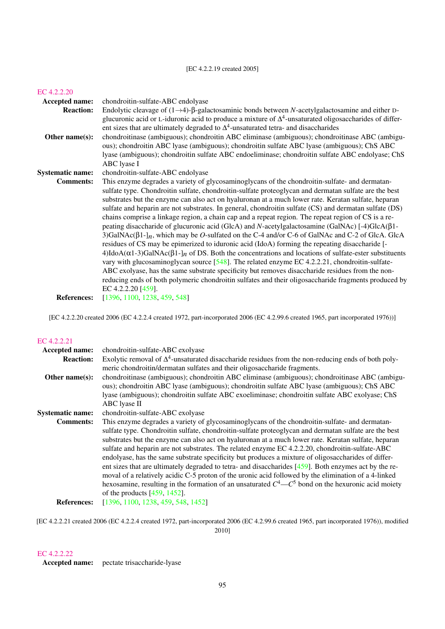#### [EC 4.2.2.20](http://www.enzyme-database.org/query.php?ec=4.2.2.20)

| Accepted name:          | chondroitin-sulfate-ABC endolyase                                                                                                                                                                                                                                                                                                                                                                                                                                                                                                                                                                                                                                                                                                                                                                                                                                                                                                                                                                                                                                                                                                                                                                                                                                                                                                                       |
|-------------------------|---------------------------------------------------------------------------------------------------------------------------------------------------------------------------------------------------------------------------------------------------------------------------------------------------------------------------------------------------------------------------------------------------------------------------------------------------------------------------------------------------------------------------------------------------------------------------------------------------------------------------------------------------------------------------------------------------------------------------------------------------------------------------------------------------------------------------------------------------------------------------------------------------------------------------------------------------------------------------------------------------------------------------------------------------------------------------------------------------------------------------------------------------------------------------------------------------------------------------------------------------------------------------------------------------------------------------------------------------------|
| <b>Reaction:</b>        | Endolytic cleavage of $(1\rightarrow 4)$ - $\beta$ -galactosaminic bonds between N-acetylgalactosamine and either D-                                                                                                                                                                                                                                                                                                                                                                                                                                                                                                                                                                                                                                                                                                                                                                                                                                                                                                                                                                                                                                                                                                                                                                                                                                    |
| Other name(s):          | glucuronic acid or L-iduronic acid to produce a mixture of $\Delta^4$ -unsaturated oligosaccharides of differ-<br>ent sizes that are ultimately degraded to $\Delta^4$ -unsaturated tetra- and disaccharides<br>chondroitinase (ambiguous); chondroitin ABC eliminase (ambiguous); chondroitinase ABC (ambigu-<br>ous); chondroitin ABC lyase (ambiguous); chondroitin sulfate ABC lyase (ambiguous); ChS ABC<br>lyase (ambiguous); chondroitin sulfate ABC endoeliminase; chondroitin sulfate ABC endolyase; ChS<br>ABC lyase I                                                                                                                                                                                                                                                                                                                                                                                                                                                                                                                                                                                                                                                                                                                                                                                                                        |
| <b>Systematic name:</b> | chondroitin-sulfate-ABC endolyase                                                                                                                                                                                                                                                                                                                                                                                                                                                                                                                                                                                                                                                                                                                                                                                                                                                                                                                                                                                                                                                                                                                                                                                                                                                                                                                       |
| <b>Comments:</b>        | This enzyme degrades a variety of glycosaminoglycans of the chondroitin-sulfate- and dermatan-<br>sulfate type. Chondroitin sulfate, chondroitin-sulfate proteoglycan and dermatan sulfate are the best<br>substrates but the enzyme can also act on hyaluronan at a much lower rate. Keratan sulfate, heparan<br>sulfate and heparin are not substrates. In general, chondroitin sulfate (CS) and dermatan sulfate (DS)<br>chains comprise a linkage region, a chain cap and a repeat region. The repeat region of CS is a re-<br>peating disaccharide of glucuronic acid (GlcA) and N-acetylgalactosamine (GalNAc) [-4)GlcA( $\beta$ 1-<br>3)GalNAc( $\beta$ 1-] <sub>n</sub> , which may be <i>O</i> -sulfated on the C-4 and/or C-6 of GalNAc and C-2 of GlcA. GlcA<br>residues of CS may be epimerized to iduronic acid (IdoA) forming the repeating disaccharide [-<br>$4)$ IdoA( $\alpha$ 1-3)GalNAc( $\beta$ 1-] <sub>n</sub> of DS. Both the concentrations and locations of sulfate-ester substituents<br>vary with glucosaminoglycan source $[548]$ . The related enzyme EC 4.2.2.21, chondroitin-sulfate-<br>ABC exolyase, has the same substrate specificity but removes disaccharide residues from the non-<br>reducing ends of both polymeric chondroitin sulfates and their oligosaccharide fragments produced by<br>EC 4.2.2.20 [459]. |
| <b>References:</b>      | [1396, 1100, 1238, 459, 548]                                                                                                                                                                                                                                                                                                                                                                                                                                                                                                                                                                                                                                                                                                                                                                                                                                                                                                                                                                                                                                                                                                                                                                                                                                                                                                                            |

[EC 4.2.2.20 created 2006 (EC 4.2.2.4 created 1972, part-incorporated 2006 (EC 4.2.99.6 created 1965, part incorporated 1976))]

### [EC 4.2.2.21](http://www.enzyme-database.org/query.php?ec=4.2.2.21)

| Accepted name:          | chondroitin-sulfate-ABC exolyase                                                                           |
|-------------------------|------------------------------------------------------------------------------------------------------------|
| <b>Reaction:</b>        | Exolytic removal of $\Delta^4$ -unsaturated disaccharide residues from the non-reducing ends of both poly- |
|                         | meric chondroitin/dermatan sulfates and their oligosaccharide fragments.                                   |
| Other name $(s)$ :      | chondroitinase (ambiguous); chondroitin ABC eliminase (ambiguous); chondroitinase ABC (ambigu-             |
|                         | ous); chondroitin ABC lyase (ambiguous); chondroitin sulfate ABC lyase (ambiguous); ChS ABC                |
|                         | lyase (ambiguous); chondroitin sulfate ABC exoeliminase; chondroitin sulfate ABC exolyase; ChS             |
|                         | ABC lyase II                                                                                               |
| <b>Systematic name:</b> | chondroitin-sulfate-ABC exolyase                                                                           |
| <b>Comments:</b>        | This enzyme degrades a variety of glycosaminoglycans of the chondroitin-sulfate- and dermatan-             |
|                         | sulfate type. Chondroitin sulfate, chondroitin-sulfate proteoglycan and dermatan sulfate are the best      |
|                         | substrates but the enzyme can also act on hyaluronan at a much lower rate. Keratan sulfate, heparan        |
|                         | sulfate and heparin are not substrates. The related enzyme EC 4.2.2.20, chondroitin-sulfate-ABC            |
|                         | endolyase, has the same substrate specificity but produces a mixture of oligosaccharides of differ-        |
|                         | ent sizes that are ultimately degraded to tetra- and disaccharides $[459]$ . Both enzymes act by the re-   |
|                         | moval of a relatively acidic C-5 proton of the uronic acid followed by the elimination of a 4-linked       |
|                         | hexosamine, resulting in the formation of an unsaturated $C^4$ — $C^5$ bond on the hexuronic acid moiety   |
|                         | of the products $[459, 1452]$ .                                                                            |
| <b>References:</b>      | [1396, 1100, 1238, 459, 548, 1452]                                                                         |
|                         |                                                                                                            |

[EC 4.2.2.21 created 2006 (EC 4.2.2.4 created 1972, part-incorporated 2006 (EC 4.2.99.6 created 1965, part incorporated 1976)), modified 2010]

### [EC 4.2.2.22](http://www.enzyme-database.org/query.php?ec=4.2.2.22)

Accepted name: pectate trisaccharide-lyase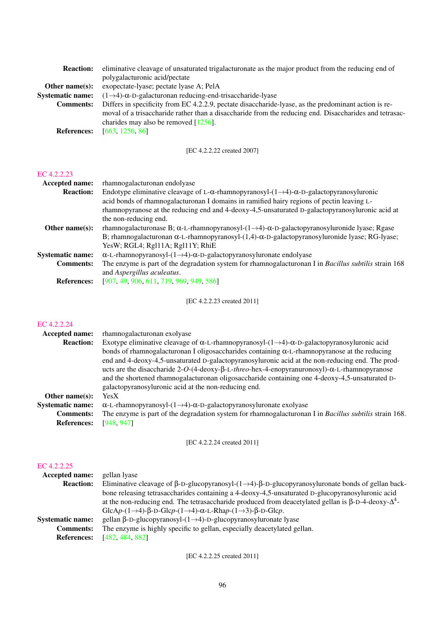| eliminative cleavage of unsaturated trigalacturonate as the major product from the reducing end of     |
|--------------------------------------------------------------------------------------------------------|
| polygalacturonic acid/pectate                                                                          |
| exopectate-lyase; pectate lyase A; PelA                                                                |
| $(1\rightarrow4)$ - $\alpha$ -D-galacturonan reducing-end-trisaccharide-lyase                          |
| Differs in specificity from EC 4.2.2.9, pectate disaccharide-lyase, as the predominant action is re-   |
| moval of a trisaccharide rather than a disaccharide from the reducing end. Disaccharides and tetrasac- |
| charides may also be removed $[1256]$ .                                                                |
| [663, 1256, 86]                                                                                        |
|                                                                                                        |

[EC 4.2.2.22 created 2007]

#### [EC 4.2.2.23](http://www.enzyme-database.org/query.php?ec=4.2.2.23)

| <b>Accepted name:</b>   | rhamnogalacturonan endolyase                                                                                              |
|-------------------------|---------------------------------------------------------------------------------------------------------------------------|
| <b>Reaction:</b>        | Endotype eliminative cleavage of L- $\alpha$ -rhamnopyranosyl- $(1\rightarrow 4)$ - $\alpha$ -D-galactopyranosyluronic    |
|                         | acid bonds of rhamnogalacturonan I domains in ramified hairy regions of pectin leaving L-                                 |
|                         | rhamnopyranose at the reducing end and 4-deoxy-4,5-unsaturated D-galactopyranosyluronic acid at                           |
|                         | the non-reducing end.                                                                                                     |
| Other name $(s)$ :      | rhamnogalacturonase B; $\alpha$ -L-rhamnopyranosyl- $(1\rightarrow 4)$ - $\alpha$ -D-galactopyranosyluronide lyase; Rgase |
|                         | B; rhamnogalacturonan $\alpha$ -L-rhamnopyranosyl-(1,4)- $\alpha$ -D-galactopyranosyluronide lyase; RG-lyase;             |
|                         | YesW; RGL4; Rgl11A; Rgl11Y; RhiE                                                                                          |
| <b>Systematic name:</b> | $\alpha$ -L-rhamnopyranosyl-(1 $\rightarrow$ 4)- $\alpha$ -D-galactopyranosyluronate endolyase                            |
| <b>Comments:</b>        | The enzyme is part of the degradation system for rhamnogalacturonan I in Bacillus subtilis strain 168                     |
|                         | and Aspergillus aculeatus.                                                                                                |
| <b>References:</b>      | [907, 49, 906, 611, 719, 969, 949, 586]                                                                                   |

[EC 4.2.2.23 created 2011]

### [EC 4.2.2.24](http://www.enzyme-database.org/query.php?ec=4.2.2.24)

| <b>Accepted name:</b>   | rhamnogalacturonan exolvase                                                                                               |
|-------------------------|---------------------------------------------------------------------------------------------------------------------------|
| <b>Reaction:</b>        | Exotype eliminative cleavage of $\alpha$ -L-rhamnopyranosyl- $(1\rightarrow 4)$ - $\alpha$ -D-galactopyranosyluronic acid |
|                         | bonds of rhamnogalacturonan I oligosaccharides containing $\alpha$ -L-rhamnopyranose at the reducing                      |
|                         | end and 4-deoxy-4,5-unsaturated D-galactopyranosyluronic acid at the non-reducing end. The prod-                          |
|                         | ucts are the disaccharide 2-O-(4-deoxy- $\beta$ -L-threo-hex-4-enopyranuronosyl)- $\alpha$ -L-rhamnopyranose              |
|                         | and the shortened rhamnogalacturonan oligosaccharide containing one 4-deoxy-4,5-unsaturated D-                            |
|                         | galactopyranosyluronic acid at the non-reducing end.                                                                      |
| Other name $(s)$ :      | <b>YesX</b>                                                                                                               |
| <b>Systematic name:</b> | $\alpha$ -L-rhamnopyranosyl-(1 $\rightarrow$ 4)- $\alpha$ -D-galactopyranosyluronate exolyase                             |
| <b>Comments:</b>        | The enzyme is part of the degradation system for rhamnogalacturonan I in Bacillus subtilis strain 168.                    |
| <b>References:</b>      | [948, 947]                                                                                                                |
|                         |                                                                                                                           |

[EC 4.2.2.24 created 2011]

### [EC 4.2.2.25](http://www.enzyme-database.org/query.php?ec=4.2.2.25)

| <b>Accepted name:</b>   | gellan lyase                                                                                                                   |
|-------------------------|--------------------------------------------------------------------------------------------------------------------------------|
| <b>Reaction:</b>        | Eliminative cleavage of $\beta$ -D-glucopyranosyl- $(1\rightarrow 4)$ - $\beta$ -D-glucopyranosyluronate bonds of gellan back- |
|                         | bone releasing tetrasaccharides containing a 4-deoxy-4,5-unsaturated D-glucopyranosyluronic acid                               |
|                         | at the non-reducing end. The tetrasaccharide produced from deacetylated gellan is $\beta$ -D-4-deoxy- $\Delta^4$ -             |
|                         | GlcAp- $(1\rightarrow 4)$ - $\beta$ -D-Glcp- $(1\rightarrow 4)$ - $\alpha$ -L-Rhap- $(1\rightarrow 3)$ - $\beta$ -D-Glcp.      |
| <b>Systematic name:</b> | gellan β-D-glucopyranosyl- $(1\rightarrow 4)$ -D-glucopyranosyluronate lyase                                                   |
| <b>Comments:</b>        | The enzyme is highly specific to gellan, especially deacety lated gellan.                                                      |
| <b>References:</b>      | [482, 484, 882]                                                                                                                |

[EC 4.2.2.25 created 2011]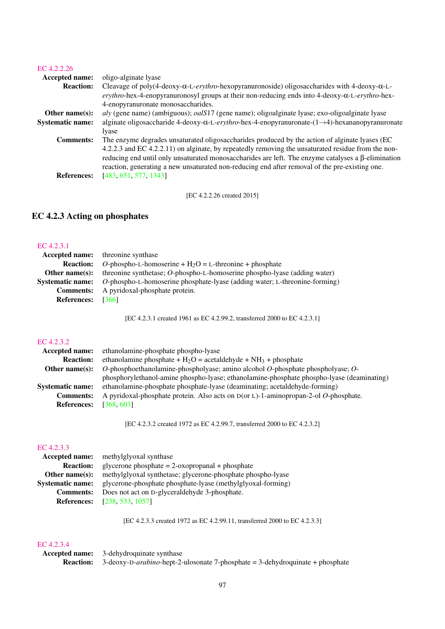#### [EC 4.2.2.26](http://www.enzyme-database.org/query.php?ec=4.2.2.26)

| <b>Accepted name:</b>   | oligo-alginate lyase                                                                                                            |
|-------------------------|---------------------------------------------------------------------------------------------------------------------------------|
| <b>Reaction:</b>        | Cleavage of poly(4-deoxy- $\alpha$ -L-erythro-hexopyranuronoside) oligosaccharides with 4-deoxy- $\alpha$ -L-                   |
|                         | $erythro$ -hex-4-enopyranuronosyl groups at their non-reducing ends into 4-deoxy- $\alpha$ -L-erythro-hex-                      |
|                         | 4-enopyranuronate monosaccharides.                                                                                              |
| Other name $(s)$ :      | aly (gene name) (ambiguous); oalS17 (gene name); oligoalginate lyase; exo-oligoalginate lyase                                   |
| <b>Systematic name:</b> | alginate oligosaccharide 4-deoxy- $\alpha$ -L- <i>erythro</i> -hex-4-enopyranuronate- $(1 \rightarrow 4)$ -hexananopyranuronate |
|                         | lyase                                                                                                                           |
| <b>Comments:</b>        | The enzyme degrades unsaturated oligosaccharides produced by the action of alginate lyases (EC                                  |
|                         | 4.2.2.3 and EC 4.2.2.11) on alginate, by repeatedly removing the unsaturated residue from the non-                              |
|                         | reducing end until only unsaturated monosaccharides are left. The enzyme catalyses a $\beta$ -elimination                       |
|                         | reaction, generating a new unsaturated non-reducing end after removal of the pre-existing one.                                  |
| <b>References:</b>      | [483, 651, 577, 1343]                                                                                                           |
|                         |                                                                                                                                 |

[EC 4.2.2.26 created 2015]

### EC 4.2.3 Acting on phosphates

### [EC 4.2.3.1](http://www.enzyme-database.org/query.php?ec=4.2.3.1)

| <b>Accepted name:</b> threonine synthase                                                           |
|----------------------------------------------------------------------------------------------------|
| O-phospho-L-homoserine + $H_2O = L$ -threonine + phosphate                                         |
| threonine synthetase; $O$ -phospho-L-homoserine phospho-lyase (adding water)                       |
| <b>Systematic name:</b> O-phospho-L-homoserine phosphate-lyase (adding water; L-threonine-forming) |
| A pyridoxal-phosphate protein.                                                                     |
| <b>References:</b> [366]                                                                           |
|                                                                                                    |

[EC 4.2.3.1 created 1961 as EC 4.2.99.2, transferred 2000 to EC 4.2.3.1]

### [EC 4.2.3.2](http://www.enzyme-database.org/query.php?ec=4.2.3.2)

| ethanolamine-phosphate phospho-lyase                                                      |
|-------------------------------------------------------------------------------------------|
| ethanolamine phosphate + $H_2O$ = acetaldehyde + $NH_3$ + phosphate                       |
| O-phosphoethanolamine-phospholyase; amino alcohol O-phosphate phospholyase; $O$ -         |
| phosphorylethanol-amine phospho-lyase; ethanolamine-phosphate phospho-lyase (deaminating) |
| ethanolamine-phosphate phosphate-lyase (deaminating; acetaldehyde-forming)                |
| A pyridoxal-phosphate protein. Also acts on D(or L)-1-aminopropan-2-ol O-phosphate.       |
| [368, 603]                                                                                |
|                                                                                           |

[EC 4.2.3.2 created 1972 as EC 4.2.99.7, transferred 2000 to EC 4.2.3.2]

### [EC 4.2.3.3](http://www.enzyme-database.org/query.php?ec=4.2.3.3)

|                    | <b>Accepted name:</b> methylglyoxal synthase                |
|--------------------|-------------------------------------------------------------|
| <b>Reaction:</b>   | glycerone phosphate $= 2$ -oxopropanal + phosphate          |
| Other name $(s)$ : | methylglyoxal synthetase; glycerone-phosphate phospho-lyase |
| Systematic name:   | glycerone-phosphate phosphate-lyase (methylglyoxal-forming) |
| <b>Comments:</b>   | Does not act on D-glyceraldehyde 3-phosphate.               |
|                    | <b>References:</b> [238, 533, 1057]                         |

[EC 4.2.3.3 created 1972 as EC 4.2.99.11, transferred 2000 to EC 4.2.3.3]

### [EC 4.2.3.4](http://www.enzyme-database.org/query.php?ec=4.2.3.4)

Accepted name: 3-dehydroquinate synthase Reaction: 3-deoxy-D-*arabino*-hept-2-ulosonate 7-phosphate = 3-dehydroquinate + phosphate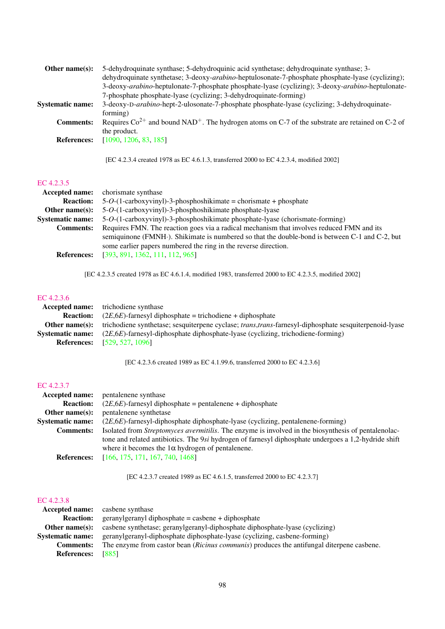| Other name $(s)$ :      | 5-dehydroquinate synthase; 5-dehydroquinic acid synthetase; dehydroquinate synthase; 3-                           |
|-------------------------|-------------------------------------------------------------------------------------------------------------------|
|                         | dehydroquinate synthetase; 3-deoxy-arabino-heptulosonate-7-phosphate phosphate-lyase (cyclizing);                 |
|                         | 3-deoxy-arabino-heptulonate-7-phosphate phosphate-lyase (cyclizing); 3-deoxy-arabino-heptulonate-                 |
|                         | 7-phosphate phosphate-lyase (cyclizing; 3-dehydroquinate-forming)                                                 |
| <b>Systematic name:</b> | 3-deoxy-D-arabino-hept-2-ulosonate-7-phosphate phosphate-lyase (cyclizing; 3-dehydroquinate-                      |
|                         | forming)                                                                                                          |
| <b>Comments:</b>        | Requires $Co^{2+}$ and bound NAD <sup>+</sup> . The hydrogen atoms on C-7 of the substrate are retained on C-2 of |
|                         | the product.                                                                                                      |
| <b>References:</b>      | [1090, 1206, 83, 185]                                                                                             |
|                         |                                                                                                                   |

[EC 4.2.3.4 created 1978 as EC 4.6.1.3, transferred 2000 to EC 4.2.3.4, modified 2002]

### [EC 4.2.3.5](http://www.enzyme-database.org/query.php?ec=4.2.3.5)

| <b>Accepted name:</b> chorismate synthase                                                      |
|------------------------------------------------------------------------------------------------|
| $5-O-(1-carboxyvinyl)-3-phosphoshikimate = chorismate + phosphate$                             |
| 5-O-(1-carboxyvinyl)-3-phosphoshikimate phosphate-lyase                                        |
| 5-O-(1-carboxyvinyl)-3-phosphoshikimate phosphate-lyase (chorismate-forming)                   |
| Requires FMN. The reaction goes via a radical mechanism that involves reduced FMN and its      |
| semiguinone (FMNH·). Shikimate is numbered so that the double-bond is between C-1 and C-2, but |
| some earlier papers numbered the ring in the reverse direction.                                |
| [393, 891, 1362, 111, 112, 965]                                                                |
|                                                                                                |

[EC 4.2.3.5 created 1978 as EC 4.6.1.4, modified 1983, transferred 2000 to EC 4.2.3.5, modified 2002]

### [EC 4.2.3.6](http://www.enzyme-database.org/query.php?ec=4.2.3.6)

|                  | <b>Accepted name:</b> trichodiene synthase                                                                     |
|------------------|----------------------------------------------------------------------------------------------------------------|
| <b>Reaction:</b> | $(2E, 6E)$ -farnesyl diphosphate = trichodiene + diphosphate                                                   |
| Other name(s):   | trichodiene synthetase; sesquiterpene cyclase; <i>trans, trans</i> -farnesyl-diphosphate sesquiterpenoid-lyase |
| Systematic name: | $(2E, 6E)$ -farnesyl-diphosphate diphosphate-lyase (cyclizing, trichodiene-forming)                            |
|                  | <b>References:</b> [529, 527, 1096]                                                                            |

[EC 4.2.3.6 created 1989 as EC 4.1.99.6, transferred 2000 to EC 4.2.3.6]

### [EC 4.2.3.7](http://www.enzyme-database.org/query.php?ec=4.2.3.7)

| <b>Accepted name:</b>   | pentalenene synthase                                                                                 |
|-------------------------|------------------------------------------------------------------------------------------------------|
| <b>Reaction:</b>        | $(2E, 6E)$ -farnesyl diphosphate = pentalenene + diphosphate                                         |
| Other name $(s)$ :      | pentalenene synthetase                                                                               |
| <b>Systematic name:</b> | $(2E,6E)$ -farnesyl-diphosphate diphosphate-lyase (cyclizing, pentalenene-forming)                   |
| <b>Comments:</b>        | Isolated from Streptomyces avermitilis. The enzyme is involved in the biosynthesis of pentalenolac-  |
|                         | tone and related antibiotics. The 9si hydrogen of farnesyl diphosphate undergoes a 1,2-hydride shift |
|                         | where it becomes the $1\alpha$ hydrogen of pentalenene.                                              |
| <b>References:</b>      | [166, 175, 171, 167, 740, 1468]                                                                      |

[EC 4.2.3.7 created 1989 as EC 4.6.1.5, transferred 2000 to EC 4.2.3.7]

|                         | <b>Accepted name:</b> casbene synthase                                                           |
|-------------------------|--------------------------------------------------------------------------------------------------|
| <b>Reaction:</b>        | $geran ylgeran ylgibhosphate = casbene + diphosphate$                                            |
| Other name $(s)$ :      | casbene synthetase; geranylgeranyl-diphosphate diphosphate-lyase (cyclizing)                     |
| <b>Systematic name:</b> | geranylgeranyl-diphosphate diphosphate-lyase (cyclizing, casbene-forming)                        |
| <b>Comments:</b>        | The enzyme from castor bean <i>(Ricinus communis)</i> produces the antifungal diterpene casbene. |
| <b>References:</b>      | [885]                                                                                            |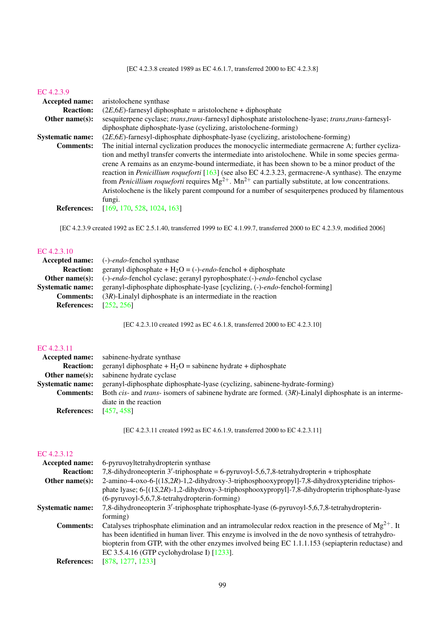[EC 4.2.3.8 created 1989 as EC 4.6.1.7, transferred 2000 to EC 4.2.3.8]

#### [EC 4.2.3.9](http://www.enzyme-database.org/query.php?ec=4.2.3.9)

| <b>Accepted name:</b>   | aristolochene synthase                                                                                             |
|-------------------------|--------------------------------------------------------------------------------------------------------------------|
| <b>Reaction:</b>        | $(2E, 6E)$ -farnesyl diphosphate = aristolochene + diphosphate                                                     |
| Other name $(s)$ :      | sesquiterpene cyclase; trans, trans-farnesyl diphosphate aristolochene-lyase; trans, trans-farnesyl-               |
|                         | diphosphate diphosphate-lyase (cyclizing, aristolochene-forming)                                                   |
| <b>Systematic name:</b> | $(2E, 6E)$ -farnesyl-diphosphate diphosphate-lyase (cyclizing, aristolochene-forming)                              |
| <b>Comments:</b>        | The initial internal cyclization produces the monocyclic intermediate germacrene A; further cycliza-               |
|                         | tion and methyl transfer converts the intermediate into aristolochene. While in some species germa-                |
|                         | crene A remains as an enzyme-bound intermediate, it has been shown to be a minor product of the                    |
|                         | reaction in <i>Penicillium roqueforti</i> [163] (see also EC 4.2.3.23, germacrene-A synthase). The enzyme          |
|                         | from <i>Penicillium roqueforti</i> requires $Mg^{2+}$ . $Mn^{2+}$ can partially substitute, at low concentrations. |
|                         | Aristolochene is the likely parent compound for a number of sesquiterpenes produced by filamentous                 |
|                         | fungi.                                                                                                             |
| <b>References:</b>      | [169, 170, 528, 1024, 163]                                                                                         |
|                         |                                                                                                                    |

[EC 4.2.3.9 created 1992 as EC 2.5.1.40, transferred 1999 to EC 4.1.99.7, transferred 2000 to EC 4.2.3.9, modified 2006]

### [EC 4.2.3.10](http://www.enzyme-database.org/query.php?ec=4.2.3.10)

|                               | <b>Accepted name:</b> (-)- <i>endo</i> -fenchol synthase                    |
|-------------------------------|-----------------------------------------------------------------------------|
| <b>Reaction:</b>              | geranyl diphosphate + $H_2O = (-)$ -endo-fenchol + diphosphate              |
| Other name $(s)$ :            | (-)-endo-fenchol cyclase; geranyl pyrophosphate:(-)-endo-fenchol cyclase    |
| <b>Systematic name:</b>       | geranyl-diphosphate diphosphate-lyase [cyclizing, (-)-endo-fenchol-forming] |
| <b>Comments:</b>              | $(3R)$ -Linalyl diphosphate is an intermediate in the reaction              |
| <b>References:</b> [252, 256] |                                                                             |

[EC 4.2.3.10 created 1992 as EC 4.6.1.8, transferred 2000 to EC 4.2.3.10]

### [EC 4.2.3.11](http://www.enzyme-database.org/query.php?ec=4.2.3.11)

| sabinene-hydrate synthase                                                                                               |
|-------------------------------------------------------------------------------------------------------------------------|
| geranyl diphosphate + $H_2O$ = sabinene hydrate + diphosphate                                                           |
| sabinene hydrate cyclase                                                                                                |
| geranyl-diphosphate diphosphate-lyase (cyclizing, sabinene-hydrate-forming)                                             |
| Both <i>cis</i> - and <i>trans</i> - isomers of sabinene hydrate are formed. $(3R)$ -Linalyl diphosphate is an interme- |
| diate in the reaction                                                                                                   |
| [457, 458]                                                                                                              |
|                                                                                                                         |

[EC 4.2.3.11 created 1992 as EC 4.6.1.9, transferred 2000 to EC 4.2.3.11]

| <b>Accepted name:</b>   | 6-pyruvoyltetrahydropterin synthase                                                                       |
|-------------------------|-----------------------------------------------------------------------------------------------------------|
| <b>Reaction:</b>        | 7,8-dihydroneopterin 3'-triphosphate = $6$ -pyruvoyl-5,6,7,8-tetrahydropterin + triphosphate              |
| Other name $(s)$ :      | 2-amino-4-oxo-6-[(1S,2R)-1,2-dihydroxy-3-triphosphooxypropyl]-7,8-dihydroxypteridine triphos-             |
|                         | phate lyase; 6-[(1S,2R)-1,2-dihydroxy-3-triphosphooxypropyl]-7,8-dihydropterin triphosphate-lyase         |
|                         | (6-pyruvoyl-5,6,7,8-tetrahydropterin-forming)                                                             |
| <b>Systematic name:</b> | 7,8-dihydroneopterin 3'-triphosphate triphosphate-lyase (6-pyruvoyl-5,6,7,8-tetrahydropterin-             |
|                         | forming)                                                                                                  |
| <b>Comments:</b>        | Catalyses triphosphate elimination and an intramolecular redox reaction in the presence of $Mg^{2+}$ . It |
|                         | has been identified in human liver. This enzyme is involved in the de novo synthesis of tetrahydro-       |
|                         | biopterin from GTP, with the other enzymes involved being EC 1.1.1.153 (sepiapterin reductase) and        |
|                         | EC 3.5.4.16 (GTP cyclohydrolase I) [1233].                                                                |
| <b>References:</b>      | [878, 1277, 1233]                                                                                         |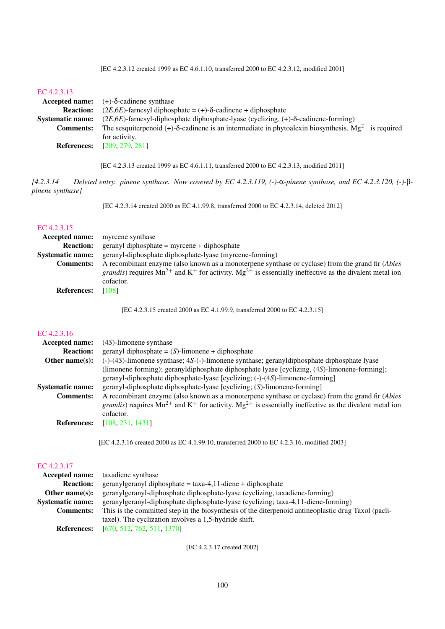[EC 4.2.3.12 created 1999 as EC 4.6.1.10, transferred 2000 to EC 4.2.3.12, modified 2001]

#### [EC 4.2.3.13](http://www.enzyme-database.org/query.php?ec=4.2.3.13)

|                         | Accepted name: $(+)-\delta$ -cadinene synthase                                                                           |
|-------------------------|--------------------------------------------------------------------------------------------------------------------------|
| <b>Reaction:</b>        | $(2E, 6E)$ -farnesyl diphosphate = (+)- $\delta$ -cadinene + diphosphate                                                 |
| <b>Systematic name:</b> | $(2E, 6E)$ -farnesyl-diphosphate diphosphate-lyase (cyclizing, $(+)$ - $\delta$ -cadinene-forming)                       |
| <b>Comments:</b>        | The sesquite penold (+)- $\delta$ -cadinene is an intermediate in phytoalexin biosynthesis. Mg <sup>2+</sup> is required |
|                         | for activity.                                                                                                            |
| <b>References:</b>      | [209, 279, 281]                                                                                                          |

[EC 4.2.3.13 created 1999 as EC 4.6.1.11, transferred 2000 to EC 4.2.3.13, modified 2011]

*[4.2.3.14 Deleted entry. pinene synthase. Now covered by EC 4.2.3.119, (-)-*α*-pinene synthase, and EC 4.2.3.120, (-)-*β*pinene synthase]*

[EC 4.2.3.14 created 2000 as EC 4.1.99.8, transferred 2000 to EC 4.2.3.14, deleted 2012]

### [EC 4.2.3.15](http://www.enzyme-database.org/query.php?ec=4.2.3.15)

|                    | <b>Accepted name:</b> myrcene synthase                                                                                     |
|--------------------|----------------------------------------------------------------------------------------------------------------------------|
| <b>Reaction:</b>   | $geranyl diphosphate = myrcene + diphosphate$                                                                              |
| Systematic name:   | geranyl-diphosphate diphosphate-lyase (myrcene-forming)                                                                    |
| <b>Comments:</b>   | A recombinant enzyme (also known as a monoterpene synthase or cyclase) from the grand fir ( <i>Abies</i>                   |
|                    | <i>grandis</i> ) requires $Mn^{2+}$ and $K^+$ for activity. $Mg^{2+}$ is essentially ineffective as the divalent metal ion |
|                    | cofactor.                                                                                                                  |
| <b>References:</b> | [108]                                                                                                                      |

[EC 4.2.3.15 created 2000 as EC 4.1.99.9, transferred 2000 to EC 4.2.3.15]

#### [EC 4.2.3.16](http://www.enzyme-database.org/query.php?ec=4.2.3.16)

| Accepted name:          | $(4S)$ -limonene synthase                                                                                                                         |
|-------------------------|---------------------------------------------------------------------------------------------------------------------------------------------------|
| <b>Reaction:</b>        | $geranyl diphosphate = (S)-limonene + diphosphate$                                                                                                |
| Other name $(s)$ :      | $(-)$ - $(4)$ -limonene synthase; $4S$ - $(-)$ -limonene synthase; geranyldiphosphate diphosphate lyase                                           |
|                         | (limonene forming); geranyldiphosphate diphosphate lyase [cyclizing, (4S)-limonene-forming];                                                      |
|                         | geranyl-diphosphate diphosphate-lyase [cyclizing; (-)-(4S)-limonene-forming]                                                                      |
| <b>Systematic name:</b> | geranyl-diphosphate diphosphate-lyase [cyclizing; (S)-limonene-forming]                                                                           |
| <b>Comments:</b>        | A recombinant enzyme (also known as a monoterpene synthase or cyclase) from the grand fir ( <i>Abies</i>                                          |
|                         | <i>grandis</i> ) requires Mn <sup>2+</sup> and K <sup>+</sup> for activity. Mg <sup>2+</sup> is essentially ineffective as the divalent metal ion |
|                         | cofactor.                                                                                                                                         |
| <b>References:</b>      | [108, 231, 1431]                                                                                                                                  |
|                         |                                                                                                                                                   |

[EC 4.2.3.16 created 2000 as EC 4.1.99.10, transferred 2000 to EC 4.2.3.16, modified 2003]

### [EC 4.2.3.17](http://www.enzyme-database.org/query.php?ec=4.2.3.17)

|                         | <b>Accepted name:</b> taxadiene synthase                                                            |
|-------------------------|-----------------------------------------------------------------------------------------------------|
| <b>Reaction:</b>        | $geranylgeranyldiphosphate = taxa-4,11-diene + diphosphate$                                         |
| Other name $(s)$ :      | geranylgeranyl-diphosphate diphosphate-lyase (cyclizing, taxadiene-forming)                         |
| <b>Systematic name:</b> | geranylgeranyl-diphosphate diphosphate-lyase (cyclizing; taxa-4,11-diene-forming)                   |
| <b>Comments:</b>        | This is the committed step in the biosynthesis of the diterpenoid antineoplastic drug Taxol (pacli- |
|                         | taxel). The cyclization involves a 1,5-hydride shift.                                               |
| <b>References:</b>      | [670, 512, 762, 511, 1370]                                                                          |

[EC 4.2.3.17 created 2002]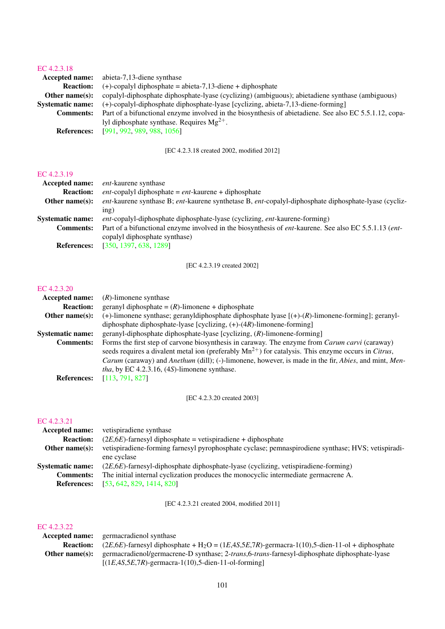#### [EC 4.2.3.18](http://www.enzyme-database.org/query.php?ec=4.2.3.18)

| 11177.1111              |                                                                                                        |
|-------------------------|--------------------------------------------------------------------------------------------------------|
| Accepted name:          | abieta-7,13-diene synthase                                                                             |
| <b>Reaction:</b>        | $(+)$ -copalyl diphosphate = abieta-7,13-diene + diphosphate                                           |
| Other name $(s)$ :      | copalyl-diphosphate diphosphate-lyase (cyclizing) (ambiguous); abietadiene synthase (ambiguous)        |
| <b>Systematic name:</b> | $(+)$ -copalyl-diphosphate diphosphate-lyase [cyclizing, abieta-7,13-diene-forming]                    |
| <b>Comments:</b>        | Part of a bifunctional enzyme involved in the biosynthesis of abietadiene. See also EC 5.5.1.12, copa- |
|                         | lyl diphosphate synthase. Requires $Mg^{2+}$ .                                                         |
| <b>References:</b>      | [991, 992, 989, 988, 1056]                                                                             |
|                         |                                                                                                        |

[EC 4.2.3.18 created 2002, modified 2012]

#### [EC 4.2.3.19](http://www.enzyme-database.org/query.php?ec=4.2.3.19)

| Accepted name:          | <i>ent</i> -kaurene synthase                                                                          |
|-------------------------|-------------------------------------------------------------------------------------------------------|
| <b>Reaction:</b>        | <i>ent</i> -copalyl diphosphate $= ent$ -kaurene $+$ diphosphate                                      |
| Other name $(s)$ :      | ent-kaurene synthase B; ent-kaurene synthetase B, ent-copalyl-diphosphate diphosphate-lyase (cycliz-  |
|                         | inp)                                                                                                  |
| <b>Systematic name:</b> | <i>ent</i> -copalyl-diphosphate diphosphate-lyase (cyclizing, <i>ent</i> -kaurene-forming)            |
| <b>Comments:</b>        | Part of a bifunctional enzyme involved in the biosynthesis of ent-kaurene. See also EC 5.5.1.13 (ent- |
|                         | copalyl diphosphate synthase)                                                                         |
| <b>References:</b>      | [350, 1397, 638, 1289]                                                                                |

[EC 4.2.3.19 created 2002]

#### [EC 4.2.3.20](http://www.enzyme-database.org/query.php?ec=4.2.3.20)

| <b>Accepted name:</b>   | $(R)$ -limonene synthase                                                                                                                                                                                                                                                                                                                                                                                         |
|-------------------------|------------------------------------------------------------------------------------------------------------------------------------------------------------------------------------------------------------------------------------------------------------------------------------------------------------------------------------------------------------------------------------------------------------------|
| <b>Reaction:</b>        | geranyl diphosphate = $(R)$ -limonene + diphosphate                                                                                                                                                                                                                                                                                                                                                              |
| Other name $(s)$ :      | $(+)$ -limonene synthase; geranyldiphosphate diphosphate lyase $[(+)$ - $(R)$ -limonene-forming]; geranyl-                                                                                                                                                                                                                                                                                                       |
|                         | diphosphate diphosphate-lyase [cyclizing, $(+)$ - $(4R)$ -limonene-forming]                                                                                                                                                                                                                                                                                                                                      |
| <b>Systematic name:</b> | geranyl-diphosphate diphosphate-lyase [cyclizing, $(R)$ -limonene-forming]                                                                                                                                                                                                                                                                                                                                       |
| <b>Comments:</b>        | Forms the first step of carvone biosynthesis in caraway. The enzyme from Carum carvi (caraway)<br>seeds requires a divalent metal ion (preferably $Mn^{2+}$ ) for catalysis. This enzyme occurs in <i>Citrus</i> ,<br><i>Carum</i> (caraway) and <i>Anethum</i> (dill); (-)-limonene, however, is made in the fir, <i>Abies</i> , and mint, <i>Men</i> -<br><i>tha</i> , by EC 4.2.3.16, (4S)-limonene synthase. |
| <b>References:</b>      | [113, 791, 827]                                                                                                                                                                                                                                                                                                                                                                                                  |
|                         |                                                                                                                                                                                                                                                                                                                                                                                                                  |

[EC 4.2.3.20 created 2003]

#### [EC 4.2.3.21](http://www.enzyme-database.org/query.php?ec=4.2.3.21)

| vetispiradiene synthase                                                                            |
|----------------------------------------------------------------------------------------------------|
| $(2E, 6E)$ -farnesyl diphosphate = vetispiradiene + diphosphate                                    |
| vetispiradiene-forming farnesyl pyrophosphate cyclase; pemnaspirodiene synthase; HVS; vetispiradi- |
| ene cyclase                                                                                        |
| $(2E,6E)$ -farnesyl-diphosphate diphosphate-lyase (cyclizing, vetispiradiene-forming)              |
| The initial internal cyclization produces the monocyclic intermediate germacrene A.                |
| [53, 642, 829, 1414, 820]                                                                          |
| Accepted name:                                                                                     |

[EC 4.2.3.21 created 2004, modified 2011]

| Accepted name:     | germacradienol synthase                                                                                         |
|--------------------|-----------------------------------------------------------------------------------------------------------------|
| <b>Reaction:</b>   | $(2E,6E)$ -farnesyl diphosphate + H <sub>2</sub> O = $(1E,4S,5E,7R)$ -germacra-1(10),5-dien-11-ol + diphosphate |
| Other name $(s)$ : | germacradienol/germacrene-D synthase; 2-trans, 6-trans-farnesyl-diphosphate diphosphate-lyase                   |
|                    | $[(1E,4S,5E,7R)$ -germacra-1(10),5-dien-11-ol-forming                                                           |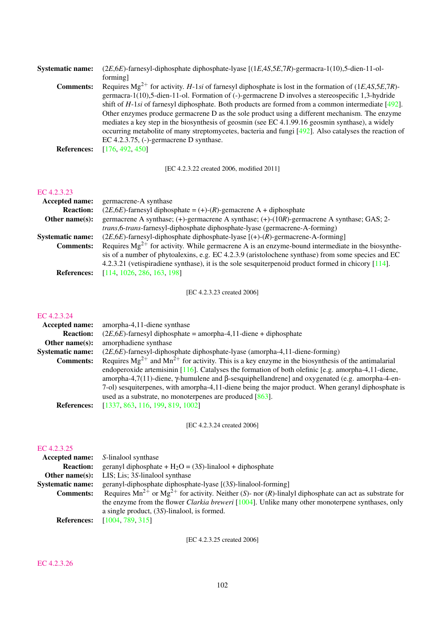| $(2E,6E)$ -farnesyl-diphosphate diphosphate-lyase $[(1E,4S,5E,7R)$ -germacra-1(10),5-dien-11-ol-                     |
|----------------------------------------------------------------------------------------------------------------------|
| forming]                                                                                                             |
| Requires $Mg^{2+}$ for activity. <i>H</i> -1si of farnesyl diphosphate is lost in the formation of $(1E,4S,5E,7R)$ - |
| germacra-1(10),5-dien-11-ol. Formation of (-)-germacrene D involves a stereospecific 1,3-hydride                     |
| shift of $H$ -1si of farnesyl diphosphate. Both products are formed from a common intermediate [492].                |
| Other enzymes produce germacrene D as the sole product using a different mechanism. The enzyme                       |
| mediates a key step in the biosynthesis of geosmin (see EC 4.1.99.16 geosmin synthase), a widely                     |
| occurring metabolite of many streptomycetes, bacteria and fungi [492]. Also catalyses the reaction of                |
| EC 4.2.3.75, $(-)$ -germacrene D synthase.                                                                           |
| [176, 492, 450]                                                                                                      |
|                                                                                                                      |

[EC 4.2.3.22 created 2006, modified 2011]

### [EC 4.2.3.23](http://www.enzyme-database.org/query.php?ec=4.2.3.23)

| <b>Accepted name:</b>   | germacrene-A synthase                                                                                 |
|-------------------------|-------------------------------------------------------------------------------------------------------|
| <b>Reaction:</b>        | $(2E, 6E)$ -farnesyl diphosphate = (+)-(R)-gemacrene A + diphosphate                                  |
| Other name $(s)$ :      | germacrene A synthase; (+)-germacrene A synthase; (+)-(10R)-germacrene A synthase; GAS; 2-            |
|                         | <i>trans</i> , 6- <i>trans</i> -farnesyl-diphosphate diphosphate-lyase (germacrene-A-forming)         |
| <b>Systematic name:</b> | $(2E, 6E)$ -farnesyl-diphosphate diphosphate-lyase $[(+)(R)$ -germacrene-A-forming]                   |
| <b>Comments:</b>        | Requires $Mg^{2+}$ for activity. While germacrene A is an enzyme-bound intermediate in the biosynthe- |
|                         | sis of a number of phytoalexins, e.g. EC 4.2.3.9 (aristolochene synthase) from some species and EC    |
|                         | 4.2.3.21 (vetispiradiene synthase), it is the sole sesquiterpenoid product formed in chicory [114].   |
| <b>References:</b>      | [114, 1026, 286, 163, 198]                                                                            |
|                         |                                                                                                       |

[EC 4.2.3.23 created 2006]

### [EC 4.2.3.24](http://www.enzyme-database.org/query.php?ec=4.2.3.24)

| amorpha-4,11-diene synthase                                                                                                                                                                                                                                                                                                                                                           |
|---------------------------------------------------------------------------------------------------------------------------------------------------------------------------------------------------------------------------------------------------------------------------------------------------------------------------------------------------------------------------------------|
| $(2E, 6E)$ -farnesyl diphosphate = amorpha-4,11-diene + diphosphate                                                                                                                                                                                                                                                                                                                   |
| amorphadiene synthase                                                                                                                                                                                                                                                                                                                                                                 |
| $(2E, 6E)$ -farnesyl-diphosphate diphosphate-lyase (amorpha-4,11-diene-forming)                                                                                                                                                                                                                                                                                                       |
| Requires $Mg^{2+}$ and $Mn^{2+}$ for activity. This is a key enzyme in the biosynthesis of the antimalarial                                                                                                                                                                                                                                                                           |
| endoperoxide artemisinin [116]. Catalyses the formation of both olefinic [e.g. amorpha-4,11-diene,<br>amorpha-4,7(11)-diene, $\gamma$ -humulene and $\beta$ -sesquiphellandrene] and oxygenated (e.g. amorpha-4-en-<br>7-ol) sesquiterpenes, with amorpha-4,11-diene being the major product. When geranyl diphosphate is<br>used as a substrate, no monoterpenes are produced [863]. |
| [1337, 863, 116, 199, 819, 1002]                                                                                                                                                                                                                                                                                                                                                      |
|                                                                                                                                                                                                                                                                                                                                                                                       |

[EC 4.2.3.24 created 2006]

### [EC 4.2.3.25](http://www.enzyme-database.org/query.php?ec=4.2.3.25)

|                         | <b>Accepted name:</b> S-linalool synthase                                                                       |
|-------------------------|-----------------------------------------------------------------------------------------------------------------|
| <b>Reaction:</b>        | geranyl diphosphate + $H_2O = (3S)$ -linalool + diphosphate                                                     |
| Other name $(s)$ :      | LIS; Lis; 3S-linalool synthase                                                                                  |
| <b>Systematic name:</b> | geranyl-diphosphate diphosphate-lyase [(3S)-linalool-forming]                                                   |
| <b>Comments:</b>        | Requires $Mn^{2+}$ or $Mg^{2+}$ for activity. Neither (S)- nor (R)-linalyl diphosphate can act as substrate for |
|                         | the enzyme from the flower <i>Clarkia breweri</i> [1004]. Unlike many other monoterpene synthases, only         |
|                         | a single product, $(3S)$ -linalool, is formed.                                                                  |
| <b>References:</b>      | [1004, 789, 315]                                                                                                |

[EC 4.2.3.25 created 2006]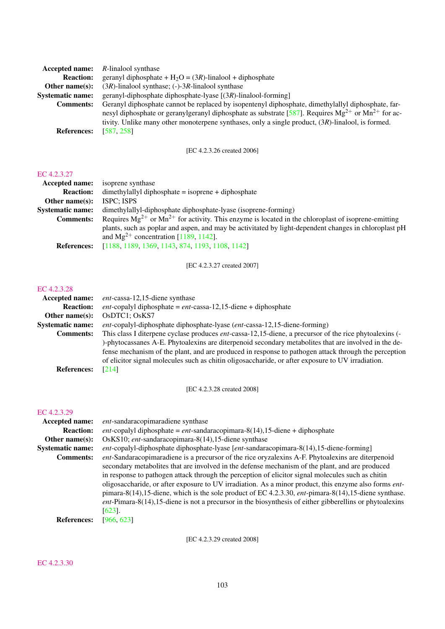| <b>Accepted name:</b> R-linalool synthase                                                                   |
|-------------------------------------------------------------------------------------------------------------|
| geranyl diphosphate + $H_2O = (3R)$ -linalool + diphosphate                                                 |
| $(3R)$ -linalool synthase; (-)-3R-linalool synthase                                                         |
| geranyl-diphosphate diphosphate-lyase $[(3R)$ -linalool-forming]                                            |
| Geranyl diphosphate cannot be replaced by isopentenyl diphosphate, dimethylallyl diphosphate, far-          |
| nesyl diphosphate or geranylgeranyl diphosphate as substrate [587]. Requires $Mg^{2+}$ or $Mn^{2+}$ for ac- |
| tivity. Unlike many other monoterpene synthases, only a single product, (3R)-linalool, is formed.           |
| [587, 258]                                                                                                  |
|                                                                                                             |

[EC 4.2.3.26 created 2006]

#### [EC 4.2.3.27](http://www.enzyme-database.org/query.php?ec=4.2.3.27)

| Accepted name:          | isoprene synthase                                                                                            |
|-------------------------|--------------------------------------------------------------------------------------------------------------|
| <b>Reaction:</b>        | $d$ dimethylallyl diphosphate = isoprene + diphosphate                                                       |
| Other name $(s)$ :      | <b>ISPC: ISPS</b>                                                                                            |
| <b>Systematic name:</b> | dimethylallyl-diphosphate diphosphate-lyase (isoprene-forming)                                               |
| <b>Comments:</b>        | Requires $Mg^{2+}$ or $Mn^{2+}$ for activity. This enzyme is located in the chloroplast of isoprene-emitting |
|                         | plants, such as poplar and aspen, and may be activitated by light-dependent changes in chloroplast pH        |
|                         | and $Mg^{2+}$ concentration [1189, 1142].                                                                    |
| <b>References:</b>      | [1188, 1189, 1369, 1143, 874, 1193, 1108, 1142]                                                              |

[EC 4.2.3.27 created 2007]

### [EC 4.2.3.28](http://www.enzyme-database.org/query.php?ec=4.2.3.28)

| <b>Accepted name:</b>   | <i>ent</i> -cassa-12,15-diene synthase                                                                         |
|-------------------------|----------------------------------------------------------------------------------------------------------------|
| <b>Reaction:</b>        | <i>ent</i> -copalyl diphosphate = $ent$ -cassa-12,15-diene + diphosphate                                       |
| Other name $(s)$ :      | OsDTC1; OsKS7                                                                                                  |
| <b>Systematic name:</b> | <i>ent</i> -copalyl-diphosphate diphosphate-lyase ( <i>ent</i> -cassa-12,15-diene-forming)                     |
| <b>Comments:</b>        | This class I diterpene cyclase produces <i>ent</i> -cassa-12,15-diene, a precursor of the rice phytoalexins (- |
|                         | )-phytocassanes A-E. Phytoalexins are diterpenoid secondary metabolites that are involved in the de-           |
|                         | fense mechanism of the plant, and are produced in response to pathogen attack through the perception           |
|                         | of elicitor signal molecules such as chitin oligosaccharide, or after exposure to UV irradiation.              |
| <b>References:</b>      | [214]                                                                                                          |

[EC 4.2.3.28 created 2008]

### [EC 4.2.3.29](http://www.enzyme-database.org/query.php?ec=4.2.3.29)

| <b>Accepted name:</b>   | ent-sandaracopimaradiene synthase                                                                             |
|-------------------------|---------------------------------------------------------------------------------------------------------------|
| <b>Reaction:</b>        | <i>ent</i> -copalyl diphosphate = $ent$ -sandaracopimara-8(14),15-diene + diphosphate                         |
| Other name $(s)$ :      | OsKS10; ent-sandaracopimara-8(14), 15-diene synthase                                                          |
| <b>Systematic name:</b> | ent-copalyl-diphosphate diphosphate-lyase [ent-sandaracopimara-8(14),15-diene-forming]                        |
| <b>Comments:</b>        | ent-Sandaracopimaradiene is a precursor of the rice oryzalexins A-F. Phytoalexins are diterpenoid             |
|                         | secondary metabolites that are involved in the defense mechanism of the plant, and are produced               |
|                         | in response to pathogen attack through the perception of elicitor signal molecules such as chitin             |
|                         | oligosaccharide, or after exposure to UV irradiation. As a minor product, this enzyme also forms <i>ent</i> - |
|                         | pimara-8(14), 15-diene, which is the sole product of EC 4.2.3.30, $ent$ -pimara-8(14), 15-diene synthase.     |
|                         | $ent$ -Pimara-8(14),15-diene is not a precursor in the biosynthesis of either gibberellins or phytoalexins    |
|                         | $[623]$ .                                                                                                     |
| <b>References:</b>      | [966, 623]                                                                                                    |

[EC 4.2.3.29 created 2008]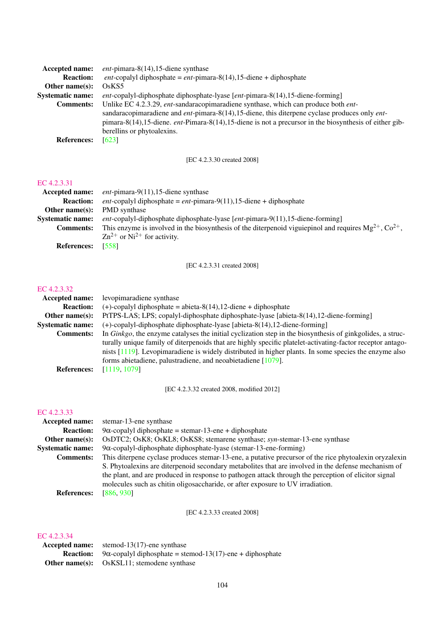| <b>Accepted name:</b>   | <i>ent</i> -pimara-8 $(14)$ , 15-diene synthase                                                                  |
|-------------------------|------------------------------------------------------------------------------------------------------------------|
| <b>Reaction:</b>        | <i>ent</i> -copalyl diphosphate = $ent$ -pimara-8(14),15-diene + diphosphate                                     |
| Other name $(s)$ :      | OSKS <sub>5</sub>                                                                                                |
| <b>Systematic name:</b> | <i>ent</i> -copalyl-diphosphate diphosphate-lyase [ <i>ent</i> -pimara-8(14),15-diene-forming]                   |
| <b>Comments:</b>        | Unlike EC 4.2.3.29, <i>ent</i> -sandaracopimaradiene synthase, which can produce both <i>ent</i> -               |
|                         | sandaracopimaradiene and $ent$ -pimara-8(14), 15-diene, this diterpene cyclase produces only $ent$ -             |
|                         | pimara-8(14), 15-diene. <i>ent</i> -Pimara-8(14), 15-diene is not a precursor in the biosynthesis of either gib- |
|                         | berellins or phytoalexins.                                                                                       |
| <b>References:</b>      | [623]                                                                                                            |

[EC 4.2.3.30 created 2008]

### [EC 4.2.3.31](http://www.enzyme-database.org/query.php?ec=4.2.3.31)

| Accepted name:          | <i>ent</i> -pimara-9 $(11)$ , 15-diene synthase                                                                 |
|-------------------------|-----------------------------------------------------------------------------------------------------------------|
| <b>Reaction:</b>        | <i>ent</i> -copalyl diphosphate = $ent$ -pimara-9(11),15-diene + diphosphate                                    |
| Other name $(s)$ :      | PMD synthase                                                                                                    |
| <b>Systematic name:</b> | <i>ent</i> -copalyl-diphosphate diphosphate-lyase $[ent$ -pimara-9 $(11)$ , 15-diene-forming                    |
| <b>Comments:</b>        | This enzyme is involved in the biosynthesis of the diterpenoid viguiepinol and requires $Mg^{2+}$ , $Co^{2+}$ , |
|                         | $\text{Zn}^{2+}$ or Ni <sup>2+</sup> for activity.                                                              |
| <b>References:</b>      | [558]                                                                                                           |

[EC 4.2.3.31 created 2008]

#### [EC 4.2.3.32](http://www.enzyme-database.org/query.php?ec=4.2.3.32)

| <b>Accepted name:</b>   | levopimaradiene synthase                                                                                          |
|-------------------------|-------------------------------------------------------------------------------------------------------------------|
| <b>Reaction:</b>        | $(+)$ -copalyl diphosphate = abieta-8(14), 12-diene + diphosphate                                                 |
| Other name $(s)$ :      | PtTPS-LAS; LPS; copalyl-diphosphate diphosphate-lyase [abieta-8(14), 12-diene-forming]                            |
| <b>Systematic name:</b> | (+)-copalyl-diphosphate diphosphate-lyase [abieta-8(14), 12-diene-forming]                                        |
| <b>Comments:</b>        | In <i>Ginkgo</i> , the enzyme catalyses the initial cyclization step in the biosynthesis of ginkgolides, a struc- |
|                         | turally unique family of diterpenoids that are highly specific platelet-activating-factor receptor antago-        |
|                         | nists $[1119]$ . Levopimaradiene is widely distributed in higher plants. In some species the enzyme also          |
|                         | forms abietadiene, palustradiene, and neoabietadiene [1079].                                                      |
| <b>References:</b>      | [1119, 1079]                                                                                                      |

[EC 4.2.3.32 created 2008, modified 2012]

### [EC 4.2.3.33](http://www.enzyme-database.org/query.php?ec=4.2.3.33)

| <b>Accepted name:</b>   | stemar-13-ene synthase                                                                                 |
|-------------------------|--------------------------------------------------------------------------------------------------------|
| <b>Reaction:</b>        | $9\alpha$ -copalyl diphosphate = stemar-13-ene + diphosphate                                           |
| Other name $(s)$ :      | OsDTC2; OsK8; OsKL8; OsKS8; stemarene synthase; syn-stemar-13-ene synthase                             |
| <b>Systematic name:</b> | $9\alpha$ -copalyl-diphosphate diphosphate-lyase (stemar-13-ene-forming)                               |
| <b>Comments:</b>        | This diterpene cyclase produces stemar-13-ene, a putative precursor of the rice phytoalexin oryzalexin |
|                         | S. Phytoalexins are diterpenoid secondary metabolites that are involved in the defense mechanism of    |
|                         | the plant, and are produced in response to pathogen attack through the perception of elicitor signal   |
|                         | molecules such as chitin oligosaccharide, or after exposure to UV irradiation.                         |
| <b>References:</b>      | [886, 930]                                                                                             |

[EC 4.2.3.33 created 2008]

| IC 4.2.9.94 |                                                                                    |
|-------------|------------------------------------------------------------------------------------|
|             | <b>Accepted name:</b> stemod-13(17)-ene synthase                                   |
|             | <b>Reaction:</b> 9 $\alpha$ -copalyl diphosphate = stemod-13(17)-ene + diphosphate |
|             | <b>Other name(s):</b> OsKSL11; stemodene synthase                                  |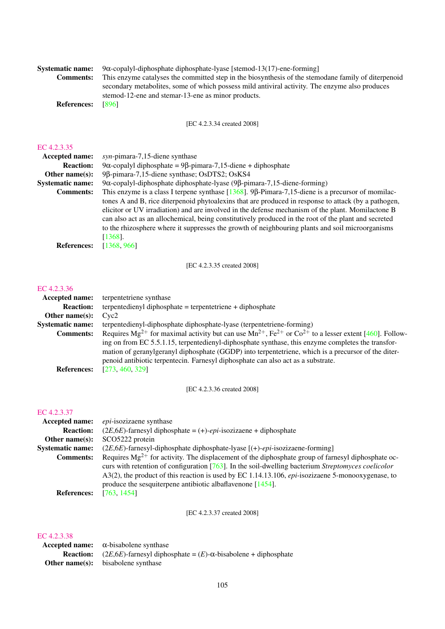| <b>Systematic name:</b><br><b>Comments:</b>                                                                                                     | $9\alpha$ -copalyl-diphosphate diphosphate-lyase [stemod-13(17)-ene-forming]<br>This enzyme catalyses the committed step in the biosynthesis of the stemodane family of diterpenoid<br>secondary metabolites, some of which possess mild antiviral activity. The enzyme also produces<br>stemod-12-ene and stemar-13-ene as minor products.                                                                                                                                                                                                                                                                                                                                                                                                                                                    |
|-------------------------------------------------------------------------------------------------------------------------------------------------|------------------------------------------------------------------------------------------------------------------------------------------------------------------------------------------------------------------------------------------------------------------------------------------------------------------------------------------------------------------------------------------------------------------------------------------------------------------------------------------------------------------------------------------------------------------------------------------------------------------------------------------------------------------------------------------------------------------------------------------------------------------------------------------------|
| <b>References:</b>                                                                                                                              | $[896]$                                                                                                                                                                                                                                                                                                                                                                                                                                                                                                                                                                                                                                                                                                                                                                                        |
|                                                                                                                                                 | [EC 4.2.3.34 created 2008]                                                                                                                                                                                                                                                                                                                                                                                                                                                                                                                                                                                                                                                                                                                                                                     |
| EC 4.2.3.35<br><b>Accepted name:</b><br><b>Reaction:</b><br>Other name(s):<br><b>Systematic name:</b><br><b>Comments:</b><br><b>References:</b> | syn-pimara-7,15-diene synthase<br>9α-copalyl diphosphate = 9β-pimara-7,15-diene + diphosphate<br>9β-pimara-7,15-diene synthase; OsDTS2; OsKS4<br>9α-copalyl-diphosphate diphosphate-lyase (9β-pimara-7,15-diene-forming)<br>This enzyme is a class I terpene synthase $[1368]$ . 9 $\beta$ -Pimara-7,15-diene is a precursor of momilac-<br>tones A and B, rice diterpenoid phytoalexins that are produced in response to attack (by a pathogen,<br>elicitor or UV irradiation) and are involved in the defense mechanism of the plant. Momilactone B<br>can also act as an allochemical, being constitutively produced in the root of the plant and secreted<br>to the rhizosphere where it suppresses the growth of neighbouring plants and soil microorganisms<br>$[1368]$ .<br>[1368, 966] |
|                                                                                                                                                 |                                                                                                                                                                                                                                                                                                                                                                                                                                                                                                                                                                                                                                                                                                                                                                                                |
|                                                                                                                                                 | [EC 4.2.3.35 created 2008]                                                                                                                                                                                                                                                                                                                                                                                                                                                                                                                                                                                                                                                                                                                                                                     |
| EC 4.2.3.36<br>Accepted name:<br><b>Reaction:</b><br>Other name(s):<br><b>Systematic name:</b><br><b>Comments:</b><br><b>References:</b>        | terpentetriene synthase<br>terpentedienyl diphosphate = terpentetriene + diphosphate<br>Cyc <sub>2</sub><br>terpentedienyl-diphosphate diphosphate-lyase (terpentetriene-forming)<br>Requires Mg <sup>2+</sup> for maximal activity but can use $Mn^{2+}$ , Fe <sup>2+</sup> or Co <sup>2+</sup> to a lesser extent [460]. Follow-<br>ing on from EC 5.5.1.15, terpentedienyl-diphosphate synthase, this enzyme completes the transfor-<br>mation of geranylgeranyl diphosphate (GGDP) into terpentetriene, which is a precursor of the diter-<br>penoid antibiotic terpentecin. Farnesyl diphosphate can also act as a substrate.<br>[273, 460, 329]                                                                                                                                          |
|                                                                                                                                                 | [EC 4.2.3.36 created 2008]                                                                                                                                                                                                                                                                                                                                                                                                                                                                                                                                                                                                                                                                                                                                                                     |
| EC 4.2.3.37<br>Accepted name:<br><b>Reaction:</b><br>Other name(s):<br><b>Systematic name:</b><br><b>Comments:</b><br><b>References:</b>        | epi-isozizaene synthase<br>$(2E, 6E)$ -farnesyl diphosphate = $(+)$ - <i>epi</i> -isozizaene + diphosphate<br>SCO5222 protein<br>(2E,6E)-farnesyl-diphosphate diphosphate-lyase [(+)-epi-isozizaene-forming]<br>Requires $Mg^{2+}$ for activity. The displacement of the diphosphate group of farnesyl diphosphate oc-<br>curs with retention of configuration $[763]$ . In the soil-dwelling bacterium <i>Streptomyces coelicolor</i><br>A3(2), the product of this reaction is used by EC 1.14.13.106, epi-isozizaene 5-monooxygenase, to<br>produce the sesquiterpene antibiotic albaflavenone $[1454]$ .<br>[763, 1454]                                                                                                                                                                    |
|                                                                                                                                                 | [EC 4.2.3.37 created 2008]                                                                                                                                                                                                                                                                                                                                                                                                                                                                                                                                                                                                                                                                                                                                                                     |
| EC 4.2.3.38                                                                                                                                     |                                                                                                                                                                                                                                                                                                                                                                                                                                                                                                                                                                                                                                                                                                                                                                                                |

### Accepted name: α-bisabolene synthase **Reaction:**  $(2E,6E)$ -farnesyl diphosphate =  $(E)$ - $\alpha$ -bisabolene + diphosphate Other name(s): bisabolene synthase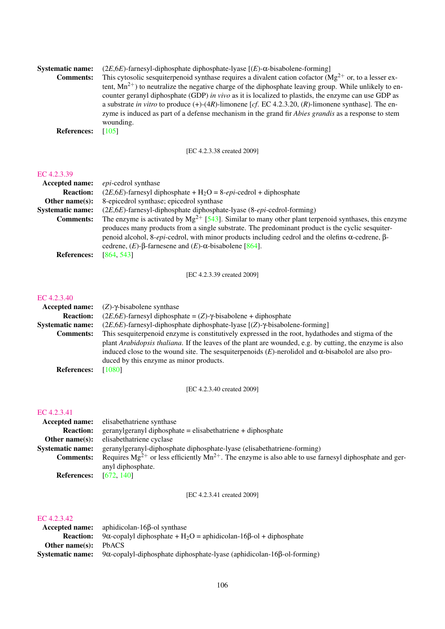| <b>Systematic name:</b><br><b>Comments:</b> | $(2E, 6E)$ -farnesyl-diphosphate diphosphate-lyase $[(E)$ - $\alpha$ -bisabolene-forming]<br>This cytosolic sesquiterpenoid synthase requires a divalent cation cofactor $(Mg^{2+})$ or, to a lesser ex-<br>tent, $Mn^{2+}$ ) to neutralize the negative charge of the diphosphate leaving group. While unlikely to en-<br>counter geranyl diphosphate (GDP) in vivo as it is localized to plastids, the enzyme can use GDP as<br>a substrate in vitro to produce $(+)$ - $(4R)$ -limonene [cf. EC 4.2.3.20, $(R)$ -limonene synthase]. The en-<br>zyme is induced as part of a defense mechanism in the grand fir <i>Abies grandis</i> as a response to stem<br>wounding. |
|---------------------------------------------|----------------------------------------------------------------------------------------------------------------------------------------------------------------------------------------------------------------------------------------------------------------------------------------------------------------------------------------------------------------------------------------------------------------------------------------------------------------------------------------------------------------------------------------------------------------------------------------------------------------------------------------------------------------------------|
| <b>References:</b>                          | [105]                                                                                                                                                                                                                                                                                                                                                                                                                                                                                                                                                                                                                                                                      |

[EC 4.2.3.38 created 2009]

#### [EC 4.2.3.39](http://www.enzyme-database.org/query.php?ec=4.2.3.39)

| <b>Accepted name:</b>   | <i>epi</i> -cedrol synthase                                                                                  |
|-------------------------|--------------------------------------------------------------------------------------------------------------|
| <b>Reaction:</b>        | $(2E, 6E)$ -farnesyl diphosphate + H <sub>2</sub> O = 8- <i>epi</i> -cedrol + diphosphate                    |
| Other name $(s)$ :      | 8-epicedrol synthase; epicedrol synthase                                                                     |
| <b>Systematic name:</b> | $(2E, 6E)$ -farnesyl-diphosphate diphosphate-lyase $(8-\epsilon p i - \text{cedrol-forming})$                |
| <b>Comments:</b>        | The enzyme is activated by $Mg^{2+}$ [543]. Similar to many other plant terpenoid synthases, this enzyme     |
|                         | produces many products from a single substrate. The predominant product is the cyclic sesquiter-             |
|                         | penoid alcohol, 8- <i>epi</i> -cedrol, with minor products including cedrol and the olefins α-cedrene, $β$ - |
|                         | cedrene, $(E)$ - $\beta$ -farnesene and $(E)$ - $\alpha$ -bisabolene [864].                                  |
| <b>References:</b>      | [864, 543]                                                                                                   |

[EC 4.2.3.39 created 2009]

#### [EC 4.2.3.40](http://www.enzyme-database.org/query.php?ec=4.2.3.40)

| Accepted name:          | $(Z)$ - $\gamma$ -bisabolene synthase                                                                           |
|-------------------------|-----------------------------------------------------------------------------------------------------------------|
| <b>Reaction:</b>        | $(2E, 6E)$ -farnesyl diphosphate = $(Z)$ - $\gamma$ -bisabolene + diphosphate                                   |
| <b>Systematic name:</b> | $(2E, 6E)$ -farnesyl-diphosphate diphosphate-lyase $[(Z)$ - $\gamma$ -bisabolene-forming]                       |
| <b>Comments:</b>        | This sesquiterpenoid enzyme is constitutively expressed in the root, hydathodes and stigma of the               |
|                         | plant <i>Arabidopsis thaliana</i> . If the leaves of the plant are wounded, e.g. by cutting, the enzyme is also |
|                         | induced close to the wound site. The sesquiterpenoids $(E)$ -nerolidol and $\alpha$ -bisabolol are also pro-    |
|                         | duced by this enzyme as minor products.                                                                         |
| <b>References:</b>      | [1080]                                                                                                          |
|                         |                                                                                                                 |

[EC 4.2.3.40 created 2009]

### [EC 4.2.3.41](http://www.enzyme-database.org/query.php?ec=4.2.3.41)

|                         | <b>Accepted name:</b> elisabethatriene synthase                                                                 |
|-------------------------|-----------------------------------------------------------------------------------------------------------------|
| <b>Reaction:</b>        | $gerany1$ diphosphate = elisabethatriene + diphosphate                                                          |
| Other name $(s)$ :      | elisabethatriene cyclase                                                                                        |
| <b>Systematic name:</b> | geranylgeranyl-diphosphate diphosphate-lyase (elisabethatriene-forming)                                         |
| <b>Comments:</b>        | Requires $Mg^{2+}$ or less efficiently $Mn^{2+}$ . The enzyme is also able to use farnesyl diphosphate and ger- |
|                         | anyl diphosphate.                                                                                               |
| $\sim$ $\sim$           | <b>FORA</b> 4.400                                                                                               |

**References:** [\[672,](#page-212-3) [140\]](#page-184-4)

[EC 4.2.3.41 created 2009]

| <b>Accepted name:</b>       | aphidicolan-16 $\beta$ -ol synthase                                                                            |
|-----------------------------|----------------------------------------------------------------------------------------------------------------|
|                             | <b>Reaction:</b> 9 $\alpha$ -copalyl diphosphate + H <sub>2</sub> O = aphidicolan-16 $\beta$ -ol + diphosphate |
| <b>Other name(s):</b> PbACS |                                                                                                                |
| <b>Systematic name:</b>     | $9\alpha$ -copalyl-diphosphate diphosphate-lyase (aphidicolan-16 $\beta$ -ol-forming)                          |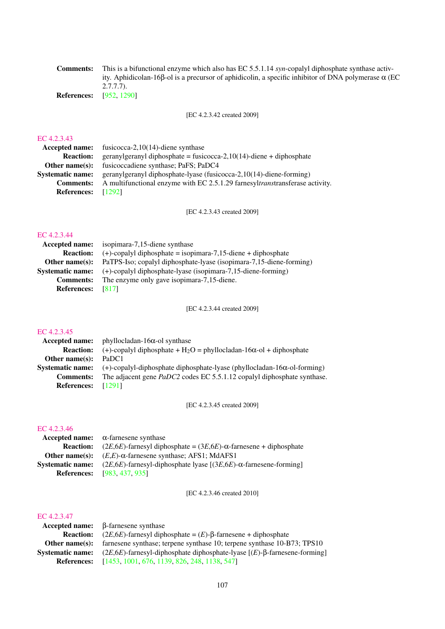Comments: This is a bifunctional enzyme which also has EC 5.5.1.14 *syn*-copalyl diphosphate synthase activity. Aphidicolan-16β-ol is a precursor of aphidicolin, a specific inhibitor of DNA polymerase α (EC 2.7.7.7).

References: [\[952,](#page-226-5) [1290\]](#page-244-2)

[EC 4.2.3.42 created 2009]

#### [EC 4.2.3.43](http://www.enzyme-database.org/query.php?ec=4.2.3.43)

| Accepted name: fusicocca-2,10(14)-diene synthase                             |
|------------------------------------------------------------------------------|
| geranylgeranyl diphosphate = fusicocca-2,10(14)-diene + diphosphate          |
| fusicoccadiene synthase; PaFS; PaDC4                                         |
| geranylgeranyl diphosphate-lyase (fusicocca-2,10(14)-diene-forming)          |
| A multifunctional enzyme with EC 2.5.1.29 farnesyltranstransferase activity. |
| <b>References:</b> [1292]                                                    |
|                                                                              |

[EC 4.2.3.43 created 2009]

### [EC 4.2.3.44](http://www.enzyme-database.org/query.php?ec=4.2.3.44)

| <b>Accepted name:</b>    | isopimara-7,15-diene synthase                                       |
|--------------------------|---------------------------------------------------------------------|
| <b>Reaction:</b>         | $(+)$ -copalyl diphosphate = isopimara-7,15-diene + diphosphate     |
| Other name $(s)$ :       | PaTPS-Iso; copalyl diphosphate-lyase (isopimara-7,15-diene-forming) |
| <b>Systematic name:</b>  | (+)-copalyl diphosphate-lyase (isopimara-7,15-diene-forming)        |
| <b>Comments:</b>         | The enzyme only gave isopimara-7,15-diene.                          |
| <b>References:</b> [817] |                                                                     |

[EC 4.2.3.44 created 2009]

#### [EC 4.2.3.45](http://www.enzyme-database.org/query.php?ec=4.2.3.45)

| Accepted name:          | phyllocladan-16 $\alpha$ -ol synthase                                               |
|-------------------------|-------------------------------------------------------------------------------------|
| <b>Reaction:</b>        | (+)-copalyl diphosphate + $H_2O$ = phyllocladan-16 $\alpha$ -ol + diphosphate       |
| Other name $(s)$ :      | PaDC1                                                                               |
| <b>Systematic name:</b> | $(+)$ -copalyl-diphosphate diphosphate-lyase (phyllocladan-16 $\alpha$ -ol-forming) |
| <b>Comments:</b>        | The adjacent gene PaDC2 codes EC 5.5.1.12 copalyl diphosphate synthase.             |
| References: [1291]      |                                                                                     |

[EC 4.2.3.45 created 2009]

#### [EC 4.2.3.46](http://www.enzyme-database.org/query.php?ec=4.2.3.46)

|                         | Accepted name: $\alpha$ -farnesene synthase                                       |
|-------------------------|-----------------------------------------------------------------------------------|
| <b>Reaction:</b>        | $(2E.6E)$ -farnesyl diphosphate = $(3E.6E)$ - $\alpha$ -farnesene + diphosphate   |
| Other name(s):          | $(E,E)$ - $\alpha$ -farnesene synthase; AFS1; MdAFS1                              |
| <b>Systematic name:</b> | $(2E, 6E)$ -farnesyl-diphosphate lyase $[(3E, 6E)$ - $\alpha$ -farnesene-forming] |
| <b>References:</b>      | [983, 437, 935]                                                                   |

[EC 4.2.3.46 created 2010]

|                         | $Accepted name: \beta$ -farnesene synthase                                             |
|-------------------------|----------------------------------------------------------------------------------------|
| <b>Reaction:</b>        | $(2E, 6E)$ -farnesyl diphosphate = $(E)$ - $\beta$ -farnesene + diphosphate            |
| Other name $(s)$ :      | farnesene synthase; terpene synthase 10; terpene synthase 10-B73; TPS10                |
| <b>Systematic name:</b> | $(2E, 6E)$ -farnesyl-diphosphate diphosphate-lyase $[(E)$ - $\beta$ -farnesene-forming |
| <b>References:</b>      | [1453, 1001, 676, 1139, 826, 248, 1138, 547]                                           |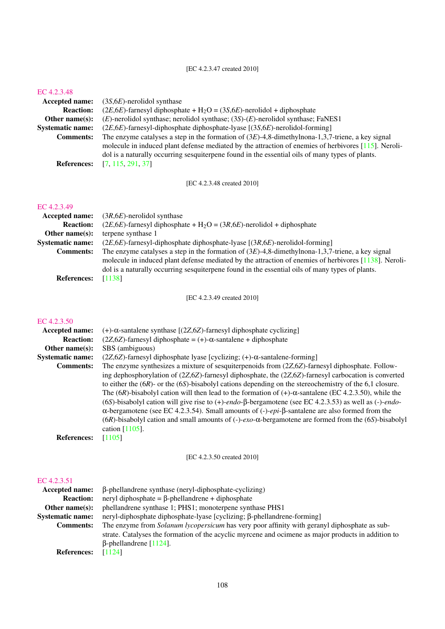#### [EC 4.2.3.48](http://www.enzyme-database.org/query.php?ec=4.2.3.48)

| <b>Accepted name:</b>   | $(3S, 6E)$ -nerolidol synthase                                                                          |
|-------------------------|---------------------------------------------------------------------------------------------------------|
| <b>Reaction:</b>        | $(2E, 6E)$ -farnesyl diphosphate + H <sub>2</sub> O = (3S, 6E)-nerolidol + diphosphate                  |
| Other name $(s)$ :      | $(E)$ -nerolidol synthase; nerolidol synthase; (3S)- $(E)$ -nerolidol synthase; FaNES1                  |
| <b>Systematic name:</b> | $(2E, 6E)$ -farnesyl-diphosphate diphosphate-lyase $[(3S, 6E)$ -nerolidol-forming]                      |
| <b>Comments:</b>        | The enzyme catalyses a step in the formation of $(3E)$ -4,8-dimethylnona-1,3,7-triene, a key signal     |
|                         | molecule in induced plant defense mediated by the attraction of enemies of herbivores $[115]$ . Neroli- |
|                         | dol is a naturally occurring sesquite pene found in the essential oils of many types of plants.         |
| <b>References:</b>      | [7, 115, 291, 37]                                                                                       |
|                         |                                                                                                         |

[EC 4.2.3.48 created 2010]

#### [EC 4.2.3.49](http://www.enzyme-database.org/query.php?ec=4.2.3.49)

| <b>Accepted name:</b>   | $(3R,6E)$ -nerolidol synthase                                                                         |
|-------------------------|-------------------------------------------------------------------------------------------------------|
| <b>Reaction:</b>        | $(2E, 6E)$ -farnesyl diphosphate + H <sub>2</sub> O = $(3R, 6E)$ -nerolidol + diphosphate             |
| Other name $(s)$ :      | terpene synthase 1                                                                                    |
| <b>Systematic name:</b> | $(2E, 6E)$ -farnesyl-diphosphate diphosphate-lyase $[(3R, 6E)$ -nerolidol-forming]                    |
| <b>Comments:</b>        | The enzyme catalyses a step in the formation of $(3E)$ -4,8-dimethylnona-1,3,7-triene, a key signal   |
|                         | molecule in induced plant defense mediated by the attraction of enemies of herbivores [1138]. Neroli- |
|                         | dol is a naturally occurring sesquite pene found in the essential oils of many types of plants.       |
| <b>References:</b>      | [1138]                                                                                                |

[EC 4.2.3.49 created 2010]

#### [EC 4.2.3.50](http://www.enzyme-database.org/query.php?ec=4.2.3.50)

| <b>Accepted name:</b>   | (+)- $\alpha$ -santalene synthase [(2Z,6Z)-farnesyl diphosphate cyclizing]                                                                                                                                                                                                                                                                                                                                                                                                                                                                                                                                                                                                                                                         |
|-------------------------|------------------------------------------------------------------------------------------------------------------------------------------------------------------------------------------------------------------------------------------------------------------------------------------------------------------------------------------------------------------------------------------------------------------------------------------------------------------------------------------------------------------------------------------------------------------------------------------------------------------------------------------------------------------------------------------------------------------------------------|
| <b>Reaction:</b>        | $(2Z, 6Z)$ -farnesyl diphosphate = $(+)$ - $\alpha$ -santalene + diphosphate                                                                                                                                                                                                                                                                                                                                                                                                                                                                                                                                                                                                                                                       |
| Other name $(s)$ :      | SBS (ambiguous)                                                                                                                                                                                                                                                                                                                                                                                                                                                                                                                                                                                                                                                                                                                    |
| <b>Systematic name:</b> | $(2Z, 6Z)$ -farnesyl diphosphate lyase [cyclizing; $(+)$ - $\alpha$ -santalene-forming]                                                                                                                                                                                                                                                                                                                                                                                                                                                                                                                                                                                                                                            |
| <b>Comments:</b>        | The enzyme synthesizes a mixture of sesquiter penology from $(2Z, 6Z)$ -farnesyl diphosphate. Follow-                                                                                                                                                                                                                                                                                                                                                                                                                                                                                                                                                                                                                              |
|                         | ing dephosphorylation of $(2Z, 6Z)$ -farnesyl diphosphate, the $(2Z, 6Z)$ -farnesyl carbocation is converted<br>to either the $(6R)$ - or the $(6S)$ -bisabolyl cations depending on the stereochemistry of the 6,1 closure.<br>The (6R)-bisabolyl cation will then lead to the formation of $(+)$ - $\alpha$ -santalene (EC 4.2.3.50), while the<br>(6S)-bisabolyl cation will give rise to $(+)$ -endo- $\beta$ -bergamotene (see EC 4.2.3.53) as well as $(-)$ -endo-<br>$\alpha$ -bergamotene (see EC 4.2.3.54). Small amounts of (-)-epi- $\beta$ -santalene are also formed from the<br>(6R)-bisabolyl cation and small amounts of $(-)$ -exo- $\alpha$ -bergamotene are formed from the (6S)-bisabolyl<br>cation $[1105]$ . |
| <b>References:</b>      | [1105]                                                                                                                                                                                                                                                                                                                                                                                                                                                                                                                                                                                                                                                                                                                             |
|                         |                                                                                                                                                                                                                                                                                                                                                                                                                                                                                                                                                                                                                                                                                                                                    |

# [EC 4.2.3.50 created 2010]

| Accepted name:          | $\beta$ -phellandrene synthase (neryl-diphosphate-cyclizing)                                        |
|-------------------------|-----------------------------------------------------------------------------------------------------|
| <b>Reaction:</b>        | neryl diphosphate = $\beta$ -phellandrene + diphosphate                                             |
| Other name $(s)$ :      | phellandrene synthase 1; PHS1; monoterpene synthase PHS1                                            |
| <b>Systematic name:</b> | neryl-diphosphate diphosphate-lyase [cyclizing; β-phellandrene-forming]                             |
| <b>Comments:</b>        | The enzyme from <i>Solanum lycopersicum</i> has very poor affinity with geranyl diphosphate as sub- |
|                         | strate. Catalyses the formation of the acyclic myrcene and ocimene as major products in addition to |
|                         | $\beta$ -phellandrene [1124].                                                                       |
| <b>References:</b>      | [1124]                                                                                              |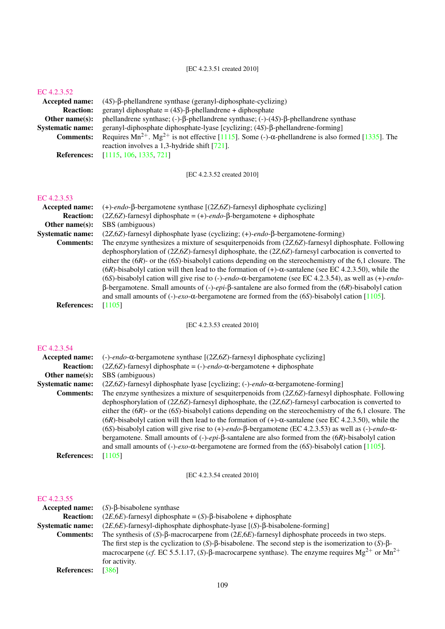| Accepted name:          | $(4S)$ - $\beta$ -phellandrene synthase (geranyl-diphosphate-cyclizing)                                             |
|-------------------------|---------------------------------------------------------------------------------------------------------------------|
| <b>Reaction:</b>        | geranyl diphosphate = $(4S)$ - $\beta$ -phellandrene + diphosphate                                                  |
| Other name $(s)$ :      | phellandrene synthase; $(-)$ - $\beta$ -phellandrene synthase; $(-)$ - $(4S)$ - $\beta$ -phellandrene synthase      |
| <b>Systematic name:</b> | geranyl-diphosphate diphosphate-lyase [cyclizing; (4S)-β-phellandrene-forming]                                      |
| <b>Comments:</b>        | Requires $Mn^{2+}$ . $Mg^{2+}$ is not effective [1115]. Some (-)- $\alpha$ -phellandrene is also formed [1335]. The |
|                         | reaction involves a 1,3-hydride shift $[721]$ .                                                                     |
| <b>References:</b>      | [1115, 106, 1335, 721]                                                                                              |

[EC 4.2.3.52 created 2010]

## [EC 4.2.3.53](http://www.enzyme-database.org/query.php?ec=4.2.3.53)

| <b>Accepted name:</b>   | (+)-endo- $\beta$ -bergamotene synthase [(2Z,6Z)-farnesyl diphosphate cyclizing]                                      |
|-------------------------|-----------------------------------------------------------------------------------------------------------------------|
| <b>Reaction:</b>        | $(2Z, 6Z)$ -farnesyl diphosphate = $(+)$ -endo- $\beta$ -bergamotene + diphosphate                                    |
| Other name $(s)$ :      | SBS (ambiguous)                                                                                                       |
| <b>Systematic name:</b> | (2Z,6Z)-farnesyl diphosphate lyase (cyclizing; (+)-endo-β-bergamotene-forming)                                        |
| <b>Comments:</b>        | The enzyme synthesizes a mixture of sesquiter penology from $(2Z, 6Z)$ -farnesyl diphosphate. Following               |
|                         | dephosphorylation of $(2Z, 6Z)$ -farnesyl diphosphate, the $(2Z, 6Z)$ -farnesyl carbocation is converted to           |
|                         | either the $(6R)$ - or the $(6S)$ -bisabolyl cations depending on the stereochemistry of the 6,1 closure. The         |
|                         | $(6R)$ -bisabolyl cation will then lead to the formation of $(+)$ - $\alpha$ -santalene (see EC 4.2.3.50), while the  |
|                         | (6S)-bisabolyl cation will give rise to $(-)$ -endo- $\alpha$ -bergamotene (see EC 4.2.3.54), as well as $(+)$ -endo- |
|                         | $\beta$ -bergamotene. Small amounts of (-)-epi- $\beta$ -santalene are also formed from the (6R)-bisabolyl cation     |
|                         | and small amounts of (-)-exo- $\alpha$ -bergamotene are formed from the (6S)-bisabolyl cation [1105].                 |
| <b>References:</b>      | [1105]                                                                                                                |

[EC 4.2.3.53 created 2010]

## [EC 4.2.3.54](http://www.enzyme-database.org/query.php?ec=4.2.3.54)

| <b>Accepted name:</b>   | $(-)$ -endo-α-bergamotene synthase [(2Z,6Z)-farnesyl diphosphate cyclizing]                                          |
|-------------------------|----------------------------------------------------------------------------------------------------------------------|
| <b>Reaction:</b>        | $(2Z, 6Z)$ -farnesyl diphosphate = (-)- <i>endo</i> - $\alpha$ -bergamotene + diphosphate                            |
| Other name $(s)$ :      | SBS (ambiguous)                                                                                                      |
| <b>Systematic name:</b> | $(2Z, 6Z)$ -farnesyl diphosphate lyase [cyclizing; (-)-endo- $\alpha$ -bergamotene-forming]                          |
| <b>Comments:</b>        | The enzyme synthesizes a mixture of sesquiterpenoids from (2Z,6Z)-farnesyl diphosphate. Following                    |
|                         | dephosphorylation of $(2Z, 6Z)$ -farnesyl diphosphate, the $(2Z, 6Z)$ -farnesyl carbocation is converted to          |
|                         | either the $(6R)$ - or the $(6S)$ -bisabolyl cations depending on the stereochemistry of the 6,1 closure. The        |
|                         | $(6R)$ -bisabolyl cation will then lead to the formation of $(+)$ - $\alpha$ -santalene (see EC 4.2.3.50), while the |
|                         | (6S)-bisabolyl cation will give rise to (+)-endo- $\beta$ -bergamotene (EC 4.2.3.53) as well as (-)-endo- $\alpha$ - |
|                         | bergamotene. Small amounts of $(-)$ -epi- $\beta$ -santalene are also formed from the $(6R)$ -bisabolyl cation       |
|                         | and small amounts of (-)-exo- $\alpha$ -bergamotene are formed from the (6S)-bisabolyl cation [1105].                |
| <b>References:</b>      | [1105]                                                                                                               |

[EC 4.2.3.54 created 2010]

| <b>Accepted name:</b>   | $(S)$ - $\beta$ -bisabolene synthase                                                                                                                                                                                                                            |
|-------------------------|-----------------------------------------------------------------------------------------------------------------------------------------------------------------------------------------------------------------------------------------------------------------|
| <b>Reaction:</b>        | $(2E, 6E)$ -farnesyl diphosphate = $(S)$ - $\beta$ -bisabolene + diphosphate                                                                                                                                                                                    |
| <b>Systematic name:</b> | $(2E, 6E)$ -farnesyl-diphosphate diphosphate-lyase $[(S)$ - $\beta$ -bisabolene-forming                                                                                                                                                                         |
| <b>Comments:</b>        | The synthesis of $(S)$ - $\beta$ -macrocarpene from $(2E, 6E)$ -farnesyl diphosphate proceeds in two steps.                                                                                                                                                     |
|                         | The first step is the cyclization to $(S)$ - $\beta$ -bisabolene. The second step is the isomerization to $(S)$ - $\beta$ -<br>macrocarpene (cf. EC 5.5.1.17, (S)- $\beta$ -macrocarpene synthase). The enzyme requires $Mg^{2+}$ or $Mn^{2+}$<br>for activity. |
| <b>References:</b>      | [386]                                                                                                                                                                                                                                                           |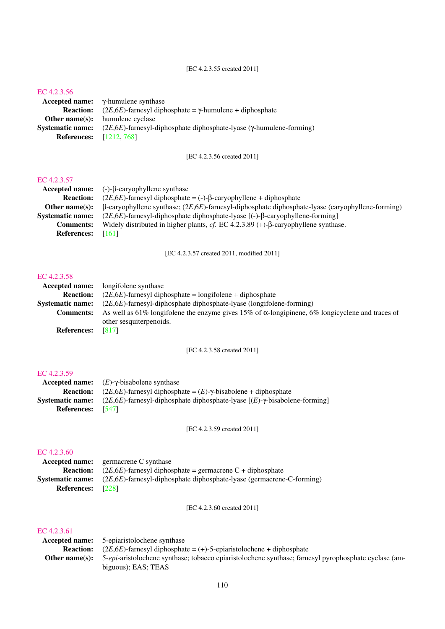#### [EC 4.2.3.55 created 2011]

#### [EC 4.2.3.56](http://www.enzyme-database.org/query.php?ec=4.2.3.56)

|                                | Accepted name: $\gamma$ -humulene synthase                                       |
|--------------------------------|----------------------------------------------------------------------------------|
| <b>Reaction:</b>               | $(2E, 6E)$ -farnesyl diphosphate = $\gamma$ -humulene + diphosphate              |
|                                | <b>Other name(s):</b> humulene cyclase                                           |
| <b>Systematic name:</b>        | $(2E, 6E)$ -farnesyl-diphosphate diphosphate-lyase ( $\gamma$ -humulene-forming) |
| <b>References:</b> [1212, 768] |                                                                                  |

[EC 4.2.3.56 created 2011]

#### [EC 4.2.3.57](http://www.enzyme-database.org/query.php?ec=4.2.3.57)

|                         | Accepted name: $(-)-\beta$ -caryophyllene synthase                                                      |
|-------------------------|---------------------------------------------------------------------------------------------------------|
| <b>Reaction:</b>        | $(2E, 6E)$ -farnesyl diphosphate = (-)- $\beta$ -caryophyllene + diphosphate                            |
| Other name $(s)$ :      | $\beta$ -caryophyllene synthase; (2E,6E)-farnesyl-diphosphate diphosphate-lyase (caryophyllene-forming) |
| <b>Systematic name:</b> | $(2E, 6E)$ -farnesyl-diphosphate diphosphate-lyase [(-)-β-caryophyllene-forming]                        |
| <b>Comments:</b>        | Widely distributed in higher plants, cf. EC 4.2.3.89 (+)- $\beta$ -caryophyllene synthase.              |
| <b>References:</b>      | [161]                                                                                                   |
|                         |                                                                                                         |

[EC 4.2.3.57 created 2011, modified 2011]

#### [EC 4.2.3.58](http://www.enzyme-database.org/query.php?ec=4.2.3.58)

| longifolene synthase                                                                                    |
|---------------------------------------------------------------------------------------------------------|
| $(2E.6E)$ -farnesyl diphosphate = longifolene + diphosphate                                             |
| $(2E, 6E)$ -farnesyl-diphosphate diphosphate-lyase (longifolene-forming)                                |
| As well as 61% longifolene the enzyme gives 15% of $\alpha$ -longipinene, 6% longicyclene and traces of |
| other sesquiterpenoids.                                                                                 |
| [817]                                                                                                   |
|                                                                                                         |

[EC 4.2.3.58 created 2011]

#### [EC 4.2.3.59](http://www.enzyme-database.org/query.php?ec=4.2.3.59)

| <b>Systematic name:</b> $(2E.6E)$ -farnesyl-diphosphate diphosphate-lyase $[(E)$ - $\gamma$ -bisabolene-forming |
|-----------------------------------------------------------------------------------------------------------------|
|                                                                                                                 |
|                                                                                                                 |

[EC 4.2.3.59 created 2011]

## [EC 4.2.3.60](http://www.enzyme-database.org/query.php?ec=4.2.3.60)

|                          | <b>Accepted name:</b> germacrene C synthase                                   |
|--------------------------|-------------------------------------------------------------------------------|
|                          | <b>Reaction:</b> $(2E.6E)$ -farnesyl diphosphate = germacrene C + diphosphate |
| <b>Systematic name:</b>  | $(2E, 6E)$ -farnesyl-diphosphate diphosphate-lyase (germacrene-C-forming)     |
| <b>References:</b> [228] |                                                                               |

[EC 4.2.3.60 created 2011]

| <b>Accepted name:</b> 5-epiaristolochene synthase                                                                   |
|---------------------------------------------------------------------------------------------------------------------|
| <b>Reaction:</b> $(2E, 6E)$ -farnesyl diphosphate = $(+)$ -5-epiaristolochene + diphosphate                         |
| Other name(s): 5-epi-aristolochene synthase; tobacco epiaristolochene synthase; farnesyl pyrophosphate cyclase (am- |
| biguous); EAS; TEAS                                                                                                 |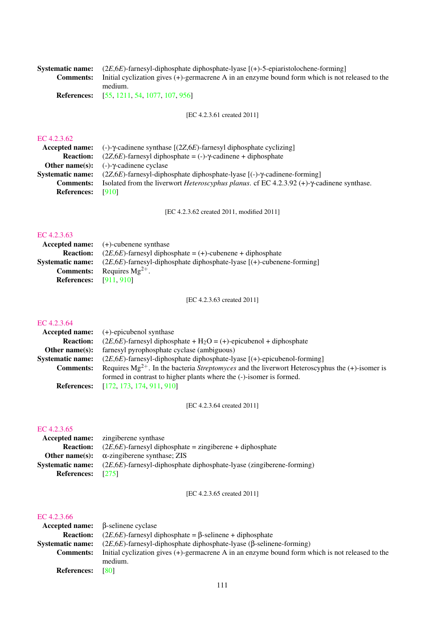| <b>Systematic name:</b> $(2E, 6E)$ -farnesyl-diphosphate diphosphate-lyase $[(+)$ -5-epiaristolochene-forming    |
|------------------------------------------------------------------------------------------------------------------|
| <b>Comments:</b> Initial cyclization gives (+)-germacrene A in an enzyme bound form which is not released to the |
| medium.                                                                                                          |
| <b>References:</b> [55, 1211, 54, 1077, 107, 956]                                                                |

[EC 4.2.3.61 created 2011]

#### [EC 4.2.3.62](http://www.enzyme-database.org/query.php?ec=4.2.3.62)

| Accepted name:          | $(-)$ -γ-cadinene synthase [(2 <i>Z</i> , 6 <i>E</i> )-farnesyl diphosphate cyclizing]                     |
|-------------------------|------------------------------------------------------------------------------------------------------------|
| <b>Reaction:</b>        | $(2Z, 6E)$ -farnesyl diphosphate = (-)- $\gamma$ -cadinene + diphosphate                                   |
|                         | <b>Other name(s):</b> $(-)-\gamma$ -cadinene cyclase                                                       |
| <b>Systematic name:</b> | $(2Z, 6E)$ -farnesyl-diphosphate diphosphate-lyase $[(-)$ - $\gamma$ -cadinene-forming                     |
| <b>Comments:</b>        | Isolated from the liverwort <i>Heteroscyphus planus</i> . cf EC 4.2.3.92 (+)- $\gamma$ -cadinene synthase. |
| <b>References:</b>      | [910]                                                                                                      |

[EC 4.2.3.62 created 2011, modified 2011]

## [EC 4.2.3.63](http://www.enzyme-database.org/query.php?ec=4.2.3.63)

|                               | <b>Accepted name:</b> $(+)$ -cubenene synthase                                                  |
|-------------------------------|-------------------------------------------------------------------------------------------------|
| <b>Reaction:</b>              | $(2E.6E)$ -farnesyl diphosphate = (+)-cubenene + diphosphate                                    |
|                               | <b>Systematic name:</b> (2E,6E)-farnesyl-diphosphate diphosphate-lyase $[(+)$ -cubenene-forming |
|                               | <b>Comments:</b> Requires $Mg^{2+}$ .                                                           |
| <b>References:</b> [911, 910] |                                                                                                 |

[EC 4.2.3.63 created 2011]

#### [EC 4.2.3.64](http://www.enzyme-database.org/query.php?ec=4.2.3.64)

|                         | Accepted name: $(+)$ -epicubenol synthase                                                                  |
|-------------------------|------------------------------------------------------------------------------------------------------------|
| <b>Reaction:</b>        | $(2E, 6E)$ -farnesyl diphosphate + H <sub>2</sub> O = (+)-epicubenol + diphosphate                         |
| Other name $(s)$ :      | farnesyl pyrophosphate cyclase (ambiguous)                                                                 |
| <b>Systematic name:</b> | $(2E, 6E)$ -farnesyl-diphosphate diphosphate-lyase $[(+)$ -epicubenol-forming]                             |
| <b>Comments:</b>        | Requires $Mg^{2+}$ . In the bacteria <i>Streptomyces</i> and the liverwort Heteroscyphus the (+)-isomer is |
|                         | formed in contrast to higher plants where the (-)-isomer is formed.                                        |
|                         | <b>References:</b> [172, 173, 174, 911, 910]                                                               |

[EC 4.2.3.64 created 2011]

#### [EC 4.2.3.65](http://www.enzyme-database.org/query.php?ec=4.2.3.65)

|                         | <b>Accepted name:</b> zingiberene synthase                               |
|-------------------------|--------------------------------------------------------------------------|
| <b>Reaction:</b>        | $(2E, 6E)$ -farnesyl diphosphate = zingiberene + diphosphate             |
| Other name $(s)$ :      | $\alpha$ -zingiberene synthase; ZIS                                      |
| <b>Systematic name:</b> | $(2E, 6E)$ -farnesyl-diphosphate diphosphate-lyase (zingiberene-forming) |
| <b>References:</b>      | [275]                                                                    |

[EC 4.2.3.65 created 2011]

|                    | $Accepted name: \beta$ -selinene cyclase                                                           |
|--------------------|----------------------------------------------------------------------------------------------------|
| <b>Reaction:</b>   | $(2E, 6E)$ -farnesyl diphosphate = $\beta$ -selinene + diphosphate                                 |
| Systematic name:   | $(2E, 6E)$ -farnesyl-diphosphate diphosphate-lyase ( $\beta$ -selinene-forming)                    |
| <b>Comments:</b>   | Initial cyclization gives $(+)$ -germacrene A in an enzyme bound form which is not released to the |
|                    | medium.                                                                                            |
| <b>References:</b> | <b>1801</b>                                                                                        |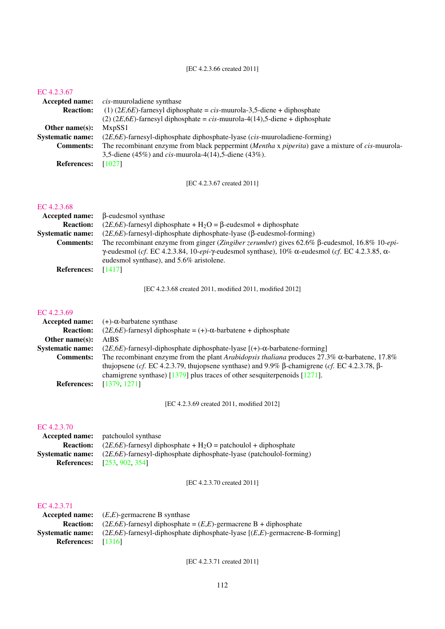| <b>Accepted name:</b>   | <i>cis</i> -muuroladiene synthase                                                               |
|-------------------------|-------------------------------------------------------------------------------------------------|
| <b>Reaction:</b>        | $(1)$ (2E,6E)-farnesyl diphosphate = cis-muurola-3,5-diene + diphosphate                        |
|                         | $(2)$ (2E,6E)-farnesyl diphosphate = cis-muurola-4(14),5-diene + diphosphate                    |
| Other name $(s)$ :      | MxpSS1                                                                                          |
| <b>Systematic name:</b> | $(2E, 6E)$ -farnesyl-diphosphate diphosphate-lyase ( <i>cis</i> -muuroladiene-forming)          |
| <b>Comments:</b>        | The recombinant enzyme from black peppermint (Mentha x piperita) gave a mixture of cis-muurola- |
|                         | 3,5-diene (45%) and <i>cis</i> -muurola-4(14),5-diene (43%).                                    |
| <b>References:</b>      | [1027]                                                                                          |

[EC 4.2.3.67 created 2011]

#### [EC 4.2.3.68](http://www.enzyme-database.org/query.php?ec=4.2.3.68)

|                         | Accepted name: $\beta$ -eudesmol synthase                                                                                      |
|-------------------------|--------------------------------------------------------------------------------------------------------------------------------|
| <b>Reaction:</b>        | $(2E, 6E)$ -farnesyl diphosphate + H <sub>2</sub> O = $\beta$ -eudesmol + diphosphate                                          |
| <b>Systematic name:</b> | $(2E, 6E)$ -farnesyl-diphosphate diphosphate-lyase ( $\beta$ -eudesmol-forming)                                                |
| <b>Comments:</b>        | The recombinant enzyme from ginger (Zingiber zerumbet) gives $62.6\%$ B-eudesmol, $16.8\%$ 10-epi-                             |
|                         | $\gamma$ -eudesmol (cf. EC 4.2.3.84, 10-epi- $\gamma$ -eudesmol synthase), 10% $\alpha$ -eudesmol (cf. EC 4.2.3.85, $\alpha$ - |
|                         | eudesmol synthase), and 5.6% aristolene.                                                                                       |
| <b>References:</b>      | [1417]                                                                                                                         |

[EC 4.2.3.68 created 2011, modified 2011, modified 2012]

#### [EC 4.2.3.69](http://www.enzyme-database.org/query.php?ec=4.2.3.69)

| <b>Accepted name:</b>   | $(+)$ - $\alpha$ -barbatene synthase                                                                          |
|-------------------------|---------------------------------------------------------------------------------------------------------------|
| <b>Reaction:</b>        | $(2E, 6E)$ -farnesyl diphosphate = (+)- $\alpha$ -barbatene + diphosphate                                     |
| Other name $(s)$ :      | <b>AtBS</b>                                                                                                   |
| <b>Systematic name:</b> | $(2E, 6E)$ -farnesyl-diphosphate diphosphate-lyase [(+)- $\alpha$ -barbatene-forming]                         |
| <b>Comments:</b>        | The recombinant enzyme from the plant Arabidopsis thaliana produces $27.3\%$ $\alpha$ -barbatene, 17.8%       |
|                         | thujopsene (cf. EC 4.2.3.79, thujopsene synthase) and $9.9\%$ $\beta$ -chamigrene (cf. EC 4.2.3.78, $\beta$ - |
|                         | chamigrene synthase) [ $1379$ ] plus traces of other sesquiterpenoids [ $1271$ ].                             |
| <b>References:</b>      | [1379, 1271]                                                                                                  |

[EC 4.2.3.69 created 2011, modified 2012]

#### [EC 4.2.3.70](http://www.enzyme-database.org/query.php?ec=4.2.3.70)

| <b>Accepted name:</b> | patchoulol synthase                                                           |
|-----------------------|-------------------------------------------------------------------------------|
| <b>Reaction:</b>      | $(2E.6E)$ -farnesyl diphosphate + H <sub>2</sub> O = patchoulol + diphosphate |
| Systematic name:      | $(2E, 6E)$ -farnesyl-diphosphate diphosphate-lyase (patchoulol-forming)       |
|                       | <b>References:</b> [253, 902, 354]                                            |

[EC 4.2.3.70 created 2011]

### [EC 4.2.3.71](http://www.enzyme-database.org/query.php?ec=4.2.3.71)

|                             | <b>Accepted name:</b> $(E,E)$ -germacrene B synthase                                                                 |
|-----------------------------|----------------------------------------------------------------------------------------------------------------------|
|                             | <b>Reaction:</b> (2 <i>E</i> ,6 <i>E</i> )-farnesyl diphosphate = ( <i>E</i> , <i>E</i> )-germacrene B + diphosphate |
|                             | <b>Systematic name:</b> $(2E,6E)$ -farnesyl-diphosphate diphosphate-lyase $[(E,E)$ -germacrene-B-forming             |
| <b>References:</b> $[1316]$ |                                                                                                                      |

[EC 4.2.3.71 created 2011]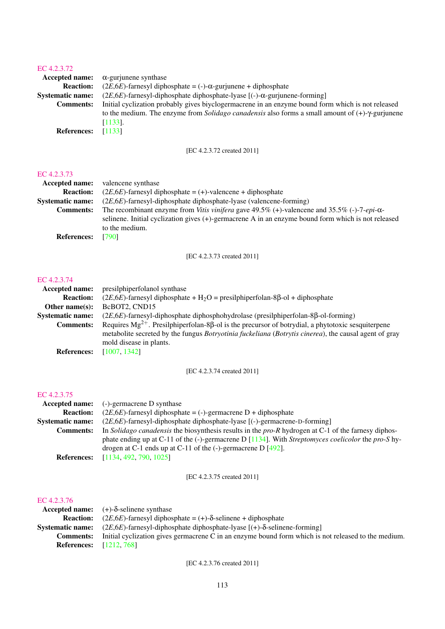| $\alpha$ -gurjunene synthase<br>Accepted name:                                                                        |  |
|-----------------------------------------------------------------------------------------------------------------------|--|
| $(2E, 6E)$ -farnesyl diphosphate = (-)- $\alpha$ -gurjunene + diphosphate<br><b>Reaction:</b>                         |  |
| $(2E, 6E)$ -farnesyl-diphosphate diphosphate-lyase $[(-)-\alpha$ -gurjunene-forming<br><b>Systematic name:</b>        |  |
| Initial cyclization probably gives biyclogermacrene in an enzyme bound form which is not released<br><b>Comments:</b> |  |
| to the medium. The enzyme from <i>Solidago canadensis</i> also forms a small amount of $(+)$ - $\gamma$ -gurjunene    |  |
| $[1133]$ .                                                                                                            |  |
| [1133]<br><b>References:</b>                                                                                          |  |

[EC 4.2.3.72 created 2011]

#### [EC 4.2.3.73](http://www.enzyme-database.org/query.php?ec=4.2.3.73)

| <b>Accepted name:</b>   | valencene synthase                                                                                                  |
|-------------------------|---------------------------------------------------------------------------------------------------------------------|
| <b>Reaction:</b>        | $(2E, 6E)$ -farnesyl diphosphate = (+)-valencene + diphosphate                                                      |
| <b>Systematic name:</b> | $(2E, 6E)$ -farnesyl-diphosphate diphosphate-lyase (valencene-forming)                                              |
| <b>Comments:</b>        | The recombinant enzyme from <i>Vitis vinifera</i> gave 49.5% (+)-valencene and 35.5% (-)-7- <i>epi</i> - $\alpha$ - |
|                         | selinene. Initial cyclization gives $(+)$ -germacrene A in an enzyme bound form which is not released               |
|                         | to the medium.                                                                                                      |
| <b>References:</b>      | [790]                                                                                                               |

[EC 4.2.3.73 created 2011]

## [EC 4.2.3.74](http://www.enzyme-database.org/query.php?ec=4.2.3.74)

| Accepted name:          | presilphiperfolanol synthase                                                                                   |
|-------------------------|----------------------------------------------------------------------------------------------------------------|
| <b>Reaction:</b>        | $(2E, 6E)$ -farnesyl diphosphate + H <sub>2</sub> O = presilphiperfolan-8 $\beta$ -ol + diphosphate            |
| Other name $(s)$ :      | BcBOT2, CND15                                                                                                  |
| <b>Systematic name:</b> | $(2E,6E)$ -farnesyl-diphosphate diphosphohydrolase (presilphiperfolan-8 $\beta$ -ol-forming)                   |
| <b>Comments:</b>        | Requires $Mg^{2+}$ . Presilphiperfolan-8 $\beta$ -ol is the precursor of botrydial, a phytotoxic sesquiterpene |
|                         | metabolite secreted by the fungus <i>Botryotinia fuckeliana (Botrytis cinerea)</i> , the causal agent of gray  |
|                         | mold disease in plants.                                                                                        |
| <b>References:</b>      | [1007, 1342]                                                                                                   |

[EC 4.2.3.74 created 2011]

#### [EC 4.2.3.75](http://www.enzyme-database.org/query.php?ec=4.2.3.75)

| Accepted name:          | $(-)$ -germacrene D synthase                                                                                        |
|-------------------------|---------------------------------------------------------------------------------------------------------------------|
| <b>Reaction:</b>        | $(2E, 6E)$ -farnesyl diphosphate = (-)-germacrene D + diphosphate                                                   |
| <b>Systematic name:</b> | $(2E, 6E)$ -farnesyl-diphosphate diphosphate-lyase $[(-)$ -germacrene-D-forming                                     |
| <b>Comments:</b>        | In Solidago canadensis the biosynthesis results in the $pro-R$ hydrogen at C-1 of the farnesy diphos-               |
|                         | phate ending up at C-11 of the $(-)$ -germacrene D [1134]. With <i>Streptomyces coelicolor</i> the <i>pro-S</i> hy- |
|                         | drogen at C-1 ends up at C-11 of the $(-)$ -germacrene D [492].                                                     |
| <b>References:</b>      | [1134, 492, 790, 1025]                                                                                              |

[EC 4.2.3.75 created 2011]

## [EC 4.2.3.76](http://www.enzyme-database.org/query.php?ec=4.2.3.76)

|                                | Accepted name: $(+)-\delta$ -selinene synthase                                                                       |
|--------------------------------|----------------------------------------------------------------------------------------------------------------------|
| <b>Reaction:</b>               | $(2E, 6E)$ -farnesyl diphosphate = (+)- $\delta$ -selinene + diphosphate                                             |
|                                | <b>Systematic name:</b> $(2E, 6E)$ -farnesyl-diphosphate diphosphate-lyase $[ (+)-\delta$ -selinene-forming          |
|                                | <b>Comments:</b> Initial cyclization gives germacrene C in an enzyme bound form which is not released to the medium. |
| <b>References:</b> [1212, 768] |                                                                                                                      |

[EC 4.2.3.76 created 2011]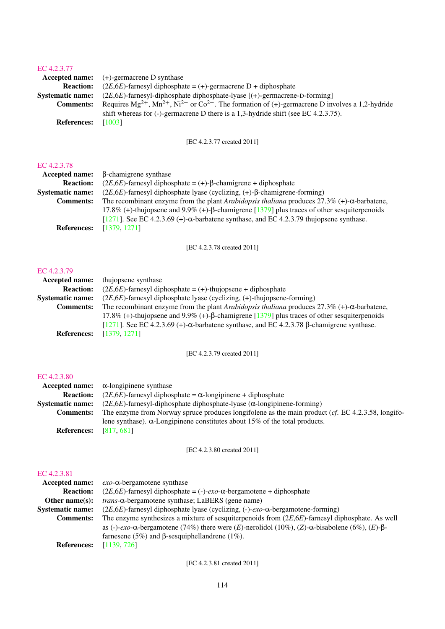| EC 4.2.3.77             |                                                                                                                    |
|-------------------------|--------------------------------------------------------------------------------------------------------------------|
|                         | <b>Accepted name:</b> $(+)$ -germacrene D synthase                                                                 |
| <b>Reaction:</b>        | $(2E, 6E)$ -farnesyl diphosphate = (+)-germacrene D + diphosphate                                                  |
| <b>Systematic name:</b> | $(2E, 6E)$ -farnesyl-diphosphate diphosphate-lyase $[(+)$ -germacrene-D-forming                                    |
| <b>Comments:</b>        | Requires $Mg^{2+}$ , $Mn^{2+}$ , $Ni^{2+}$ or $Co^{2+}$ . The formation of (+)-germacrene D involves a 1,2-hydride |
|                         | shift whereas for $(-)$ -germacrene D there is a 1,3-hydride shift (see EC 4.2.3.75).                              |
| <b>References:</b>      | [1003]                                                                                                             |
|                         |                                                                                                                    |

[EC 4.2.3.77 created 2011]

#### [EC 4.2.3.78](http://www.enzyme-database.org/query.php?ec=4.2.3.78)

| Accepted name:          | $\beta$ -chamigrene synthase                                                                           |
|-------------------------|--------------------------------------------------------------------------------------------------------|
| <b>Reaction:</b>        | $(2E, 6E)$ -farnesyl diphosphate = (+)- $\beta$ -chamigrene + diphosphate                              |
| <b>Systematic name:</b> | $(2E, 6E)$ -farnesyl diphosphate lyase (cyclizing, $(+)$ - $\beta$ -chamigrene-forming)                |
| <b>Comments:</b>        | The recombinant enzyme from the plant Arabidopsis thaliana produces $27.3\%$ (+)- $\alpha$ -barbatene, |
|                         | 17.8% (+)-thujopsene and 9.9% (+)- $\beta$ -chamigrene [1379] plus traces of other sesquiterpenoids    |
|                         | [ $1271$ ]. See EC 4.2.3.69 (+)- $\alpha$ -barbatene synthase, and EC 4.2.3.79 thujopsene synthase.    |
| <b>References:</b>      | [1379, 1271]                                                                                           |
|                         |                                                                                                        |

[EC 4.2.3.78 created 2011]

#### [EC 4.2.3.79](http://www.enzyme-database.org/query.php?ec=4.2.3.79)

| Accepted name:          | thujopsene synthase                                                                                      |
|-------------------------|----------------------------------------------------------------------------------------------------------|
| <b>Reaction:</b>        | $(2E, 6E)$ -farnesyl diphosphate = (+)-thujopsene + diphosphate                                          |
| <b>Systematic name:</b> | $(2E, 6E)$ -farnesyl diphosphate lyase (cyclizing, $(+)$ -thujopsene-forming)                            |
| <b>Comments:</b>        | The recombinant enzyme from the plant Arabidopsis thaliana produces $27.3\%$ (+)- $\alpha$ -barbatene,   |
|                         | 17.8% (+)-thujopsene and 9.9% (+)- $\beta$ -chamigrene [1379] plus traces of other sesquiterpenoids      |
|                         | [1271]. See EC 4.2.3.69 (+)- $\alpha$ -barbatene synthase, and EC 4.2.3.78 $\beta$ -chamigrene synthase. |
| <b>References:</b>      | [1379, 1271]                                                                                             |

[EC 4.2.3.79 created 2011]

## [EC 4.2.3.80](http://www.enzyme-database.org/query.php?ec=4.2.3.80)

|                         | Accepted name: $\alpha$ -longipinene synthase                                                        |
|-------------------------|------------------------------------------------------------------------------------------------------|
| <b>Reaction:</b>        | $(2E, 6E)$ -farnesyl diphosphate = $\alpha$ -longipinene + diphosphate                               |
| <b>Systematic name:</b> | $(2E, 6E)$ -farnesyl-diphosphate diphosphate-lyase $(\alpha$ -longipinene-forming)                   |
| <b>Comments:</b>        | The enzyme from Norway spruce produces longifolene as the main product ( $cf.$ EC 4.2.3.58, longifo- |
|                         | lene synthase). $\alpha$ -Longipinene constitutes about 15% of the total products.                   |
| <b>References:</b>      | [817, 681]                                                                                           |

[EC 4.2.3.80 created 2011]

## [EC 4.2.3.81](http://www.enzyme-database.org/query.php?ec=4.2.3.81)

| Accepted name:          | $exo$ - $\alpha$ -bergamotene synthase                                                                                 |
|-------------------------|------------------------------------------------------------------------------------------------------------------------|
| <b>Reaction:</b>        | $(2E, 6E)$ -farnesyl diphosphate = (-)- <i>exo</i> - $\alpha$ -bergamotene + diphosphate                               |
| Other name $(s)$ :      | <i>trans</i> - $\alpha$ -bergamotene synthase; LaBERS (gene name)                                                      |
| <b>Systematic name:</b> | $(2E, 6E)$ -farnesyl diphosphate lyase (cyclizing, $(-)$ -exo- $\alpha$ -bergamotene-forming)                          |
| <b>Comments:</b>        | The enzyme synthesizes a mixture of sesquiterpenoids from $(2E,6E)$ -farnesyl diphosphate. As well                     |
|                         | as (-)-exo- $\alpha$ -bergamotene (74%) there were (E)-nerolidol (10%), (Z)- $\alpha$ -bisabolene (6%), (E)- $\beta$ - |
|                         | farnesene (5%) and $\beta$ -sesquiphellandrene (1%).                                                                   |
| <b>References:</b>      | [1139, 726]                                                                                                            |

[EC 4.2.3.81 created 2011]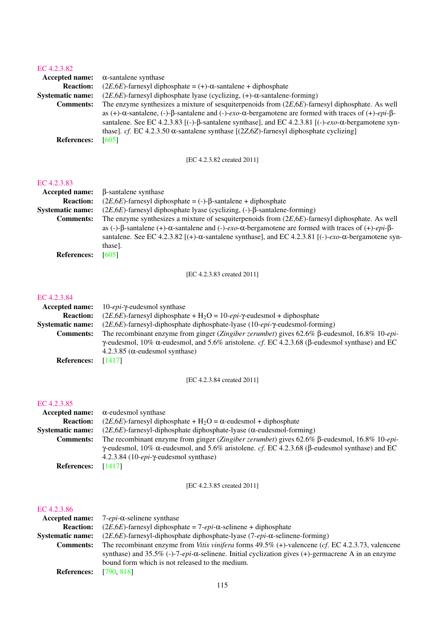| $13.7 + 2.3.02$         |                                                                                                                                              |
|-------------------------|----------------------------------------------------------------------------------------------------------------------------------------------|
| <b>Accepted name:</b>   | $\alpha$ -santalene synthase                                                                                                                 |
| <b>Reaction:</b>        | $(2E, 6E)$ -farnesyl diphosphate = (+)- $\alpha$ -santalene + diphosphate                                                                    |
| <b>Systematic name:</b> | $(2E, 6E)$ -farnesyl diphosphate lyase (cyclizing, $(+)$ - $\alpha$ -santalene-forming)                                                      |
| <b>Comments:</b>        | The enzyme synthesizes a mixture of sesquiterpenoids from $(2E,6E)$ -farnesyl diphosphate. As well                                           |
|                         | as (+)- $\alpha$ -santalene, (-)- $\beta$ -santalene and (-)- $exo$ - $\alpha$ -bergamotene are formed with traces of (+)- $epi$ - $\beta$ - |
|                         | santalene. See EC 4.2.3.83 [(-)- $\beta$ -santalene synthase], and EC 4.2.3.81 [(-)- $e$ xo- $\alpha$ -bergamotene syn-                      |
|                         | thase]. cf. EC 4.2.3.50 $\alpha$ -santalene synthase [(2Z,6Z)-farnesyl diphosphate cyclizing]                                                |
| <b>References:</b>      | [605]                                                                                                                                        |
|                         |                                                                                                                                              |

[EC 4.2.3.82 created 2011]

#### [EC 4.2.3.83](http://www.enzyme-database.org/query.php?ec=4.2.3.83)

| <b>Accepted name:</b>   | β-santalene synthase                                                                                                                |
|-------------------------|-------------------------------------------------------------------------------------------------------------------------------------|
| <b>Reaction:</b>        | $(2E, 6E)$ -farnesyl diphosphate = (-)- $\beta$ -santalene + diphosphate                                                            |
| <b>Systematic name:</b> | $(2E, 6E)$ -farnesyl diphosphate lyase (cyclizing, (-)- $\beta$ -santalene-forming)                                                 |
| <b>Comments:</b>        | The enzyme synthesizes a mixture of sesquiterpenoids from $(2E,6E)$ -farnesyl diphosphate. As well                                  |
|                         | as (-)- $\beta$ -santalene (+)- $\alpha$ -santalene and (-)- $exo-\alpha$ -bergamotene are formed with traces of (+)- $epi-\beta$ - |
|                         | santalene. See EC 4.2.3.82 [(+)- $\alpha$ -santalene synthase], and EC 4.2.3.81 [(-)- $exo-\alpha$ -bergamotene syn-                |
|                         | thase].                                                                                                                             |
| <b>References:</b>      | [605]                                                                                                                               |

[EC 4.2.3.83 created 2011]

#### [EC 4.2.3.84](http://www.enzyme-database.org/query.php?ec=4.2.3.84)

| <b>Accepted name:</b>   | 10- <i>epi</i> -γ-eudesmol synthase                                                                                   |
|-------------------------|-----------------------------------------------------------------------------------------------------------------------|
| <b>Reaction:</b>        | $(2E, 6E)$ -farnesyl diphosphate + H <sub>2</sub> O = 10- <i>epi</i> - $\gamma$ -eudesmol + diphosphate               |
| <b>Systematic name:</b> | $(2E, 6E)$ -farnesyl-diphosphate diphosphate-lyase $(10-\epsilon pi-\gamma$ -eudesmol-forming)                        |
| <b>Comments:</b>        | The recombinant enzyme from ginger (Zingiber zerumbet) gives $62.6\%$ B-eudesmol, $16.8\%$ 10-epi-                    |
|                         | $\gamma$ -eudesmol, 10% $\alpha$ -eudesmol, and 5.6% aristolene. cf. EC 4.2.3.68 ( $\beta$ -eudesmol synthase) and EC |
|                         | 4.2.3.85 (α-eudesmol synthase)                                                                                        |
| <b>References:</b>      | [1417]                                                                                                                |
|                         |                                                                                                                       |

[EC 4.2.3.84 created 2011]

## [EC 4.2.3.85](http://www.enzyme-database.org/query.php?ec=4.2.3.85)

| <b>Accepted name:</b>   | $\alpha$ -eudesmol synthase                                                                                           |
|-------------------------|-----------------------------------------------------------------------------------------------------------------------|
| <b>Reaction:</b>        | $(2E, 6E)$ -farnesyl diphosphate + H <sub>2</sub> O = $\alpha$ -eudesmol + diphosphate                                |
| <b>Systematic name:</b> | $(2E, 6E)$ -farnesyl-diphosphate diphosphate-lyase ( $\alpha$ -eudesmol-forming)                                      |
| <b>Comments:</b>        | The recombinant enzyme from ginger (Zingiber zerumbet) gives $62.6\%$ B-eudesmol, $16.8\%$ 10-epi-                    |
|                         | $\gamma$ -eudesmol, 10% $\alpha$ -eudesmol, and 5.6% aristolene. cf. EC 4.2.3.68 ( $\beta$ -eudesmol synthase) and EC |
|                         | $4.2.3.84$ (10- <i>epi</i> - $\gamma$ -eudesmol synthase)                                                             |
| <b>References:</b>      | [1417]                                                                                                                |

[EC 4.2.3.85 created 2011]

| Accepted name:          | $7$ - <i>epi</i> - $\alpha$ -selinene synthase                                                             |
|-------------------------|------------------------------------------------------------------------------------------------------------|
| <b>Reaction:</b>        | $(2E, 6E)$ -farnesyl diphosphate = 7- <i>epi</i> - $\alpha$ -selinene + diphosphate                        |
| <b>Systematic name:</b> | $(2E, 6E)$ -farnesyl-diphosphate diphosphate-lyase $(7-\epsilon p i - \alpha$ -selinene-forming)           |
| <b>Comments:</b>        | The recombinant enzyme from Vitis vinifera forms $49.5\%$ (+)-valencene (cf. EC 4.2.3.73, valencene        |
|                         | synthase) and 35.5% (-)-7-epi- $\alpha$ -selinene. Initial cyclization gives (+)-germacrene A in an enzyme |
|                         | bound form which is not released to the medium.                                                            |
| <b>References:</b>      | [790, 818]                                                                                                 |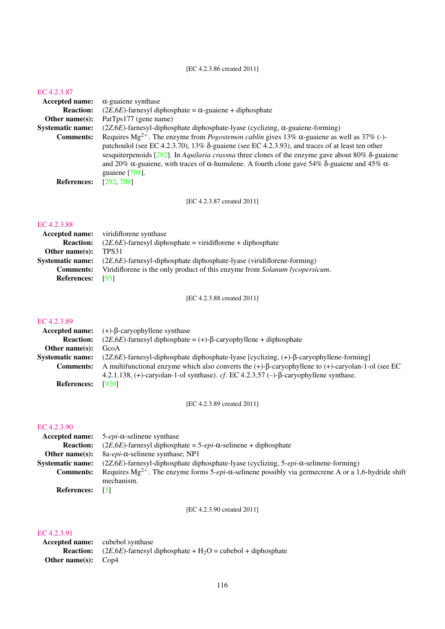[EC 4.2.3.86 created 2011]

#### [EC 4.2.3.87](http://www.enzyme-database.org/query.php?ec=4.2.3.87)

| <b>Accepted name:</b>   | $\alpha$ -guaiene synthase                                                                                                                                                                                                                                                                                                                                                                                                                                                                               |
|-------------------------|----------------------------------------------------------------------------------------------------------------------------------------------------------------------------------------------------------------------------------------------------------------------------------------------------------------------------------------------------------------------------------------------------------------------------------------------------------------------------------------------------------|
| <b>Reaction:</b>        | $(2E, 6E)$ -farnesyl diphosphate = $\alpha$ -guaiene + diphosphate                                                                                                                                                                                                                                                                                                                                                                                                                                       |
| Other name $(s)$ :      | PatTps177 (gene name)                                                                                                                                                                                                                                                                                                                                                                                                                                                                                    |
| <b>Systematic name:</b> | $(2Z, 6E)$ -farnesyl-diphosphate diphosphate-lyase (cyclizing, $\alpha$ -guaiene-forming)                                                                                                                                                                                                                                                                                                                                                                                                                |
| <b>Comments:</b>        | Requires Mg <sup>2+</sup> . The enzyme from <i>Pogostemon cablin</i> gives 13% $\alpha$ -guaiene as well as 37% (-)-<br>patchoulol (see EC 4.2.3.70), $13\%$ $\delta$ -guaiene (see EC 4.2.3.93), and traces of at least ten other<br>sesquiterpenoids [292]. In <i>Aquilaria crassna</i> three clones of the enzyme gave about 80% $\delta$ -guaiene<br>and 20% $\alpha$ -guaiene, with traces of $\alpha$ -humulene. A fourth clone gave 54% $\delta$ -guaiene and 45% $\alpha$ -<br>guaiene $[708]$ . |
| <b>References:</b>      | [292, 708]                                                                                                                                                                                                                                                                                                                                                                                                                                                                                               |

[EC 4.2.3.87 created 2011]

## [EC 4.2.3.88](http://www.enzyme-database.org/query.php?ec=4.2.3.88)

|                             | <b>Accepted name:</b> viridiflorene synthase                                                      |
|-----------------------------|---------------------------------------------------------------------------------------------------|
| <b>Reaction:</b>            | $(2E, 6E)$ -farnesyl diphosphate = viridiflorene + diphosphate                                    |
| <b>Other name(s):</b> TPS31 |                                                                                                   |
|                             | <b>Systematic name:</b> $(2E.6E)$ -farnesyl-diphosphate diphosphate-lyase (viridifforene-forming) |
| <b>Comments:</b>            | Viridiflorene is the only product of this enzyme from <i>Solanum lycopersicum</i> .               |
| <b>References:</b> [95]     |                                                                                                   |

[EC 4.2.3.88 created 2011]

## [EC 4.2.3.89](http://www.enzyme-database.org/query.php?ec=4.2.3.89)

|                         | <b>Accepted name:</b> $(+)-\beta$ -caryophyllene synthase                                                       |
|-------------------------|-----------------------------------------------------------------------------------------------------------------|
| <b>Reaction:</b>        | $(2E, 6E)$ -farnesyl diphosphate = (+)- $\beta$ -caryophyllene + diphosphate                                    |
| Other name $(s)$ :      | GcoA                                                                                                            |
| <b>Systematic name:</b> | $(2Z, 6E)$ -farnesyl-diphosphate diphosphate-lyase [cyclizing, $(+)$ - $\beta$ -caryophyllene-forming]          |
| <b>Comments:</b>        | A multifunctional enzyme which also converts the $(+)$ - $\beta$ -caryophyllene to $(+)$ -caryolan-1-ol (see EC |
|                         | 4.2.1.138, (+)-caryolan-1-ol synthase). cf. EC 4.2.3.57 (-)- $\beta$ -caryophyllene synthase.                   |
| <b>References:</b>      | [920]                                                                                                           |

[EC 4.2.3.89 created 2011]

#### [EC 4.2.3.90](http://www.enzyme-database.org/query.php?ec=4.2.3.90)

|                         | Accepted name: $5\text{-}epi$ - $\alpha$ -selinene synthase                                                               |
|-------------------------|---------------------------------------------------------------------------------------------------------------------------|
| <b>Reaction:</b>        | $(2E, 6E)$ -farnesyl diphosphate = 5- <i>epi</i> - $\alpha$ -selinene + diphosphate                                       |
| Other name $(s)$ :      | $8a\text{-}epi$ - $\alpha$ -selinene synthase; NP1                                                                        |
| <b>Systematic name:</b> | $(2Z,6E)$ -farnesyl-diphosphate diphosphate-lyase (cyclizing, 5-epi- $\alpha$ -selinene-forming)                          |
| <b>Comments:</b>        | Requires $Mg^{2+}$ . The enzyme forms 5- <i>epi</i> - $\alpha$ -selinene possibly via germecrene A or a 1,6-hydride shift |
|                         | mechanism.                                                                                                                |
| <b>References:</b>      | [5]                                                                                                                       |

[EC 4.2.3.90 created 2011]

|                              | <b>Accepted name:</b> cubebol synthase                                                           |
|------------------------------|--------------------------------------------------------------------------------------------------|
|                              | <b>Reaction:</b> (2 <i>E</i> ,6 <i>E</i> )-farnesyl diphosphate + $H_2O$ = cubebol + diphosphate |
| <b>Other name(s):</b> $Cop4$ |                                                                                                  |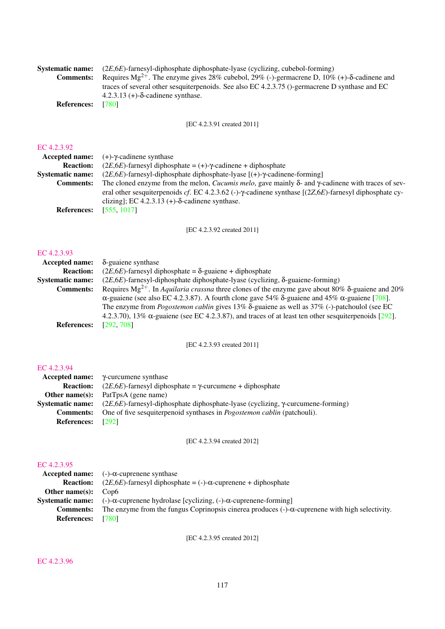| <b>Systematic name:</b> | $(2E, 6E)$ -farnesyl-diphosphate diphosphate-lyase (cyclizing, cubebol-forming)                                           |
|-------------------------|---------------------------------------------------------------------------------------------------------------------------|
| <b>Comments:</b>        | Requires $Mg^{2+}$ . The enzyme gives 28% cubebol, 29% (-)-germacrene D, 10% (+)- $\delta$ -cadinene and                  |
|                         | traces of several other sesquiterpenoids. See also EC 4.2.3.75 ()-germacrene D synthase and EC                            |
|                         | $4.2.3.13$ (+)- $\delta$ -cadinene synthase.                                                                              |
| <b>References:</b>      | [780]                                                                                                                     |
|                         |                                                                                                                           |
|                         | FEC 4.2.3.91 created 20111                                                                                                |
|                         |                                                                                                                           |
| EC 4.2.3.92             |                                                                                                                           |
| <b>Accepted name:</b>   | $(+)$ - $\gamma$ -cadinene synthase                                                                                       |
| <b>Reaction:</b>        | $(2E, 6E)$ -farnesyl diphosphate = $(+)$ - $\gamma$ -cadinene + diphosphate                                               |
| <b>Systematic name:</b> | $(2E, 6E)$ -farnesyl-diphosphate diphosphate-lyase $[(+)$ - $\gamma$ -cadinene-forming]                                   |
| <b>Comments:</b>        |                                                                                                                           |
|                         | The cloned enzyme from the melon, <i>Cucumis melo</i> , gave mainly $\delta$ - and $\gamma$ -cadinene with traces of sev- |

eral other sesquiterpenoids *cf*. EC 4.2.3.62 (-)-γ-cadinene synthase [(2*Z*,6*E*)-farnesyl diphosphate cyclizing]; EC  $4.2.3.13$  (+)- $\delta$ -cadinene synthase. **References:** [\[555,](#page-206-0) [1017\]](#page-230-2)

[EC 4.2.3.92 created 2011]

#### [EC 4.2.3.93](http://www.enzyme-database.org/query.php?ec=4.2.3.93)

| Accepted name:          | $\delta$ -guaiene synthase                                                                                           |
|-------------------------|----------------------------------------------------------------------------------------------------------------------|
| <b>Reaction:</b>        | $(2E, 6E)$ -farnesyl diphosphate = $\delta$ -guaiene + diphosphate                                                   |
| <b>Systematic name:</b> | $(2E, 6E)$ -farnesyl-diphosphate diphosphate-lyase (cyclizing, $\delta$ -guaiene-forming)                            |
| <b>Comments:</b>        | Requires Mg <sup>2+</sup> . In Aquilaria crassna three clones of the enzyme gave about 80% $\delta$ -guaiene and 20% |
|                         | $\alpha$ -guaiene (see also EC 4.2.3.87). A fourth clone gave 54% $\delta$ -guaiene and 45% $\alpha$ -guaiene [708]. |
|                         | The enzyme from <i>Pogostemon cablin</i> gives $13\%$ $\delta$ -guaiene as well as $37\%$ (-)-patchoulol (see EC     |
|                         | 4.2.3.70), 13% $\alpha$ -guaiene (see EC 4.2.3.87), and traces of at least ten other sesquiterpenoids [292].         |
| <b>References:</b>      | [292, 708]                                                                                                           |

## [EC 4.2.3.93 created 2011]

#### [EC 4.2.3.94](http://www.enzyme-database.org/query.php?ec=4.2.3.94)

|                          | $\textbf{Accepted name:} \quad \gamma$ -curcumene synthase                                  |
|--------------------------|---------------------------------------------------------------------------------------------|
| <b>Reaction:</b>         | $(2E, 6E)$ -farnesyl diphosphate = $\gamma$ -curcumene + diphosphate                        |
| Other name $(s)$ :       | PatTpsA (gene name)                                                                         |
| Systematic name:         | $(2E, 6E)$ -farnesyl-diphosphate diphosphate-lyase (cyclizing, $\gamma$ -curcumene-forming) |
| <b>Comments:</b>         | One of five sesquiterpenoid synthases in <i>Pogostemon cablin</i> (patchouli).              |
| <b>References:</b> [292] |                                                                                             |

[EC 4.2.3.94 created 2012]

# [EC 4.2.3.95](http://www.enzyme-database.org/query.php?ec=4.2.3.95)

| Accepted name: $(-)-\alpha$ -cuprenene synthase                                                            |
|------------------------------------------------------------------------------------------------------------|
| $(2E, 6E)$ -farnesyl diphosphate = (-)- $\alpha$ -cuprenene + diphosphate                                  |
| Cop6                                                                                                       |
| <b>Systematic name:</b> $(-)\alpha$ -cuprenene hydrolase [cyclizing, $(-)\alpha$ -cuprenene-forming]       |
| The enzyme from the fungus Coprinopsis cinerea produces $(-)$ - $\alpha$ -cuprenene with high selectivity. |
|                                                                                                            |
| [780]                                                                                                      |

[EC 4.2.3.95 created 2012]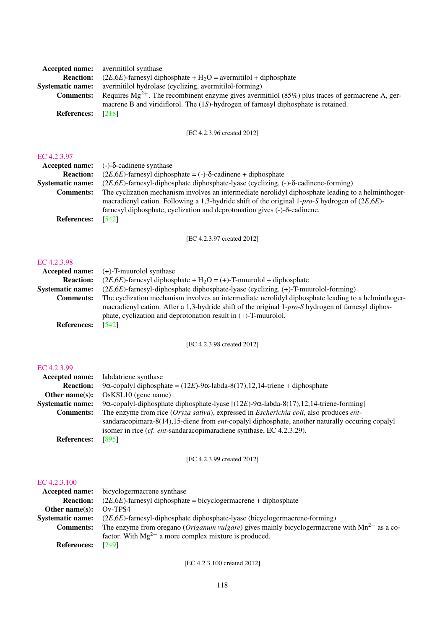|                    | <b>Accepted name:</b> avermitilol synthase                                                            |
|--------------------|-------------------------------------------------------------------------------------------------------|
| <b>Reaction:</b>   | $(2E, 6E)$ -farnesyl diphosphate + H <sub>2</sub> O = avermitilol + diphosphate                       |
| Systematic name:   | avermitilol hydrolase (cyclizing, avermitilol-forming)                                                |
| <b>Comments:</b>   | Requires $Mg^{2+}$ . The recombinent enzyme gives avermitilol (85%) plus traces of germacrene A, ger- |
|                    | macrene B and viridiflorol. The (1S)-hydrogen of farnesyl diphosphate is retained.                    |
| <b>References:</b> | [218]                                                                                                 |
|                    |                                                                                                       |

[EC 4.2.3.96 created 2012]

## [EC 4.2.3.97](http://www.enzyme-database.org/query.php?ec=4.2.3.97)

| Accepted name: $(-)-\delta$ -cadinene synthase                                                      |
|-----------------------------------------------------------------------------------------------------|
| $(2E, 6E)$ -farnesyl diphosphate = (-)- $\delta$ -cadinene + diphosphate                            |
| $(2E,6E)$ -farnesyl-diphosphate diphosphate-lyase (cyclizing, (-)- $\delta$ -cadinene-forming)      |
| The cyclization mechanism involves an intermediate nerolidyl diphosphate leading to a helminthoger- |
| macradienyl cation. Following a 1,3-hydride shift of the original 1-pro-S hydrogen of $(2E,6E)$ -   |
| farnesyl diphosphate, cyclization and deprotonation gives (-)- $\delta$ -cadinene.                  |
| [542]                                                                                               |
|                                                                                                     |

[EC 4.2.3.97 created 2012]

#### [EC 4.2.3.98](http://www.enzyme-database.org/query.php?ec=4.2.3.98)

|                         | <b>Accepted name:</b> $(+)$ -T-muurolol synthase                                                    |
|-------------------------|-----------------------------------------------------------------------------------------------------|
| <b>Reaction:</b>        | $(2E, 6E)$ -farnesyl diphosphate + H <sub>2</sub> O = (+)-T-muurolol + diphosphate                  |
| <b>Systematic name:</b> | $(2E, 6E)$ -farnesyl-diphosphate diphosphate-lyase (cyclizing, $(+)$ -T-muurolol-forming)           |
| <b>Comments:</b>        | The cyclization mechanism involves an intermediate nerolidyl diphosphate leading to a helminthoger- |
|                         | macradienyl cation. After a 1,3-hydride shift of the original 1-pro-S hydrogen of farnesyl diphos-  |
|                         | phate, cyclization and deprotonation result in $(+)$ -T-muurolol.                                   |
| <b>References:</b>      | [542]                                                                                               |

[EC 4.2.3.98 created 2012]

## [EC 4.2.3.99](http://www.enzyme-database.org/query.php?ec=4.2.3.99)

| Accepted name:          | labdatriene synthase                                                                             |
|-------------------------|--------------------------------------------------------------------------------------------------|
| <b>Reaction:</b>        | 9α-copalyl diphosphate = $(12E)$ -9α-labda-8(17),12,14-triene + diphosphate                      |
| Other name $(s)$ :      | $OsKSL10$ (gene name)                                                                            |
| <b>Systematic name:</b> | 9α-copalyl-diphosphate diphosphate-lyase $[(12E)$ -9α-labda-8(17),12,14-triene-forming]          |
| <b>Comments:</b>        | The enzyme from rice (Oryza sativa), expressed in <i>Escherichia coli</i> , also produces ent-   |
|                         | sandaracopimara-8(14), 15-diene from ent-copalyl diphosphate, another naturally occuring copalyl |
|                         | isomer in rice ( <i>cf. ent</i> -sandaracopimaradiene synthase, EC $4.2.3.29$ ).                 |
| <b>References:</b>      | [895]                                                                                            |

## [EC 4.2.3.99 created 2012]

## [EC 4.2.3.100](http://www.enzyme-database.org/query.php?ec=4.2.3.100)

|                         | <b>Accepted name:</b> bicyclogermacrene synthase                                                           |
|-------------------------|------------------------------------------------------------------------------------------------------------|
| <b>Reaction:</b>        | $(2E, 6E)$ -farnesyl diphosphate = bicyclogermacrene + diphosphate                                         |
| Other name $(s)$ :      | $Ov$ -TPS4                                                                                                 |
| <b>Systematic name:</b> | $(2E, 6E)$ -farnesyl-diphosphate diphosphate-lyase (bicyclogermacrene-forming)                             |
| <b>Comments:</b>        | The enzyme from oregano ( <i>Origanum vulgare</i> ) gives mainly bicyclogermacrene with $Mn^{2+}$ as a co- |
|                         | factor. With $Mg^{2+}$ a more complex mixture is produced.                                                 |
| <b>References:</b>      | [249]                                                                                                      |

[EC 4.2.3.100 created 2012]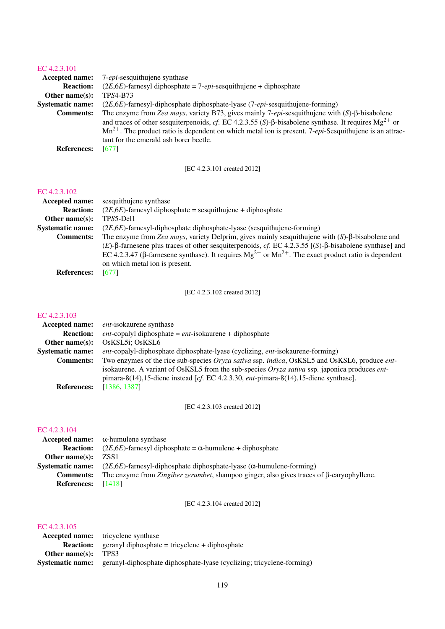| Accepted name:          | 7- <i>epi</i> -sesquithujene synthase                                                                                |
|-------------------------|----------------------------------------------------------------------------------------------------------------------|
| <b>Reaction:</b>        | $(2E, 6E)$ -farnesyl diphosphate = 7- <i>epi</i> -sesquithujene + diphosphate                                        |
| Other name $(s)$ :      | <b>TPS4-B73</b>                                                                                                      |
| <b>Systematic name:</b> | (2E,6E)-farnesyl-diphosphate diphosphate-lyase (7-epi-sesquithujene-forming)                                         |
| <b>Comments:</b>        | The enzyme from Zea mays, variety B73, gives mainly 7-epi-sesquithujene with $(S)$ - $\beta$ -bisabolene             |
|                         | and traces of other sesquiterpenoids, cf. EC 4.2.3.55 (S)- $\beta$ -bisabolene synthase. It requires $Mg^{2+}$ or    |
|                         | $Mn^{2+}$ . The product ratio is dependent on which metal ion is present. 7- <i>epi</i> -Sesquithujene is an attrac- |
|                         | tant for the emerald ash borer beetle.                                                                               |
| <b>References:</b>      | [677]                                                                                                                |
|                         |                                                                                                                      |

[EC 4.2.3.101 created 2012]

## [EC 4.2.3.102](http://www.enzyme-database.org/query.php?ec=4.2.3.102)

| <b>Accepted name:</b>   | sesquithujene synthase                                                                                                    |
|-------------------------|---------------------------------------------------------------------------------------------------------------------------|
| <b>Reaction:</b>        | $(2E, 6E)$ -farnesyl diphosphate = sesquithujene + diphosphate                                                            |
| Other name $(s)$ :      | TPS5-Del1                                                                                                                 |
| <b>Systematic name:</b> | $(2E, 6E)$ -farnesyl-diphosphate diphosphate-lyase (sesquithujene-forming)                                                |
| <b>Comments:</b>        | The enzyme from Zea mays, variety Delprim, gives mainly sesquithujene with $(S)$ - $\beta$ -bisabolene and                |
|                         | $(E)$ - $\beta$ -farnesene plus traces of other sesquiterpenoids, cf. EC 4.2.3.55 [(S)- $\beta$ -bisabolene synthase] and |
|                         | EC 4.2.3.47 ( $\beta$ -farnesene synthase). It requires $Mg^{2+}$ or $Mn^{2+}$ . The exact product ratio is dependent     |
|                         | on which metal ion is present.                                                                                            |
| <b>References:</b>      | [677]                                                                                                                     |

[EC 4.2.3.102 created 2012]

## [EC 4.2.3.103](http://www.enzyme-database.org/query.php?ec=4.2.3.103)

| Accepted name:          | <i>ent</i> -isokaurene synthase                                                                              |
|-------------------------|--------------------------------------------------------------------------------------------------------------|
| <b>Reaction:</b>        | <i>ent</i> -copalyl diphosphate = $ent$ -isokaurene + diphosphate                                            |
| Other name $(s)$ :      | OsKSL5i; OsKSL6                                                                                              |
| <b>Systematic name:</b> | ent-copalyl-diphosphate diphosphate-lyase (cyclizing, ent-isokaurene-forming)                                |
| <b>Comments:</b>        | Two enzymes of the rice sub-species Oryza sativa ssp. indica, OsKSL5 and OsKSL6, produce ent-                |
|                         | isokaurene. A variant of OsKSL5 from the sub-species <i>Oryza sativa</i> ssp. japonica produces <i>ent</i> - |
|                         | pimara-8(14),15-diene instead [cf. EC 4.2.3.30, ent-pimara-8(14),15-diene synthase].                         |
| <b>References:</b>      | [1386, 1387]                                                                                                 |

[EC 4.2.3.103 created 2012]

## [EC 4.2.3.104](http://www.enzyme-database.org/query.php?ec=4.2.3.104)

|                            | Accepted name: $\alpha$ -humulene synthase                                                               |
|----------------------------|----------------------------------------------------------------------------------------------------------|
|                            | <b>Reaction:</b> (2 <i>E</i> ,6 <i>E</i> )-farnesyl diphosphate = $\alpha$ -humulene + diphosphate       |
| <b>Other name(s):</b> ZSS1 |                                                                                                          |
|                            | <b>Systematic name:</b> $(2E, 6E)$ -farnesyl-diphosphate diphosphate-lyase ( $\alpha$ -humulene-forming) |
| <b>Comments:</b>           | The enzyme from Zingiber zerumbet, shampoo ginger, also gives traces of $\beta$ -caryophyllene.          |
| <b>References:</b>         | [1418]                                                                                                   |

[EC 4.2.3.104 created 2012]

|                | <b>Accepted name:</b> tricyclene synthase                                                     |
|----------------|-----------------------------------------------------------------------------------------------|
|                | <b>Reaction:</b> geranyl diphosphate = tricyclene + diphosphate                               |
| Other name(s): | TPS3                                                                                          |
|                | <b>Systematic name:</b> geranyl-diphosphate diphosphate-lyase (cyclizing; tricyclene-forming) |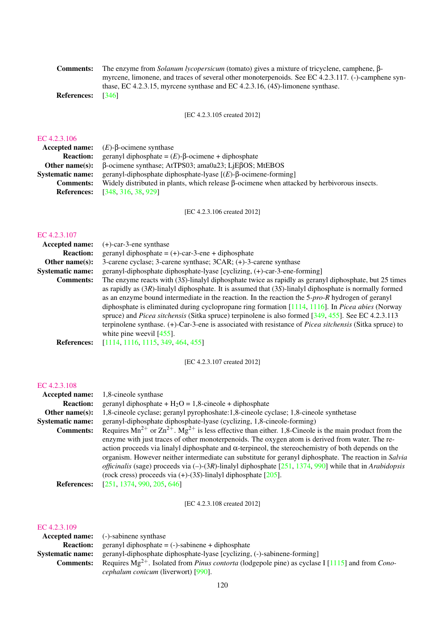|                                            | <b>Comments:</b> The enzyme from <i>Solanum lycopersicum</i> (tomato) gives a mixture of tricyclene, camphene, $\beta$ - |
|--------------------------------------------|--------------------------------------------------------------------------------------------------------------------------|
|                                            | myrcene, limonene, and traces of several other monoterpenoids. See EC 4.2.3.117. (-)-camphene syn-                       |
|                                            | thase, EC 4.2.3.15, myrcene synthase and EC 4.2.3.16, $(4S)$ -limonene synthase.                                         |
| $\mathbf{D}$ of $\alpha$ $\alpha$ $\alpha$ | $\sqrt{2461}$                                                                                                            |

References: [\[346\]](#page-194-0)

[EC 4.2.3.105 created 2012]

#### [EC 4.2.3.106](http://www.enzyme-database.org/query.php?ec=4.2.3.106)

|                         | <b>Accepted name:</b> $(E)$ - $\beta$ -ocimene synthase                                            |
|-------------------------|----------------------------------------------------------------------------------------------------|
| <b>Reaction:</b>        | geranyl diphosphate = $(E)$ - $\beta$ -ocimene + diphosphate                                       |
|                         | <b>Other name(s):</b> $\beta$ -ocimene synthase; AtTPS03; ama0a23; LiEBOS; MtEBOS                  |
| <b>Systematic name:</b> | geranyl-diphosphate diphosphate-lyase $[(E)$ - $\beta$ -ocimene-forming                            |
| <b>Comments:</b>        | Widely distributed in plants, which release $\beta$ -ocimene when attacked by herbivorous insects. |
|                         | <b>References:</b> [348, 316, 38, 929]                                                             |

[EC 4.2.3.106 created 2012]

## [EC 4.2.3.107](http://www.enzyme-database.org/query.php?ec=4.2.3.107)

| <b>Accepted name:</b>   | $(+)$ -car-3-ene synthase                                                                                      |
|-------------------------|----------------------------------------------------------------------------------------------------------------|
| <b>Reaction:</b>        | geranyl diphosphate = $(+)$ -car-3-ene + diphosphate                                                           |
| Other name $(s)$ :      | 3-carene cyclase; 3-carene synthase; 3CAR; (+)-3-carene synthase                                               |
| <b>Systematic name:</b> | geranyl-diphosphate diphosphate-lyase [cyclizing, (+)-car-3-ene-forming]                                       |
| <b>Comments:</b>        | The enzyme reacts with (3S)-linalyl diphosphate twice as rapidly as geranyl diphosphate, but 25 times          |
|                         | as rapidly as $(3R)$ -linalyl diphosphate. It is assumed that $(3S)$ -linalyl diphosphate is normally formed   |
|                         | as an enzyme bound intermediate in the reaction. In the reaction the $5$ -pro-R hydrogen of geranyl            |
|                         | diphosphate is eliminated during cyclopropane ring formation $[1114, 1116]$ . In <i>Picea abies</i> (Norway    |
|                         | spruce) and <i>Picea sitchensis</i> (Sitka spruce) terpinolene is also formed [349, 455]. See EC 4.2.3.113     |
|                         | terpinolene synthase. (+)-Car-3-ene is associated with resistance of <i>Picea sitchensis</i> (Sitka spruce) to |
|                         | white pine weevil $[455]$ .                                                                                    |
| <b>References:</b>      | [1114, 1116, 1115, 349, 464, 455]                                                                              |
|                         |                                                                                                                |

[EC 4.2.3.107 created 2012]

#### [EC 4.2.3.108](http://www.enzyme-database.org/query.php?ec=4.2.3.108)

| <b>Accepted name:</b>   | 1,8-cine ole synthase                                                                                                   |
|-------------------------|-------------------------------------------------------------------------------------------------------------------------|
| <b>Reaction:</b>        | geranyl diphosphate + $H_2O = 1,8$ -cineole + diphosphate                                                               |
| Other name $(s)$ :      | 1,8-cineole cyclase; geranyl pyrophoshate:1,8-cineole cyclase; 1,8-cineole synthetase                                   |
| <b>Systematic name:</b> | geranyl-diphosphate diphosphate-lyase (cyclizing, 1,8-cineole-forming)                                                  |
| <b>Comments:</b>        | Requires $Mn^{2+}$ or $Zn^{2+}$ . $Mg^{2+}$ is less effective than either. 1,8-Cineole is the main product from the     |
|                         | enzyme with just traces of other monoterpenoids. The oxygen atom is derived from water. The re-                         |
|                         | action proceeds via linalyl diphosphate and $\alpha$ -terpineol, the stereochemistry of both depends on the             |
|                         | organism. However neither intermediate can substitute for geranyl diphosphate. The reaction in Salvia                   |
|                         | <i>officinalis</i> (sage) proceeds via $(-)(3R)$ -linalyl diphosphate [251, 1374, 990] while that in <i>Arabidopsis</i> |
|                         | (rock cress) proceeds via $(+)$ - $(3S)$ -linalyl diphosphate [205].                                                    |
| <b>References:</b>      | [251, 1374, 990, 205, 646]                                                                                              |
|                         |                                                                                                                         |

[EC 4.2.3.108 created 2012]

|                         | <b>Accepted name:</b> (-)-sabinene synthase                                                                          |
|-------------------------|----------------------------------------------------------------------------------------------------------------------|
| <b>Reaction:</b>        | geranyl diphosphate $= (-)$ -sabinene + diphosphate                                                                  |
| <b>Systematic name:</b> | geranyl-diphosphate diphosphate-lyase [cyclizing, (-)-sabinene-forming]                                              |
| <b>Comments:</b>        | Requires $Mg^{2+}$ . Isolated from <i>Pinus contorta</i> (lodgepole pine) as cyclase I [1115] and from <i>Cono</i> - |
|                         | <i>cephalum conicum</i> (liverwort) [990].                                                                           |
|                         |                                                                                                                      |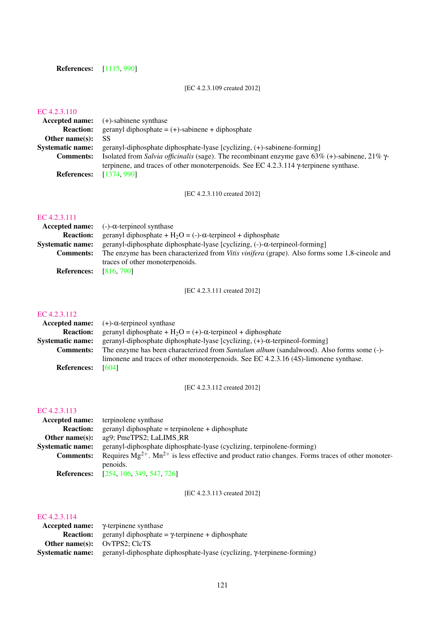References: [\[1115,](#page-235-0) [990\]](#page-228-0)

[EC 4.2.3.109 created 2012]

## [EC 4.2.3.110](http://www.enzyme-database.org/query.php?ec=4.2.3.110)

| <b>Accepted name:</b> (+)-sabinene synthase                                                           |
|-------------------------------------------------------------------------------------------------------|
| geranyl diphosphate $= (+)$ -sabinene + diphosphate                                                   |
| SS                                                                                                    |
| geranyl-diphosphate diphosphate-lyase [cyclizing, (+)-sabinene-forming]                               |
| Isolated from Salvia officinalis (sage). The recombinant enzyme gave 63% (+)-sabinene, 21% $\gamma$ - |
| terpinene, and traces of other monoterpenoids. See EC 4.2.3.114 $\gamma$ -terpinene synthase.         |
| [1374, 990]                                                                                           |
|                                                                                                       |

[EC 4.2.3.110 created 2012]

## [EC 4.2.3.111](http://www.enzyme-database.org/query.php?ec=4.2.3.111)

| Accepted name: $(-)-\alpha$ -terpineol synthase                                                       |
|-------------------------------------------------------------------------------------------------------|
| geranyl diphosphate + $H_2O = (-) - \alpha$ -terpineol + diphosphate                                  |
| geranyl-diphosphate diphosphate-lyase [cyclizing, $(-)$ - $\alpha$ -terpineol-forming]                |
| The enzyme has been characterized from <i>Vitis vinifera</i> (grape). Also forms some 1,8-cineole and |
| traces of other monoterpenoids.                                                                       |
| [816, 790]                                                                                            |
|                                                                                                       |

[EC 4.2.3.111 created 2012]

#### [EC 4.2.3.112](http://www.enzyme-database.org/query.php?ec=4.2.3.112)

|                         | Accepted name: $(+)$ - $\alpha$ -terpineol synthase                                      |
|-------------------------|------------------------------------------------------------------------------------------|
| <b>Reaction:</b>        | geranyl diphosphate + $H_2O = (+)$ - $\alpha$ -terpineol + diphosphate                   |
| <b>Systematic name:</b> | geranyl-diphosphate diphosphate-lyase [cyclizing, (+)-α-terpineol-forming]               |
| <b>Comments:</b>        | The enzyme has been characterized from Santalum album (sandalwood). Also forms some (-)- |
|                         | limonene and traces of other monoterpenoids. See EC 4.2.3.16 (4S)-limonene synthase.     |
| <b>References:</b>      | [604]                                                                                    |

[EC 4.2.3.112 created 2012]

#### [EC 4.2.3.113](http://www.enzyme-database.org/query.php?ec=4.2.3.113)

|                         | <b>Accepted name:</b> terpinolene synthase                                                                 |
|-------------------------|------------------------------------------------------------------------------------------------------------|
| <b>Reaction:</b>        | $gerany$ l diphosphate = terpinolene + diphosphate                                                         |
| Other name $(s)$ :      | ag9; PmeTPS2; LaLIMS_RR                                                                                    |
| <b>Systematic name:</b> | geranyl-diphosphate diphosphate-lyase (cyclizing, terpinolene-forming)                                     |
| <b>Comments:</b>        | Requires $Mg^{2+}$ . $Mn^{2+}$ is less effective and product ratio changes. Forms traces of other monoter- |
|                         | penoids.                                                                                                   |
|                         | <b>References:</b> [254 106 349 547 726]                                                                   |

**References:** [\[254,](#page-190-2) [106,](#page-182-0) [349,](#page-195-2) [547,](#page-205-0) [726\]](#page-214-1)

[EC 4.2.3.113 created 2012]

|                                        | Accepted name: $\gamma$ -terpinene synthase                              |
|----------------------------------------|--------------------------------------------------------------------------|
|                                        | <b>Reaction:</b> geranyl diphosphate = $\gamma$ -terpinene + diphosphate |
| <b>Other name(s):</b> $OvTPS2$ : ClcTS |                                                                          |
| Systematic name:                       | geranyl-diphosphate diphosphate-lyase (cyclizing, γ-terpinene-forming)   |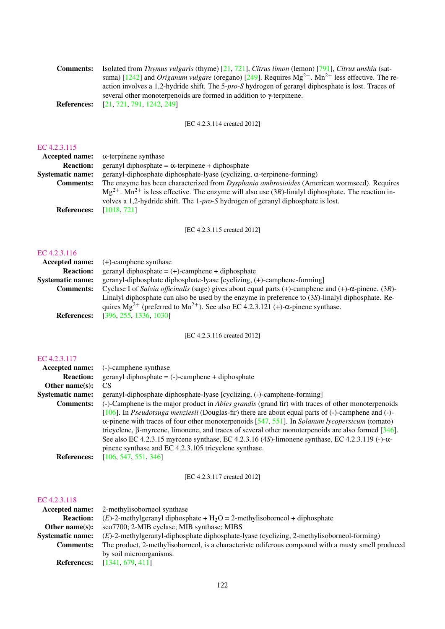| Comments: | Isolated from Thymus vulgaris (thyme) $[21, 721]$ , Citrus limon (lemon) $[791]$ , Citrus unshiu (sat-           |
|-----------|------------------------------------------------------------------------------------------------------------------|
|           | suma) [1242] and <i>Origanum vulgare</i> (oregano) [249]. Requires $Mg^{2+}$ . $Mn^{2+}$ less effective. The re- |
|           | action involves a 1,2-hydride shift. The 5-pro-S hydrogen of geranyl diphosphate is lost. Traces of              |
|           | several other monoterpenoids are formed in addition to $\gamma$ -terpinene.                                      |
|           | <b>References:</b> [21, 721, 791, 1242, 249]                                                                     |

[EC 4.2.3.114 created 2012]

## [EC 4.2.3.115](http://www.enzyme-database.org/query.php?ec=4.2.3.115)

| <b>Accepted name:</b>   | $\alpha$ -terpinene synthase                                                                                        |
|-------------------------|---------------------------------------------------------------------------------------------------------------------|
| <b>Reaction:</b>        | geranyl diphosphate = $\alpha$ -terpinene + diphosphate                                                             |
| <b>Systematic name:</b> | geranyl-diphosphate diphosphate-lyase (cyclizing, α-terpinene-forming)                                              |
| <b>Comments:</b>        | The enzyme has been characterized from <i>Dysphania ambrosioides</i> (American wormseed). Requires                  |
|                         | $Mg^{2+}$ . Mn <sup>2+</sup> is less effective. The enzyme will also use (3R)-linalyl diphosphate. The reaction in- |
|                         | volves a 1,2-hydride shift. The 1-pro-S hydrogen of geranyl diphosphate is lost.                                    |
| <b>References:</b>      | [1018, 721]                                                                                                         |
|                         |                                                                                                                     |

[EC 4.2.3.115 created 2012]

#### [EC 4.2.3.116](http://www.enzyme-database.org/query.php?ec=4.2.3.116)

|                         | <b>Accepted name:</b> $(+)$ -camphene synthase                                                                                                                                                            |
|-------------------------|-----------------------------------------------------------------------------------------------------------------------------------------------------------------------------------------------------------|
| <b>Reaction:</b>        | geranyl diphosphate $= (+)$ -camphene + diphosphate                                                                                                                                                       |
| <b>Systematic name:</b> | geranyl-diphosphate diphosphate-lyase [cyclizing, (+)-camphene-forming]                                                                                                                                   |
| <b>Comments:</b>        | Cyclase I of Salvia officinalis (sage) gives about equal parts (+)-camphene and (+)- $\alpha$ -pinene. (3R)-                                                                                              |
|                         | Linalyl diphosphate can also be used by the enzyme in preference to $(3S)$ -linalyl diphosphate. Re-<br>quires $Mg^{2+}$ (preferred to $Mn^{2+}$ ). See also EC 4.2.3.121 (+)- $\alpha$ -pinene synthase. |
| <b>References:</b>      | [396, 255, 1336, 1030]                                                                                                                                                                                    |

[EC 4.2.3.116 created 2012]

## [EC 4.2.3.117](http://www.enzyme-database.org/query.php?ec=4.2.3.117)

| <b>Accepted name:</b>   | (-)-camphene synthase                                                                                     |
|-------------------------|-----------------------------------------------------------------------------------------------------------|
| <b>Reaction:</b>        | $geranyl diphosphate = (-)-camphene + diphosphate$                                                        |
| Other name $(s)$ :      | CS <sup>-</sup>                                                                                           |
| <b>Systematic name:</b> | geranyl-diphosphate diphosphate-lyase [cyclizing, (-)-camphene-forming]                                   |
| <b>Comments:</b>        | (-)-Camphene is the major product in <i>Abies grandis</i> (grand fir) with traces of other monoterpenoids |
|                         | [106]. In Pseudotsuga menziesii (Douglas-fir) there are about equal parts of $(-)$ -camphene and $(-)$ -  |
|                         | $\alpha$ -pinene with traces of four other monoterpenoids [547, 551]. In Solanum lycopersicum (tomato)    |
|                         | tricyclene, $\beta$ -myrcene, limonene, and traces of several other monoterpenoids are also formed [346]. |
|                         | See also EC 4.2.3.15 myrcene synthase, EC 4.2.3.16 (4S)-limonene synthase, EC 4.2.3.119 (-)- $\alpha$ -   |
|                         | pinene synthase and EC 4.2.3.105 tricyclene synthase.                                                     |
| <b>References:</b>      | [106, 547, 551, 346]                                                                                      |

[EC 4.2.3.117 created 2012]

|                         | <b>Accepted name:</b> 2-methylisoborneol synthase                                                   |
|-------------------------|-----------------------------------------------------------------------------------------------------|
| <b>Reaction:</b>        | $(E)$ -2-methylgeranyl diphosphate + H <sub>2</sub> O = 2-methylisoborneol + diphosphate            |
| Other name $(s)$ :      | sco7700; 2-MIB cyclase; MIB synthase; MIBS                                                          |
| <b>Systematic name:</b> | $(E)$ -2-methylgeranyl-diphosphate diphosphate-lyase (cyclizing, 2-methylisoborneol-forming)        |
| <b>Comments:</b>        | The product, 2-methylisoborneol, is a characteristic odiferous compound with a musty smell produced |
|                         | by soil microorganisms.                                                                             |
| <b>References:</b>      | [1341, 679, 411]                                                                                    |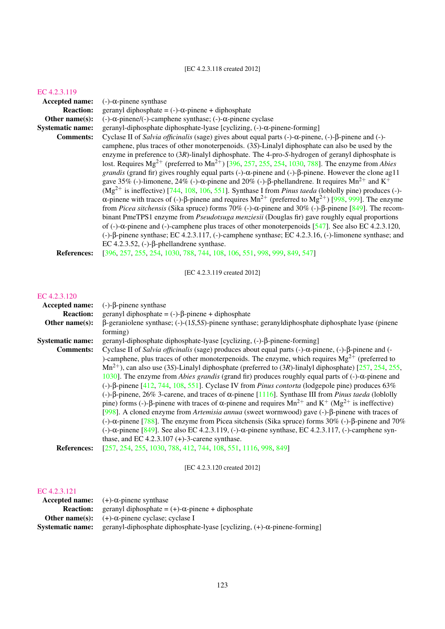## [EC 4.2.3.118 created 2012]

#### [EC 4.2.3.119](http://www.enzyme-database.org/query.php?ec=4.2.3.119)

| Accepted name:          | $(-)$ - $\alpha$ -pinene synthase                                                                                                          |
|-------------------------|--------------------------------------------------------------------------------------------------------------------------------------------|
| <b>Reaction:</b>        | geranyl diphosphate = $(-)$ - $\alpha$ -pinene + diphosphate                                                                               |
| Other name $(s)$ :      | $(-)$ -α-pinene/ $(-)$ -camphene synthase; $(-)$ -α-pinene cyclase                                                                         |
| <b>Systematic name:</b> | geranyl-diphosphate diphosphate-lyase [cyclizing, $(-)$ - $\alpha$ -pinene-forming]                                                        |
| <b>Comments:</b>        | Cyclase II of Salvia officinalis (sage) gives about equal parts $(-)$ - $\alpha$ -pinene, $(-)$ - $\beta$ -pinene and $(-)$ -              |
|                         | camphene, plus traces of other monoterpenoids. (3S)-Linalyl diphosphate can also be used by the                                            |
|                         | enzyme in preference to $(3R)$ -linalyl diphosphate. The 4-pro-S-hydrogen of geranyl diphosphate is                                        |
|                         | lost. Requires $Mg^{2+}$ (preferred to $Mn^{2+}$ ) [396, 257, 255, 254, 1030, 788]. The enzyme from <i>Abies</i>                           |
|                         | grandis (grand fir) gives roughly equal parts (-)- $\alpha$ -pinene and (-)- $\beta$ -pinene. However the clone ag11                       |
|                         | gave 35% (-)-limonene, 24% (-)- $\alpha$ -pinene and 20% (-)- $\beta$ -phellandrene. It requires Mn <sup>2+</sup> and K <sup>+</sup>       |
|                         | $(Mg^{2+})$ is ineffective) [744, 108, 106, 551]. Synthase I from <i>Pinus taeda</i> (loblolly pine) produces (-)-                         |
|                         | $\alpha$ -pinene with traces of (-)- $\beta$ -pinene and requires Mn <sup>2+</sup> (preferred to Mg <sup>2+</sup> ) [998, 999]. The enzyme |
|                         | from <i>Picea sitchensis</i> (Sika spruce) forms 70% (-)- $\alpha$ -pinene and 30% (-)- $\beta$ -pinene [849]. The recom-                  |
|                         | binant PmeTPS1 enzyme from <i>Pseudotsuga menziesii</i> (Douglas fir) gave roughly equal proportions                                       |
|                         | of $(-)$ - $\alpha$ -pinene and $(-)$ -camphene plus traces of other monoterpenoids [547]. See also EC 4.2.3.120,                          |
|                         | $(-)$ -β-pinene synthase; EC 4.2.3.117, $(-)$ -camphene synthase; EC 4.2.3.16, $(-)$ -limonene synthase; and                               |
|                         | EC 4.2.3.52, (-)- $\beta$ -phellandrene synthase.                                                                                          |
| <b>References:</b>      | [396, 257, 255, 254, 1030, 788, 744, 108, 106, 551, 998, 999, 849, 547]                                                                    |
|                         |                                                                                                                                            |

[EC 4.2.3.119 created 2012]

## [EC 4.2.3.120](http://www.enzyme-database.org/query.php?ec=4.2.3.120)

| Accepted name:          | $(-)$ - $\beta$ -pinene synthase                                                                                               |
|-------------------------|--------------------------------------------------------------------------------------------------------------------------------|
| <b>Reaction:</b>        | geranyl diphosphate = $(-)$ - $\beta$ -pinene + diphosphate                                                                    |
| Other name $(s)$ :      | $\beta$ -geraniolene synthase; (-)-(1S,5S)-pinene synthase; geranyldiphosphate diphosphate lyase (pinene                       |
|                         | forming)                                                                                                                       |
| <b>Systematic name:</b> | geranyl-diphosphate diphosphate-lyase [cyclizing, (-)-β-pinene-forming]                                                        |
| <b>Comments:</b>        | Cyclase II of Salvia officinalis (sage) produces about equal parts $(-)$ - $\alpha$ -pinene, $(-)$ - $\beta$ -pinene and $(-)$ |
|                         | )-camphene, plus traces of other monoterpenoids. The enzyme, which requires $Mg^{2+}$ (preferred to                            |
|                         | $Mn^{2+}$ ), can also use (3S)-Linalyl diphosphate (preferred to (3R)-linalyl diphosphate) [257, 254, 255,                     |
|                         | 1030]. The enzyme from <i>Abies grandis</i> (grand fir) produces roughly equal parts of $(-)$ - $\alpha$ -pinene and           |
|                         | (-)-β-pinene [412, 744, 108, 551]. Cyclase IV from <i>Pinus contorta</i> (lodgepole pine) produces 63%                         |
|                         | (-)-β-pinene, 26% 3-carene, and traces of α-pinene [1116]. Synthase III from <i>Pinus taeda</i> (loblolly                      |
|                         | pine) forms (-)- $\beta$ -pinene with traces of $\alpha$ -pinene and requires $Mn^{2+}$ and $K^+$ ( $Mg^{2+}$ is ineffective)  |
|                         | [998]. A cloned enzyme from <i>Artemisia annua</i> (sweet wormwood) gave $(-)$ - $\beta$ -pinene with traces of                |
|                         | (-)-α-pinene [788]. The enzyme from Picea sitchensis (Sika spruce) forms 30% (-)-β-pinene and 70%                              |
|                         | (-)-α-pinene [849]. See also EC 4.2.3.119, (-)-α-pinene synthase, EC 4.2.3.117, (-)-camphene syn-                              |
|                         | thase, and EC 4.2.3.107 $(+)$ -3-carene synthase.                                                                              |
| <b>References:</b>      | [257, 254, 255, 1030, 788, 412, 744, 108, 551, 1116, 998, 849]                                                                 |

[EC 4.2.3.120 created 2012]

|                         | Accepted name: $(+)-\alpha$ -pinene synthase                                        |
|-------------------------|-------------------------------------------------------------------------------------|
|                         | <b>Reaction:</b> geranyl diphosphate = $(+)$ - $\alpha$ -pinene + diphosphate       |
|                         | <b>Other name(s):</b> $(+)-\alpha$ -pinene cyclase; cyclase I                       |
| <b>Systematic name:</b> | geranyl-diphosphate diphosphate-lyase [cyclizing, $(+)$ - $\alpha$ -pinene-forming] |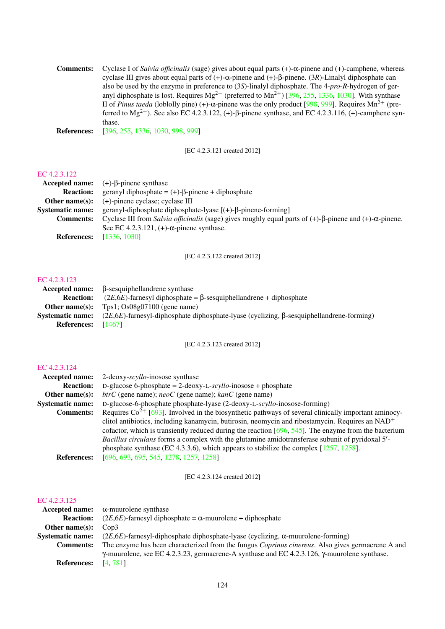Comments: Cyclase I of *Salvia officinalis* (sage) gives about equal parts (+)-α-pinene and (+)-camphene, whereas cyclase III gives about equal parts of (+)-α-pinene and (+)-β-pinene. (3*R*)-Linalyl diphosphate can also be used by the enzyme in preference to (3*S*)-linalyl diphosphate. The 4-*pro*-*R*-hydrogen of geranyl diphosphate is lost. Requires  $Mg^{2+}$  (preferred to  $Mn^{2+}$ ) [\[396,](#page-197-1) [255,](#page-190-3) [1336,](#page-246-2) [1030\]](#page-230-4). With synthase II of *Pinus taeda* (loblolly pine) (+)-α-pinene was the only product [\[998,](#page-229-2) [999\]](#page-229-3). Requires Mn<sup>2+</sup> (preferred to  $Mg^{2+}$ ). See also EC 4.2.3.122, (+)-β-pinene synthase, and EC 4.2.3.116, (+)-camphene synthase.

References: [\[396,](#page-197-1) [255,](#page-190-3) [1336,](#page-246-2) [1030,](#page-230-4) [998,](#page-229-2) [999\]](#page-229-3)

[EC 4.2.3.121 created 2012]

#### [EC 4.2.3.122](http://www.enzyme-database.org/query.php?ec=4.2.3.122)

|                    | Accepted name: $(+)-\beta$ -pinene synthase                                                                                   |
|--------------------|-------------------------------------------------------------------------------------------------------------------------------|
| <b>Reaction:</b>   | geranyl diphosphate = $(+)$ - $\beta$ -pinene + diphosphate                                                                   |
| Other name $(s)$ : | $(+)$ -pinene cyclase; cyclase III                                                                                            |
| Systematic name:   | geranyl-diphosphate diphosphate-lyase $[(+)$ - $\beta$ -pinene-forming]                                                       |
| <b>Comments:</b>   | Cyclase III from Salvia officinalis (sage) gives roughly equal parts of $(+)$ - $\beta$ -pinene and $(+)$ - $\alpha$ -pinene. |
|                    | See EC 4.2.3.121, $(+)$ - $\alpha$ -pinene synthase.                                                                          |
| <b>References:</b> | [1336, 1030]                                                                                                                  |

[EC 4.2.3.122 created 2012]

#### [EC 4.2.3.123](http://www.enzyme-database.org/query.php?ec=4.2.3.123)

|                         | $\textbf{Accepted name:} \quad \beta\text{-sesquiphellandrene}$ synthase                           |
|-------------------------|----------------------------------------------------------------------------------------------------|
| <b>Reaction:</b>        | $(2E, 6E)$ -farnesyl diphosphate = $\beta$ -sesquiphellandrene + diphosphate                       |
| Other name(s):          | Tps1; $Os08g07100$ (gene name)                                                                     |
| <b>Systematic name:</b> | $(2E,6E)$ -farnesyl-diphosphate diphosphate-lyase (cyclizing, $\beta$ -sesquiphellandrene-forming) |
| <b>References:</b>      | [1467]                                                                                             |

#### [EC 4.2.3.123 created 2012]

#### [EC 4.2.3.124](http://www.enzyme-database.org/query.php?ec=4.2.3.124)

| Accepted name:          | 2-deoxy-scyllo-inosose synthase                                                                          |
|-------------------------|----------------------------------------------------------------------------------------------------------|
| <b>Reaction:</b>        | D-glucose 6-phosphate = $2$ -deoxy-L-scyllo-inosose + phosphate                                          |
| Other name $(s)$ :      | $btrC$ (gene name); $neoC$ (gene name); $kanC$ (gene name)                                               |
| <b>Systematic name:</b> | D-glucose-6-phosphate phosphate-lyase (2-deoxy-L-scyllo-inosose-forming)                                 |
| <b>Comments:</b>        | Requires $Co^{2+}$ [693]. Involved in the biosynthetic pathways of several clinically important aminocy- |
|                         | clitol antibiotics, including kanamycin, butirosin, neomycin and ribostamycin. Requires an $NAD+$        |
|                         | cofactor, which is transiently reduced during the reaction $[696, 545]$ . The enzyme from the bacterium  |
|                         | Bacillus circulans forms a complex with the glutamine amidotransferase subunit of pyridoxal 5'-          |
|                         | phosphate synthase (EC 4.3.3.6), which appears to stabilize the complex $[1257, 1258]$ .                 |
| <b>References:</b>      | [696, 693, 695, 545, 1278, 1257, 1258]                                                                   |

[EC 4.2.3.124 created 2012]

|                            | Accepted name: $\alpha$ -muurolene synthase                                                                 |
|----------------------------|-------------------------------------------------------------------------------------------------------------|
| <b>Reaction:</b>           | $(2E, 6E)$ -farnesyl diphosphate = $\alpha$ -muurolene + diphosphate                                        |
| Other name $(s)$ :         | $\text{Con3}$                                                                                               |
| <b>Systematic name:</b>    | $(2E, 6E)$ -farnesyl-diphosphate diphosphate-lyase (cyclizing, $\alpha$ -muurolene-forming)                 |
| <b>Comments:</b>           | The enzyme has been characterized from the fungus Coprinus cinereus. Also gives germacrene A and            |
|                            | $\gamma$ -muurolene, see EC 4.2.3.23, germacrene-A synthase and EC 4.2.3.126, $\gamma$ -muurolene synthase. |
| <b>References:</b> [4,781] |                                                                                                             |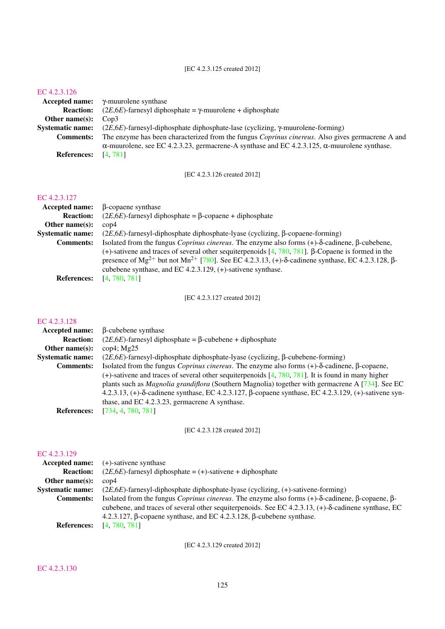#### [EC 4.2.3.125 created 2012]

#### [EC 4.2.3.126](http://www.enzyme-database.org/query.php?ec=4.2.3.126)

|                               | Accepted name: $\gamma$ -muurolene synthase                                                                 |
|-------------------------------|-------------------------------------------------------------------------------------------------------------|
| <b>Reaction:</b>              | $(2E, 6E)$ -farnesyl diphosphate = $\gamma$ -muurolene + diphosphate                                        |
| Other name $(s)$ :            | Con3                                                                                                        |
| <b>Systematic name:</b>       | $(2E, 6E)$ -farnesyl-diphosphate diphosphate-lase (cyclizing, $\gamma$ -muurolene-forming)                  |
| <b>Comments:</b>              | The enzyme has been characterized from the fungus <i>Coprinus cinereus</i> . Also gives germacrene A and    |
|                               | $\alpha$ -muurolene, see EC 4.2.3.23, germacrene-A synthase and EC 4.2.3.125, $\alpha$ -muurolene synthase. |
| <b>References:</b> $[4, 781]$ |                                                                                                             |

[EC 4.2.3.126 created 2012]

## [EC 4.2.3.127](http://www.enzyme-database.org/query.php?ec=4.2.3.127)

| <b>Accepted name:</b>   | β-copaene synthase                                                                                                        |
|-------------------------|---------------------------------------------------------------------------------------------------------------------------|
| <b>Reaction:</b>        | $(2E, 6E)$ -farnesyl diphosphate = $\beta$ -copaene + diphosphate                                                         |
| Other name $(s)$ :      | $\rm cop 4$                                                                                                               |
| <b>Systematic name:</b> | $(2E, 6E)$ -farnesyl-diphosphate diphosphate-lyase (cyclizing, $\beta$ -copaene-forming)                                  |
| <b>Comments:</b>        | Isolated from the fungus <i>Coprinus cinereus</i> . The enzyme also forms $(+)$ - $\delta$ -cadinene, $\beta$ -cubebene,  |
|                         | (+)-sativene and traces of several other sequiterpenoids $[4, 780, 781]$ . $\beta$ -Copaene is formed in the              |
|                         | presence of $Mg^{2+}$ but not $Mn^{2+}$ [780]. See EC 4.2.3.13, (+)- $\delta$ -cadinene synthase, EC 4.2.3.128, $\beta$ - |
|                         | cubebene synthase, and EC $4.2.3.129$ , $(+)$ -sativene synthase.                                                         |
| <b>References:</b>      | [4, 780, 781]                                                                                                             |

[EC 4.2.3.127 created 2012]

#### [EC 4.2.3.128](http://www.enzyme-database.org/query.php?ec=4.2.3.128)

| <b>Accepted name:</b>   | β-cubebene synthase                                                                                                     |
|-------------------------|-------------------------------------------------------------------------------------------------------------------------|
| <b>Reaction:</b>        | $(2E, 6E)$ -farnesyl diphosphate = $\beta$ -cubebene + diphosphate                                                      |
| Other name $(s)$ :      | $\text{cop4}$ ; Mg25                                                                                                    |
| <b>Systematic name:</b> | $(2E,6E)$ -farnesyl-diphosphate diphosphate-lyase (cyclizing, $\beta$ -cubebene-forming)                                |
| <b>Comments:</b>        | Isolated from the fungus <i>Coprinus cinereus</i> . The enzyme also forms $(+)$ - $\delta$ -cadinene, $\beta$ -copaene, |
|                         | (+)-sativene and traces of several other sequiterpenoids [4, 780, 781]. It is found in many higher                      |
|                         | plants such as <i>Magnolia grandiflora</i> (Southern Magnolia) together with germacrene A [734]. See EC                 |
|                         | 4.2.3.13, (+)- $\delta$ -cadinene synthase, EC 4.2.3.127, $\beta$ -copaene synthase, EC 4.2.3.129, (+)-sativene syn-    |
|                         | thase, and EC 4.2.3.23, germacrene A synthase.                                                                          |
| <b>References:</b>      | [734, 4, 780, 781]                                                                                                      |
|                         |                                                                                                                         |

[EC 4.2.3.128 created 2012]

## [EC 4.2.3.129](http://www.enzyme-database.org/query.php?ec=4.2.3.129)

| Accepted name:          | $(+)$ -sativene synthase                                                                                                          |
|-------------------------|-----------------------------------------------------------------------------------------------------------------------------------|
| <b>Reaction:</b>        | $(2E, 6E)$ -farnesyl diphosphate = (+)-sativene + diphosphate                                                                     |
| Other name $(s)$ :      | $\cos 4$                                                                                                                          |
| <b>Systematic name:</b> | $(2E, 6E)$ -farnesyl-diphosphate diphosphate-lyase (cyclizing, $(+)$ -sativene-forming)                                           |
| <b>Comments:</b>        | Isolated from the fungus <i>Coprinus cinereus</i> . The enzyme also forms $(+)$ - $\delta$ -cadinene, $\beta$ -copaene, $\beta$ - |
|                         | cubebene, and traces of several other sequiterpenoids. See EC 4.2.3.13, $(+)$ - $\delta$ -cadinene synthase, EC                   |
|                         | 4.2.3.127, $\beta$ -copaene synthase, and EC 4.2.3.128, $\beta$ -cubebene synthase.                                               |
| <b>References:</b>      | [4, 780, 781]                                                                                                                     |

[EC 4.2.3.129 created 2012]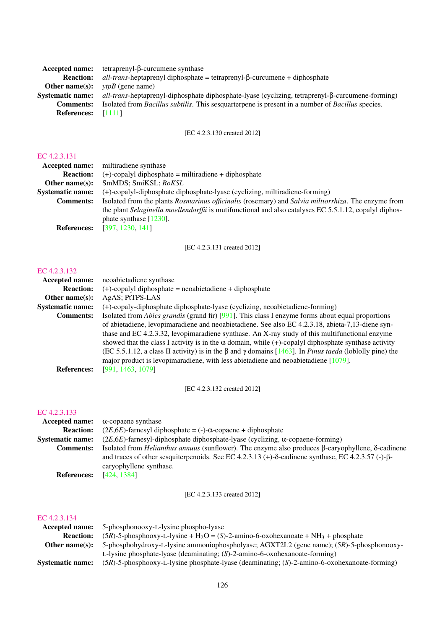| <b>Accepted name:</b>     | tetraprenyl- $\beta$ -curcumene synthase                                                                        |
|---------------------------|-----------------------------------------------------------------------------------------------------------------|
| <b>Reaction:</b>          | $all-trans\text{-}heptaprenyl diphosphate = tetraprenyl-\beta-curcumene + diphosphate$                          |
| Other name $(s)$ :        | <i>vtpB</i> (gene name)                                                                                         |
| <b>Systematic name:</b>   | all-trans-heptaprenyl-diphosphate diphosphate-lyase (cyclizing, tetraprenyl-B-curcumene-forming)                |
| <b>Comments:</b>          | Isolated from <i>Bacillus subtilis</i> . This sesquarterpene is present in a number of <i>Bacillus</i> species. |
| <b>References:</b> [1111] |                                                                                                                 |
|                           |                                                                                                                 |

## [EC 4.2.3.130 created 2012]

## [EC 4.2.3.131](http://www.enzyme-database.org/query.php?ec=4.2.3.131)

| Accepted name:          | miltiradiene synthase                                                                                  |
|-------------------------|--------------------------------------------------------------------------------------------------------|
| <b>Reaction:</b>        | $(+)$ -copalyl diphosphate = miltiradiene + diphosphate                                                |
| Other name $(s)$ :      | SmMDS; SmiKSL; RoKSL                                                                                   |
| <b>Systematic name:</b> | (+)-copalyl-diphosphate diphosphate-lyase (cyclizing, miltiradiene-forming)                            |
| <b>Comments:</b>        | Isolated from the plants Rosmarinus officinalis (rosemary) and Salvia miltiorrhiza. The enzyme from    |
|                         | the plant Selaginella moellendorffii is mutifunctional and also catalyses EC 5.5.1.12, copalyl diphos- |
|                         | phate synthase $[1230]$ .                                                                              |
| <b>References:</b>      | [397, 1230, 141]                                                                                       |

[EC 4.2.3.131 created 2012]

#### [EC 4.2.3.132](http://www.enzyme-database.org/query.php?ec=4.2.3.132)

| <b>Accepted name:</b>   | neoabietadiene synthase                                                                                                     |
|-------------------------|-----------------------------------------------------------------------------------------------------------------------------|
| <b>Reaction:</b>        | $(+)$ -copalyl diphosphate = neoabietadiene + diphosphate                                                                   |
| Other name $(s)$ :      | AgAS; PtTPS-LAS                                                                                                             |
| <b>Systematic name:</b> | (+)-copaly-diphosphate diphosphate-lyase (cyclizing, neoabietadiene-forming)                                                |
| <b>Comments:</b>        | Isolated from <i>Abies grandis</i> (grand fir) [991]. This class I enzyme forms about equal proportions                     |
|                         | of abietadiene, levopimaradiene and neoabietadiene. See also EC 4.2.3.18, abieta-7,13-diene syn-                            |
|                         | thase and EC 4.2.3.32, levopimaradiene synthase. An X-ray study of this multifunctional enzyme                              |
|                         | showed that the class I activity is in the $\alpha$ domain, while (+)-copalyl diphosphate synthase activity                 |
|                         | (EC 5.5.1.12, a class II activity) is in the $\beta$ and $\gamma$ domains [1463]. In <i>Pinus taeda</i> (loblolly pine) the |
|                         | major product is levopimaradiene, with less abietadiene and neoabietadiene $[1079]$ .                                       |
| <b>References:</b>      | [991, 1463, 1079]                                                                                                           |

[EC 4.2.3.132 created 2012]

## [EC 4.2.3.133](http://www.enzyme-database.org/query.php?ec=4.2.3.133)

|                         | Accepted name: $\alpha$ -copaene synthase                                                                                                                                                                                                     |
|-------------------------|-----------------------------------------------------------------------------------------------------------------------------------------------------------------------------------------------------------------------------------------------|
| <b>Reaction:</b>        | $(2E, 6E)$ -farnesyl diphosphate = (-)- $\alpha$ -copaene + diphosphate                                                                                                                                                                       |
| <b>Systematic name:</b> | $(2E, 6E)$ -farnesyl-diphosphate diphosphate-lyase (cyclizing, $\alpha$ -copaene-forming)                                                                                                                                                     |
| <b>Comments:</b>        | Isolated from <i>Helianthus annuus</i> (sunflower). The enzyme also produces $\beta$ -caryophyllene, $\delta$ -cadinene<br>and traces of other sesquiterpenoids. See EC 4.2.3.13 (+)- $\delta$ -cadinene synthase, EC 4.2.3.57 (-)- $\beta$ - |
|                         | caryophyllene synthase.<br>[424, 1384]                                                                                                                                                                                                        |
| <b>References:</b>      |                                                                                                                                                                                                                                               |

[EC 4.2.3.133 created 2012]

| Accepted name:          | 5-phosphonooxy-L-lysine phospho-lyase                                                                       |
|-------------------------|-------------------------------------------------------------------------------------------------------------|
| <b>Reaction:</b>        | $(5R)$ -5-phosphooxy-L-lysine + H <sub>2</sub> O = (S)-2-amino-6-oxohexanoate + NH <sub>3</sub> + phosphate |
| Other name(s):          | 5-phosphohydroxy-L-lysine ammoniophospholyase; AGXT2L2 (gene name); (5R)-5-phosphonooxy-                    |
|                         | L-lysine phosphate-lyase (deaminating; $(S)$ -2-amino-6-oxohexanoate-forming)                               |
| <b>Systematic name:</b> | $(5R)$ -5-phosphooxy-L-lysine phosphate-lyase (deaminating; $(S)$ -2-amino-6-oxohexanoate-forming)          |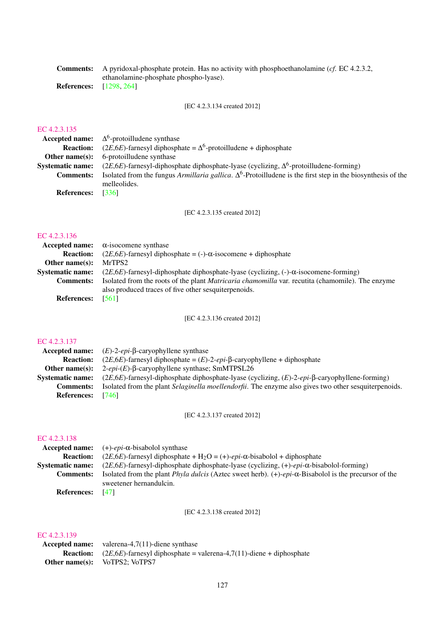|                                | <b>Comments:</b> A pyridoxal-phosphate protein. Has no activity with phosphoethanolamine (cf. EC 4.2.3.2, |
|--------------------------------|-----------------------------------------------------------------------------------------------------------|
|                                | ethanolamine-phosphate phospho-lyase).                                                                    |
| <b>References:</b> [1298, 264] |                                                                                                           |

[EC 4.2.3.134 created 2012]

#### [EC 4.2.3.135](http://www.enzyme-database.org/query.php?ec=4.2.3.135)

|                          | <b>Accepted name:</b> $\Delta^6$ -protoilludene synthase                                                            |
|--------------------------|---------------------------------------------------------------------------------------------------------------------|
|                          | <b>Reaction:</b> (2 <i>E</i> ,6 <i>E</i> )-farnesyl diphosphate = $\Delta^6$ -protoilludene + diphosphate           |
| Other name $(s)$ :       | 6-protoilludene synthase                                                                                            |
| <b>Systematic name:</b>  | $(2E, 6E)$ -farnesyl-diphosphate diphosphate-lyase (cyclizing, $\Delta^6$ -protoilludene-forming)                   |
| <b>Comments:</b>         | Isolated from the fungus Armillaria gallica. $\Delta^6$ -Protoilludene is the first step in the biosynthesis of the |
|                          | melleolides.                                                                                                        |
| <b>References:</b> [336] |                                                                                                                     |
|                          |                                                                                                                     |

[EC 4.2.3.135 created 2012]

## [EC 4.2.3.136](http://www.enzyme-database.org/query.php?ec=4.2.3.136)

|                         | Accepted name: $\alpha$ -isocomene synthase                                                             |
|-------------------------|---------------------------------------------------------------------------------------------------------|
| <b>Reaction:</b>        | $(2E, 6E)$ -farnesyl diphosphate = (-)- $\alpha$ -isocomene + diphosphate                               |
| Other name $(s)$ :      | MrTPS2                                                                                                  |
| <b>Systematic name:</b> | $(2E,6E)$ -farnesyl-diphosphate diphosphate-lyase (cyclizing, (-)- $\alpha$ -isocomene-forming)         |
| <b>Comments:</b>        | Isolated from the roots of the plant <i>Matricaria chamomilla</i> var. recutita (chamomile). The enzyme |
|                         | also produced traces of five other sesquiter penoids.                                                   |
| <b>References:</b>      | - 15611                                                                                                 |

[EC 4.2.3.136 created 2012]

## [EC 4.2.3.137](http://www.enzyme-database.org/query.php?ec=4.2.3.137)

|                         | <b>Accepted name:</b> $(E)$ -2- <i>epi</i> - $\beta$ -caryophyllene synthase                                 |
|-------------------------|--------------------------------------------------------------------------------------------------------------|
| <b>Reaction:</b>        | $(2E, 6E)$ -farnesyl diphosphate = $(E)$ -2-epi- $\beta$ -caryophyllene + diphosphate                        |
| Other name $(s)$ :      | $2\text{-}epi-(E)$ - $\beta$ -caryophyllene synthase; SmMTPSL26                                              |
| <b>Systematic name:</b> | $(2E, 6E)$ -farnesyl-diphosphate diphosphate-lyase (cyclizing, $(E)$ -2-epi- $\beta$ -caryophyllene-forming) |
| <b>Comments:</b>        | Isolated from the plant <i>Selaginella moellendorfii</i> . The enzyme also gives two other sesquiterpenoids. |
| <b>References:</b>      | [746]                                                                                                        |

[EC 4.2.3.137 created 2012]

#### [EC 4.2.3.138](http://www.enzyme-database.org/query.php?ec=4.2.3.138)

| Accepted name:          | $(+)$ - <i>epi</i> - $\alpha$ -bisabolol synthase                                                                                |
|-------------------------|----------------------------------------------------------------------------------------------------------------------------------|
| <b>Reaction:</b>        | $(2E, 6E)$ -farnesyl diphosphate + H <sub>2</sub> O = (+)- <i>epi</i> - $\alpha$ -bisabolol + diphosphate                        |
| <b>Systematic name:</b> | $(2E,6E)$ -farnesyl-diphosphate diphosphate-lyase (cyclizing, $(+)$ -epi- $\alpha$ -bisabolol-forming)                           |
| <b>Comments:</b>        | Isolated from the plant <i>Phyla dulcis</i> (Aztec sweet herb). $(+)$ - <i>epi</i> - $\alpha$ -Bisabolol is the precursor of the |
|                         | sweetener hernandulcin.                                                                                                          |
| <b>References:</b>      | [47]                                                                                                                             |

[EC 4.2.3.138 created 2012]

#### [EC 4.2.3.139](http://www.enzyme-database.org/query.php?ec=4.2.3.139)

Accepted name: valerena-4,7(11)-diene synthase **Reaction:**  $(2E, 6E)$ -farnesyl diphosphate = valerena-4,7(11)-diene + diphosphate Other name(s): VoTPS2; VoTPS7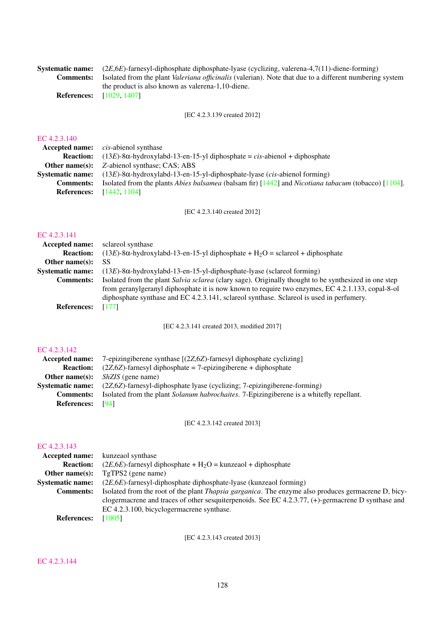Systematic name: (2*E*,6*E*)-farnesyl-diphosphate diphosphate-lyase (cyclizing, valerena-4,7(11)-diene-forming)<br>Comments: Isolated from the plant *Valeriana officinalis* (valerian). Note that due to a different numbering Isolated from the plant *Valeriana officinalis* (valerian). Note that due to a different numbering system the product is also known as valerena-1,10-diene. References: [\[1029,](#page-230-5) [1407\]](#page-250-2)

[EC 4.2.3.139 created 2012]

#### [EC 4.2.3.140](http://www.enzyme-database.org/query.php?ec=4.2.3.140)

|                                 | <b>Accepted name:</b> <i>cis-abienol synthase</i>                                                                                            |
|---------------------------------|----------------------------------------------------------------------------------------------------------------------------------------------|
| <b>Reaction:</b>                | $(13E)$ -8 $\alpha$ -hydroxylabd-13-en-15-yl diphosphate = cis-abienol + diphosphate                                                         |
|                                 | <b>Other name(s):</b> Z-abienol synthase; CAS; ABS                                                                                           |
|                                 | <b>Systematic name:</b> $(13E)$ -8 $\alpha$ -hydroxylabd-13-en-15-yl-diphosphate-lyase ( <i>cis</i> -abienol forming)                        |
| <b>Comments:</b>                | Isolated from the plants <i>Abies balsamea</i> (balsam fir) $\left[1442\right]$ and <i>Nicotiana tabacum</i> (tobacco) $\left[1104\right]$ . |
| <b>References:</b> [1442, 1104] |                                                                                                                                              |

[EC 4.2.3.140 created 2012]

## [EC 4.2.3.141](http://www.enzyme-database.org/query.php?ec=4.2.3.141)

| <b>Accepted name:</b>   | sclareol synthase                                                                                     |
|-------------------------|-------------------------------------------------------------------------------------------------------|
| <b>Reaction:</b>        | $(13E)$ -8 $\alpha$ -hydroxylabd-13-en-15-yl diphosphate + H <sub>2</sub> O = sclareol + diphosphate  |
| Other name $(s)$ :      | SS                                                                                                    |
| <b>Systematic name:</b> | $(13E)$ -8 $\alpha$ -hydroxylabd-13-en-15-yl-diphosphate-lyase (sclareol forming)                     |
| <b>Comments:</b>        | Isolated from the plant Salvia sclarea (clary sage). Originally thought to be synthesized in one step |
|                         | from geranylgeranyl diphosphate it is now known to require two enzymes, EC 4.2.1.133, copal-8-ol      |
|                         | diphosphate synthase and EC 4.2.3.141, sclared synthase. Sclared is used in perfumery.                |
| <b>References:</b>      | [177]                                                                                                 |

[EC 4.2.3.141 created 2013, modified 2017]

## [EC 4.2.3.142](http://www.enzyme-database.org/query.php?ec=4.2.3.142)

| Accepted name:          | 7-epizingiberene synthase [(2Z,6Z)-farnesyl diphosphate cyclizing]                              |
|-------------------------|-------------------------------------------------------------------------------------------------|
| <b>Reaction:</b>        | $(2Z, 6Z)$ -farnesyl diphosphate = 7-epizingiberene + diphosphate                               |
| Other name $(s)$ :      | <i>ShZIS</i> (gene name)                                                                        |
| <b>Systematic name:</b> | $(2Z,6Z)$ -farnesyl-diphosphate lyase (cyclizing; 7-epizingiberene-forming)                     |
| <b>Comments:</b>        | Isolated from the plant <i>Solanum habrochaites</i> . 7-Epizingiberene is a whitefly repellant. |
| <b>References:</b>      | [94]                                                                                            |

[EC 4.2.3.142 created 2013]

## [EC 4.2.3.143](http://www.enzyme-database.org/query.php?ec=4.2.3.143)

| <b>Accepted name:</b> kunzeaol synthase                                                                     |
|-------------------------------------------------------------------------------------------------------------|
| $(2E, 6E)$ -farnesyl diphosphate + H <sub>2</sub> O = kunzeaol + diphosphate                                |
| TgTPS2 (gene name)                                                                                          |
| $(2E, 6E)$ -farnesyl-diphosphate diphosphate-lyase (kunzeaol forming)                                       |
| Isolated from the root of the plant <i>Thapsia garganica</i> . The enzyme also produces germacrene D, bicy- |
| clogermacrene and traces of other sesquiterpenoids. See EC 4.2.3.77, $(+)$ -germacrene D synthase and       |
| EC 4.2.3.100, bicyclogermacrene synthase.                                                                   |
| [1005]                                                                                                      |
|                                                                                                             |

[EC 4.2.3.143 created 2013]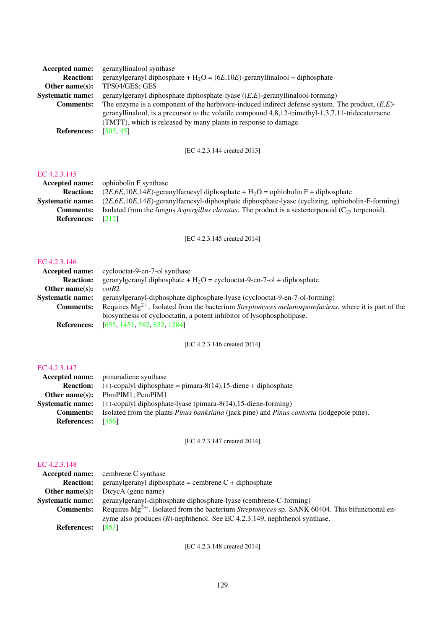| <b>Accepted name:</b>   | geranyllinalool synthase                                                                           |
|-------------------------|----------------------------------------------------------------------------------------------------|
| <b>Reaction:</b>        | geranylgeranyl diphosphate + $H_2O = (6E, 10E)$ -geranyllinalool + diphosphate                     |
| Other name $(s)$ :      | TPS04/GES; GES                                                                                     |
| <b>Systematic name:</b> | geranylgeranyl diphosphate diphosphate-lyase $((E,E)$ -geranyllinalool-forming)                    |
| <b>Comments:</b>        | The enzyme is a component of the herbivore-induced indirect defense system. The product, $(E,E)$ - |
|                         | geranyllinalool, is a precursor to the volatile compound 4,8,12-trimethyl-1,3,7,11-tridecatetraene |
|                         | (TMTT), which is released by many plants in response to damage.                                    |
| <b>References:</b>      | [505, 45]                                                                                          |

## [EC 4.2.3.144 created 2013]

#### [EC 4.2.3.145](http://www.enzyme-database.org/query.php?ec=4.2.3.145)

| <b>Accepted name:</b>   | ophiobolin F synthase                                                                                          |
|-------------------------|----------------------------------------------------------------------------------------------------------------|
| <b>Reaction:</b>        | $(2E,6E,10E,14E)$ -geranylfarnesyl diphosphate + H <sub>2</sub> O = ophiobolin F + diphosphate                 |
| <b>Systematic name:</b> | $(2E, 6E, 10E, 14E)$ -geranylfarnesyl-diphosphate diphosphate-lyase (cyclizing, ophiobolin-F-forming)          |
| <b>Comments:</b>        | Isolated from the fungus <i>Aspergillus clavatus</i> . The product is a sester terpenoid $(C_{25}$ terpenoid). |
| <b>References:</b>      | $\lceil 212 \rceil$                                                                                            |
|                         |                                                                                                                |

[EC 4.2.3.145 created 2014]

#### [EC 4.2.3.146](http://www.enzyme-database.org/query.php?ec=4.2.3.146)

| Accepted name:          | cyclooctat-9-en-7-ol synthase                                                                                     |
|-------------------------|-------------------------------------------------------------------------------------------------------------------|
| <b>Reaction:</b>        | geranylgeranyl diphosphate + $H_2O$ = cyclooctat-9-en-7-ol + diphosphate                                          |
| Other name $(s)$ :      | cotB2                                                                                                             |
| <b>Systematic name:</b> | geranylgeranyl-diphosphate diphosphate-lyase (cyclooctat-9-en-7-ol-forming)                                       |
| <b>Comments:</b>        | Requires $Mg^{2+}$ . Isolated from the bacterium <i>Streptomyces melanosporofaciens</i> , where it is part of the |
|                         | biosynthesis of cyclooctatin, a potent inhibitor of lysophospholipase.                                            |
| <b>References:</b>      | [655, 1451, 582, 852, 1284]                                                                                       |

[EC 4.2.3.146 created 2014]

## [EC 4.2.3.147](http://www.enzyme-database.org/query.php?ec=4.2.3.147)

| <b>Accepted name:</b> pimaradiene synthase                                                              |
|---------------------------------------------------------------------------------------------------------|
| $(+)$ -copalyl diphosphate = pimara-8(14), 15-diene + diphosphate                                       |
| PbmPIM1: PcmPIM1                                                                                        |
| $(+)$ -copalyl diphosphate-lyase (pimara-8 $(14)$ , 15-diene-forming)                                   |
| Isolated from the plants <i>Pinus banksiana</i> (jack pine) and <i>Pinus contorta</i> (lodgepole pine). |
| [456]                                                                                                   |
|                                                                                                         |

[EC 4.2.3.147 created 2014]

## [EC 4.2.3.148](http://www.enzyme-database.org/query.php?ec=4.2.3.148)

|                         | <b>Accepted name:</b> cembrene C synthase                                                                  |
|-------------------------|------------------------------------------------------------------------------------------------------------|
| <b>Reaction:</b>        | geranylgeranyl diphosphate = cembrene $C + diphosphate$                                                    |
| Other name $(s)$ :      | DtcycA (gene name)                                                                                         |
| <b>Systematic name:</b> | geranylgeranyl-diphosphate diphosphate-lyase (cembrene-C-forming)                                          |
| <b>Comments:</b>        | Requires $Mg^{2+}$ . Isolated from the bacterium <i>Streptomyces</i> sp. SANK 60404. This bifunctional en- |
|                         | zyme also produces $(R)$ -nephthenol. See EC 4.2.3.149, nephthenol synthase.                               |
| <b>References:</b>      | [853]                                                                                                      |

[EC 4.2.3.148 created 2014]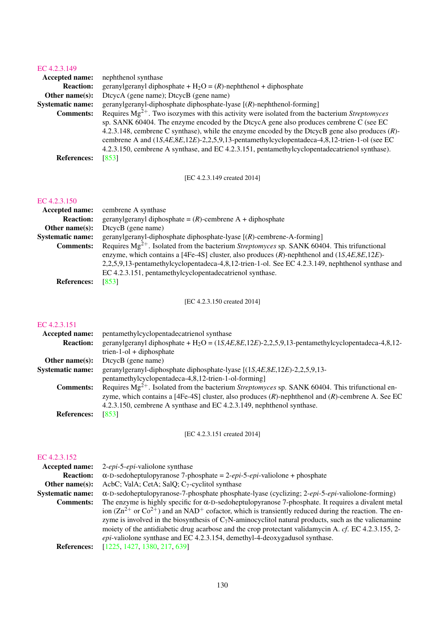| <b>Accepted name:</b>   | nephthenol synthase                                                                                       |
|-------------------------|-----------------------------------------------------------------------------------------------------------|
| <b>Reaction:</b>        | geranylgeranyl diphosphate + $H_2O = (R)$ -nephthenol + diphosphate                                       |
| Other name $(s)$ :      | DtcycA (gene name); DtcycB (gene name)                                                                    |
| <b>Systematic name:</b> | geranylgeranyl-diphosphate diphosphate-lyase $[(R)$ -nephthenol-forming]                                  |
| <b>Comments:</b>        | Requires $Mg^{2+}$ . Two isozymes with this activity were isolated from the bacterium <i>Streptomyces</i> |
|                         | sp. SANK 60404. The enzyme encoded by the DtcycA gene also produces cembrene C (see EC                    |
|                         | 4.2.3.148, cembrene C synthase), while the enzyme encoded by the DtcycB gene also produces $(R)$ -        |
|                         | cembrene A and $(1S,4E,8E,12E)-2,2,5,9,13$ -pentamethylcyclopentadeca-4,8,12-trien-1-ol (see EC           |
|                         | 4.2.3.150, cembrene A synthase, and EC 4.2.3.151, pentamethylcyclopentadecatrienol synthase).             |
| <b>References:</b>      | [853]                                                                                                     |
|                         |                                                                                                           |

[EC 4.2.3.149 created 2014]

#### [EC 4.2.3.150](http://www.enzyme-database.org/query.php?ec=4.2.3.150)

| <b>Accepted name:</b>   | cembrene A synthase                                                                                     |
|-------------------------|---------------------------------------------------------------------------------------------------------|
| <b>Reaction:</b>        | geranylgeranyl diphosphate = $(R)$ -cembrene A + diphosphate                                            |
| Other name $(s)$ :      | DtcycB (gene name)                                                                                      |
| <b>Systematic name:</b> | geranylgeranyl-diphosphate diphosphate-lyase $[(R)$ -cembrene-A-forming]                                |
| <b>Comments:</b>        | Requires $Mg^{2+}$ . Isolated from the bacterium <i>Streptomyces</i> sp. SANK 60404. This trifunctional |
|                         | enzyme, which contains a [4Fe-4S] cluster, also produces $(R)$ -nephthenol and $(1S,4E,8E,12E)$ -       |
|                         | 2,2,5,9,13-pentamethylcyclopentadeca-4,8,12-trien-1-ol. See EC 4.2.3.149, nephthenol synthase and       |
|                         | EC 4.2.3.151, pentamethylcyclopentadecatrienol synthase.                                                |
| <b>References:</b>      | [853]                                                                                                   |

[EC 4.2.3.150 created 2014]

## [EC 4.2.3.151](http://www.enzyme-database.org/query.php?ec=4.2.3.151)

| <b>Accepted name:</b>   | pentamethylcyclopentadecatrienol synthase                                                                   |
|-------------------------|-------------------------------------------------------------------------------------------------------------|
| <b>Reaction:</b>        | geranylgeranyl diphosphate + $H_2O = (1S,4E,8E,12E)$ -2,2,5,9,13-pentamethylcyclopentadeca-4,8,12-          |
|                         | $t$ rien-1-ol + diphosphate                                                                                 |
| Other name $(s)$ :      | DtcycB (gene name)                                                                                          |
| <b>Systematic name:</b> | geranylgeranyl-diphosphate diphosphate-lyase $[(1S,4E,8E,12E)-2,2,5,9,13-$                                  |
|                         | pentamethylcyclopentadeca-4,8,12-trien-1-ol-forming]                                                        |
| <b>Comments:</b>        | Requires $Mg^{2+}$ . Isolated from the bacterium <i>Streptomyces</i> sp. SANK 60404. This trifunctional en- |
|                         | zyme, which contains a [4Fe-4S] cluster, also produces $(R)$ -nephthenol and $(R)$ -cembrene A. See EC      |
|                         | 4.2.3.150, cembrene A synthase and EC 4.2.3.149, nephthenol synthase.                                       |
| <b>References:</b>      | [853]                                                                                                       |

[EC 4.2.3.151 created 2014]

| EC 4.2.3.152            |                                                                                                                           |
|-------------------------|---------------------------------------------------------------------------------------------------------------------------|
| <b>Accepted name:</b>   | 2- <i>epi-5-epi-valiolone</i> synthase                                                                                    |
| <b>Reaction:</b>        | $\alpha$ -D-sedoheptulopyranose 7-phosphate = 2- <i>epi</i> -5- <i>epi</i> -valiolone + phosphate                         |
| Other name $(s)$ :      | AcbC; ValA; CetA; SalQ; C <sub>7</sub> -cyclitol synthase                                                                 |
| <b>Systematic name:</b> | $\alpha$ -D-sedoheptulopyranose-7-phosphate phosphate-lyase (cyclizing; 2-epi-5-epi-valiolone-forming)                    |
| <b>Comments:</b>        | The enzyme is highly specific for $\alpha$ -D-sedoheptulopyranose 7-phosphate. It requires a divalent metal               |
|                         | ion $(Zn^{2+}$ or $Co^{2+}$ ) and an NAD <sup>+</sup> cofactor, which is transiently reduced during the reaction. The en- |
|                         | zyme is involved in the biosynthesis of $C_7N$ -aminocyclitol natural products, such as the valienamine                   |
|                         | moiety of the antidiabetic drug acarbose and the crop protectant validamycin A. cf. EC 4.2.3.155, 2-                      |
|                         | epi-valiolone synthase and EC 4.2.3.154, demethyl-4-deoxygadusol synthase.                                                |
| <b>References:</b>      | [1225, 1427, 1380, 217, 639]                                                                                              |
|                         |                                                                                                                           |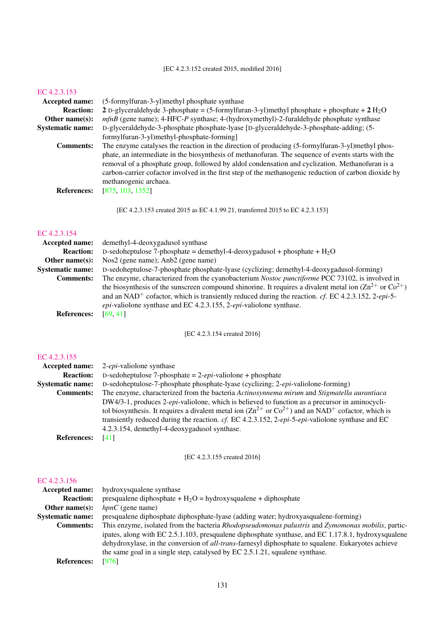## [EC 4.2.3.152 created 2015, modified 2016]

#### [EC 4.2.3.153](http://www.enzyme-database.org/query.php?ec=4.2.3.153)

| <b>Accepted name:</b>   | (5-formylfuran-3-yl)methyl phosphate synthase                                                               |
|-------------------------|-------------------------------------------------------------------------------------------------------------|
| <b>Reaction:</b>        | 2 D-glyceraldehyde 3-phosphate = $(5$ -formylfuran-3-yl)methyl phosphate + phosphate + $2$ H <sub>2</sub> O |
| Other name $(s)$ :      | $mfnB$ (gene name); 4-HFC-P synthase; 4-(hydroxymethyl)-2-furaldehyde phosphate synthase                    |
| <b>Systematic name:</b> | D-glyceraldehyde-3-phosphate phosphate-lyase [D-glyceraldehyde-3-phosphate-adding; (5-                      |
|                         | formylfuran-3-yl)methyl-phosphate-forming]                                                                  |
| <b>Comments:</b>        | The enzyme catalyses the reaction in the direction of producing (5-formylfuran-3-yl)methyl phos-            |
|                         | phate, an intermediate in the biosynthesis of methanofuran. The sequence of events starts with the          |
|                         | removal of a phosphate group, followed by aldol condensation and cyclization. Methanofuran is a             |
|                         | carbon-carrier cofactor involved in the first step of the methanogenic reduction of carbon dioxide by       |
|                         | methanogenic archaea.                                                                                       |
| <b>References:</b>      | [875, 103, 1352]                                                                                            |
|                         |                                                                                                             |
|                         | [EC 4.2.3.153] created 2015 as EC 4.1.99.21, transferred 2015 to EC 4.2.3.153]                              |
|                         |                                                                                                             |

## [EC 4.2.3.154](http://www.enzyme-database.org/query.php?ec=4.2.3.154)

| <b>Accepted name:</b>   | demethyl-4-deoxygadusol synthase                                                                                               |
|-------------------------|--------------------------------------------------------------------------------------------------------------------------------|
| <b>Reaction:</b>        | D-sedoheptulose 7-phosphate = demethyl-4-deoxygadusol + phosphate + $H_2O$                                                     |
| Other name $(s)$ :      | Nos2 (gene name); Anb2 (gene name)                                                                                             |
| <b>Systematic name:</b> | D-sedoheptulose-7-phosphate phosphate-lyase (cyclizing; demethyl-4-deoxygadusol-forming)                                       |
| <b>Comments:</b>        | The enzyme, characterized from the cyanobacterium <i>Nostoc punctiforme</i> PCC 73102, is involved in                          |
|                         | the biosynthesis of the sunscreen compound shinorine. It requires a divalent metal ion $(2n^2 + or Co^{2+})$                   |
|                         | and an NAD <sup>+</sup> cofactor, which is transiently reduced during the reaction. <i>cf.</i> EC 4.2.3.152, 2- <i>epi</i> -5- |
|                         | $epi$ -valiolone synthase and EC 4.2.3.155, 2-epi-valiolone synthase.                                                          |
| <b>References:</b>      | [69, 41]                                                                                                                       |
|                         |                                                                                                                                |

## [EC 4.2.3.154 created 2016]

## [EC 4.2.3.155](http://www.enzyme-database.org/query.php?ec=4.2.3.155)

| Accepted name:          | 2- <i>epi</i> -valiolone synthase                                                                                        |
|-------------------------|--------------------------------------------------------------------------------------------------------------------------|
| <b>Reaction:</b>        | D-sedoheptulose 7-phosphate = $2$ -epi-valiolone + phosphate                                                             |
| <b>Systematic name:</b> | D-sedoheptulose-7-phosphate phosphate-lyase (cyclizing; 2- <i>epi</i> -valiolone-forming)                                |
| <b>Comments:</b>        | The enzyme, characterized from the bacteria Actinosynnema mirum and Stigmatella aurantiaca                               |
|                         | DW4/3-1, produces 2-epi-valiolone, which is believed to function as a precursor in aminocycli-                           |
|                         | tol biosynthesis. It requires a divalent metal ion $(Zn^{2+})$ or $Co^{2+}$ ) and an NAD <sup>+</sup> cofactor, which is |
|                         | transiently reduced during the reaction. cf. EC 4.2.3.152, 2-epi-5-epi-valiolone synthase and EC                         |
|                         | 4.2.3.154, demethyl-4-deoxygadusol synthase.                                                                             |
| <b>References:</b>      | [41]                                                                                                                     |

## [EC 4.2.3.155 created 2016]

| <b>Accepted name:</b>   | hydroxysqualene synthase                                                                                   |
|-------------------------|------------------------------------------------------------------------------------------------------------|
| <b>Reaction:</b>        | presqualene diphosphate + $H_2O$ = hydroxysqualene + diphosphate                                           |
| Other name $(s)$ :      | $hpnC$ (gene name)                                                                                         |
| <b>Systematic name:</b> | presqualene diphosphate diphosphate-lyase (adding water; hydroxyasqualene-forming)                         |
| <b>Comments:</b>        | This enzyme, isolated from the bacteria Rhodopseudomonas palustris and Zymomonas mobilis, partic-          |
|                         | ipates, along with EC 2.5.1.103, presqualene diphosphate synthase, and EC 1.17.8.1, hydroxysqualene        |
|                         | dehydroxylase, in the conversion of <i>all-trans</i> -farnesyl diphosphate to squalene. Eukaryotes achieve |
|                         | the same goal in a single step, catalysed by EC 2.5.1.21, squalene synthase.                               |
| <b>References:</b>      | [976]                                                                                                      |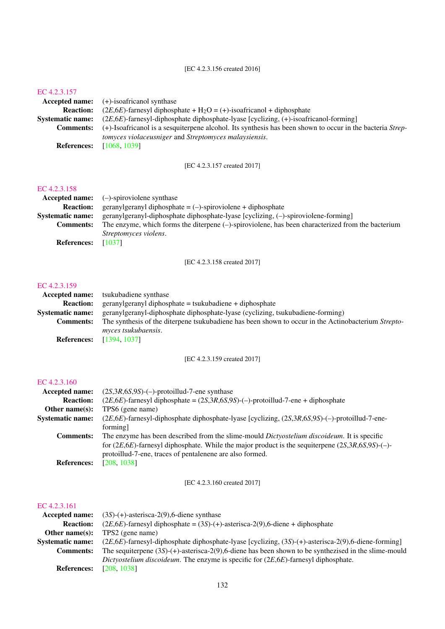#### [EC 4.2.3.156 created 2016]

#### [EC 4.2.3.157](http://www.enzyme-database.org/query.php?ec=4.2.3.157)

|                    | <b>Accepted name:</b> (+)-isoafricanol synthase                                                           |
|--------------------|-----------------------------------------------------------------------------------------------------------|
| <b>Reaction:</b>   | $(2E, 6E)$ -farnesyl diphosphate + H <sub>2</sub> O = (+)-isoafricanol + diphosphate                      |
| Systematic name:   | $(2E,6E)$ -farnesyl-diphosphate diphosphate-lyase [cyclizing, $(+)$ -isoafricanol-forming]                |
| <b>Comments:</b>   | (+)-Isoafricanol is a sesquiterpene alcohol. Its synthesis has been shown to occur in the bacteria Strep- |
|                    | <i>tomyces violaceusniger</i> and <i>Streptomyces malaysiensis</i> .                                      |
| <b>References:</b> | [1068, 1039]                                                                                              |

[EC 4.2.3.157 created 2017]

## [EC 4.2.3.158](http://www.enzyme-database.org/query.php?ec=4.2.3.158)

|                         | <b>Accepted name:</b> $(-)$ -spiroviolene synthase                                                   |
|-------------------------|------------------------------------------------------------------------------------------------------|
| <b>Reaction:</b>        | geranylgeranyl diphosphate = $(-)$ -spiroviolene + diphosphate                                       |
| <b>Systematic name:</b> | geranylgeranyl-diphosphate diphosphate-lyase [cyclizing, (-)-spiroviolene-forming]                   |
| <b>Comments:</b>        | The enzyme, which forms the diterpene $(-)$ -spiroviolene, has been characterized from the bacterium |
|                         | Streptomyces violens.                                                                                |
| <b>References:</b>      | [1037]                                                                                               |

[EC 4.2.3.158 created 2017]

## [EC 4.2.3.159](http://www.enzyme-database.org/query.php?ec=4.2.3.159)

| <b>Accepted name:</b>   | tsukubadiene synthase                                                                                                             |
|-------------------------|-----------------------------------------------------------------------------------------------------------------------------------|
| <b>Reaction:</b>        | $geran ylgeran ylgibhosphate = tsukubadiene + diphosphate$                                                                        |
| <b>Systematic name:</b> | geranylgeranyl-diphosphate diphosphate-lyase (cyclizing, tsukubadiene-forming)                                                    |
| <b>Comments:</b>        | The synthesis of the diterpene tsukubadiene has been shown to occur in the Actinobacterium Strepto-<br><i>myces tsukubaensis.</i> |
| <b>References:</b>      | [1394, 1037]                                                                                                                      |

[EC 4.2.3.159 created 2017]

#### [EC 4.2.3.160](http://www.enzyme-database.org/query.php?ec=4.2.3.160)

| Accepted name:          | $(2S, 3R, 6S, 9S)$ -(-)-protoillud-7-ene synthase                                                          |
|-------------------------|------------------------------------------------------------------------------------------------------------|
| <b>Reaction:</b>        | $(2E, 6E)$ -farnesyl diphosphate = $(2S, 3R, 6S, 9S)$ -(-)-protoillud-7-ene + diphosphate                  |
| Other name $(s)$ :      | TPS6 (gene name)                                                                                           |
| <b>Systematic name:</b> | $(2E, 6E)$ -farnesyl-diphosphate diphosphate-lyase [cyclizing, $(2S, 3R, 6S, 9S)$ -(-)-protoillud-7-ene-   |
|                         | forming]                                                                                                   |
| <b>Comments:</b>        | The enzyme has been described from the slime-mould <i>Dictyostelium discoideum</i> . It is specific        |
|                         | for $(2E, 6E)$ -farnesyl diphosphate. While the major product is the sequiterpene $(2S, 3R, 6S, 9S)$ -(-)- |
|                         | protoillud-7-ene, traces of pentalenene are also formed.                                                   |
| <b>References:</b>      | [208, 1038]                                                                                                |

[EC 4.2.3.160 created 2017]

| Accepted name:          | $(3S)$ - $(+)$ -asterisca-2 $(9)$ ,6-diene synthase                                                        |
|-------------------------|------------------------------------------------------------------------------------------------------------|
| <b>Reaction:</b>        | $(2E, 6E)$ -farnesyl diphosphate = $(3S)$ - $(+)$ -asterisca-2 $(9)$ ,6-diene + diphosphate                |
| Other name $(s)$ :      | TPS2 (gene name)                                                                                           |
| <b>Systematic name:</b> | $(2E, 6E)$ -farnesyl-diphosphate diphosphate-lyase [cyclizing, $(3S)$ -(+)-asterisca-2(9),6-diene-forming] |
| <b>Comments:</b>        | The sequiterpene $(3S)$ -(+)-asterisca-2(9),6-diene has been shown to be synthezised in the slime-mould    |
|                         | Dictyostelium discoideum. The enzyme is specific for $(2E, 6E)$ -farnesyl diphosphate.                     |
| <b>References:</b>      | [208, 1038]                                                                                                |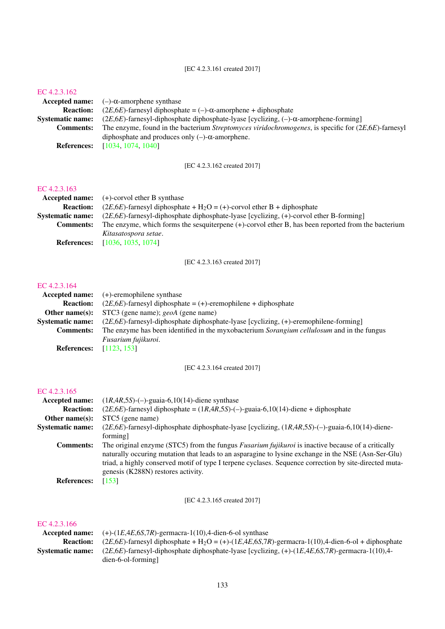#### [EC 4.2.3.161 created 2017]

#### [EC 4.2.3.162](http://www.enzyme-database.org/query.php?ec=4.2.3.162)

|                         | Accepted name: $(-)-\alpha$ -amorphene synthase                                                                 |
|-------------------------|-----------------------------------------------------------------------------------------------------------------|
| <b>Reaction:</b>        | $(2E, 6E)$ -farnesyl diphosphate = (-)- $\alpha$ -amorphene + diphosphate                                       |
| <b>Systematic name:</b> | $(2E,6E)$ -farnesyl-diphosphate diphosphate-lyase [cyclizing, $(-)$ - $\alpha$ -amorphene-forming]              |
| <b>Comments:</b>        | The enzyme, found in the bacterium <i>Streptomyces viridochromogenes</i> , is specific for $(2E, 6E)$ -farnesyl |
|                         | diphosphate and produces only $(-)$ - $\alpha$ -amorphene.                                                      |
| <b>References:</b>      | [1034, 1074, 1040]                                                                                              |

[EC 4.2.3.162 created 2017]

## [EC 4.2.3.163](http://www.enzyme-database.org/query.php?ec=4.2.3.163)

|                    | <b>Accepted name:</b> $(+)$ -corvol ether B synthase                                                  |
|--------------------|-------------------------------------------------------------------------------------------------------|
| <b>Reaction:</b>   | $(2E, 6E)$ -farnesyl diphosphate + H <sub>2</sub> O = (+)-corvol ether B + diphosphate                |
| Systematic name:   | $(2E,6E)$ -farnesyl-diphosphate diphosphate-lyase [cyclizing, (+)-corvol ether B-forming]             |
| <b>Comments:</b>   | The enzyme, which forms the sesquiterpene $(+)$ -corvol ether B, has been reported from the bacterium |
|                    | Kitasatospora setae.                                                                                  |
| <b>References:</b> | [1036, 1035, 1074]                                                                                    |

[EC 4.2.3.163 created 2017]

#### [EC 4.2.3.164](http://www.enzyme-database.org/query.php?ec=4.2.3.164)

|                                | <b>Accepted name:</b> $(+)$ -eremophilene synthase                                         |
|--------------------------------|--------------------------------------------------------------------------------------------|
| <b>Reaction:</b>               | $(2E, 6E)$ -farnesyl diphosphate = (+)-eremophilene + diphosphate                          |
|                                | <b>Other name(s):</b> STC3 (gene name); $geoA$ (gene name)                                 |
| <b>Systematic name:</b>        | $(2E,6E)$ -farnesyl-diphosphate diphosphate-lyase [cyclizing, $(+)$ -eremophilene-forming] |
| <b>Comments:</b>               | The enzyme has been identified in the myxobacterium Sorangium cellulosum and in the fungus |
|                                | Fusarium fujikuroi.                                                                        |
| <b>References:</b> [1123, 153] |                                                                                            |

[EC 4.2.3.164 created 2017]

## [EC 4.2.3.165](http://www.enzyme-database.org/query.php?ec=4.2.3.165)

| Accepted name:          | $(1R, 4R, 5S)$ -(-)-guaia-6,10(14)-diene synthase                                                                                                                                                                                                                                                                                                               |
|-------------------------|-----------------------------------------------------------------------------------------------------------------------------------------------------------------------------------------------------------------------------------------------------------------------------------------------------------------------------------------------------------------|
| <b>Reaction:</b>        | $(2E,6E)$ -farnesyl diphosphate = $(1R,4R,5S)$ -(-)-guaia-6,10(14)-diene + diphosphate                                                                                                                                                                                                                                                                          |
| Other name $(s)$ :      | STC5 (gene name)                                                                                                                                                                                                                                                                                                                                                |
| <b>Systematic name:</b> | $(2E, 6E)$ -farnesyl-diphosphate diphosphate-lyase [cyclizing, $(1R, 4R, 5S)$ -(-)-guaia-6,10(14)-diene-                                                                                                                                                                                                                                                        |
|                         | forming]                                                                                                                                                                                                                                                                                                                                                        |
| <b>Comments:</b>        | The original enzyme (STC5) from the fungus <i>Fusarium fujikuroi</i> is inactive because of a critically<br>naturally occuring mutation that leads to an asparagine to lysine exchange in the NSE (Asn-Ser-Glu)<br>triad, a highly conserved motif of type I terpene cyclases. Sequence correction by site-directed muta-<br>genesis (K288N) restores activity. |
| <b>References:</b>      | [153]                                                                                                                                                                                                                                                                                                                                                           |

[EC 4.2.3.165 created 2017]

|                         | <b>Accepted name:</b> $(+)-(1E,4E,6S,7R)$ -germacra-1(10),4-dien-6-ol synthase                                                                      |
|-------------------------|-----------------------------------------------------------------------------------------------------------------------------------------------------|
| <b>Reaction:</b>        | $(2E,6E)$ -farnesyl diphosphate + H <sub>2</sub> O = (+)-(1 <i>E</i> ,4 <i>E</i> ,6 <i>S</i> ,7 <i>R</i> )-germacra-1(10),4-dien-6-ol + diphosphate |
| <b>Svstematic name:</b> | $(2E,6E)$ -farnesyl-diphosphate diphosphate-lyase [cyclizing, $(+)$ - $(1E,4E,6S,7R)$ -germacra-1(10),4-                                            |
|                         | $dien-6-ol-forming$                                                                                                                                 |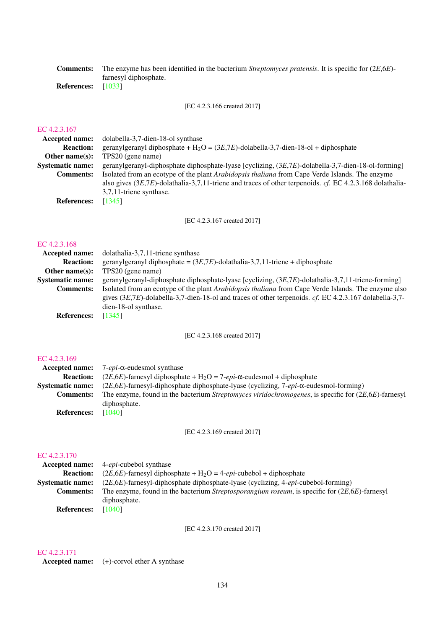Comments: The enzyme has been identified in the bacterium *Streptomyces pratensis*. It is specific for (2*E*,6*E*) farnesyl diphosphate.

References: [\[1033\]](#page-230-6)

[EC 4.2.3.166 created 2017]

## [EC 4.2.3.167](http://www.enzyme-database.org/query.php?ec=4.2.3.167)

| Accepted name:          | dolabella-3,7-dien-18-ol synthase                                                                           |
|-------------------------|-------------------------------------------------------------------------------------------------------------|
| <b>Reaction:</b>        | geranylgeranyl diphosphate + $H_2O = (3E, 7E)$ -dolabella-3,7-dien-18-ol + diphosphate                      |
| Other name $(s)$ :      | TPS20 (gene name)                                                                                           |
| <b>Systematic name:</b> | geranylgeranyl-diphosphate diphosphate-lyase [cyclizing, $(3E, 7E)$ -dolabella-3,7-dien-18-ol-forming]      |
| <b>Comments:</b>        | Isolated from an ecotype of the plant <i>Arabidopsis thaliana</i> from Cape Verde Islands. The enzyme       |
|                         | also gives $(3E,7E)$ -dolathalia-3,7,11-triene and traces of other terpenoids. cf. EC 4.2.3.168 dolathalia- |
|                         | 3,7,11-triene synthase.                                                                                     |
| <b>References:</b>      | [1345]                                                                                                      |
|                         |                                                                                                             |

[EC 4.2.3.167 created 2017]

#### [EC 4.2.3.168](http://www.enzyme-database.org/query.php?ec=4.2.3.168)

| dolathalia-3,7,11-triene synthase                                                                                                                                                                                |
|------------------------------------------------------------------------------------------------------------------------------------------------------------------------------------------------------------------|
| geranylgeranyl diphosphate = $(3E, 7E)$ -dolathalia-3,7,11-triene + diphosphate                                                                                                                                  |
| TPS20 (gene name)                                                                                                                                                                                                |
| geranylgeranyl-diphosphate diphosphate-lyase [cyclizing, (3E,7E)-dolathalia-3,7,11-triene-forming]                                                                                                               |
| Isolated from an ecotype of the plant Arabidopsis thaliana from Cape Verde Islands. The enzyme also<br>gives $(3E,7E)$ -dolabella-3,7-dien-18-ol and traces of other terpenoids. cf. EC 4.2.3.167 dolabella-3,7- |
| dien-18-ol synthase.                                                                                                                                                                                             |
| [1345]                                                                                                                                                                                                           |
|                                                                                                                                                                                                                  |

[EC 4.2.3.168 created 2017]

#### [EC 4.2.3.169](http://www.enzyme-database.org/query.php?ec=4.2.3.169)

| Accepted name:          | $7$ - <i>epi</i> - $\alpha$ -eudesmol synthase                                                                  |
|-------------------------|-----------------------------------------------------------------------------------------------------------------|
| <b>Reaction:</b>        | $(2E, 6E)$ -farnesyl diphosphate + H <sub>2</sub> O = 7- <i>epi</i> - $\alpha$ -eudesmol + diphosphate          |
| <b>Systematic name:</b> | $(2E,6E)$ -farnesyl-diphosphate diphosphate-lyase (cyclizing, 7-epi- $\alpha$ -eudesmol-forming)                |
| <b>Comments:</b>        | The enzyme, found in the bacterium <i>Streptomyces viridochromogenes</i> , is specific for $(2E, 6E)$ -farnesyl |
|                         | diphosphate.                                                                                                    |
| <b>References:</b>      | [1040]                                                                                                          |

[EC 4.2.3.169 created 2017]

#### [EC 4.2.3.170](http://www.enzyme-database.org/query.php?ec=4.2.3.170)

|                         | <b>Accepted name:</b> 4- <i>epi</i> -cubebol synthase                                                     |
|-------------------------|-----------------------------------------------------------------------------------------------------------|
| <b>Reaction:</b>        | $(2E, 6E)$ -farnesyl diphosphate + H <sub>2</sub> O = 4- <i>epi</i> -cubebol + diphosphate                |
| <b>Systematic name:</b> | $(2E, 6E)$ -farnesyl-diphosphate diphosphate-lyase (cyclizing, 4- <i>epi</i> -cubebol-forming)            |
| <b>Comments:</b>        | The enzyme, found in the bacterium <i>Streptosporangium roseum</i> , is specific for $(2E, 6E)$ -farnesyl |
|                         | diphosphate.                                                                                              |
| <b>References:</b>      | [1040]                                                                                                    |

[EC 4.2.3.170 created 2017]

## [EC 4.2.3.171](http://www.enzyme-database.org/query.php?ec=4.2.3.171)

Accepted name: (+)-corvol ether A synthase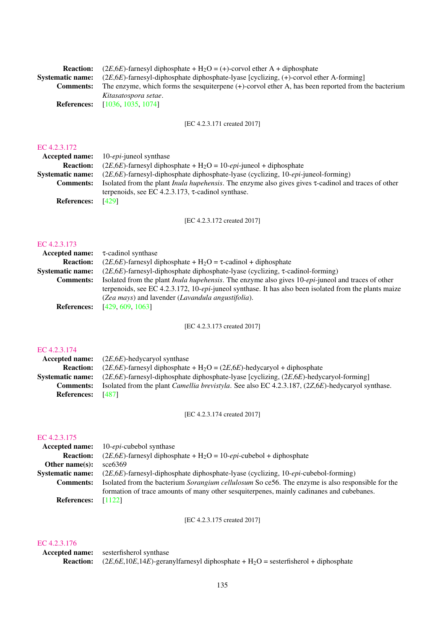| <b>Reaction:</b>   | $(2E, 6E)$ -farnesyl diphosphate + H <sub>2</sub> O = (+)-corvol ether A + diphosphate                |
|--------------------|-------------------------------------------------------------------------------------------------------|
| Systematic name:   | $(2E,6E)$ -farnesyl-diphosphate diphosphate-lyase [cyclizing, $(+)$ -corvol ether A-forming]          |
| <b>Comments:</b>   | The enzyme, which forms the sesquiterpene $(+)$ -corvol ether A, has been reported from the bacterium |
|                    | Kitasatospora setae.                                                                                  |
| <b>References:</b> | [1036, 1035, 1074]                                                                                    |
|                    |                                                                                                       |

[EC 4.2.3.171 created 2017]

## [EC 4.2.3.172](http://www.enzyme-database.org/query.php?ec=4.2.3.172)

|                         | <b>Accepted name:</b> 10- <i>epi</i> -juneol synthase                                                             |
|-------------------------|-------------------------------------------------------------------------------------------------------------------|
| <b>Reaction:</b>        | $(2E, 6E)$ -farnesyl diphosphate + H <sub>2</sub> O = 10- <i>epi</i> -juneol + diphosphate                        |
| <b>Systematic name:</b> | $(2E,6E)$ -farnesyl-diphosphate diphosphate-lyase (cyclizing, 10-epi-juneol-forming)                              |
| <b>Comments:</b>        | Isolated from the plant <i>Inula hupehensis</i> . The enzyme also gives gives $\tau$ -cadinol and traces of other |
|                         | terpenoids, see EC 4.2.3.173, $\tau$ -cadinol synthase.                                                           |
| <b>References:</b>      | [429]                                                                                                             |
|                         |                                                                                                                   |

[EC 4.2.3.172 created 2017]

#### [EC 4.2.3.173](http://www.enzyme-database.org/query.php?ec=4.2.3.173)

| <b>Accepted name:</b>   | $\tau$ -cadinol synthase                                                                                           |
|-------------------------|--------------------------------------------------------------------------------------------------------------------|
| <b>Reaction:</b>        | $(2E, 6E)$ -farnesyl diphosphate + H <sub>2</sub> O = $\tau$ -cadinol + diphosphate                                |
| <b>Systematic name:</b> | $(2E, 6E)$ -farnesyl-diphosphate diphosphate-lyase (cyclizing, $\tau$ -cadinol-forming)                            |
| <b>Comments:</b>        | Isolated from the plant <i>Inula hupehensis</i> . The enzyme also gives 10- <i>epi</i> -juneol and traces of other |
|                         | terpenoids, see EC 4.2.3.172, 10-epi-juneol synthase. It has also been isolated from the plants maize              |
|                         | (Zea mays) and lavender (Lavandula angustifolia).                                                                  |
| <b>References:</b>      | [429, 609, 1063]                                                                                                   |
|                         |                                                                                                                    |

[EC 4.2.3.173 created 2017]

#### [EC 4.2.3.174](http://www.enzyme-database.org/query.php?ec=4.2.3.174)

|                          | <b>Accepted name:</b> $(2E.6E)$ -hedycaryol synthase                                                                   |
|--------------------------|------------------------------------------------------------------------------------------------------------------------|
| <b>Reaction:</b>         | $(2E, 6E)$ -farnesyl diphosphate + H <sub>2</sub> O = $(2E, 6E)$ -hedycaryol + diphosphate                             |
|                          | <b>Systematic name:</b> $(2E, 6E)$ -farnesyl-diphosphate diphosphate-lyase [cyclizing, $(2E, 6E)$ -hedycaryol-forming] |
| <b>Comments:</b>         | Isolated from the plant <i>Camellia brevistyla</i> . See also EC 4.2.3.187, (2Z,6E)-hedycaryol synthase.               |
| <b>References:</b> [487] |                                                                                                                        |

[EC 4.2.3.174 created 2017]

## [EC 4.2.3.175](http://www.enzyme-database.org/query.php?ec=4.2.3.175)

|                         | <b>Accepted name:</b> 10- <i>epi</i> -cubebol synthase                                           |
|-------------------------|--------------------------------------------------------------------------------------------------|
| <b>Reaction:</b>        | $(2E, 6E)$ -farnesyl diphosphate + H <sub>2</sub> O = 10- <i>epi</i> -cubebol + diphosphate      |
| Other name $(s)$ :      | $\sec 6369$                                                                                      |
| <b>Systematic name:</b> | $(2E,6E)$ -farnesyl-diphosphate diphosphate-lyase (cyclizing, 10- <i>epi</i> -cubebol-forming)   |
| <b>Comments:</b>        | Isolated from the bacterium Sorangium cellulosum So ce56. The enzyme is also responsible for the |
|                         | formation of trace amounts of many other sesquiterpenes, mainly cadinanes and cubebanes.         |
| <b>References:</b>      | [1122]                                                                                           |

[EC 4.2.3.175 created 2017]

#### [EC 4.2.3.176](http://www.enzyme-database.org/query.php?ec=4.2.3.176)

Accepted name: sesterfisherol synthase **Reaction:**  $(2E,6E,10E,14E)$ -geranylfarnesyl diphosphate + H<sub>2</sub>O = sesterfisherol + diphosphate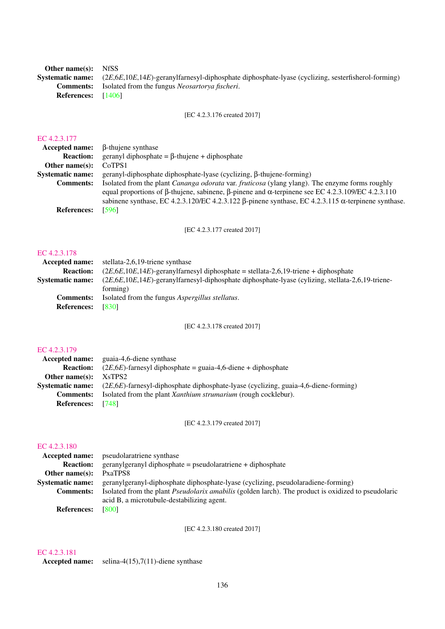Other name(s): NfSS

References: [\[1406\]](#page-250-3)

Systematic name: (2*E*,6*E*,10*E*,14*E*)-geranylfarnesyl-diphosphate diphosphate-lyase (cyclizing, sesterfisherol-forming) Comments: Isolated from the fungus *Neosartorya fischeri*.

[EC 4.2.3.176 created 2017]

#### [EC 4.2.3.177](http://www.enzyme-database.org/query.php?ec=4.2.3.177)

| β-thujene synthase                                                                                                                                                                                               |
|------------------------------------------------------------------------------------------------------------------------------------------------------------------------------------------------------------------|
| geranyl diphosphate = $\beta$ -thujene + diphosphate                                                                                                                                                             |
| CoTPS1                                                                                                                                                                                                           |
| $geranyl-diphosphate diphosphate-lyase (cyclicing, \beta-thujene-forming)$                                                                                                                                       |
| Isolated from the plant <i>Cananga odorata</i> var. <i>fruticosa</i> (ylang ylang). The enzyme forms roughly<br>equal proportions of β-thujene, sabinene, β-pinene and α-terpinene see EC 4.2.3.109/EC 4.2.3.110 |
| sabinene synthase, EC 4.2.3.120/EC 4.2.3.122 $\beta$ -pinene synthase, EC 4.2.3.115 $\alpha$ -terpinene synthase.<br>[596]                                                                                       |
|                                                                                                                                                                                                                  |

[EC 4.2.3.177 created 2017]

## [EC 4.2.3.178](http://www.enzyme-database.org/query.php?ec=4.2.3.178)

| Accepted name:          | stellata-2,6,19-triene synthase                                                                        |
|-------------------------|--------------------------------------------------------------------------------------------------------|
| <b>Reaction:</b>        | $(2E.6E.10E.14E)$ -geranylfarnesyl diphosphate = stellata-2.6.19-triene + diphosphate                  |
| <b>Systematic name:</b> | $(2E, 6E, 10E, 14E)$ -geranylfarnesyl-diphosphate diphosphate-lyase (cylizing, stellata-2,6,19-triene- |
|                         | forming)                                                                                               |
| <b>Comments:</b>        | Isolated from the fungus <i>Aspergillus stellatus</i> .                                                |
| <b>References:</b>      | [830]                                                                                                  |
|                         |                                                                                                        |

[EC 4.2.3.178 created 2017]

## [EC 4.2.3.179](http://www.enzyme-database.org/query.php?ec=4.2.3.179)

|                         | <b>Accepted name:</b> guaia-4,6-diene synthase                                         |
|-------------------------|----------------------------------------------------------------------------------------|
| <b>Reaction:</b>        | $(2E, 6E)$ -farnesyl diphosphate = guaia-4,6-diene + diphosphate                       |
| Other name $(s)$ :      | X <sub>s</sub> TPS <sub>2</sub>                                                        |
| <b>Systematic name:</b> | $(2E,6E)$ -farnesyl-diphosphate diphosphate-lyase (cyclizing, guaia-4,6-diene-forming) |
| <b>Comments:</b>        | Isolated from the plant <i>Xanthium strumarium</i> (rough cocklebur).                  |
| <b>References:</b>      | - 17481                                                                                |

[EC 4.2.3.179 created 2017]

## [EC 4.2.3.180](http://www.enzyme-database.org/query.php?ec=4.2.3.180)

| <b>Accepted name:</b>   | pseudolaratriene synthase                                                                                  |
|-------------------------|------------------------------------------------------------------------------------------------------------|
| <b>Reaction:</b>        | $geran ylgeran yl diphosphate = pseudolaratriene + diphosphate$                                            |
| Other name $(s)$ :      | PxaTPS8                                                                                                    |
| <b>Systematic name:</b> | geranylgeranyl-diphosphate diphosphate-lyase (cyclizing, pseudolaradiene-forming)                          |
| <b>Comments:</b>        | Isolated from the plant <i>Pseudolarix amabilis</i> (golden larch). The product is oxidized to pseudolaric |
|                         | acid B, a microtubule-destabilizing agent.                                                                 |
| <b>References:</b>      | [800]                                                                                                      |

[EC 4.2.3.180 created 2017]

## [EC 4.2.3.181](http://www.enzyme-database.org/query.php?ec=4.2.3.181)

Accepted name: selina-4(15),7(11)-diene synthase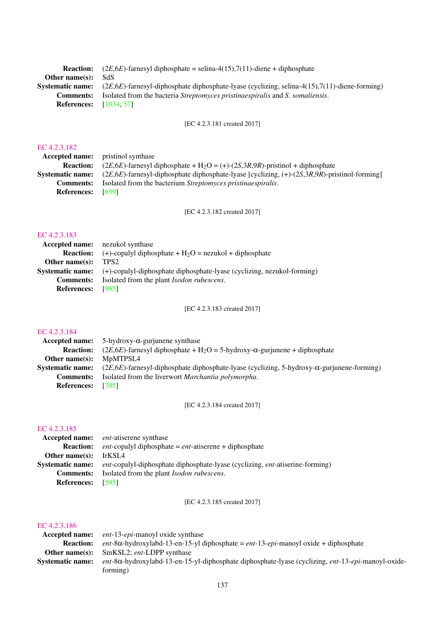|                               | <b>Reaction:</b> $(2E,6E)$ -farnesyl diphosphate = selina-4(15),7(11)-diene + diphosphate                               |
|-------------------------------|-------------------------------------------------------------------------------------------------------------------------|
| Other name(s): $SdS$          |                                                                                                                         |
|                               | <b>Systematic name:</b> $(2E,6E)$ -farnesyl-diphosphate diphosphate-lyase (cyclizing, selina-4(15),7(11)-diene-forming) |
| <b>Comments:</b>              | Isolated from the bacteria <i>Streptomyces pristinaespiralis</i> and <i>S. somaliensis.</i>                             |
| <b>References:</b> [1034, 57] |                                                                                                                         |
|                               |                                                                                                                         |

[EC 4.2.3.181 created 2017]

#### [EC 4.2.3.182](http://www.enzyme-database.org/query.php?ec=4.2.3.182)

Accepted name: pristinol synthase References: [\[659\]](#page-211-1)

**Reaction:**  $(2E, 6E)$ -farnesyl diphosphate + H<sub>2</sub>O = (+)-(2*S*,3*R*,9*R*)-pristinol + diphosphate Systematic name: (2*E*,6*E*)-farnesyl-diphosphate diphosphate-lyase [cyclizing, (+)-(2*S*,3*R*,9*R*)-pristinol-forming] Comments: Isolated from the bacterium *Streptomyces pristinaespiralis*.

[EC 4.2.3.182 created 2017]

#### [EC 4.2.3.183](http://www.enzyme-database.org/query.php?ec=4.2.3.183)

| <b>Accepted name:</b> nezukol synthase |                                                                                         |
|----------------------------------------|-----------------------------------------------------------------------------------------|
| <b>Reaction:</b>                       | $(+)$ -copalyl diphosphate + H <sub>2</sub> O = nezukol + diphosphate                   |
| Other name $(s)$ :                     | TPS2                                                                                    |
|                                        | Systematic name: (+)-copalyl-diphosphate diphosphate-lyase (cyclizing, nezukol-forming) |
| <b>Comments:</b>                       | Isolated from the plant <i>Isodon rubescens</i> .                                       |
| <b>References:</b> [985]               |                                                                                         |
|                                        |                                                                                         |

[EC 4.2.3.183 created 2017]

#### [EC 4.2.3.184](http://www.enzyme-database.org/query.php?ec=4.2.3.184)

Accepted name: 5-hydroxy-α-gurjunene synthase **Reaction:** (2*E*,6*E*)-farnesyl diphosphate + H<sub>2</sub>O = 5-hydroxy- $\alpha$ -gurjunene + diphosphate **r** name(s): MpMTPSL4 Other name $(s)$ : Systematic name: (2*E*,6*E*)-farnesyl-diphosphate diphosphate-lyase (cyclizing, 5-hydroxy-α-gurjunene-forming)<br>Comments: Isolated from the liverwort *Marchantia polymorpha*. Isolated from the liverwort *Marchantia polymorpha*. References: [\[705\]](#page-213-3)

[EC 4.2.3.184 created 2017]

#### [EC 4.2.3.185](http://www.enzyme-database.org/query.php?ec=4.2.3.185)

|                          | <b>Accepted name:</b> <i>ent</i> -atiserene synthase                                                                 |
|--------------------------|----------------------------------------------------------------------------------------------------------------------|
| <b>Reaction:</b>         | <i>ent</i> -copalyl diphosphate = $ent$ -atiserene + diphosphate                                                     |
| Other name $(s)$ :       | - IrKSL4                                                                                                             |
|                          | <b>Systematic name:</b> <i>ent</i> -copalyl-diphosphate diphosphate-lyase (cyclizing, <i>ent</i> -atiserine-forming) |
| <b>Comments:</b>         | Isolated from the plant <i>Isodon rubescens</i> .                                                                    |
| <b>References:</b> [595] |                                                                                                                      |

[EC 4.2.3.185 created 2017]

#### [EC 4.2.3.186](http://www.enzyme-database.org/query.php?ec=4.2.3.186)

Accepted name: *ent*-13-*epi*-manoyl oxide synthase Reaction: *ent*-8α-hydroxylabd-13-en-15-yl diphosphate = *ent*-13-*epi*-manoyl oxide + diphosphate Other name(s): SmKSL2; *ent*-LDPP synthase Systematic name: *ent*-8α-hydroxylabd-13-en-15-yl-diphosphate diphosphate-lyase (cyclizing, *ent*-13-*epi*-manoyl-oxideforming)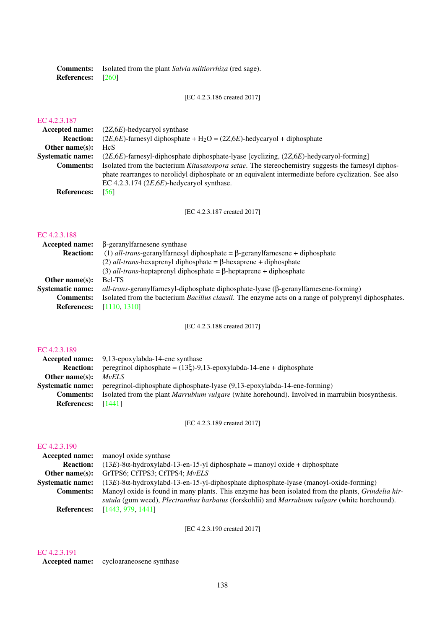Comments: Isolated from the plant *Salvia miltiorrhiza* (red sage). References: [\[260\]](#page-190-6)

[EC 4.2.3.186 created 2017]

## [EC 4.2.3.187](http://www.enzyme-database.org/query.php?ec=4.2.3.187)

| <b>Accepted name:</b> $(2Z,6E)$ -hedycaryol synthase                                                 |
|------------------------------------------------------------------------------------------------------|
| $(2E, 6E)$ -farnesyl diphosphate + H <sub>2</sub> O = $(2Z, 6E)$ -hedycaryol + diphosphate           |
| <b>HcS</b>                                                                                           |
| $(2E,6E)$ -farnesyl-diphosphate diphosphate-lyase [cyclizing, $(2Z,6E)$ -hedycaryol-forming]         |
| Isolated from the bacterium Kitasatospora setae. The stereochemistry suggests the farnesyl diphos-   |
| phate rearranges to nerolidyl diphosphate or an equivalent intermediate before cyclization. See also |
| EC 4.2.3.174 $(2E, 6E)$ -hedycaryol synthase.                                                        |
| [56]                                                                                                 |
|                                                                                                      |

[EC 4.2.3.187 created 2017]

#### [EC 4.2.3.188](http://www.enzyme-database.org/query.php?ec=4.2.3.188)

| Accepted name:          | β-geranylfarnesene synthase                                                                                  |
|-------------------------|--------------------------------------------------------------------------------------------------------------|
| <b>Reaction:</b>        | (1) all-trans-geranylfarnesyl diphosphate = $\beta$ -geranylfarnesene + diphosphate                          |
|                         | (2) <i>all-trans</i> -hexaprenyl diphosphate = $\beta$ -hexaprene + diphosphate                              |
|                         | (3) <i>all-trans</i> -heptaprenyl diphosphate = $\beta$ -heptaprene + diphosphate                            |
| Other name $(s)$ :      | Bcl-TS                                                                                                       |
| <b>Systematic name:</b> | $all-trans\text{-}prans\text{-}genylfarnessyl-diphosphate diphosphate-lyase (β-geranylfarnesene-forming)$    |
| <b>Comments:</b>        | Isolated from the bacterium <i>Bacillus clausii</i> . The enzyme acts on a range of polyprenyl diphosphates. |
| <b>References:</b>      | [1110, 1310]                                                                                                 |
|                         |                                                                                                              |

[EC 4.2.3.188 created 2017]

#### [EC 4.2.3.189](http://www.enzyme-database.org/query.php?ec=4.2.3.189)

|                         | <b>Accepted name:</b> 9.13-epoxylabda-14-ene synthase                                                   |
|-------------------------|---------------------------------------------------------------------------------------------------------|
| <b>Reaction:</b>        | peregrinol diphosphate = $(13\xi)$ -9,13-epoxylabda-14-ene + diphosphate                                |
| Other name $(s)$ :      | <i>MvELS</i>                                                                                            |
| <b>Systematic name:</b> | peregrinol-diphosphate diphosphate-lyase (9,13-epoxylabda-14-ene-forming)                               |
| <b>Comments:</b>        | Isolated from the plant <i>Marrubium vulgare</i> (white horehound). Involved in marrubiin biosynthesis. |
| <b>References:</b>      | [1441]                                                                                                  |

[EC 4.2.3.189 created 2017]

## [EC 4.2.3.190](http://www.enzyme-database.org/query.php?ec=4.2.3.190)

|                         | <b>Accepted name:</b> manoyl oxide synthase                                                                 |
|-------------------------|-------------------------------------------------------------------------------------------------------------|
| <b>Reaction:</b>        | $(13E)$ -8 $\alpha$ -hydroxylabd-13-en-15-yl diphosphate = manoyl oxide + diphosphate                       |
| Other name(s):          | GrTPS6; CfTPS3; CfTPS4; MvELS                                                                               |
| <b>Systematic name:</b> | $(13E)$ -8 $\alpha$ -hydroxylabd-13-en-15-yl-diphosphate diphosphate-lyase (manoyl-oxide-forming)           |
| <b>Comments:</b>        | Manoyl oxide is found in many plants. This enzyme has been isolated from the plants, <i>Grindelia hir</i> - |
|                         | sutula (gum weed), Plectranthus barbatus (forskohlii) and Marrubium vulgare (white horehound).              |
| <b>References:</b>      | [1443, 979, 1441]                                                                                           |

[EC 4.2.3.190 created 2017]

## [EC 4.2.3.191](http://www.enzyme-database.org/query.php?ec=4.2.3.191)

Accepted name: cycloaraneosene synthase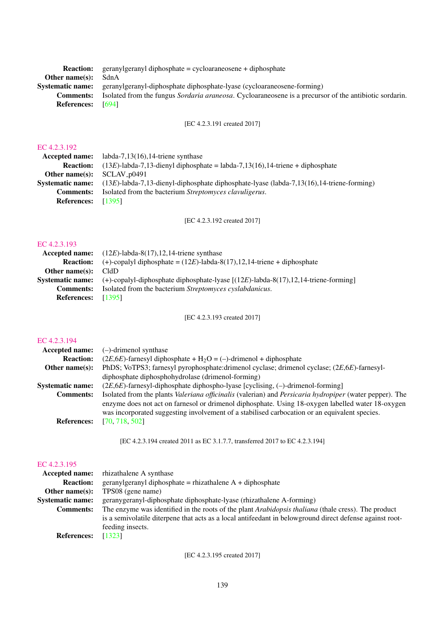| <b>Reaction:</b>         | geranylgeranyl diphosphate = cycloaraneosene + diphosphate                                                     |
|--------------------------|----------------------------------------------------------------------------------------------------------------|
| Other name(s):           | SdnA                                                                                                           |
|                          | <b>Systematic name:</b> geranylgeranyl-diphosphate diphosphate-lyase (cycloaraneosene-forming)                 |
| <b>Comments:</b>         | Isolated from the fungus <i>Sordaria araneosa</i> . Cycloaraneosene is a precursor of the antibiotic sordarin. |
| <b>References:</b> [694] |                                                                                                                |

[EC 4.2.3.191 created 2017]

## [EC 4.2.3.192](http://www.enzyme-database.org/query.php?ec=4.2.3.192)

|                              | Accepted name: $labba-7,13(16),14$ -triene synthase                                         |
|------------------------------|---------------------------------------------------------------------------------------------|
| <b>Reaction:</b>             | $(13E)$ -labda-7,13-dienyl diphosphate = labda-7,13(16),14-triene + diphosphate             |
| Other name(s): $SCLAV_p0491$ |                                                                                             |
| <b>Systematic name:</b>      | $(13E)$ -labda-7,13-dienyl-diphosphate diphosphate-lyase (labda-7,13(16),14-triene-forming) |
| <b>Comments:</b>             | Isolated from the bacterium <i>Streptomyces clavuligerus</i> .                              |
| <b>References:</b>           | - [1395]                                                                                    |
|                              |                                                                                             |

[EC 4.2.3.192 created 2017]

## [EC 4.2.3.193](http://www.enzyme-database.org/query.php?ec=4.2.3.193)

|                           | <b>Accepted name:</b> $(12E)$ -labda-8(17), 12, 14-triene synthase                                            |
|---------------------------|---------------------------------------------------------------------------------------------------------------|
| <b>Reaction:</b>          | $(+)$ -copalyl diphosphate = $(12E)$ -labda-8 $(17)$ ,12,14-triene + diphosphate                              |
| Other name(s):            | CldD                                                                                                          |
|                           | Systematic name: $(+)$ -copalyl-diphosphate diphosphate-lyase $[(12E)$ -labda-8 $(17)$ ,12,14-triene-forming] |
| <b>Comments:</b>          | Isolated from the bacterium Streptomyces cyslabdanicus.                                                       |
| <b>References:</b> [1395] |                                                                                                               |
|                           |                                                                                                               |

[EC 4.2.3.193 created 2017]

## [EC 4.2.3.194](http://www.enzyme-database.org/query.php?ec=4.2.3.194)

| <b>Reaction:</b><br>$(2E, 6E)$ -farnesyl diphosphate + H <sub>2</sub> O = (-)-drimenol + diphosphate<br>Other name $(s)$ :<br>diphosphate diphosphohydrolase (drimenol-forming)<br>$(2E,6E)$ -farnesyl-diphosphate diphospho-lyase [cyclising, (-)-drimenol-forming]<br><b>Systematic name:</b><br><b>Comments:</b><br>was incorporated suggesting involvement of a stabilised carbocation or an equivalent species.<br>[70, 718, 502]<br><b>References:</b> | Accepted name: | $(-)$ -drimenol synthase                                                                                                                                                                                                   |
|--------------------------------------------------------------------------------------------------------------------------------------------------------------------------------------------------------------------------------------------------------------------------------------------------------------------------------------------------------------------------------------------------------------------------------------------------------------|----------------|----------------------------------------------------------------------------------------------------------------------------------------------------------------------------------------------------------------------------|
|                                                                                                                                                                                                                                                                                                                                                                                                                                                              |                |                                                                                                                                                                                                                            |
|                                                                                                                                                                                                                                                                                                                                                                                                                                                              |                | PhDS; VoTPS3; farnesyl pyrophosphate:drimenol cyclase; drimenol cyclase; (2E,6E)-farnesyl-                                                                                                                                 |
|                                                                                                                                                                                                                                                                                                                                                                                                                                                              |                |                                                                                                                                                                                                                            |
|                                                                                                                                                                                                                                                                                                                                                                                                                                                              |                |                                                                                                                                                                                                                            |
|                                                                                                                                                                                                                                                                                                                                                                                                                                                              |                | Isolated from the plants <i>Valeriana officinalis</i> (valerian) and <i>Persicaria hydropiper</i> (water pepper). The<br>enzyme does not act on farnesol or drimenol diphosphate. Using 18-oxygen labelled water 18-oxygen |
|                                                                                                                                                                                                                                                                                                                                                                                                                                                              |                |                                                                                                                                                                                                                            |

[EC 4.2.3.194 created 2011 as EC 3.1.7.7, transferred 2017 to EC 4.2.3.194]

#### [EC 4.2.3.195](http://www.enzyme-database.org/query.php?ec=4.2.3.195)

| <b>Accepted name:</b> rhizathalene A synthase                                                              |
|------------------------------------------------------------------------------------------------------------|
| $gerany1$ geranyl diphosphate = rhizathalene $A + diphosphate$                                             |
| TPS08 (gene name)                                                                                          |
| geranygeranyl-diphosphate diphosphate-lyase (rhizathalene A-forming)                                       |
| The enzyme was identified in the roots of the plant <i>Arabidopsis thaliana</i> (thale cress). The product |
| is a semivolatile diterpene that acts as a local antifeedant in belowground direct defense against root-   |
| feeding insects.                                                                                           |
| [1323]                                                                                                     |
|                                                                                                            |

[EC 4.2.3.195 created 2017]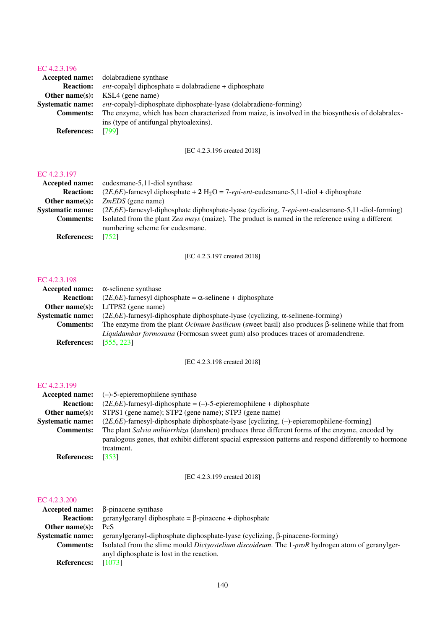| <b>Accepted name:</b> dolabradiene synthase                                                         |
|-----------------------------------------------------------------------------------------------------|
| $ent$ -copalyl diphosphate = dolabradiene + diphosphate                                             |
| <b>Other name(s):</b> KSL4 (gene name)                                                              |
| <i>ent</i> -copalyl-diphosphate diphosphate-lyase (dolabradiene-forming)                            |
| The enzyme, which has been characterized from maize, is involved in the biosynthesis of dolabralex- |
| ins (type of antifungal phytoalexins).                                                              |
| [799]                                                                                               |
|                                                                                                     |

[EC 4.2.3.196 created 2018]

#### [EC 4.2.3.197](http://www.enzyme-database.org/query.php?ec=4.2.3.197)

| Accepted name:          | eudesmane-5,11-diol synthase                                                                         |  |  |
|-------------------------|------------------------------------------------------------------------------------------------------|--|--|
| <b>Reaction:</b>        | $(2E,6E)$ -farnesyl diphosphate + 2 H <sub>2</sub> O = 7-epi-ent-eudesmane-5,11-diol + diphosphate   |  |  |
| Other name $(s)$ :      | $ZmEDS$ (gene name)                                                                                  |  |  |
| <b>Systematic name:</b> | $(2E,6E)$ -farnesyl-diphosphate diphosphate-lyase (cyclizing, 7-epi-ent-eudesmane-5,11-diol-forming) |  |  |
| <b>Comments:</b>        | Isolated from the plant Zea mays (maize). The product is named in the reference using a different    |  |  |
|                         | numbering scheme for eudesmane.                                                                      |  |  |
| <b>References:</b>      | [752]                                                                                                |  |  |

## [EC 4.2.3.197 created 2018]

## [EC 4.2.3.198](http://www.enzyme-database.org/query.php?ec=4.2.3.198)

|                         | Accepted name: $\alpha$ -selinene synthase                                                                      |  |  |
|-------------------------|-----------------------------------------------------------------------------------------------------------------|--|--|
| <b>Reaction:</b>        | $(2E, 6E)$ -farnesyl diphosphate = $\alpha$ -selinene + diphosphate                                             |  |  |
| Other name $(s)$ :      | $LfTPS2$ (gene name)                                                                                            |  |  |
| <b>Systematic name:</b> | $(2E, 6E)$ -farnesyl-diphosphate diphosphate-lyase (cyclizing, $\alpha$ -selinene-forming)                      |  |  |
| <b>Comments:</b>        | The enzyme from the plant <i>Ocimum basilicum</i> (sweet basil) also produces $\beta$ -selinene while that from |  |  |
|                         | Liquidambar formosana (Formosan sweet gum) also produces traces of aromadendrene.                               |  |  |
| <b>References:</b>      | [555, 223]                                                                                                      |  |  |

[EC 4.2.3.198 created 2018]

#### [EC 4.2.3.199](http://www.enzyme-database.org/query.php?ec=4.2.3.199)

| Accepted name:          | $(-)$ -5-epieremophilene synthase                                                                                                                                                                                         |  |  |  |
|-------------------------|---------------------------------------------------------------------------------------------------------------------------------------------------------------------------------------------------------------------------|--|--|--|
| <b>Reaction:</b>        | $(2E, 6E)$ -farnesyl-diphosphate = (-)-5-epieremophilene + diphosphate                                                                                                                                                    |  |  |  |
| Other name $(s)$ :      | STPS1 (gene name); STP2 (gene name); STP3 (gene name)                                                                                                                                                                     |  |  |  |
| <b>Systematic name:</b> | $(2E, 6E)$ -farnesyl-diphosphate diphosphate-lyase [cyclizing, (-)-epieremophilene-forming]                                                                                                                               |  |  |  |
| <b>Comments:</b>        | The plant Salvia miltiorrhiza (danshen) produces three different forms of the enzyme, encoded by<br>paralogous genes, that exhibit different spacial expression patterns and respond differently to hormone<br>treatment. |  |  |  |
| <b>References:</b>      | [353]                                                                                                                                                                                                                     |  |  |  |

[EC 4.2.3.199 created 2018]

| <b>Accepted name:</b>   | $\beta$ -pinacene synthase                                                                      |
|-------------------------|-------------------------------------------------------------------------------------------------|
| <b>Reaction:</b>        | geranylgeranyl diphosphate = $\beta$ -pinacene + diphosphate                                    |
| Other name $(s)$ :      | <b>PcS</b>                                                                                      |
| <b>Systematic name:</b> | geranylgeranyl-diphosphate diphosphate-lyase (cyclizing, $\beta$ -pinacene-forming)             |
| <b>Comments:</b>        | Isolated from the slime mould Dictyostelium discoideum. The 1-proR hydrogen atom of geranylger- |
|                         | anyl diphosphate is lost in the reaction.                                                       |
| <b>References:</b>      | [1073]                                                                                          |
|                         |                                                                                                 |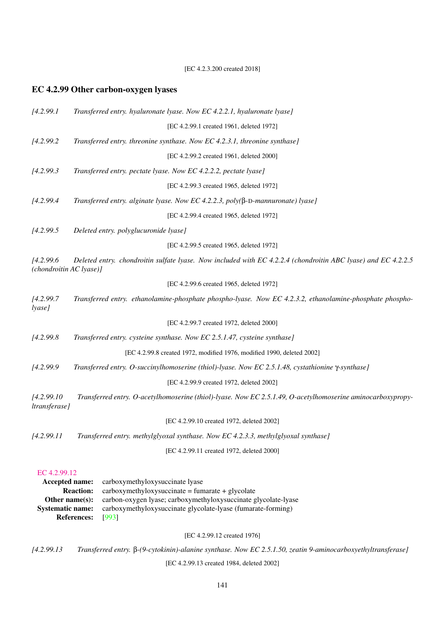[EC 4.2.3.200 created 2018]

## EC 4.2.99 Other carbon-oxygen lyases

| [4.2.99.1]                            | Transferred entry. hyaluronate lyase. Now EC 4.2.2.1, hyaluronate lyase]                                      |
|---------------------------------------|---------------------------------------------------------------------------------------------------------------|
|                                       | [EC 4.2.99.1 created 1961, deleted 1972]                                                                      |
| [4.2.99.2]                            | Transferred entry. threonine synthase. Now EC 4.2.3.1, threonine synthase]                                    |
|                                       | [EC 4.2.99.2 created 1961, deleted 2000]                                                                      |
| [4.2.99.3]                            | Transferred entry. pectate lyase. Now EC 4.2.2.2, pectate lyase]                                              |
|                                       | [EC 4.2.99.3 created 1965, deleted 1972]                                                                      |
| [4.2.99.4]                            | Transferred entry. alginate lyase. Now EC 4.2.2.3, poly( $\beta$ -D-mannuronate) lyase]                       |
|                                       | [EC 4.2.99.4 created 1965, deleted 1972]                                                                      |
| [4.2.99.5]                            | Deleted entry. polyglucuronide lyase]                                                                         |
|                                       | [EC 4.2.99.5 created 1965, deleted 1972]                                                                      |
| [4.2.99.6]<br>(chondroitin AC lyase)] | Deleted entry. chondroitin sulfate lyase. Now included with EC 4.2.2.4 (chondroitin ABC lyase) and EC 4.2.2.5 |
|                                       | [EC 4.2.99.6 created 1965, deleted 1972]                                                                      |
| [4.2.99.7]<br>lyase]                  | Transferred entry. ethanolamine-phosphate phospho-lyase. Now EC 4.2.3.2, ethanolamine-phosphate phospho-      |
|                                       | [EC 4.2.99.7 created 1972, deleted 2000]                                                                      |
| [4.2.99.8]                            | Transferred entry. cysteine synthase. Now EC 2.5.1.47, cysteine synthase]                                     |
|                                       | [EC 4.2.99.8 created 1972, modified 1976, modified 1990, deleted 2002]                                        |
| [4.2.99.9]                            | Transferred entry. O-succinylhomoserine (thiol)-lyase. Now EC 2.5.1.48, cystathionine $\gamma$ -synthase]     |
|                                       | [EC 4.2.99.9 created 1972, deleted 2002]                                                                      |
| [4.2.99.10]<br>ltransferase]          | Transferred entry. O-acetylhomoserine (thiol)-lyase. Now EC 2.5.1.49, O-acetylhomoserine aminocarboxypropy-   |
|                                       | [EC 4.2.99.10 created 1972, deleted 2002]                                                                     |
| [4.2.99.11]                           | Transferred entry. methylglyoxal synthase. Now EC 4.2.3.3, methylglyoxal synthase]                            |
|                                       | [EC 4.2.99.11 created 1972, deleted 2000]                                                                     |
| EC 4.2.99.12                          |                                                                                                               |
| Accepted name:                        | carboxymethyloxysuccinate lyase                                                                               |

**Reaction:** carboxymethyloxysuccinate = fumarate + glycolate Other name(s): carbon-oxygen lyase; carboxymethyloxysuccinate glycolate-lyase<br>Systematic name: carboxymethyloxysuccinate glycolate-lyase (fumarate-forming) carboxymethyloxysuccinate glycolate-lyase (fumarate-forming) References: [\[993\]](#page-228-4)

[EC 4.2.99.12 created 1976]

*[4.2.99.13 Transferred entry.* β*-(9-cytokinin)-alanine synthase. Now EC 2.5.1.50, zeatin 9-aminocarboxyethyltransferase]*

[EC 4.2.99.13 created 1984, deleted 2002]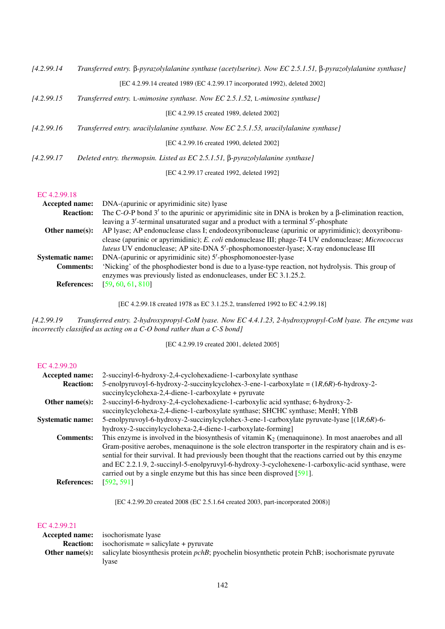| [4.2.99.14] | Transferred entry. $\beta$ -pyrazolylalanine synthase (acetylserine). Now EC 2.5.1.51, $\beta$ -pyrazolylalanine synthase] |
|-------------|----------------------------------------------------------------------------------------------------------------------------|
|             | [EC 4.2.99.14 created 1989 (EC 4.2.99.17 incorporated 1992), deleted 2002]                                                 |
| [4.2.99.15] | Transferred entry. L-mimosine synthase. Now EC 2.5.1.52, L-mimosine synthase]                                              |
|             | FEC 4.2.99.15 created 1989, deleted 20021                                                                                  |
| [4.2.99.16] | Transferred entry. uracilylalanine synthase. Now EC 2.5.1.53, uracilylalanine synthase]                                    |
|             | IEC 4.2.99.16 created 1990, deleted 20021                                                                                  |
| [4.2.99.17] | Deleted entry. thermopsin. Listed as EC 2.5.1.51, $\beta$ -pyrazolylalanine synthase]                                      |
|             | [EC 4.2.99.17 created 1992, deleted 1992]                                                                                  |

#### [EC 4.2.99.18](http://www.enzyme-database.org/query.php?ec=4.2.99.18)

| <b>Accepted name:</b>   | DNA-(apurinic or apyrimidinic site) lyase                                                                   |  |  |  |  |
|-------------------------|-------------------------------------------------------------------------------------------------------------|--|--|--|--|
| <b>Reaction:</b>        | The C-O-P bond 3' to the apurinic or apyrimidinic site in DNA is broken by a $\beta$ -elimination reaction, |  |  |  |  |
|                         | leaving a 3'-terminal unsaturated sugar and a product with a terminal 5'-phosphate                          |  |  |  |  |
| Other name $(s)$ :      | AP lyase; AP endonuclease class I; endodeoxyribonuclease (apurinic or apyrimidinic); deoxyribonu-           |  |  |  |  |
|                         | clease (apurinic or apyrimidinic); E. coli endonuclease III; phage-T4 UV endonuclease; Micrococcus          |  |  |  |  |
|                         | <i>luteus</i> UV endonuclease; AP site-DNA 5'-phosphomonoester-lyase; X-ray endonuclease III                |  |  |  |  |
| <b>Systematic name:</b> | DNA-(apurinic or apyrimidinic site) 5'-phosphomonoester-lyase                                               |  |  |  |  |
| <b>Comments:</b>        | 'Nicking' of the phosphodiester bond is due to a lyase-type reaction, not hydrolysis. This group of         |  |  |  |  |
|                         | enzymes was previously listed as endonucleases, under EC 3.1.25.2.                                          |  |  |  |  |
| <b>References:</b>      | [59, 60, 61, 810]                                                                                           |  |  |  |  |

[EC 4.2.99.18 created 1978 as EC 3.1.25.2, transferred 1992 to EC 4.2.99.18]

*[4.2.99.19 Transferred entry. 2-hydroxypropyl-CoM lyase. Now EC 4.4.1.23, 2-hydroxypropyl-CoM lyase. The enzyme was incorrectly classified as acting on a C-O bond rather than a C-S bond]*

[EC 4.2.99.19 created 2001, deleted 2005]

#### [EC 4.2.99.20](http://www.enzyme-database.org/query.php?ec=4.2.99.20)

| 2-succinyl-6-hydroxy-2,4-cyclohexadiene-1-carboxylate synthase                                           |
|----------------------------------------------------------------------------------------------------------|
| 5-enolpyruvoyl-6-hydroxy-2-succinylcyclohex-3-ene-1-carboxylate = $(1R, 6R)$ -6-hydroxy-2-               |
| succinylcyclohexa-2,4-diene-1-carboxylate + pyruvate                                                     |
| 2-succinyl-6-hydroxy-2,4-cyclohexadiene-1-carboxylic acid synthase; 6-hydroxy-2-                         |
| succinylcyclohexa-2,4-diene-1-carboxylate synthase; SHCHC synthase; MenH; YfbB                           |
| 5-enolpyruvoyl-6-hydroxy-2-succinylcyclohex-3-ene-1-carboxylate pyruvate-lyase $[(1R,6R)$ -6-            |
| hydroxy-2-succinylcyclohexa-2,4-diene-1-carboxylate-forming]                                             |
| This enzyme is involved in the biosynthesis of vitamin $K_2$ (menaquinone). In most anaerobes and all    |
| Gram-positive aerobes, menaquinone is the sole electron transporter in the respiratory chain and is es-  |
| sential for their survival. It had previously been thought that the reactions carried out by this enzyme |
| and EC 2.2.1.9, 2-succinyl-5-enolpyruvyl-6-hydroxy-3-cyclohexene-1-carboxylic-acid synthase, were        |
| carried out by a single enzyme but this has since been disproved [591].                                  |
| [592, 591]                                                                                               |
|                                                                                                          |

[EC 4.2.99.20 created 2008 (EC 2.5.1.64 created 2003, part-incorporated 2008)]

#### [EC 4.2.99.21](http://www.enzyme-database.org/query.php?ec=4.2.99.21)

|                | <b>Accepted name:</b> isochorismate lyase                                                                 |
|----------------|-----------------------------------------------------------------------------------------------------------|
|                | <b>Reaction:</b> isochorismate = salicylate + pyruvate                                                    |
| Other name(s): | salicylate biosynthesis protein <i>pchB</i> ; pyochelin biosynthetic protein PchB; isochorismate pyruvate |
|                | Ivase                                                                                                     |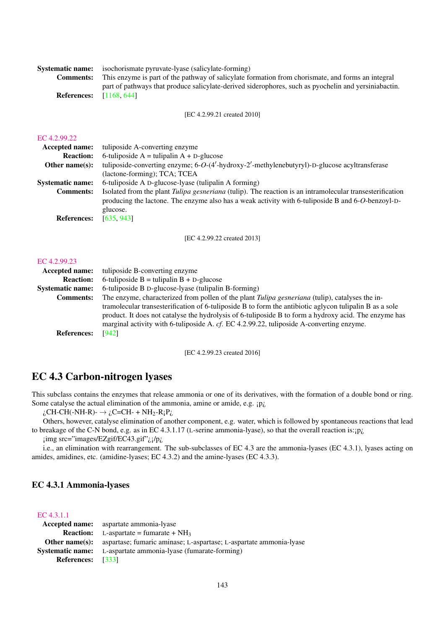|                                | <b>Systematic name:</b> isochorismate pyruvate-lyase (salicylate-forming)                            |  |  |  |
|--------------------------------|------------------------------------------------------------------------------------------------------|--|--|--|
| <b>Comments:</b>               | This enzyme is part of the pathway of salicylate formation from chorismate, and forms an integral    |  |  |  |
| <b>References:</b> [1168, 644] | part of pathways that produce salicylate-derived siderophores, such as pyochelin and yersiniabactin. |  |  |  |

[EC 4.2.99.21 created 2010]

| EС |  | .2.99.22 |  |  |
|----|--|----------|--|--|
|    |  |          |  |  |

| <b>Accepted name:</b>   | tuliposide A-converting enzyme                                                                                  |
|-------------------------|-----------------------------------------------------------------------------------------------------------------|
| <b>Reaction:</b>        | 6-tuliposide $A = t$ ulipalin $A + D$ -glucose                                                                  |
| Other name $(s)$ :      | tuliposide-converting enzyme; 6-O-(4'-hydroxy-2'-methylenebutyryl)-D-glucose acyltransferase                    |
|                         | (lactone-forming); TCA; TCEA                                                                                    |
| <b>Systematic name:</b> | 6-tuliposide A D-glucose-lyase (tulipalin A forming)                                                            |
| <b>Comments:</b>        | Isolated from the plant <i>Tulipa gesneriana</i> (tulip). The reaction is an intramolecular transesterification |
|                         | producing the lactone. The enzyme also has a weak activity with 6-tuliposide B and 6-O-benzoyl-D-               |
|                         | glucose.                                                                                                        |
| <b>References:</b>      | [635, 943]                                                                                                      |

[EC 4.2.99.22 created 2013]

#### [EC 4.2.99.23](http://www.enzyme-database.org/query.php?ec=4.2.99.23)

| Accepted name:          | tuliposide B-converting enzyme                                                                                                                                                                                                                                                                               |
|-------------------------|--------------------------------------------------------------------------------------------------------------------------------------------------------------------------------------------------------------------------------------------------------------------------------------------------------------|
| <b>Reaction:</b>        | 6-tuliposide $B =$ tulipalin $B + D$ -glucose                                                                                                                                                                                                                                                                |
| <b>Systematic name:</b> | 6-tuliposide B D-glucose-lyase (tulipalin B-forming)                                                                                                                                                                                                                                                         |
| <b>Comments:</b>        | The enzyme, characterized from pollen of the plant <i>Tulipa gesneriana</i> (tulip), catalyses the in-                                                                                                                                                                                                       |
|                         | tramolecular transesterification of 6-tuliposide B to form the antibiotic aglycon tulipalin B as a sole<br>product. It does not catalyse the hydrolysis of 6-tuliposide B to form a hydroxy acid. The enzyme has<br>marginal activity with 6-tuliposide A. cf. EC 4.2.99.22, tuliposide A-converting enzyme. |
| <b>References:</b>      | [942]                                                                                                                                                                                                                                                                                                        |

[EC 4.2.99.23 created 2016]

## EC 4.3 Carbon-nitrogen lyases

This subclass contains the enzymes that release ammonia or one of its derivatives, with the formation of a double bond or ring. Some catalyse the actual elimination of the ammonia, amine or amide, e.g. *pi*,

 $i_{\text{c}}$ CH-CH(-NH-R)-  $\rightarrow i_{\text{c}}$ C=CH- + NH<sub>2</sub>-R<sub>i</sub>P<sub>i</sub>

Others, however, catalyse elimination of another component, e.g. water, which is followed by spontaneous reactions that lead to breakage of the C-N bond, e.g. as in EC 4.3.1.17 (L-serine ammonia-lyase), so that the overall reaction is: $\mathrm{ip}_{i}$ 

¡img src="images/EZgif/EC43.gif"¿¡/p¿

i.e., an elimination with rearrangement. The sub-subclasses of EC 4.3 are the ammonia-lyases (EC 4.3.1), lyases acting on amides, amidines, etc. (amidine-lyases; EC 4.3.2) and the amine-lyases (EC 4.3.3).

## EC 4.3.1 Ammonia-lyases

#### [EC 4.3.1.1](http://www.enzyme-database.org/query.php?ec=4.3.1.1)

|                          | <b>Accepted name:</b> aspartate ammonia-lyase                                            |
|--------------------------|------------------------------------------------------------------------------------------|
|                          | <b>Reaction:</b> L-aspartate = fumarate + $NH_3$                                         |
|                          | <b>Other name(s):</b> aspartase; fumaric aminase; L-aspartase; L-aspartate ammonia-lyase |
|                          | <b>Systematic name:</b> L-aspartate ammonia-lyase (fumarate-forming)                     |
| <b>References:</b> [333] |                                                                                          |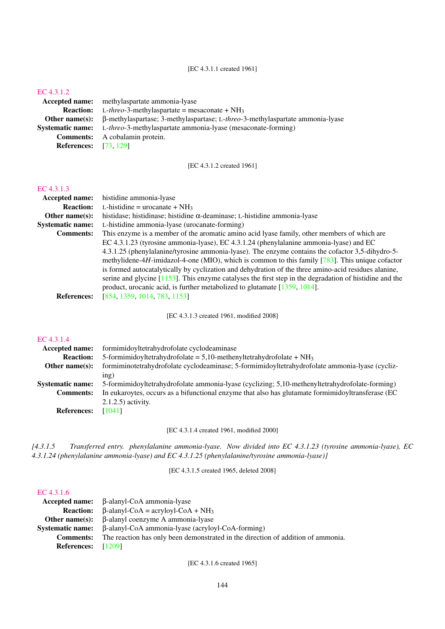[EC 4.3.1.1 created 1961]

#### [EC 4.3.1.2](http://www.enzyme-database.org/query.php?ec=4.3.1.2)

Accepted name: methylaspartate ammonia-lyase Reaction: L-*threo*-3-methylaspartate = mesaconate + NH<sup>3</sup> Other name(s): β-methylaspartase; 3-methylaspartase; L-*threo*-3-methylaspartate ammonia-lyase Systematic name: L-*threo*-3-methylaspartate ammonia-lyase (mesaconate-forming) Comments: A cobalamin protein. References: [\[73,](#page-180-5) [129\]](#page-183-0)

[EC 4.3.1.2 created 1961]

#### [EC 4.3.1.3](http://www.enzyme-database.org/query.php?ec=4.3.1.3)

| <b>Accepted name:</b>   | histidine ammonia-lyase                                                                                    |
|-------------------------|------------------------------------------------------------------------------------------------------------|
| <b>Reaction:</b>        | L-histidine = $u$ rocanate + NH <sub>3</sub>                                                               |
| Other name $(s)$ :      | histidase; histidinase; histidine $\alpha$ -deaminase; L-histidine ammonia-lyase                           |
| <b>Systematic name:</b> | L-histidine ammonia-lyase (urocanate-forming)                                                              |
| <b>Comments:</b>        | This enzyme is a member of the aromatic amino acid lyase family, other members of which are                |
|                         | EC 4.3.1.23 (tyrosine ammonia-lyase), EC 4.3.1.24 (phenylalanine ammonia-lyase) and EC                     |
|                         | 4.3.1.25 (phenylalanine/tyrosine ammonia-lyase). The enzyme contains the cofactor 3,5-dihydro-5-           |
|                         | methylidene-4H-imidazol-4-one (MIO), which is common to this family $[783]$ . This unique cofactor         |
|                         | is formed autocatalytically by cyclization and dehydration of the three amino-acid residues alanine,       |
|                         | serine and glycine $[1153]$ . This enzyme catalyses the first step in the degradation of histidine and the |
|                         | product, urocanic acid, is further metabolized to glutamate [1359, 1014].                                  |
| <b>References:</b>      | [854, 1359, 1014, 783, 1153]                                                                               |
|                         |                                                                                                            |

[EC 4.3.1.3 created 1961, modified 2008]

#### [EC 4.3.1.4](http://www.enzyme-database.org/query.php?ec=4.3.1.4)

| Accepted name:          | formimidoyltetrahydrofolate cyclodeaminase                                                         |
|-------------------------|----------------------------------------------------------------------------------------------------|
| <b>Reaction:</b>        | 5-formimidoyltetrahydrofolate = 5,10-methenyltetrahydrofolate + $NH_3$                             |
| Other name $(s)$ :      | formiminotetrahydrofolate cyclodeaminase; 5-formimidoyltetrahydrofolate ammonia-lyase (cycliz-     |
|                         | inp)                                                                                               |
| <b>Systematic name:</b> | 5-formimidoyltetrahydrofolate ammonia-lyase (cyclizing; 5,10-methenyltetrahydrofolate-forming)     |
| <b>Comments:</b>        | In eukaroytes, occurs as a bifunctional enzyme that also has glutamate formimidoyltransferase (EC) |
|                         | $2.1.2.5$ ) activity.                                                                              |
| <b>References:</b>      | [1041]                                                                                             |
|                         |                                                                                                    |

[EC 4.3.1.4 created 1961, modified 2000]

*[4.3.1.5 Transferred entry. phenylalanine ammonia-lyase. Now divided into EC 4.3.1.23 (tyrosine ammonia-lyase), EC 4.3.1.24 (phenylalanine ammonia-lyase) and EC 4.3.1.25 (phenylalanine/tyrosine ammonia-lyase)]*

[EC 4.3.1.5 created 1965, deleted 2008]

#### [EC 4.3.1.6](http://www.enzyme-database.org/query.php?ec=4.3.1.6)

|                      | Accepted name: β-alanyl-CoA ammonia-lyase                                                         |
|----------------------|---------------------------------------------------------------------------------------------------|
|                      | <b>Reaction:</b> $\beta$ -alanyl-CoA = acryloyl-CoA + NH <sub>3</sub>                             |
|                      | <b>Other name(s):</b> $\beta$ -alanyl coenzyme A ammonia-lyase                                    |
|                      | <b>Systematic name:</b> β-alanyl-CoA ammonia-lyase (acryloyl-CoA-forming)                         |
|                      | <b>Comments:</b> The reaction has only been demonstrated in the direction of addition of ammonia. |
| References: $[1209]$ |                                                                                                   |

[EC 4.3.1.6 created 1965]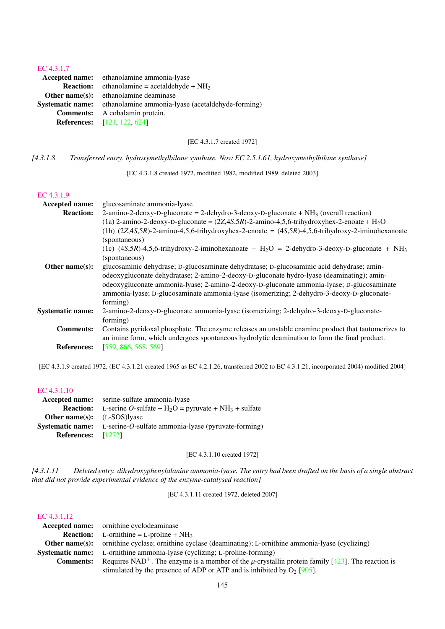#### [EC 4.3.1.7](http://www.enzyme-database.org/query.php?ec=4.3.1.7)

|                  | <b>Accepted name:</b> ethanolamine ammonia-lyase                          |
|------------------|---------------------------------------------------------------------------|
| <b>Reaction:</b> | ethanolamine = acetaldehyde + $NH_3$                                      |
|                  | <b>Other name(s):</b> ethanolamine deaminase                              |
|                  | <b>Systematic name:</b> ethanolamine ammonia-lyase (acetaldehyde-forming) |
|                  | <b>Comments:</b> A cobalamin protein.                                     |
|                  | <b>References:</b> [121, 122, 624]                                        |
|                  |                                                                           |

[EC 4.3.1.7 created 1972]

*[4.3.1.8 Transferred entry. hydroxymethylbilane synthase. Now EC 2.5.1.61, hydroxymethylbilane synthase]*

[EC 4.3.1.8 created 1972, modified 1982, modified 1989, deleted 2003]

#### [EC 4.3.1.9](http://www.enzyme-database.org/query.php?ec=4.3.1.9)

| Accepted name:          | glucosaminate ammonia-lyase                                                                                            |
|-------------------------|------------------------------------------------------------------------------------------------------------------------|
| <b>Reaction:</b>        | 2-amino-2-deoxy-D-gluconate = 2-dehydro-3-deoxy-D-gluconate + $NH_3$ (overall reaction)                                |
|                         | $(1a)$ 2-amino-2-deoxy-D-gluconate = $(2Z, 4S, 5R)$ -2-amino-4,5,6-trihydroxyhex-2-enoate + H <sub>2</sub> O           |
|                         | (1b) $(2Z,4S,5R)$ -2-amino-4,5,6-trihydroxyhex-2-enoate = $(4S,5R)$ -4,5,6-trihydroxy-2-iminohexanoate                 |
|                         | (spontaneous)                                                                                                          |
|                         | (1c) $(4S,5R)$ -4,5,6-trihydroxy-2-iminohexanoate + H <sub>2</sub> O = 2-dehydro-3-deoxy-D-gluconate + NH <sub>3</sub> |
|                         | (spontaneous)                                                                                                          |
| Other name $(s)$ :      | glucosaminic dehydrase; D-glucosaminate dehydratase; D-glucosaminic acid dehydrase; amin-                              |
|                         | odeoxygluconate dehydratase; 2-amino-2-deoxy-D-gluconate hydro-lyase (deaminating); amin-                              |
|                         | odeoxygluconate ammonia-lyase; 2-amino-2-deoxy-D-gluconate ammonia-lyase; D-glucosaminate                              |
|                         | ammonia-lyase; D-glucosaminate ammonia-lyase (isomerizing; 2-dehydro-3-deoxy-D-gluconate-                              |
|                         | forming)                                                                                                               |
| <b>Systematic name:</b> | 2-amino-2-deoxy-D-gluconate ammonia-lyase (isomerizing; 2-dehydro-3-deoxy-D-gluconate-                                 |
|                         | forming)                                                                                                               |
| <b>Comments:</b>        | Contains pyridoxal phosphate. The enzyme releases an unstable enamine product that tautomerizes to                     |
|                         | an imine form, which undergoes spontaneous hydrolytic deamination to form the final product.                           |
| <b>References:</b>      | [559, 866, 568, 569]                                                                                                   |

[EC 4.3.1.9 created 1972, (EC 4.3.1.21 created 1965 as EC 4.2.1.26, transferred 2002 to EC 4.3.1.21, incorporated 2004) modified 2004]

# [EC 4.3.1.10](http://www.enzyme-database.org/query.php?ec=4.3.1.10) Accepted name: serine-sulfate ammonia-lyase **Reaction:** L-serine *O*-sulfate + H<sub>2</sub>O = pyruvate + NH<sub>3</sub> + sulfate Other name(s): (L-SOS)lyase Systematic name: L-serine-*O*-sulfate ammonia-lyase (pyruvate-forming) References: [\[1272\]](#page-243-0)

#### [EC 4.3.1.10 created 1972]

*[4.3.1.11 Deleted entry. dihydroxyphenylalanine ammonia-lyase. The entry had been drafted on the basis of a single abstract that did not provide experimental evidence of the enzyme-catalysed reaction]*

[EC 4.3.1.11 created 1972, deleted 2007]

|                  | <b>Accepted name:</b> ornithine cyclodeaminase                                                                    |
|------------------|-------------------------------------------------------------------------------------------------------------------|
|                  | <b>Reaction:</b> L-ornithine = L-proline + $NH_3$                                                                 |
|                  | <b>Other name(s):</b> ornithine cyclase; ornithine cyclase (deaminating); L-ornithine ammonia-lyase (cyclizing)   |
|                  | <b>Systematic name:</b> L-ornithine ammonia-lyase (cyclizing; L-proline-forming)                                  |
| <b>Comments:</b> | Requires NAD <sup>+</sup> . The enzyme is a member of the $\mu$ -crystallin protein family [423]. The reaction is |
|                  | stimulated by the presence of ADP or ATP and is inhibited by $O_2$ [905].                                         |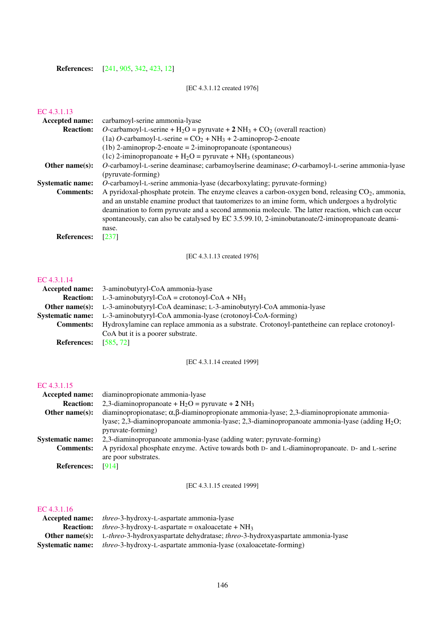**References:** [\[241,](#page-189-0) [905,](#page-224-0) [342,](#page-194-0) [423,](#page-198-0) [12\]](#page-177-0)

# [EC 4.3.1.12 created 1976]

# [EC 4.3.1.13](http://www.enzyme-database.org/query.php?ec=4.3.1.13)

| <b>Accepted name:</b>   | carbamoyl-serine ammonia-lyase                                                                                                                                                                                                                                                                                                                                                                                         |
|-------------------------|------------------------------------------------------------------------------------------------------------------------------------------------------------------------------------------------------------------------------------------------------------------------------------------------------------------------------------------------------------------------------------------------------------------------|
| <b>Reaction:</b>        | O-carbamoyl-L-serine + $H_2O$ = pyruvate + 2 NH <sub>3</sub> + CO <sub>2</sub> (overall reaction)                                                                                                                                                                                                                                                                                                                      |
|                         | (1a) O-carbamoyl-L-serine = $CO_2$ + NH <sub>3</sub> + 2-aminoprop-2-enoate                                                                                                                                                                                                                                                                                                                                            |
|                         | $(1b)$ 2-aminoprop-2-enoate = 2-iminopropanoate (spontaneous)                                                                                                                                                                                                                                                                                                                                                          |
|                         | (1c) 2-iminopropanoate + $H_2O$ = pyruvate + NH <sub>3</sub> (spontaneous)                                                                                                                                                                                                                                                                                                                                             |
| Other name $(s)$ :      | O-carbamoyl-L-serine deaminase; carbamoylserine deaminase; O-carbamoyl-L-serine ammonia-lyase                                                                                                                                                                                                                                                                                                                          |
|                         | (pyruvate-forming)                                                                                                                                                                                                                                                                                                                                                                                                     |
| <b>Systematic name:</b> | <i>O</i> -carbamoyl-L-serine ammonia-lyase (decarboxylating; pyruvate-forming)                                                                                                                                                                                                                                                                                                                                         |
| <b>Comments:</b>        | A pyridoxal-phosphate protein. The enzyme cleaves a carbon-oxygen bond, releasing $CO2$ , ammonia,<br>and an unstable enamine product that tautomerizes to an imine form, which undergoes a hydrolytic<br>deamination to form pyruvate and a second ammonia molecule. The latter reaction, which can occur<br>spontaneously, can also be catalysed by EC 3.5.99.10, 2-iminobutanoate/2-iminopropanoate deami-<br>nase. |
| <b>References:</b>      | $[237]$                                                                                                                                                                                                                                                                                                                                                                                                                |

[EC 4.3.1.13 created 1976]

# [EC 4.3.1.14](http://www.enzyme-database.org/query.php?ec=4.3.1.14)

|                    | <b>Accepted name:</b> 3-aminobutyryl-CoA ammonia-lyase                                         |
|--------------------|------------------------------------------------------------------------------------------------|
| <b>Reaction:</b>   | L-3-aminobutyryl-CoA = crotonoyl-CoA + NH <sub>3</sub>                                         |
| Other name $(s)$ : | L-3-aminobutyryl-CoA deaminase; L-3-aminobutyryl-CoA ammonia-lyase                             |
|                    | <b>Systematic name:</b> L-3-aminobutyryl-CoA ammonia-lyase (crotonoyl-CoA-forming)             |
| <b>Comments:</b>   | Hydroxylamine can replace ammonia as a substrate. Crotonoyl-pantetheine can replace crotonoyl- |
|                    | CoA but it is a poorer substrate.                                                              |
| <b>References:</b> | [585, 72]                                                                                      |

[EC 4.3.1.14 created 1999]

## [EC 4.3.1.15](http://www.enzyme-database.org/query.php?ec=4.3.1.15)

| Accepted name:          | diaminopropionate ammonia-lyase                                                                          |
|-------------------------|----------------------------------------------------------------------------------------------------------|
| <b>Reaction:</b>        | 2,3-diaminopropanoate + $H_2O$ = pyruvate + 2 NH <sub>3</sub>                                            |
| Other $name(s)$ :       | diaminopropionatase; $\alpha$ , $\beta$ -diaminopropionate ammonia-lyase; 2,3-diaminopropionate ammonia- |
|                         | lyase; 2,3-diaminopropanoate ammonia-lyase; 2,3-diaminopropanoate ammonia-lyase (adding $H_2O$ ;         |
|                         | pyruvate-forming)                                                                                        |
| <b>Systematic name:</b> | 2,3-diaminopropanoate ammonia-lyase (adding water; pyruvate-forming)                                     |
| <b>Comments:</b>        | A pyridoxal phosphate enzyme. Active towards both D- and L-diaminopropanoate. D- and L-serine            |
|                         | are poor substrates.                                                                                     |
| <b>References:</b>      | [914]                                                                                                    |
|                         |                                                                                                          |

[EC 4.3.1.15 created 1999]

| <b>Accepted name:</b>   | <i>threo-3-hydroxy-L-aspartate ammonia-lyase</i>                                                     |
|-------------------------|------------------------------------------------------------------------------------------------------|
| <b>Reaction:</b>        | <i>threo</i> -3-hydroxy-L-aspartate = oxaloacetate + $NH_3$                                          |
|                         | <b>Other name(s):</b> L-threo-3-hydroxyaspartate dehydratase; threo-3-hydroxyaspartate ammonia-lyase |
| <b>Systematic name:</b> | <i>threo-3-hydroxy-L-aspartate ammonia-lyase (oxaloacetate-forming)</i>                              |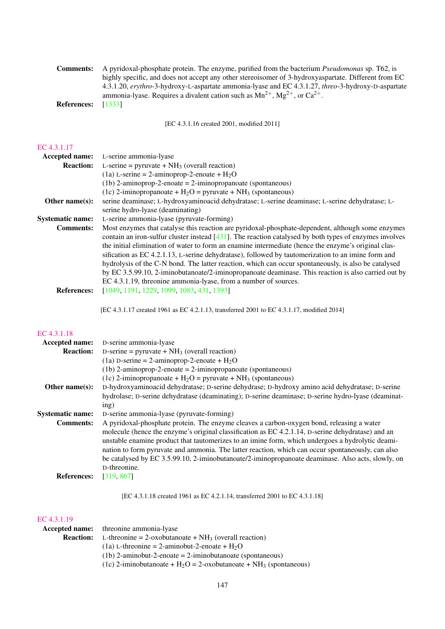| <b>Comments:</b>   | A pyridoxal-phosphate protein. The enzyme, purified from the bacterium <i>Pseudomonas</i> sp. T62, is |
|--------------------|-------------------------------------------------------------------------------------------------------|
|                    | highly specific, and does not accept any other stereoisomer of 3-hydroxyaspartate. Different from EC  |
|                    | 4.3.1.20, erythro-3-hydroxy-L-aspartate ammonia-lyase and EC 4.3.1.27, threo-3-hydroxy-D-aspartate    |
|                    | ammonia-lyase. Requires a divalent cation such as $Mn^{2+}$ , $Mg^{2+}$ , or $Ca^{2+}$ .              |
| <b>References:</b> | [1333]                                                                                                |

[EC 4.3.1.16 created 2001, modified 2011]

## [EC 4.3.1.17](http://www.enzyme-database.org/query.php?ec=4.3.1.17)

| <b>Accepted name:</b>   | L-serine ammonia-lyase                                                                                    |
|-------------------------|-----------------------------------------------------------------------------------------------------------|
| <b>Reaction:</b>        | L-serine = pyruvate + $NH_3$ (overall reaction)                                                           |
|                         | (1a) L-serine = 2-aminoprop-2-enoate + $H_2O$                                                             |
|                         | $(1b)$ 2-aminoprop-2-enoate = 2-iminopropanoate (spontaneous)                                             |
|                         | (1c) 2-iminopropanoate + $H_2O$ = pyruvate + $NH_3$ (spontaneous)                                         |
| Other name $(s)$ :      | serine deaminase; L-hydroxyaminoacid dehydratase; L-serine deaminase; L-serine dehydratase; L-            |
|                         | serine hydro-lyase (deaminating)                                                                          |
| <b>Systematic name:</b> | L-serine ammonia-lyase (pyruvate-forming)                                                                 |
| <b>Comments:</b>        | Most enzymes that catalyse this reaction are pyridoxal-phosphate-dependent, although some enzymes         |
|                         | contain an iron-sulfur cluster instead $[431]$ . The reaction catalysed by both types of enzymes involves |
|                         | the initial elimination of water to form an enamine intermediate (hence the enzyme's original clas-       |
|                         | sification as EC 4.2.1.13, L-serine dehydratase), followed by tautomerization to an imine form and        |
|                         | hydrolysis of the C-N bond. The latter reaction, which can occur spontaneously, is also be catalysed      |
|                         | by EC 3.5.99.10, 2-iminobutanoate/2-iminopropanoate deaminase. This reaction is also carried out by       |
|                         | EC 4.3.1.19, threonine ammonia-lyase, from a number of sources.                                           |
| <b>References:</b>      | [1049, 1191, 1229, 1099, 1083, 431, 1393]                                                                 |

[EC 4.3.1.17 created 1961 as EC 4.2.1.13, transferred 2001 to EC 4.3.1.17, modified 2014]

#### [EC 4.3.1.18](http://www.enzyme-database.org/query.php?ec=4.3.1.18)

| Accepted name:          | D-serine ammonia-lyase                                                                             |
|-------------------------|----------------------------------------------------------------------------------------------------|
| <b>Reaction:</b>        | D-serine = pyruvate + $NH_3$ (overall reaction)                                                    |
|                         | (1a) D-serine = 2-aminoprop-2-enoate + $H_2O$                                                      |
|                         | $(1b)$ 2-aminoprop-2-enoate = 2-iminopropanoate (spontaneous)                                      |
|                         | (1c) 2-iminopropanoate + $H_2O$ = pyruvate + $NH_3$ (spontaneous)                                  |
| Other name $(s)$ :      | D-hydroxyaminoacid dehydratase; D-serine dehydrase; D-hydroxy amino acid dehydratase; D-serine     |
|                         | hydrolase; D-serine dehydratase (deaminating); D-serine deaminase; D-serine hydro-lyase (deaminat- |
|                         | ing)                                                                                               |
| <b>Systematic name:</b> | D-serine ammonia-lyase (pyruvate-forming)                                                          |
| <b>Comments:</b>        | A pyridoxal-phosphate protein. The enzyme cleaves a carbon-oxygen bond, releasing a water          |
|                         | molecule (hence the enzyme's original classification as EC 4.2.1.14, D-serine dehydratase) and an  |
|                         | unstable enamine product that tautomerizes to an imine form, which undergoes a hydrolytic deami-   |
|                         | nation to form pyruvate and ammonia. The latter reaction, which can occur spontaneously, can also  |
|                         | be catalysed by EC 3.5.99.10, 2-iminobutanoate/2-iminopropanoate deaminase. Also acts, slowly, on  |
|                         | D-threonine.                                                                                       |
| <b>References:</b>      | [319, 867]                                                                                         |

[EC 4.3.1.18 created 1961 as EC 4.2.1.14, transferred 2001 to EC 4.3.1.18]

|                  | <b>Accepted name:</b> threonine ammonia-lyase                                    |
|------------------|----------------------------------------------------------------------------------|
| <b>Reaction:</b> | L-threonine = 2-oxobutanoate + $NH_3$ (overall reaction)                         |
|                  | (1a) L-threonine = 2-aminobut-2-enoate + $H_2O$                                  |
|                  | $(1b)$ 2-aminobut-2-enoate = 2-iminobutanoate (spontaneous)                      |
|                  | (1c) 2-iminobutanoate + $H_2O = 2$ -oxobutanoate + NH <sub>3</sub> (spontaneous) |
|                  |                                                                                  |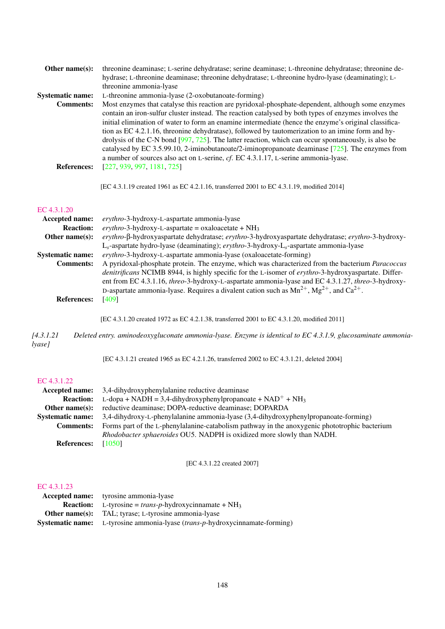| Other name $(s)$ :      | threonine deaminase; L-serine dehydratase; serine deaminase; L-threonine dehydratase; threonine de-    |
|-------------------------|--------------------------------------------------------------------------------------------------------|
|                         | hydrase; L-threonine deaminase; threonine dehydratase; L-threonine hydro-lyase (deaminating); L-       |
|                         | threonine ammonia-lyase                                                                                |
| <b>Systematic name:</b> | L-threonine ammonia-lyase (2-oxobutanoate-forming)                                                     |
| <b>Comments:</b>        | Most enzymes that catalyse this reaction are pyridoxal-phosphate-dependent, although some enzymes      |
|                         | contain an iron-sulfur cluster instead. The reaction catalysed by both types of enzymes involves the   |
|                         | initial elimination of water to form an enamine intermediate (hence the enzyme's original classifica-  |
|                         | tion as EC 4.2.1.16, threonine dehydratase), followed by tautomerization to an imine form and hy-      |
|                         | drolysis of the C-N bond $[997, 725]$ . The latter reaction, which can occur spontaneously, is also be |
|                         | catalysed by EC 3.5.99.10, 2-iminobutanoate/2-iminopropanoate deaminase $[725]$ . The enzymes from     |
|                         | a number of sources also act on L-serine, cf. EC 4.3.1.17, L-serine ammonia-lyase.                     |
| <b>References:</b>      | [227, 939, 997, 1181, 725]                                                                             |
|                         |                                                                                                        |

[EC 4.3.1.19 created 1961 as EC 4.2.1.16, transferred 2001 to EC 4.3.1.19, modified 2014]

#### [EC 4.3.1.20](http://www.enzyme-database.org/query.php?ec=4.3.1.20)

| <b>Accepted name:</b>   | erythro-3-hydroxy-L-aspartate ammonia-lyase                                                           |  |
|-------------------------|-------------------------------------------------------------------------------------------------------|--|
| <b>Reaction:</b>        | erythro-3-hydroxy-L-aspartate = oxaloacetate + $NH_3$                                                 |  |
| Other name $(s)$ :      | erythro-ß-hydroxyaspartate dehydratase; erythro-3-hydroxyaspartate dehydratase; erythro-3-hydroxy-    |  |
|                         | $L_s$ -aspartate hydro-lyase (deaminating); erythro-3-hydroxy- $L_s$ -aspartate ammonia-lyase         |  |
| <b>Systematic name:</b> | erythro-3-hydroxy-L-aspartate ammonia-lyase (oxaloacetate-forming)                                    |  |
| <b>Comments:</b>        | A pyridoxal-phosphate protein. The enzyme, which was characterized from the bacterium Paracoccus      |  |
|                         | denitrificans NCIMB 8944, is highly specific for the L-isomer of erythro-3-hydroxyaspartate. Differ-  |  |
|                         | ent from EC 4.3.1.16, threo-3-hydroxy-L-aspartate ammonia-lyase and EC 4.3.1.27, threo-3-hydroxy-     |  |
|                         | D-aspartate ammonia-lyase. Requires a divalent cation such as $Mn^{2+}$ , $Mg^{2+}$ , and $Ca^{2+}$ . |  |
| <b>References:</b>      | [409]                                                                                                 |  |
|                         |                                                                                                       |  |

[EC 4.3.1.20 created 1972 as EC 4.2.1.38, transferred 2001 to EC 4.3.1.20, modified 2011]

*[4.3.1.21 Deleted entry. aminodeoxygluconate ammonia-lyase. Enzyme is identical to EC 4.3.1.9, glucosaminate ammonialyase]*

[EC 4.3.1.21 created 1965 as EC 4.2.1.26, transferred 2002 to EC 4.3.1.21, deleted 2004]

# [EC 4.3.1.22](http://www.enzyme-database.org/query.php?ec=4.3.1.22)

|                         | <b>Accepted name:</b> 3,4-dihydroxyphenylalanine reductive deaminase                          |  |
|-------------------------|-----------------------------------------------------------------------------------------------|--|
| <b>Reaction:</b>        | L-dopa + NADH = 3,4-dihydroxyphenylpropanoate + NAD <sup>+</sup> + NH <sub>3</sub>            |  |
|                         | <b>Other name(s):</b> reductive deaminase; DOPA-reductive deaminase; DOPARDA                  |  |
| <b>Systematic name:</b> | 3,4-dihydroxy-L-phenylalanine ammonia-lyase (3,4-dihydroxyphenylpropanoate-forming)           |  |
| <b>Comments:</b>        | Forms part of the L-phenylalanine-catabolism pathway in the anoxygenic phototrophic bacterium |  |
|                         | <i>Rhodobacter sphaeroides OU5. NADPH</i> is oxidized more slowly than NADH.                  |  |
| <b>References:</b>      | [1050]                                                                                        |  |

[EC 4.3.1.22 created 2007]

| <b>Accepted name:</b> tyrosine ammonia-lyase                                 |  |
|------------------------------------------------------------------------------|--|
| <b>Reaction:</b> L-tyrosine = <i>trans-p</i> -hydroxycinnamate + $NH_3$      |  |
| <b>Other name(s):</b> TAL; tyrase; L-tyrosine ammonia-lyase                  |  |
| Systematic name: L-tyrosine ammonia-lyase (trans-p-hydroxycinnamate-forming) |  |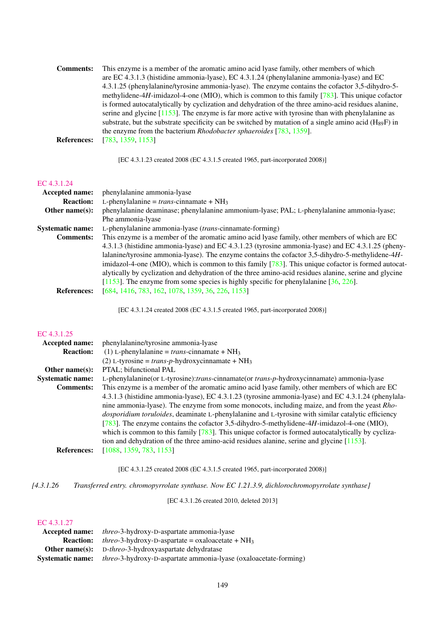| <b>Comments:</b>   | This enzyme is a member of the aromatic amino acid lyase family, other members of which                    |
|--------------------|------------------------------------------------------------------------------------------------------------|
|                    | are EC 4.3.1.3 (histidine ammonia-lyase), EC 4.3.1.24 (phenylalanine ammonia-lyase) and EC                 |
|                    | 4.3.1.25 (phenylalanine/tyrosine ammonia-lyase). The enzyme contains the cofactor 3,5-dihydro-5-           |
|                    | methylidene-4H-imidazol-4-one (MIO), which is common to this family $[783]$ . This unique cofactor         |
|                    | is formed autocatalytically by cyclization and dehydration of the three amino-acid residues alanine,       |
|                    | serine and glycine $[1153]$ . The enzyme is far more active with tyrosine than with phenylalanine as       |
|                    | substrate, but the substrate specificity can be switched by mutation of a single amino acid $(H_{89}F)$ in |
|                    | the enzyme from the bacterium <i>Rhodobacter sphaeroides</i> [783, 1359].                                  |
| <b>References:</b> | [783, 1359, 1153]                                                                                          |
|                    |                                                                                                            |

[EC 4.3.1.23 created 2008 (EC 4.3.1.5 created 1965, part-incorporated 2008)]

#### [EC 4.3.1.24](http://www.enzyme-database.org/query.php?ec=4.3.1.24)

| <b>Accepted name:</b>   | phenylalanine ammonia-lyase                                                                            |  |  |
|-------------------------|--------------------------------------------------------------------------------------------------------|--|--|
| <b>Reaction:</b>        | L-phenylalanine = trans-cinnamate + $NH_3$                                                             |  |  |
| Other name $(s)$ :      | phenylalanine deaminase; phenylalanine ammonium-lyase; PAL; L-phenylalanine ammonia-lyase;             |  |  |
|                         | Phe ammonia-lyase                                                                                      |  |  |
| <b>Systematic name:</b> | L-phenylalanine ammonia-lyase <i>(trans-cinnamate-forming)</i>                                         |  |  |
| <b>Comments:</b>        | This enzyme is a member of the aromatic amino acid lyase family, other members of which are EC         |  |  |
|                         | 4.3.1.3 (histidine ammonia-lyase) and EC 4.3.1.23 (tyrosine ammonia-lyase) and EC 4.3.1.25 (pheny-     |  |  |
|                         | lalanine/tyrosine ammonia-lyase). The enzyme contains the cofactor 3,5-dihydro-5-methylidene-4H-       |  |  |
|                         | imidazol-4-one (MIO), which is common to this family $[783]$ . This unique cofactor is formed autocat- |  |  |
|                         |                                                                                                        |  |  |
|                         | [1153]. The enzyme from some species is highly specific for phenylalanine $[36, 226]$ .                |  |  |
| <b>References:</b>      | [684, 1416, 783, 162, 1078, 1359, 36, 226, 1153]                                                       |  |  |
|                         | alytically by cyclization and dehydration of the three amino-acid residues alanine, serine and glycine |  |  |

[EC 4.3.1.24 created 2008 (EC 4.3.1.5 created 1965, part-incorporated 2008)]

#### [EC 4.3.1.25](http://www.enzyme-database.org/query.php?ec=4.3.1.25)

| phenylalanine/tyrosine ammonia-lyase                                                                               |  |
|--------------------------------------------------------------------------------------------------------------------|--|
| (1) L-phenylalanine = trans-cinnamate + $NH_3$<br><b>Reaction:</b>                                                 |  |
| (2) L-tyrosine = trans-p-hydroxycinnamate + $NH_3$                                                                 |  |
| PTAL; bifunctional PAL                                                                                             |  |
| L-phenylalanine(or L-tyrosine):trans-cinnamate(or trans-p-hydroxycinnamate) ammonia-lyase                          |  |
| This enzyme is a member of the aromatic amino acid lyase family, other members of which are EC<br><b>Comments:</b> |  |
| 4.3.1.3 (histidine ammonia-lyase), EC 4.3.1.23 (tyrosine ammonia-lyase) and EC 4.3.1.24 (phenylala-                |  |
| nine ammonia-lyase). The enzyme from some monocots, including maize, and from the yeast Rho-                       |  |
| dosporidium toruloides, deaminate L-phenylalanine and L-tyrosine with similar catalytic efficiency                 |  |
| [783]. The enzyme contains the cofactor 3,5-dihydro-5-methylidene-4H-imidazol-4-one (MIO),                         |  |
| which is common to this family $[783]$ . This unique cofactor is formed autocatalytically by cycliza-              |  |
| tion and dehydration of the three amino-acid residues alanine, serine and glycine $[1153]$ .                       |  |
| [1088, 1359, 783, 1153]                                                                                            |  |
|                                                                                                                    |  |

[EC 4.3.1.25 created 2008 (EC 4.3.1.5 created 1965, part-incorporated 2008)]

*[4.3.1.26 Transferred entry. chromopyrrolate synthase. Now EC 1.21.3.9, dichlorochromopyrrolate synthase]*

[EC 4.3.1.26 created 2010, deleted 2013]

| Accepted name:          | <i>threo</i> -3-hydroxy-D-aspartate ammonia-lyase                        |
|-------------------------|--------------------------------------------------------------------------|
| <b>Reaction:</b>        | <i>threo</i> -3-hydroxy-D-aspartate = oxaloacetate + $NH_3$              |
|                         | <b>Other name(s):</b> D-threo-3-hydroxyaspartate dehydratase             |
| <b>Systematic name:</b> | <i>threo</i> -3-hydroxy-D-aspartate ammonia-lyase (oxaloacetate-forming) |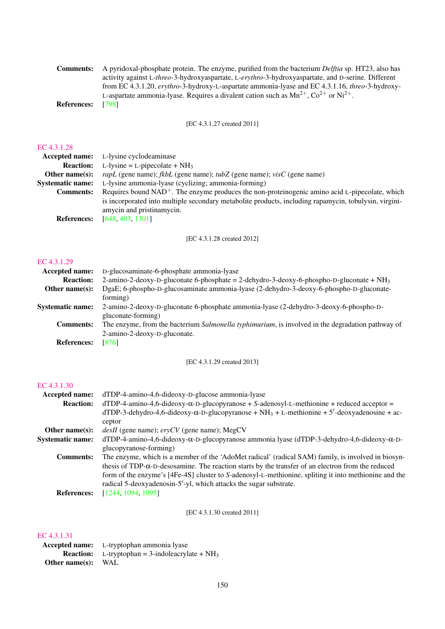|                    | <b>Comments:</b> A pyridoxal-phosphate protein. The enzyme, purified from the bacterium <i>Delftia</i> sp. HT23, also has |
|--------------------|---------------------------------------------------------------------------------------------------------------------------|
|                    | activity against L-threo-3-hydroxyaspartate, L-erythro-3-hydroxyaspartate, and D-serine. Different                        |
|                    | from EC 4.3.1.20, erythro-3-hydroxy-L-aspartate ammonia-lyase and EC 4.3.1.16, threo-3-hydroxy-                           |
|                    | L-aspartate ammonia-lyase. Requires a divalent cation such as $Mn^{2+}$ , $Co^{2+}$ or $Ni^{2+}$ .                        |
| <b>References:</b> | - 17981                                                                                                                   |

[EC 4.3.1.27 created 2011]

# [EC 4.3.1.28](http://www.enzyme-database.org/query.php?ec=4.3.1.28)

| EC 4.3.1.28             |                                                                                                       |  |
|-------------------------|-------------------------------------------------------------------------------------------------------|--|
|                         | <b>Accepted name:</b> L-lysine cyclodeaminase                                                         |  |
| <b>Reaction:</b>        | L-lysine = L-pipecolate + $NH_3$                                                                      |  |
| Other name $(s)$ :      | <i>rapL</i> (gene name); <i>fkbL</i> (gene name); <i>tubZ</i> (gene name); <i>visC</i> (gene name)    |  |
| <b>Systematic name:</b> | L-lysine ammonia-lyase (cyclizing; ammonia-forming)                                                   |  |
| <b>Comments:</b>        | Requires bound $NAD^+$ . The enzyme produces the non-proteinogenic amino acid L-pipecolate, which     |  |
|                         | is incorporated into multiple secondary metabolite products, including rapamycin, tobulysin, virgini- |  |
|                         | amycin and pristinamycin.                                                                             |  |
| <b>References:</b>      | [648, 403, 1301]                                                                                      |  |
|                         |                                                                                                       |  |

[EC 4.3.1.28 created 2012]

#### [EC 4.3.1.29](http://www.enzyme-database.org/query.php?ec=4.3.1.29)

| Accepted name:          | D-glucosaminate-6-phosphate ammonia-lyase                                                        |
|-------------------------|--------------------------------------------------------------------------------------------------|
| <b>Reaction:</b>        | 2-amino-2-deoxy-D-gluconate 6-phosphate = 2-dehydro-3-deoxy-6-phospho-D-gluconate + $NH_3$       |
| Other name $(s)$ :      | DgaE; 6-phospho-D-glucosaminate ammonia-lyase (2-dehydro-3-deoxy-6-phospho-D-gluconate-          |
|                         | forming)                                                                                         |
| <b>Systematic name:</b> | 2-amino-2-deoxy-D-gluconate 6-phosphate ammonia-lyase (2-dehydro-3-deoxy-6-phospho-D-            |
|                         | gluconate-forming)                                                                               |
| <b>Comments:</b>        | The enzyme, from the bacterium Salmonella typhimurium, is involved in the degradation pathway of |
|                         | 2-amino-2-deoxy-D-gluconate.                                                                     |
| <b>References:</b>      | [876]                                                                                            |
|                         |                                                                                                  |

[EC 4.3.1.29 created 2013]

## [EC 4.3.1.30](http://www.enzyme-database.org/query.php?ec=4.3.1.30)

| Accepted name:          | dTDP-4-amino-4,6-dideoxy-D-glucose ammonia-lyase                                                                                                                                                                                                                                                                                                                                                                                                                   |  |
|-------------------------|--------------------------------------------------------------------------------------------------------------------------------------------------------------------------------------------------------------------------------------------------------------------------------------------------------------------------------------------------------------------------------------------------------------------------------------------------------------------|--|
| <b>Reaction:</b>        | $dTDP-4-amino-4, 6-dideoxy-\alpha-D-glucopyranose + S-adenosyl-L-methionine + reduced acceptor =$                                                                                                                                                                                                                                                                                                                                                                  |  |
|                         | $dTDP-3$ -dehydro-4,6-dideoxy- $\alpha$ -D-glucopyranose + NH <sub>3</sub> + L-methionine + 5'-deoxyadenosine + ac-                                                                                                                                                                                                                                                                                                                                                |  |
|                         | ceptor                                                                                                                                                                                                                                                                                                                                                                                                                                                             |  |
| Other name $(s)$ :      | <i>desII</i> (gene name); $\text{e}$ ryCV (gene name); MegCV                                                                                                                                                                                                                                                                                                                                                                                                       |  |
| <b>Systematic name:</b> | $dTDP-4-amino-4, 6-dideoxy-α-D-glucopyranose ammonia lyase (dTDP-3-dehydro-4, 6-dideoxy-α-D-qelucopyranose ammonia lyase (dTDP-3-dehydro-4, 6-dideoxy-α-D-qelucopyranose ammonia lyase (dTDP-3-dehydro-4, 6-dideoxy-α-D-qelucopyranose ammonia lyase (dTDP-3-dehydro-4, 6-dideoxy-α-D-qelucopyranose ammonia lyase (dTDP-3-dehydro-4, 6-dideoxy-α-D-qelucopyranose ammonia lyase (dTDP-3-dehydro-4, 6-dideoxy-α-D-qelucopyranose ammonia lyase (dTDP-3-dehydro-4,$ |  |
|                         | glucopyranose-forming)                                                                                                                                                                                                                                                                                                                                                                                                                                             |  |
| <b>Comments:</b>        | The enzyme, which is a member of the 'AdoMet radical' (radical SAM) family, is involved in biosyn-                                                                                                                                                                                                                                                                                                                                                                 |  |
|                         | thesis of TDP- $\alpha$ -D-desosamine. The reaction starts by the transfer of an electron from the reduced                                                                                                                                                                                                                                                                                                                                                         |  |
|                         | form of the enzyme's [4Fe-4S] cluster to S-adenosyl-L-methionine, spliting it into methionine and the                                                                                                                                                                                                                                                                                                                                                              |  |
|                         | radical 5-deoxyadenosin-5'-yl, which attacks the sugar substrate.                                                                                                                                                                                                                                                                                                                                                                                                  |  |
| <b>References:</b>      | [1244, 1094, 1095]                                                                                                                                                                                                                                                                                                                                                                                                                                                 |  |
|                         |                                                                                                                                                                                                                                                                                                                                                                                                                                                                    |  |

[EC 4.3.1.30 created 2011]

|                      | <b>Accepted name:</b> L-tryptophan ammonia lyase          |
|----------------------|-----------------------------------------------------------|
|                      | <b>Reaction:</b> L-tryptophan = 3-indoleacrylate + $NH_3$ |
| Other name(s): $WAL$ |                                                           |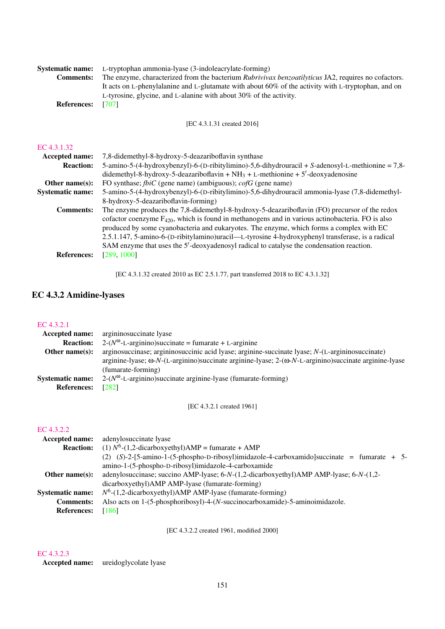| <b>Systematic name:</b><br><b>Comments:</b><br><b>References:</b> | L-tryptophan ammonia-lyase (3-indoleacrylate-forming)<br>The enzyme, characterized from the bacterium Rubrivivax benzoatilyticus JA2, requires no cofactors.<br>It acts on L-phenylalanine and L-glutamate with about 60% of the activity with L-tryptophan, and on<br>L-tyrosine, glycine, and L-alanine with about 30% of the activity.<br>[707]                                                                                                                                                  |
|-------------------------------------------------------------------|-----------------------------------------------------------------------------------------------------------------------------------------------------------------------------------------------------------------------------------------------------------------------------------------------------------------------------------------------------------------------------------------------------------------------------------------------------------------------------------------------------|
|                                                                   | [EC 4.3.1.31 created 2016]                                                                                                                                                                                                                                                                                                                                                                                                                                                                          |
| EC 4.3.1.32                                                       |                                                                                                                                                                                                                                                                                                                                                                                                                                                                                                     |
| Accepted name:                                                    | 7,8-didemethyl-8-hydroxy-5-deazariboflavin synthase                                                                                                                                                                                                                                                                                                                                                                                                                                                 |
| <b>Reaction:</b>                                                  | 5-amino-5-(4-hydroxybenzyl)-6-(D-ribitylimino)-5,6-dihydrouracil + S-adenosyl-L-methionine = 7,8-<br>didemethyl-8-hydroxy-5-deazariboflavin + $NH_3$ + L-methionine + 5'-deoxyadenosine                                                                                                                                                                                                                                                                                                             |
| Other name(s):                                                    | FO synthase; $\frac{f}{dt}$ (gene name) (ambiguous); $\frac{f}{dt}$ (gene name)                                                                                                                                                                                                                                                                                                                                                                                                                     |
| <b>Systematic name:</b>                                           | 5-amino-5-(4-hydroxybenzyl)-6-(D-ribitylimino)-5,6-dihydrouracil ammonia-lyase (7,8-didemethyl-<br>8-hydroxy-5-deazariboflavin-forming)                                                                                                                                                                                                                                                                                                                                                             |
| <b>Comments:</b>                                                  | The enzyme produces the 7,8-didemethyl-8-hydroxy-5-deazariboflavin (FO) precursor of the redox<br>cofactor coenzyme $F_{420}$ , which is found in methanogens and in various actinobacteria. FO is also<br>produced by some cyanobacteria and eukaryotes. The enzyme, which forms a complex with EC<br>2.5.1.147, 5-amino-6-(D-ribitylamino)uracil—L-tyrosine 4-hydroxyphenyl transferase, is a radical<br>SAM enzyme that uses the 5'-deoxyadenosyl radical to catalyse the condensation reaction. |
| <b>References:</b>                                                | [289, 1000]                                                                                                                                                                                                                                                                                                                                                                                                                                                                                         |

[EC 4.3.1.32 created 2010 as EC 2.5.1.77, part transferred 2018 to EC 4.3.1.32]

# EC 4.3.2 Amidine-lyases

#### [EC 4.3.2.1](http://www.enzyme-database.org/query.php?ec=4.3.2.1)

| <b>Accepted name:</b>   | argininosuccinate lyase                                                                                              |
|-------------------------|----------------------------------------------------------------------------------------------------------------------|
| <b>Reaction:</b>        | $2-(N^{\omega} - L - arginin)$ succinate = fumarate + L-arginine                                                     |
| Other name $(s)$ :      | arginosuccinase; argininosuccinic acid lyase; arginine-succinate lyase; N-(L-argininosuccinate)                      |
|                         | arginine-lyase; $\omega$ -N-(L-arginino)succinate arginine-lyase; $2-(\omega$ -N-L-arginino)succinate arginine-lyase |
|                         | (fumarate-forming)                                                                                                   |
| <b>Systematic name:</b> | $2-(N^{\omega} - L - arginin)$ succinate arginine-lyase (fumarate-forming)                                           |
| <b>References:</b>      | [282]                                                                                                                |

[EC 4.3.2.1 created 1961]

#### [EC 4.3.2.2](http://www.enzyme-database.org/query.php?ec=4.3.2.2)

| <b>Accepted name:</b>   | adenylosuccinate lyase                                                                           |
|-------------------------|--------------------------------------------------------------------------------------------------|
| <b>Reaction:</b>        | (1) $N^6$ -(1,2-dicarboxyethyl)AMP = fumarate + AMP                                              |
|                         | $(2)$ $(S)$ -2-[5-amino-1-(5-phospho-D-ribosyl)imidazole-4-carboxamido]succinate = fumarate + 5- |
|                         | amino-1-(5-phospho-D-ribosyl)imidazole-4-carboxamide                                             |
| Other name $(s)$ :      | adenylosuccinase; succino AMP-lyase; 6-N-(1,2-dicarboxyethyl)AMP AMP-lyase; 6-N-(1,2-            |
|                         | dicarboxyethyl)AMP AMP-lyase (fumarate-forming)                                                  |
| <b>Systematic name:</b> | $N^6$ -(1,2-dicarboxyethyl)AMP AMP-lyase (fumarate-forming)                                      |
| <b>Comments:</b>        | Also acts on 1-(5-phosphoribosyl)-4-(N-succinocarboxamide)-5-aminoimidazole.                     |
| <b>References:</b>      | [186]                                                                                            |
|                         |                                                                                                  |

[EC 4.3.2.2 created 1961, modified 2000]

# [EC 4.3.2.3](http://www.enzyme-database.org/query.php?ec=4.3.2.3)

Accepted name: ureidoglycolate lyase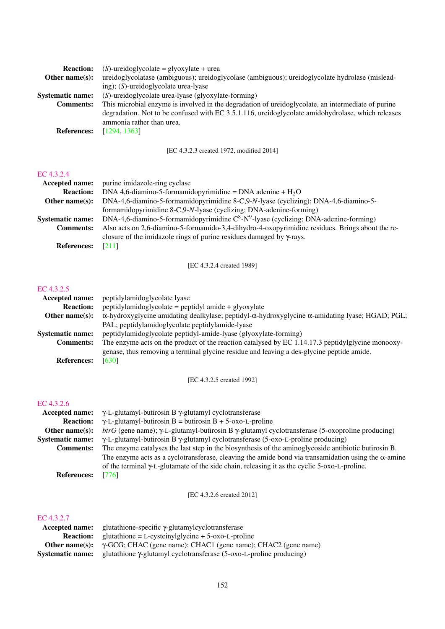| <b>Reaction:</b>        | $(S)$ -ureidoglycolate = glyoxylate + urea                                                         |
|-------------------------|----------------------------------------------------------------------------------------------------|
| Other name $(s)$ :      | ureidoglycolatase (ambiguous); ureidoglycolase (ambiguous); ureidoglycolate hydrolase (mislead-    |
|                         | ing); $(S)$ -ureidoglycolate urea-lyase                                                            |
| <b>Systematic name:</b> | (S)-ureidoglycolate urea-lyase (glyoxylate-forming)                                                |
| <b>Comments:</b>        | This microbial enzyme is involved in the degradation of ureidoglycolate, an intermediate of purine |
|                         | degradation. Not to be confused with EC 3.5.1.116, ureidoglycolate amidohydrolase, which releases  |
|                         | ammonia rather than urea.                                                                          |
| <b>References:</b>      | [1294, 1363]                                                                                       |
|                         |                                                                                                    |

[EC 4.3.2.3 created 1972, modified 2014]

#### [EC 4.3.2.4](http://www.enzyme-database.org/query.php?ec=4.3.2.4)

| Accepted name:          | purine imidazole-ring cyclase                                                                       |
|-------------------------|-----------------------------------------------------------------------------------------------------|
| <b>Reaction:</b>        | DNA 4,6-diamino-5-formamidopyrimidine = DNA adenine + $H_2O$                                        |
| Other name $(s)$ :      | DNA-4,6-diamino-5-formamidopyrimidine 8-C,9-N-lyase (cyclizing); DNA-4,6-diamino-5-                 |
|                         | formamidopyrimidine 8-C,9-N-lyase (cyclizing; DNA-adenine-forming)                                  |
| <b>Systematic name:</b> | DNA-4,6-diamino-5-formamidopyrimidine $C^8$ -N <sup>9</sup> -lyase (cyclizing; DNA-adenine-forming) |
| <b>Comments:</b>        | Also acts on 2,6-diamino-5-formamido-3,4-dihydro-4-oxopyrimidine residues. Brings about the re-     |
|                         | closure of the imidazole rings of purine residues damaged by $\gamma$ -rays.                        |
| <b>References:</b>      | [211]                                                                                               |

[EC 4.3.2.4 created 1989]

# [EC 4.3.2.5](http://www.enzyme-database.org/query.php?ec=4.3.2.5)

| Accepted name:          | peptidylamidoglycolate lyase                                                                                                                                                                     |
|-------------------------|--------------------------------------------------------------------------------------------------------------------------------------------------------------------------------------------------|
| <b>Reaction:</b>        | $peptidy$ lamidoglycolate = peptidyl amide + glyoxylate                                                                                                                                          |
| Other name $(s)$ :      | $\alpha$ -hydroxyglycine amidating dealkylase; peptidyl- $\alpha$ -hydroxyglycine $\alpha$ -amidating lyase; HGAD; PGL;                                                                          |
|                         | PAL; peptidylamidoglycolate peptidylamide-lyase                                                                                                                                                  |
| <b>Systematic name:</b> | peptidylamidoglycolate peptidyl-amide-lyase (glyoxylate-forming)                                                                                                                                 |
| <b>Comments:</b>        | The enzyme acts on the product of the reaction catalysed by EC $1.14.17.3$ peptidylglycine monooxy-<br>genase, thus removing a terminal glycine residue and leaving a des-glycine peptide amide. |
| <b>References:</b>      | [630]                                                                                                                                                                                            |

[EC 4.3.2.5 created 1992]

# [EC 4.3.2.6](http://www.enzyme-database.org/query.php?ec=4.3.2.6)

| Accepted name:          | $\gamma$ -L-glutamyl-butirosin B $\gamma$ -glutamyl cyclotransferase                                              |
|-------------------------|-------------------------------------------------------------------------------------------------------------------|
| <b>Reaction:</b>        | $\gamma$ -L-glutamyl-butirosin B = butirosin B + 5-oxo-L-proline                                                  |
| Other name $(s)$ :      | $btrG$ (gene name); $\gamma$ -L-glutamyl-butirosin B $\gamma$ -glutamyl cyclotransferase (5-oxoproline producing) |
| <b>Systematic name:</b> | γ-L-glutamyl-butirosin B γ-glutamyl cyclotransferase (5-oxo-L-proline producing)                                  |
| <b>Comments:</b>        | The enzyme catalyses the last step in the biosynthesis of the aminoglycoside antibiotic butirosin B.              |
|                         | The enzyme acts as a cyclotransferase, cleaving the amide bond via transamidation using the $\alpha$ -amine       |
|                         | of the terminal $\gamma$ -L-glutamate of the side chain, releasing it as the cyclic 5-oxo-L-proline.              |
| <b>References:</b>      | [776]                                                                                                             |

[EC 4.3.2.6 created 2012]

#### [EC 4.3.2.7](http://www.enzyme-database.org/query.php?ec=4.3.2.7)

| Accepted name:          | glutathione-specific γ-glutamylcyclotransferase                             |
|-------------------------|-----------------------------------------------------------------------------|
| <b>Reaction:</b>        | $glutathione = L-cysteinylglycine + 5-oxo-L-proline$                        |
| Other name(s):          | $\gamma$ -GCG; CHAC (gene name); CHAC1 (gene name); CHAC2 (gene name)       |
| <b>Systematic name:</b> | glutathione $\gamma$ -glutamyl cyclotransferase (5-oxo-L-proline producing) |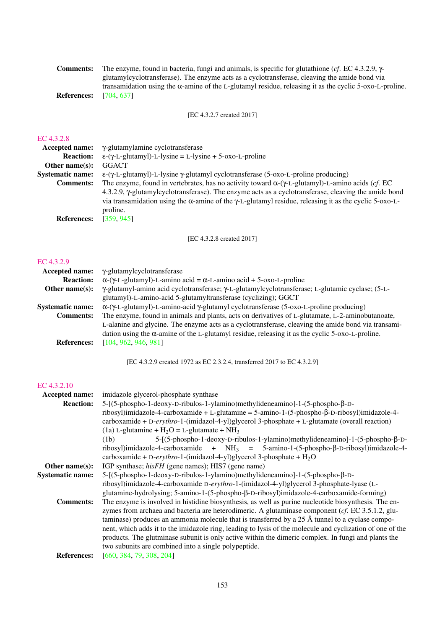| The enzyme, found in bacteria, fungi and animals, is specific for glutathione (cf. EC 4.3.2.9, $\gamma$ -       |
|-----------------------------------------------------------------------------------------------------------------|
| glutamylcyclotransferase). The enzyme acts as a cyclotransferase, cleaving the amide bond via                   |
| transamidation using the $\alpha$ -amine of the L-glutamyl residue, releasing it as the cyclic 5-oxo-L-proline. |
| [704.637]                                                                                                       |
|                                                                                                                 |

[EC 4.3.2.7 created 2017]

#### [EC 4.3.2.8](http://www.enzyme-database.org/query.php?ec=4.3.2.8)

| Accepted name:          | γ-glutamylamine cyclotransferase                                                                                         |
|-------------------------|--------------------------------------------------------------------------------------------------------------------------|
| <b>Reaction:</b>        | $\epsilon$ -( $\gamma$ -L-glutamyl)-L-lysine = L-lysine + 5-oxo-L-proline                                                |
| Other name $(s)$ :      | <b>GGACT</b>                                                                                                             |
| <b>Systematic name:</b> | $\epsilon$ -( $\gamma$ -L-glutamyl)-L-lysine $\gamma$ -glutamyl cyclotransferase (5-oxo-L-proline producing)             |
| <b>Comments:</b>        | The enzyme, found in vertebrates, has no activity toward $\alpha$ -( $\gamma$ -L-glutamyl)-L-amino acids ( <i>cf.</i> EC |
|                         | 4.3.2.9, $\gamma$ -glutamylcyclotransferase). The enzyme acts as a cyclotransferase, cleaving the amide bond             |
|                         | via transamidation using the α-amine of the γ-L-glutamyl residue, releasing it as the cyclic 5-oxo-L-                    |
|                         | proline.                                                                                                                 |
| <b>References:</b>      | [359, 945]                                                                                                               |
|                         |                                                                                                                          |

[EC 4.3.2.8 created 2017]

# [EC 4.3.2.9](http://www.enzyme-database.org/query.php?ec=4.3.2.9)

| γ-glutamylcyclotransferase                                                                                     |
|----------------------------------------------------------------------------------------------------------------|
| $\alpha$ -( $\gamma$ -L-glutamyl)-L-amino acid = $\alpha$ -L-amino acid + 5-oxo-L-proline                      |
| γ-glutamyl-amino acid cyclotransferase; γ-L-glutamylcyclotransferase; L-glutamic cyclase; (5-L-                |
| glutamyl)-L-amino-acid 5-glutamyltransferase (cyclizing); GGCT                                                 |
| $\alpha$ -( $\gamma$ -L-glutamyl)-L-amino-acid $\gamma$ -glutamyl cyclotransferase (5-oxo-L-proline producing) |
| The enzyme, found in animals and plants, acts on derivatives of L-glutamate, L-2-aminobutanoate,               |
| L-alanine and glycine. The enzyme acts as a cyclotransferase, cleaving the amide bond via transami-            |
| dation using the $\alpha$ -amine of the L-glutamyl residue, releasing it as the cyclic 5-oxo-L-proline.        |
| [104, 962, 946, 981]                                                                                           |
|                                                                                                                |

[EC 4.3.2.9 created 1972 as EC 2.3.2.4, transferred 2017 to EC 4.3.2.9]

# [EC 4.3.2.10](http://www.enzyme-database.org/query.php?ec=4.3.2.10)

| Accepted name:          | imidazole glycerol-phosphate synthase                                                                                          |
|-------------------------|--------------------------------------------------------------------------------------------------------------------------------|
| <b>Reaction:</b>        | $5-[5-1]{\text{6-phospho-1-deoxy-D-ribulos-1-ylamino}}$ methylideneamino]-1- $(5-\text{phospho-}\beta-\text{D-}\beta)$         |
|                         | ribosyl)imidazole-4-carboxamide + L-glutamine = 5-amino-1-(5-phospho- $\beta$ -D-ribosyl)imidazole-4-                          |
|                         | carboxamide + D-erythro-1-(imidazol-4-yl)glycerol 3-phosphate + L-glutamate (overall reaction)                                 |
|                         | (1a) L-glutamine + $H_2O = L$ -glutamate + NH <sub>3</sub>                                                                     |
|                         | $5-[5-1]{\text{6-phospho-1-deoxy-D-ribulos-1-ylamino}}$ methylideneamino]-1- $(5-\text{phospho-}\beta-\text{D-}\beta)$<br>(1b) |
|                         | ribosyl)imidazole-4-carboxamide + $NH_3$ = 5-amino-1-(5-phospho- $\beta$ -D-ribosyl)imidazole-4-                               |
|                         | carboxamide + D-erythro-1-(imidazol-4-yl)glycerol 3-phosphate + $H_2O$                                                         |
| Other name $(s)$ :      | IGP synthase; <i>hisFH</i> (gene names); HIS7 (gene name)                                                                      |
| <b>Systematic name:</b> | $5-[5-phospho-1-deoxy-D-ribulos-1-ylamino)$ methylideneamino]-1- $(5-phospho-\beta-D-rb)$                                      |
|                         | ribosyl)imidazole-4-carboxamide D-erythro-1-(imidazol-4-yl)glycerol 3-phosphate-lyase (L-                                      |
|                         | glutamine-hydrolysing; 5-amino-1-(5-phospho-β-D-ribosyl)imidazole-4-carboxamide-forming)                                       |
| <b>Comments:</b>        | The enzyme is involved in histidine biosynthesis, as well as purine nucleotide biosynthesis. The en-                           |
|                         | zymes from archaea and bacteria are heterodimeric. A glutaminase component ( $cf.$ EC 3.5.1.2, glu-                            |
|                         | taminase) produces an ammonia molecule that is transferred by a 25 $\AA$ tunnel to a cyclase compo-                            |
|                         | nent, which adds it to the imidazole ring, leading to lysis of the molecule and cyclization of one of the                      |
|                         | products. The glutminase subunit is only active within the dimeric complex. In fungi and plants the                            |
|                         | two subunits are combined into a single polypeptide.                                                                           |
| <b>References:</b>      | [660, 384, 79, 308, 204]                                                                                                       |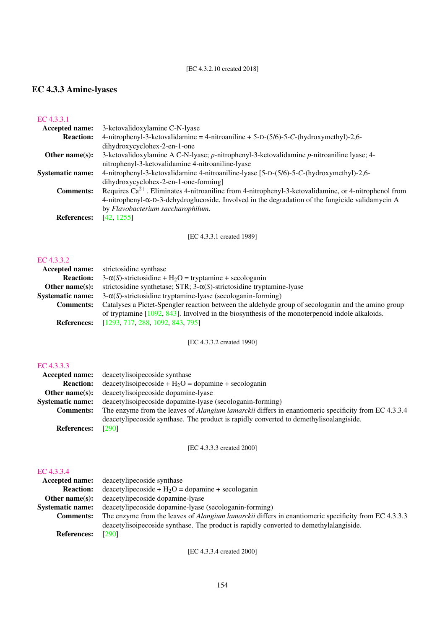#### [EC 4.3.2.10 created 2018]

# EC 4.3.3 Amine-lyases

# [EC 4.3.3.1](http://www.enzyme-database.org/query.php?ec=4.3.3.1)

| Accepted name:          | 3-ketovalidoxylamine C-N-lyase                                                                            |
|-------------------------|-----------------------------------------------------------------------------------------------------------|
| <b>Reaction:</b>        | 4-nitrophenyl-3-ketovalidamine = 4-nitroaniline + $5-D-(5/6)-5-C$ -(hydroxymethyl)-2,6-                   |
|                         | dihydroxycyclohex-2-en-1-one                                                                              |
| Other name $(s)$ :      | 3-ketovalidoxylamine A C-N-lyase; p-nitrophenyl-3-ketovalidamine p-nitroaniline lyase; 4-                 |
|                         | nitrophenyl-3-ketovalidamine 4-nitroaniline-lyase                                                         |
| <b>Systematic name:</b> | 4-nitrophenyl-3-ketovalidamine 4-nitroaniline-lyase [5-D-(5/6)-5-C-(hydroxymethyl)-2,6-                   |
|                         | dihydroxycyclohex-2-en-1-one-forming]                                                                     |
| <b>Comments:</b>        | Requires $Ca^{2+}$ . Eliminates 4-nitroaniline from 4-nitrophenyl-3-ketovalidamine, or 4-nitrophenol from |
|                         | 4-nitrophenyl-α-D-3-dehydroglucoside. Involved in the degradation of the fungicide validamycin A          |
|                         | by Flavobacterium saccharophilum.                                                                         |
| <b>References:</b>      | [42, 1255]                                                                                                |
|                         |                                                                                                           |

[EC 4.3.3.1 created 1989]

#### [EC 4.3.3.2](http://www.enzyme-database.org/query.php?ec=4.3.3.2)

| strictosidine synthase                                                                             |
|----------------------------------------------------------------------------------------------------|
| $3-\alpha(S)$ -strictosidine + H <sub>2</sub> O = tryptamine + secologanin                         |
| strictosidine synthetase; STR; $3-\alpha(S)$ -strictosidine tryptamine-lyase                       |
| $3-\alpha(S)$ -strictosidine tryptamine-lyase (secologanin-forming)                                |
| Catalyses a Pictet-Spengler reaction between the aldehyde group of secologanin and the amino group |
| of tryptamine $[1092, 843]$ . Involved in the biosynthesis of the monoterpenoid indole alkaloids.  |
| [1293, 717, 288, 1092, 843, 795]                                                                   |
|                                                                                                    |

[EC 4.3.3.2 created 1990]

# [EC 4.3.3.3](http://www.enzyme-database.org/query.php?ec=4.3.3.3)

|                         | <b>Accepted name:</b> deacetylisoipecoside synthase                                                         |
|-------------------------|-------------------------------------------------------------------------------------------------------------|
| <b>Reaction:</b>        | $deacetylisopecoside + H2O = dopamine + secologanin$                                                        |
| Other name $(s)$ :      | deacetylisoipecoside dopamine-lyase                                                                         |
| <b>Systematic name:</b> | deacetylisoipecoside dopamine-lyase (secologanin-forming)                                                   |
| <b>Comments:</b>        | The enzyme from the leaves of <i>Alangium lamarckii</i> differs in enantiomeric specificity from EC 4.3.3.4 |
|                         | deacetylipecoside synthase. The product is rapidly converted to demethylisoalangiside.                      |
| <b>References:</b>      | [290]                                                                                                       |

# [EC 4.3.3.3 created 2000]

# [EC 4.3.3.4](http://www.enzyme-database.org/query.php?ec=4.3.3.4)

|                         | <b>Accepted name:</b> deacetylipecoside synthase                                                            |
|-------------------------|-------------------------------------------------------------------------------------------------------------|
| <b>Reaction:</b>        | $deacetylipecoside + H2O = dopamine + secologanin$                                                          |
| Other name $(s)$ :      | deacetylipecoside dopamine-lyase                                                                            |
| <b>Systematic name:</b> | deacetylipecoside dopamine-lyase (secologanin-forming)                                                      |
| <b>Comments:</b>        | The enzyme from the leaves of <i>Alangium lamarckii</i> differs in enantiomeric specificity from EC 4.3.3.3 |
|                         | deacetylisoipecoside synthase. The product is rapidly converted to demethylalangiside.                      |
| <b>References:</b>      | [290]                                                                                                       |

[EC 4.3.3.4 created 2000]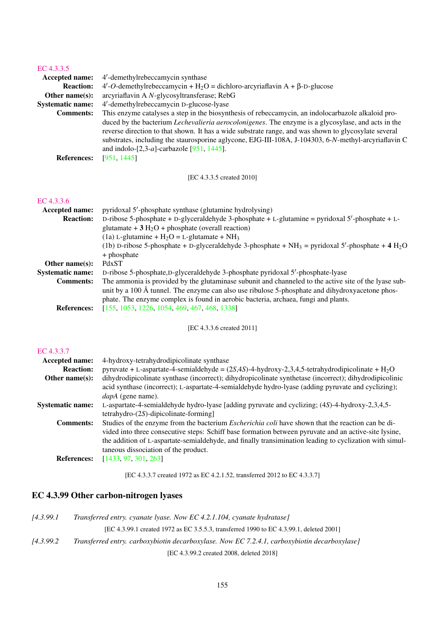# [EC 4.3.3.5](http://www.enzyme-database.org/query.php?ec=4.3.3.5)

| <b>Accepted name:</b>   | 4'-demethylrebeccamycin synthase                                                                                                                                                                                                                                                                                                                                               |
|-------------------------|--------------------------------------------------------------------------------------------------------------------------------------------------------------------------------------------------------------------------------------------------------------------------------------------------------------------------------------------------------------------------------|
| <b>Reaction:</b>        | $4'-O$ -demethylrebeccamycin + H <sub>2</sub> O = dichloro-arcyriaflavin A + $\beta$ -D-glucose                                                                                                                                                                                                                                                                                |
| Other name $(s)$ :      | arcyriaflavin A N-glycosyltransferase; RebG                                                                                                                                                                                                                                                                                                                                    |
| <b>Systematic name:</b> | 4'-demethylrebeccamycin D-glucose-lyase                                                                                                                                                                                                                                                                                                                                        |
| <b>Comments:</b>        | This enzyme catalyses a step in the biosynthesis of rebeccamycin, an indolocarbazole alkaloid pro-                                                                                                                                                                                                                                                                             |
|                         | duced by the bacterium <i>Lechevalieria aerocolonigenes</i> . The enzyme is a glycosylase, and acts in the<br>reverse direction to that shown. It has a wide substrate range, and was shown to glycosylate several<br>substrates, including the staurosporine aglycone, EJG-III-108A, J-104303, 6-N-methyl-arcyriaflavin C<br>and indolo- $[2,3-a]$ -carbazole $[951, 1445]$ . |
| <b>References:</b>      | [951, 1445]                                                                                                                                                                                                                                                                                                                                                                    |

[EC 4.3.3.5 created 2010]

# [EC 4.3.3.6](http://www.enzyme-database.org/query.php?ec=4.3.3.6)

| <b>Accepted name:</b>   | pyridoxal 5'-phosphate synthase (glutamine hydrolysing)                                                                                                                                                                                                                                        |
|-------------------------|------------------------------------------------------------------------------------------------------------------------------------------------------------------------------------------------------------------------------------------------------------------------------------------------|
| <b>Reaction:</b>        | D-ribose 5-phosphate + D-glyceraldehyde 3-phosphate + L-glutamine = pyridoxal $5'$ -phosphate + L-                                                                                                                                                                                             |
|                         | glutamate + $3 H2O$ + phosphate (overall reaction)                                                                                                                                                                                                                                             |
|                         | (1a) L-glutamine + $H_2O = L$ -glutamate + NH <sub>3</sub>                                                                                                                                                                                                                                     |
|                         | (1b) D-ribose 5-phosphate + D-glyceraldehyde 3-phosphate + $NH_3$ = pyridoxal 5'-phosphate + 4 $H_2O$                                                                                                                                                                                          |
|                         | + phosphate                                                                                                                                                                                                                                                                                    |
| Other name $(s)$ :      | PdxST                                                                                                                                                                                                                                                                                          |
| <b>Systematic name:</b> | D-ribose 5-phosphate, D-glyceraldehyde 3-phosphate pyridoxal 5'-phosphate-lyase                                                                                                                                                                                                                |
| <b>Comments:</b>        | The ammonia is provided by the glutaminase subunit and channeled to the active site of the lyase sub-<br>unit by a 100 Å tunnel. The enzyme can also use ribulose 5-phosphate and dihydroxyacetone phos-<br>phate. The enzyme complex is found in aerobic bacteria, archaea, fungi and plants. |
| <b>References:</b>      | [155, 1053, 1226, 1054, 469, 467, 468, 1338]                                                                                                                                                                                                                                                   |

[EC 4.3.3.6 created 2011]

# [EC 4.3.3.7](http://www.enzyme-database.org/query.php?ec=4.3.3.7)

| <b>Accepted name:</b>   | 4-hydroxy-tetrahydrodipicolinate synthase                                                                      |
|-------------------------|----------------------------------------------------------------------------------------------------------------|
| <b>Reaction:</b>        | pyruvate + L-aspartate-4-semialdehyde = $(2S,4S)$ -4-hydroxy-2,3,4,5-tetrahydrodipicolinate + H <sub>2</sub> O |
| Other name $(s)$ :      | dihydrodipicolinate synthase (incorrect); dihydropicolinate synthetase (incorrect); dihydrodipicolinic         |
|                         | acid synthase (incorrect); L-aspartate-4-semialdehyde hydro-lyase (adding pyruvate and cyclizing);             |
|                         | <i>dapA</i> (gene name).                                                                                       |
| <b>Systematic name:</b> | L-aspartate-4-semialdehyde hydro-lyase [adding pyruvate and cyclizing; (4S)-4-hydroxy-2,3,4,5-                 |
|                         | $tetrahydro-(2S)$ -dipicolinate-forming]                                                                       |
| <b>Comments:</b>        | Studies of the enzyme from the bacterium <i>Escherichia coli</i> have shown that the reaction can be di-       |
|                         | vided into three consecutive steps: Schiff base formation between pyruvate and an active-site lysine,          |
|                         | the addition of L-aspartate-semialdehyde, and finally transimination leading to cyclization with simul-        |
|                         | taneous dissociation of the product.                                                                           |
| <b>References:</b>      | [1433, 97, 301, 263]                                                                                           |

[EC 4.3.3.7 created 1972 as EC 4.2.1.52, transferred 2012 to EC 4.3.3.7]

# EC 4.3.99 Other carbon-nitrogen lyases

| 14.3.99.1 | Transferred entry. cyanate lyase. Now EC 4.2.1.104, cyanate hydratase]                       |
|-----------|----------------------------------------------------------------------------------------------|
|           | [EC 4.3.99.1] created 1972 as EC 3.5.5.3, transferred 1990 to EC 4.3.99.1, deleted 2001]     |
| 14.3.99.2 | Transferred entry. carboxybiotin decarboxylase. Now EC 7.2.4.1, carboxybiotin decarboxylase] |
|           | FEC $\Lambda$ 3.00.2 created 2008. deleted 20181                                             |

[EC 4.3.99.2 created 2008, deleted 2018]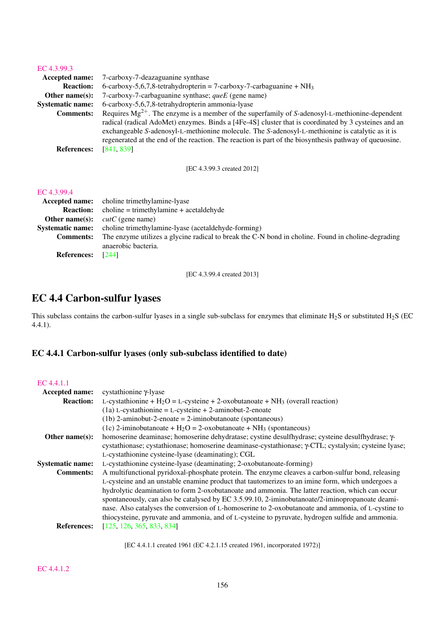#### [EC 4.3.99.3](http://www.enzyme-database.org/query.php?ec=4.3.99.3)

| Accepted name:          | 7-carboxy-7-deazaguanine synthase                                                                      |
|-------------------------|--------------------------------------------------------------------------------------------------------|
| <b>Reaction:</b>        | 6-carboxy-5,6,7,8-tetrahydropterin = 7-carboxy-7-carbaguanine + $NH_3$                                 |
| Other name $(s)$ :      | 7-carboxy-7-carbaguanine synthase; $queE$ (gene name)                                                  |
| <b>Systematic name:</b> | 6-carboxy-5,6,7,8-tetrahydropterin ammonia-lyase                                                       |
| <b>Comments:</b>        | Requires $Mg^{2+}$ . The enzyme is a member of the superfamily of S-adenosyl-L-methionine-dependent    |
|                         | radical (radical AdoMet) enzymes. Binds a [4Fe-4S] cluster that is coordinated by 3 cysteines and an   |
|                         | exchangeable S-adenosyl-L-methionine molecule. The S-adenosyl-L-methionine is catalytic as it is       |
|                         | regenerated at the end of the reaction. The reaction is part of the biosynthesis pathway of queuosine. |
| <b>References:</b>      | [841, 839]                                                                                             |

[EC 4.3.99.3 created 2012]

#### [EC 4.3.99.4](http://www.enzyme-database.org/query.php?ec=4.3.99.4)

|                          | <b>Accepted name:</b> choline trimethylamine-lyase                                                 |
|--------------------------|----------------------------------------------------------------------------------------------------|
|                          | <b>Reaction:</b> choline = trimethylamine + acetaldehyde                                           |
| Other name $(s)$ :       | <i>cutC</i> (gene name)                                                                            |
|                          | <b>Systematic name:</b> choline trimethylamine-lyase (acetaldehyde-forming)                        |
| <b>Comments:</b>         | The enzyme utilizes a glycine radical to break the C-N bond in choline. Found in choline-degrading |
|                          | anaerobic bacteria.                                                                                |
| <b>References:</b> [244] |                                                                                                    |

[EC 4.3.99.4 created 2013]

# EC 4.4 Carbon-sulfur lyases

This subclass contains the carbon-sulfur lyases in a single sub-subclass for enzymes that eliminate  $H_2S$  or substituted  $H_2S$  (EC 4.4.1).

# EC 4.4.1 Carbon-sulfur lyases (only sub-subclass identified to date)

# [EC 4.4.1.1](http://www.enzyme-database.org/query.php?ec=4.4.1.1)

| Accepted name:          | cystathionine γ-lyase                                                                                        |
|-------------------------|--------------------------------------------------------------------------------------------------------------|
| <b>Reaction:</b>        | L-cystathionine + $H_2O = L$ -cysteine + 2-oxobutanoate + NH <sub>3</sub> (overall reaction)                 |
|                         | $(1a)$ L-cystathionine = L-cysteine + 2-aminobut-2-enoate                                                    |
|                         | $(1b)$ 2-aminobut-2-enoate = 2-iminobutanoate (spontaneous)                                                  |
|                         | (1c) 2-iminobutanoate + $H_2O = 2$ -oxobutanoate + NH <sub>3</sub> (spontaneous)                             |
| Other name $(s)$ :      | homoserine deaminase; homoserine dehydratase; cystine desulfhydrase; cysteine desulfhydrase; $\gamma$ -      |
|                         | cystathionase; cystathionase; homoserine deaminase-cystathionase; $\gamma$ -CTL; cystalysin; cysteine lyase; |
|                         | L-cystathionine cysteine-lyase (deaminating); CGL                                                            |
| <b>Systematic name:</b> | L-cystathionine cysteine-lyase (deaminating; 2-oxobutanoate-forming)                                         |
| <b>Comments:</b>        | A multifunctional pyridoxal-phosphate protein. The enzyme cleaves a carbon-sulfur bond, releasing            |
|                         | L-cysteine and an unstable enamine product that tautomerizes to an imine form, which undergoes a             |
|                         | hydrolytic deamination to form 2-oxobutanoate and ammonia. The latter reaction, which can occur              |
|                         | spontaneously, can also be catalysed by EC 3.5.99.10, 2-iminobutanoate/2-iminopropanoate deami-              |
|                         | nase. Also catalyses the conversion of L-homoserine to 2-oxobutanoate and ammonia, of L-cystine to           |
|                         | thiocysteine, pyruvate and ammonia, and of L-cysteine to pyruvate, hydrogen sulfide and ammonia.             |
| <b>References:</b>      | [125, 126, 365, 833, 834]                                                                                    |
|                         |                                                                                                              |

[EC 4.4.1.1 created 1961 (EC 4.2.1.15 created 1961, incorporated 1972)]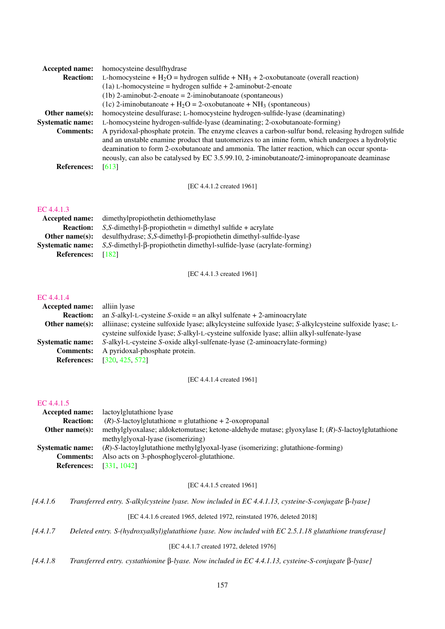| <b>Accepted name:</b>   | homocysteine desulfhydrase                                                                         |
|-------------------------|----------------------------------------------------------------------------------------------------|
| <b>Reaction:</b>        | L-homocysteine + $H_2O$ = hydrogen sulfide + NH <sub>3</sub> + 2-oxobutanoate (overall reaction)   |
|                         | $(1a)$ L-homocysteine = hydrogen sulfide + 2-aminobut-2-enoate                                     |
|                         | $(1b)$ 2-aminobut-2-enoate = 2-iminobutanoate (spontaneous)                                        |
|                         | (1c) 2-iminobutanoate + $H_2O = 2$ -oxobutanoate + NH <sub>3</sub> (spontaneous)                   |
| Other name $(s)$ :      | homocysteine desulfurase; L-homocysteine hydrogen-sulfide-lyase (deaminating)                      |
| <b>Systematic name:</b> | L-homocysteine hydrogen-sulfide-lyase (deaminating; 2-oxobutanoate-forming)                        |
| <b>Comments:</b>        | A pyridoxal-phosphate protein. The enzyme cleaves a carbon-sulfur bond, releasing hydrogen sulfide |
|                         | and an unstable enamine product that tautomerizes to an imine form, which undergoes a hydrolytic   |
|                         | deamination to form 2-oxobutanoate and ammonia. The latter reaction, which can occur sponta-       |
|                         | neously, can also be catalysed by EC 3.5.99.10, 2-iminobutanoate/2-iminopropanoate deaminase       |
| <b>References:</b>      | [613]                                                                                              |

[EC 4.4.1.2 created 1961]

# [EC 4.4.1.3](http://www.enzyme-database.org/query.php?ec=4.4.1.3)

| Accepted name:          | dimethylpropiothetin dethiomethylase                                              |
|-------------------------|-----------------------------------------------------------------------------------|
| <b>Reaction:</b>        | $S$ , S-dimethyl- $\beta$ -propiothetin = dimethyl sulfide + acrylate             |
| Other name $(s)$ :      | $desulfhydrase$ ; S,S-dimethyl- $\beta$ -propiothetin dimethyl-sulfide-lyase      |
| <b>Systematic name:</b> | $S$ , S-dimethyl- $\beta$ -propiothetin dimethyl-sulfide-lyase (acrylate-forming) |
| <b>References:</b>      | T1821                                                                             |

[EC 4.4.1.3 created 1961]

#### [EC 4.4.1.4](http://www.enzyme-database.org/query.php?ec=4.4.1.4)

| <b>Accepted name:</b> alliin lyase |                                                                                                         |
|------------------------------------|---------------------------------------------------------------------------------------------------------|
| <b>Reaction:</b>                   | an S-alkyl-L-cysteine S-oxide = an alkyl sulfenate $+ 2$ -aminoacrylate                                 |
| Other name $(s)$ :                 | alliinase; cysteine sulfoxide lyase; alkylcysteine sulfoxide lyase; S-alkylcysteine sulfoxide lyase; L- |
|                                    | cysteine sulfoxide lyase; S-alkyl-L-cysteine sulfoxide lyase; alliin alkyl-sulfenate-lyase              |
| <b>Systematic name:</b>            | S-alkyl-L-cysteine S-oxide alkyl-sulfenate-lyase (2-aminoacrylate-forming)                              |
| <b>Comments:</b>                   | A pyridoxal-phosphate protein.                                                                          |
| <b>References:</b>                 | [320, 425, 572]                                                                                         |

#### [EC 4.4.1.4 created 1961]

#### [EC 4.4.1.5](http://www.enzyme-database.org/query.php?ec=4.4.1.5)

| Accepted name:          | lactoylglutathione lyase                                                                         |
|-------------------------|--------------------------------------------------------------------------------------------------|
| <b>Reaction:</b>        | $(R)$ -S-lactoylglutathione = glutathione + 2-oxopropanal                                        |
| Other name $(s)$ :      | methylglyoxalase; aldoketomutase; ketone-aldehyde mutase; glyoxylase I; (R)-S-lactoylglutathione |
|                         | methylglyoxal-lyase (isomerizing)                                                                |
| <b>Systematic name:</b> | $(R)$ -S-lactoylglutathione methylglyoxal-lyase (isomerizing; glutathione-forming)               |
| <b>Comments:</b>        | Also acts on 3-phosphoglycerol-glutathione.                                                      |
| <b>References:</b>      | [331, 1042]                                                                                      |
|                         |                                                                                                  |

#### [EC 4.4.1.5 created 1961]

*[4.4.1.6 Transferred entry. S-alkylcysteine lyase. Now included in EC 4.4.1.13, cysteine-S-conjugate* β*-lyase]*

[EC 4.4.1.6 created 1965, deleted 1972, reinstated 1976, deleted 2018]

*[4.4.1.7 Deleted entry. S-(hydroxyalkyl)glutathione lyase. Now included with EC 2.5.1.18 glutathione transferase]*

[EC 4.4.1.7 created 1972, deleted 1976]

*[4.4.1.8 Transferred entry. cystathionine* β*-lyase. Now included in EC 4.4.1.13, cysteine-S-conjugate* β*-lyase]*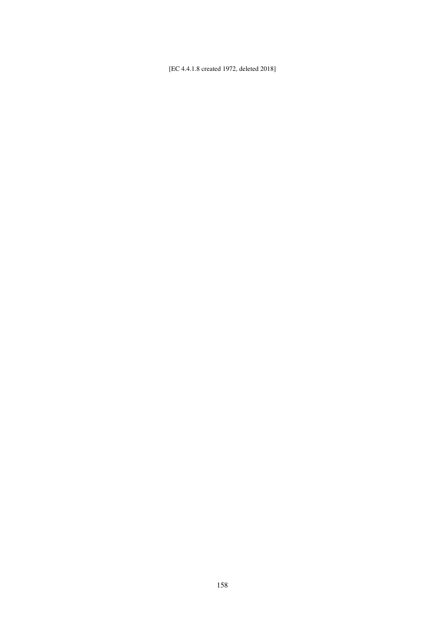[EC 4.4.1.8 created 1972, deleted 2018]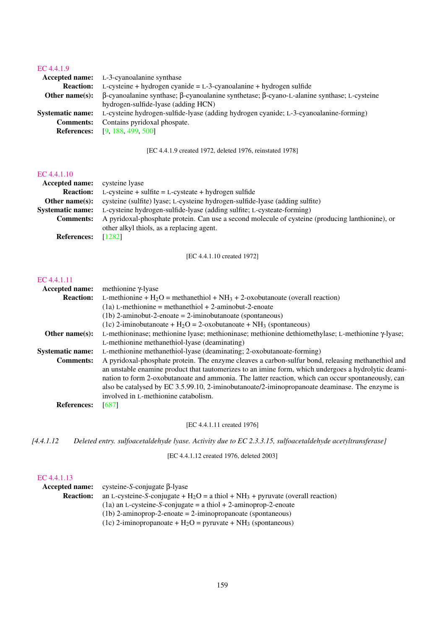# [EC 4.4.1.9](http://www.enzyme-database.org/query.php?ec=4.4.1.9)

|                         | <b>Accepted name:</b> L-3-cyanoalanine synthase                                                                 |
|-------------------------|-----------------------------------------------------------------------------------------------------------------|
| <b>Reaction:</b>        | $L$ -cysteine + hydrogen cyanide = $L$ -3-cyanoalanine + hydrogen sulfide                                       |
| Other name $(s)$ :      | $\beta$ -cyanoalanine synthase; $\beta$ -cyanoalanine synthetase; $\beta$ -cyano-L-alanine synthase; L-cysteine |
|                         | hydrogen-sulfide-lyase (adding HCN)                                                                             |
| <b>Systematic name:</b> | L-cysteine hydrogen-sulfide-lyase (adding hydrogen cyanide; L-3-cyanoalanine-forming)                           |
| <b>Comments:</b>        | Contains pyridoxal phospate.                                                                                    |
|                         | <b>References:</b> [9, 188, 499, 500]                                                                           |

[EC 4.4.1.9 created 1972, deleted 1976, reinstated 1978]

#### [EC 4.4.1.10](http://www.enzyme-database.org/query.php?ec=4.4.1.10)

| <b>Accepted name:</b>   | cysteine lyase                                                                                   |
|-------------------------|--------------------------------------------------------------------------------------------------|
| <b>Reaction:</b>        | $L$ -cysteine + sulfite = $L$ -cysteate + hydrogen sulfide                                       |
| Other name $(s)$ :      | cysteine (sulfite) lyase; L-cysteine hydrogen-sulfide-lyase (adding sulfite)                     |
| <b>Systematic name:</b> | L-cysteine hydrogen-sulfide-lyase (adding sulfite; L-cysteate-forming)                           |
| <b>Comments:</b>        | A pyridoxal-phosphate protein. Can use a second molecule of cysteine (producing lanthionine), or |
|                         | other alkyl thiols, as a replacing agent.                                                        |
| <b>References:</b>      | [1282]                                                                                           |

[EC 4.4.1.10 created 1972]

#### [EC 4.4.1.11](http://www.enzyme-database.org/query.php?ec=4.4.1.11)

| Accepted name:          | methionine $\gamma$ -lyase                                                                                |
|-------------------------|-----------------------------------------------------------------------------------------------------------|
| <b>Reaction:</b>        | L-methionine + $H_2O$ = methanethiol + $NH_3$ + 2-oxobutanoate (overall reaction)                         |
|                         | $(1a)$ L-methionine = methanethiol + 2-aminobut-2-enoate                                                  |
|                         | $(1b)$ 2-aminobut-2-enoate = 2-iminobutanoate (spontaneous)                                               |
|                         | (1c) 2-iminobutanoate + $H_2O = 2$ -oxobutanoate + $NH_3$ (spontaneous)                                   |
| Other name $(s)$ :      | L-methioninase; methionine lyase; methioninase; methionine dethiomethylase; L-methionine $\gamma$ -lyase; |
|                         | L-methionine methanethiol-lyase (deaminating)                                                             |
| <b>Systematic name:</b> | L-methionine methanethiol-lyase (deaminating; 2-oxobutanoate-forming)                                     |
| <b>Comments:</b>        | A pyridoxal-phosphate protein. The enzyme cleaves a carbon-sulfur bond, releasing methanethiol and        |
|                         | an unstable enamine product that tautomerizes to an imine form, which undergoes a hydrolytic deami-       |
|                         | nation to form 2-oxobutanoate and ammonia. The latter reaction, which can occur spontaneously, can        |
|                         | also be catalysed by EC 3.5.99.10, 2-iminobutanoate/2-iminopropanoate deaminase. The enzyme is            |
|                         | involved in L-methionine catabolism.                                                                      |
| <b>References:</b>      | [687]                                                                                                     |

[EC 4.4.1.11 created 1976]

*[4.4.1.12 Deleted entry. sulfoacetaldehyde lyase. Activity due to EC 2.3.3.15, sulfoacetaldehyde acetyltransferase]*

[EC 4.4.1.12 created 1976, deleted 2003]

|                  | Accepted name: cysteine-S-conjugate $\beta$ -lyase                                  |
|------------------|-------------------------------------------------------------------------------------|
| <b>Reaction:</b> | an L-cysteine-S-conjugate + $H_2O = a$ thiol + $NH_3$ + pyruvate (overall reaction) |
|                  | $(1a)$ an L-cysteine-S-conjugate = a thiol + 2-aminoprop-2-enoate                   |
|                  | $(1b)$ 2-aminoprop-2-enoate = 2-iminopropanoate (spontaneous)                       |
|                  | (1c) 2-iminopropanoate + $H_2O$ = pyruvate + $NH_3$ (spontaneous)                   |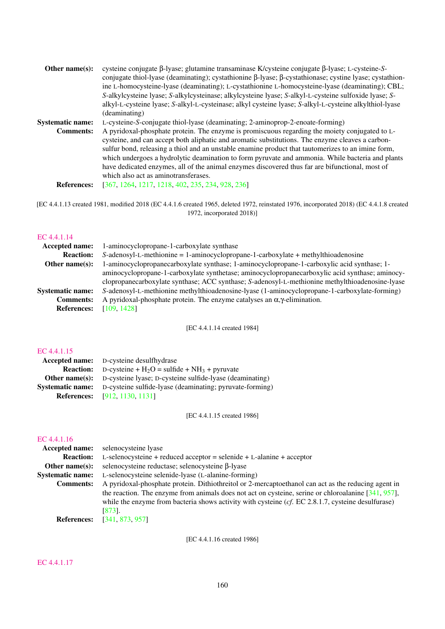| Other name $(s)$ :      | cysteine conjugate $\beta$ -lyase; glutamine transaminase K/cysteine conjugate $\beta$ -lyase; L-cysteine-S-          |
|-------------------------|-----------------------------------------------------------------------------------------------------------------------|
|                         | conjugate thiol-lyase (deaminating); cystathionine $\beta$ -lyase; $\beta$ -cystathionase; cystine lyase; cystathion- |
|                         | ine L-homocysteine-lyase (deaminating); L-cystathionine L-homocysteine-lyase (deaminating); CBL;                      |
|                         | S-alkylcysteine lyase; S-alkylcysteinase; alkylcysteine lyase; S-alkyl-L-cysteine sulfoxide lyase; S-                 |
|                         | alkyl-L-cysteine lyase; S-alkyl-L-cysteinase; alkyl cysteine lyase; S-alkyl-L-cysteine alkylthiol-lyase               |
|                         | (deaminating)                                                                                                         |
| <b>Systematic name:</b> | L-cysteine-S-conjugate thiol-lyase (deaminating; 2-aminoprop-2-enoate-forming)                                        |
| <b>Comments:</b>        | A pyridoxal-phosphate protein. The enzyme is promiscuous regarding the moiety conjugated to L-                        |
|                         | cysteine, and can accept both aliphatic and aromatic substitutions. The enzyme cleaves a carbon-                      |
|                         | sulfur bond, releasing a thiol and an unstable enamine product that tautomerizes to an imine form,                    |
|                         | which undergoes a hydrolytic deamination to form pyruvate and ammonia. While bacteria and plants                      |
|                         | have dedicated enzymes, all of the animal enzymes discovered thus far are bifunctional, most of                       |
|                         | which also act as aminotransferases.                                                                                  |
| <b>References:</b>      | [367, 1264, 1217, 1218, 402, 235, 234, 928, 236]                                                                      |
|                         |                                                                                                                       |

[EC 4.4.1.13 created 1981, modified 2018 (EC 4.4.1.6 created 1965, deleted 1972, reinstated 1976, incorporated 2018) (EC 4.4.1.8 created 1972, incorporated 2018)]

# [EC 4.4.1.14](http://www.enzyme-database.org/query.php?ec=4.4.1.14)

| <b>Accepted name:</b>   | 1-aminocyclopropane-1-carboxylate synthase                                                      |
|-------------------------|-------------------------------------------------------------------------------------------------|
| <b>Reaction:</b>        | $S$ -adenosyl-L-methionine = 1-aminocyclopropane-1-carboxylate + methylthioadenosine            |
| Other name $(s)$ :      | 1-aminocyclopropanecarboxylate synthase; 1-aminocyclopropane-1-carboxylic acid synthase; 1-     |
|                         | aminocyclopropane-1-carboxylate synthetase; aminocyclopropanecarboxylic acid synthase; aminocy- |
|                         | clopropanecarboxylate synthase; ACC synthase; S-adenosyl-L-methionine methylthioadenosine-lyase |
| <b>Systematic name:</b> | S-adenosyl-L-methionine methylthioadenosine-lyase (1-aminocyclopropane-1-carboxylate-forming)   |
| <b>Comments:</b>        | A pyridoxal-phosphate protein. The enzyme catalyses an $\alpha$ , $\gamma$ -elimination.        |
| <b>References:</b>      | [109, 1428]                                                                                     |

[EC 4.4.1.14 created 1984]

# [EC 4.4.1.15](http://www.enzyme-database.org/query.php?ec=4.4.1.15)

| <b>Accepted name:</b> D-cysteine desulfhydrase                                   |
|----------------------------------------------------------------------------------|
| <b>Reaction:</b> D-cysteine + $H_2O$ = sulfide + $NH_3$ + pyruvate               |
| <b>Other name(s):</b> D-cysteine lyase; D-cysteine sulfide-lyase (deaminating)   |
| <b>Systematic name:</b> D-cysteine sulfide-lyase (deaminating; pyruvate-forming) |
| <b>References:</b> [912, 1130, 1131]                                             |

[EC 4.4.1.15 created 1986]

# EC  $4.4.1.16$ <br>Accented 1

| EU 4.4.1.10             |                                                                                                        |
|-------------------------|--------------------------------------------------------------------------------------------------------|
| <b>Accepted name:</b>   | selenocysteine lyase                                                                                   |
| <b>Reaction:</b>        | $L$ -selenocysteine + reduced acceptor = selenide + $L$ -alanine + acceptor                            |
| Other name $(s)$ :      | selenocysteine reductase; selenocysteine β-lyase                                                       |
| <b>Systematic name:</b> | L-selenocysteine selenide-lyase (L-alanine-forming)                                                    |
| <b>Comments:</b>        | A pyridoxal-phosphate protein. Dithiothreitol or 2-mercaptoethanol can act as the reducing agent in    |
|                         | the reaction. The enzyme from animals does not act on cysteine, serine or chloroalanine $[341, 957]$ , |
|                         | while the enzyme from bacteria shows activity with cysteine $(cf. EC 2.8.1.7$ , cysteine desulfurase)  |
|                         | [873].                                                                                                 |
| <b>References:</b>      | [341, 873, 957]                                                                                        |

[EC 4.4.1.16 created 1986]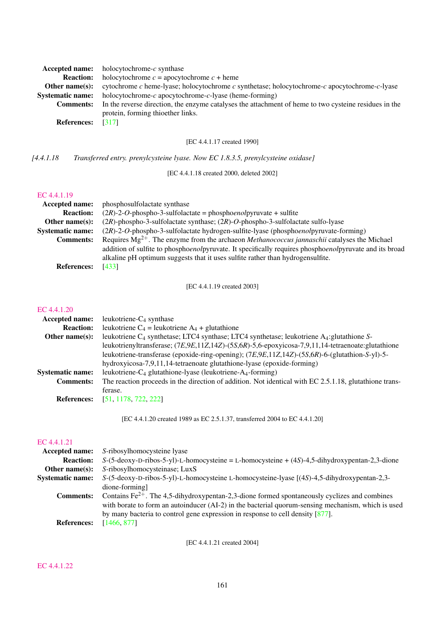| Accepted name:          | holocytochrome- $c$ synthase                                                                          |
|-------------------------|-------------------------------------------------------------------------------------------------------|
| <b>Reaction:</b>        | holocytochrome $c =$ apocytochrome $c +$ heme                                                         |
| Other name $(s)$ :      | cytochrome c heme-lyase; holocytochrome c synthetase; holocytochrome-c apocytochrome-c-lyase          |
| <b>Systematic name:</b> | holocytochrome- $c$ apocytochrome- $c$ -lyase (heme-forming)                                          |
| <b>Comments:</b>        | In the reverse direction, the enzyme catalyses the attachment of heme to two cysteine residues in the |
|                         | protein, forming thioether links.                                                                     |
| <b>References:</b>      | [317]                                                                                                 |
|                         |                                                                                                       |

[EC 4.4.1.17 created 1990]

*[4.4.1.18 Transferred entry. prenylcysteine lyase. Now EC 1.8.3.5, prenylcysteine oxidase]*

[EC 4.4.1.18 created 2000, deleted 2002]

#### [EC 4.4.1.19](http://www.enzyme-database.org/query.php?ec=4.4.1.19)

| Accepted name:          | phosphosulfolactate synthase                                                                            |
|-------------------------|---------------------------------------------------------------------------------------------------------|
| <b>Reaction:</b>        | $(2R)$ -2-O-phospho-3-sulfolactate = phosphoenolpyruvate + sulfite                                      |
| Other name $(s)$ :      | $(2R)$ -phospho-3-sulfolactate synthase; $(2R)$ -O-phospho-3-sulfolactate sulfo-lyase                   |
| <b>Systematic name:</b> | $(2R)$ -2-O-phospho-3-sulfolactate hydrogen-sulfite-lyase (phosphoenolpyruvate-forming)                 |
| <b>Comments:</b>        | Requires $Mg^{2+}$ . The enzyme from the archaeon <i>Methanococcus jannaschii</i> catalyses the Michael |
|                         | addition of sulfite to phosphoenolpyruvate. It specifically requires phosphoenolpyruvate and its broad  |
|                         | alkaline pH optimum suggests that it uses sulfite rather than hydrogensulfite.                          |
| <b>References:</b>      | [433]                                                                                                   |

[EC 4.4.1.19 created 2003]

#### [EC 4.4.1.20](http://www.enzyme-database.org/query.php?ec=4.4.1.20)

| <b>Accepted name:</b>   | leukotriene- $C_4$ synthase                                                                                          |
|-------------------------|----------------------------------------------------------------------------------------------------------------------|
| <b>Reaction:</b>        | leukotriene $C_4$ = leukotriene $A_4$ + glutathione                                                                  |
| Other name $(s)$ :      | leukotriene C <sub>4</sub> synthetase; LTC4 synthetase; LTC4 synthetase; leukotriene A <sub>4</sub> : glutathione S- |
|                         | leukotrienyltransferase; (7E,9E,11Z,14Z)-(5S,6R)-5,6-epoxyicosa-7,9,11,14-tetraenoate: glutathione                   |
|                         | leukotriene-transferase (epoxide-ring-opening); $(7E, 9E, 11Z, 14Z)$ -(5S,6R)-6-(glutathion-S-yl)-5-                 |
|                         | hydroxyicosa-7,9,11,14-tetraenoate glutathione-lyase (epoxide-forming)                                               |
| <b>Systematic name:</b> | leukotriene-C <sub>4</sub> glutathione-lyase (leukotriene-A <sub>4</sub> -forming)                                   |
| <b>Comments:</b>        | The reaction proceeds in the direction of addition. Not identical with EC 2.5.1.18, glutathione trans-               |
|                         | ferase.                                                                                                              |
| <b>References:</b>      | [51, 1178, 722, 222]                                                                                                 |

[EC 4.4.1.20 created 1989 as EC 2.5.1.37, transferred 2004 to EC 4.4.1.20]

#### [EC 4.4.1.21](http://www.enzyme-database.org/query.php?ec=4.4.1.21)

| <b>Accepted name:</b>   | S-ribosylhomocysteine lyase                                                                        |
|-------------------------|----------------------------------------------------------------------------------------------------|
| <b>Reaction:</b>        | $S-(5-deoxy-D-ribos-5-yl)-L-homocysteine = L-homocysteine + (4S)-4,5-dihydroxypentan-2,3-dione$    |
| Other name $(s)$ :      | S-ribosylhomocysteinase; LuxS                                                                      |
| <b>Systematic name:</b> | $S-(5-deoxy-D-ribos-5-yl)-L-homocysteine L-homocysteine-lyase [(4S)-4,5-dihydroxypentan-2,3-$      |
|                         | dione-forming]                                                                                     |
| <b>Comments:</b>        | Contains $Fe^{2+}$ . The 4,5-dihydroxypentan-2,3-dione formed spontaneously cyclizes and combines  |
|                         | with borate to form an autoinducer (AI-2) in the bacterial quorum-sensing mechanism, which is used |
|                         | by many bacteria to control gene expression in response to cell density $[877]$ .                  |
| <b>References:</b>      | [1466, 877]                                                                                        |
|                         |                                                                                                    |

[EC 4.4.1.21 created 2004]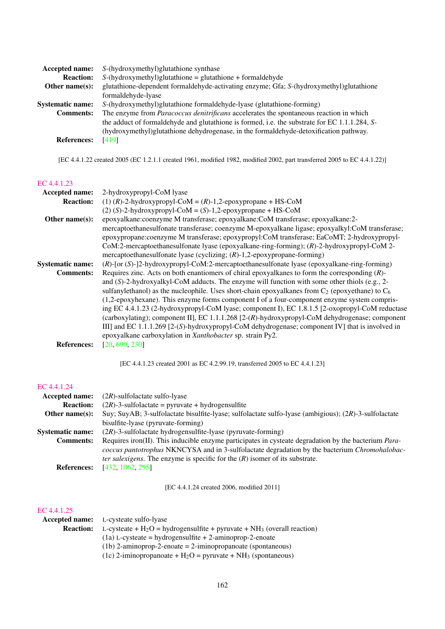| Accepted name:          | S-(hydroxymethyl) glutathione synthase                                                         |
|-------------------------|------------------------------------------------------------------------------------------------|
| <b>Reaction:</b>        | $S$ -(hydroxymethyl)glutathione = glutathione + formaldehyde                                   |
| Other name $(s)$ :      | glutathione-dependent formaldehyde-activating enzyme; Gfa; S-(hydroxymethyl)glutathione        |
|                         | formaldehyde-lyase                                                                             |
| <b>Systematic name:</b> | S-(hydroxymethyl)glutathione formaldehyde-lyase (glutathione-forming)                          |
| <b>Comments:</b>        | The enzyme from Paracoccus denitrificans accelerates the spontaneous reaction in which         |
|                         | the adduct of formal dehyde and glutathione is formed, i.e. the substrate for EC 1.1.1.284, S- |
|                         | (hydroxymethyl)glutathione dehydrogenase, in the formaldehyde-detoxification pathway.          |
| <b>References:</b>      | [419]                                                                                          |

[EC 4.4.1.22 created 2005 (EC 1.2.1.1 created 1961, modified 1982, modified 2002, part transferred 2005 to EC 4.4.1.22)]

# [EC 4.4.1.23](http://www.enzyme-database.org/query.php?ec=4.4.1.23)

| Accepted name:          | 2-hydroxypropyl-CoM lyase                                                                            |
|-------------------------|------------------------------------------------------------------------------------------------------|
| <b>Reaction:</b>        | (1) $(R)$ -2-hydroxypropyl-CoM = $(R)$ -1,2-epoxypropane + HS-CoM                                    |
|                         | $(2)$ (S)-2-hydroxypropyl-CoM = (S)-1,2-epoxypropane + HS-CoM                                        |
| Other name(s):          | epoxyalkane:coenzyme M transferase; epoxyalkane:CoM transferase; epoxyalkane:2-                      |
|                         | mercaptoethanesulfonate transferase; coenzyme M-epoxyalkane ligase; epoxyalkyl:CoM transferase;      |
|                         | epoxypropane:coenzyme M transferase; epoxypropyl:CoM transferase; EaCoMT; 2-hydroxypropyl-           |
|                         | CoM:2-mercaptoethanesulfonate lyase (epoxyalkane-ring-forming); (R)-2-hydroxypropyl-CoM 2-           |
|                         | mercaptoethanesulfonate lyase (cyclizing; $(R)$ -1,2-epoxypropane-forming)                           |
| <b>Systematic name:</b> | $(R)$ -[or $(S)$ -]2-hydroxypropyl-CoM:2-mercaptoethanesulfonate lyase (epoxyalkane-ring-forming)    |
| <b>Comments:</b>        | Requires zinc. Acts on both enantiomers of chiral epoxyalkanes to form the corresponding $(R)$ -     |
|                         | and $(S)$ -2-hydroxyalkyl-CoM adducts. The enzyme will function with some other thiols (e.g., 2-     |
|                         | sulfanylethanol) as the nucleophile. Uses short-chain epoxyalkanes from $C_2$ (epoxyethane) to $C_6$ |
|                         | (1,2-epoxyhexane). This enzyme forms component I of a four-component enzyme system compris-          |
|                         | ing EC 4.4.1.23 (2-hydroxypropyl-CoM lyase; component I), EC 1.8.1.5 [2-oxopropyl-CoM reductase      |
|                         | (carboxylating); component II], EC 1.1.1.268 [2-(R)-hydroxypropyl-CoM dehydrogenase; component       |
|                         | III] and EC $1.1.1.269$ [2-(S)-hydroxypropyl-CoM dehydrogenase; component IV] that is involved in    |
|                         | epoxyalkane carboxylation in Xanthobacter sp. strain Py2.                                            |
| <b>References:</b>      | [20, 690, 230]                                                                                       |
|                         |                                                                                                      |
|                         | [EC 4.4.1.23] created 2001 as EC 4.2.99.19, transferred 2005 to EC 4.4.1.23]                         |
|                         |                                                                                                      |

# [EC 4.4.1.24](http://www.enzyme-database.org/query.php?ec=4.4.1.24)

| $(2R)$ -sulfolactate sulfo-lyase                                                                             |
|--------------------------------------------------------------------------------------------------------------|
| $(2R)$ -3-sulfolactate = pyruvate + hydrogensulfite                                                          |
| Suy; SuyAB; 3-sulfolactate bisulfite-lyase; sulfolactate sulfo-lyase (ambigious); $(2R)$ -3-sulfolactate     |
| bisulfite-lyase (pyruvate-forming)                                                                           |
| $(2R)$ -3-sulfolactate hydrogensulfite-lyase (pyruvate-forming)                                              |
| Requires iron(II). This inducible enzyme participates in cysteate degradation by the bacterium <i>Para</i> - |
| <i>coccus pantotrophus</i> NKNCYSA and in 3-sulfolactate degradation by the bacterium <i>Chromohalobac-</i>  |
| <i>ter salexigens.</i> The enzyme is specific for the $(R)$ isomer of its substrate.                         |
| [432, 1062, 295]                                                                                             |
|                                                                                                              |

[EC 4.4.1.24 created 2006, modified 2011]

|                  | <b>Accepted name:</b> L-cysteate sulfo-lyase                                 |
|------------------|------------------------------------------------------------------------------|
| <b>Reaction:</b> | L-cysteate + $H_2O$ = hydrogensulfite + pyruvate + $NH_3$ (overall reaction) |
|                  | $(1a)$ L-cysteate = hydrogensulfite + 2-aminoprop-2-enoate                   |
|                  | $(1b)$ 2-aminoprop-2-enoate = 2-iminopropanoate (spontaneous)                |
|                  | (1c) 2-iminopropanoate + $H_2O$ = pyruvate + $NH_3$ (spontaneous)            |
|                  |                                                                              |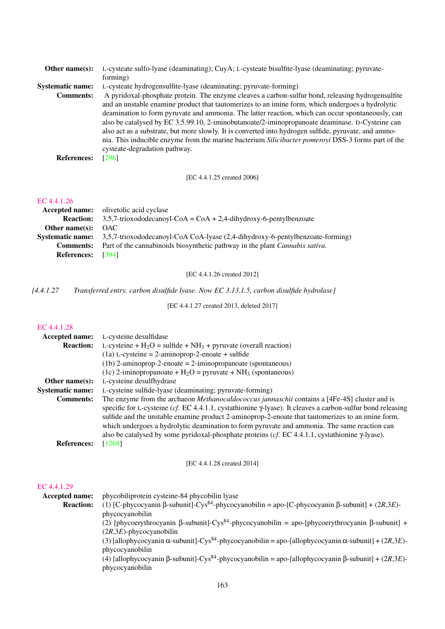| L-cysteate sulfo-lyase (deaminating); CuyA; L-cysteate bisulfite-lyase (deaminating; pyruvate-       |
|------------------------------------------------------------------------------------------------------|
| forming)                                                                                             |
| L-cysteate hydrogensulfite-lyase (deaminating; pyruvate-forming)                                     |
| A pyridoxal-phosphate protein. The enzyme cleaves a carbon-sulfur bond, releasing hydrogen sulfite   |
| and an unstable enamine product that tautomerizes to an imine form, which undergoes a hydrolytic     |
| deamination to form pyruvate and ammonia. The latter reaction, which can occur spontaneously, can    |
| also be catalysed by EC 3.5.99.10, 2-iminobutanoate/2-iminopropanoate deaminase. D-Cysteine can      |
| also act as a substrate, but more slowly. It is converted into hydrogen sulfide, pyruvate, and ammo- |
| nia. This inducible enzyme from the marine bacterium Silicibacter pomerovi DSS-3 forms part of the   |
| cysteate-degradation pathway.                                                                        |
| [296]                                                                                                |
|                                                                                                      |

# [EC 4.4.1.25 created 2006]

# [EC 4.4.1.26](http://www.enzyme-database.org/query.php?ec=4.4.1.26)

|                          | <b>Accepted name:</b> olivetolic acid cyclase                                                         |
|--------------------------|-------------------------------------------------------------------------------------------------------|
| <b>Reaction:</b>         | $3,5,7$ -trioxododecanoyl-CoA = CoA + 2,4-dihydroxy-6-pentylbenzoate                                  |
| Other name $(s)$ :       | – OAC                                                                                                 |
|                          | <b>Systematic name:</b> 3,5,7-trioxododecanoyl-CoA CoA-lyase (2,4-dihydroxy-6-pentylbenzoate-forming) |
| <b>Comments:</b>         | Part of the cannabinoids biosynthetic pathway in the plant <i>Cannabis sativa</i> .                   |
| <b>References:</b> [394] |                                                                                                       |

[EC 4.4.1.26 created 2012]

*[4.4.1.27 Transferred entry. carbon disulfide lyase. Now EC 3.13.1.5, carbon disulfide hydrolase]*

[EC 4.4.1.27 created 2013, deleted 2017]

#### [EC 4.4.1.28](http://www.enzyme-database.org/query.php?ec=4.4.1.28)

| Accepted name:          | L-cysteine desulfidase                                                                                                                                                                                                                                                                                                                                                                                                                                                                                                                     |
|-------------------------|--------------------------------------------------------------------------------------------------------------------------------------------------------------------------------------------------------------------------------------------------------------------------------------------------------------------------------------------------------------------------------------------------------------------------------------------------------------------------------------------------------------------------------------------|
| <b>Reaction:</b>        | L-cysteine + $H_2O$ = sulfide + $NH_3$ + pyruvate (overall reaction)                                                                                                                                                                                                                                                                                                                                                                                                                                                                       |
|                         | $(1a)$ L-cysteine = 2-aminoprop-2-enoate + sulfide                                                                                                                                                                                                                                                                                                                                                                                                                                                                                         |
|                         | $(1b)$ 2-aminoprop-2-enoate = 2-iminopropanoate (spontaneous)                                                                                                                                                                                                                                                                                                                                                                                                                                                                              |
|                         | (1c) 2-iminopropanoate + $H_2O$ = pyruvate + NH <sub>3</sub> (spontaneous)                                                                                                                                                                                                                                                                                                                                                                                                                                                                 |
| Other name $(s)$ :      | L-cysteine desulfhydrase                                                                                                                                                                                                                                                                                                                                                                                                                                                                                                                   |
| <b>Systematic name:</b> | L-cysteine sulfide-lyase (deaminating; pyruvate-forming)                                                                                                                                                                                                                                                                                                                                                                                                                                                                                   |
| <b>Comments:</b>        | The enzyme from the archaeon <i>Methanocaldococcus jannaschii</i> contains a [4Fe-4S] cluster and is<br>specific for L-cysteine (cf. EC 4.4.1.1, cystathionine $\gamma$ -lyase). It cleaves a carbon-sulfur bond releasing<br>sulfide and the unstable enamine product 2-aminoprop-2-enoate that tautomerizes to an imine form,<br>which undergoes a hydrolytic deamination to form pyruvate and ammonia. The same reaction can<br>also be catalysed by some pyridoxal-phosphate proteins (cf. EC 4.4.1.1, cystathionine $\gamma$ -lyase). |
| <b>References:</b>      | [1268]                                                                                                                                                                                                                                                                                                                                                                                                                                                                                                                                     |

#### [EC 4.4.1.28 created 2014]

| <b>Accepted name:</b> | phycobiliprotein cysteine-84 phycobilin lyase                                                                                   |
|-----------------------|---------------------------------------------------------------------------------------------------------------------------------|
| <b>Reaction:</b>      | (1) [C-phycocyanin $\beta$ -subunit]-Cys <sup>84</sup> -phycocyanobilin = apo-[C-phycocyanin $\beta$ -subunit] + (2R,3E)-       |
|                       | phycocyanobilin                                                                                                                 |
|                       | (2) [phycoerythrocyanin $\beta$ -subunit]-Cys <sup>84</sup> -phycocyanobilin = apo-[phycoerythrocyanin $\beta$ -subunit] +      |
|                       | $(2R,3E)$ -phycocyanobilin                                                                                                      |
|                       | (3) [allophycocyanin $\alpha$ -subunit]-Cys <sup>84</sup> -phycocyanobilin = apo-[allophycocyanin $\alpha$ -subunit] + (2R,3E)- |
|                       | phycocyanobilin                                                                                                                 |
|                       | (4) [allophycocyanin $\beta$ -subunit]-Cys <sup>84</sup> -phycocyanobilin = apo-[allophycocyanin $\beta$ -subunit] + (2R,3E)-   |
|                       | phycocyanobilin                                                                                                                 |
|                       |                                                                                                                                 |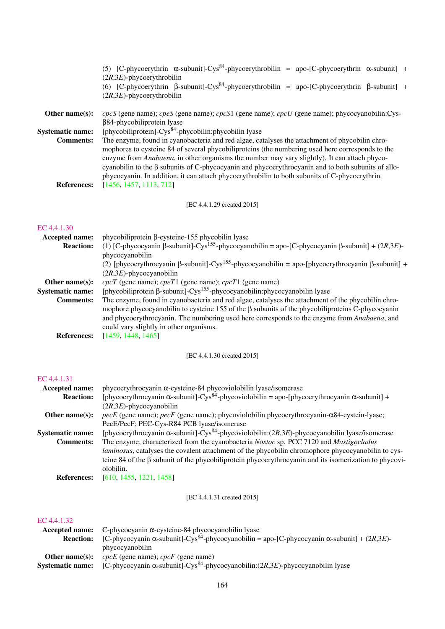|                         | (5) [C-phycoerythrin $\alpha$ -subunit]-Cys <sup>84</sup> -phycoerythrobilin = apo-[C-phycoerythrin $\alpha$ -subunit] +<br>$(2R,3E)$ -phycoerythrobilin<br>(6) [C-phycoerythrin $\beta$ -subunit]-Cys <sup>84</sup> -phycoerythrobilin = apo-[C-phycoerythrin $\beta$ -subunit] +<br>$(2R,3E)$ -phycoerythrobilin                                                                                                                                                                                               |
|-------------------------|------------------------------------------------------------------------------------------------------------------------------------------------------------------------------------------------------------------------------------------------------------------------------------------------------------------------------------------------------------------------------------------------------------------------------------------------------------------------------------------------------------------|
| Other name $(s)$ :      | $cpcS$ (gene name); $cpeS$ (gene name); $cpcS1$ (gene name); $cpcU$ (gene name); phycocyanobilin: Cys-<br>$\beta$ 84-phycobiliprotein lyase                                                                                                                                                                                                                                                                                                                                                                      |
| <b>Systematic name:</b> | [phycobiliprotein]-Cys <sup>84</sup> -phycobilin:phycobilin lyase                                                                                                                                                                                                                                                                                                                                                                                                                                                |
| <b>Comments:</b>        | The enzyme, found in cyanobacteria and red algae, catalyses the attachment of phycobilin chro-<br>mophores to cysteine 84 of several phycobiliproteins (the numbering used here corresponds to the<br>enzyme from Anabaena, in other organisms the number may vary slightly). It can attach phyco-<br>cyanobilin to the $\beta$ subunits of C-phycocyanin and phycoerythrocyanin and to both subunits of allo-<br>phycocyanin. In addition, it can attach phycoerythrobilin to both subunits of C-phycoerythrin. |
| <b>References:</b>      | [1456, 1457, 1113, 712]                                                                                                                                                                                                                                                                                                                                                                                                                                                                                          |

[EC 4.4.1.29 created 2015]

# [EC 4.4.1.30](http://www.enzyme-database.org/query.php?ec=4.4.1.30)

| <b>Accepted name:</b>   | $phycobiliprotein$ $\beta$ -cysteine-155 $phycobilin$ lyase                                                                 |  |  |
|-------------------------|-----------------------------------------------------------------------------------------------------------------------------|--|--|
| <b>Reaction:</b>        | (1) [C-phycocyanin $\beta$ -subunit]-Cys <sup>155</sup> -phycocyanobilin = apo-[C-phycocyanin $\beta$ -subunit] + (2R,3E)-  |  |  |
|                         | phycocyanobilin                                                                                                             |  |  |
|                         | (2) [phycoerythrocyanin $\beta$ -subunit]-Cys <sup>155</sup> -phycocyanobilin = apo-[phycoerythrocyanin $\beta$ -subunit] + |  |  |
|                         | $(2R,3E)$ -phycocyanobilin                                                                                                  |  |  |
| Other name $(s)$ :      | $cpcT$ (gene name); $cpcT1$ (gene name); $cpcT1$ (gene name)                                                                |  |  |
| <b>Systematic name:</b> | [phycobiliprotein $\beta$ -subunit]-Cys <sup>155</sup> -phycocyanobilin:phycocyanobilin lyase                               |  |  |
| <b>Comments:</b>        | The enzyme, found in cyanobacteria and red algae, catalyses the attachment of the phycobilin chro-                          |  |  |
|                         | mophore phycocyanobilin to cysteine 155 of the $\beta$ subunits of the phycobiliproteins C-phycocyanin                      |  |  |
|                         | and phycoerythrocyanin. The numbering used here corresponds to the enzyme from <i>Anabaena</i> , and                        |  |  |
|                         | could vary slightly in other organisms.                                                                                     |  |  |
| <b>References:</b>      | [1459, 1448, 1465]                                                                                                          |  |  |

[EC 4.4.1.30 created 2015]

# [EC 4.4.1.31](http://www.enzyme-database.org/query.php?ec=4.4.1.31)

| <b>Accepted name:</b>   | phycoerythrocyanin α-cysteine-84 phycoviolobilin lyase/isomerase                                                         |  |  |
|-------------------------|--------------------------------------------------------------------------------------------------------------------------|--|--|
| <b>Reaction:</b>        | [phycoerythrocyanin $\alpha$ -subunit]-Cys <sup>84</sup> -phycoviolobilin = apo-[phycoerythrocyanin $\alpha$ -subunit] + |  |  |
|                         | $(2R,3E)$ -phycocyanobilin                                                                                               |  |  |
| Other name $(s)$ :      | $pecE$ (gene name); $pecF$ (gene name); phycoviolobilin phycoerythrocyanin- $\alpha$ 84-cystein-lyase;                   |  |  |
|                         | PecE/PecF; PEC-Cys-R84 PCB lyase/isomerase                                                                               |  |  |
| <b>Systematic name:</b> | [phycoerythrocyanin $\alpha$ -subunit]-Cys <sup>84</sup> -phycoviolobilin:(2R,3E)-phycocyanobilin lyase/isomerase        |  |  |
| <b>Comments:</b>        | The enzyme, characterized from the cyanobacteria Nostoc sp. PCC 7120 and Mastigocladus                                   |  |  |
|                         | laminosus, catalyses the covalent attachment of the phycobilin chromophore phycocyanobilin to cys-                       |  |  |
|                         | teine 84 of the $\beta$ subunit of the phycobiliprotein phycoerythrocyanin and its isomerization to phycovi-             |  |  |
|                         | olobilin.                                                                                                                |  |  |
| <b>References:</b>      | [610, 1455, 1221, 1458]                                                                                                  |  |  |
|                         |                                                                                                                          |  |  |

[EC 4.4.1.31 created 2015]

|                         | <b>Accepted name:</b> C-phycocyanin $\alpha$ -cysteine-84 phycocyanobilin lyase                                         |  |
|-------------------------|-------------------------------------------------------------------------------------------------------------------------|--|
| <b>Reaction:</b>        | [C-phycocyanin $\alpha$ -subunit]-Cys <sup>84</sup> -phycocyanobilin = apo-[C-phycocyanin $\alpha$ -subunit] + (2R,3E)- |  |
|                         | phycocyanobilin                                                                                                         |  |
| Other name $(s)$ :      | $cpcE$ (gene name); $cpcF$ (gene name)                                                                                  |  |
| <b>Systematic name:</b> | [C-phycocyanin $\alpha$ -subunit]-Cys <sup>84</sup> -phycocyanobilin: (2R,3E)-phycocyanobilin lyase                     |  |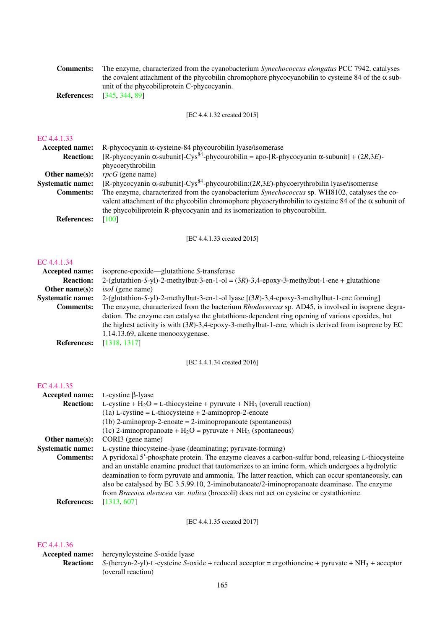| <b>Comments:</b> | The enzyme, characterized from the cyanobacterium <i>Synechococcus elongatus</i> PCC 7942, catalyses      |
|------------------|-----------------------------------------------------------------------------------------------------------|
|                  | the covalent attachment of the phycobilin chromophore phycocyanobilin to cysteine 84 of the $\alpha$ sub- |
|                  | unit of the phycobiliprotein C-phycocyanin.                                                               |
|                  | <b>References:</b> [345, 344, 89]                                                                         |

[EC 4.4.1.32 created 2015]

#### [EC 4.4.1.33](http://www.enzyme-database.org/query.php?ec=4.4.1.33)

| <b>Accepted name:</b>   | R-phycocyanin $\alpha$ -cysteine-84 phycourobilin lyase/isomerase                                                                                                                                                                                                                          |
|-------------------------|--------------------------------------------------------------------------------------------------------------------------------------------------------------------------------------------------------------------------------------------------------------------------------------------|
| <b>Reaction:</b>        | [R-phycocyanin $\alpha$ -subunit]-Cys <sup>84</sup> -phycourobilin = apo-[R-phycocyanin $\alpha$ -subunit] + (2R,3E)-                                                                                                                                                                      |
|                         | phycoerythrobilin                                                                                                                                                                                                                                                                          |
| Other name $(s)$ :      | $rpcG$ (gene name)                                                                                                                                                                                                                                                                         |
| <b>Systematic name:</b> | [R-phycocyanin $\alpha$ -subunit]-Cys <sup>84</sup> -phycourobilin: (2R,3E)-phycoerythrobilin lyase/isomerase                                                                                                                                                                              |
| <b>Comments:</b>        | The enzyme, characterized from the cyanobacterium Synechococcus sp. WH8102, catalyses the co-<br>valent attachment of the phycobilin chromophore phycoerythrobilin to cysteine 84 of the $\alpha$ subunit of<br>the phycobiliprotein R-phycocyanin and its isomerization to phycourobilin. |
| <b>References:</b>      | [100]                                                                                                                                                                                                                                                                                      |

[EC 4.4.1.33 created 2015]

#### [EC 4.4.1.34](http://www.enzyme-database.org/query.php?ec=4.4.1.34)

| <b>Accepted name:</b>   | isoprene-epoxide—glutathione S-transferase                                                                                |  |  |
|-------------------------|---------------------------------------------------------------------------------------------------------------------------|--|--|
| <b>Reaction:</b>        | 2-(glutathion-S-yl)-2-methylbut-3-en-1-ol = $(3R)$ -3,4-epoxy-3-methylbut-1-ene + glutathione                             |  |  |
| Other name $(s)$ :      | <i>isoI</i> (gene name)                                                                                                   |  |  |
| <b>Systematic name:</b> | 2-(glutathion-S-yl)-2-methylbut-3-en-1-ol lyase $[(3R)-3,4-\epsilon p\text{oxy}-3-\text{methylbut-1}-\text{ene forming}]$ |  |  |
| <b>Comments:</b>        | The enzyme, characterized from the bacterium Rhodococcus sp. AD45, is involved in isoprene degra-                         |  |  |
|                         | dation. The enzyme can catalyse the glutathione-dependent ring opening of various epoxides, but                           |  |  |
|                         | the highest activity is with $(3R)$ -3,4-epoxy-3-methylbut-1-ene, which is derived from isoprene by EC                    |  |  |
|                         | 1.14.13.69, alkene monooxygenase.                                                                                         |  |  |
| <b>References:</b>      | [1318, 1317]                                                                                                              |  |  |

[EC 4.4.1.34 created 2016]

# [EC 4.4.1.35](http://www.enzyme-database.org/query.php?ec=4.4.1.35)

| <b>Accepted name:</b>   | $L$ -cystine $\beta$ -lyase                                                                                                                                                                                                                                                                                                                                                                                                                                                                              |  |  |  |
|-------------------------|----------------------------------------------------------------------------------------------------------------------------------------------------------------------------------------------------------------------------------------------------------------------------------------------------------------------------------------------------------------------------------------------------------------------------------------------------------------------------------------------------------|--|--|--|
| <b>Reaction:</b>        | L-cystine + $H_2O = L$ -thiocysteine + pyruvate + NH <sub>3</sub> (overall reaction)                                                                                                                                                                                                                                                                                                                                                                                                                     |  |  |  |
|                         | $(1a)$ L-cystine = L-thiocysteine + 2-aminoprop-2-enoate                                                                                                                                                                                                                                                                                                                                                                                                                                                 |  |  |  |
|                         | $(1b)$ 2-aminoprop-2-enoate = 2-iminopropanoate (spontaneous)                                                                                                                                                                                                                                                                                                                                                                                                                                            |  |  |  |
|                         | (1c) 2-iminopropanoate + $H_2O$ = pyruvate + NH <sub>3</sub> (spontaneous)                                                                                                                                                                                                                                                                                                                                                                                                                               |  |  |  |
| Other name $(s)$ :      | CORI3 (gene name)                                                                                                                                                                                                                                                                                                                                                                                                                                                                                        |  |  |  |
| <b>Systematic name:</b> | L-cystine thiocysteine-lyase (deaminating; pyruvate-forming)                                                                                                                                                                                                                                                                                                                                                                                                                                             |  |  |  |
| <b>Comments:</b>        | A pyridoxal 5'-phosphate protein. The enzyme cleaves a carbon-sulfur bond, releasing L-thiocysteine<br>and an unstable enamine product that tautomerizes to an imine form, which undergoes a hydrolytic<br>deamination to form pyruvate and ammonia. The latter reaction, which can occur spontaneously, can<br>also be catalysed by EC 3.5.99.10, 2-iminobutanoate/2-iminopropanoate deaminase. The enzyme<br>from Brassica oleracea var. italica (broccoli) does not act on cysteine or cystathionine. |  |  |  |
| <b>References:</b>      | [1313, 607]                                                                                                                                                                                                                                                                                                                                                                                                                                                                                              |  |  |  |

[EC 4.4.1.35 created 2017]

#### [EC 4.4.1.36](http://www.enzyme-database.org/query.php?ec=4.4.1.36)

Accepted name: hercynylcysteine *S*-oxide lyase

Reaction: *S*-(hercyn-2-yl)-L-cysteine *S*-oxide + reduced acceptor = ergothioneine + pyruvate + NH<sub>3</sub> + acceptor (overall reaction)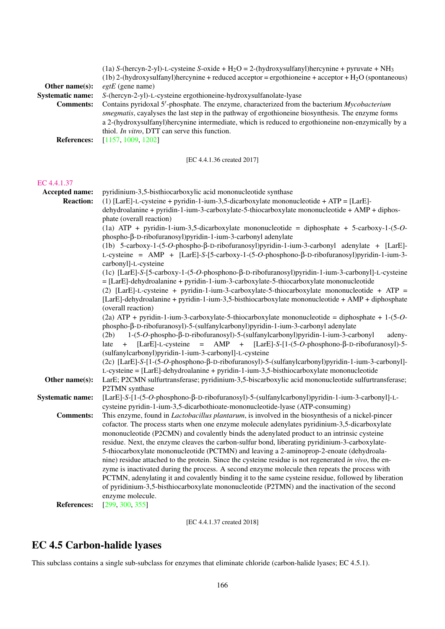|                         | (1a) S-(hercyn-2-yl)-L-cysteine S-oxide + H <sub>2</sub> O = 2-(hydroxysulfanyl)hercynine + pyruvate + NH <sub>3</sub> |  |  |  |
|-------------------------|------------------------------------------------------------------------------------------------------------------------|--|--|--|
|                         | (1b) 2-(hydroxysulfanyl)hercynine + reduced acceptor = ergothioneine + acceptor + $H_2O$ (spontaneous)                 |  |  |  |
| Other name $(s)$ :      | $egtE$ (gene name)                                                                                                     |  |  |  |
| <b>Systematic name:</b> | S-(hercyn-2-yl)-L-cysteine ergothioneine-hydroxysulfanolate-lyase                                                      |  |  |  |
| <b>Comments:</b>        | Contains pyridoxal 5'-phosphate. The enzyme, characterized from the bacterium Mycobacterium                            |  |  |  |
|                         | smegmatis, cayalyses the last step in the pathway of ergothioneine biosynthesis. The enzyme forms                      |  |  |  |
|                         | a 2-(hydroxysulfanyl)hercynine intermediate, which is reduced to ergothioneine non-enzymically by a                    |  |  |  |
|                         | thiol. <i>In vitro</i> , DTT can serve this function.                                                                  |  |  |  |
| <b>References:</b>      | [1157, 1009, 1202]                                                                                                     |  |  |  |

[EC 4.4.1.36 created 2017]

#### [EC 4.4.1.37](http://www.enzyme-database.org/query.php?ec=4.4.1.37)

Accepted name: pyridinium-3,5-bisthiocarboxylic acid mononucleotide synthase **Reaction:** (1)  $[LarE]-L-cvsteine + pvridin-1-ium-3.5-dicarboxplate mononucleotide + ATP = [LarE]$ dehydroalanine + pyridin-1-ium-3-carboxylate-5-thiocarboxylate mononucleotide + AMP + diphosphate (overall reaction) (1a) ATP + pyridin-1-ium-3,5-dicarboxylate mononucleotide = diphosphate + 5-carboxy-1-(5-*O*phospho-β-D-ribofuranosyl)pyridin-1-ium-3-carbonyl adenylate (1b) 5-carboxy-1-(5-*O*-phospho-β-D-ribofuranosyl)pyridin-1-ium-3-carbonyl adenylate + [LarE]- L-cysteine = AMP + [LarE]-*S*-[5-carboxy-1-(5-*O*-phosphono-β-D-ribofuranosyl)pyridin-1-ium-3 carbonyl]-L-cysteine (1c) [LarE]-*S*-[5-carboxy-1-(5-*O*-phosphono-β-D-ribofuranosyl)pyridin-1-ium-3-carbonyl]-L-cysteine = [LarE]-dehydroalanine + pyridin-1-ium-3-carboxylate-5-thiocarboxylate mononucleotide (2) [LarE]-L-cysteine + pyridin-1-ium-3-carboxylate-5-thiocarboxylate mononucleotide + ATP = [LarE]-dehydroalanine + pyridin-1-ium-3,5-bisthiocarboxylate mononucleotide + AMP + diphosphate (overall reaction) (2a) ATP + pyridin-1-ium-3-carboxylate-5-thiocarboxylate mononucleotide = diphosphate + 1-(5-*O*phospho-β-D-ribofuranosyl)-5-(sulfanylcarbonyl)pyridin-1-ium-3-carbonyl adenylate (2b) 1-(5-*O*-phospho-β-D-ribofuranosyl)-5-(sulfanylcarbonyl)pyridin-1-ium-3-carbonyl adenylate + [LarE]-L-cysteine = AMP + [LarE]-*S*-[1-(5-*O*-phosphono-β-D-ribofuranosyl)-5- (sulfanylcarbonyl)pyridin-1-ium-3-carbonyl]-L-cysteine (2c) [LarE]-*S*-[1-(5-*O*-phosphono-β-D-ribofuranosyl)-5-(sulfanylcarbonyl)pyridin-1-ium-3-carbonyl]- L-cysteine = [LarE]-dehydroalanine + pyridin-1-ium-3,5-bisthiocarboxylate mononucleotide Other name(s): LarE; P2CMN sulfurtransferase; pyridinium-3,5-biscarboxylic acid mononucleotide sulfurtransferase; P2TMN synthase Systematic name: [LarE]-*S*-[1-(5-*O*-phosphono-β-D-ribofuranosyl)-5-(sulfanylcarbonyl)pyridin-1-ium-3-carbonyl]-Lcysteine pyridin-1-ium-3,5-dicarbothioate-mononucleotide-lyase (ATP-consuming) Comments: This enzyme, found in *Lactobacillus plantarum*, is involved in the biosynthesis of a nickel-pincer cofactor. The process starts when one enzyme molecule adenylates pyridinium-3,5-dicarboxylate mononucleotide (P2CMN) and covalently binds the adenylated product to an intrinsic cysteine residue. Next, the enzyme cleaves the carbon-sulfur bond, liberating pyridinium-3-carboxylate-5-thiocarboxylate mononucleotide (PCTMN) and leaving a 2-aminoprop-2-enoate (dehydroalanine) residue attached to the protein. Since the cysteine residue is not regenerated *in vivo*, the enzyme is inactivated during the process. A second enzyme molecule then repeats the process with PCTMN, adenylating it and covalently binding it to the same cysteine residue, followed by liberation of pyridinium-3,5-bisthiocarboxylate mononucleotide (P2TMN) and the inactivation of the second enzyme molecule. References: [\[299,](#page-192-5) [300,](#page-192-6) [355\]](#page-195-2)

[EC 4.4.1.37 created 2018]

# EC 4.5 Carbon-halide lyases

This subclass contains a single sub-subclass for enzymes that eliminate chloride (carbon-halide lyases; EC 4.5.1).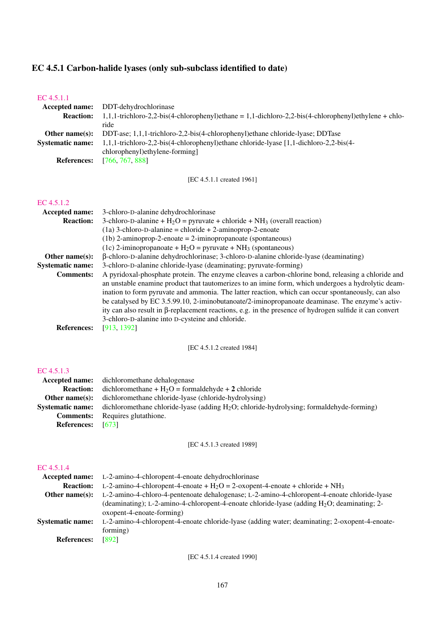# EC 4.5.1 Carbon-halide lyases (only sub-subclass identified to date)

| EU 4.9.1.1              |                                                                                                                |  |  |  |
|-------------------------|----------------------------------------------------------------------------------------------------------------|--|--|--|
| Accepted name:          | DDT-dehydrochlorinase                                                                                          |  |  |  |
| <b>Reaction:</b>        | $1,1,1$ -trichloro-2,2-bis(4-chlorophenyl)ethane = 1,1-dichloro-2,2-bis(4-chlorophenyl)ethylene + chlo-        |  |  |  |
|                         | ride                                                                                                           |  |  |  |
| Other name(s):          | DDT-ase; 1,1,1-trichloro-2,2-bis(4-chlorophenyl)ethane chloride-lyase; DDTase                                  |  |  |  |
| <b>Systematic name:</b> | 1,1,1-trichloro-2,2-bis(4-chlorophenyl)ethane chloride-lyase [1,1-dichloro-2,2-bis(4-                          |  |  |  |
|                         | chlorophenyl)ethylene-forming]                                                                                 |  |  |  |
| <b>References:</b>      | [766, 767, 888]                                                                                                |  |  |  |
|                         |                                                                                                                |  |  |  |
|                         |                                                                                                                |  |  |  |
|                         | [EC 4.5.1.1 created 1961]                                                                                      |  |  |  |
|                         |                                                                                                                |  |  |  |
| EC 4.5.1.2              |                                                                                                                |  |  |  |
| Accepted name:          | 3-chloro-D-alanine dehydrochlorinase                                                                           |  |  |  |
| <b>Reaction:</b>        | 3-chloro-D-alanine + $H_2O$ = pyruvate + chloride + $NH_3$ (overall reaction)                                  |  |  |  |
|                         |                                                                                                                |  |  |  |
|                         | $(1a)$ 3-chloro-D-alanine = chloride + 2-aminoprop-2-enoate                                                    |  |  |  |
|                         | $(1b)$ 2-aminoprop-2-enoate = 2-iminopropanoate (spontaneous)                                                  |  |  |  |
|                         | (1c) 2-iminopropanoate + $H_2O$ = pyruvate + NH <sub>3</sub> (spontaneous)                                     |  |  |  |
| Other name(s):          | $\beta$ -chloro-D-alanine dehydrochlorinase; 3-chloro-D-alanine chloride-lyase (deaminating)                   |  |  |  |
| <b>Systematic name:</b> | 3-chloro-D-alanine chloride-lyase (deaminating; pyruvate-forming)                                              |  |  |  |
| <b>Comments:</b>        | A pyridoxal-phosphate protein. The enzyme cleaves a carbon-chlorine bond, releasing a chloride and             |  |  |  |
|                         | an unstable enamine product that tautomerizes to an imine form, which undergoes a hydrolytic deam-             |  |  |  |
|                         | ination to form pyruvate and ammonia. The latter reaction, which can occur spontaneously, can also             |  |  |  |
|                         | be catalysed by EC 3.5.99.10, 2-iminobutanoate/2-iminopropanoate deaminase. The enzyme's activ-                |  |  |  |
|                         |                                                                                                                |  |  |  |
|                         | ity can also result in $\beta$ -replacement reactions, e.g. in the presence of hydrogen sulfide it can convert |  |  |  |
|                         | 3-chloro-D-alanine into D-cysteine and chloride.                                                               |  |  |  |
| <b>References:</b>      | [913, 1392]                                                                                                    |  |  |  |
|                         |                                                                                                                |  |  |  |
|                         | [EC 4.5.1.2 created 1984]                                                                                      |  |  |  |
|                         |                                                                                                                |  |  |  |
|                         |                                                                                                                |  |  |  |
| EC 4.5.1.3              |                                                                                                                |  |  |  |
| Accepted name:          | dichloromethane dehalogenase                                                                                   |  |  |  |
| <b>Reaction:</b>        | dichloromethane + $H_2O$ = formaldehyde + 2 chloride                                                           |  |  |  |
| Other name(s):          | dichloromethane chloride-lyase (chloride-hydrolysing)                                                          |  |  |  |
| <b>Systematic name:</b> | dichloromethane chloride-lyase (adding H <sub>2</sub> O; chloride-hydrolysing; formaldehyde-forming)           |  |  |  |
| <b>Comments:</b>        | Requires glutathione.                                                                                          |  |  |  |
| <b>References:</b>      | $[673]$                                                                                                        |  |  |  |
|                         |                                                                                                                |  |  |  |
|                         | [EC 4.5.1.3 created 1989]                                                                                      |  |  |  |
|                         |                                                                                                                |  |  |  |
|                         |                                                                                                                |  |  |  |
| EC 4.5.1.4              |                                                                                                                |  |  |  |
| Accepted name:          | L-2-amino-4-chloropent-4-enoate dehydrochlorinase                                                              |  |  |  |
| <b>Reaction:</b>        | L-2-amino-4-chloropent-4-enoate + $H_2O = 2$ -oxopent-4-enoate + chloride + NH <sub>3</sub>                    |  |  |  |
| Other name(s):          | L-2-amino-4-chloro-4-pentenoate dehalogenase; L-2-amino-4-chloropent-4-enoate chloride-lyase                   |  |  |  |
|                         |                                                                                                                |  |  |  |
|                         | (deaminating); L-2-amino-4-chloropent-4-enoate chloride-lyase (adding H <sub>2</sub> O; deaminating; 2-        |  |  |  |
|                         | oxopent-4-enoate-forming)                                                                                      |  |  |  |
| <b>Systematic name:</b> | L-2-amino-4-chloropent-4-enoate chloride-lyase (adding water; deaminating; 2-oxopent-4-enoate-                 |  |  |  |
|                         | forming)                                                                                                       |  |  |  |
| <b>References:</b>      | $[892]$                                                                                                        |  |  |  |
|                         |                                                                                                                |  |  |  |
|                         | [EC 4.5.1.4 created 1990]                                                                                      |  |  |  |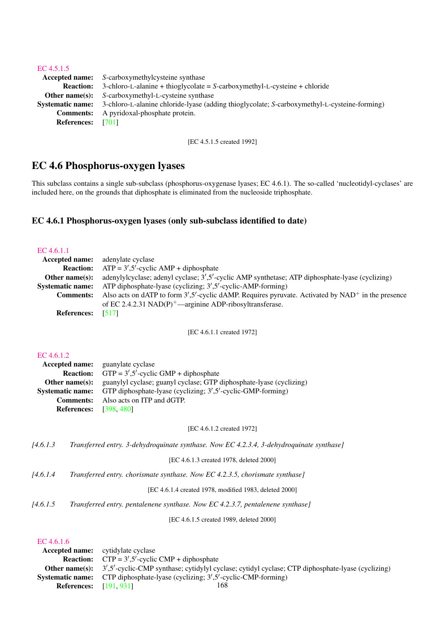| EC $4.5.1.5$             |                                                                                                                      |
|--------------------------|----------------------------------------------------------------------------------------------------------------------|
|                          | <b>Accepted name:</b> S-carboxymethylcysteine synthase                                                               |
|                          | <b>Reaction:</b> 3-chloro-L-alanine + thioglycolate = $S$ -carboxymethyl-L-cysteine + chloride                       |
|                          | <b>Other name(s):</b> S-carboxymethyl-L-cysteine synthase                                                            |
|                          | <b>Systematic name:</b> 3-chloro-L-alanine chloride-lyase (adding thioglycolate; S-carboxymethyl-L-cysteine-forming) |
|                          | <b>Comments:</b> A pyridoxal-phosphate protein.                                                                      |
| <b>References:</b> [701] |                                                                                                                      |
|                          |                                                                                                                      |

[EC 4.5.1.5 created 1992]

# EC 4.6 Phosphorus-oxygen lyases

This subclass contains a single sub-subclass (phosphorus-oxygenase lyases; EC 4.6.1). The so-called 'nucleotidyl-cyclases' are included here, on the grounds that diphosphate is eliminated from the nucleoside triphosphate.

# EC 4.6.1 Phosphorus-oxygen lyases (only sub-subclass identified to date)

| EC 4.6.1.1              |                                                                                                                      |
|-------------------------|----------------------------------------------------------------------------------------------------------------------|
| <b>Accepted name:</b>   | adenylate cyclase                                                                                                    |
| <b>Reaction:</b>        | $ATP = 3', 5'$ -cyclic $AMP + diphosphate$                                                                           |
| Other name $(s)$ :      | adenylylcyclase; adenyl cyclase; 3',5'-cyclic AMP synthetase; ATP diphosphate-lyase (cyclizing)                      |
| <b>Systematic name:</b> | ATP diphosphate-lyase (cyclizing; 3',5'-cyclic-AMP-forming)                                                          |
| <b>Comments:</b>        | Also acts on dATP to form $3'$ , $5'$ -cyclic dAMP. Requires pyruvate. Activated by NAD <sup>+</sup> in the presence |
|                         | of EC 2.4.2.31 NAD(P) <sup>+</sup> —arginine ADP-ribosyltransferase.                                                 |
| <b>References:</b>      | [517]                                                                                                                |

[EC 4.6.1.1 created 1972]

# [EC 4.6.1.2](http://www.enzyme-database.org/query.php?ec=4.6.1.2)

|                               | <b>Accepted name:</b> guanylate cyclase                                                   |
|-------------------------------|-------------------------------------------------------------------------------------------|
| <b>Reaction:</b>              | $GTP = 3', 5'$ -cyclic $GMP + diphosphate$                                                |
|                               | <b>Other name(s):</b> guanylyl cyclase; guanyl cyclase; GTP diphosphate-lyase (cyclizing) |
|                               | Systematic name: GTP diphosphate-lyase (cyclizing; 3',5'-cyclic-GMP-forming)              |
| <b>Comments:</b>              | Also acts on ITP and dGTP.                                                                |
| <b>References:</b> [398, 480] |                                                                                           |

[EC 4.6.1.2 created 1972]

| 14.6.1.3 |  | Transferred entry. 3-dehydroauinate synthase. Now EC 4.2.3.4. 3-dehydroauinate synthase l |  |  |
|----------|--|-------------------------------------------------------------------------------------------|--|--|
|          |  |                                                                                           |  |  |

[EC 4.6.1.3 created 1978, deleted 2000]

| 14.6.1.4 |  | Transferred entry. chorismate synthase. Now EC 4.2.3.5, chorismate synthase] |
|----------|--|------------------------------------------------------------------------------|
|          |  |                                                                              |

[EC 4.6.1.4 created 1978, modified 1983, deleted 2000]

*[4.6.1.5 Transferred entry. pentalenene synthase. Now EC 4.2.3.7, pentalenene synthase]*

[EC 4.6.1.5 created 1989, deleted 2000]

|                               | <b>Accepted name:</b> cytidylate cyclase                                                                               |
|-------------------------------|------------------------------------------------------------------------------------------------------------------------|
|                               | <b>Reaction:</b> $CTP = 3', 5'$ -cyclic $CMP + diphosphate$                                                            |
|                               | <b>Other name(s):</b> 3',5'-cyclic-CMP synthase; cytidylyl cyclase; cytidyl cyclase; CTP diphosphate-lyase (cyclizing) |
|                               | <b>Systematic name:</b> CTP diphosphate-lyase (cyclizing; $3^{\prime}$ , $5^{\prime}$ -cyclic-CMP-forming)             |
| <b>References:</b> [191, 931] | 168                                                                                                                    |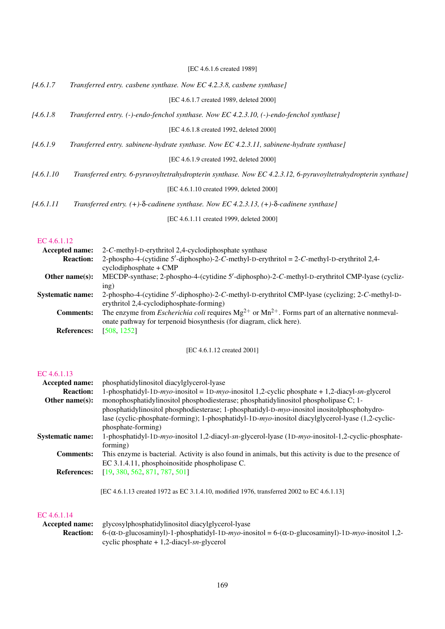|            | [EC 4.6.1.6 created 1989]                                                                                     |
|------------|---------------------------------------------------------------------------------------------------------------|
| [4.6.1.7]  | Transferred entry. casbene synthase. Now EC 4.2.3.8, casbene synthase]                                        |
|            | [EC 4.6.1.7 created 1989, deleted 2000]                                                                       |
| [4.6.1.8]  | Transferred entry. (-)-endo-fenchol synthase. Now EC 4.2.3.10, (-)-endo-fenchol synthase]                     |
|            | [EC 4.6.1.8 created 1992, deleted 2000]                                                                       |
| [4.6.1.9]  | Transferred entry. sabinene-hydrate synthase. Now EC 4.2.3.11, sabinene-hydrate synthase]                     |
|            | [EC 4.6.1.9 created 1992, deleted 2000]                                                                       |
| [4.6.1.10] | Transferred entry. 6-pyruvoyltetrahydropterin synthase. Now EC 4.2.3.12, 6-pyruvoyltetrahydropterin synthase] |
|            | [EC 4.6.1.10 created 1999, deleted 2000]                                                                      |
| [4.6.1.11] | Transferred entry. (+)- $\delta$ -cadinene synthase. Now EC 4.2.3.13, (+)- $\delta$ -cadinene synthase]       |
|            | [EC 4.6.1.11 created 1999, deleted 2000]                                                                      |

[EC 4.6.1.12](http://www.enzyme-database.org/query.php?ec=4.6.1.12)

| Accepted name:          | 2-C-methyl-D-erythritol 2,4-cyclodiphosphate synthase                                                            |
|-------------------------|------------------------------------------------------------------------------------------------------------------|
| <b>Reaction:</b>        | 2-phospho-4-(cytidine 5'-diphospho)-2-C-methyl-D-erythritol = 2-C-methyl-D-erythritol 2,4-                       |
|                         | $cyclodiphosphate + CMP$                                                                                         |
| Other name $(s)$ :      | MECDP-synthase; 2-phospho-4-(cytidine 5'-diphospho)-2-C-methyl-D-erythritol CMP-lyase (cycliz-                   |
|                         | ing)                                                                                                             |
| <b>Systematic name:</b> | 2-phospho-4-(cytidine 5'-diphospho)-2-C-methyl-D-erythritol CMP-lyase (cyclizing; 2-C-methyl-D-                  |
|                         | erythritol 2,4-cyclodiphosphate-forming)                                                                         |
| <b>Comments:</b>        | The enzyme from <i>Escherichia coli</i> requires $Mg^{2+}$ or $Mn^{2+}$ . Forms part of an alternative nonmeval- |
|                         | onate pathway for terpenoid biosynthesis (for diagram, click here).                                              |
| <b>References:</b>      | [508, 1252]                                                                                                      |

[EC 4.6.1.12 created 2001]

# [EC 4.6.1.13](http://www.enzyme-database.org/query.php?ec=4.6.1.13)

| Accepted name:          | phosphatidylinositol diacylglycerol-lyase                                                                |
|-------------------------|----------------------------------------------------------------------------------------------------------|
| <b>Reaction:</b>        | 1-phosphatidyl-1D-myo-inositol = 1D-myo-inositol 1,2-cyclic phosphate + 1,2-diacyl-sn-glycerol           |
| Other name $(s)$ :      | monophosphatidylinositol phosphodiesterase; phosphatidylinositol phospholipase C; 1-                     |
|                         | phosphatidylinositol phosphodiesterase; 1-phosphatidyl-D-myo-inositol inositolphosphohydro-              |
|                         | lase (cyclic-phosphate-forming); 1-phosphatidyl-1D-myo-inositol diacylglycerol-lyase (1,2-cyclic-        |
|                         | phosphate-forming)                                                                                       |
| <b>Systematic name:</b> | 1-phosphatidyl-1D-myo-inositol 1,2-diacyl-sn-glycerol-lyase (1D-myo-inositol-1,2-cyclic-phosphate-       |
|                         | forming)                                                                                                 |
| <b>Comments:</b>        | This enzyme is bacterial. Activity is also found in animals, but this activity is due to the presence of |
|                         | EC 3.1.4.11, phosphoinositide phospholipase C.                                                           |
| <b>References:</b>      | [19, 380, 562, 871, 787, 501]                                                                            |
|                         | [EC 4.6.1.13 created 1972 as EC 3.1.4.10, modified 1976, transferred 2002 to EC 4.6.1.13]                |

| <b>Accepted name:</b> glycosylphosphatidylinositol diacylglycerol-lyase                                                            |
|------------------------------------------------------------------------------------------------------------------------------------|
| <b>Reaction:</b> 6-( $\alpha$ -D-glucosaminyl)-1-phosphatidyl-1D-myo-inositol = 6-( $\alpha$ -D-glucosaminyl)-1D-myo-inositol 1,2- |
| cyclic phosphate $+1,2$ -diacyl-sn-glycerol                                                                                        |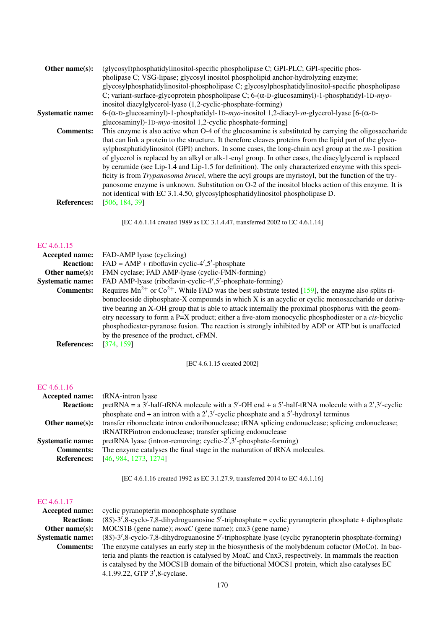| Other name $(s)$ :      | (glycosyl)phosphatidylinositol-specific phospholipase C; GPI-PLC; GPI-specific phos-                                  |
|-------------------------|-----------------------------------------------------------------------------------------------------------------------|
|                         | pholipase C; VSG-lipase; glycosyl inositol phospholipid anchor-hydrolyzing enzyme;                                    |
|                         | glycosylphosphatidylinositol-phospholipase C; glycosylphosphatidylinositol-specific phospholipase                     |
|                         | C; variant-surface-glycoprotein phospholipase C; 6-( $\alpha$ -D-glucosaminyl)-1-phosphatidyl-1D-myo-                 |
|                         | inositol diacylglycerol-lyase (1,2-cyclic-phosphate-forming)                                                          |
| <b>Systematic name:</b> | $6-(\alpha - D - glucosaminyl) - 1 - phosphatidyl - 1D - myo-inositol$ 1,2-diacyl-sn-glycerol-lyase [6-( $\alpha$ -D- |
|                         | glucosaminyl)-1D-myo-inositol 1,2-cyclic phosphate-forming]                                                           |
| <b>Comments:</b>        | This enzyme is also active when O-4 of the glucosamine is substituted by carrying the oligosaccharide                 |
|                         | that can link a protein to the structure. It therefore cleaves proteins from the lipid part of the glyco-             |
|                         | sylphostphatidylinositol (GPI) anchors. In some cases, the long-chain acyl group at the $sn-1$ position               |
|                         | of glycerol is replaced by an alkyl or alk-1-enyl group. In other cases, the diacylglycerol is replaced               |
|                         | by ceramide (see Lip-1.4 and Lip-1.5 for definition). The only characterized enzyme with this speci-                  |
|                         | ficity is from <i>Trypanosoma brucei</i> , where the acyl groups are myristoyl, but the function of the try-          |
|                         | panosome enzyme is unknown. Substitution on O-2 of the inositol blocks action of this enzyme. It is                   |
|                         | not identical with EC 3.1.4.50, glycosylphosphatidylinositol phospholipase D.                                         |
| <b>References:</b>      | [506, 184, 39]                                                                                                        |
|                         |                                                                                                                       |
|                         |                                                                                                                       |

[EC 4.6.1.14 created 1989 as EC 3.1.4.47, transferred 2002 to EC 4.6.1.14]

#### [EC 4.6.1.15](http://www.enzyme-database.org/query.php?ec=4.6.1.15)

| <b>Accepted name:</b>   | FAD-AMP lyase (cyclizing)                                                                                      |
|-------------------------|----------------------------------------------------------------------------------------------------------------|
| <b>Reaction:</b>        | $FAD = AMP + riboflavin cyclic-4', 5'-phosphate$                                                               |
| Other name $(s)$ :      | FMN cyclase; FAD AMP-lyase (cyclic-FMN-forming)                                                                |
| <b>Systematic name:</b> | FAD AMP-lyase (riboflavin-cyclic-4',5'-phosphate-forming)                                                      |
| <b>Comments:</b>        | Requires $Mn^{2+}$ or $Co^{2+}$ . While FAD was the best substrate tested [159], the enzyme also splits ri-    |
|                         | bonucleoside diphosphate-X compounds in which X is an acyclic or cyclic monosaccharide or deriva-              |
|                         | tive bearing an X-OH group that is able to attack internally the proximal phosphorus with the geom-            |
|                         | etry necessary to form a $P=X$ product; either a five-atom monocyclic phosphodiester or a <i>cis</i> -bicyclic |
|                         | phosphodiester-pyranose fusion. The reaction is strongly inhibited by ADP or ATP but is unaffected             |
|                         | by the presence of the product, cFMN.                                                                          |
| <b>References:</b>      | [374, 159]                                                                                                     |
|                         |                                                                                                                |

[EC 4.6.1.15 created 2002]

# [EC 4.6.1.16](http://www.enzyme-database.org/query.php?ec=4.6.1.16)

|                         | <b>Accepted name:</b> tRNA-intron lyase                                                                  |
|-------------------------|----------------------------------------------------------------------------------------------------------|
| <b>Reaction:</b>        | pretRNA = $a$ 3'-half-tRNA molecule with $a$ 5'-OH end + $a$ 5'-half-tRNA molecule with $a$ 2',3'-cyclic |
|                         | phosphate end + an intron with a $2^7,3^7$ -cyclic phosphate and a 5'-hydroxyl terminus                  |
| Other name $(s)$ :      | transfer ribonucleate intron endoribonuclease; tRNA splicing endonuclease; splicing endonuclease;        |
|                         | tRNATRPintron endonuclease; transfer splicing endonuclease                                               |
| <b>Systematic name:</b> | pretRNA lyase (intron-removing; cyclic-2',3'-phosphate-forming)                                          |
| <b>Comments:</b>        | The enzyme catalyses the final stage in the maturation of tRNA molecules.                                |
| <b>References:</b>      | [46, 984, 1273, 1274]                                                                                    |

[EC 4.6.1.16 created 1992 as EC 3.1.27.9, transferred 2014 to EC 4.6.1.16]

| Accepted name:          | cyclic pyranopterin monophosphate synthase                                                             |
|-------------------------|--------------------------------------------------------------------------------------------------------|
| <b>Reaction:</b>        | $(8S)-3', 8$ -cyclo-7,8-dihydroguanosine 5'-triphosphate = cyclic pyranopterin phosphate + diphosphate |
| Other name $(s)$ :      | $MOCS1B$ (gene name); <i>moaC</i> (gene name); cnx3 (gene name)                                        |
| <b>Systematic name:</b> | (8S)-3',8-cyclo-7,8-dihydroguanosine 5'-triphosphate lyase (cyclic pyranopterin phosphate-forming)     |
| <b>Comments:</b>        | The enzyme catalyses an early step in the biosynthesis of the molybdenum cofactor (MoCo). In bac-      |
|                         | teria and plants the reaction is catalysed by MoaC and Cnx3, respectively. In mammals the reaction     |
|                         | is catalysed by the MOCS1B domain of the bifuctional MOCS1 protein, which also catalyses EC            |
|                         | 4.1.99.22, GTP 3',8-cyclase.                                                                           |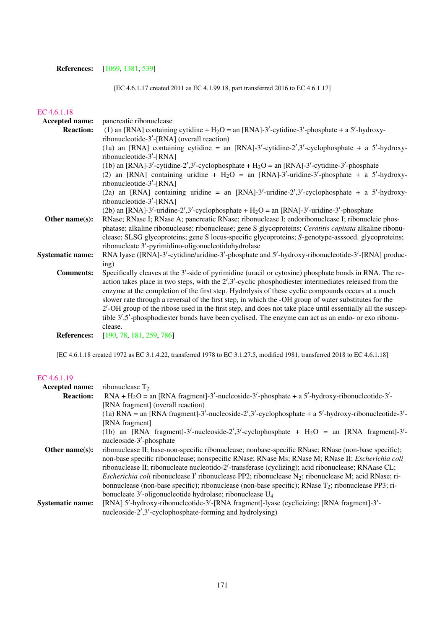# References: [\[1069,](#page-232-2) [1381,](#page-248-0) [539\]](#page-205-0)

[EC 4.6.1.17 created 2011 as EC 4.1.99.18, part transferred 2016 to EC 4.6.1.17]

# [EC 4.6.1.18](http://www.enzyme-database.org/query.php?ec=4.6.1.18)

| Accepted name:          | pancreatic ribonuclease                                                                                                  |  |
|-------------------------|--------------------------------------------------------------------------------------------------------------------------|--|
| <b>Reaction:</b>        | (1) an [RNA] containing cytidine + $H_2O =$ an [RNA]-3'-cytidine-3'-phosphate + a 5'-hydroxy-                            |  |
|                         | ribonucleotide-3'-[RNA] (overall reaction)                                                                               |  |
|                         | (1a) an [RNA] containing cytidine = an [RNA]-3'-cytidine-2',3'-cyclophosphate + a 5'-hydroxy-                            |  |
|                         | ribonucleotide-3'-[RNA]                                                                                                  |  |
|                         | (1b) an [RNA]-3'-cytidine-2',3'-cyclophosphate + $H_2O =$ an [RNA]-3'-cytidine-3'-phosphate                              |  |
|                         | (2) an [RNA] containing uridine + $H_2O =$ an [RNA]-3'-uridine-3'-phosphate + a 5'-hydroxy-                              |  |
|                         | ribonucleotide-3'-[RNA]                                                                                                  |  |
|                         | (2a) an [RNA] containing uridine = an [RNA]-3'-uridine-2',3'-cyclophosphate + a 5'-hydroxy-                              |  |
|                         | ribonucleotide- $3'$ -[RNA]                                                                                              |  |
|                         | (2b) an [RNA]-3'-uridine-2',3'-cyclophosphate + $H_2O =$ an [RNA]-3'-uridine-3'-phosphate                                |  |
| Other name(s):          | RNase; RNase I; RNase A; pancreatic RNase; ribonuclease I; endoribonuclease I; ribonucleic phos-                         |  |
|                         | phatase; alkaline ribonuclease; ribonuclease; gene S glycoproteins; Ceratitis capitata alkaline ribonu-                  |  |
|                         | clease; SLSG glycoproteins; gene S locus-specific glycoproteins; S-genotype-asssocd. glycoproteins;                      |  |
|                         | ribonucleate 3'-pyrimidino-oligonucleotidohydrolase                                                                      |  |
| <b>Systematic name:</b> | RNA lyase ([RNA]-3'-cytidine/uridine-3'-phosphate and 5'-hydroxy-ribonucleotide-3'-[RNA] produc-                         |  |
|                         | ing)                                                                                                                     |  |
| <b>Comments:</b>        | Specifically cleaves at the 3'-side of pyrimidine (uracil or cytosine) phosphate bonds in RNA. The re-                   |  |
|                         | action takes place in two steps, with the $2^{\prime},3^{\prime}$ -cyclic phosphodiester intermediates released from the |  |
|                         | enzyme at the completion of the first step. Hydrolysis of these cyclic compounds occurs at a much                        |  |
|                         | slower rate through a reversal of the first step, in which the -OH group of water substitutes for the                    |  |
|                         | 2'-OH group of the ribose used in the first step, and does not take place until essentially all the suscep-              |  |
|                         | tible 3',5'-phosphodiester bonds have been cyclised. The enzyme can act as an endo- or exo ribonu-                       |  |
|                         | clease.                                                                                                                  |  |
| <b>References:</b>      | [190, 78, 181, 259, 786]                                                                                                 |  |

[EC 4.6.1.18 created 1972 as EC 3.1.4.22, transferred 1978 to EC 3.1.27.5, modified 1981, transferred 2018 to EC 4.6.1.18]

| Accepted name:          | ribonuclease $T_2$                                                                                                    |  |  |  |
|-------------------------|-----------------------------------------------------------------------------------------------------------------------|--|--|--|
| <b>Reaction:</b>        | $RNA + H2O = an [RNA fragment]-3'-nucleoside-3'-phosphate + a 5'-hydroxy-ribonucleotide-3'-$                          |  |  |  |
|                         | [RNA fragment] (overall reaction)                                                                                     |  |  |  |
|                         | (1a) RNA = an [RNA fragment]-3'-nucleoside-2',3'-cyclophosphate + a 5'-hydroxy-ribonucleotide-3'-                     |  |  |  |
|                         | [RNA fragment]                                                                                                        |  |  |  |
|                         | (1b) an [RNA fragment]-3'-nucleoside-2',3'-cyclophosphate + $H_2O =$ an [RNA fragment]-3'-                            |  |  |  |
|                         | nucleoside-3'-phosphate                                                                                               |  |  |  |
| Other name $(s)$ :      | ribonuclease II; base-non-specific ribonuclease; nonbase-specific RNase; RNase (non-base specific);                   |  |  |  |
|                         | non-base specific ribonuclease; nonspecific RNase; RNase Ms; RNase M; RNase II; Escherichia coli                      |  |  |  |
|                         | ribonuclease II; ribonucleate nucleotido-2'-transferase (cyclizing); acid ribonuclease; RNAase CL;                    |  |  |  |
|                         | <i>Escherichia coli ribonuclease I' ribonuclease PP2; ribonuclease N<sub>2</sub>; ribonuclease M; acid RNase; ri-</i> |  |  |  |
|                         | bonnuclease (non-base specific); ribonuclease (non-base specific); RNase $T_2$ ; ribonuclease PP3; ri-                |  |  |  |
|                         | bonucleate 3'-oligonucleotide hydrolase; ribonuclease U <sub>4</sub>                                                  |  |  |  |
| <b>Systematic name:</b> | [RNA] 5'-hydroxy-ribonucleotide-3'-[RNA fragment]-lyase (cyclicizing; [RNA fragment]-3'-                              |  |  |  |
|                         | nucleoside- $2', 3'$ -cyclophosphate-forming and hydrolysing)                                                         |  |  |  |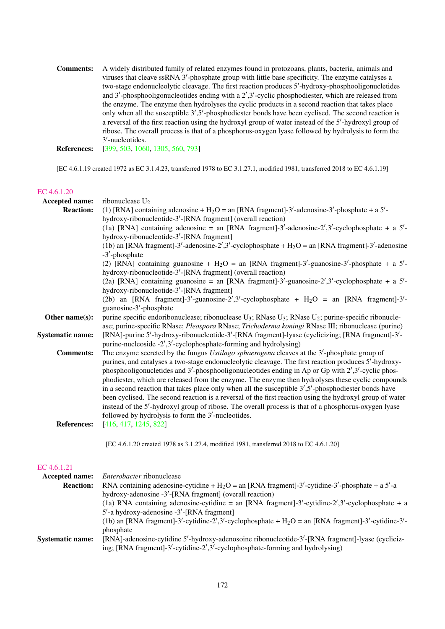Comments: A widely distributed family of related enzymes found in protozoans, plants, bacteria, animals and viruses that cleave ssRNA 3'-phosphate group with little base specificity. The enzyme catalyses a two-stage endonucleolytic cleavage. The first reaction produces 5'-hydroxy-phosphooligonucletides and 3'-phosphooligonucleotides ending with a 2',3'-cyclic phosphodiester, which are released from the enzyme. The enzyme then hydrolyses the cyclic products in a second reaction that takes place only when all the susceptible 3',5'-phosphodiester bonds have been cyclised. The second reaction is a reversal of the first reaction using the hydroxyl group of water instead of the 5'-hydroxyl group of ribose. The overall process is that of a phosphorus-oxygen lyase followed by hydrolysis to form the 3 0 -nucleotides.

References: [\[399,](#page-197-4) [503,](#page-203-6) [1060,](#page-232-3) [1305,](#page-244-3) [560,](#page-206-5) [793\]](#page-218-4)

[EC 4.6.1.19 created 1972 as EC 3.1.4.23, transferred 1978 to EC 3.1.27.1, modified 1981, transferred 2018 to EC 4.6.1.19]

| Accepted name:          | ribonuclease $U_2$                                                                                                                        |
|-------------------------|-------------------------------------------------------------------------------------------------------------------------------------------|
| <b>Reaction:</b>        | (1) [RNA] containing adenosine + $H_2O =$ an [RNA fragment]-3'-adenosine-3'-phosphate + a 5'-                                             |
|                         | hydroxy-ribonucleotide-3'-[RNA fragment] (overall reaction)                                                                               |
|                         | (1a) [RNA] containing adenosine = an [RNA fragment]-3'-adenosine-2',3'-cyclophosphate + a $5'$ -                                          |
|                         | hydroxy-ribonucleotide-3'-[RNA fragment]                                                                                                  |
|                         | (1b) an [RNA fragment]-3'-adenosine-2',3'-cyclophosphate + $H_2O =$ an [RNA fragment]-3'-adenosine                                        |
|                         | $-3'$ -phosphate                                                                                                                          |
|                         | (2) [RNA] containing guanosine + H <sub>2</sub> O = an [RNA fragment]-3'-guanosine-3'-phosphate + a 5'-                                   |
|                         | hydroxy-ribonucleotide-3'-[RNA fragment] (overall reaction)                                                                               |
|                         | (2a) [RNA] containing guanosine = an [RNA fragment]-3'-guanosine-2',3'-cyclophosphate + a 5'-<br>hydroxy-ribonucleotide-3'-[RNA fragment] |
|                         | (2b) an [RNA fragment]-3'-guanosine-2',3'-cyclophosphate + $H_2O =$ an [RNA fragment]-3'-<br>guanosine-3'-phosphate                       |
| Other name(s):          | purine specific endoribonuclease; ribonuclease $U_3$ ; RNase $U_3$ ; RNase $U_2$ ; purine-specific ribonucle-                             |
|                         | ase; purine-specific RNase; Pleospora RNase; Trichoderma koningi RNase III; ribonuclease (purine)                                         |
| <b>Systematic name:</b> | [RNA]-purine 5'-hydroxy-ribonucleotide-3'-[RNA fragment]-lyase (cyclicizing; [RNA fragment]-3'-                                           |
|                         | purine-nucleoside $-2'$ , 3'-cyclophosphate-forming and hydrolysing)                                                                      |
| <b>Comments:</b>        | The enzyme secreted by the fungus Ustilago sphaerogena cleaves at the $3'$ -phosphate group of                                            |
|                         | purines, and catalyses a two-stage endonucleolytic cleavage. The first reaction produces 5'-hydroxy-                                      |
|                         | phosphooligonucletides and $3'$ -phosphooligonucleotides ending in Ap or Gp with $2'$ , $3'$ -cyclic phos-                                |
|                         | phodiester, which are released from the enzyme. The enzyme then hydrolyses these cyclic compounds                                         |
|                         | in a second reaction that takes place only when all the susceptible $3^{\prime},5^{\prime}$ -phosphodiester bonds have                    |
|                         | been cyclised. The second reaction is a reversal of the first reaction using the hydroxyl group of water                                  |
|                         | instead of the 5'-hydroxyl group of ribose. The overall process is that of a phosphorus-oxygen lyase                                      |
|                         | followed by hydrolysis to form the 3'-nucleotides.                                                                                        |
| <b>References:</b>      | [416, 417, 1245, 822]                                                                                                                     |
|                         | [EC 4.6.1.20 created 1978 as 3.1.27.4, modified 1981, transferred 2018 to EC 4.6.1.20]                                                    |
| EC 4.6.1.21             |                                                                                                                                           |
| Accepted name:          | Enterobacter ribonuclease                                                                                                                 |
|                         | <b>Description:</b> DNA containing adoptoing outding $\pm H_0 =$ on DNA frogmantl $2^l$ outding $2^l$ phoenhata $\pm 2^l$ a               |

| RNA containing adenosine-cytidine + H <sub>2</sub> O = an [RNA fragment]-3'-cytidine-3'-phosphate + a 5'-a |  |  |
|------------------------------------------------------------------------------------------------------------|--|--|
| hydroxy-adenosine -3'-[RNA fragment] (overall reaction)                                                    |  |  |
| (1a) RNA containing adenosine-cytidine = an [RNA fragment]-3'-cytidine-2',3'-cyclophosphate + a            |  |  |
| $5'$ -a hydroxy-adenosine -3'-[RNA fragment]                                                               |  |  |
| (1b) an [RNA fragment]-3'-cytidine-2',3'-cyclophosphate + $H_2O =$ an [RNA fragment]-3'-cytidine-3'-       |  |  |
| phosphate                                                                                                  |  |  |
| [RNA]-adenosine-cytidine 5'-hydroxy-adenosoine ribonucleotide-3'-[RNA fragment]-lyase (cycliciz-           |  |  |
| ing; [RNA fragment]-3'-cytidine-2',3'-cyclophosphate-forming and hydrolysing)                              |  |  |
|                                                                                                            |  |  |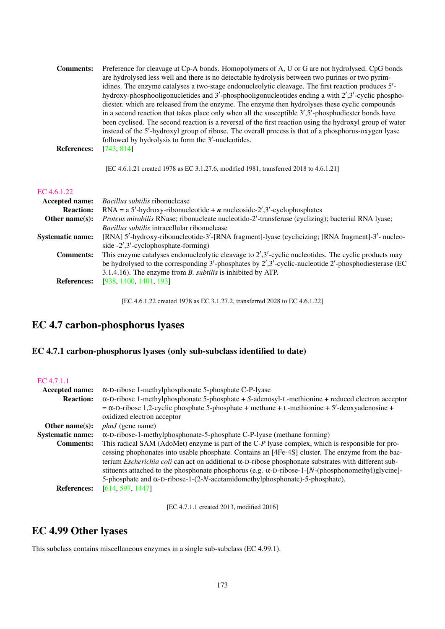| Preference for cleavage at Cp-A bonds. Homopolymers of A, U or G are not hydrolysed. CpG bonds             |
|------------------------------------------------------------------------------------------------------------|
| are hydrolysed less well and there is no detectable hydrolysis between two purines or two pyrim-           |
| idines. The enzyme catalyses a two-stage endonucleolytic cleavage. The first reaction produces 5'-         |
| hydroxy-phosphooligonucletides and $3'$ -phosphooligonucleotides ending a with $2',3'$ -cyclic phospho-    |
| diester, which are released from the enzyme. The enzyme then hydrolyses these cyclic compounds             |
| in a second reaction that takes place only when all the susceptible $3'$ , $5'$ -phosphodiester bonds have |
| been cyclised. The second reaction is a reversal of the first reaction using the hydroxyl group of water   |
| instead of the 5'-hydroxyl group of ribose. The overall process is that of a phosphorus-oxygen lyase       |
| followed by hydrolysis to form the 3'-nucleotides.                                                         |
| [743, 814]                                                                                                 |
|                                                                                                            |

[EC 4.6.1.21 created 1978 as EC 3.1.27.6, modified 1981, transferred 2018 to 4.6.1.21]

#### [EC 4.6.1.22](http://www.enzyme-database.org/query.php?ec=4.6.1.22)

| <b>Accepted name:</b>   | <i>Bacillus subtilis</i> ribonuclease                                                                                  |
|-------------------------|------------------------------------------------------------------------------------------------------------------------|
| <b>Reaction:</b>        | $RNA = a 5'$ -hydroxy-ribonucleotide + <i>n</i> nucleoside-2',3'-cyclophosphates                                       |
| Other name $(s)$ :      | Proteus mirabilis RNase; ribonucleate nucleotido-2'-transferase (cyclizing); bacterial RNA lyase;                      |
|                         | <i>Bacillus subtilis</i> intracellular ribonuclease                                                                    |
| <b>Systematic name:</b> | [RNA] 5'-hydroxy-ribonucleotide-3'-[RNA fragment]-lyase (cyclicizing; [RNA fragment]-3'- nucleo-                       |
|                         | side $-2^{\prime}, 3^{\prime}$ -cyclophosphate-forming)                                                                |
| <b>Comments:</b>        | This enzyme catalyses endonucleolytic cleavage to $2^{\prime},3^{\prime}$ -cyclic nucleotides. The cyclic products may |
|                         | be hydrolysed to the corresponding $3'$ -phosphates by $2',3'$ -cyclic-nucleotide $2'$ -phosphodiesterase (EC          |
|                         | 3.1.4.16). The enzyme from <i>B. subtilis</i> is inhibited by ATP.                                                     |
| <b>References:</b>      | [938, 1400, 1401, 193]                                                                                                 |
|                         |                                                                                                                        |

[EC 4.6.1.22 created 1978 as EC 3.1.27.2, transferred 2028 to EC 4.6.1.22]

# EC 4.7 carbon-phosphorus lyases

# EC 4.7.1 carbon-phosphorus lyases (only sub-subclass identified to date)

| EC 4.7.1.1              |                                                                                                                                                                                                                                                                                                                                                                                                                                                                                                                                 |
|-------------------------|---------------------------------------------------------------------------------------------------------------------------------------------------------------------------------------------------------------------------------------------------------------------------------------------------------------------------------------------------------------------------------------------------------------------------------------------------------------------------------------------------------------------------------|
| Accepted name:          | $\alpha$ -D-ribose 1-methylphosphonate 5-phosphate C-P-lyase                                                                                                                                                                                                                                                                                                                                                                                                                                                                    |
| <b>Reaction:</b>        | $\alpha$ -D-ribose 1-methylphosphonate 5-phosphate + S-adenosyl-L-methionine + reduced electron acceptor<br>$=\alpha$ -D-ribose 1,2-cyclic phosphate 5-phosphate + methane + L-methionine + 5'-deoxyadenosine +<br>oxidized electron acceptor                                                                                                                                                                                                                                                                                   |
| Other name $(s)$ :      | $phnJ$ (gene name)                                                                                                                                                                                                                                                                                                                                                                                                                                                                                                              |
| <b>Systematic name:</b> | $\alpha$ -D-ribose-1-methylphosphonate-5-phosphate C-P-lyase (methane forming)                                                                                                                                                                                                                                                                                                                                                                                                                                                  |
| <b>Comments:</b>        | This radical SAM (AdoMet) enzyme is part of the C-P lyase complex, which is responsible for pro-<br>cessing phophonates into usable phosphate. Contains an [4Fe-4S] cluster. The enzyme from the bac-<br>terium <i>Escherichia coli</i> can act on additional $\alpha$ -D-ribose phosphonate substrates with different sub-<br>stituents attached to the phosphonate phosphorus (e.g. $\alpha$ -D-ribose-1-[N-(phosphonomethyl)glycine]-<br>5-phosphate and $\alpha$ -D-ribose-1-(2-N-acetamidomethylphosphonate)-5-phosphate). |
| <b>References:</b>      | [614, 597, 1447]                                                                                                                                                                                                                                                                                                                                                                                                                                                                                                                |

[EC 4.7.1.1 created 2013, modified 2016]

# EC 4.99 Other lyases

This subclass contains miscellaneous enzymes in a single sub-subclass (EC 4.99.1).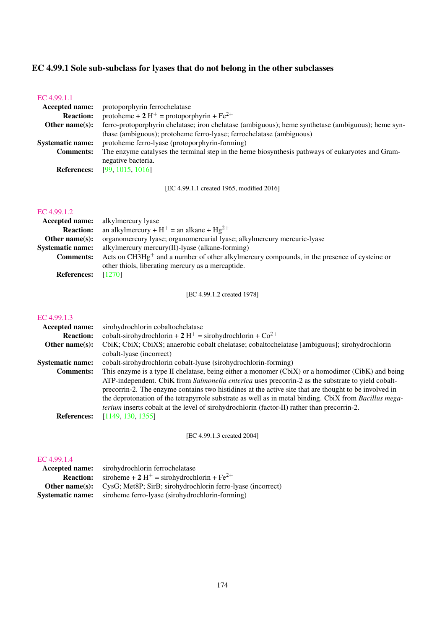# EC 4.99.1 Sole sub-subclass for lyases that do not belong in the other subclasses

| ferro-protoporphyrin chelatase; iron chelatase (ambiguous); heme synthetase (ambiguous); heme syn- |  |  |
|----------------------------------------------------------------------------------------------------|--|--|
|                                                                                                    |  |  |
|                                                                                                    |  |  |
| The enzyme catalyses the terminal step in the heme biosynthesis pathways of eukaryotes and Gram-   |  |  |
|                                                                                                    |  |  |
|                                                                                                    |  |  |
|                                                                                                    |  |  |

[EC 4.99.1.1 created 1965, modified 2016]

#### [EC 4.99.1.2](http://www.enzyme-database.org/query.php?ec=4.99.1.2)

|                    | <b>Accepted name:</b> alkylmercury lyase                                                       |
|--------------------|------------------------------------------------------------------------------------------------|
| <b>Reaction:</b>   | an alkylmercury + $H^+$ = an alkane + $Hg^{2+}$                                                |
| Other name $(s)$ : | organomercury lyase; organomercurial lyase; alkylmercury mercuric-lyase                        |
|                    | <b>Systematic name:</b> alkylmercury mercury(II)-lyase (alkane-forming)                        |
| <b>Comments:</b>   | Acts on $CH3Hg^+$ and a number of other alkylmercury compounds, in the presence of cysteine or |
|                    | other thiols, liberating mercury as a mercaptide.                                              |
| <b>References:</b> | [1270]                                                                                         |

[EC 4.99.1.2 created 1978]

# [EC 4.99.1.3](http://www.enzyme-database.org/query.php?ec=4.99.1.3)

| <b>Accepted name:</b>   | sirohydrochlorin cobaltochelatase                                                                             |
|-------------------------|---------------------------------------------------------------------------------------------------------------|
| <b>Reaction:</b>        | cobalt-sirohydrochlorin + 2 H <sup>+</sup> = sirohydrochlorin + $Co^{2+}$                                     |
| Other name $(s)$ :      | CbiK; CbiX; CbiXS; anaerobic cobalt chelatase; cobaltochelatase [ambiguous]; sirohydrochlorin                 |
|                         | cobalt-lyase (incorrect)                                                                                      |
| <b>Systematic name:</b> | cobalt-sirohydrochlorin cobalt-lyase (sirohydrochlorin-forming)                                               |
| <b>Comments:</b>        | This enzyme is a type II chelatase, being either a monomer (CbiX) or a homodimer (CibK) and being             |
|                         | ATP-independent. CbiK from Salmonella enterica uses precorrin-2 as the substrate to yield cobalt-             |
|                         | precorrin-2. The enzyme contains two histidines at the active site that are thought to be involved in         |
|                         | the deprotonation of the tetrapyrrole substrate as well as in metal binding. CbiX from <i>Bacillus mega</i> - |
|                         | <i>terium</i> inserts cobalt at the level of sirohydrochlorin (factor-II) rather than precorrin-2.            |
| <b>References:</b>      | [1149, 130, 1355]                                                                                             |
|                         |                                                                                                               |

[EC 4.99.1.3 created 2004]

# [EC 4.99.1.4](http://www.enzyme-database.org/query.php?ec=4.99.1.4)

| Accepted name:          | sirohydrochlorin ferrochelatase                                   |
|-------------------------|-------------------------------------------------------------------|
| <b>Reaction:</b>        | siroheme + 2 H <sup>+</sup> = sirohydrochlorin + Fe <sup>2+</sup> |
| Other name $(s)$ :      | CysG; Met8P; SirB; sirohydrochlorin ferro-lyase (incorrect)       |
| <b>Systematic name:</b> | siroheme ferro-lyase (sirohydrochlorin-forming)                   |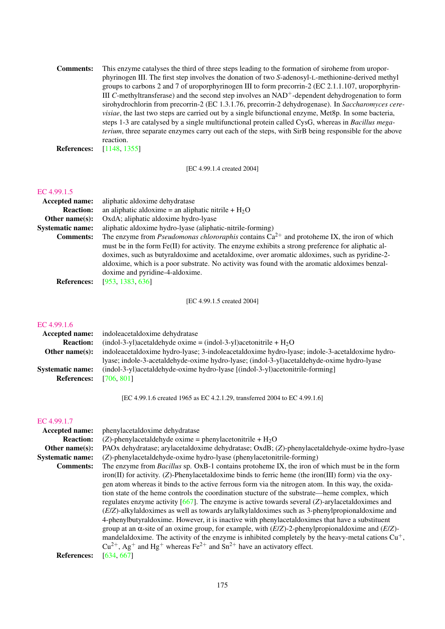Comments: This enzyme catalyses the third of three steps leading to the formation of siroheme from uroporphyrinogen III. The first step involves the donation of two *S*-adenosyl-L-methionine-derived methyl groups to carbons 2 and 7 of uroporphyrinogen III to form precorrin-2 (EC 2.1.1.107, uroporphyrin-III *C*-methyltransferase) and the second step involves an NAD<sup>+</sup>-dependent dehydrogenation to form sirohydrochlorin from precorrin-2 (EC 1.3.1.76, precorrin-2 dehydrogenase). In *Saccharomyces cerevisiae*, the last two steps are carried out by a single bifunctional enzyme, Met8p. In some bacteria, steps 1-3 are catalysed by a single multifunctional protein called CysG, whereas in *Bacillus megaterium*, three separate enzymes carry out each of the steps, with SirB being responsible for the above reaction.

References: [\[1148,](#page-236-1) [1355\]](#page-247-2)

[EC 4.99.1.4 created 2004]

#### [EC 4.99.1.5](http://www.enzyme-database.org/query.php?ec=4.99.1.5)

| Accepted name:          | aliphatic aldoxime dehydratase                                                                         |
|-------------------------|--------------------------------------------------------------------------------------------------------|
| <b>Reaction:</b>        | an aliphatic aldoxime = an aliphatic nitrile + $H_2O$                                                  |
| Other name $(s)$ :      | OxdA; aliphatic aldoxime hydro-lyase                                                                   |
| <b>Systematic name:</b> | aliphatic aldoxime hydro-lyase (aliphatic-nitrile-forming)                                             |
| <b>Comments:</b>        | The enzyme from <i>Pseudomonas chlororaphis</i> contains $Ca^{2+}$ and protoheme IX, the iron of which |
|                         | must be in the form Fe(II) for activity. The enzyme exhibits a strong preference for aliphatic al-     |
|                         | doximes, such as butyraldoxime and acetaldoxime, over aromatic aldoximes, such as pyridine-2-          |
|                         | aldoxime, which is a poor substrate. No activity was found with the aromatic aldoximes benzal-         |
|                         | doxime and pyridine-4-aldoxime.                                                                        |
| <b>References:</b>      | [953, 1383, 636]                                                                                       |

[EC 4.99.1.5 created 2004]

#### [EC 4.99.1.6](http://www.enzyme-database.org/query.php?ec=4.99.1.6)

| <b>Accepted name:</b>   | indoleacetaldoxime dehydratase                                                                 |
|-------------------------|------------------------------------------------------------------------------------------------|
| <b>Reaction:</b>        | (indol-3-yl)acetaldehyde oxime = (indol-3-yl)acetonitrile + $H_2O$                             |
| Other name $(s)$ :      | indoleacetaldoxime hydro-lyase; 3-indoleacetaldoxime hydro-lyase; indole-3-acetaldoxime hydro- |
|                         | lyase; indole-3-acetaldehyde-oxime hydro-lyase; (indol-3-yl)acetaldehyde-oxime hydro-lyase     |
| <b>Systematic name:</b> | (indol-3-yl)acetaldehyde-oxime hydro-lyase [(indol-3-yl)acetonitrile-forming]                  |
| <b>References:</b>      | [706, 801]                                                                                     |

[EC 4.99.1.6 created 1965 as EC 4.2.1.29, transferred 2004 to EC 4.99.1.6]

#### [EC 4.99.1.7](http://www.enzyme-database.org/query.php?ec=4.99.1.7)

| <b>Accepted name:</b>   | phenylacetaldoxime dehydratase                                                                                           |
|-------------------------|--------------------------------------------------------------------------------------------------------------------------|
| <b>Reaction:</b>        | (Z)-phenylacetaldehyde oxime = phenylacetonitrile + $H_2O$                                                               |
| Other name $(s)$ :      | PAOx dehydratase; arylacetaldoxime dehydratase; OxdB; (Z)-phenylacetaldehyde-oxime hydro-lyase                           |
| <b>Systematic name:</b> | (Z)-phenylacetaldehyde-oxime hydro-lyase (phenylacetonitrile-forming)                                                    |
| <b>Comments:</b>        | The enzyme from <i>Bacillus</i> sp. OxB-1 contains protoheme IX, the iron of which must be in the form                   |
|                         | iron(II) for activity. (Z)-Phenylacetaldoxime binds to ferric heme (the iron(III) form) via the oxy-                     |
|                         | gen atom whereas it binds to the active ferrous form via the nitrogen atom. In this way, the oxida-                      |
|                         | tion state of the heme controls the coordination stucture of the substrate—heme complex, which                           |
|                         | regulates enzyme activity [667]. The enzyme is active towards several $(Z)$ -arylacetal doximes and                      |
|                         | (E/Z)-alkylaldoximes as well as towards arylalkylaldoximes such as 3-phenylpropionaldoxime and                           |
|                         | 4-phenylbutyraldoxime. However, it is inactive with phenylacetaldoximes that have a substituent                          |
|                         | group at an $\alpha$ -site of an oxime group, for example, with $(E/Z)$ -2-phenylpropional doxime and $(E/Z)$ -          |
|                         | mandelaldoxime. The activity of the enzyme is inhibited completely by the heavy-metal cations $Cu+$ ,                    |
|                         | $Cu^{2+}$ , Ag <sup>+</sup> and Hg <sup>+</sup> whereas Fe <sup>2+</sup> and Sn <sup>2+</sup> have an activatory effect. |
| <b>References:</b>      | [634, 667]                                                                                                               |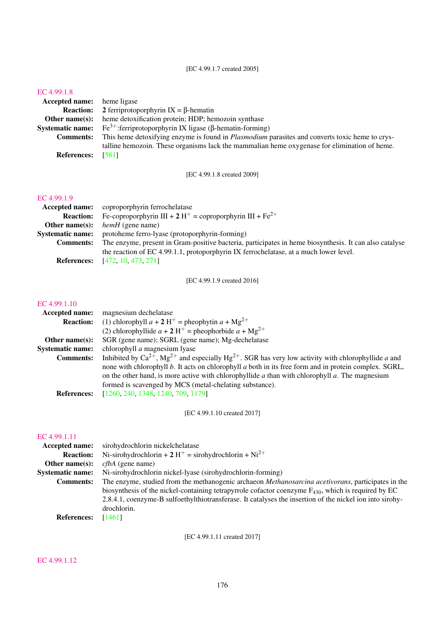[EC 4.99.1.7 created 2005]

#### [EC 4.99.1.8](http://www.enzyme-database.org/query.php?ec=4.99.1.8)

| <b>Accepted name:</b> heme ligase |                                                                                                       |
|-----------------------------------|-------------------------------------------------------------------------------------------------------|
|                                   | <b>Reaction:</b> 2 ferriprotoporphyrin $IX = \beta$ -hematin                                          |
| Other name $(s)$ :                | heme detoxification protein; HDP; hemozoin synthase                                                   |
|                                   | <b>Systematic name:</b> Fe <sup>3+</sup> :ferriprotoporphyrin IX ligase ( $\beta$ -hematin-forming)   |
| <b>Comments:</b>                  | This heme detoxifying enzyme is found in <i>Plasmodium</i> parasites and converts toxic heme to crys- |
|                                   | talline hemozoin. These organisms lack the mammalian heme oxygenase for elimination of heme.          |
| <b>References:</b>                | - 15811                                                                                               |

[EC 4.99.1.8 created 2009]

# [EC 4.99.1.9](http://www.enzyme-database.org/query.php?ec=4.99.1.9)

|                         | <b>Accepted name:</b> coproporphyrin ferrochelatase                                                    |
|-------------------------|--------------------------------------------------------------------------------------------------------|
| <b>Reaction:</b>        | Fe-coproporphyrin III + 2 H <sup>+</sup> = coproporphyrin III + Fe <sup>2+</sup>                       |
| Other name $(s)$ :      | <i>hemH</i> (gene name)                                                                                |
| <b>Systematic name:</b> | protoheme ferro-lyase (protoporphyrin-forming)                                                         |
| <b>Comments:</b>        | The enzyme, present in Gram-positive bacteria, participates in heme biosynthesis. It can also catalyse |
|                         | the reaction of EC 4.99.1.1, protoporphyrin IX ferrochelatase, at a much lower level.                  |
| <b>References:</b>      | [472, 10, 473, 271]                                                                                    |

[EC 4.99.1.9 created 2016]

#### [EC 4.99.1.10](http://www.enzyme-database.org/query.php?ec=4.99.1.10)

| <b>Accepted name:</b>   | magnesium dechelatase                                                                                                    |
|-------------------------|--------------------------------------------------------------------------------------------------------------------------|
| <b>Reaction:</b>        | (1) chlorophyll $a + 2H^+$ = pheophytin $a + Mg^{2+}$                                                                    |
|                         | (2) chlorophyllide $a + 2H^+$ = pheophorbide $a + Mg^{2+}$                                                               |
| Other name $(s)$ :      | SGR (gene name); SGRL (gene name); Mg-dechelatase                                                                        |
| <b>Systematic name:</b> | chlorophyll <i>a</i> magnesium lyase                                                                                     |
| <b>Comments:</b>        | Inhibited by $Ca^{2+}$ , $Mg^{2+}$ and especially Hg <sup>2+</sup> . SGR has very low activity with chlorophyllide a and |
|                         | none with chlorophyll b. It acts on chlorophyll a both in its free form and in protein complex. SGRL,                    |
|                         | on the other hand, is more active with chlorophyllide a than with chlorophyll $a$ . The magnesium                        |
|                         | formed is scavenged by MCS (metal-chelating substance).                                                                  |
| <b>References:</b>      | [1260, 240, 1348, 1240, 709, 1179]                                                                                       |

[EC 4.99.1.10 created 2017]

#### [EC 4.99.1.11](http://www.enzyme-database.org/query.php?ec=4.99.1.11)

| Accepted name:          | sirohydrochlorin nickelchelatase                                                                           |
|-------------------------|------------------------------------------------------------------------------------------------------------|
| <b>Reaction:</b>        | Ni-sirohydrochlorin + 2 H <sup>+</sup> = sirohydrochlorin + Ni <sup>2+</sup>                               |
| Other name $(s)$ :      | <i>cfbA</i> (gene name)                                                                                    |
| <b>Systematic name:</b> | Ni-sirohydrochlorin nickel-lyase (sirohydrochlorin-forming)                                                |
| <b>Comments:</b>        | The enzyme, studied from the methanogenic archaeon <i>Methanosarcina acetivorans</i> , participates in the |
|                         | biosynthesis of the nickel-containing tetrapyrrole cofactor coenzyme $F_{430}$ , which is required by EC   |
|                         | 2.8.4.1, coenzyme-B sulfoethylthiotransferase. It catalyses the insertion of the nickel ion into sirohy-   |
|                         | drochlorin.                                                                                                |
| <b>References:</b>      | [1461]                                                                                                     |
|                         |                                                                                                            |

[EC 4.99.1.11 created 2017]

#### [EC 4.99.1.12](http://www.enzyme-database.org/query.php?ec=4.99.1.12)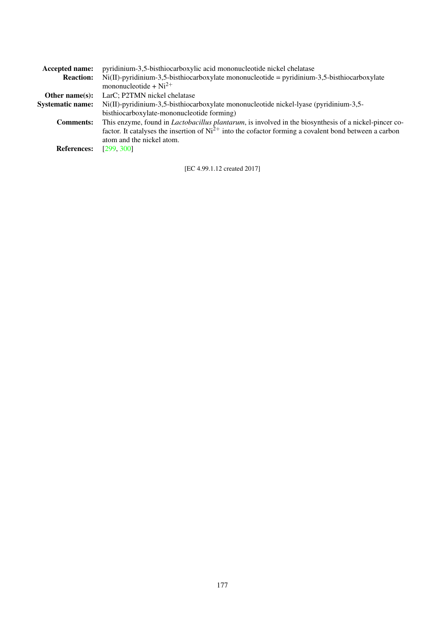| <b>Accepted name:</b>   | pyridinium-3,5-bisthiocarboxylic acid mononucleotide nickel chelatase                                         |
|-------------------------|---------------------------------------------------------------------------------------------------------------|
| <b>Reaction:</b>        | $Ni(II)$ -pyridinium-3,5-bisthiocarboxylate mononucleotide = pyridinium-3,5-bisthiocarboxylate                |
|                         | mononucleotide + $Ni^{2+}$                                                                                    |
| Other name $(s)$ :      | LarC; P2TMN nickel chelatase                                                                                  |
| <b>Systematic name:</b> | $Ni(II)$ -pyridinium-3,5-bisthiocarboxylate mononucleotide nickel-lyase (pyridinium-3,5-                      |
|                         | bisthiocarboxylate-mononucleotide forming)                                                                    |
| <b>Comments:</b>        | This enzyme, found in <i>Lactobacillus plantarum</i> , is involved in the biosynthesis of a nickel-pincer co- |
|                         | factor. It catalyses the insertion of $Ni^{2+}$ into the cofactor forming a covalent bond between a carbon    |
|                         | atom and the nickel atom.                                                                                     |
| <b>References:</b>      | [299, 300]                                                                                                    |
|                         |                                                                                                               |

[EC 4.99.1.12 created 2017]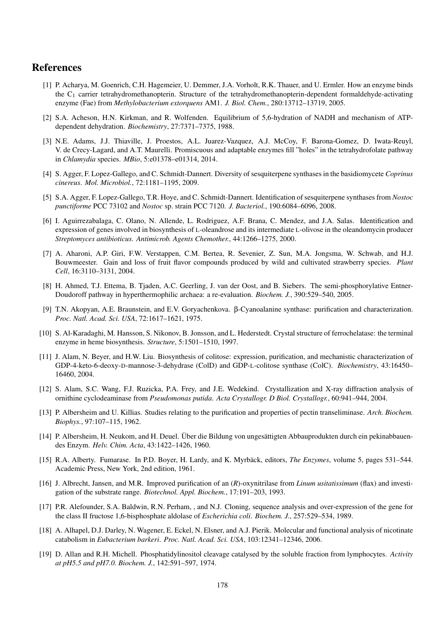# References

- [1] P. Acharya, M. Goenrich, C.H. Hagemeier, U. Demmer, J.A. Vorholt, R.K. Thauer, and U. Ermler. How an enzyme binds the  $C_1$  carrier tetrahydromethanopterin. Structure of the tetrahydromethanopterin-dependent formaldehyde-activating enzyme (Fae) from *Methylobacterium extorquens* AM1. *J. Biol. Chem.*, 280:13712–13719, 2005.
- [2] S.A. Acheson, H.N. Kirkman, and R. Wolfenden. Equilibrium of 5,6-hydration of NADH and mechanism of ATPdependent dehydration. *Biochemistry*, 27:7371–7375, 1988.
- [3] N.E. Adams, J.J. Thiaville, J. Proestos, A.L. Juarez-Vazquez, A.J. McCoy, F. Barona-Gomez, D. Iwata-Reuyl, V. de Crecy-Lagard, and A.T. Maurelli. Promiscuous and adaptable enzymes fill "holes" in the tetrahydrofolate pathway in *Chlamydia* species. *MBio*, 5:e01378–e01314, 2014.
- [4] S. Agger, F. Lopez-Gallego, and C. Schmidt-Dannert. Diversity of sesquiterpene synthases in the basidiomycete *Coprinus cinereus*. *Mol. Microbiol.*, 72:1181–1195, 2009.
- [5] S.A. Agger, F. Lopez-Gallego, T.R. Hoye, and C. Schmidt-Dannert. Identification of sesquiterpene synthases from *Nostoc punctiforme* PCC 73102 and *Nostoc* sp. strain PCC 7120. *J. Bacteriol.*, 190:6084–6096, 2008.
- [6] I. Aguirrezabalaga, C. Olano, N. Allende, L. Rodriguez, A.F. Brana, C. Mendez, and J.A. Salas. Identification and expression of genes involved in biosynthesis of L-oleandrose and its intermediate L-olivose in the oleandomycin producer *Streptomyces antibioticus*. *Antimicrob. Agents Chemother.*, 44:1266–1275, 2000.
- [7] A. Aharoni, A.P. Giri, F.W. Verstappen, C.M. Bertea, R. Sevenier, Z. Sun, M.A. Jongsma, W. Schwab, and H.J. Bouwmeester. Gain and loss of fruit flavor compounds produced by wild and cultivated strawberry species. *Plant Cell*, 16:3110–3131, 2004.
- [8] H. Ahmed, T.J. Ettema, B. Tjaden, A.C. Geerling, J. van der Oost, and B. Siebers. The semi-phosphorylative Entner-Doudoroff pathway in hyperthermophilic archaea: a re-evaluation. *Biochem. J.*, 390:529–540, 2005.
- <span id="page-177-1"></span>[9] T.N. Akopyan, A.E. Braunstein, and E.V. Goryachenkova. β-Cyanoalanine synthase: purification and characterization. *Proc. Natl. Acad. Sci. USA*, 72:1617–1621, 1975.
- <span id="page-177-3"></span>[10] S. Al-Karadaghi, M. Hansson, S. Nikonov, B. Jonsson, and L. Hederstedt. Crystal structure of ferrochelatase: the terminal enzyme in heme biosynthesis. *Structure*, 5:1501–1510, 1997.
- [11] J. Alam, N. Beyer, and H.W. Liu. Biosynthesis of colitose: expression, purification, and mechanistic characterization of GDP-4-keto-6-deoxy-D-mannose-3-dehydrase (ColD) and GDP-L-colitose synthase (ColC). *Biochemistry*, 43:16450– 16460, 2004.
- <span id="page-177-0"></span>[12] S. Alam, S.C. Wang, F.J. Ruzicka, P.A. Frey, and J.E. Wedekind. Crystallization and X-ray diffraction analysis of ornithine cyclodeaminase from *Pseudomonas putida*. *Acta Crystallogr. D Biol. Crystallogr.*, 60:941–944, 2004.
- [13] P. Albersheim and U. Killias. Studies relating to the purification and properties of pectin transeliminase. *Arch. Biochem. Biophys.*, 97:107–115, 1962.
- [14] P. Albersheim, H. Neukom, and H. Deuel. Über die Bildung von ungesättigten Abbauprodukten durch ein pekinabbauendes Enzym. *Helv. Chim. Acta*, 43:1422–1426, 1960.
- [15] R.A. Alberty. Fumarase. In P.D. Boyer, H. Lardy, and K. Myrbäck, editors, *The Enzymes*, volume 5, pages 531–544. Academic Press, New York, 2nd edition, 1961.
- [16] J. Albrecht, Jansen, and M.R. Improved purification of an (*R*)-oxynitrilase from *Linum usitatissimum* (flax) and investigation of the substrate range. *Biotechnol. Appl. Biochem.*, 17:191–203, 1993.
- [17] P.R. Alefounder, S.A. Baldwin, R.N. Perham, , and N.J. Cloning, sequence analysis and over-expression of the gene for the class II fructose 1,6-bisphosphate aldolase of *Escherichia coli*. *Biochem. J.*, 257:529–534, 1989.
- [18] A. Alhapel, D.J. Darley, N. Wagener, E. Eckel, N. Elsner, and A.J. Pierik. Molecular and functional analysis of nicotinate catabolism in *Eubacterium barkeri*. *Proc. Natl. Acad. Sci. USA*, 103:12341–12346, 2006.
- <span id="page-177-2"></span>[19] D. Allan and R.H. Michell. Phosphatidylinositol cleavage catalysed by the soluble fraction from lymphocytes. *Activity at pH5.5 and pH7.0. Biochem. J.*, 142:591–597, 1974.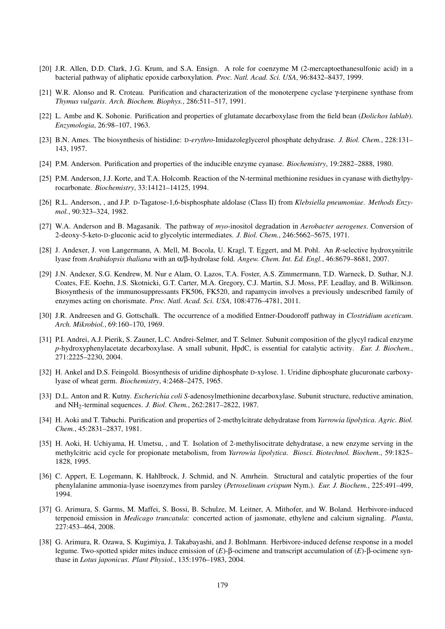- <span id="page-178-1"></span>[20] J.R. Allen, D.D. Clark, J.G. Krum, and S.A. Ensign. A role for coenzyme M (2-mercaptoethanesulfonic acid) in a bacterial pathway of aliphatic epoxide carboxylation. *Proc. Natl. Acad. Sci. USA*, 96:8432–8437, 1999.
- [21] W.R. Alonso and R. Croteau. Purification and characterization of the monoterpene cyclase γ-terpinene synthase from *Thymus vulgaris*. *Arch. Biochem. Biophys.*, 286:511–517, 1991.
- [22] L. Ambe and K. Sohonie. Purification and properties of glutamate decarboxylase from the field bean (*Dolichos lablab*). *Enzymologia*, 26:98–107, 1963.
- [23] B.N. Ames. The biosynthesis of histidine: D-*erythro*-Imidazoleglycerol phosphate dehydrase. *J. Biol. Chem.*, 228:131– 143, 1957.
- [24] P.M. Anderson. Purification and properties of the inducible enzyme cyanase. *Biochemistry*, 19:2882–2888, 1980.
- [25] P.M. Anderson, J.J. Korte, and T.A. Holcomb. Reaction of the N-terminal methionine residues in cyanase with diethylpyrocarbonate. *Biochemistry*, 33:14121–14125, 1994.
- [26] R.L. Anderson, , and J.P. D-Tagatose-1,6-bisphosphate aldolase (Class II) from *Klebsiella pneumoniae*. *Methods Enzymol.*, 90:323–324, 1982.
- [27] W.A. Anderson and B. Magasanik. The pathway of *myo*-inositol degradation in *Aerobacter aerogenes*. Conversion of 2-deoxy-5-keto-D-gluconic acid to glycolytic intermediates. *J. Biol. Chem.*, 246:5662–5675, 1971.
- [28] J. Andexer, J. von Langermann, A. Mell, M. Bocola, U. Kragl, T. Eggert, and M. Pohl. An *R*-selective hydroxynitrile lyase from *Arabidopsis thaliana* with an α/β-hydrolase fold. *Angew. Chem. Int. Ed. Engl.*, 46:8679–8681, 2007.
- [29] J.N. Andexer, S.G. Kendrew, M. Nur e Alam, O. Lazos, T.A. Foster, A.S. Zimmermann, T.D. Warneck, D. Suthar, N.J. Coates, F.E. Koehn, J.S. Skotnicki, G.T. Carter, M.A. Gregory, C.J. Martin, S.J. Moss, P.F. Leadlay, and B. Wilkinson. Biosynthesis of the immunosuppressants FK506, FK520, and rapamycin involves a previously undescribed family of enzymes acting on chorismate. *Proc. Natl. Acad. Sci. USA*, 108:4776–4781, 2011.
- [30] J.R. Andreesen and G. Gottschalk. The occurrence of a modified Entner-Doudoroff pathway in *Clostridium aceticum*. *Arch. Mikrobiol.*, 69:160–170, 1969.
- [31] P.I. Andrei, A.J. Pierik, S. Zauner, L.C. Andrei-Selmer, and T. Selmer. Subunit composition of the glycyl radical enzyme *p*-hydroxyphenylacetate decarboxylase. A small subunit, HpdC, is essential for catalytic activity. *Eur. J. Biochem.*, 271:2225–2230, 2004.
- [32] H. Ankel and D.S. Feingold. Biosynthesis of uridine diphosphate D-xylose. 1. Uridine diphosphate glucuronate carboxylyase of wheat germ. *Biochemistry*, 4:2468–2475, 1965.
- [33] D.L. Anton and R. Kutny. *Escherichia coli S*-adenosylmethionine decarboxylase. Subunit structure, reductive amination, and NH2-terminal sequences. *J. Biol. Chem.*, 262:2817–2822, 1987.
- [34] H. Aoki and T. Tabuchi. Purification and properties of 2-methylcitrate dehydratase from *Yarrowia lipolytica*. *Agric. Biol. Chem.*, 45:2831–2837, 1981.
- [35] H. Aoki, H. Uchiyama, H. Umetsu, , and T. Isolation of 2-methylisocitrate dehydratase, a new enzyme serving in the methylcitric acid cycle for propionate metabolism, from *Yarrowia lipolytica*. *Biosci. Biotechnol. Biochem.*, 59:1825– 1828, 1995.
- <span id="page-178-0"></span>[36] C. Appert, E. Logemann, K. Hahlbrock, J. Schmid, and N. Amrhein. Structural and catalytic properties of the four phenylalanine ammonia-lyase isoenzymes from parsley (*Petroselinum crispum* Nym.). *Eur. J. Biochem.*, 225:491–499, 1994.
- [37] G. Arimura, S. Garms, M. Maffei, S. Bossi, B. Schulze, M. Leitner, A. Mithofer, and W. Boland. Herbivore-induced terpenoid emission in *Medicago truncatula*: concerted action of jasmonate, ethylene and calcium signaling. *Planta*, 227:453–464, 2008.
- [38] G. Arimura, R. Ozawa, S. Kugimiya, J. Takabayashi, and J. Bohlmann. Herbivore-induced defense response in a model legume. Two-spotted spider mites induce emission of (*E*)-β-ocimene and transcript accumulation of (*E*)-β-ocimene synthase in *Lotus japonicus*. *Plant Physiol.*, 135:1976–1983, 2004.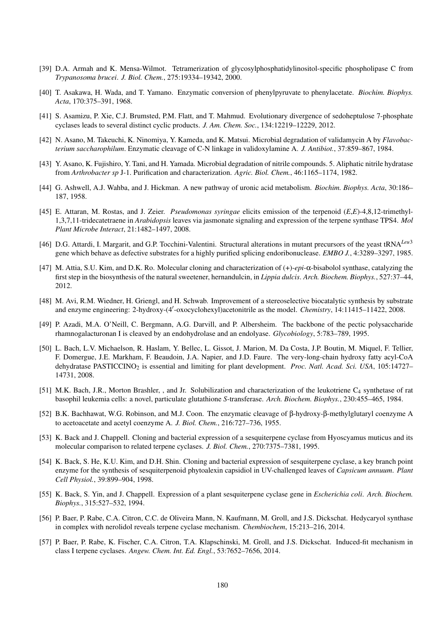- <span id="page-179-2"></span>[39] D.A. Armah and K. Mensa-Wilmot. Tetramerization of glycosylphosphatidylinositol-specific phospholipase C from *Trypanosoma brucei*. *J. Biol. Chem.*, 275:19334–19342, 2000.
- [40] T. Asakawa, H. Wada, and T. Yamano. Enzymatic conversion of phenylpyruvate to phenylacetate. *Biochim. Biophys. Acta*, 170:375–391, 1968.
- [41] S. Asamizu, P. Xie, C.J. Brumsted, P.M. Flatt, and T. Mahmud. Evolutionary divergence of sedoheptulose 7-phosphate cyclases leads to several distinct cyclic products. *J. Am. Chem. Soc.*, 134:12219–12229, 2012.
- <span id="page-179-0"></span>[42] N. Asano, M. Takeuchi, K. Ninomiya, Y. Kameda, and K. Matsui. Microbial degradation of validamycin A by *Flavobacterium saccharophilum*. Enzymatic cleavage of C-N linkage in validoxylamine A. *J. Antibiot.*, 37:859–867, 1984.
- [43] Y. Asano, K. Fujishiro, Y. Tani, and H. Yamada. Microbial degradation of nitrile compounds. 5. Aliphatic nitrile hydratase from *Arthrobacter sp* J-1. Purification and characterization. *Agric. Biol. Chem.*, 46:1165–1174, 1982.
- [44] G. Ashwell, A.J. Wahba, and J. Hickman. A new pathway of uronic acid metabolism. *Biochim. Biophys. Acta*, 30:186– 187, 1958.
- [45] E. Attaran, M. Rostas, and J. Zeier. *Pseudomonas syringae* elicits emission of the terpenoid (*E*,*E*)-4,8,12-trimethyl-1,3,7,11-tridecatetraene in *Arabidopsis* leaves via jasmonate signaling and expression of the terpene synthase TPS4. *Mol Plant Microbe Interact*, 21:1482–1497, 2008.
- <span id="page-179-3"></span>[46] D.G. Attardi, I. Margarit, and G.P. Tocchini-Valentini. Structural alterations in mutant precursors of the yeast tRNA*Leu*<sup>3</sup> gene which behave as defective substrates for a highly purified splicing endoribonuclease. *EMBO J.*, 4:3289–3297, 1985.
- [47] M. Attia, S.U. Kim, and D.K. Ro. Molecular cloning and characterization of (+)-*epi*-α-bisabolol synthase, catalyzing the first step in the biosynthesis of the natural sweetener, hernandulcin, in *Lippia dulcis*. *Arch. Biochem. Biophys.*, 527:37–44, 2012.
- [48] M. Avi, R.M. Wiedner, H. Griengl, and H. Schwab. Improvement of a stereoselective biocatalytic synthesis by substrate and enzyme engineering: 2-hydroxy-(4'-oxocyclohexyl)acetonitrile as the model. *Chemistry*, 14:11415–11422, 2008.
- [49] P. Azadi, M.A. O'Neill, C. Bergmann, A.G. Darvill, and P. Albersheim. The backbone of the pectic polysaccharide rhamnogalacturonan I is cleaved by an endohydrolase and an endolyase. *Glycobiology*, 5:783–789, 1995.
- [50] L. Bach, L.V. Michaelson, R. Haslam, Y. Bellec, L. Gissot, J. Marion, M. Da Costa, J.P. Boutin, M. Miquel, F. Tellier, F. Domergue, J.E. Markham, F. Beaudoin, J.A. Napier, and J.D. Faure. The very-long-chain hydroxy fatty acyl-CoA dehydratase PASTICCINO<sub>2</sub> is essential and limiting for plant development. *Proc. Natl. Acad. Sci. USA*, 105:14727– 14731, 2008.
- <span id="page-179-1"></span>[51] M.K. Bach, J.R., Morton Brashler, , and Jr. Solubilization and characterization of the leukotriene C<sub>4</sub> synthetase of rat basophil leukemia cells: a novel, particulate glutathione *S*-transferase. *Arch. Biochem. Biophys.*, 230:455–465, 1984.
- [52] B.K. Bachhawat, W.G. Robinson, and M.J. Coon. The enzymatic cleavage of β-hydroxy-β-methylglutaryl coenzyme A to acetoacetate and acetyl coenzyme A. *J. Biol. Chem.*, 216:727–736, 1955.
- [53] K. Back and J. Chappell. Cloning and bacterial expression of a sesquiterpene cyclase from Hyoscyamus muticus and its molecular comparison to related terpene cyclases. *J. Biol. Chem.*, 270:7375–7381, 1995.
- [54] K. Back, S. He, K.U. Kim, and D.H. Shin. Cloning and bacterial expression of sesquiterpene cyclase, a key branch point enzyme for the synthesis of sesquiterpenoid phytoalexin capsidiol in UV-challenged leaves of *Capsicum annuum*. *Plant Cell Physiol.*, 39:899–904, 1998.
- [55] K. Back, S. Yin, and J. Chappell. Expression of a plant sesquiterpene cyclase gene in *Escherichia coli*. *Arch. Biochem. Biophys.*, 315:527–532, 1994.
- [56] P. Baer, P. Rabe, C.A. Citron, C.C. de Oliveira Mann, N. Kaufmann, M. Groll, and J.S. Dickschat. Hedycaryol synthase in complex with nerolidol reveals terpene cyclase mechanism. *Chembiochem*, 15:213–216, 2014.
- [57] P. Baer, P. Rabe, K. Fischer, C.A. Citron, T.A. Klapschinski, M. Groll, and J.S. Dickschat. Induced-fit mechanism in class I terpene cyclases. *Angew. Chem. Int. Ed. Engl.*, 53:7652–7656, 2014.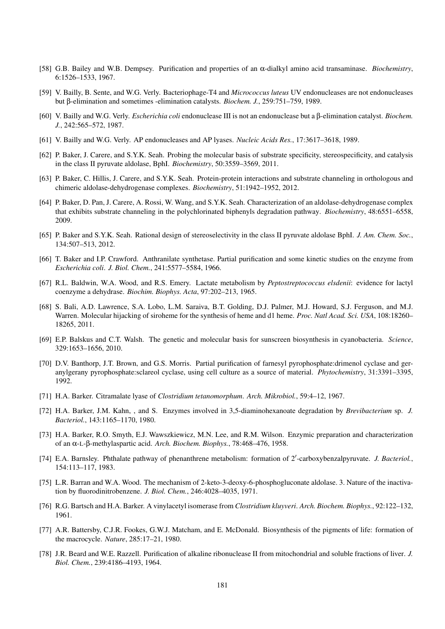- [58] G.B. Bailey and W.B. Dempsey. Purification and properties of an α-dialkyl amino acid transaminase. *Biochemistry*, 6:1526–1533, 1967.
- [59] V. Bailly, B. Sente, and W.G. Verly. Bacteriophage-T4 and *Micrococcus luteus* UV endonucleases are not endonucleases but β-elimination and sometimes -elimination catalysts. *Biochem. J.*, 259:751–759, 1989.
- [60] V. Bailly and W.G. Verly. *Escherichia coli* endonuclease III is not an endonuclease but a β-elimination catalyst. *Biochem. J.*, 242:565–572, 1987.
- [61] V. Bailly and W.G. Verly. AP endonucleases and AP lyases. *Nucleic Acids Res.*, 17:3617–3618, 1989.
- [62] P. Baker, J. Carere, and S.Y.K. Seah. Probing the molecular basis of substrate specificity, stereospecificity, and catalysis in the class II pyruvate aldolase, BphI. *Biochemistry*, 50:3559–3569, 2011.
- [63] P. Baker, C. Hillis, J. Carere, and S.Y.K. Seah. Protein-protein interactions and substrate channeling in orthologous and chimeric aldolase-dehydrogenase complexes. *Biochemistry*, 51:1942–1952, 2012.
- [64] P. Baker, D. Pan, J. Carere, A. Rossi, W. Wang, and S.Y.K. Seah. Characterization of an aldolase-dehydrogenase complex that exhibits substrate channeling in the polychlorinated biphenyls degradation pathway. *Biochemistry*, 48:6551–6558, 2009.
- [65] P. Baker and S.Y.K. Seah. Rational design of stereoselectivity in the class II pyruvate aldolase BphI. *J. Am. Chem. Soc.*, 134:507–513, 2012.
- [66] T. Baker and I.P. Crawford. Anthranilate synthetase. Partial purification and some kinetic studies on the enzyme from *Escherichia coli*. *J. Biol. Chem.*, 241:5577–5584, 1966.
- [67] R.L. Baldwin, W.A. Wood, and R.S. Emery. Lactate metabolism by *Peptostreptococcus elsdenii*: evidence for lactyl coenzyme a dehydrase. *Biochim. Biophys. Acta*, 97:202–213, 1965.
- [68] S. Bali, A.D. Lawrence, S.A. Lobo, L.M. Saraiva, B.T. Golding, D.J. Palmer, M.J. Howard, S.J. Ferguson, and M.J. Warren. Molecular hijacking of siroheme for the synthesis of heme and d1 heme. *Proc. Natl Acad. Sci. USA*, 108:18260– 18265, 2011.
- [69] E.P. Balskus and C.T. Walsh. The genetic and molecular basis for sunscreen biosynthesis in cyanobacteria. *Science*, 329:1653–1656, 2010.
- [70] D.V. Banthorp, J.T. Brown, and G.S. Morris. Partial purification of farnesyl pyrophosphate:drimenol cyclase and geranylgerany pyrophosphate:sclareol cyclase, using cell culture as a source of material. *Phytochemistry*, 31:3391–3395, 1992.
- [71] H.A. Barker. Citramalate lyase of *Clostridium tetanomorphum*. *Arch. Mikrobiol.*, 59:4–12, 1967.
- [72] H.A. Barker, J.M. Kahn, , and S. Enzymes involved in 3,5-diaminohexanoate degradation by *Brevibacterium* sp. *J. Bacteriol.*, 143:1165–1170, 1980.
- [73] H.A. Barker, R.O. Smyth, E.J. Wawszkiewicz, M.N. Lee, and R.M. Wilson. Enzymic preparation and characterization of an α-L-β-methylaspartic acid. *Arch. Biochem. Biophys.*, 78:468–476, 1958.
- [74] E.A. Barnsley. Phthalate pathway of phenanthrene metabolism: formation of 2'-carboxybenzalpyruvate. *J. Bacteriol.*, 154:113–117, 1983.
- [75] L.R. Barran and W.A. Wood. The mechanism of 2-keto-3-deoxy-6-phosphogluconate aldolase. 3. Nature of the inactivation by fluorodinitrobenzene. *J. Biol. Chem.*, 246:4028–4035, 1971.
- [76] R.G. Bartsch and H.A. Barker. A vinylacetyl isomerase from *Clostridium kluyveri*. *Arch. Biochem. Biophys.*, 92:122–132, 1961.
- [77] A.R. Battersby, C.J.R. Fookes, G.W.J. Matcham, and E. McDonald. Biosynthesis of the pigments of life: formation of the macrocycle. *Nature*, 285:17–21, 1980.
- [78] J.R. Beard and W.E. Razzell. Purification of alkaline ribonuclease II from mitochondrial and soluble fractions of liver. *J. Biol. Chem.*, 239:4186–4193, 1964.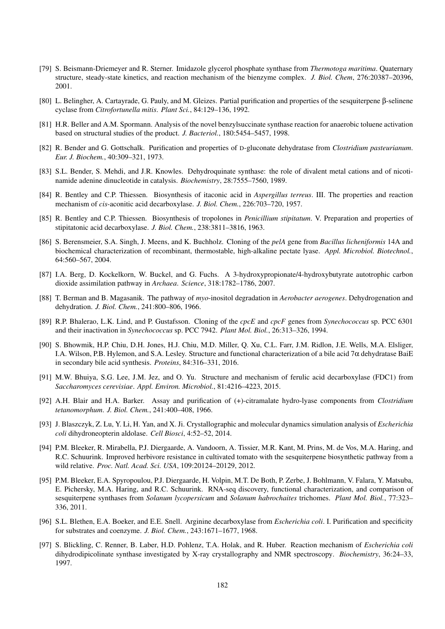- [79] S. Beismann-Driemeyer and R. Sterner. Imidazole glycerol phosphate synthase from *Thermotoga maritima*. Quaternary structure, steady-state kinetics, and reaction mechanism of the bienzyme complex. *J. Biol. Chem*, 276:20387–20396, 2001.
- [80] L. Belingher, A. Cartayrade, G. Pauly, and M. Gleizes. Partial purification and properties of the sesquiterpene β-selinene cyclase from *Citrofortunella mitis*. *Plant Sci.*, 84:129–136, 1992.
- [81] H.R. Beller and A.M. Spormann. Analysis of the novel benzylsuccinate synthase reaction for anaerobic toluene activation based on structural studies of the product. *J. Bacteriol.*, 180:5454–5457, 1998.
- [82] R. Bender and G. Gottschalk. Purification and properties of D-gluconate dehydratase from *Clostridium pasteurianum*. *Eur. J. Biochem.*, 40:309–321, 1973.
- [83] S.L. Bender, S. Mehdi, and J.R. Knowles. Dehydroquinate synthase: the role of divalent metal cations and of nicotinamide adenine dinucleotide in catalysis. *Biochemistry*, 28:7555–7560, 1989.
- [84] R. Bentley and C.P. Thiessen. Biosynthesis of itaconic acid in *Aspergillus terreus*. III. The properties and reaction mechanism of *cis*-aconitic acid decarboxylase. *J. Biol. Chem.*, 226:703–720, 1957.
- [85] R. Bentley and C.P. Thiessen. Biosynthesis of tropolones in *Penicillium stipitatum*. V. Preparation and properties of stipitatonic acid decarboxylase. *J. Biol. Chem.*, 238:3811–3816, 1963.
- [86] S. Berensmeier, S.A. Singh, J. Meens, and K. Buchholz. Cloning of the *pelA* gene from *Bacillus licheniformis* 14A and biochemical characterization of recombinant, thermostable, high-alkaline pectate lyase. *Appl. Microbiol. Biotechnol.*, 64:560–567, 2004.
- [87] I.A. Berg, D. Kockelkorn, W. Buckel, and G. Fuchs. A 3-hydroxypropionate/4-hydroxybutyrate autotrophic carbon dioxide assimilation pathway in *Archaea*. *Science*, 318:1782–1786, 2007.
- [88] T. Berman and B. Magasanik. The pathway of *myo*-inositol degradation in *Aerobacter aerogenes*. Dehydrogenation and dehydration. *J. Biol. Chem.*, 241:800–806, 1966.
- [89] R.P. Bhalerao, L.K. Lind, and P. Gustafsson. Cloning of the *cpcE* and *cpcF* genes from *Synechococcus* sp. PCC 6301 and their inactivation in *Synechococcus* sp. PCC 7942. *Plant Mol. Biol.*, 26:313–326, 1994.
- [90] S. Bhowmik, H.P. Chiu, D.H. Jones, H.J. Chiu, M.D. Miller, Q. Xu, C.L. Farr, J.M. Ridlon, J.E. Wells, M.A. Elsliger, I.A. Wilson, P.B. Hylemon, and S.A. Lesley. Structure and functional characterization of a bile acid  $7\alpha$  dehydratase BaiE in secondary bile acid synthesis. *Proteins*, 84:316–331, 2016.
- [91] M.W. Bhuiya, S.G. Lee, J.M. Jez, and O. Yu. Structure and mechanism of ferulic acid decarboxylase (FDC1) from *Saccharomyces cerevisiae*. *Appl. Environ. Microbiol.*, 81:4216–4223, 2015.
- [92] A.H. Blair and H.A. Barker. Assay and purification of (+)-citramalate hydro-lyase components from *Clostridium tetanomorphum*. *J. Biol. Chem.*, 241:400–408, 1966.
- [93] J. Blaszczyk, Z. Lu, Y. Li, H. Yan, and X. Ji. Crystallographic and molecular dynamics simulation analysis of *Escherichia coli* dihydroneopterin aldolase. *Cell Biosci*, 4:52–52, 2014.
- [94] P.M. Bleeker, R. Mirabella, P.J. Diergaarde, A. Vandoorn, A. Tissier, M.R. Kant, M. Prins, M. de Vos, M.A. Haring, and R.C. Schuurink. Improved herbivore resistance in cultivated tomato with the sesquiterpene biosynthetic pathway from a wild relative. *Proc. Natl. Acad. Sci. USA*, 109:20124–20129, 2012.
- [95] P.M. Bleeker, E.A. Spyropoulou, P.J. Diergaarde, H. Volpin, M.T. De Both, P. Zerbe, J. Bohlmann, V. Falara, Y. Matsuba, E. Pichersky, M.A. Haring, and R.C. Schuurink. RNA-seq discovery, functional characterization, and comparison of sesquiterpene synthases from *Solanum lycopersicum* and *Solanum habrochaites* trichomes. *Plant Mol. Biol.*, 77:323– 336, 2011.
- [96] S.L. Blethen, E.A. Boeker, and E.E. Snell. Arginine decarboxylase from *Escherichia coli*. I. Purification and specificity for substrates and coenzyme. *J. Biol. Chem.*, 243:1671–1677, 1968.
- [97] S. Blickling, C. Renner, B. Laber, H.D. Pohlenz, T.A. Holak, and R. Huber. Reaction mechanism of *Escherichia coli* dihydrodipicolinate synthase investigated by X-ray crystallography and NMR spectroscopy. *Biochemistry*, 36:24–33, 1997.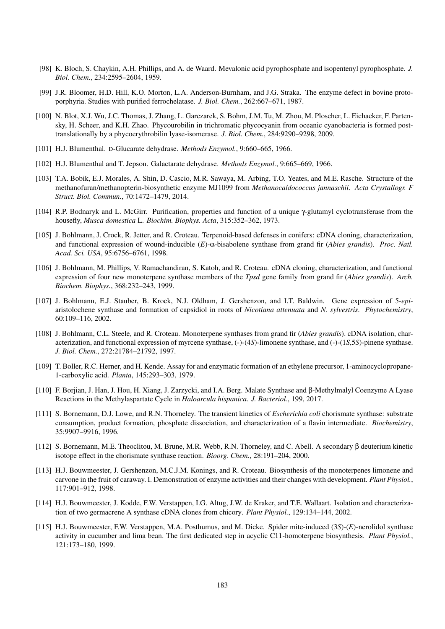- [98] K. Bloch, S. Chaykin, A.H. Phillips, and A. de Waard. Mevalonic acid pyrophosphate and isopentenyl pyrophosphate. *J. Biol. Chem.*, 234:2595–2604, 1959.
- [99] J.R. Bloomer, H.D. Hill, K.O. Morton, L.A. Anderson-Burnham, and J.G. Straka. The enzyme defect in bovine protoporphyria. Studies with purified ferrochelatase. *J. Biol. Chem.*, 262:667–671, 1987.
- [100] N. Blot, X.J. Wu, J.C. Thomas, J. Zhang, L. Garczarek, S. Bohm, J.M. Tu, M. Zhou, M. Ploscher, L. Eichacker, F. Partensky, H. Scheer, and K.H. Zhao. Phycourobilin in trichromatic phycocyanin from oceanic cyanobacteria is formed posttranslationally by a phycoerythrobilin lyase-isomerase. *J. Biol. Chem.*, 284:9290–9298, 2009.
- [101] H.J. Blumenthal. D-Glucarate dehydrase. *Methods Enzymol.*, 9:660–665, 1966.
- [102] H.J. Blumenthal and T. Jepson. Galactarate dehydrase. *Methods Enzymol.*, 9:665–669, 1966.
- [103] T.A. Bobik, E.J. Morales, A. Shin, D. Cascio, M.R. Sawaya, M. Arbing, T.O. Yeates, and M.E. Rasche. Structure of the methanofuran/methanopterin-biosynthetic enzyme MJ1099 from *Methanocaldococcus jannaschii*. *Acta Crystallogr. F Struct. Biol. Commun.*, 70:1472–1479, 2014.
- [104] R.P. Bodnaryk and L. McGirr. Purification, properties and function of a unique γ-glutamyl cyclotransferase from the housefly, *Musca domestica* L. *Biochim. Biophys. Acta*, 315:352–362, 1973.
- [105] J. Bohlmann, J. Crock, R. Jetter, and R. Croteau. Terpenoid-based defenses in conifers: cDNA cloning, characterization, and functional expression of wound-inducible (*E*)-α-bisabolene synthase from grand fir (*Abies grandis*). *Proc. Natl. Acad. Sci. USA*, 95:6756–6761, 1998.
- [106] J. Bohlmann, M. Phillips, V. Ramachandiran, S. Katoh, and R. Croteau. cDNA cloning, characterization, and functional expression of four new monoterpene synthase members of the *Tpsd* gene family from grand fir (*Abies grandis*). *Arch. Biochem. Biophys.*, 368:232–243, 1999.
- [107] J. Bohlmann, E.J. Stauber, B. Krock, N.J. Oldham, J. Gershenzon, and I.T. Baldwin. Gene expression of 5-*epi*aristolochene synthase and formation of capsidiol in roots of *Nicotiana attenuata* and *N. sylvestris*. *Phytochemistry*, 60:109–116, 2002.
- [108] J. Bohlmann, C.L. Steele, and R. Croteau. Monoterpene synthases from grand fir (*Abies grandis*). cDNA isolation, characterization, and functional expression of myrcene synthase, (-)-(4*S*)-limonene synthase, and (-)-(1*S*,5*S*)-pinene synthase. *J. Biol. Chem.*, 272:21784–21792, 1997.
- [109] T. Boller, R.C. Herner, and H. Kende. Assay for and enzymatic formation of an ethylene precursor, 1-aminocyclopropane-1-carboxylic acid. *Planta*, 145:293–303, 1979.
- [110] F. Borjian, J. Han, J. Hou, H. Xiang, J. Zarzycki, and I.A. Berg. Malate Synthase and β-Methylmalyl Coenzyme A Lyase Reactions in the Methylaspartate Cycle in *Haloarcula hispanica*. *J. Bacteriol.*, 199, 2017.
- [111] S. Bornemann, D.J. Lowe, and R.N. Thorneley. The transient kinetics of *Escherichia coli* chorismate synthase: substrate consumption, product formation, phosphate dissociation, and characterization of a flavin intermediate. *Biochemistry*, 35:9907–9916, 1996.
- [112] S. Bornemann, M.E. Theoclitou, M. Brune, M.R. Webb, R.N. Thorneley, and C. Abell. A secondary β deuterium kinetic isotope effect in the chorismate synthase reaction. *Bioorg. Chem.*, 28:191–204, 2000.
- [113] H.J. Bouwmeester, J. Gershenzon, M.C.J.M. Konings, and R. Croteau. Biosynthesis of the monoterpenes limonene and carvone in the fruit of caraway. I. Demonstration of enzyme activities and their changes with development. *Plant Physiol.*, 117:901–912, 1998.
- [114] H.J. Bouwmeester, J. Kodde, F.W. Verstappen, I.G. Altug, J.W. de Kraker, and T.E. Wallaart. Isolation and characterization of two germacrene A synthase cDNA clones from chicory. *Plant Physiol.*, 129:134–144, 2002.
- [115] H.J. Bouwmeester, F.W. Verstappen, M.A. Posthumus, and M. Dicke. Spider mite-induced (3*S*)-(*E*)-nerolidol synthase activity in cucumber and lima bean. The first dedicated step in acyclic C11-homoterpene biosynthesis. *Plant Physiol.*, 121:173–180, 1999.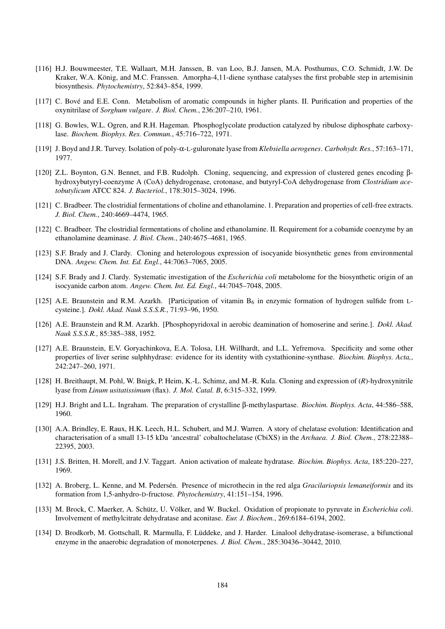- [116] H.J. Bouwmeester, T.E. Wallaart, M.H. Janssen, B. van Loo, B.J. Jansen, M.A. Posthumus, C.O. Schmidt, J.W. De Kraker, W.A. König, and M.C. Franssen. Amorpha-4,11-diene synthase catalyses the first probable step in artemisinin biosynthesis. *Phytochemistry*, 52:843–854, 1999.
- [117] C. Bové and E.E. Conn. Metabolism of aromatic compounds in higher plants. II. Purification and properties of the oxynitrilase of *Sorghum vulgare*. *J. Biol. Chem.*, 236:207–210, 1961.
- [118] G. Bowles, W.L. Ogren, and R.H. Hageman. Phosphoglycolate production catalyzed by ribulose diphosphate carboxylase. *Biochem. Biophys. Res. Commun.*, 45:716–722, 1971.
- [119] J. Boyd and J.R. Turvey. Isolation of poly-α-L-guluronate lyase from *Klebsiella aerogenes*. *Carbohydr. Res.*, 57:163–171, 1977.
- [120] Z.L. Boynton, G.N. Bennet, and F.B. Rudolph. Cloning, sequencing, and expression of clustered genes encoding βhydroxybutyryl-coenzyme A (CoA) dehydrogenase, crotonase, and butyryl-CoA dehydrogenase from *Clostridium acetobutylicum* ATCC 824. *J. Bacteriol.*, 178:3015–3024, 1996.
- [121] C. Bradbeer. The clostridial fermentations of choline and ethanolamine. 1. Preparation and properties of cell-free extracts. *J. Biol. Chem.*, 240:4669–4474, 1965.
- [122] C. Bradbeer. The clostridial fermentations of choline and ethanolamine. II. Requirement for a cobamide coenzyme by an ethanolamine deaminase. *J. Biol. Chem.*, 240:4675–4681, 1965.
- [123] S.F. Brady and J. Clardy. Cloning and heterologous expression of isocyanide biosynthetic genes from environmental DNA. *Angew. Chem. Int. Ed. Engl.*, 44:7063–7065, 2005.
- [124] S.F. Brady and J. Clardy. Systematic investigation of the *Escherichia coli* metabolome for the biosynthetic origin of an isocyanide carbon atom. *Angew. Chem. Int. Ed. Engl.*, 44:7045–7048, 2005.
- [125] A.E. Braunstein and R.M. Azarkh. [Participation of vitamin  $B_6$  in enzymic formation of hydrogen sulfide from Lcysteine.]. *Dokl. Akad. Nauk S.S.S.R.*, 71:93–96, 1950.
- [126] A.E. Braunstein and R.M. Azarkh. [Phosphopyridoxal in aerobic deamination of homoserine and serine.]. *Dokl. Akad. Nauk S.S.S.R.*, 85:385–388, 1952.
- [127] A.E. Braunstein, E.V. Goryachinkova, E.A. Tolosa, I.H. Willhardt, and L.L. Yefremova. Specificity and some other properties of liver serine sulphhydrase: evidence for its identity with cystathionine-synthase. *Biochim. Biophys. Acta,*, 242:247–260, 1971.
- [128] H. Breithaupt, M. Pohl, W. Bnigk, P. Heim, K.-L. Schimz, and M.-R. Kula. Cloning and expression of (*R*)-hydroxynitrile lyase from *Linum usitatissimum* (flax). *J. Mol. Catal. B*, 6:315–332, 1999.
- [129] H.J. Bright and L.L. Ingraham. The preparation of crystalline β-methylaspartase. *Biochim. Biophys. Acta*, 44:586–588, 1960.
- [130] A.A. Brindley, E. Raux, H.K. Leech, H.L. Schubert, and M.J. Warren. A story of chelatase evolution: Identification and characterisation of a small 13-15 kDa 'ancestral' cobaltochelatase (CbiXS) in the *Archaea*. *J. Biol. Chem.*, 278:22388– 22395, 2003.
- [131] J.S. Britten, H. Morell, and J.V. Taggart. Anion activation of maleate hydratase. *Biochim. Biophys. Acta*, 185:220–227, 1969.
- [132] A. Broberg, L. Kenne, and M. Pedersén. Presence of microthecin in the red alga *Gracilariopsis lemaneiformis* and its formation from 1,5-anhydro-D-fructose. *Phytochemistry*, 41:151–154, 1996.
- [133] M. Brock, C. Maerker, A. Schütz, U. Völker, and W. Buckel. Oxidation of propionate to pyruvate in *Escherichia coli*. Involvement of methylcitrate dehydratase and aconitase. *Eur. J. Biochem.*, 269:6184–6194, 2002.
- [134] D. Brodkorb, M. Gottschall, R. Marmulla, F. Lüddeke, and J. Harder. Linalool dehydratase-isomerase, a bifunctional enzyme in the anaerobic degradation of monoterpenes. *J. Biol. Chem.*, 285:30436–30442, 2010.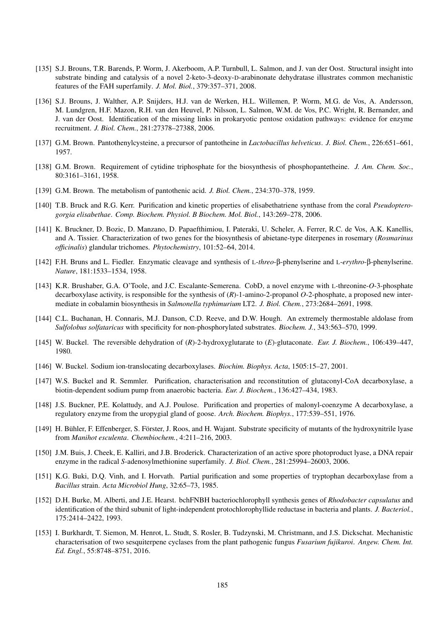- [135] S.J. Brouns, T.R. Barends, P. Worm, J. Akerboom, A.P. Turnbull, L. Salmon, and J. van der Oost. Structural insight into substrate binding and catalysis of a novel 2-keto-3-deoxy-D-arabinonate dehydratase illustrates common mechanistic features of the FAH superfamily. *J. Mol. Biol.*, 379:357–371, 2008.
- [136] S.J. Brouns, J. Walther, A.P. Snijders, H.J. van de Werken, H.L. Willemen, P. Worm, M.G. de Vos, A. Andersson, M. Lundgren, H.F. Mazon, R.H. van den Heuvel, P. Nilsson, L. Salmon, W.M. de Vos, P.C. Wright, R. Bernander, and J. van der Oost. Identification of the missing links in prokaryotic pentose oxidation pathways: evidence for enzyme recruitment. *J. Biol. Chem.*, 281:27378–27388, 2006.
- [137] G.M. Brown. Pantothenylcysteine, a precursor of pantotheine in *Lactobacillus helveticus*. *J. Biol. Chem.*, 226:651–661, 1957.
- [138] G.M. Brown. Requirement of cytidine triphosphate for the biosynthesis of phosphopantetheine. *J. Am. Chem. Soc.*, 80:3161–3161, 1958.
- [139] G.M. Brown. The metabolism of pantothenic acid. *J. Biol. Chem.*, 234:370–378, 1959.
- [140] T.B. Bruck and R.G. Kerr. Purification and kinetic properties of elisabethatriene synthase from the coral *Pseudopterogorgia elisabethae*. *Comp. Biochem. Physiol. B Biochem. Mol. Biol.*, 143:269–278, 2006.
- [141] K. Bruckner, D. Bozic, D. Manzano, D. Papaefthimiou, I. Pateraki, U. Scheler, A. Ferrer, R.C. de Vos, A.K. Kanellis, and A. Tissier. Characterization of two genes for the biosynthesis of abietane-type diterpenes in rosemary (*Rosmarinus officinalis*) glandular trichomes. *Phytochemistry*, 101:52–64, 2014.
- [142] F.H. Bruns and L. Fiedler. Enzymatic cleavage and synthesis of L-*threo*-β-phenylserine and L-*erythro*-β-phenylserine. *Nature*, 181:1533–1534, 1958.
- [143] K.R. Brushaber, G.A. O'Toole, and J.C. Escalante-Semerena. CobD, a novel enzyme with L-threonine-*O*-3-phosphate decarboxylase activity, is responsible for the synthesis of (*R*)-1-amino-2-propanol *O*-2-phosphate, a proposed new intermediate in cobalamin biosynthesis in *Salmonella typhimurium* LT2. *J. Biol. Chem.*, 273:2684–2691, 1998.
- [144] C.L. Buchanan, H. Connaris, M.J. Danson, C.D. Reeve, and D.W. Hough. An extremely thermostable aldolase from *Sulfolobus solfataricus* with specificity for non-phosphorylated substrates. *Biochem. J.*, 343:563–570, 1999.
- [145] W. Buckel. The reversible dehydration of (*R*)-2-hydroxyglutarate to (*E*)-glutaconate. *Eur. J. Biochem.*, 106:439–447, 1980.
- [146] W. Buckel. Sodium ion-translocating decarboxylases. *Biochim. Biophys. Acta*, 1505:15–27, 2001.
- [147] W.S. Buckel and R. Semmler. Purification, characterisation and reconstitution of glutaconyl-CoA decarboxylase, a biotin-dependent sodium pump from anaerobic bacteria. *Eur. J. Biochem.*, 136:427–434, 1983.
- [148] J.S. Buckner, P.E. Kolattudy, and A.J. Poulose. Purification and properties of malonyl-coenzyme A decarboxylase, a regulatory enzyme from the uropygial gland of goose. *Arch. Biochem. Biophys.*, 177:539–551, 1976.
- [149] H. Bühler, F. Effenberger, S. Förster, J. Roos, and H. Wajant. Substrate specificity of mutants of the hydroxynitrile lyase from *Manihot esculenta*. *Chembiochem.*, 4:211–216, 2003.
- [150] J.M. Buis, J. Cheek, E. Kalliri, and J.B. Broderick. Characterization of an active spore photoproduct lyase, a DNA repair enzyme in the radical *S*-adenosylmethionine superfamily. *J. Biol. Chem.*, 281:25994–26003, 2006.
- [151] K.G. Buki, D.Q. Vinh, and I. Horvath. Partial purification and some properties of tryptophan decarboxylase from a *Bacillus* strain. *Acta Microbiol Hung*, 32:65–73, 1985.
- [152] D.H. Burke, M. Alberti, and J.E. Hearst. bchFNBH bacteriochlorophyll synthesis genes of *Rhodobacter capsulatus* and identification of the third subunit of light-independent protochlorophyllide reductase in bacteria and plants. *J. Bacteriol.*, 175:2414–2422, 1993.
- [153] I. Burkhardt, T. Siemon, M. Henrot, L. Studt, S. Rosler, B. Tudzynski, M. Christmann, and J.S. Dickschat. Mechanistic characterisation of two sesquiterpene cyclases from the plant pathogenic fungus *Fusarium fujikuroi*. *Angew. Chem. Int. Ed. Engl.*, 55:8748–8751, 2016.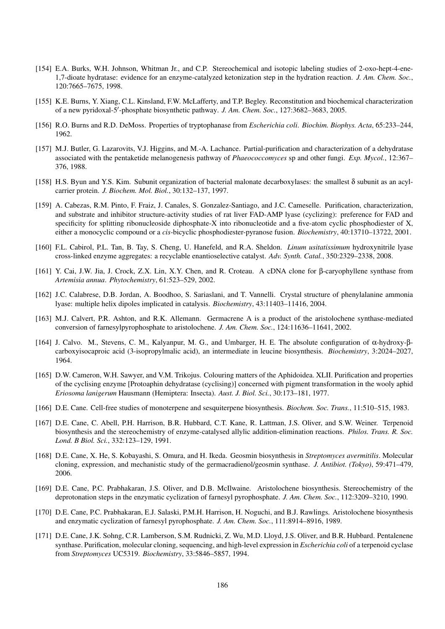- [154] E.A. Burks, W.H. Johnson, Whitman Jr., and C.P. Stereochemical and isotopic labeling studies of 2-oxo-hept-4-ene-1,7-dioate hydratase: evidence for an enzyme-catalyzed ketonization step in the hydration reaction. *J. Am. Chem. Soc.*, 120:7665–7675, 1998.
- [155] K.E. Burns, Y. Xiang, C.L. Kinsland, F.W. McLafferty, and T.P. Begley. Reconstitution and biochemical characterization of a new pyridoxal-5'-phosphate biosynthetic pathway. *J. Am. Chem. Soc.*, 127:3682-3683, 2005.
- [156] R.O. Burns and R.D. DeMoss. Properties of tryptophanase from *Escherichia coli*. *Biochim. Biophys. Acta*, 65:233–244, 1962.
- [157] M.J. Butler, G. Lazarovits, V.J. Higgins, and M.-A. Lachance. Partial-purification and characterization of a dehydratase associated with the pentaketide melanogenesis pathway of *Phaeococcomyces* sp and other fungi. *Exp. Mycol.*, 12:367– 376, 1988.
- [158] H.S. Byun and Y.S. Kim. Subunit organization of bacterial malonate decarboxylases: the smallest δ subunit as an acylcarrier protein. *J. Biochem. Mol. Biol.*, 30:132–137, 1997.
- [159] A. Cabezas, R.M. Pinto, F. Fraiz, J. Canales, S. Gonzalez-Santiago, and J.C. Cameselle. Purification, characterization, and substrate and inhibitor structure-activity studies of rat liver FAD-AMP lyase (cyclizing): preference for FAD and specificity for splitting ribonucleoside diphosphate-X into ribonucleotide and a five-atom cyclic phosphodiester of X, either a monocyclic compound or a *cis*-bicyclic phosphodiester-pyranose fusion. *Biochemistry*, 40:13710–13722, 2001.
- [160] F.L. Cabirol, P.L. Tan, B. Tay, S. Cheng, U. Hanefeld, and R.A. Sheldon. *Linum usitatissimum* hydroxynitrile lyase cross-linked enzyme aggregates: a recyclable enantioselective catalyst. *Adv. Synth. Catal.*, 350:2329–2338, 2008.
- [161] Y. Cai, J.W. Jia, J. Crock, Z.X. Lin, X.Y. Chen, and R. Croteau. A cDNA clone for β-caryophyllene synthase from *Artemisia annua*. *Phytochemistry*, 61:523–529, 2002.
- [162] J.C. Calabrese, D.B. Jordan, A. Boodhoo, S. Sariaslani, and T. Vannelli. Crystal structure of phenylalanine ammonia lyase: multiple helix dipoles implicated in catalysis. *Biochemistry*, 43:11403–11416, 2004.
- [163] M.J. Calvert, P.R. Ashton, and R.K. Allemann. Germacrene A is a product of the aristolochene synthase-mediated conversion of farnesylpyrophosphate to aristolochene. *J. Am. Chem. Soc.*, 124:11636–11641, 2002.
- [164] J. Calvo. M., Stevens, C. M., Kalyanpur, M. G., and Umbarger, H. E. The absolute configuration of α-hydroxy-βcarboxyisocaproic acid (3-isopropylmalic acid), an intermediate in leucine biosynthesis. *Biochemistry*, 3:2024–2027, 1964.
- [165] D.W. Cameron, W.H. Sawyer, and V.M. Trikojus. Colouring matters of the Aphidoidea. XLII. Purification and properties of the cyclising enzyme [Protoaphin dehydratase (cyclising)] concerned with pigment transformation in the wooly aphid *Eriosoma lanigerum* Hausmann (Hemiptera: Insecta). *Aust. J. Biol. Sci.*, 30:173–181, 1977.
- [166] D.E. Cane. Cell-free studies of monoterpene and sesquiterpene biosynthesis. *Biochem. Soc. Trans.*, 11:510–515, 1983.
- [167] D.E. Cane, C. Abell, P.H. Harrison, B.R. Hubbard, C.T. Kane, R. Lattman, J.S. Oliver, and S.W. Weiner. Terpenoid biosynthesis and the stereochemistry of enzyme-catalysed allylic addition-elimination reactions. *Philos. Trans. R. Soc. Lond. B Biol. Sci.*, 332:123–129, 1991.
- [168] D.E. Cane, X. He, S. Kobayashi, S. Omura, and H. Ikeda. Geosmin biosynthesis in *Streptomyces avermitilis*. Molecular cloning, expression, and mechanistic study of the germacradienol/geosmin synthase. *J. Antibiot. (Tokyo)*, 59:471–479, 2006.
- [169] D.E. Cane, P.C. Prabhakaran, J.S. Oliver, and D.B. McIlwaine. Aristolochene biosynthesis. Stereochemistry of the deprotonation steps in the enzymatic cyclization of farnesyl pyrophosphate. *J. Am. Chem. Soc.*, 112:3209–3210, 1990.
- [170] D.E. Cane, P.C. Prabhakaran, E.J. Salaski, P.M.H. Harrison, H. Noguchi, and B.J. Rawlings. Aristolochene biosynthesis and enzymatic cyclization of farnesyl pyrophosphate. *J. Am. Chem. Soc.*, 111:8914–8916, 1989.
- [171] D.E. Cane, J.K. Sohng, C.R. Lamberson, S.M. Rudnicki, Z. Wu, M.D. Lloyd, J.S. Oliver, and B.R. Hubbard. Pentalenene synthase. Purification, molecular cloning, sequencing, and high-level expression in *Escherichia coli* of a terpenoid cyclase from *Streptomyces* UC5319. *Biochemistry*, 33:5846–5857, 1994.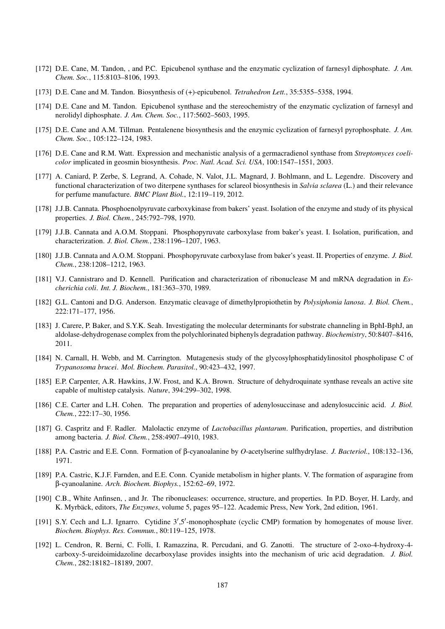- [172] D.E. Cane, M. Tandon, , and P.C. Epicubenol synthase and the enzymatic cyclization of farnesyl diphosphate. *J. Am. Chem. Soc.*, 115:8103–8106, 1993.
- [173] D.E. Cane and M. Tandon. Biosynthesis of (+)-epicubenol. *Tetrahedron Lett.*, 35:5355–5358, 1994.
- [174] D.E. Cane and M. Tandon. Epicubenol synthase and the stereochemistry of the enzymatic cyclization of farnesyl and nerolidyl diphosphate. *J. Am. Chem. Soc.*, 117:5602–5603, 1995.
- [175] D.E. Cane and A.M. Tillman. Pentalenene biosynthesis and the enzymic cyclization of farnesyl pyrophosphate. *J. Am. Chem. Soc.*, 105:122–124, 1983.
- [176] D.E. Cane and R.M. Watt. Expression and mechanistic analysis of a germacradienol synthase from *Streptomyces coelicolor* implicated in geosmin biosynthesis. *Proc. Natl. Acad. Sci. USA*, 100:1547–1551, 2003.
- [177] A. Caniard, P. Zerbe, S. Legrand, A. Cohade, N. Valot, J.L. Magnard, J. Bohlmann, and L. Legendre. Discovery and functional characterization of two diterpene synthases for sclareol biosynthesis in *Salvia sclarea* (L.) and their relevance for perfume manufacture. *BMC Plant Biol.*, 12:119–119, 2012.
- [178] J.J.B. Cannata. Phosphoenolpyruvate carboxykinase from bakers' yeast. Isolation of the enzyme and study of its physical properties. *J. Biol. Chem.*, 245:792–798, 1970.
- [179] J.J.B. Cannata and A.O.M. Stoppani. Phosphopyruvate carboxylase from baker's yeast. I. Isolation, purification, and characterization. *J. Biol. Chem.*, 238:1196–1207, 1963.
- [180] J.J.B. Cannata and A.O.M. Stoppani. Phosphopyruvate carboxylase from baker's yeast. II. Properties of enzyme. *J. Biol. Chem.*, 238:1208–1212, 1963.
- [181] V.J. Cannistraro and D. Kennell. Purification and characterization of ribonuclease M and mRNA degradation in *Escherichia coli*. *Int. J. Biochem.*, 181:363–370, 1989.
- [182] G.L. Cantoni and D.G. Anderson. Enzymatic cleavage of dimethylpropiothetin by *Polysiphonia lanosa*. *J. Biol. Chem.*, 222:171–177, 1956.
- [183] J. Carere, P. Baker, and S.Y.K. Seah. Investigating the molecular determinants for substrate channeling in BphI-BphJ, an aldolase-dehydrogenase complex from the polychlorinated biphenyls degradation pathway. *Biochemistry*, 50:8407–8416, 2011.
- [184] N. Carnall, H. Webb, and M. Carrington. Mutagenesis study of the glycosylphosphatidylinositol phospholipase C of *Trypanosoma brucei*. *Mol. Biochem. Parasitol.*, 90:423–432, 1997.
- [185] E.P. Carpenter, A.R. Hawkins, J.W. Frost, and K.A. Brown. Structure of dehydroquinate synthase reveals an active site capable of multistep catalysis. *Nature*, 394:299–302, 1998.
- [186] C.E. Carter and L.H. Cohen. The preparation and properties of adenylosuccinase and adenylosuccinic acid. *J. Biol. Chem.*, 222:17–30, 1956.
- [187] G. Caspritz and F. Radler. Malolactic enzyme of *Lactobacillus plantarum*. Purification, properties, and distribution among bacteria. *J. Biol. Chem.*, 258:4907–4910, 1983.
- [188] P.A. Castric and E.E. Conn. Formation of β-cyanoalanine by *O*-acetylserine sulfhydrylase. *J. Bacteriol.*, 108:132–136, 1971.
- [189] P.A. Castric, K.J.F. Farnden, and E.E. Conn. Cyanide metabolism in higher plants. V. The formation of asparagine from β-cyanoalanine. *Arch. Biochem. Biophys.*, 152:62–69, 1972.
- [190] C.B., White Anfinsen, , and Jr. The ribonucleases: occurrence, structure, and properties. In P.D. Boyer, H. Lardy, and K. Myrbäck, editors, *The Enzymes*, volume 5, pages 95–122. Academic Press, New York, 2nd edition, 1961.
- [191] S.Y. Cech and L.J. Ignarro. Cytidine 3',5'-monophosphate (cyclic CMP) formation by homogenates of mouse liver. *Biochem. Biophys. Res. Commun.*, 80:119–125, 1978.
- [192] L. Cendron, R. Berni, C. Folli, I. Ramazzina, R. Percudani, and G. Zanotti. The structure of 2-oxo-4-hydroxy-4 carboxy-5-ureidoimidazoline decarboxylase provides insights into the mechanism of uric acid degradation. *J. Biol. Chem.*, 282:18182–18189, 2007.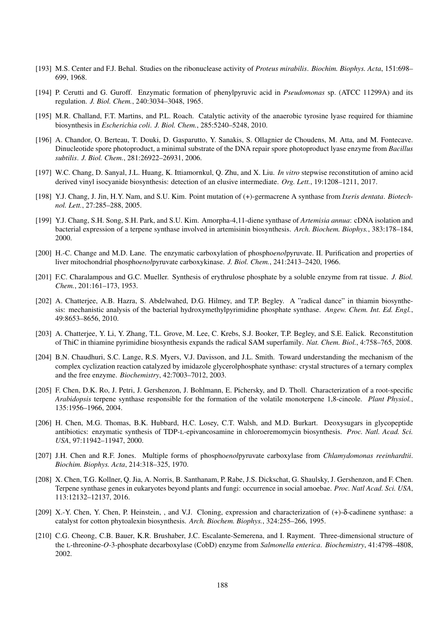- [193] M.S. Center and F.J. Behal. Studies on the ribonuclease activity of *Proteus mirabilis*. *Biochim. Biophys. Acta*, 151:698– 699, 1968.
- [194] P. Cerutti and G. Guroff. Enzymatic formation of phenylpyruvic acid in *Pseudomonas* sp. (ATCC 11299A) and its regulation. *J. Biol. Chem.*, 240:3034–3048, 1965.
- [195] M.R. Challand, F.T. Martins, and P.L. Roach. Catalytic activity of the anaerobic tyrosine lyase required for thiamine biosynthesis in *Escherichia coli*. *J. Biol. Chem.*, 285:5240–5248, 2010.
- [196] A. Chandor, O. Berteau, T. Douki, D. Gasparutto, Y. Sanakis, S. Ollagnier de Choudens, M. Atta, and M. Fontecave. Dinucleotide spore photoproduct, a minimal substrate of the DNA repair spore photoproduct lyase enzyme from *Bacillus subtilis*. *J. Biol. Chem.*, 281:26922–26931, 2006.
- [197] W.C. Chang, D. Sanyal, J.L. Huang, K. Ittiamornkul, Q. Zhu, and X. Liu. *In vitro* stepwise reconstitution of amino acid derived vinyl isocyanide biosynthesis: detection of an elusive intermediate. *Org. Lett.*, 19:1208–1211, 2017.
- [198] Y.J. Chang, J. Jin, H.Y. Nam, and S.U. Kim. Point mutation of (+)-germacrene A synthase from *Ixeris dentata*. *Biotechnol. Lett.*, 27:285–288, 2005.
- [199] Y.J. Chang, S.H. Song, S.H. Park, and S.U. Kim. Amorpha-4,11-diene synthase of *Artemisia annua*: cDNA isolation and bacterial expression of a terpene synthase involved in artemisinin biosynthesis. *Arch. Biochem. Biophys.*, 383:178–184, 2000.
- [200] H.-C. Change and M.D. Lane. The enzymatic carboxylation of phospho*enol*pyruvate. II. Purification and properties of liver mitochondrial phospho*enol*pyruvate carboxykinase. *J. Biol. Chem.*, 241:2413–2420, 1966.
- [201] F.C. Charalampous and G.C. Mueller. Synthesis of erythrulose phosphate by a soluble enzyme from rat tissue. *J. Biol. Chem.*, 201:161–173, 1953.
- [202] A. Chatterjee, A.B. Hazra, S. Abdelwahed, D.G. Hilmey, and T.P. Begley. A "radical dance" in thiamin biosynthesis: mechanistic analysis of the bacterial hydroxymethylpyrimidine phosphate synthase. *Angew. Chem. Int. Ed. Engl.*, 49:8653–8656, 2010.
- [203] A. Chatterjee, Y. Li, Y. Zhang, T.L. Grove, M. Lee, C. Krebs, S.J. Booker, T.P. Begley, and S.E. Ealick. Reconstitution of ThiC in thiamine pyrimidine biosynthesis expands the radical SAM superfamily. *Nat. Chem. Biol.*, 4:758–765, 2008.
- [204] B.N. Chaudhuri, S.C. Lange, R.S. Myers, V.J. Davisson, and J.L. Smith. Toward understanding the mechanism of the complex cyclization reaction catalyzed by imidazole glycerolphosphate synthase: crystal structures of a ternary complex and the free enzyme. *Biochemistry*, 42:7003–7012, 2003.
- [205] F. Chen, D.K. Ro, J. Petri, J. Gershenzon, J. Bohlmann, E. Pichersky, and D. Tholl. Characterization of a root-specific *Arabidopsis* terpene synthase responsible for the formation of the volatile monoterpene 1,8-cineole. *Plant Physiol.*, 135:1956–1966, 2004.
- [206] H. Chen, M.G. Thomas, B.K. Hubbard, H.C. Losey, C.T. Walsh, and M.D. Burkart. Deoxysugars in glycopeptide antibiotics: enzymatic synthesis of TDP-L-epivancosamine in chloroeremomycin biosynthesis. *Proc. Natl. Acad. Sci. USA*, 97:11942–11947, 2000.
- [207] J.H. Chen and R.F. Jones. Multiple forms of phospho*enol*pyruvate carboxylase from *Chlamydomonas reeinhardtii*. *Biochim. Biophys. Acta*, 214:318–325, 1970.
- [208] X. Chen, T.G. Kollner, Q. Jia, A. Norris, B. Santhanam, P. Rabe, J.S. Dickschat, G. Shaulsky, J. Gershenzon, and F. Chen. Terpene synthase genes in eukaryotes beyond plants and fungi: occurrence in social amoebae. *Proc. Natl Acad. Sci. USA*, 113:12132–12137, 2016.
- [209] X.-Y. Chen, Y. Chen, P. Heinstein, , and V.J. Cloning, expression and characterization of (+)-δ-cadinene synthase: a catalyst for cotton phytoalexin biosynthesis. *Arch. Biochem. Biophys.*, 324:255–266, 1995.
- [210] C.G. Cheong, C.B. Bauer, K.R. Brushaber, J.C. Escalante-Semerena, and I. Rayment. Three-dimensional structure of the L-threonine-*O*-3-phosphate decarboxylase (CobD) enzyme from *Salmonella enterica*. *Biochemistry*, 41:4798–4808, 2002.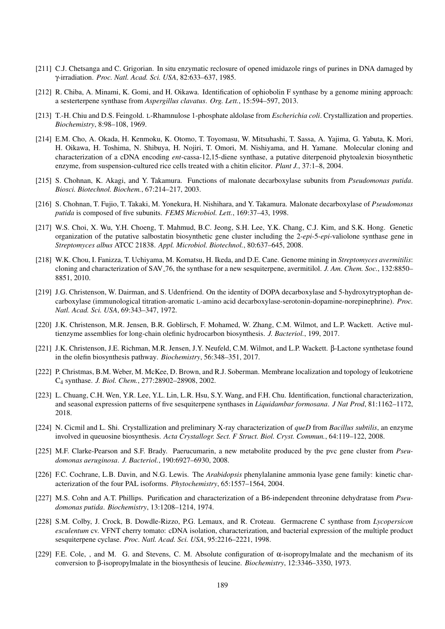- [211] C.J. Chetsanga and C. Grigorian. In situ enzymatic reclosure of opened imidazole rings of purines in DNA damaged by γ-irradiation. *Proc. Natl. Acad. Sci. USA*, 82:633–637, 1985.
- [212] R. Chiba, A. Minami, K. Gomi, and H. Oikawa. Identification of ophiobolin F synthase by a genome mining approach: a sesterterpene synthase from *Aspergillus clavatus*. *Org. Lett.*, 15:594–597, 2013.
- [213] T.-H. Chiu and D.S. Feingold. L-Rhamnulose 1-phosphate aldolase from *Escherichia coli*. Crystallization and properties. *Biochemistry*, 8:98–108, 1969.
- [214] E.M. Cho, A. Okada, H. Kenmoku, K. Otomo, T. Toyomasu, W. Mitsuhashi, T. Sassa, A. Yajima, G. Yabuta, K. Mori, H. Oikawa, H. Toshima, N. Shibuya, H. Nojiri, T. Omori, M. Nishiyama, and H. Yamane. Molecular cloning and characterization of a cDNA encoding *ent*-cassa-12,15-diene synthase, a putative diterpenoid phytoalexin biosynthetic enzyme, from suspension-cultured rice cells treated with a chitin elicitor. *Plant J.*, 37:1–8, 2004.
- [215] S. Chohnan, K. Akagi, and Y. Takamura. Functions of malonate decarboxylase subunits from *Pseudomonas putida*. *Biosci. Biotechnol. Biochem.*, 67:214–217, 2003.
- [216] S. Chohnan, T. Fujio, T. Takaki, M. Yonekura, H. Nishihara, and Y. Takamura. Malonate decarboxylase of *Pseudomonas putida* is composed of five subunits. *FEMS Microbiol. Lett.*, 169:37–43, 1998.
- [217] W.S. Choi, X. Wu, Y.H. Choeng, T. Mahmud, B.C. Jeong, S.H. Lee, Y.K. Chang, C.J. Kim, and S.K. Hong. Genetic organization of the putative salbostatin biosynthetic gene cluster including the 2-*epi*-5-*epi*-valiolone synthase gene in *Streptomyces albus* ATCC 21838. *Appl. Microbiol. Biotechnol.*, 80:637–645, 2008.
- [218] W.K. Chou, I. Fanizza, T. Uchiyama, M. Komatsu, H. Ikeda, and D.E. Cane. Genome mining in *Streptomyces avermitilis*: cloning and characterization of SAV 76, the synthase for a new sesquiterpene, avermitilol. *J. Am. Chem. Soc.*, 132:8850– 8851, 2010.
- [219] J.G. Christenson, W. Dairman, and S. Udenfriend. On the identity of DOPA decarboxylase and 5-hydroxytryptophan decarboxylase (immunological titration-aromatic L-amino acid decarboxylase-serotonin-dopamine-norepinephrine). *Proc. Natl. Acad. Sci. USA*, 69:343–347, 1972.
- [220] J.K. Christenson, M.R. Jensen, B.R. Goblirsch, F. Mohamed, W. Zhang, C.M. Wilmot, and L.P. Wackett. Active multienzyme assemblies for long-chain olefinic hydrocarbon biosynthesis. *J. Bacteriol.*, 199, 2017.
- [221] J.K. Christenson, J.E. Richman, M.R. Jensen, J.Y. Neufeld, C.M. Wilmot, and L.P. Wackett. β-Lactone synthetase found in the olefin biosynthesis pathway. *Biochemistry*, 56:348–351, 2017.
- [222] P. Christmas, B.M. Weber, M. McKee, D. Brown, and R.J. Soberman. Membrane localization and topology of leukotriene C<sup>4</sup> synthase. *J. Biol. Chem.*, 277:28902–28908, 2002.
- [223] L. Chuang, C.H. Wen, Y.R. Lee, Y.L. Lin, L.R. Hsu, S.Y. Wang, and F.H. Chu. Identification, functional characterization, and seasonal expression patterns of five sesquiterpene synthases in *Liquidambar formosana*. *J Nat Prod*, 81:1162–1172, 2018.
- [224] N. Cicmil and L. Shi. Crystallization and preliminary X-ray characterization of *queD* from *Bacillus subtilis*, an enzyme involved in queuosine biosynthesis. *Acta Crystallogr. Sect. F Struct. Biol. Cryst. Commun.*, 64:119–122, 2008.
- [225] M.F. Clarke-Pearson and S.F. Brady. Paerucumarin, a new metabolite produced by the pvc gene cluster from *Pseudomonas aeruginosa*. *J. Bacteriol.*, 190:6927–6930, 2008.
- [226] F.C. Cochrane, L.B. Davin, and N.G. Lewis. The *Arabidopsis* phenylalanine ammonia lyase gene family: kinetic characterization of the four PAL isoforms. *Phytochemistry*, 65:1557–1564, 2004.
- [227] M.S. Cohn and A.T. Phillips. Purification and characterization of a B6-independent threonine dehydratase from *Pseudomonas putida*. *Biochemistry*, 13:1208–1214, 1974.
- [228] S.M. Colby, J. Crock, B. Dowdle-Rizzo, P.G. Lemaux, and R. Croteau. Germacrene C synthase from *Lycopersicon esculentum* cv. VFNT cherry tomato: cDNA isolation, characterization, and bacterial expression of the multiple product sesquiterpene cyclase. *Proc. Natl. Acad. Sci. USA*, 95:2216–2221, 1998.
- [229] F.E. Cole, , and M. G. and Stevens, C. M. Absolute configuration of  $\alpha$ -isopropylmalate and the mechanism of its conversion to β-isopropylmalate in the biosynthesis of leucine. *Biochemistry*, 12:3346–3350, 1973.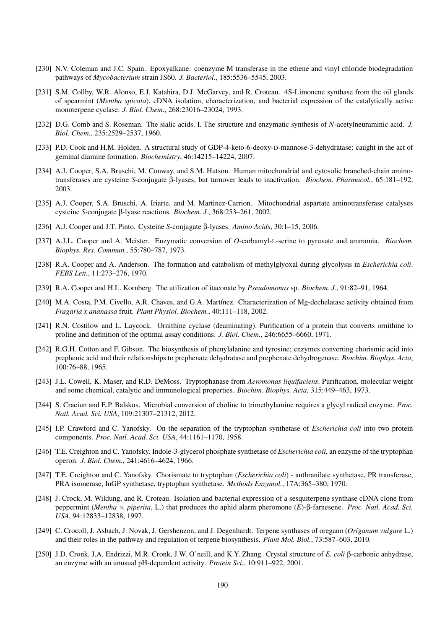- [230] N.V. Coleman and J.C. Spain. Epoxyalkane: coenzyme M transferase in the ethene and vinyl chloride biodegradation pathways of *Mycobacterium* strain JS60. *J. Bacteriol.*, 185:5536–5545, 2003.
- [231] S.M. Collby, W.R. Alonso, E.J. Katahira, D.J. McGarvey, and R. Croteau. 4S-Limonene synthase from the oil glands of spearmint (*Mentha spicata*). cDNA isolation, characterization, and bacterial expression of the catalytically active monoterpene cyclase. *J. Biol. Chem.*, 268:23016–23024, 1993.
- [232] D.G. Comb and S. Roseman. The sialic acids. I. The structure and enzymatic synthesis of *N*-acetylneuraminic acid. *J. Biol. Chem.*, 235:2529–2537, 1960.
- [233] P.D. Cook and H.M. Holden. A structural study of GDP-4-keto-6-deoxy-D-mannose-3-dehydratase: caught in the act of geminal diamine formation. *Biochemistry*, 46:14215–14224, 2007.
- [234] A.J. Cooper, S.A. Bruschi, M. Conway, and S.M. Hutson. Human mitochondrial and cytosolic branched-chain aminotransferases are cysteine *S*-conjugate β-lyases, but turnover leads to inactivation. *Biochem. Pharmacol.*, 65:181–192, 2003.
- [235] A.J. Cooper, S.A. Bruschi, A. Iriarte, and M. Martinez-Carrion. Mitochondrial aspartate aminotransferase catalyses cysteine *S*-conjugate β-lyase reactions. *Biochem. J.*, 368:253–261, 2002.
- [236] A.J. Cooper and J.T. Pinto. Cysteine *S*-conjugate β-lyases. *Amino Acids*, 30:1–15, 2006.
- [237] A.J.L. Cooper and A. Meister. Enzymatic conversion of *O*-carbamyl-L-serine to pyruvate and ammonia. *Biochem. Biophys. Res. Commun.*, 55:780–787, 1973.
- [238] R.A. Cooper and A. Anderson. The formation and catabolism of methylglyoxal during glycolysis in *Escherichia coli*. *FEBS Lett.*, 11:273–276, 1970.
- [239] R.A. Cooper and H.L. Kornberg. The utilization of itaconate by *Pseudomonas* sp. *Biochem. J.*, 91:82–91, 1964.
- [240] M.A. Costa, P.M. Civello, A.R. Chaves, and G.A. Martínez. Characterization of Mg-dechelatase activity obtained from *Fragaria x ananassa* fruit. *Plant Physiol. Biochem.*, 40:111–118, 2002.
- [241] R.N. Costilow and L. Laycock. Ornithine cyclase (deaminating). Purification of a protein that converts ornithine to proline and definition of the optimal assay conditions. *J. Biol. Chem.*, 246:6655–6660, 1971.
- [242] R.G.H. Cotton and F. Gibson. The biosynthesis of phenylalanine and tyrosine; enzymes converting chorismic acid into prephenic acid and their relationships to prephenate dehydratase and prephenate dehydrogenase. *Biochim. Biophys. Acta*, 100:76–88, 1965.
- [243] J.L. Cowell, K. Maser, and R.D. DeMoss. Tryptophanase from *Aeromonas liquifaciens*. Purification, molecular weight and some chemical, catalytic and immunological properties. *Biochim. Biophys. Acta*, 315:449–463, 1973.
- [244] S. Craciun and E.P. Balskus. Microbial conversion of choline to trimethylamine requires a glycyl radical enzyme. *Proc. Natl. Acad. Sci. USA*, 109:21307–21312, 2012.
- [245] I.P. Crawford and C. Yanofsky. On the separation of the tryptophan synthetase of *Escherichia coli* into two protein components. *Proc. Natl. Acad. Sci. USA*, 44:1161–1170, 1958.
- [246] T.E. Creighton and C. Yanofsky. Indole-3-glycerol phosphate synthetase of *Escherichia coli*, an enzyme of the tryptophan operon. *J. Biol. Chem.*, 241:4616–4624, 1966.
- [247] T.E. Creighton and C. Yanofsky. Chorismate to tryptophan (*Escherichia coli*) anthranilate synthetase, PR transferase, PRA isomerase, InGP synthetase, tryptophan synthetase. *Methods Enzymol.*, 17A:365–380, 1970.
- [248] J. Crock, M. Wildung, and R. Croteau. Isolation and bacterial expression of a sesquiterpene synthase cDNA clone from peppermint (*Mentha* × *piperita*, L.) that produces the aphid alarm pheromone (*E*)-β-farnesene. *Proc. Natl. Acad. Sci. USA*, 94:12833–12838, 1997.
- [249] C. Crocoll, J. Asbach, J. Novak, J. Gershenzon, and J. Degenhardt. Terpene synthases of oregano (*Origanum vulgare* L.) and their roles in the pathway and regulation of terpene biosynthesis. *Plant Mol. Biol.*, 73:587–603, 2010.
- [250] J.D. Cronk, J.A. Endrizzi, M.R. Cronk, J.W. O'neill, and K.Y. Zhang. Crystal structure of *E. coli* β-carbonic anhydrase, an enzyme with an unusual pH-dependent activity. *Protein Sci.*, 10:911–922, 2001.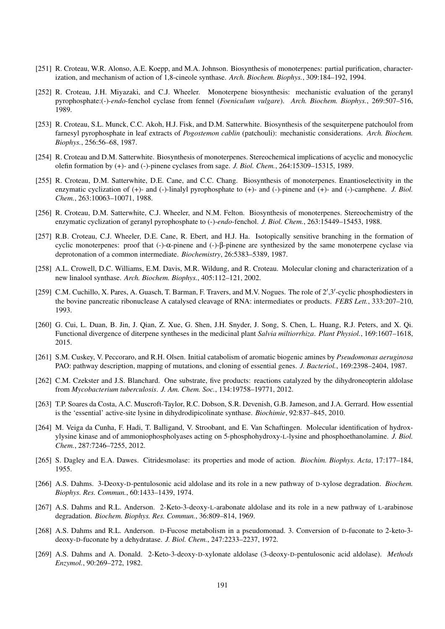- [251] R. Croteau, W.R. Alonso, A.E. Koepp, and M.A. Johnson. Biosynthesis of monoterpenes: partial purification, characterization, and mechanism of action of 1,8-cineole synthase. *Arch. Biochem. Biophys.*, 309:184–192, 1994.
- [252] R. Croteau, J.H. Miyazaki, and C.J. Wheeler. Monoterpene biosynthesis: mechanistic evaluation of the geranyl pyrophosphate:(-)-*endo*-fenchol cyclase from fennel (*Foeniculum vulgare*). *Arch. Biochem. Biophys.*, 269:507–516, 1989.
- [253] R. Croteau, S.L. Munck, C.C. Akoh, H.J. Fisk, and D.M. Satterwhite. Biosynthesis of the sesquiterpene patchoulol from farnesyl pyrophosphate in leaf extracts of *Pogostemon cablin* (patchouli): mechanistic considerations. *Arch. Biochem. Biophys.*, 256:56–68, 1987.
- [254] R. Croteau and D.M. Satterwhite. Biosynthesis of monoterpenes. Stereochemical implications of acyclic and monocyclic olefin formation by (+)- and (-)-pinene cyclases from sage. *J. Biol. Chem.*, 264:15309–15315, 1989.
- [255] R. Croteau, D.M. Satterwhite, D.E. Cane, and C.C. Chang. Biosynthesis of monoterpenes. Enantioselectivity in the enzymatic cyclization of (+)- and (-)-linalyl pyrophosphate to (+)- and (-)-pinene and (+)- and (-)-camphene. *J. Biol. Chem.*, 263:10063–10071, 1988.
- [256] R. Croteau, D.M. Satterwhite, C.J. Wheeler, and N.M. Felton. Biosynthesis of monoterpenes. Stereochemistry of the enzymatic cyclization of geranyl pyrophosphate to (-)-*endo*-fenchol. *J. Biol. Chem.*, 263:15449–15453, 1988.
- [257] R.B. Croteau, C.J. Wheeler, D.E. Cane, R. Ebert, and H.J. Ha. Isotopically sensitive branching in the formation of cyclic monoterpenes: proof that (-)-α-pinene and (-)-β-pinene are synthesized by the same monoterpene cyclase via deprotonation of a common intermediate. *Biochemistry*, 26:5383–5389, 1987.
- [258] A.L. Crowell, D.C. Williams, E.M. Davis, M.R. Wildung, and R. Croteau. Molecular cloning and characterization of a new linalool synthase. *Arch. Biochem. Biophys.*, 405:112–121, 2002.
- [259] C.M. Cuchillo, X. Pares, A. Guasch, T. Barman, F. Travers, and M.V. Nogues. The role of 2',3'-cyclic phosphodiesters in the bovine pancreatic ribonuclease A catalysed cleavage of RNA: intermediates or products. *FEBS Lett.*, 333:207–210, 1993.
- [260] G. Cui, L. Duan, B. Jin, J. Qian, Z. Xue, G. Shen, J.H. Snyder, J. Song, S. Chen, L. Huang, R.J. Peters, and X. Qi. Functional divergence of diterpene syntheses in the medicinal plant *Salvia miltiorrhiza*. *Plant Physiol.*, 169:1607–1618, 2015.
- [261] S.M. Cuskey, V. Peccoraro, and R.H. Olsen. Initial catabolism of aromatic biogenic amines by *Pseudomonas aeruginosa* PAO: pathway description, mapping of mutations, and cloning of essential genes. *J. Bacteriol.*, 169:2398–2404, 1987.
- [262] C.M. Czekster and J.S. Blanchard. One substrate, five products: reactions catalyzed by the dihydroneopterin aldolase from *Mycobacterium tuberculosis*. *J. Am. Chem. Soc.*, 134:19758–19771, 2012.
- [263] T.P. Soares da Costa, A.C. Muscroft-Taylor, R.C. Dobson, S.R. Devenish, G.B. Jameson, and J.A. Gerrard. How essential is the 'essential' active-site lysine in dihydrodipicolinate synthase. *Biochimie*, 92:837–845, 2010.
- [264] M. Veiga da Cunha, F. Hadi, T. Balligand, V. Stroobant, and E. Van Schaftingen. Molecular identification of hydroxylysine kinase and of ammoniophospholyases acting on 5-phosphohydroxy-L-lysine and phosphoethanolamine. *J. Biol. Chem.*, 287:7246–7255, 2012.
- [265] S. Dagley and E.A. Dawes. Citridesmolase: its properties and mode of action. *Biochim. Biophys. Acta*, 17:177–184, 1955.
- [266] A.S. Dahms. 3-Deoxy-D-pentulosonic acid aldolase and its role in a new pathway of D-xylose degradation. *Biochem. Biophys. Res. Commun.*, 60:1433–1439, 1974.
- [267] A.S. Dahms and R.L. Anderson. 2-Keto-3-deoxy-L-arabonate aldolase and its role in a new pathway of L-arabinose degradation. *Biochem. Biophys. Res. Commun.*, 36:809–814, 1969.
- [268] A.S. Dahms and R.L. Anderson. D-Fucose metabolism in a pseudomonad. 3. Conversion of D-fuconate to 2-keto-3 deoxy-D-fuconate by a dehydratase. *J. Biol. Chem.*, 247:2233–2237, 1972.
- [269] A.S. Dahms and A. Donald. 2-Keto-3-deoxy-D-xylonate aldolase (3-deoxy-D-pentulosonic acid aldolase). *Methods Enzymol.*, 90:269–272, 1982.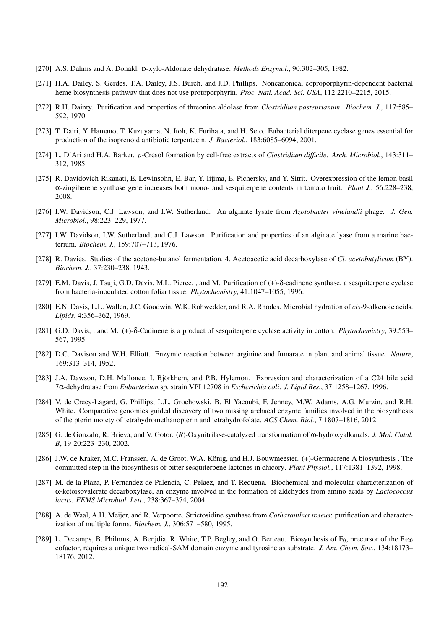- [270] A.S. Dahms and A. Donald. D-xylo-Aldonate dehydratase. *Methods Enzymol.*, 90:302–305, 1982.
- [271] H.A. Dailey, S. Gerdes, T.A. Dailey, J.S. Burch, and J.D. Phillips. Noncanonical coproporphyrin-dependent bacterial heme biosynthesis pathway that does not use protoporphyrin. *Proc. Natl. Acad. Sci. USA*, 112:2210–2215, 2015.
- [272] R.H. Dainty. Purification and properties of threonine aldolase from *Clostridium pasteurianum*. *Biochem. J.*, 117:585– 592, 1970.
- [273] T. Dairi, Y. Hamano, T. Kuzuyama, N. Itoh, K. Furihata, and H. Seto. Eubacterial diterpene cyclase genes essential for production of the isoprenoid antibiotic terpentecin. *J. Bacteriol.*, 183:6085–6094, 2001.
- [274] L. D'Ari and H.A. Barker. *p*-Cresol formation by cell-free extracts of *Clostridium difficile*. *Arch. Microbiol.*, 143:311– 312, 1985.
- [275] R. Davidovich-Rikanati, E. Lewinsohn, E. Bar, Y. Iijima, E. Pichersky, and Y. Sitrit. Overexpression of the lemon basil α-zingiberene synthase gene increases both mono- and sesquiterpene contents in tomato fruit. *Plant J.*, 56:228–238, 2008.
- [276] I.W. Davidson, C.J. Lawson, and I.W. Sutherland. An alginate lysate from *Azotobacter vinelandii* phage. *J. Gen. Microbiol.*, 98:223–229, 1977.
- [277] I.W. Davidson, I.W. Sutherland, and C.J. Lawson. Purification and properties of an alginate lyase from a marine bacterium. *Biochem. J.*, 159:707–713, 1976.
- [278] R. Davies. Studies of the acetone-butanol fermentation. 4. Acetoacetic acid decarboxylase of *Cl. acetobutylicum* (BY). *Biochem. J.*, 37:230–238, 1943.
- [279] E.M. Davis, J. Tsuji, G.D. Davis, M.L. Pierce, , and M. Purification of (+)-δ-cadinene synthase, a sesquiterpene cyclase from bacteria-inoculated cotton foliar tissue. *Phytochemistry*, 41:1047–1055, 1996.
- [280] E.N. Davis, L.L. Wallen, J.C. Goodwin, W.K. Rohwedder, and R.A. Rhodes. Microbial hydration of *cis*-9-alkenoic acids. *Lipids*, 4:356–362, 1969.
- [281] G.D. Davis, , and M. (+)-δ-Cadinene is a product of sesquiterpene cyclase activity in cotton. *Phytochemistry*, 39:553– 567, 1995.
- [282] D.C. Davison and W.H. Elliott. Enzymic reaction between arginine and fumarate in plant and animal tissue. *Nature*, 169:313–314, 1952.
- [283] J.A. Dawson, D.H. Mallonee, I. Björkhem, and P.B. Hylemon. Expression and characterization of a C24 bile acid 7α-dehydratase from *Eubacterium* sp. strain VPI 12708 in *Escherichia coli*. *J. Lipid Res.*, 37:1258–1267, 1996.
- [284] V. de Crecy-Lagard, G. Phillips, L.L. Grochowski, B. El Yacoubi, F. Jenney, M.W. Adams, A.G. Murzin, and R.H. White. Comparative genomics guided discovery of two missing archaeal enzyme families involved in the biosynthesis of the pterin moiety of tetrahydromethanopterin and tetrahydrofolate. *ACS Chem. Biol.*, 7:1807–1816, 2012.
- [285] G. de Gonzalo, R. Brieva, and V. Gotor. (*R*)-Oxynitrilase-catalyzed transformation of ω-hydroxyalkanals. *J. Mol. Catal. B*, 19-20:223–230, 2002.
- [286] J.W. de Kraker, M.C. Franssen, A. de Groot, W.A. König, and H.J. Bouwmeester. (+)-Germacrene A biosynthesis . The committed step in the biosynthesis of bitter sesquiterpene lactones in chicory. *Plant Physiol.*, 117:1381–1392, 1998.
- [287] M. de la Plaza, P. Fernandez de Palencia, C. Pelaez, and T. Requena. Biochemical and molecular characterization of α-ketoisovalerate decarboxylase, an enzyme involved in the formation of aldehydes from amino acids by *Lactococcus lactis*. *FEMS Microbiol. Lett.*, 238:367–374, 2004.
- [288] A. de Waal, A.H. Meijer, and R. Verpoorte. Strictosidine synthase from *Catharanthus roseus*: purification and characterization of multiple forms. *Biochem. J.*, 306:571–580, 1995.
- [289] L. Decamps, B. Philmus, A. Benjdia, R. White, T.P. Begley, and O. Berteau. Biosynthesis of  $F_0$ , precursor of the  $F_{420}$ cofactor, requires a unique two radical-SAM domain enzyme and tyrosine as substrate. *J. Am. Chem. Soc.*, 134:18173– 18176, 2012.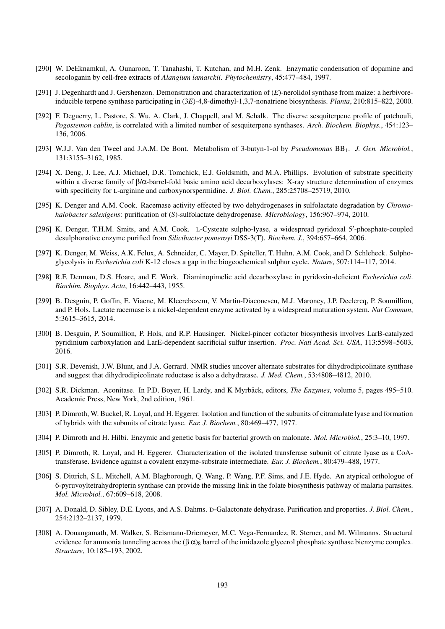- [290] W. DeEknamkul, A. Ounaroon, T. Tanahashi, T. Kutchan, and M.H. Zenk. Enzymatic condensation of dopamine and secologanin by cell-free extracts of *Alangium lamarckii*. *Phytochemistry*, 45:477–484, 1997.
- [291] J. Degenhardt and J. Gershenzon. Demonstration and characterization of (*E*)-nerolidol synthase from maize: a herbivoreinducible terpene synthase participating in (3*E*)-4,8-dimethyl-1,3,7-nonatriene biosynthesis. *Planta*, 210:815–822, 2000.
- [292] F. Deguerry, L. Pastore, S. Wu, A. Clark, J. Chappell, and M. Schalk. The diverse sesquiterpene profile of patchouli, *Pogostemon cablin*, is correlated with a limited number of sesquiterpene synthases. *Arch. Biochem. Biophys.*, 454:123– 136, 2006.
- [293] W.J.J. Van den Tweel and J.A.M. De Bont. Metabolism of 3-butyn-1-ol by *Pseudomonas* BB1. *J. Gen. Microbiol.*, 131:3155–3162, 1985.
- [294] X. Deng, J. Lee, A.J. Michael, D.R. Tomchick, E.J. Goldsmith, and M.A. Phillips. Evolution of substrate specificity within a diverse family of β/α-barrel-fold basic amino acid decarboxylases: X-ray structure determination of enzymes with specificity for L-arginine and carboxynorspermidine. *J. Biol. Chem.*, 285:25708–25719, 2010.
- [295] K. Denger and A.M. Cook. Racemase activity effected by two dehydrogenases in sulfolactate degradation by *Chromohalobacter salexigens*: purification of (*S*)-sulfolactate dehydrogenase. *Microbiology*, 156:967–974, 2010.
- [296] K. Denger, T.H.M. Smits, and A.M. Cook. L-Cysteate sulpho-lyase, a widespread pyridoxal 5'-phosphate-coupled desulphonative enzyme purified from *Silicibacter pomeroyi* DSS-3(T). *Biochem. J.*, 394:657–664, 2006.
- [297] K. Denger, M. Weiss, A.K. Felux, A. Schneider, C. Mayer, D. Spiteller, T. Huhn, A.M. Cook, and D. Schleheck. Sulphoglycolysis in *Escherichia coli* K-12 closes a gap in the biogeochemical sulphur cycle. *Nature*, 507:114–117, 2014.
- [298] R.F. Denman, D.S. Hoare, and E. Work. Diaminopimelic acid decarboxylase in pyridoxin-deficient *Escherichia coli*. *Biochim. Biophys. Acta*, 16:442–443, 1955.
- [299] B. Desguin, P. Goffin, E. Viaene, M. Kleerebezem, V. Martin-Diaconescu, M.J. Maroney, J.P. Declercq, P. Soumillion, and P. Hols. Lactate racemase is a nickel-dependent enzyme activated by a widespread maturation system. *Nat Commun*, 5:3615–3615, 2014.
- [300] B. Desguin, P. Soumillion, P. Hols, and R.P. Hausinger. Nickel-pincer cofactor biosynthesis involves LarB-catalyzed pyridinium carboxylation and LarE-dependent sacrificial sulfur insertion. *Proc. Natl Acad. Sci. USA*, 113:5598–5603, 2016.
- [301] S.R. Devenish, J.W. Blunt, and J.A. Gerrard. NMR studies uncover alternate substrates for dihydrodipicolinate synthase and suggest that dihydrodipicolinate reductase is also a dehydratase. *J. Med. Chem.*, 53:4808–4812, 2010.
- [302] S.R. Dickman. Aconitase. In P.D. Boyer, H. Lardy, and K Myrbäck, editors, *The Enzymes*, volume 5, pages 495–510. Academic Press, New York, 2nd edition, 1961.
- [303] P. Dimroth, W. Buckel, R. Loyal, and H. Eggerer. Isolation and function of the subunits of citramalate lyase and formation of hybrids with the subunits of citrate lyase. *Eur. J. Biochem.*, 80:469–477, 1977.
- [304] P. Dimroth and H. Hilbi. Enzymic and genetic basis for bacterial growth on malonate. *Mol. Microbiol.*, 25:3–10, 1997.
- [305] P. Dimroth, R. Loyal, and H. Eggerer. Characterization of the isolated transferase subunit of citrate lyase as a CoAtransferase. Evidence against a covalent enzyme-substrate intermediate. *Eur. J. Biochem.*, 80:479–488, 1977.
- [306] S. Dittrich, S.L. Mitchell, A.M. Blagborough, Q. Wang, P. Wang, P.F. Sims, and J.E. Hyde. An atypical orthologue of 6-pyruvoyltetrahydropterin synthase can provide the missing link in the folate biosynthesis pathway of malaria parasites. *Mol. Microbiol.*, 67:609–618, 2008.
- [307] A. Donald, D. Sibley, D.E. Lyons, and A.S. Dahms. D-Galactonate dehydrase. Purification and properties. *J. Biol. Chem.*, 254:2132–2137, 1979.
- [308] A. Douangamath, M. Walker, S. Beismann-Driemeyer, M.C. Vega-Fernandez, R. Sterner, and M. Wilmanns. Structural evidence for ammonia tunneling across the  $(\beta \alpha)_8$  barrel of the imidazole glycerol phosphate synthase bienzyme complex. *Structure*, 10:185–193, 2002.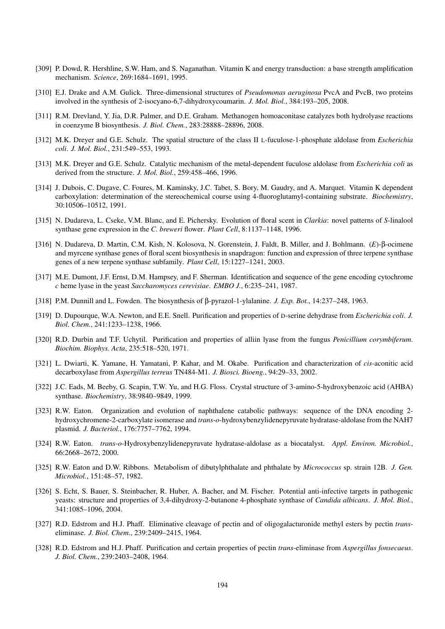- [309] P. Dowd, R. Hershline, S.W. Ham, and S. Naganathan. Vitamin K and energy transduction: a base strength amplification mechanism. *Science*, 269:1684–1691, 1995.
- [310] E.J. Drake and A.M. Gulick. Three-dimensional structures of *Pseudomonas aeruginosa* PvcA and PvcB, two proteins involved in the synthesis of 2-isocyano-6,7-dihydroxycoumarin. *J. Mol. Biol.*, 384:193–205, 2008.
- [311] R.M. Drevland, Y. Jia, D.R. Palmer, and D.E. Graham. Methanogen homoaconitase catalyzes both hydrolyase reactions in coenzyme B biosynthesis. *J. Biol. Chem.*, 283:28888-28896, 2008.
- [312] M.K. Dreyer and G.E. Schulz. The spatial structure of the class II L-fuculose-1-phosphate aldolase from *Escherichia coli*. *J. Mol. Biol.*, 231:549–553, 1993.
- [313] M.K. Dreyer and G.E. Schulz. Catalytic mechanism of the metal-dependent fuculose aldolase from *Escherichia coli* as derived from the structure. *J. Mol. Biol.*, 259:458–466, 1996.
- [314] J. Dubois, C. Dugave, C. Foures, M. Kaminsky, J.C. Tabet, S. Bory, M. Gaudry, and A. Marquet. Vitamin K dependent carboxylation: determination of the stereochemical course using 4-fluoroglutamyl-containing substrate. *Biochemistry*, 30:10506–10512, 1991.
- [315] N. Dudareva, L. Cseke, V.M. Blanc, and E. Pichersky. Evolution of floral scent in *Clarkia*: novel patterns of *S*-linalool synthase gene expression in the *C. breweri* flower. *Plant Cell*, 8:1137–1148, 1996.
- [316] N. Dudareva, D. Martin, C.M. Kish, N. Kolosova, N. Gorenstein, J. Faldt, B. Miller, and J. Bohlmann. (*E*)-β-ocimene and myrcene synthase genes of floral scent biosynthesis in snapdragon: function and expression of three terpene synthase genes of a new terpene synthase subfamily. *Plant Cell*, 15:1227–1241, 2003.
- [317] M.E. Dumont, J.F. Ernst, D.M. Hampsey, and F. Sherman. Identification and sequence of the gene encoding cytochrome *c* heme lyase in the yeast *Saccharomyces cerevisiae*. *EMBO J.*, 6:235–241, 1987.
- [318] P.M. Dunnill and L. Fowden. The biosynthesis of β-pyrazol-1-ylalanine. *J. Exp. Bot.*, 14:237–248, 1963.
- [319] D. Dupourque, W.A. Newton, and E.E. Snell. Purification and properties of D-serine dehydrase from *Escherichia coli*. *J. Biol. Chem.*, 241:1233–1238, 1966.
- [320] R.D. Durbin and T.F. Uchytil. Purification and properties of alliin lyase from the fungus *Penicillium corymbiferum*. *Biochim. Biophys. Acta*, 235:518–520, 1971.
- [321] L. Dwiarti, K. Yamane, H. Yamatani, P. Kahar, and M. Okabe. Purification and characterization of *cis*-aconitic acid decarboxylase from *Aspergillus terreus* TN484-M1. *J. Biosci. Bioeng.*, 94:29–33, 2002.
- [322] J.C. Eads, M. Beeby, G. Scapin, T.W. Yu, and H.G. Floss. Crystal structure of 3-amino-5-hydroxybenzoic acid (AHBA) synthase. *Biochemistry*, 38:9840–9849, 1999.
- [323] R.W. Eaton. Organization and evolution of naphthalene catabolic pathways: sequence of the DNA encoding 2 hydroxychromene-2-carboxylate isomerase and *trans*-*o*-hydroxybenzylidenepyruvate hydratase-aldolase from the NAH7 plasmid. *J. Bacteriol.*, 176:7757–7762, 1994.
- [324] R.W. Eaton. *trans*-*o*-Hydroxybenzylidenepyruvate hydratase-aldolase as a biocatalyst. *Appl. Environ. Microbiol.*, 66:2668–2672, 2000.
- [325] R.W. Eaton and D.W. Ribbons. Metabolism of dibutylphthalate and phthalate by *Micrococcus* sp. strain 12B. *J. Gen. Microbiol.*, 151:48–57, 1982.
- [326] S. Echt, S. Bauer, S. Steinbacher, R. Huber, A. Bacher, and M. Fischer. Potential anti-infective targets in pathogenic yeasts: structure and properties of 3,4-dihydroxy-2-butanone 4-phosphate synthase of *Candida albicans*. *J. Mol. Biol.*, 341:1085–1096, 2004.
- [327] R.D. Edstrom and H.J. Phaff. Eliminative cleavage of pectin and of oligogalacturonide methyl esters by pectin *trans*eliminase. *J. Biol. Chem.*, 239:2409–2415, 1964.
- [328] R.D. Edstrom and H.J. Phaff. Purification and certain properties of pectin *trans*-eliminase from *Aspergillus fonsecaeus*. *J. Biol. Chem.*, 239:2403–2408, 1964.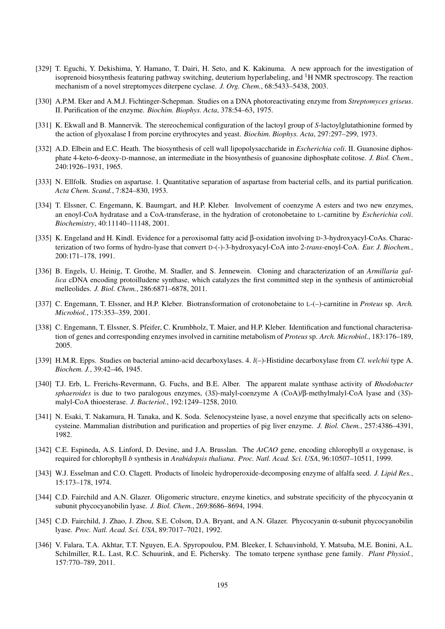- [329] T. Eguchi, Y. Dekishima, Y. Hamano, T. Dairi, H. Seto, and K. Kakinuma. A new approach for the investigation of isoprenoid biosynthesis featuring pathway switching, deuterium hyperlabeling, and <sup>1</sup>H NMR spectroscopy. The reaction mechanism of a novel streptomyces diterpene cyclase. *J. Org. Chem.*, 68:5433–5438, 2003.
- [330] A.P.M. Eker and A.M.J. Fichtinger-Schepman. Studies on a DNA photoreactivating enzyme from *Streptomyces griseus*. II. Purification of the enzyme. *Biochim. Biophys. Acta*, 378:54–63, 1975.
- [331] K. Ekwall and B. Mannervik. The stereochemical configuration of the lactoyl group of *S*-lactoylglutathionine formed by the action of glyoxalase I from porcine erythrocytes and yeast. *Biochim. Biophys. Acta*, 297:297–299, 1973.
- [332] A.D. Elbein and E.C. Heath. The biosynthesis of cell wall lipopolysaccharide in *Escherichia coli*. II. Guanosine diphosphate 4-keto-6-deoxy-D-mannose, an intermediate in the biosynthesis of guanosine diphosphate colitose. *J. Biol. Chem.*, 240:1926–1931, 1965.
- [333] N. Ellfolk. Studies on aspartase. 1. Quantitative separation of aspartase from bacterial cells, and its partial purification. *Acta Chem. Scand.*, 7:824–830, 1953.
- [334] T. Elssner, C. Engemann, K. Baumgart, and H.P. Kleber. Involvement of coenzyme A esters and two new enzymes, an enoyl-CoA hydratase and a CoA-transferase, in the hydration of crotonobetaine to L-carnitine by *Escherichia coli*. *Biochemistry*, 40:11140–11148, 2001.
- [335] K. Engeland and H. Kindl. Evidence for a peroxisomal fatty acid β-oxidation involving D-3-hydroxyacyl-CoAs. Characterization of two forms of hydro-lyase that convert D-(-)-3-hydroxyacyl-CoA into 2-*trans*-enoyl-CoA. *Eur. J. Biochem.*, 200:171–178, 1991.
- [336] B. Engels, U. Heinig, T. Grothe, M. Stadler, and S. Jennewein. Cloning and characterization of an *Armillaria gallica* cDNA encoding protoilludene synthase, which catalyzes the first committed step in the synthesis of antimicrobial melleolides. *J. Biol. Chem.*, 286:6871–6878, 2011.
- [337] C. Engemann, T. Elssner, and H.P. Kleber. Biotransformation of crotonobetaine to L-(–)-carnitine in *Proteus* sp. *Arch. Microbiol.*, 175:353–359, 2001.
- [338] C. Engemann, T. Elssner, S. Pfeifer, C. Krumbholz, T. Maier, and H.P. Kleber. Identification and functional characterisation of genes and corresponding enzymes involved in carnitine metabolism of *Proteus* sp. *Arch. Microbiol.*, 183:176–189, 2005.
- [339] H.M.R. Epps. Studies on bacterial amino-acid decarboxylases. 4. *l*(–)-Histidine decarboxylase from *Cl. welchii* type A. *Biochem. J.*, 39:42–46, 1945.
- [340] T.J. Erb, L. Frerichs-Revermann, G. Fuchs, and B.E. Alber. The apparent malate synthase activity of *Rhodobacter sphaeroides* is due to two paralogous enzymes, (3*S*)-malyl-coenzyme A (CoA)/β-methylmalyl-CoA lyase and (3*S*) malyl-CoA thioesterase. *J. Bacteriol.*, 192:1249–1258, 2010.
- [341] N. Esaki, T. Nakamura, H. Tanaka, and K. Soda. Selenocysteine lyase, a novel enzyme that specifically acts on selenocysteine. Mammalian distribution and purification and properties of pig liver enzyme. *J. Biol. Chem.*, 257:4386–4391, 1982.
- [342] C.E. Espineda, A.S. Linford, D. Devine, and J.A. Brusslan. The *AtCAO* gene, encoding chlorophyll *a* oxygenase, is required for chlorophyll *b* synthesis in *Arabidopsis thaliana*. *Proc. Natl. Acad. Sci. USA*, 96:10507–10511, 1999.
- [343] W.J. Esselman and C.O. Clagett. Products of linoleic hydroperoxide-decomposing enzyme of alfalfa seed. *J. Lipid Res.*, 15:173–178, 1974.
- [344] C.D. Fairchild and A.N. Glazer. Oligomeric structure, enzyme kinetics, and substrate specificity of the phycocyanin  $\alpha$ subunit phycocyanobilin lyase. *J. Biol. Chem.*, 269:8686–8694, 1994.
- [345] C.D. Fairchild, J. Zhao, J. Zhou, S.E. Colson, D.A. Bryant, and A.N. Glazer. Phycocyanin α-subunit phycocyanobilin lyase. *Proc. Natl. Acad. Sci. USA*, 89:7017–7021, 1992.
- [346] V. Falara, T.A. Akhtar, T.T. Nguyen, E.A. Spyropoulou, P.M. Bleeker, I. Schauvinhold, Y. Matsuba, M.E. Bonini, A.L. Schilmiller, R.L. Last, R.C. Schuurink, and E. Pichersky. The tomato terpene synthase gene family. *Plant Physiol.*, 157:770–789, 2011.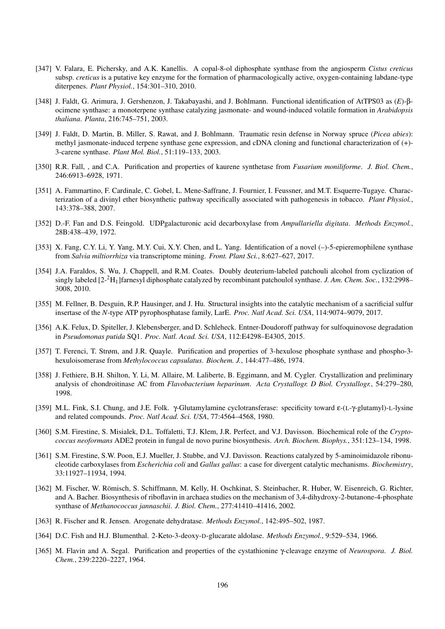- [347] V. Falara, E. Pichersky, and A.K. Kanellis. A copal-8-ol diphosphate synthase from the angiosperm *Cistus creticus* subsp. *creticus* is a putative key enzyme for the formation of pharmacologically active, oxygen-containing labdane-type diterpenes. *Plant Physiol.*, 154:301–310, 2010.
- [348] J. Faldt, G. Arimura, J. Gershenzon, J. Takabayashi, and J. Bohlmann. Functional identification of AtTPS03 as (*E*)-βocimene synthase: a monoterpene synthase catalyzing jasmonate- and wound-induced volatile formation in *Arabidopsis thaliana*. *Planta*, 216:745–751, 2003.
- [349] J. Faldt, D. Martin, B. Miller, S. Rawat, and J. Bohlmann. Traumatic resin defense in Norway spruce (*Picea abies*): methyl jasmonate-induced terpene synthase gene expression, and cDNA cloning and functional characterization of (+)- 3-carene synthase. *Plant Mol. Biol.*, 51:119–133, 2003.
- [350] R.R. Fall, , and C.A. Purification and properties of kaurene synthetase from *Fusarium moniliforme*. *J. Biol. Chem.*, 246:6913–6928, 1971.
- [351] A. Fammartino, F. Cardinale, C. Gobel, L. Mene-Saffrane, J. Fournier, I. Feussner, and M.T. Esquerre-Tugaye. Characterization of a divinyl ether biosynthetic pathway specifically associated with pathogenesis in tobacco. *Plant Physiol.*, 143:378–388, 2007.
- [352] D.-F. Fan and D.S. Feingold. UDPgalacturonic acid decarboxylase from *Ampullariella digitata*. *Methods Enzymol.*, 28B:438–439, 1972.
- [353] X. Fang, C.Y. Li, Y. Yang, M.Y. Cui, X.Y. Chen, and L. Yang. Identification of a novel (–)-5-epieremophilene synthase from *Salvia miltiorrhiza* via transcriptome mining. *Front. Plant Sci.*, 8:627–627, 2017.
- [354] J.A. Faraldos, S. Wu, J. Chappell, and R.M. Coates. Doubly deuterium-labeled patchouli alcohol from cyclization of singly labeled [2-2H1]farnesyl diphosphate catalyzed by recombinant patchoulol synthase. *J. Am. Chem. Soc.*, 132:2998– 3008, 2010.
- [355] M. Fellner, B. Desguin, R.P. Hausinger, and J. Hu. Structural insights into the catalytic mechanism of a sacrificial sulfur insertase of the *N*-type ATP pyrophosphatase family, LarE. *Proc. Natl Acad. Sci. USA*, 114:9074–9079, 2017.
- [356] A.K. Felux, D. Spiteller, J. Klebensberger, and D. Schleheck. Entner-Doudoroff pathway for sulfoquinovose degradation in *Pseudomonas putida* SQ1. *Proc. Natl. Acad. Sci. USA*, 112:E4298–E4305, 2015.
- [357] T. Ferenci, T. Strøm, and J.R. Quayle. Purification and properties of 3-hexulose phosphate synthase and phospho-3 hexuloisomerase from *Methylococcus capsulatus*. *Biochem. J.*, 144:477–486, 1974.
- [358] J. Fethiere, B.H. Shilton, Y. Li, M. Allaire, M. Laliberte, B. Eggimann, and M. Cygler. Crystallization and preliminary analysis of chondroitinase AC from *Flavobacterium heparinum*. *Acta Crystallogr. D Biol. Crystallogr.*, 54:279–280, 1998.
- [359] M.L. Fink, S.I. Chung, and J.E. Folk. γ-Glutamylamine cyclotransferase: specificity toward ε-(L-γ-glutamyl)-L-lysine and related compounds. *Proc. Natl Acad. Sci. USA*, 77:4564–4568, 1980.
- [360] S.M. Firestine, S. Misialek, D.L. Toffaletti, T.J. Klem, J.R. Perfect, and V.J. Davisson. Biochemical role of the *Cryptococcus neoformans* ADE2 protein in fungal de novo purine biosynthesis. *Arch. Biochem. Biophys.*, 351:123–134, 1998.
- [361] S.M. Firestine, S.W. Poon, E.J. Mueller, J. Stubbe, and V.J. Davisson. Reactions catalyzed by 5-aminoimidazole ribonucleotide carboxylases from *Escherichia coli* and *Gallus gallus*: a case for divergent catalytic mechanisms. *Biochemistry*, 33:11927–11934, 1994.
- [362] M. Fischer, W. Römisch, S. Schiffmann, M. Kelly, H. Oschkinat, S. Steinbacher, R. Huber, W. Eisenreich, G. Richter, and A. Bacher. Biosynthesis of riboflavin in archaea studies on the mechanism of 3,4-dihydroxy-2-butanone-4-phosphate synthase of *Methanococcus jannaschii*. *J. Biol. Chem.*, 277:41410–41416, 2002.
- [363] R. Fischer and R. Jensen. Arogenate dehydratase. *Methods Enzymol.*, 142:495–502, 1987.
- [364] D.C. Fish and H.J. Blumenthal. 2-Keto-3-deoxy-D-glucarate aldolase. *Methods Enzymol.*, 9:529–534, 1966.
- [365] M. Flavin and A. Segal. Purification and properties of the cystathionine γ-cleavage enzyme of *Neurospora*. *J. Biol. Chem.*, 239:2220–2227, 1964.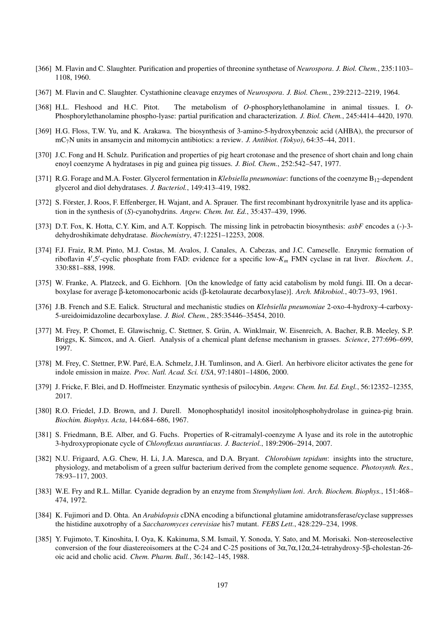- [366] M. Flavin and C. Slaughter. Purification and properties of threonine synthetase of *Neurospora*. *J. Biol. Chem.*, 235:1103– 1108, 1960.
- [367] M. Flavin and C. Slaughter. Cystathionine cleavage enzymes of *Neurospora*. *J. Biol. Chem.*, 239:2212–2219, 1964.
- [368] H.L. Fleshood and H.C. Pitot. The metabolism of *O*-phosphorylethanolamine in animal tissues. I. *O*-Phosphorylethanolamine phospho-lyase: partial purification and characterization. *J. Biol. Chem.*, 245:4414–4420, 1970.
- [369] H.G. Floss, T.W. Yu, and K. Arakawa. The biosynthesis of 3-amino-5-hydroxybenzoic acid (AHBA), the precursor of mC7N units in ansamycin and mitomycin antibiotics: a review. *J. Antibiot. (Tokyo)*, 64:35–44, 2011.
- [370] J.C. Fong and H. Schulz. Purification and properties of pig heart crotonase and the presence of short chain and long chain enoyl coenzyme A hydratases in pig and guinea pig tissues. *J. Biol. Chem.*, 252:542–547, 1977.
- [371] R.G. Forage and M.A. Foster. Glycerol fermentation in *Klebsiella pneumoniae*: functions of the coenzyme B<sub>12</sub>-dependent glycerol and diol dehydratases. *J. Bacteriol.*, 149:413–419, 1982.
- [372] S. Förster, J. Roos, F. Effenberger, H. Wajant, and A. Sprauer. The first recombinant hydroxynitrile lyase and its application in the synthesis of (*S*)-cyanohydrins. *Angew. Chem. Int. Ed.*, 35:437–439, 1996.
- [373] D.T. Fox, K. Hotta, C.Y. Kim, and A.T. Koppisch. The missing link in petrobactin biosynthesis: *asbF* encodes a (-)-3 dehydroshikimate dehydratase. *Biochemistry*, 47:12251–12253, 2008.
- [374] F.J. Fraiz, R.M. Pinto, M.J. Costas, M. Avalos, J. Canales, A. Cabezas, and J.C. Cameselle. Enzymic formation of riboflavin  $4'$ ,5'-cyclic phosphate from FAD: evidence for a specific low- $K_m$  FMN cyclase in rat liver. *Biochem. J.*, 330:881–888, 1998.
- [375] W. Franke, A. Platzeck, and G. Eichhorn. [On the knowledge of fatty acid catabolism by mold fungi. III. On a decarboxylase for average β-ketomonocarbonic acids (β-ketolaurate decarboxylase)]. *Arch. Mikrobiol.*, 40:73–93, 1961.
- [376] J.B. French and S.E. Ealick. Structural and mechanistic studies on *Klebsiella pneumoniae* 2-oxo-4-hydroxy-4-carboxy-5-ureidoimidazoline decarboxylase. *J. Biol. Chem.*, 285:35446–35454, 2010.
- [377] M. Frey, P. Chomet, E. Glawischnig, C. Stettner, S. Grün, A. Winklmair, W. Eisenreich, A. Bacher, R.B. Meeley, S.P. Briggs, K. Simcox, and A. Gierl. Analysis of a chemical plant defense mechanism in grasses. *Science*, 277:696–699, 1997.
- [378] M. Frey, C. Stettner, P.W. Pare, E.A. Schmelz, J.H. Tumlinson, and A. Gierl. An herbivore elicitor activates the gene for ´ indole emission in maize. *Proc. Natl. Acad. Sci. USA*, 97:14801–14806, 2000.
- [379] J. Fricke, F. Blei, and D. Hoffmeister. Enzymatic synthesis of psilocybin. *Angew. Chem. Int. Ed. Engl.*, 56:12352–12355, 2017.
- [380] R.O. Friedel, J.D. Brown, and J. Durell. Monophosphatidyl inositol inositolphosphohydrolase in guinea-pig brain. *Biochim. Biophys. Acta*, 144:684–686, 1967.
- [381] S. Friedmann, B.E. Alber, and G. Fuchs. Properties of R-citramalyl-coenzyme A lyase and its role in the autotrophic 3-hydroxypropionate cycle of *Chloroflexus aurantiacus*. *J. Bacteriol.*, 189:2906–2914, 2007.
- [382] N.U. Frigaard, A.G. Chew, H. Li, J.A. Maresca, and D.A. Bryant. *Chlorobium tepidum*: insights into the structure, physiology, and metabolism of a green sulfur bacterium derived from the complete genome sequence. *Photosynth. Res.*, 78:93–117, 2003.
- [383] W.E. Fry and R.L. Millar. Cyanide degradion by an enzyme from *Stemphylium loti*. *Arch. Biochem. Biophys.*, 151:468– 474, 1972.
- [384] K. Fujimori and D. Ohta. An *Arabidopsis* cDNA encoding a bifunctional glutamine amidotransferase/cyclase suppresses the histidine auxotrophy of a *Saccharomyces cerevisiae* his7 mutant. *FEBS Lett.*, 428:229–234, 1998.
- [385] Y. Fujimoto, T. Kinoshita, I. Oya, K. Kakinuma, S.M. Ismail, Y. Sonoda, Y. Sato, and M. Morisaki. Non-stereoselective conversion of the four diastereoisomers at the C-24 and C-25 positions of 3α,7α,12α,24-tetrahydroxy-5β-cholestan-26 oic acid and cholic acid. *Chem. Pharm. Bull.*, 36:142–145, 1988.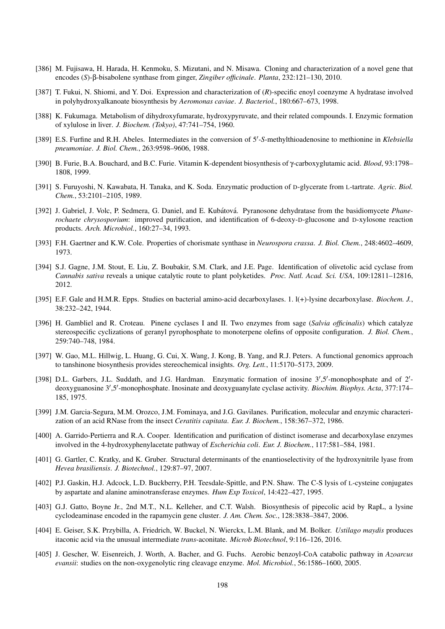- [386] M. Fujisawa, H. Harada, H. Kenmoku, S. Mizutani, and N. Misawa. Cloning and characterization of a novel gene that encodes (*S*)-β-bisabolene synthase from ginger, *Zingiber officinale*. *Planta*, 232:121–130, 2010.
- [387] T. Fukui, N. Shiomi, and Y. Doi. Expression and characterization of (*R*)-specific enoyl coenzyme A hydratase involved in polyhydroxyalkanoate biosynthesis by *Aeromonas caviae*. *J. Bacteriol.*, 180:667–673, 1998.
- [388] K. Fukumaga. Metabolism of dihydroxyfumarate, hydroxypyruvate, and their related compounds. I. Enzymic formation of xylulose in liver. *J. Biochem. (Tokyo)*, 47:741–754, 1960.
- [389] E.S. Furfine and R.H. Abeles. Intermediates in the conversion of 5'-S-methylthioadenosine to methionine in *Klebsiella pneumoniae*. *J. Biol. Chem.*, 263:9598–9606, 1988.
- [390] B. Furie, B.A. Bouchard, and B.C. Furie. Vitamin K-dependent biosynthesis of γ-carboxyglutamic acid. *Blood*, 93:1798– 1808, 1999.
- [391] S. Furuyoshi, N. Kawabata, H. Tanaka, and K. Soda. Enzymatic production of D-glycerate from L-tartrate. *Agric. Biol. Chem.*, 53:2101–2105, 1989.
- [392] J. Gabriel, J. Volc, P. Sedmera, G. Daniel, and E. Kubátová. Pyranosone dehydratase from the basidiomycete *Phanerochaete chrysosporium*: improved purification, and identification of 6-deoxy-D-glucosone and D-xylosone reaction products. *Arch. Microbiol.*, 160:27–34, 1993.
- [393] F.H. Gaertner and K.W. Cole. Properties of chorismate synthase in *Neurospora crassa*. *J. Biol. Chem.*, 248:4602–4609, 1973.
- [394] S.J. Gagne, J.M. Stout, E. Liu, Z. Boubakir, S.M. Clark, and J.E. Page. Identification of olivetolic acid cyclase from *Cannabis sativa* reveals a unique catalytic route to plant polyketides. *Proc. Natl. Acad. Sci. USA*, 109:12811–12816, 2012.
- [395] E.F. Gale and H.M.R. Epps. Studies on bacterial amino-acid decarboxylases. 1. l(+)-lysine decarboxylase. *Biochem. J.*, 38:232–242, 1944.
- [396] H. Gambliel and R. Croteau. Pinene cyclases I and II. Two enzymes from sage (*Salvia officinalis*) which catalyze stereospecific cyclizations of geranyl pyrophosphate to monoterpene olefins of opposite configuration. *J. Biol. Chem.*, 259:740–748, 1984.
- [397] W. Gao, M.L. Hillwig, L. Huang, G. Cui, X. Wang, J. Kong, B. Yang, and R.J. Peters. A functional genomics approach to tanshinone biosynthesis provides stereochemical insights. *Org. Lett.*, 11:5170–5173, 2009.
- [398] D.L. Garbers, J.L. Suddath, and J.G. Hardman. Enzymatic formation of inosine 3',5'-monophosphate and of 2'deoxyguanosine 3',5'-monophosphate. Inosinate and deoxyguanylate cyclase activity. Biochim. Biophys. Acta, 377:174-185, 1975.
- [399] J.M. Garcia-Segura, M.M. Orozco, J.M. Fominaya, and J.G. Gavilanes. Purification, molecular and enzymic characterization of an acid RNase from the insect *Ceratitis capitata*. *Eur. J. Biochem.*, 158:367–372, 1986.
- [400] A. Garrido-Pertierra and R.A. Cooper. Identification and purification of distinct isomerase and decarboxylase enzymes involved in the 4-hydroxyphenylacetate pathway of *Escherichia coli*. *Eur. J. Biochem.*, 117:581–584, 1981.
- [401] G. Gartler, C. Kratky, and K. Gruber. Structural determinants of the enantioselectivity of the hydroxynitrile lyase from *Hevea brasiliensis*. *J. Biotechnol.*, 129:87–97, 2007.
- [402] P.J. Gaskin, H.J. Adcock, L.D. Buckberry, P.H. Teesdale-Spittle, and P.N. Shaw. The C-S lysis of L-cysteine conjugates by aspartate and alanine aminotransferase enzymes. *Hum Exp Toxicol*, 14:422–427, 1995.
- [403] G.J. Gatto, Boyne Jr., 2nd M.T., N.L. Kelleher, and C.T. Walsh. Biosynthesis of pipecolic acid by RapL, a lysine cyclodeaminase encoded in the rapamycin gene cluster. *J. Am. Chem. Soc.*, 128:3838–3847, 2006.
- [404] E. Geiser, S.K. Przybilla, A. Friedrich, W. Buckel, N. Wierckx, L.M. Blank, and M. Bolker. *Ustilago maydis* produces itaconic acid via the unusual intermediate *trans*-aconitate. *Microb Biotechnol*, 9:116–126, 2016.
- [405] J. Gescher, W. Eisenreich, J. Worth, A. Bacher, and G. Fuchs. Aerobic benzoyl-CoA catabolic pathway in *Azoarcus evansii*: studies on the non-oxygenolytic ring cleavage enzyme. *Mol. Microbiol.*, 56:1586–1600, 2005.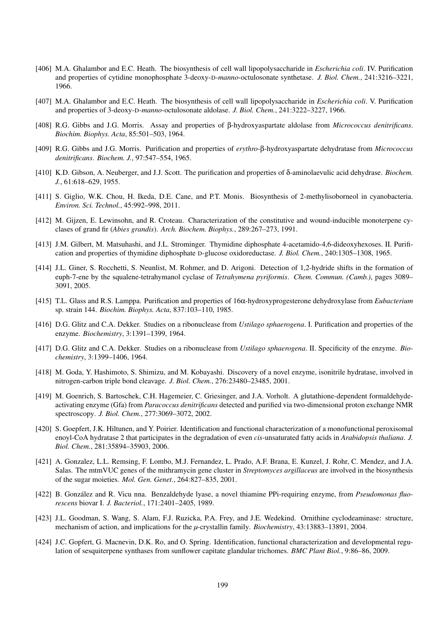- [406] M.A. Ghalambor and E.C. Heath. The biosynthesis of cell wall lipopolysaccharide in *Escherichia coli*. IV. Purification and properties of cytidine monophosphate 3-deoxy-D-*manno*-octulosonate synthetase. *J. Biol. Chem.*, 241:3216–3221, 1966.
- [407] M.A. Ghalambor and E.C. Heath. The biosynthesis of cell wall lipopolysaccharide in *Escherichia coli*. V. Purification and properties of 3-deoxy-D-*manno*-octulosonate aldolase. *J. Biol. Chem.*, 241:3222–3227, 1966.
- [408] R.G. Gibbs and J.G. Morris. Assay and properties of β-hydroxyaspartate aldolase from *Micrococcus denitrificans*. *Biochim. Biophys. Acta*, 85:501–503, 1964.
- [409] R.G. Gibbs and J.G. Morris. Purification and properties of *erythro*-β-hydroxyaspartate dehydratase from *Micrococcus denitrificans*. *Biochem. J.*, 97:547–554, 1965.
- [410] K.D. Gibson, A. Neuberger, and J.J. Scott. The purification and properties of δ-aminolaevulic acid dehydrase. *Biochem. J.*, 61:618–629, 1955.
- [411] S. Giglio, W.K. Chou, H. Ikeda, D.E. Cane, and P.T. Monis. Biosynthesis of 2-methylisoborneol in cyanobacteria. *Environ. Sci. Technol.*, 45:992–998, 2011.
- [412] M. Gijzen, E. Lewinsohn, and R. Croteau. Characterization of the constitutive and wound-inducible monoterpene cyclases of grand fir (*Abies grandis*). *Arch. Biochem. Biophys.*, 289:267–273, 1991.
- [413] J.M. Gilbert, M. Matsuhashi, and J.L. Strominger. Thymidine diphosphate 4-acetamido-4,6-dideoxyhexoses. II. Purification and properties of thymidine diphosphate D-glucose oxidoreductase. *J. Biol. Chem.*, 240:1305–1308, 1965.
- [414] J.L. Giner, S. Rocchetti, S. Neunlist, M. Rohmer, and D. Arigoni. Detection of 1,2-hydride shifts in the formation of euph-7-ene by the squalene-tetrahymanol cyclase of *Tetrahymena pyriformis*. *Chem. Commun. (Camb.)*, pages 3089– 3091, 2005.
- [415] T.L. Glass and R.S. Lamppa. Purification and properties of 16α-hydroxyprogesterone dehydroxylase from *Eubacterium* sp. strain 144. *Biochim. Biophys. Acta*, 837:103–110, 1985.
- [416] D.G. Glitz and C.A. Dekker. Studies on a ribonuclease from *Ustilago sphaerogena*. I. Purification and properties of the enzyme. *Biochemistry*, 3:1391–1399, 1964.
- [417] D.G. Glitz and C.A. Dekker. Studies on a ribonuclease from *Ustilago sphaerogena*. II. Specificity of the enzyme. *Biochemistry*, 3:1399–1406, 1964.
- [418] M. Goda, Y. Hashimoto, S. Shimizu, and M. Kobayashi. Discovery of a novel enzyme, isonitrile hydratase, involved in nitrogen-carbon triple bond cleavage. *J. Biol. Chem.*, 276:23480–23485, 2001.
- [419] M. Goenrich, S. Bartoschek, C.H. Hagemeier, C. Griesinger, and J.A. Vorholt. A glutathione-dependent formaldehydeactivating enzyme (Gfa) from *Paracoccus denitrificans* detected and purified via two-dimensional proton exchange NMR spectroscopy. *J. Biol. Chem.*, 277:3069–3072, 2002.
- [420] S. Goepfert, J.K. Hiltunen, and Y. Poirier. Identification and functional characterization of a monofunctional peroxisomal enoyl-CoA hydratase 2 that participates in the degradation of even *cis*-unsaturated fatty acids in *Arabidopsis thaliana*. *J. Biol. Chem.*, 281:35894–35903, 2006.
- [421] A. Gonzalez, L.L. Remsing, F. Lombo, M.J. Fernandez, L. Prado, A.F. Brana, E. Kunzel, J. Rohr, C. Mendez, and J.A. Salas. The mtmVUC genes of the mithramycin gene cluster in *Streptomyces argillaceus* are involved in the biosynthesis of the sugar moieties. *Mol. Gen. Genet.*, 264:827–835, 2001.
- [422] B. González and R. Vicu nna. Benzaldehyde lyase, a novel thiamine PPi-requiring enzyme, from *Pseudomonas fluorescens* biovar I. *J. Bacteriol.*, 171:2401–2405, 1989.
- [423] J.L. Goodman, S. Wang, S. Alam, F.J. Ruzicka, P.A. Frey, and J.E. Wedekind. Ornithine cyclodeaminase: structure, mechanism of action, and implications for the *µ*-crystallin family. *Biochemistry*, 43:13883–13891, 2004.
- [424] J.C. Gopfert, G. Macnevin, D.K. Ro, and O. Spring. Identification, functional characterization and developmental regulation of sesquiterpene synthases from sunflower capitate glandular trichomes. *BMC Plant Biol.*, 9:86–86, 2009.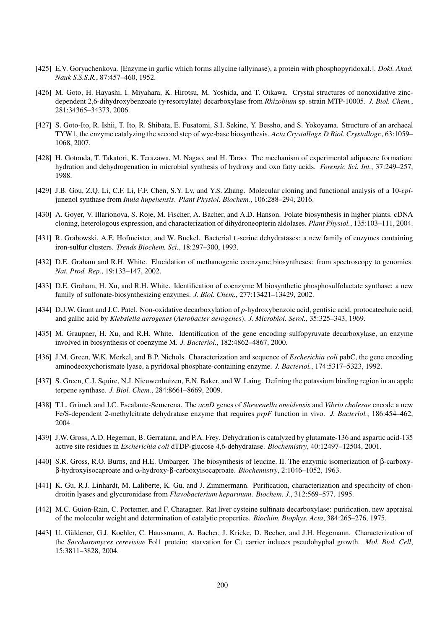- [425] E.V. Goryachenkova. [Enzyme in garlic which forms allycine (allyinase), a protein with phosphopyridoxal.]. *Dokl. Akad. Nauk S.S.S.R.*, 87:457–460, 1952.
- [426] M. Goto, H. Hayashi, I. Miyahara, K. Hirotsu, M. Yoshida, and T. Oikawa. Crystal structures of nonoxidative zincdependent 2,6-dihydroxybenzoate (γ-resorcylate) decarboxylase from *Rhizobium* sp. strain MTP-10005. *J. Biol. Chem.*, 281:34365–34373, 2006.
- [427] S. Goto-Ito, R. Ishii, T. Ito, R. Shibata, E. Fusatomi, S.I. Sekine, Y. Bessho, and S. Yokoyama. Structure of an archaeal TYW1, the enzyme catalyzing the second step of wye-base biosynthesis. *Acta Crystallogr. D Biol. Crystallogr.*, 63:1059– 1068, 2007.
- [428] H. Gotouda, T. Takatori, K. Terazawa, M. Nagao, and H. Tarao. The mechanism of experimental adipocere formation: hydration and dehydrogenation in microbial synthesis of hydroxy and oxo fatty acids. *Forensic Sci. Int.*, 37:249–257, 1988.
- [429] J.B. Gou, Z.Q. Li, C.F. Li, F.F. Chen, S.Y. Lv, and Y.S. Zhang. Molecular cloning and functional analysis of a 10-*epi*junenol synthase from *Inula hupehensis*. *Plant Physiol. Biochem.*, 106:288–294, 2016.
- [430] A. Goyer, V. Illarionova, S. Roje, M. Fischer, A. Bacher, and A.D. Hanson. Folate biosynthesis in higher plants. cDNA cloning, heterologous expression, and characterization of dihydroneopterin aldolases. *Plant Physiol.*, 135:103–111, 2004.
- [431] R. Grabowski, A.E. Hofmeister, and W. Buckel. Bacterial L-serine dehydratases: a new family of enzymes containing iron-sulfur clusters. *Trends Biochem. Sci.*, 18:297–300, 1993.
- [432] D.E. Graham and R.H. White. Elucidation of methanogenic coenzyme biosyntheses: from spectroscopy to genomics. *Nat. Prod. Rep.*, 19:133–147, 2002.
- [433] D.E. Graham, H. Xu, and R.H. White. Identification of coenzyme M biosynthetic phosphosulfolactate synthase: a new family of sulfonate-biosynthesizing enzymes. *J. Biol. Chem.*, 277:13421–13429, 2002.
- [434] D.J.W. Grant and J.C. Patel. Non-oxidative decarboxylation of *p*-hydroxybenzoic acid, gentisic acid, protocatechuic acid, and gallic acid by *Klebsiella aerogenes* (*Aerobacter aerogenes*). *J. Microbiol. Serol.*, 35:325–343, 1969.
- [435] M. Graupner, H. Xu, and R.H. White. Identification of the gene encoding sulfopyruvate decarboxylase, an enzyme involved in biosynthesis of coenzyme M. *J. Bacteriol.*, 182:4862–4867, 2000.
- [436] J.M. Green, W.K. Merkel, and B.P. Nichols. Characterization and sequence of *Escherichia coli* pabC, the gene encoding aminodeoxychorismate lyase, a pyridoxal phosphate-containing enzyme. *J. Bacteriol.*, 174:5317–5323, 1992.
- [437] S. Green, C.J. Squire, N.J. Nieuwenhuizen, E.N. Baker, and W. Laing. Defining the potassium binding region in an apple terpene synthase. *J. Biol. Chem.*, 284:8661–8669, 2009.
- [438] T.L. Grimek and J.C. Escalante-Semerena. The *acnD* genes of *Shewenella oneidensis* and *Vibrio cholerae* encode a new Fe/S-dependent 2-methylcitrate dehydratase enzyme that requires *prpF* function in vivo. *J. Bacteriol.*, 186:454–462, 2004.
- [439] J.W. Gross, A.D. Hegeman, B. Gerratana, and P.A. Frey. Dehydration is catalyzed by glutamate-136 and aspartic acid-135 active site residues in *Escherichia coli* dTDP-glucose 4,6-dehydratase. *Biochemistry*, 40:12497–12504, 2001.
- [440] S.R. Gross, R.O. Burns, and H.E. Umbarger. The biosynthesis of leucine. II. The enzymic isomerization of β-carboxyβ-hydroxyisocaproate and α-hydroxy-β-carboxyisocaproate. *Biochemistry*, 2:1046–1052, 1963.
- [441] K. Gu, R.J. Linhardt, M. Laliberte, K. Gu, and J. Zimmermann. Purification, characterization and specificity of chondroitin lyases and glycuronidase from *Flavobacterium heparinum*. *Biochem. J.*, 312:569–577, 1995.
- [442] M.C. Guion-Rain, C. Portemer, and F. Chatagner. Rat liver cysteine sulfinate decarboxylase: purification, new appraisal of the molecular weight and determination of catalytic properties. *Biochim. Biophys. Acta*, 384:265–276, 1975.
- [443] U. Güldener, G.J. Koehler, C. Haussmann, A. Bacher, J. Kricke, D. Becher, and J.H. Hegemann. Characterization of the *Saccharomyces cerevisiae* Fol1 protein: starvation for C<sup>1</sup> carrier induces pseudohyphal growth. *Mol. Biol. Cell*, 15:3811–3828, 2004.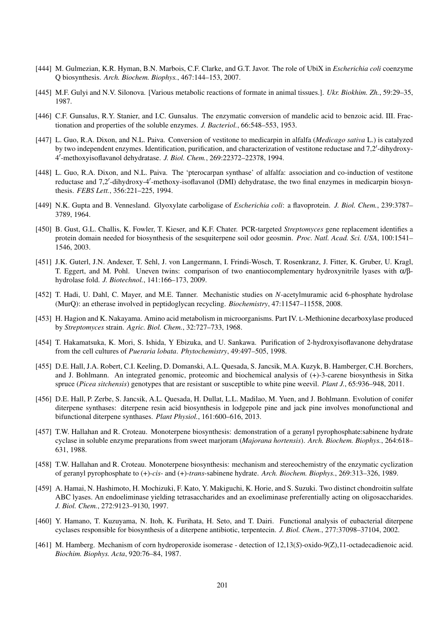- [444] M. Gulmezian, K.R. Hyman, B.N. Marbois, C.F. Clarke, and G.T. Javor. The role of UbiX in *Escherichia coli* coenzyme Q biosynthesis. *Arch. Biochem. Biophys.*, 467:144–153, 2007.
- [445] M.F. Gulyi and N.V. Silonova. [Various metabolic reactions of formate in animal tissues.]. *Ukr. Biokhim. Zh.*, 59:29–35, 1987.
- [446] C.F. Gunsalus, R.Y. Stanier, and I.C. Gunsalus. The enzymatic conversion of mandelic acid to benzoic acid. III. Fractionation and properties of the soluble enzymes. *J. Bacteriol.*, 66:548–553, 1953.
- [447] L. Guo, R.A. Dixon, and N.L. Paiva. Conversion of vestitone to medicarpin in alfalfa (*Medicago sativa* L.) is catalyzed by two independent enzymes. Identification, purification, and characterization of vestitone reductase and 7,2'-dihydroxy-4 0 -methoxyisoflavanol dehydratase. *J. Biol. Chem.*, 269:22372–22378, 1994.
- [448] L. Guo, R.A. Dixon, and N.L. Paiva. The 'pterocarpan synthase' of alfalfa: association and co-induction of vestitone reductase and 7,2'-dihydroxy-4'-methoxy-isoflavanol (DMI) dehydratase, the two final enzymes in medicarpin biosynthesis. *FEBS Lett.*, 356:221–225, 1994.
- [449] N.K. Gupta and B. Vennesland. Glyoxylate carboligase of *Escherichia coli*: a flavoprotein. *J. Biol. Chem.*, 239:3787– 3789, 1964.
- [450] B. Gust, G.L. Challis, K. Fowler, T. Kieser, and K.F. Chater. PCR-targeted *Streptomyces* gene replacement identifies a protein domain needed for biosynthesis of the sesquiterpene soil odor geosmin. *Proc. Natl. Acad. Sci. USA*, 100:1541– 1546, 2003.
- [451] J.K. Guterl, J.N. Andexer, T. Sehl, J. von Langermann, I. Frindi-Wosch, T. Rosenkranz, J. Fitter, K. Gruber, U. Kragl, T. Eggert, and M. Pohl. Uneven twins: comparison of two enantiocomplementary hydroxynitrile lyases with α/βhydrolase fold. *J. Biotechnol.*, 141:166–173, 2009.
- [452] T. Hadi, U. Dahl, C. Mayer, and M.E. Tanner. Mechanistic studies on *N*-acetylmuramic acid 6-phosphate hydrolase (MurQ): an etherase involved in peptidoglycan recycling. *Biochemistry*, 47:11547–11558, 2008.
- [453] H. Hagion and K. Nakayama. Amino acid metabolism in microorganisms. Part IV. L-Methionine decarboxylase produced by *Streptomyces* strain. *Agric. Biol. Chem.*, 32:727–733, 1968.
- [454] T. Hakamatsuka, K. Mori, S. Ishida, Y Ebizuka, and U. Sankawa. Purification of 2-hydroxyisoflavanone dehydratase from the cell cultures of *Pueraria lobata*. *Phytochemistry*, 49:497–505, 1998.
- [455] D.E. Hall, J.A. Robert, C.I. Keeling, D. Domanski, A.L. Quesada, S. Jancsik, M.A. Kuzyk, B. Hamberger, C.H. Borchers, and J. Bohlmann. An integrated genomic, proteomic and biochemical analysis of (+)-3-carene biosynthesis in Sitka spruce (*Picea sitchensis*) genotypes that are resistant or susceptible to white pine weevil. *Plant J.*, 65:936–948, 2011.
- [456] D.E. Hall, P. Zerbe, S. Jancsik, A.L. Quesada, H. Dullat, L.L. Madilao, M. Yuen, and J. Bohlmann. Evolution of conifer diterpene synthases: diterpene resin acid biosynthesis in lodgepole pine and jack pine involves monofunctional and bifunctional diterpene synthases. *Plant Physiol.*, 161:600–616, 2013.
- [457] T.W. Hallahan and R. Croteau. Monoterpene biosynthesis: demonstration of a geranyl pyrophosphate:sabinene hydrate cyclase in soluble enzyme preparations from sweet marjoram (*Majorana hortensis*). *Arch. Biochem. Biophys.*, 264:618– 631, 1988.
- [458] T.W. Hallahan and R. Croteau. Monoterpene biosynthesis: mechanism and stereochemistry of the enzymatic cyclization of geranyl pyrophosphate to (+)-*cis*- and (+)-*trans*-sabinene hydrate. *Arch. Biochem. Biophys.*, 269:313–326, 1989.
- [459] A. Hamai, N. Hashimoto, H. Mochizuki, F. Kato, Y. Makiguchi, K. Horie, and S. Suzuki. Two distinct chondroitin sulfate ABC lyases. An endoeliminase yielding tetrasaccharides and an exoeliminase preferentially acting on oligosaccharides. *J. Biol. Chem.*, 272:9123–9130, 1997.
- [460] Y. Hamano, T. Kuzuyama, N. Itoh, K. Furihata, H. Seto, and T. Dairi. Functional analysis of eubacterial diterpene cyclases responsible for biosynthesis of a diterpene antibiotic, terpentecin. *J. Biol. Chem.*, 277:37098–37104, 2002.
- [461] M. Hamberg. Mechanism of corn hydroperoxide isomerase detection of 12,13(*S*)-oxido-9(Z),11-octadecadienoic acid. *Biochim. Biophys. Acta*, 920:76–84, 1987.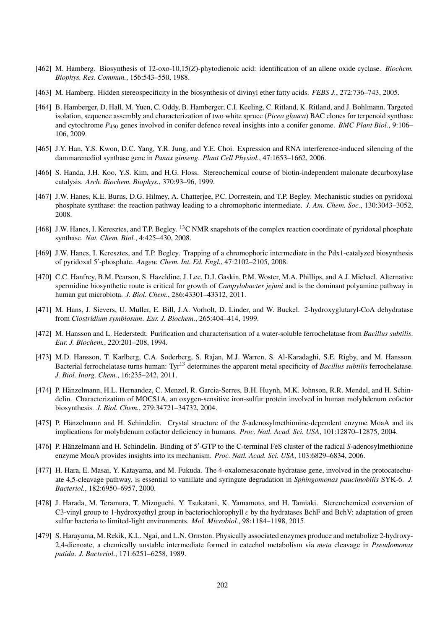- [462] M. Hamberg. Biosynthesis of 12-oxo-10,15(*Z*)-phytodienoic acid: identification of an allene oxide cyclase. *Biochem. Biophys. Res. Commun.*, 156:543–550, 1988.
- [463] M. Hamberg. Hidden stereospecificity in the biosynthesis of divinyl ether fatty acids. *FEBS J.*, 272:736–743, 2005.
- [464] B. Hamberger, D. Hall, M. Yuen, C. Oddy, B. Hamberger, C.I. Keeling, C. Ritland, K. Ritland, and J. Bohlmann. Targeted isolation, sequence assembly and characterization of two white spruce (*Picea glauca*) BAC clones for terpenoid synthase and cytochrome *P*<sup>450</sup> genes involved in conifer defence reveal insights into a conifer genome. *BMC Plant Biol.*, 9:106– 106, 2009.
- [465] J.Y. Han, Y.S. Kwon, D.C. Yang, Y.R. Jung, and Y.E. Choi. Expression and RNA interference-induced silencing of the dammarenediol synthase gene in *Panax ginseng*. *Plant Cell Physiol.*, 47:1653–1662, 2006.
- [466] S. Handa, J.H. Koo, Y.S. Kim, and H.G. Floss. Stereochemical course of biotin-independent malonate decarboxylase catalysis. *Arch. Biochem. Biophys.*, 370:93–96, 1999.
- [467] J.W. Hanes, K.E. Burns, D.G. Hilmey, A. Chatterjee, P.C. Dorrestein, and T.P. Begley. Mechanistic studies on pyridoxal phosphate synthase: the reaction pathway leading to a chromophoric intermediate. *J. Am. Chem. Soc.*, 130:3043–3052, 2008.
- [468] J.W. Hanes, I. Keresztes, and T.P. Begley. <sup>13</sup>C NMR snapshots of the complex reaction coordinate of pyridoxal phosphate synthase. *Nat. Chem. Biol.*, 4:425–430, 2008.
- [469] J.W. Hanes, I. Keresztes, and T.P. Begley. Trapping of a chromophoric intermediate in the Pdx1-catalyzed biosynthesis of pyridoxal 5'-phosphate. *Angew. Chem. Int. Ed. Engl.*, 47:2102-2105, 2008.
- [470] C.C. Hanfrey, B.M. Pearson, S. Hazeldine, J. Lee, D.J. Gaskin, P.M. Woster, M.A. Phillips, and A.J. Michael. Alternative spermidine biosynthetic route is critical for growth of *Campylobacter jejuni* and is the dominant polyamine pathway in human gut microbiota. *J. Biol. Chem.*, 286:43301–43312, 2011.
- [471] M. Hans, J. Sievers, U. Muller, E. Bill, J.A. Vorholt, D. Linder, and W. Buckel. 2-hydroxyglutaryl-CoA dehydratase from *Clostridium symbiosum*. *Eur. J. Biochem.*, 265:404–414, 1999.
- [472] M. Hansson and L. Hederstedt. Purification and characterisation of a water-soluble ferrochelatase from *Bacillus subtilis*. *Eur. J. Biochem.*, 220:201–208, 1994.
- [473] M.D. Hansson, T. Karlberg, C.A. Soderberg, S. Rajan, M.J. Warren, S. Al-Karadaghi, S.E. Rigby, and M. Hansson. Bacterial ferrochelatase turns human: Tyr<sup>13</sup> determines the apparent metal specificity of *Bacillus subtilis* ferrochelatase. *J. Biol. Inorg. Chem.*, 16:235–242, 2011.
- [474] P. Hänzelmann, H.L. Hernandez, C. Menzel, R. Garcia-Serres, B.H. Huynh, M.K. Johnson, R.R. Mendel, and H. Schindelin. Characterization of MOCS1A, an oxygen-sensitive iron-sulfur protein involved in human molybdenum cofactor biosynthesis. *J. Biol. Chem.*, 279:34721–34732, 2004.
- [475] P. Hänzelmann and H. Schindelin. Crystal structure of the S-adenosylmethionine-dependent enzyme MoaA and its implications for molybdenum cofactor deficiency in humans. *Proc. Natl. Acad. Sci. USA*, 101:12870–12875, 2004.
- [476] P. Hänzelmann and H. Schindelin. Binding of 5'-GTP to the C-terminal FeS cluster of the radical S-adenosylmethionine enzyme MoaA provides insights into its mechanism. *Proc. Natl. Acad. Sci. USA*, 103:6829–6834, 2006.
- [477] H. Hara, E. Masai, Y. Katayama, and M. Fukuda. The 4-oxalomesaconate hydratase gene, involved in the protocatechuate 4,5-cleavage pathway, is essential to vanillate and syringate degradation in *Sphingomonas paucimobilis* SYK-6. *J. Bacteriol.*, 182:6950–6957, 2000.
- [478] J. Harada, M. Teramura, T. Mizoguchi, Y. Tsukatani, K. Yamamoto, and H. Tamiaki. Stereochemical conversion of C3-vinyl group to 1-hydroxyethyl group in bacteriochlorophyll *c* by the hydratases BchF and BchV: adaptation of green sulfur bacteria to limited-light environments. *Mol. Microbiol.*, 98:1184–1198, 2015.
- [479] S. Harayama, M. Rekik, K.L. Ngai, and L.N. Ornston. Physically associated enzymes produce and metabolize 2-hydroxy-2,4-dienoate, a chemically unstable intermediate formed in catechol metabolism via *meta* cleavage in *Pseudomonas putida*. *J. Bacteriol.*, 171:6251–6258, 1989.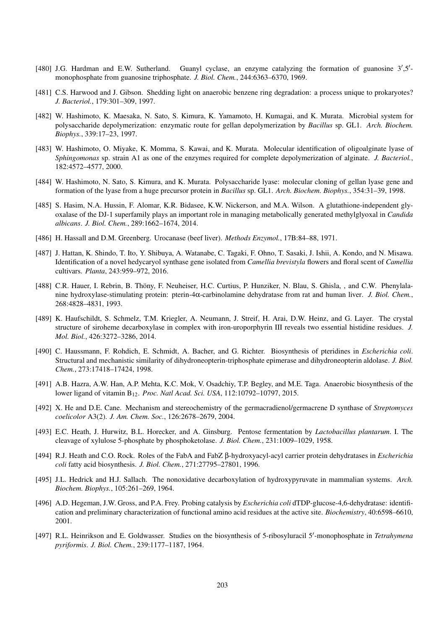- [480] J.G. Hardman and E.W. Sutherland. Guanyl cyclase, an enzyme catalyzing the formation of guanosine  $3', 5'$ monophosphate from guanosine triphosphate. *J. Biol. Chem.*, 244:6363–6370, 1969.
- [481] C.S. Harwood and J. Gibson. Shedding light on anaerobic benzene ring degradation: a process unique to prokaryotes? *J. Bacteriol.*, 179:301–309, 1997.
- [482] W. Hashimoto, K. Maesaka, N. Sato, S. Kimura, K. Yamamoto, H. Kumagai, and K. Murata. Microbial system for polysaccharide depolymerization: enzymatic route for gellan depolymerization by *Bacillus* sp. GL1. *Arch. Biochem. Biophys.*, 339:17–23, 1997.
- [483] W. Hashimoto, O. Miyake, K. Momma, S. Kawai, and K. Murata. Molecular identification of oligoalginate lyase of *Sphingomonas* sp. strain A1 as one of the enzymes required for complete depolymerization of alginate. *J. Bacteriol.*, 182:4572–4577, 2000.
- [484] W. Hashimoto, N. Sato, S. Kimura, and K. Murata. Polysaccharide lyase: molecular cloning of gellan lyase gene and formation of the lyase from a huge precursor protein in *Bacillus* sp. GL1. *Arch. Biochem. Biophys.*, 354:31–39, 1998.
- [485] S. Hasim, N.A. Hussin, F. Alomar, K.R. Bidasee, K.W. Nickerson, and M.A. Wilson. A glutathione-independent glyoxalase of the DJ-1 superfamily plays an important role in managing metabolically generated methylglyoxal in *Candida albicans*. *J. Biol. Chem.*, 289:1662–1674, 2014.
- [486] H. Hassall and D.M. Greenberg. Urocanase (beef liver). *Methods Enzymol.*, 17B:84–88, 1971.
- [487] J. Hattan, K. Shindo, T. Ito, Y. Shibuya, A. Watanabe, C. Tagaki, F. Ohno, T. Sasaki, J. Ishii, A. Kondo, and N. Misawa. Identification of a novel hedycaryol synthase gene isolated from *Camellia brevistyla* flowers and floral scent of *Camellia* cultivars. *Planta*, 243:959–972, 2016.
- [488] C.R. Hauer, I. Rebrin, B. Thöny, F. Neuheiser, H.C. Curtius, P. Hunziker, N. Blau, S. Ghisla, , and C.W. Phenylalanine hydroxylase-stimulating protein: pterin-4α-carbinolamine dehydratase from rat and human liver. *J. Biol. Chem.*, 268:4828–4831, 1993.
- [489] K. Haufschildt, S. Schmelz, T.M. Kriegler, A. Neumann, J. Streif, H. Arai, D.W. Heinz, and G. Layer. The crystal structure of siroheme decarboxylase in complex with iron-uroporphyrin III reveals two essential histidine residues. *J. Mol. Biol.*, 426:3272–3286, 2014.
- [490] C. Haussmann, F. Rohdich, E. Schmidt, A. Bacher, and G. Richter. Biosynthesis of pteridines in *Escherichia coli*. Structural and mechanistic similarity of dihydroneopterin-triphosphate epimerase and dihydroneopterin aldolase. *J. Biol. Chem.*, 273:17418–17424, 1998.
- [491] A.B. Hazra, A.W. Han, A.P. Mehta, K.C. Mok, V. Osadchiy, T.P. Begley, and M.E. Taga. Anaerobic biosynthesis of the lower ligand of vitamin B12. *Proc. Natl Acad. Sci. USA*, 112:10792–10797, 2015.
- [492] X. He and D.E. Cane. Mechanism and stereochemistry of the germacradienol/germacrene D synthase of *Streptomyces coelicolor* A3(2). *J. Am. Chem. Soc.*, 126:2678–2679, 2004.
- [493] E.C. Heath, J. Hurwitz, B.L. Horecker, and A. Ginsburg. Pentose fermentation by *Lactobacillus plantarum*. I. The cleavage of xylulose 5-phosphate by phosphoketolase. *J. Biol. Chem.*, 231:1009–1029, 1958.
- [494] R.J. Heath and C.O. Rock. Roles of the FabA and FabZ β-hydroxyacyl-acyl carrier protein dehydratases in *Escherichia coli* fatty acid biosynthesis. *J. Biol. Chem.*, 271:27795–27801, 1996.
- [495] J.L. Hedrick and H.J. Sallach. The nonoxidative decarboxylation of hydroxypyruvate in mammalian systems. *Arch. Biochem. Biophys.*, 105:261–269, 1964.
- [496] A.D. Hegeman, J.W. Gross, and P.A. Frey. Probing catalysis by *Escherichia coli* dTDP-glucose-4,6-dehydratase: identification and preliminary characterization of functional amino acid residues at the active site. *Biochemistry*, 40:6598–6610, 2001.
- [497] R.L. Heinrikson and E. Goldwasser. Studies on the biosynthesis of 5-ribosyluracil 5'-monophosphate in Tetrahymena *pyriformis*. *J. Biol. Chem.*, 239:1177–1187, 1964.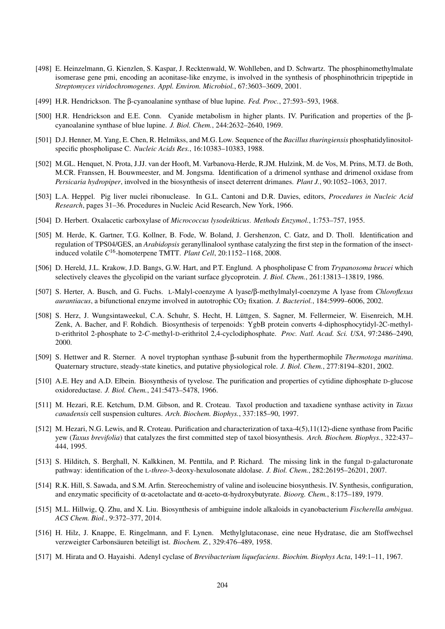- [498] E. Heinzelmann, G. Kienzlen, S. Kaspar, J. Recktenwald, W. Wohlleben, and D. Schwartz. The phosphinomethylmalate isomerase gene pmi, encoding an aconitase-like enzyme, is involved in the synthesis of phosphinothricin tripeptide in *Streptomyces viridochromogenes*. *Appl. Environ. Microbiol.*, 67:3603–3609, 2001.
- [499] H.R. Hendrickson. The β-cyanoalanine synthase of blue lupine. *Fed. Proc.*, 27:593–593, 1968.
- [500] H.R. Hendrickson and E.E. Conn. Cyanide metabolism in higher plants. IV. Purification and properties of the βcyanoalanine synthase of blue lupine. *J. Biol. Chem.*, 244:2632–2640, 1969.
- [501] D.J. Henner, M. Yang, E. Chen, R. Helmikss, and M.G. Low. Sequence of the *Bacillus thuringiensis* phosphatidylinositolspecific phospholipase C. *Nucleic Acids Res.*, 16:10383–10383, 1988.
- [502] M.GL. Henquet, N. Prota, J.JJ. van der Hooft, M. Varbanova-Herde, R.JM. Hulzink, M. de Vos, M. Prins, M.TJ. de Both, M.CR. Franssen, H. Bouwmeester, and M. Jongsma. Identification of a drimenol synthase and drimenol oxidase from *Persicaria hydropiper*, involved in the biosynthesis of insect deterrent drimanes. *Plant J.*, 90:1052–1063, 2017.
- [503] L.A. Heppel. Pig liver nuclei ribonuclease. In G.L. Cantoni and D.R. Davies, editors, *Procedures in Nucleic Acid Research*, pages 31–36. Procedures in Nucleic Acid Research, New York, 1966.
- [504] D. Herbert. Oxalacetic carboxylase of *Micrococcus lysodeikticus*. *Methods Enzymol.*, 1:753–757, 1955.
- [505] M. Herde, K. Gartner, T.G. Kollner, B. Fode, W. Boland, J. Gershenzon, C. Gatz, and D. Tholl. Identification and regulation of TPS04/GES, an *Arabidopsis* geranyllinalool synthase catalyzing the first step in the formation of the insectinduced volatile *C* <sup>16</sup>-homoterpene TMTT. *Plant Cell*, 20:1152–1168, 2008.
- [506] D. Hereld, J.L. Krakow, J.D. Bangs, G.W. Hart, and P.T. Englund. A phospholipase C from *Trypanosoma brucei* which selectively cleaves the glycolipid on the variant surface glycoprotein. *J. Biol. Chem.*, 261:13813–13819, 1986.
- [507] S. Herter, A. Busch, and G. Fuchs. L-Malyl-coenzyme A lyase/β-methylmalyl-coenzyme A lyase from *Chloroflexus aurantiacus*, a bifunctional enzyme involved in autotrophic CO<sub>2</sub> fixation. *J. Bacteriol.*, 184:5999–6006, 2002.
- [508] S. Herz, J. Wungsintaweekul, C.A. Schuhr, S. Hecht, H. Luttgen, S. Sagner, M. Fellermeier, W. Eisenreich, M.H. ¨ Zenk, A. Bacher, and F. Rohdich. Biosynthesis of terpenoids: YgbB protein converts 4-diphosphocytidyl-2C-methyl-D-erithritol 2-phosphate to 2-*C*-methyl-D-erithritol 2,4-cyclodiphosphate. *Proc. Natl. Acad. Sci. USA*, 97:2486–2490, 2000.
- [509] S. Hettwer and R. Sterner. A novel tryptophan synthase β-subunit from the hyperthermophile *Thermotoga maritima*. Quaternary structure, steady-state kinetics, and putative physiological role. *J. Biol. Chem.*, 277:8194–8201, 2002.
- [510] A.E. Hey and A.D. Elbein. Biosynthesis of tyvelose. The purification and properties of cytidine diphosphate D-glucose oxidoreductase. *J. Biol. Chem.*, 241:5473–5478, 1966.
- [511] M. Hezari, R.E. Ketchum, D.M. Gibson, and R. Croteau. Taxol production and taxadiene synthase activity in *Taxus canadensis* cell suspension cultures. *Arch. Biochem. Biophys.*, 337:185–90, 1997.
- [512] M. Hezari, N.G. Lewis, and R. Croteau. Purification and characterization of taxa-4(5),11(12)-diene synthase from Pacific yew (*Taxus brevifolia*) that catalyzes the first committed step of taxol biosynthesis. *Arch. Biochem. Biophys.*, 322:437– 444, 1995.
- [513] S. Hilditch, S. Berghall, N. Kalkkinen, M. Penttila, and P. Richard. The missing link in the fungal D-galacturonate pathway: identification of the L-*threo*-3-deoxy-hexulosonate aldolase. *J. Biol. Chem.*, 282:26195–26201, 2007.
- [514] R.K. Hill, S. Sawada, and S.M. Arfin. Stereochemistry of valine and isoleucine biosynthesis. IV. Synthesis, configuration, and enzymatic specificity of α-acetolactate and α-aceto-α-hydroxybutyrate. *Bioorg. Chem.*, 8:175–189, 1979.
- [515] M.L. Hillwig, Q. Zhu, and X. Liu. Biosynthesis of ambiguine indole alkaloids in cyanobacterium *Fischerella ambigua*. *ACS Chem. Biol.*, 9:372–377, 2014.
- [516] H. Hilz, J. Knappe, E. Ringelmann, and F. Lynen. Methylglutaconase, eine neue Hydratase, die am Stoffwechsel verzweigter Carbonsäuren beteiligt ist. Biochem. Z., 329:476–489, 1958.
- [517] M. Hirata and O. Hayaishi. Adenyl cyclase of *Brevibacterium liquefaciens*. *Biochim. Biophys Acta*, 149:1–11, 1967.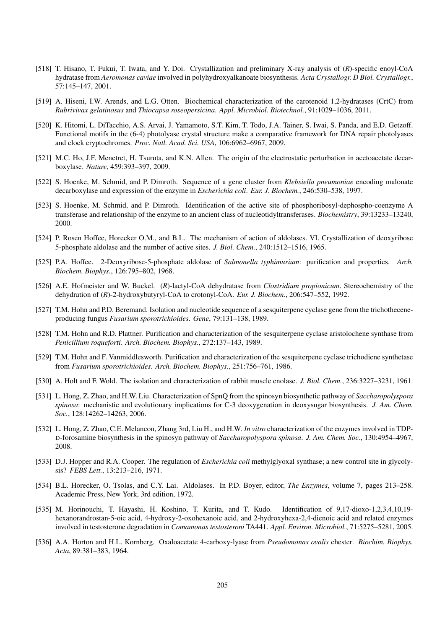- [518] T. Hisano, T. Fukui, T. Iwata, and Y. Doi. Crystallization and preliminary X-ray analysis of (*R*)-specific enoyl-CoA hydratase from *Aeromonas caviae* involved in polyhydroxyalkanoate biosynthesis. *Acta Crystallogr. D Biol. Crystallogr.*, 57:145–147, 2001.
- [519] A. Hiseni, I.W. Arends, and L.G. Otten. Biochemical characterization of the carotenoid 1,2-hydratases (CrtC) from *Rubrivivax gelatinosus* and *Thiocapsa roseopersicina*. *Appl. Microbiol. Biotechnol.*, 91:1029–1036, 2011.
- [520] K. Hitomi, L. DiTacchio, A.S. Arvai, J. Yamamoto, S.T. Kim, T. Todo, J.A. Tainer, S. Iwai, S. Panda, and E.D. Getzoff. Functional motifs in the (6-4) photolyase crystal structure make a comparative framework for DNA repair photolyases and clock cryptochromes. *Proc. Natl. Acad. Sci. USA*, 106:6962–6967, 2009.
- [521] M.C. Ho, J.F. Menetret, H. Tsuruta, and K.N. Allen. The origin of the electrostatic perturbation in acetoacetate decarboxylase. *Nature*, 459:393–397, 2009.
- [522] S. Hoenke, M. Schmid, and P. Dimroth. Sequence of a gene cluster from *Klebsiella pneumoniae* encoding malonate decarboxylase and expression of the enzyme in *Escherichia coli*. *Eur. J. Biochem.*, 246:530–538, 1997.
- [523] S. Hoenke, M. Schmid, and P. Dimroth. Identification of the active site of phosphoribosyl-dephospho-coenzyme A transferase and relationship of the enzyme to an ancient class of nucleotidyltransferases. *Biochemistry*, 39:13233–13240, 2000.
- [524] P. Rosen Hoffee, Horecker O.M., and B.L. The mechanism of action of aldolases. VI. Crystallization of deoxyribose 5-phosphate aldolase and the number of active sites. *J. Biol. Chem.*, 240:1512–1516, 1965.
- [525] P.A. Hoffee. 2-Deoxyribose-5-phosphate aldolase of *Salmonella typhimurium*: purification and properties. *Arch. Biochem. Biophys.*, 126:795–802, 1968.
- [526] A.E. Hofmeister and W. Buckel. (*R*)-lactyl-CoA dehydratase from *Clostridium propionicum*. Stereochemistry of the dehydration of (*R*)-2-hydroxybutyryl-CoA to crotonyl-CoA. *Eur. J. Biochem.*, 206:547–552, 1992.
- [527] T.M. Hohn and P.D. Beremand. Isolation and nucleotide sequence of a sesquiterpene cyclase gene from the trichotheceneproducing fungus *Fusarium sporotrichioides*. *Gene*, 79:131–138, 1989.
- [528] T.M. Hohn and R.D. Plattner. Purification and characterization of the sesquiterpene cyclase aristolochene synthase from *Penicillium roqueforti*. *Arch. Biochem. Biophys.*, 272:137–143, 1989.
- [529] T.M. Hohn and F. Vanmiddlesworth. Purification and characterization of the sesquiterpene cyclase trichodiene synthetase from *Fusarium sporotrichioides*. *Arch. Biochem. Biophys.*, 251:756–761, 1986.
- [530] A. Holt and F. Wold. The isolation and characterization of rabbit muscle enolase. *J. Biol. Chem.*, 236:3227–3231, 1961.
- [531] L. Hong, Z. Zhao, and H.W. Liu. Characterization of SpnQ from the spinosyn biosynthetic pathway of *Saccharopolyspora spinosa*: mechanistic and evolutionary implications for C-3 deoxygenation in deoxysugar biosynthesis. *J. Am. Chem. Soc.*, 128:14262–14263, 2006.
- [532] L. Hong, Z. Zhao, C.E. Melancon, Zhang 3rd, Liu H., and H.W. *In vitro* characterization of the enzymes involved in TDP-D-forosamine biosynthesis in the spinosyn pathway of *Saccharopolyspora spinosa*. *J. Am. Chem. Soc.*, 130:4954–4967, 2008.
- [533] D.J. Hopper and R.A. Cooper. The regulation of *Escherichia coli* methylglyoxal synthase; a new control site in glycolysis? *FEBS Lett.*, 13:213–216, 1971.
- [534] B.L. Horecker, O. Tsolas, and C.Y. Lai. Aldolases. In P.D. Boyer, editor, *The Enzymes*, volume 7, pages 213–258. Academic Press, New York, 3rd edition, 1972.
- [535] M. Horinouchi, T. Hayashi, H. Koshino, T. Kurita, and T. Kudo. Identification of 9,17-dioxo-1,2,3,4,10,19 hexanorandrostan-5-oic acid, 4-hydroxy-2-oxohexanoic acid, and 2-hydroxyhexa-2,4-dienoic acid and related enzymes involved in testosterone degradation in *Comamonas testosteroni* TA441. *Appl. Environ. Microbiol.*, 71:5275–5281, 2005.
- [536] A.A. Horton and H.L. Kornberg. Oxaloacetate 4-carboxy-lyase from *Pseudomonas ovalis* chester. *Biochim. Biophys. Acta*, 89:381–383, 1964.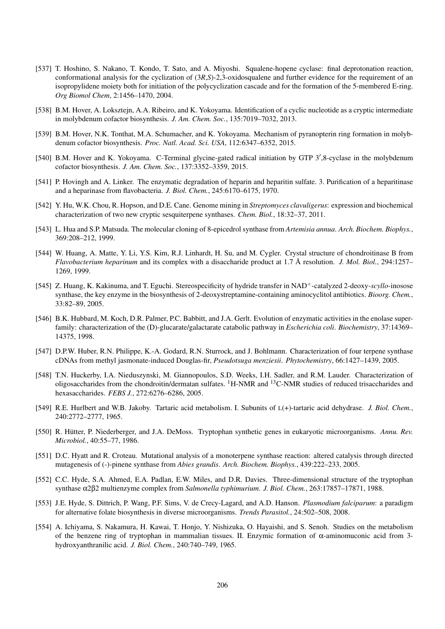- [537] T. Hoshino, S. Nakano, T. Kondo, T. Sato, and A. Miyoshi. Squalene-hopene cyclase: final deprotonation reaction, conformational analysis for the cyclization of (3*R*,*S*)-2,3-oxidosqualene and further evidence for the requirement of an isopropylidene moiety both for initiation of the polycyclization cascade and for the formation of the 5-membered E-ring. *Org Biomol Chem*, 2:1456–1470, 2004.
- [538] B.M. Hover, A. Loksztejn, A.A. Ribeiro, and K. Yokoyama. Identification of a cyclic nucleotide as a cryptic intermediate in molybdenum cofactor biosynthesis. *J. Am. Chem. Soc.*, 135:7019–7032, 2013.
- [539] B.M. Hover, N.K. Tonthat, M.A. Schumacher, and K. Yokoyama. Mechanism of pyranopterin ring formation in molybdenum cofactor biosynthesis. *Proc. Natl. Acad. Sci. USA*, 112:6347–6352, 2015.
- [540] B.M. Hover and K. Yokoyama. C-Terminal glycine-gated radical initiation by GTP 3',8-cyclase in the molybdenum cofactor biosynthesis. *J. Am. Chem. Soc.*, 137:3352–3359, 2015.
- [541] P. Hovingh and A. Linker. The enzymatic degradation of heparin and heparitin sulfate. 3. Purification of a heparitinase and a heparinase from flavobacteria. *J. Biol. Chem.*, 245:6170–6175, 1970.
- [542] Y. Hu, W.K. Chou, R. Hopson, and D.E. Cane. Genome mining in *Streptomyces clavuligerus*: expression and biochemical characterization of two new cryptic sesquiterpene synthases. *Chem. Biol.*, 18:32–37, 2011.
- [543] L. Hua and S.P. Matsuda. The molecular cloning of 8-epicedrol synthase from *Artemisia annua*. *Arch. Biochem. Biophys.*, 369:208–212, 1999.
- [544] W. Huang, A. Matte, Y. Li, Y.S. Kim, R.J. Linhardt, H. Su, and M. Cygler. Crystal structure of chondroitinase B from *Flavobacterium heparinum* and its complex with a disaccharide product at 1.7 Å resolution. *J. Mol. Biol.*, 294:1257– 1269, 1999.
- [545] Z. Huang, K. Kakinuma, and T. Eguchi. Stereospecificity of hydride transfer in NAD<sup>+</sup>-catalyzed 2-deoxy-*scyllo*-inosose synthase, the key enzyme in the biosynthesis of 2-deoxystreptamine-containing aminocyclitol antibiotics. *Bioorg. Chem.*, 33:82–89, 2005.
- [546] B.K. Hubbard, M. Koch, D.R. Palmer, P.C. Babbitt, and J.A. Gerlt. Evolution of enzymatic activities in the enolase superfamily: characterization of the (D)-glucarate/galactarate catabolic pathway in *Escherichia coli*. *Biochemistry*, 37:14369– 14375, 1998.
- [547] D.P.W. Huber, R.N. Philippe, K.-A. Godard, R.N. Sturrock, and J. Bohlmann. Characterization of four terpene synthase cDNAs from methyl jasmonate-induced Douglas-fir, *Pseudotsuga menziesii*. *Phytochemistry*, 66:1427–1439, 2005.
- [548] T.N. Huckerby, I.A. Nieduszynski, M. Giannopoulos, S.D. Weeks, I.H. Sadler, and R.M. Lauder. Characterization of oligosaccharides from the chondroitin/dermatan sulfates. <sup>1</sup>H-NMR and <sup>13</sup>C-NMR studies of reduced trisaccharides and hexasaccharides. *FEBS J.*, 272:6276–6286, 2005.
- [549] R.E. Hurlbert and W.B. Jakoby. Tartaric acid metabolism. I. Subunits of L(+)-tartaric acid dehydrase. *J. Biol. Chem.*, 240:2772–2777, 1965.
- [550] R. Hütter, P. Niederberger, and J.A. DeMoss. Tryptophan synthetic genes in eukaryotic microorganisms. Annu. Rev. *Microbiol.*, 40:55–77, 1986.
- [551] D.C. Hyatt and R. Croteau. Mutational analysis of a monoterpene synthase reaction: altered catalysis through directed mutagenesis of (-)-pinene synthase from *Abies grandis*. *Arch. Biochem. Biophys.*, 439:222–233, 2005.
- [552] C.C. Hyde, S.A. Ahmed, E.A. Padlan, E.W. Miles, and D.R. Davies. Three-dimensional structure of the tryptophan synthase α2β2 multienzyme complex from *Salmonella typhimurium*. *J. Biol. Chem.*, 263:17857–17871, 1988.
- [553] J.E. Hyde, S. Dittrich, P. Wang, P.F. Sims, V. de Crecy-Lagard, and A.D. Hanson. *Plasmodium falciparum*: a paradigm for alternative folate biosynthesis in diverse microorganisms. *Trends Parasitol.*, 24:502–508, 2008.
- [554] A. Ichiyama, S. Nakamura, H. Kawai, T. Honjo, Y. Nishizuka, O. Hayaishi, and S. Senoh. Studies on the metabolism of the benzene ring of tryptophan in mammalian tissues. II. Enzymic formation of α-aminomuconic acid from 3 hydroxyanthranilic acid. *J. Biol. Chem.*, 240:740–749, 1965.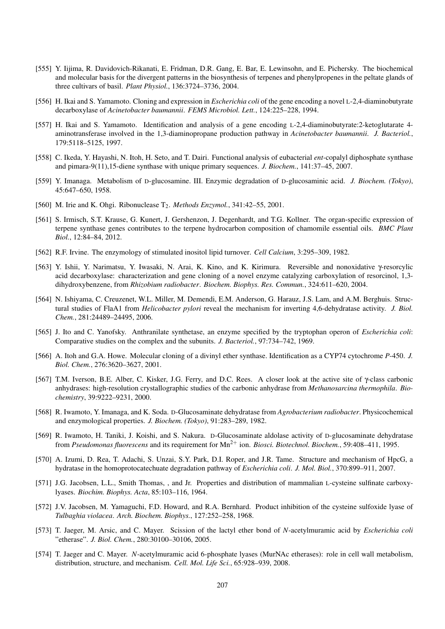- [555] Y. Iijima, R. Davidovich-Rikanati, E. Fridman, D.R. Gang, E. Bar, E. Lewinsohn, and E. Pichersky. The biochemical and molecular basis for the divergent patterns in the biosynthesis of terpenes and phenylpropenes in the peltate glands of three cultivars of basil. *Plant Physiol.*, 136:3724–3736, 2004.
- [556] H. Ikai and S. Yamamoto. Cloning and expression in *Escherichia coli* of the gene encoding a novel L-2,4-diaminobutyrate decarboxylase of *Acinetobacter baumannii*. *FEMS Microbiol. Lett.*, 124:225–228, 1994.
- [557] H. Ikai and S. Yamamoto. Identification and analysis of a gene encoding L-2,4-diaminobutyrate:2-ketoglutarate 4 aminotransferase involved in the 1,3-diaminopropane production pathway in *Acinetobacter baumannii*. *J. Bacteriol.*, 179:5118–5125, 1997.
- [558] C. Ikeda, Y. Hayashi, N. Itoh, H. Seto, and T. Dairi. Functional analysis of eubacterial *ent*-copalyl diphosphate synthase and pimara-9(11),15-diene synthase with unique primary sequences. *J. Biochem.*, 141:37–45, 2007.
- [559] Y. Imanaga. Metabolism of D-glucosamine. III. Enzymic degradation of D-glucosaminic acid. *J. Biochem. (Tokyo)*, 45:647–650, 1958.
- [560] M. Irie and K. Ohgi. Ribonuclease T<sub>2</sub>. *Methods Enzymol.*, 341:42–55, 2001.
- [561] S. Irmisch, S.T. Krause, G. Kunert, J. Gershenzon, J. Degenhardt, and T.G. Kollner. The organ-specific expression of terpene synthase genes contributes to the terpene hydrocarbon composition of chamomile essential oils. *BMC Plant Biol.*, 12:84–84, 2012.
- [562] R.F. Irvine. The enzymology of stimulated inositol lipid turnover. *Cell Calcium*, 3:295–309, 1982.
- [563] Y. Ishii, Y. Narimatsu, Y. Iwasaki, N. Arai, K. Kino, and K. Kirimura. Reversible and nonoxidative γ-resorcylic acid decarboxylase: characterization and gene cloning of a novel enzyme catalyzing carboxylation of resorcinol, 1,3 dihydroxybenzene, from *Rhizobium radiobacter*. *Biochem. Biophys. Res. Commun.*, 324:611–620, 2004.
- [564] N. Ishiyama, C. Creuzenet, W.L. Miller, M. Demendi, E.M. Anderson, G. Harauz, J.S. Lam, and A.M. Berghuis. Structural studies of FlaA1 from *Helicobacter pylori* reveal the mechanism for inverting 4,6-dehydratase activity. *J. Biol. Chem.*, 281:24489–24495, 2006.
- [565] J. Ito and C. Yanofsky. Anthranilate synthetase, an enzyme specified by the tryptophan operon of *Escherichia coli*: Comparative studies on the complex and the subunits. *J. Bacteriol.*, 97:734–742, 1969.
- [566] A. Itoh and G.A. Howe. Molecular cloning of a divinyl ether synthase. Identification as a CYP74 cytochrome *P*-450. *J. Biol. Chem.*, 276:3620–3627, 2001.
- [567] T.M. Iverson, B.E. Alber, C. Kisker, J.G. Ferry, and D.C. Rees. A closer look at the active site of γ-class carbonic anhydrases: high-resolution crystallographic studies of the carbonic anhydrase from *Methanosarcina thermophila*. *Biochemistry*, 39:9222–9231, 2000.
- [568] R. Iwamoto, Y. Imanaga, and K. Soda. D-Glucosaminate dehydratase from *Agrobacterium radiobacter*. Physicochemical and enzymological properties. *J. Biochem. (Tokyo)*, 91:283–289, 1982.
- [569] R. Iwamoto, H. Taniki, J. Koishi, and S. Nakura. D-Glucosaminate aldolase activity of D-glucosaminate dehydratase from *Pseudomonas fluorescens* and its requirement for Mn<sup>2+</sup> ion. *Biosci. Biotechnol. Biochem.*, 59:408–411, 1995.
- [570] A. Izumi, D. Rea, T. Adachi, S. Unzai, S.Y. Park, D.I. Roper, and J.R. Tame. Structure and mechanism of HpcG, a hydratase in the homoprotocatechuate degradation pathway of *Escherichia coli*. *J. Mol. Biol.*, 370:899–911, 2007.
- [571] J.G. Jacobsen, L.L., Smith Thomas, , and Jr. Properties and distribution of mammalian L-cysteine sulfinate carboxylyases. *Biochim. Biophys. Acta*, 85:103–116, 1964.
- [572] J.V. Jacobsen, M. Yamaguchi, F.D. Howard, and R.A. Bernhard. Product inhibition of the cysteine sulfoxide lyase of *Tulbaghia violacea*. *Arch. Biochem. Biophys.*, 127:252–258, 1968.
- [573] T. Jaeger, M. Arsic, and C. Mayer. Scission of the lactyl ether bond of *N*-acetylmuramic acid by *Escherichia coli* "etherase". *J. Biol. Chem.*, 280:30100–30106, 2005.
- [574] T. Jaeger and C. Mayer. *N*-acetylmuramic acid 6-phosphate lyases (MurNAc etherases): role in cell wall metabolism, distribution, structure, and mechanism. *Cell. Mol. Life Sci.*, 65:928–939, 2008.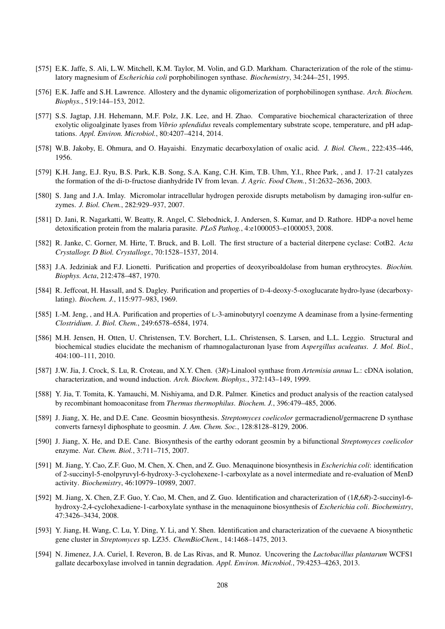- [575] E.K. Jaffe, S. Ali, L.W. Mitchell, K.M. Taylor, M. Volin, and G.D. Markham. Characterization of the role of the stimulatory magnesium of *Escherichia coli* porphobilinogen synthase. *Biochemistry*, 34:244–251, 1995.
- [576] E.K. Jaffe and S.H. Lawrence. Allostery and the dynamic oligomerization of porphobilinogen synthase. *Arch. Biochem. Biophys.*, 519:144–153, 2012.
- [577] S.S. Jagtap, J.H. Hehemann, M.F. Polz, J.K. Lee, and H. Zhao. Comparative biochemical characterization of three exolytic oligoalginate lyases from *Vibrio splendidus* reveals complementary substrate scope, temperature, and pH adaptations. *Appl. Environ. Microbiol.*, 80:4207–4214, 2014.
- [578] W.B. Jakoby, E. Ohmura, and O. Hayaishi. Enzymatic decarboxylation of oxalic acid. *J. Biol. Chem.*, 222:435–446, 1956.
- [579] K.H. Jang, E.J. Ryu, B.S. Park, K.B. Song, S.A. Kang, C.H. Kim, T.B. Uhm, Y.I., Rhee Park, , and J. 17-21 catalyzes the formation of the di-D-fructose dianhydride IV from levan. *J. Agric. Food Chem.*, 51:2632–2636, 2003.
- [580] S. Jang and J.A. Imlay. Micromolar intracellular hydrogen peroxide disrupts metabolism by damaging iron-sulfur enzymes. *J. Biol. Chem.*, 282:929–937, 2007.
- [581] D. Jani, R. Nagarkatti, W. Beatty, R. Angel, C. Slebodnick, J. Andersen, S. Kumar, and D. Rathore. HDP-a novel heme detoxification protein from the malaria parasite. *PLoS Pathog.*, 4:e1000053–e1000053, 2008.
- [582] R. Janke, C. Gorner, M. Hirte, T. Bruck, and B. Loll. The first structure of a bacterial diterpene cyclase: CotB2. *Acta Crystallogr. D Biol. Crystallogr.*, 70:1528–1537, 2014.
- [583] J.A. Jedziniak and F.J. Lionetti. Purification and properties of deoxyriboaldolase from human erythrocytes. *Biochim. Biophys. Acta*, 212:478–487, 1970.
- [584] R. Jeffcoat, H. Hassall, and S. Dagley. Purification and properties of D-4-deoxy-5-oxoglucarate hydro-lyase (decarboxylating). *Biochem. J.*, 115:977–983, 1969.
- [585] I.-M. Jeng, , and H.A. Purification and properties of L-3-aminobutyryl coenzyme A deaminase from a lysine-fermenting *Clostridium*. *J. Biol. Chem.*, 249:6578–6584, 1974.
- [586] M.H. Jensen, H. Otten, U. Christensen, T.V. Borchert, L.L. Christensen, S. Larsen, and L.L. Leggio. Structural and biochemical studies elucidate the mechanism of rhamnogalacturonan lyase from *Aspergillus aculeatus*. *J. Mol. Biol.*, 404:100–111, 2010.
- [587] J.W. Jia, J. Crock, S. Lu, R. Croteau, and X.Y. Chen. (3*R*)-Linalool synthase from *Artemisia annua* L.: cDNA isolation, characterization, and wound induction. *Arch. Biochem. Biophys.*, 372:143–149, 1999.
- [588] Y. Jia, T. Tomita, K. Yamauchi, M. Nishiyama, and D.R. Palmer. Kinetics and product analysis of the reaction catalysed by recombinant homoaconitase from *Thermus thermophilus*. *Biochem. J.*, 396:479–485, 2006.
- [589] J. Jiang, X. He, and D.E. Cane. Geosmin biosynthesis. *Streptomyces coelicolor* germacradienol/germacrene D synthase converts farnesyl diphosphate to geosmin. *J. Am. Chem. Soc.*, 128:8128–8129, 2006.
- [590] J. Jiang, X. He, and D.E. Cane. Biosynthesis of the earthy odorant geosmin by a bifunctional *Streptomyces coelicolor* enzyme. *Nat. Chem. Biol.*, 3:711–715, 2007.
- [591] M. Jiang, Y. Cao, Z.F. Guo, M. Chen, X. Chen, and Z. Guo. Menaquinone biosynthesis in *Escherichia coli*: identification of 2-succinyl-5-enolpyruvyl-6-hydroxy-3-cyclohexene-1-carboxylate as a novel intermediate and re-evaluation of MenD activity. *Biochemistry*, 46:10979–10989, 2007.
- [592] M. Jiang, X. Chen, Z.F. Guo, Y. Cao, M. Chen, and Z. Guo. Identification and characterization of (1*R*,6*R*)-2-succinyl-6 hydroxy-2,4-cyclohexadiene-1-carboxylate synthase in the menaquinone biosynthesis of *Escherichia coli*. *Biochemistry*, 47:3426–3434, 2008.
- [593] Y. Jiang, H. Wang, C. Lu, Y. Ding, Y. Li, and Y. Shen. Identification and characterization of the cuevaene A biosynthetic gene cluster in *Streptomyces* sp. LZ35. *ChemBioChem.*, 14:1468–1475, 2013.
- [594] N. Jimenez, J.A. Curiel, I. Reveron, B. de Las Rivas, and R. Munoz. Uncovering the *Lactobacillus plantarum* WCFS1 gallate decarboxylase involved in tannin degradation. *Appl. Environ. Microbiol.*, 79:4253–4263, 2013.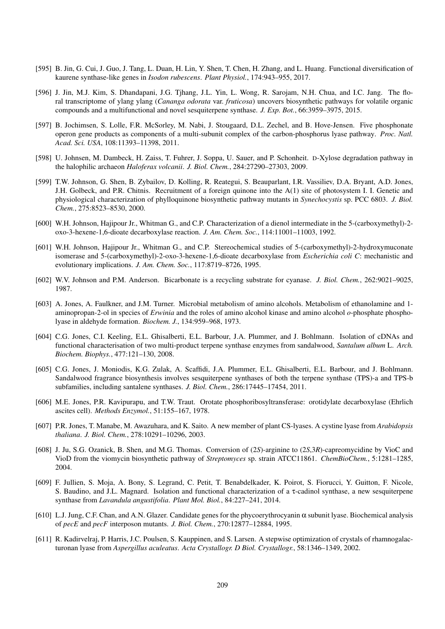- [595] B. Jin, G. Cui, J. Guo, J. Tang, L. Duan, H. Lin, Y. Shen, T. Chen, H. Zhang, and L. Huang. Functional diversification of kaurene synthase-like genes in *Isodon rubescens*. *Plant Physiol.*, 174:943–955, 2017.
- [596] J. Jin, M.J. Kim, S. Dhandapani, J.G. Tjhang, J.L. Yin, L. Wong, R. Sarojam, N.H. Chua, and I.C. Jang. The floral transcriptome of ylang ylang (*Cananga odorata* var. *fruticosa*) uncovers biosynthetic pathways for volatile organic compounds and a multifunctional and novel sesquiterpene synthase. *J. Exp. Bot.*, 66:3959–3975, 2015.
- [597] B. Jochimsen, S. Lolle, F.R. McSorley, M. Nabi, J. Stougaard, D.L. Zechel, and B. Hove-Jensen. Five phosphonate operon gene products as components of a multi-subunit complex of the carbon-phosphorus lyase pathway. *Proc. Natl. Acad. Sci. USA*, 108:11393–11398, 2011.
- [598] U. Johnsen, M. Dambeck, H. Zaiss, T. Fuhrer, J. Soppa, U. Sauer, and P. Schonheit. D-Xylose degradation pathway in the halophilic archaeon *Haloferax volcanii*. *J. Biol. Chem.*, 284:27290–27303, 2009.
- [599] T.W. Johnson, G. Shen, B. Zybailov, D. Kolling, R. Reategui, S. Beauparlant, I.R. Vassiliev, D.A. Bryant, A.D. Jones, J.H. Golbeck, and P.R. Chitnis. Recruitment of a foreign quinone into the A(1) site of photosystem I. I. Genetic and physiological characterization of phylloquinone biosynthetic pathway mutants in *Synechocystis* sp. PCC 6803. *J. Biol. Chem.*, 275:8523–8530, 2000.
- [600] W.H. Johnson, Hajipour Jr., Whitman G., and C.P. Characterization of a dienol intermediate in the 5-(carboxymethyl)-2 oxo-3-hexene-1,6-dioate decarboxylase reaction. *J. Am. Chem. Soc.*, 114:11001–11003, 1992.
- [601] W.H. Johnson, Hajipour Jr., Whitman G., and C.P. Stereochemical studies of 5-(carboxymethyl)-2-hydroxymuconate isomerase and 5-(carboxymethyl)-2-oxo-3-hexene-1,6-dioate decarboxylase from *Escherichia coli C*: mechanistic and evolutionary implications. *J. Am. Chem. Soc.*, 117:8719–8726, 1995.
- [602] W.V. Johnson and P.M. Anderson. Bicarbonate is a recycling substrate for cyanase. *J. Biol. Chem.*, 262:9021–9025, 1987.
- [603] A. Jones, A. Faulkner, and J.M. Turner. Microbial metabolism of amino alcohols. Metabolism of ethanolamine and 1 aminopropan-2-ol in species of *Erwinia* and the roles of amino alcohol kinase and amino alcohol *o*-phosphate phospholyase in aldehyde formation. *Biochem. J.*, 134:959–968, 1973.
- [604] C.G. Jones, C.I. Keeling, E.L. Ghisalberti, E.L. Barbour, J.A. Plummer, and J. Bohlmann. Isolation of cDNAs and functional characterisation of two multi-product terpene synthase enzymes from sandalwood, *Santalum album* L. *Arch. Biochem. Biophys.*, 477:121–130, 2008.
- [605] C.G. Jones, J. Moniodis, K.G. Zulak, A. Scaffidi, J.A. Plummer, E.L. Ghisalberti, E.L. Barbour, and J. Bohlmann. Sandalwood fragrance biosynthesis involves sesquiterpene synthases of both the terpene synthase (TPS)-a and TPS-b subfamilies, including santalene synthases. *J. Biol. Chem.*, 286:17445–17454, 2011.
- [606] M.E. Jones, P.R. Kavipurapu, and T.W. Traut. Orotate phosphoribosyltransferase: orotidylate decarboxylase (Ehrlich ascites cell). *Methods Enzymol.*, 51:155–167, 1978.
- [607] P.R. Jones, T. Manabe, M. Awazuhara, and K. Saito. A new member of plant CS-lyases. A cystine lyase from *Arabidopsis thaliana*. *J. Biol. Chem.*, 278:10291–10296, 2003.
- [608] J. Ju, S.G. Ozanick, B. Shen, and M.G. Thomas. Conversion of (2*S*)-arginine to (2*S*,3*R*)-capreomycidine by VioC and VioD from the viomycin biosynthetic pathway of *Streptomyces* sp. strain ATCC11861. *ChemBioChem.*, 5:1281–1285, 2004.
- [609] F. Jullien, S. Moja, A. Bony, S. Legrand, C. Petit, T. Benabdelkader, K. Poirot, S. Fiorucci, Y. Guitton, F. Nicole, S. Baudino, and J.L. Magnard. Isolation and functional characterization of a τ-cadinol synthase, a new sesquiterpene synthase from *Lavandula angustifolia*. *Plant Mol. Biol.*, 84:227–241, 2014.
- [610] L.J. Jung, C.F. Chan, and A.N. Glazer. Candidate genes for the phycoerythrocyanin α subunit lyase. Biochemical analysis of *pecE* and *pecF* interposon mutants. *J. Biol. Chem.*, 270:12877–12884, 1995.
- [611] R. Kadirvelraj, P. Harris, J.C. Poulsen, S. Kauppinen, and S. Larsen. A stepwise optimization of crystals of rhamnogalacturonan lyase from *Aspergillus aculeatus*. *Acta Crystallogr. D Biol. Crystallogr.*, 58:1346–1349, 2002.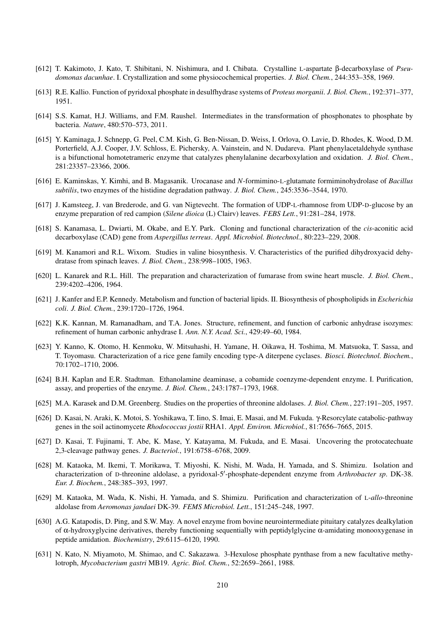- [612] T. Kakimoto, J. Kato, T. Shibitani, N. Nishimura, and I. Chibata. Crystalline L-aspartate β-decarboxylase of *Pseudomonas dacunhae*. I. Crystallization and some physiocochemical properties. *J. Biol. Chem.*, 244:353–358, 1969.
- [613] R.E. Kallio. Function of pyridoxal phosphate in desulfhydrase systems of *Proteus morganii*. *J. Biol. Chem.*, 192:371–377, 1951.
- [614] S.S. Kamat, H.J. Williams, and F.M. Raushel. Intermediates in the transformation of phosphonates to phosphate by bacteria. *Nature*, 480:570–573, 2011.
- [615] Y. Kaminaga, J. Schnepp, G. Peel, C.M. Kish, G. Ben-Nissan, D. Weiss, I. Orlova, O. Lavie, D. Rhodes, K. Wood, D.M. Porterfield, A.J. Cooper, J.V. Schloss, E. Pichersky, A. Vainstein, and N. Dudareva. Plant phenylacetaldehyde synthase is a bifunctional homotetrameric enzyme that catalyzes phenylalanine decarboxylation and oxidation. *J. Biol. Chem.*, 281:23357–23366, 2006.
- [616] E. Kaminskas, Y. Kimhi, and B. Magasanik. Urocanase and *N*-formimino-L-glutamate formiminohydrolase of *Bacillus subtilis*, two enzymes of the histidine degradation pathway. *J. Biol. Chem.*, 245:3536–3544, 1970.
- [617] J. Kamsteeg, J. van Brederode, and G. van Nigtevecht. The formation of UDP-L-rhamnose from UDP-D-glucose by an enzyme preparation of red campion (*Silene dioica* (L) Clairv) leaves. *FEBS Lett.*, 91:281–284, 1978.
- [618] S. Kanamasa, L. Dwiarti, M. Okabe, and E.Y. Park. Cloning and functional characterization of the *cis*-aconitic acid decarboxylase (CAD) gene from *Aspergillus terreus*. *Appl. Microbiol. Biotechnol.*, 80:223–229, 2008.
- [619] M. Kanamori and R.L. Wixom. Studies in valine biosynthesis. V. Characteristics of the purified dihydroxyacid dehydratase from spinach leaves. *J. Biol. Chem.*, 238:998–1005, 1963.
- [620] L. Kanarek and R.L. Hill. The preparation and characterization of fumarase from swine heart muscle. *J. Biol. Chem.*, 239:4202–4206, 1964.
- [621] J. Kanfer and E.P. Kennedy. Metabolism and function of bacterial lipids. II. Biosynthesis of phospholipids in *Escherichia coli*. *J. Biol. Chem.*, 239:1720–1726, 1964.
- [622] K.K. Kannan, M. Ramanadham, and T.A. Jones. Structure, refinement, and function of carbonic anhydrase isozymes: refinement of human carbonic anhydrase I. *Ann. N.Y. Acad. Sci.*, 429:49–60, 1984.
- [623] Y. Kanno, K. Otomo, H. Kenmoku, W. Mitsuhashi, H. Yamane, H. Oikawa, H. Toshima, M. Matsuoka, T. Sassa, and T. Toyomasu. Characterization of a rice gene family encoding type-A diterpene cyclases. *Biosci. Biotechnol. Biochem.*, 70:1702–1710, 2006.
- [624] B.H. Kaplan and E.R. Stadtman. Ethanolamine deaminase, a cobamide coenzyme-dependent enzyme. I. Purification, assay, and properties of the enzyme. *J. Biol. Chem.*, 243:1787–1793, 1968.
- [625] M.A. Karasek and D.M. Greenberg. Studies on the properties of threonine aldolases. *J. Biol. Chem.*, 227:191–205, 1957.
- [626] D. Kasai, N. Araki, K. Motoi, S. Yoshikawa, T. Iino, S. Imai, E. Masai, and M. Fukuda. γ-Resorcylate catabolic-pathway genes in the soil actinomycete *Rhodococcus jostii* RHA1. *Appl. Environ. Microbiol.*, 81:7656–7665, 2015.
- [627] D. Kasai, T. Fujinami, T. Abe, K. Mase, Y. Katayama, M. Fukuda, and E. Masai. Uncovering the protocatechuate 2,3-cleavage pathway genes. *J. Bacteriol.*, 191:6758–6768, 2009.
- [628] M. Kataoka, M. Ikemi, T. Morikawa, T. Miyoshi, K. Nishi, M. Wada, H. Yamada, and S. Shimizu. Isolation and characterization of D-threonine aldolase, a pyridoxal-5'-phosphate-dependent enzyme from Arthrobacter sp. DK-38. *Eur. J. Biochem.*, 248:385–393, 1997.
- [629] M. Kataoka, M. Wada, K. Nishi, H. Yamada, and S. Shimizu. Purification and characterization of L-*allo*-threonine aldolase from *Aeromonas jandaei* DK-39. *FEMS Microbiol. Lett.*, 151:245–248, 1997.
- [630] A.G. Katapodis, D. Ping, and S.W. May. A novel enzyme from bovine neurointermediate pituitary catalyzes dealkylation of α-hydroxyglycine derivatives, thereby functioning sequentially with peptidylglycine α-amidating monooxygenase in peptide amidation. *Biochemistry*, 29:6115–6120, 1990.
- [631] N. Kato, N. Miyamoto, M. Shimao, and C. Sakazawa. 3-Hexulose phosphate pynthase from a new facultative methylotroph, *Mycobacterium gastri* MB19. *Agric. Biol. Chem.*, 52:2659–2661, 1988.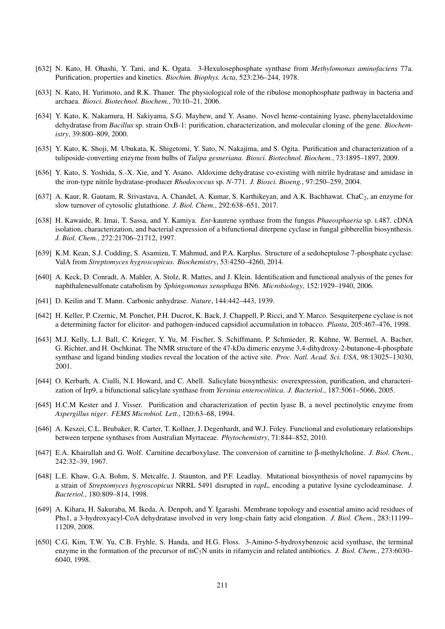- [632] N. Kato, H. Ohashi, Y. Tani, and K. Ogata. 3-Hexulosephosphate synthase from *Methylomonas aminofaciens* 77a. Purification, properties and kinetics. *Biochim. Biophys. Acta*, 523:236–244, 1978.
- [633] N. Kato, H. Yurimoto, and R.K. Thauer. The physiological role of the ribulose monophosphate pathway in bacteria and archaea. *Biosci. Biotechnol. Biochem.*, 70:10–21, 2006.
- [634] Y. Kato, K. Nakamura, H. Sakiyama, S.G. Mayhew, and Y. Asano. Novel heme-containing lyase, phenylacetaldoxime dehydratase from *Bacillus* sp. strain OxB-1: purification, characterization, and molecular cloning of the gene. *Biochemistry*, 39:800–809, 2000.
- [635] Y. Kato, K. Shoji, M. Ubukata, K. Shigetomi, Y. Sato, N. Nakajima, and S. Ogita. Purification and characterization of a tuliposide-converting enzyme from bulbs of *Tulipa gesneriana*. *Biosci. Biotechnol. Biochem.*, 73:1895–1897, 2009.
- [636] Y. Kato, S. Yoshida, S.-X. Xie, and Y. Asano. Aldoxime dehydratase co-existing with nitrile hydratase and amidase in the iron-type nitrile hydratase-producer *Rhodococcus* sp. *N*-771. *J. Biosci. Bioeng.*, 97:250–259, 2004.
- [637] A. Kaur, R. Gautam, R. Srivastava, A. Chandel, A. Kumar, S. Karthikeyan, and A.K. Bachhawat. ChaC<sub>2</sub>, an enzyme for slow turnover of cytosolic glutathione. *J. Biol. Chem.*, 292:638–651, 2017.
- [638] H. Kawaide, R. Imai, T. Sassa, and Y. Kamiya. *Ent*-kaurene synthase from the fungus *Phaeosphaeria* sp. L487. cDNA isolation, characterization, and bacterial expression of a bifunctional diterpene cyclase in fungal gibberellin biosynthesis. *J. Biol. Chem.*, 272:21706–21712, 1997.
- [639] K.M. Kean, S.J. Codding, S. Asamizu, T. Mahmud, and P.A. Karplus. Structure of a sedoheptulose 7-phosphate cyclase: ValA from *Streptomyces hygroscopicus*. *Biochemistry*, 53:4250–4260, 2014.
- [640] A. Keck, D. Conradt, A. Mahler, A. Stolz, R. Mattes, and J. Klein. Identification and functional analysis of the genes for naphthalenesulfonate catabolism by *Sphingomonas xenophaga* BN6. *Microbiology*, 152:1929–1940, 2006.
- [641] D. Keilin and T. Mann. Carbonic anhydrase. *Nature*, 144:442–443, 1939.
- [642] H. Keller, P. Czernic, M. Ponchet, P.H. Ducrot, K. Back, J. Chappell, P. Ricci, and Y. Marco. Sesquiterpene cyclase is not a determining factor for elicitor- and pathogen-induced capsidiol accumulation in tobacco. *Planta*, 205:467–476, 1998.
- [643] M.J. Kelly, L.J. Ball, C. Krieger, Y. Yu, M. Fischer, S. Schiffmann, P. Schmieder, R. Kuhne, W. Bermel, A. Bacher, ¨ G. Richter, and H. Oschkinat. The NMR structure of the 47-kDa dimeric enzyme 3,4-dihydroxy-2-butanone-4-phosphate synthase and ligand binding studies reveal the location of the active site. *Proc. Natl. Acad. Sci. USA*, 98:13025–13030, 2001.
- [644] O. Kerbarh, A. Ciulli, N.I. Howard, and C. Abell. Salicylate biosynthesis: overexpression, purification, and characterization of Irp9, a bifunctional salicylate synthase from *Yersinia enterocolitica*. *J. Bacteriol.*, 187:5061–5066, 2005.
- [645] H.C.M Kester and J. Visser. Purification and characterization of pectin lyase B, a novel pectinolytic enzyme from *Aspergillus niger*. *FEMS Microbiol. Lett.*, 120:63–68, 1994.
- [646] A. Keszei, C.L. Brubaker, R. Carter, T. Kollner, J. Degenhardt, and W.J. Foley. Functional and evolutionary relationships between terpene synthases from Australian Myrtaceae. *Phytochemistry*, 71:844–852, 2010.
- [647] E.A. Khairallah and G. Wolf. Carnitine decarboxylase. The conversion of carnitine to β-methylcholine. *J. Biol. Chem.*, 242:32–39, 1967.
- [648] L.E. Khaw, G.A. Bohm, S. Metcalfe, J. Staunton, and P.F. Leadlay. Mutational biosynthesis of novel rapamycins by a strain of *Streptomyces hygroscopicus* NRRL 5491 disrupted in *rapL*, encoding a putative lysine cyclodeaminase. *J. Bacteriol.*, 180:809–814, 1998.
- [649] A. Kihara, H. Sakuraba, M. Ikeda, A. Denpoh, and Y. Igarashi. Membrane topology and essential amino acid residues of Phs1, a 3-hydroxyacyl-CoA dehydratase involved in very long-chain fatty acid elongation. *J. Biol. Chem.*, 283:11199– 11209, 2008.
- [650] C.G. Kim, T.W. Yu, C.B. Fryhle, S. Handa, and H.G. Floss. 3-Amino-5-hydroxybenzoic acid synthase, the terminal enzyme in the formation of the precursor of mC7N units in rifamycin and related antibiotics. *J. Biol. Chem.*, 273:6030– 6040, 1998.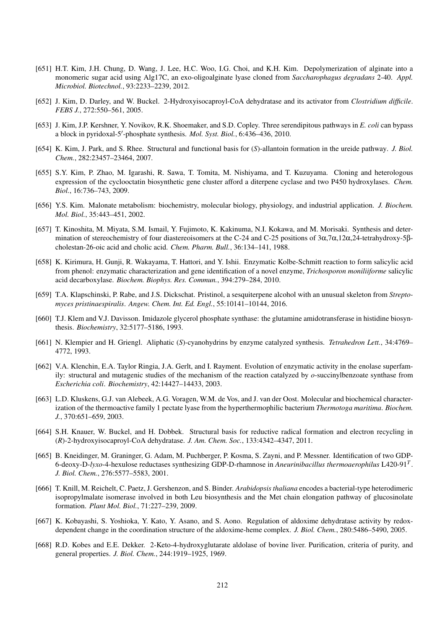- [651] H.T. Kim, J.H. Chung, D. Wang, J. Lee, H.C. Woo, I.G. Choi, and K.H. Kim. Depolymerization of alginate into a monomeric sugar acid using Alg17C, an exo-oligoalginate lyase cloned from *Saccharophagus degradans* 2-40. *Appl. Microbiol. Biotechnol.*, 93:2233–2239, 2012.
- [652] J. Kim, D. Darley, and W. Buckel. 2-Hydroxyisocaproyl-CoA dehydratase and its activator from *Clostridium difficile*. *FEBS J.*, 272:550–561, 2005.
- [653] J. Kim, J.P. Kershner, Y. Novikov, R.K. Shoemaker, and S.D. Copley. Three serendipitous pathways in *E. coli* can bypass a block in pyridoxal-5'-phosphate synthesis. Mol. Syst. Biol., 6:436-436, 2010.
- [654] K. Kim, J. Park, and S. Rhee. Structural and functional basis for (*S*)-allantoin formation in the ureide pathway. *J. Biol. Chem.*, 282:23457–23464, 2007.
- [655] S.Y. Kim, P. Zhao, M. Igarashi, R. Sawa, T. Tomita, M. Nishiyama, and T. Kuzuyama. Cloning and heterologous expression of the cyclooctatin biosynthetic gene cluster afford a diterpene cyclase and two P450 hydroxylases. *Chem. Biol.*, 16:736–743, 2009.
- [656] Y.S. Kim. Malonate metabolism: biochemistry, molecular biology, physiology, and industrial application. *J. Biochem. Mol. Biol.*, 35:443–451, 2002.
- [657] T. Kinoshita, M. Miyata, S.M. Ismail, Y. Fujimoto, K. Kakinuma, N.I. Kokawa, and M. Morisaki. Synthesis and determination of stereochemistry of four diastereoisomers at the C-24 and C-25 positions of 3α,7α,12α,24-tetrahydroxy-5βcholestan-26-oic acid and cholic acid. *Chem. Pharm. Bull.*, 36:134–141, 1988.
- [658] K. Kirimura, H. Gunji, R. Wakayama, T. Hattori, and Y. Ishii. Enzymatic Kolbe-Schmitt reaction to form salicylic acid from phenol: enzymatic characterization and gene identification of a novel enzyme, *Trichosporon moniliiforme* salicylic acid decarboxylase. *Biochem. Biophys. Res. Commun.*, 394:279–284, 2010.
- [659] T.A. Klapschinski, P. Rabe, and J.S. Dickschat. Pristinol, a sesquiterpene alcohol with an unusual skeleton from *Streptomyces pristinaespiralis*. *Angew. Chem. Int. Ed. Engl.*, 55:10141–10144, 2016.
- [660] T.J. Klem and V.J. Davisson. Imidazole glycerol phosphate synthase: the glutamine amidotransferase in histidine biosynthesis. *Biochemistry*, 32:5177–5186, 1993.
- [661] N. Klempier and H. Griengl. Aliphatic (*S*)-cyanohydrins by enzyme catalyzed synthesis. *Tetrahedron Lett.*, 34:4769– 4772, 1993.
- [662] V.A. Klenchin, E.A. Taylor Ringia, J.A. Gerlt, and I. Rayment. Evolution of enzymatic activity in the enolase superfamily: structural and mutagenic studies of the mechanism of the reaction catalyzed by *o*-succinylbenzoate synthase from *Escherichia coli*. *Biochemistry*, 42:14427–14433, 2003.
- [663] L.D. Kluskens, G.J. van Alebeek, A.G. Voragen, W.M. de Vos, and J. van der Oost. Molecular and biochemical characterization of the thermoactive family 1 pectate lyase from the hyperthermophilic bacterium *Thermotoga maritima*. *Biochem. J.*, 370:651–659, 2003.
- [664] S.H. Knauer, W. Buckel, and H. Dobbek. Structural basis for reductive radical formation and electron recycling in (*R*)-2-hydroxyisocaproyl-CoA dehydratase. *J. Am. Chem. Soc.*, 133:4342–4347, 2011.
- [665] B. Kneidinger, M. Graninger, G. Adam, M. Puchberger, P. Kosma, S. Zayni, and P. Messner. Identification of two GDP-6-deoxy-D-*lyxo*-4-hexulose reductases synthesizing GDP-D-rhamnose in *Aneurinibacillus thermoaerophilus* L420-91*<sup>T</sup>* . *J. Biol. Chem.*, 276:5577–5583, 2001.
- [666] T. Knill, M. Reichelt, C. Paetz, J. Gershenzon, and S. Binder. *Arabidopsis thaliana* encodes a bacterial-type heterodimeric isopropylmalate isomerase involved in both Leu biosynthesis and the Met chain elongation pathway of glucosinolate formation. *Plant Mol. Biol.*, 71:227–239, 2009.
- [667] K. Kobayashi, S. Yoshioka, Y. Kato, Y. Asano, and S. Aono. Regulation of aldoxime dehydratase activity by redoxdependent change in the coordination structure of the aldoxime-heme complex. *J. Biol. Chem.*, 280:5486–5490, 2005.
- [668] R.D. Kobes and E.E. Dekker. 2-Keto-4-hydroxyglutarate aldolase of bovine liver. Purification, criteria of purity, and general properties. *J. Biol. Chem.*, 244:1919–1925, 1969.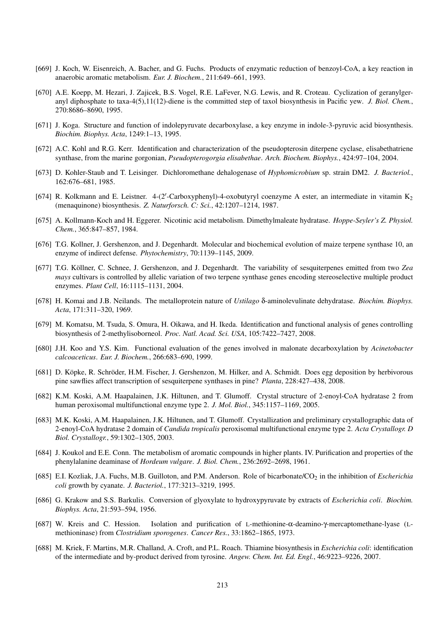- [669] J. Koch, W. Eisenreich, A. Bacher, and G. Fuchs. Products of enzymatic reduction of benzoyl-CoA, a key reaction in anaerobic aromatic metabolism. *Eur. J. Biochem.*, 211:649–661, 1993.
- [670] A.E. Koepp, M. Hezari, J. Zajicek, B.S. Vogel, R.E. LaFever, N.G. Lewis, and R. Croteau. Cyclization of geranylgeranyl diphosphate to taxa-4(5),11(12)-diene is the committed step of taxol biosynthesis in Pacific yew. *J. Biol. Chem.*, 270:8686–8690, 1995.
- [671] J. Koga. Structure and function of indolepyruvate decarboxylase, a key enzyme in indole-3-pyruvic acid biosynthesis. *Biochim. Biophys. Acta*, 1249:1–13, 1995.
- [672] A.C. Kohl and R.G. Kerr. Identification and characterization of the pseudopterosin diterpene cyclase, elisabethatriene synthase, from the marine gorgonian, *Pseudopterogorgia elisabethae*. *Arch. Biochem. Biophys.*, 424:97–104, 2004.
- [673] D. Kohler-Staub and T. Leisinger. Dichloromethane dehalogenase of *Hyphomicrobium* sp. strain DM2. *J. Bacteriol.*, 162:676–681, 1985.
- [674] R. Kolkmann and E. Leistner. 4-(2'-Carboxyphenyl)-4-oxobutyryl coenzyme A ester, an intermediate in vitamin K<sub>2</sub> (menaquinone) biosynthesis. *Z. Naturforsch. C: Sci.*, 42:1207–1214, 1987.
- [675] A. Kollmann-Koch and H. Eggerer. Nicotinic acid metabolism. Dimethylmaleate hydratase. *Hoppe-Seyler's Z. Physiol. Chem.*, 365:847–857, 1984.
- [676] T.G. Kollner, J. Gershenzon, and J. Degenhardt. Molecular and biochemical evolution of maize terpene synthase 10, an enzyme of indirect defense. *Phytochemistry*, 70:1139–1145, 2009.
- [677] T.G. Köllner, C. Schnee, J. Gershenzon, and J. Degenhardt. The variability of sesquiterpenes emitted from two Zea *mays* cultivars is controlled by allelic variation of two terpene synthase genes encoding stereoselective multiple product enzymes. *Plant Cell*, 16:1115–1131, 2004.
- [678] H. Komai and J.B. Neilands. The metalloprotein nature of *Ustilago* δ-aminolevulinate dehydratase. *Biochim. Biophys. Acta*, 171:311–320, 1969.
- [679] M. Komatsu, M. Tsuda, S. Omura, H. Oikawa, and H. Ikeda. Identification and functional analysis of genes controlling biosynthesis of 2-methylisoborneol. *Proc. Natl. Acad. Sci. USA*, 105:7422–7427, 2008.
- [680] J.H. Koo and Y.S. Kim. Functional evaluation of the genes involved in malonate decarboxylation by *Acinetobacter calcoaceticus*. *Eur. J. Biochem.*, 266:683–690, 1999.
- [681] D. Köpke, R. Schröder, H.M. Fischer, J. Gershenzon, M. Hilker, and A. Schmidt. Does egg deposition by herbivorous pine sawflies affect transcription of sesquiterpene synthases in pine? *Planta*, 228:427–438, 2008.
- [682] K.M. Koski, A.M. Haapalainen, J.K. Hiltunen, and T. Glumoff. Crystal structure of 2-enoyl-CoA hydratase 2 from human peroxisomal multifunctional enzyme type 2. *J. Mol. Biol.*, 345:1157–1169, 2005.
- [683] M.K. Koski, A.M. Haapalainen, J.K. Hiltunen, and T. Glumoff. Crystallization and preliminary crystallographic data of 2-enoyl-CoA hydratase 2 domain of *Candida tropicalis* peroxisomal multifunctional enzyme type 2. *Acta Crystallogr. D Biol. Crystallogr.*, 59:1302–1305, 2003.
- [684] J. Koukol and E.E. Conn. The metabolism of aromatic compounds in higher plants. IV. Purification and properties of the phenylalanine deaminase of *Hordeum vulgare*. *J. Biol. Chem.*, 236:2692–2698, 1961.
- [685] E.I. Kozliak, J.A. Fuchs, M.B. Guilloton, and P.M. Anderson. Role of bicarbonate/CO<sub>2</sub> in the inhibition of *Escherichia coli* growth by cyanate. *J. Bacteriol.*, 177:3213–3219, 1995.
- [686] G. Krakow and S.S. Barkulis. Conversion of glyoxylate to hydroxypyruvate by extracts of *Escherichia coli*. *Biochim. Biophys. Acta*, 21:593–594, 1956.
- [687] W. Kreis and C. Hession. Isolation and purification of L-methionine-α-deamino-γ-mercaptomethane-lyase (Lmethioninase) from *Clostridium sporogenes*. *Cancer Res.*, 33:1862–1865, 1973.
- [688] M. Kriek, F. Martins, M.R. Challand, A. Croft, and P.L. Roach. Thiamine biosynthesis in *Escherichia coli*: identification of the intermediate and by-product derived from tyrosine. *Angew. Chem. Int. Ed. Engl.*, 46:9223–9226, 2007.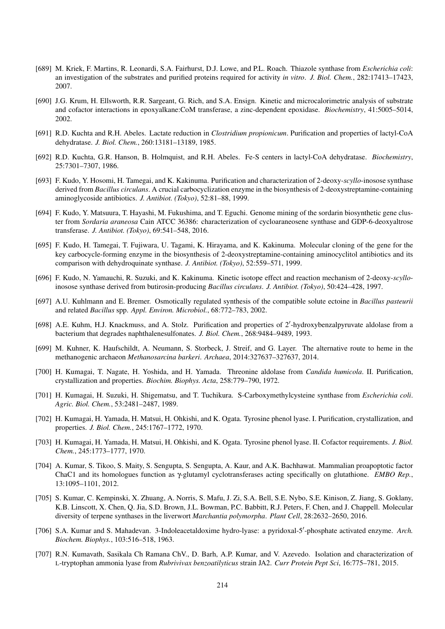- [689] M. Kriek, F. Martins, R. Leonardi, S.A. Fairhurst, D.J. Lowe, and P.L. Roach. Thiazole synthase from *Escherichia coli*: an investigation of the substrates and purified proteins required for activity *in vitro*. *J. Biol. Chem.*, 282:17413–17423, 2007.
- [690] J.G. Krum, H. Ellsworth, R.R. Sargeant, G. Rich, and S.A. Ensign. Kinetic and microcalorimetric analysis of substrate and cofactor interactions in epoxyalkane:CoM transferase, a zinc-dependent epoxidase. *Biochemistry*, 41:5005–5014, 2002.
- [691] R.D. Kuchta and R.H. Abeles. Lactate reduction in *Clostridium propionicum*. Purification and properties of lactyl-CoA dehydratase. *J. Biol. Chem.*, 260:13181–13189, 1985.
- [692] R.D. Kuchta, G.R. Hanson, B. Holmquist, and R.H. Abeles. Fe-S centers in lactyl-CoA dehydratase. *Biochemistry*, 25:7301–7307, 1986.
- [693] F. Kudo, Y. Hosomi, H. Tamegai, and K. Kakinuma. Purification and characterization of 2-deoxy-*scyllo*-inosose synthase derived from *Bacillus circulans*. A crucial carbocyclization enzyme in the biosynthesis of 2-deoxystreptamine-containing aminoglycoside antibiotics. *J. Antibiot. (Tokyo)*, 52:81–88, 1999.
- [694] F. Kudo, Y. Matsuura, T. Hayashi, M. Fukushima, and T. Eguchi. Genome mining of the sordarin biosynthetic gene cluster from *Sordaria araneosa* Cain ATCC 36386: characterization of cycloaraneosene synthase and GDP-6-deoxyaltrose transferase. *J. Antibiot. (Tokyo)*, 69:541–548, 2016.
- [695] F. Kudo, H. Tamegai, T. Fujiwara, U. Tagami, K. Hirayama, and K. Kakinuma. Molecular cloning of the gene for the key carbocycle-forming enzyme in the biosynthesis of 2-deoxystreptamine-containing aminocyclitol antibiotics and its comparison with dehydroquinate synthase. *J. Antibiot. (Tokyo)*, 52:559–571, 1999.
- [696] F. Kudo, N. Yamauchi, R. Suzuki, and K. Kakinuma. Kinetic isotope effect and reaction mechanism of 2-deoxy-*scyllo*inosose synthase derived from butirosin-producing *Bacillus circulans*. *J. Antibiot. (Tokyo)*, 50:424–428, 1997.
- [697] A.U. Kuhlmann and E. Bremer. Osmotically regulated synthesis of the compatible solute ectoine in *Bacillus pasteurii* and related *Bacillus* spp. *Appl. Environ. Microbiol.*, 68:772–783, 2002.
- [698] A.E. Kuhm, H.J. Knackmuss, and A. Stolz. Purification and properties of 2'-hydroxybenzalpyruvate aldolase from a bacterium that degrades naphthalenesulfonates. *J. Biol. Chem.*, 268:9484–9489, 1993.
- [699] M. Kuhner, K. Haufschildt, A. Neumann, S. Storbeck, J. Streif, and G. Layer. The alternative route to heme in the methanogenic archaeon *Methanosarcina barkeri*. *Archaea*, 2014:327637–327637, 2014.
- [700] H. Kumagai, T. Nagate, H. Yoshida, and H. Yamada. Threonine aldolase from *Candida humicola*. II. Purification, crystallization and properties. *Biochim. Biophys. Acta*, 258:779–790, 1972.
- [701] H. Kumagai, H. Suzuki, H. Shigematsu, and T. Tuchikura. S-Carboxymethylcysteine synthase from *Escherichia coli*. *Agric. Biol. Chem.*, 53:2481–2487, 1989.
- [702] H. Kumagai, H. Yamada, H. Matsui, H. Ohkishi, and K. Ogata. Tyrosine phenol lyase. I. Purification, crystallization, and properties. *J. Biol. Chem.*, 245:1767–1772, 1970.
- [703] H. Kumagai, H. Yamada, H. Matsui, H. Ohkishi, and K. Ogata. Tyrosine phenol lyase. II. Cofactor requirements. *J. Biol. Chem.*, 245:1773–1777, 1970.
- [704] A. Kumar, S. Tikoo, S. Maity, S. Sengupta, S. Sengupta, A. Kaur, and A.K. Bachhawat. Mammalian proapoptotic factor ChaC1 and its homologues function as γ-glutamyl cyclotransferases acting specifically on glutathione. *EMBO Rep.*, 13:1095–1101, 2012.
- [705] S. Kumar, C. Kempinski, X. Zhuang, A. Norris, S. Mafu, J. Zi, S.A. Bell, S.E. Nybo, S.E. Kinison, Z. Jiang, S. Goklany, K.B. Linscott, X. Chen, Q. Jia, S.D. Brown, J.L. Bowman, P.C. Babbitt, R.J. Peters, F. Chen, and J. Chappell. Molecular diversity of terpene synthases in the liverwort *Marchantia polymorpha*. *Plant Cell*, 28:2632–2650, 2016.
- [706] S.A. Kumar and S. Mahadevan. 3-Indoleacetaldoxime hydro-lyase: a pyridoxal-5'-phosphate activated enzyme. Arch. *Biochem. Biophys.*, 103:516–518, 1963.
- [707] R.N. Kumavath, Sasikala Ch Ramana ChV., D. Barh, A.P. Kumar, and V. Azevedo. Isolation and characterization of L-tryptophan ammonia lyase from *Rubrivivax benzoatilyticus* strain JA2. *Curr Protein Pept Sci*, 16:775–781, 2015.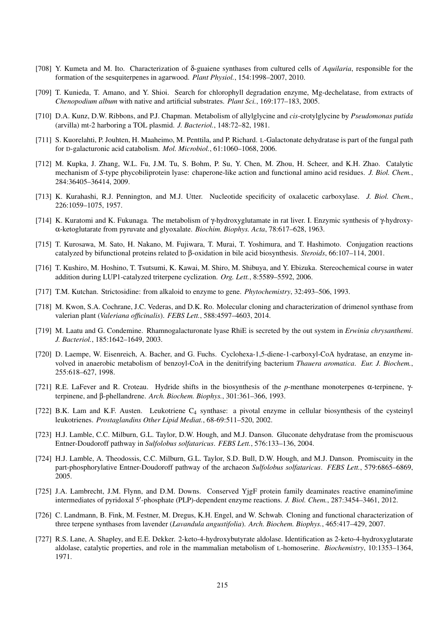- [708] Y. Kumeta and M. Ito. Characterization of δ-guaiene synthases from cultured cells of *Aquilaria*, responsible for the formation of the sesquiterpenes in agarwood. *Plant Physiol.*, 154:1998–2007, 2010.
- [709] T. Kunieda, T. Amano, and Y. Shioi. Search for chlorophyll degradation enzyme, Mg-dechelatase, from extracts of *Chenopodium album* with native and artificial substrates. *Plant Sci.*, 169:177–183, 2005.
- [710] D.A. Kunz, D.W. Ribbons, and P.J. Chapman. Metabolism of allylglycine and *cis*-crotylglycine by *Pseudomonas putida* (arvilla) mt-2 harboring a TOL plasmid. *J. Bacteriol.*, 148:72–82, 1981.
- [711] S. Kuorelahti, P. Jouhten, H. Maaheimo, M. Penttila, and P. Richard. L-Galactonate dehydratase is part of the fungal path for D-galacturonic acid catabolism. *Mol. Microbiol.*, 61:1060–1068, 2006.
- [712] M. Kupka, J. Zhang, W.L. Fu, J.M. Tu, S. Bohm, P. Su, Y. Chen, M. Zhou, H. Scheer, and K.H. Zhao. Catalytic mechanism of *S*-type phycobiliprotein lyase: chaperone-like action and functional amino acid residues. *J. Biol. Chem.*, 284:36405–36414, 2009.
- [713] K. Kurahashi, R.J. Pennington, and M.J. Utter. Nucleotide specificity of oxalacetic carboxylase. *J. Biol. Chem.*, 226:1059–1075, 1957.
- [714] K. Kuratomi and K. Fukunaga. The metabolism of γ-hydroxyglutamate in rat liver. I. Enzymic synthesis of γ-hydroxyα-ketoglutarate from pyruvate and glyoxalate. *Biochim. Biophys. Acta*, 78:617–628, 1963.
- [715] T. Kurosawa, M. Sato, H. Nakano, M. Fujiwara, T. Murai, T. Yoshimura, and T. Hashimoto. Conjugation reactions catalyzed by bifunctional proteins related to β-oxidation in bile acid biosynthesis. *Steroids*, 66:107–114, 2001.
- [716] T. Kushiro, M. Hoshino, T. Tsutsumi, K. Kawai, M. Shiro, M. Shibuya, and Y. Ebizuka. Stereochemical course in water addition during LUP1-catalyzed triterpene cyclization. *Org. Lett.*, 8:5589–5592, 2006.
- [717] T.M. Kutchan. Strictosidine: from alkaloid to enzyme to gene. *Phytochemistry*, 32:493–506, 1993.
- [718] M. Kwon, S.A. Cochrane, J.C. Vederas, and D.K. Ro. Molecular cloning and characterization of drimenol synthase from valerian plant (*Valeriana officinalis*). *FEBS Lett.*, 588:4597–4603, 2014.
- [719] M. Laatu and G. Condemine. Rhamnogalacturonate lyase RhiE is secreted by the out system in *Erwinia chrysanthemi*. *J. Bacteriol.*, 185:1642–1649, 2003.
- [720] D. Laempe, W. Eisenreich, A. Bacher, and G. Fuchs. Cyclohexa-1,5-diene-1-carboxyl-CoA hydratase, an enzyme involved in anaerobic metabolism of benzoyl-CoA in the denitrifying bacterium *Thauera aromatica*. *Eur. J. Biochem.*, 255:618–627, 1998.
- [721] R.E. LaFever and R. Croteau. Hydride shifts in the biosynthesis of the *p*-menthane monoterpenes α-terpinene, γterpinene, and β-phellandrene. *Arch. Biochem. Biophys.*, 301:361–366, 1993.
- [722] B.K. Lam and K.F. Austen. Leukotriene C<sup>4</sup> synthase: a pivotal enzyme in cellular biosynthesis of the cysteinyl leukotrienes. *Prostaglandins Other Lipid Mediat.*, 68-69:511–520, 2002.
- [723] H.J. Lamble, C.C. Milburn, G.L. Taylor, D.W. Hough, and M.J. Danson. Gluconate dehydratase from the promiscuous Entner-Doudoroff pathway in *Sulfolobus solfataricus*. *FEBS Lett.*, 576:133–136, 2004.
- [724] H.J. Lamble, A. Theodossis, C.C. Milburn, G.L. Taylor, S.D. Bull, D.W. Hough, and M.J. Danson. Promiscuity in the part-phosphorylative Entner-Doudoroff pathway of the archaeon *Sulfolobus solfataricus*. *FEBS Lett.*, 579:6865–6869, 2005.
- [725] J.A. Lambrecht, J.M. Flynn, and D.M. Downs. Conserved YjgF protein family deaminates reactive enamine/imine intermediates of pyridoxal 5'-phosphate (PLP)-dependent enzyme reactions. *J. Biol. Chem.*, 287:3454–3461, 2012.
- [726] C. Landmann, B. Fink, M. Festner, M. Dregus, K.H. Engel, and W. Schwab. Cloning and functional characterization of three terpene synthases from lavender (*Lavandula angustifolia*). *Arch. Biochem. Biophys.*, 465:417–429, 2007.
- [727] R.S. Lane, A. Shapley, and E.E. Dekker. 2-keto-4-hydroxybutyrate aldolase. Identification as 2-keto-4-hydroxyglutarate aldolase, catalytic properties, and role in the mammalian metabolism of L-homoserine. *Biochemistry*, 10:1353–1364, 1971.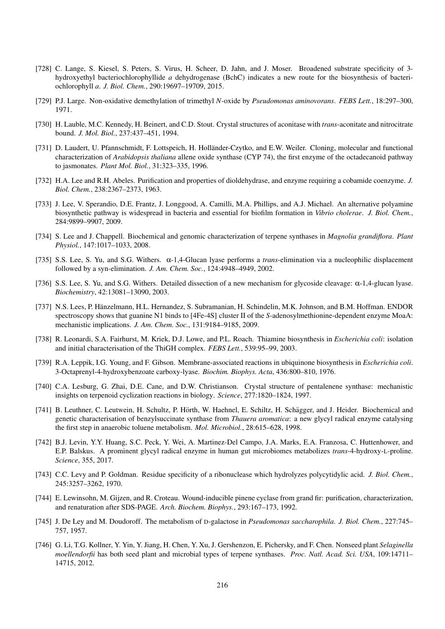- [728] C. Lange, S. Kiesel, S. Peters, S. Virus, H. Scheer, D. Jahn, and J. Moser. Broadened substrate specificity of 3 hydroxyethyl bacteriochlorophyllide *a* dehydrogenase (BchC) indicates a new route for the biosynthesis of bacteriochlorophyll *a*. *J. Biol. Chem.*, 290:19697–19709, 2015.
- [729] P.J. Large. Non-oxidative demethylation of trimethyl *N*-oxide by *Pseudomonas aminovorans*. *FEBS Lett.*, 18:297–300, 1971.
- [730] H. Lauble, M.C. Kennedy, H. Beinert, and C.D. Stout. Crystal structures of aconitase with *trans*-aconitate and nitrocitrate bound. *J. Mol. Biol.*, 237:437–451, 1994.
- [731] D. Laudert, U. Pfannschmidt, F. Lottspeich, H. Holländer-Czytko, and E.W. Weiler. Cloning, molecular and functional characterization of *Arabidopsis thaliana* allene oxide synthase (CYP 74), the first enzyme of the octadecanoid pathway to jasmonates. *Plant Mol. Biol.*, 31:323–335, 1996.
- [732] H.A. Lee and R.H. Abeles. Purification and properties of dioldehydrase, and enzyme requiring a cobamide coenzyme. *J. Biol. Chem.*, 238:2367–2373, 1963.
- [733] J. Lee, V. Sperandio, D.E. Frantz, J. Longgood, A. Camilli, M.A. Phillips, and A.J. Michael. An alternative polyamine biosynthetic pathway is widespread in bacteria and essential for biofilm formation in *Vibrio cholerae*. *J. Biol. Chem.*, 284:9899–9907, 2009.
- [734] S. Lee and J. Chappell. Biochemical and genomic characterization of terpene synthases in *Magnolia grandiflora*. *Plant Physiol.*, 147:1017–1033, 2008.
- [735] S.S. Lee, S. Yu, and S.G. Withers. α-1,4-Glucan lyase performs a *trans*-elimination via a nucleophilic displacement followed by a syn-elimination. *J. Am. Chem. Soc.*, 124:4948–4949, 2002.
- [736] S.S. Lee, S. Yu, and S.G. Withers. Detailed dissection of a new mechanism for glycoside cleavage: α-1,4-glucan lyase. *Biochemistry*, 42:13081–13090, 2003.
- [737] N.S. Lees, P. Hänzelmann, H.L. Hernandez, S. Subramanian, H. Schindelin, M.K. Johnson, and B.M. Hoffman. ENDOR spectroscopy shows that guanine N1 binds to [4Fe-4S] cluster II of the *S*-adenosylmethionine-dependent enzyme MoaA: mechanistic implications. *J. Am. Chem. Soc.*, 131:9184–9185, 2009.
- [738] R. Leonardi, S.A. Fairhurst, M. Kriek, D.J. Lowe, and P.L. Roach. Thiamine biosynthesis in *Escherichia coli*: isolation and initial characterisation of the ThiGH complex. *FEBS Lett.*, 539:95–99, 2003.
- [739] R.A. Leppik, I.G. Young, and F. Gibson. Membrane-associated reactions in ubiquinone biosynthesis in *Escherichia coli*. 3-Octaprenyl-4-hydroxybenzoate carboxy-lyase. *Biochim. Biophys. Acta*, 436:800–810, 1976.
- [740] C.A. Lesburg, G. Zhai, D.E. Cane, and D.W. Christianson. Crystal structure of pentalenene synthase: mechanistic insights on terpenoid cyclization reactions in biology. *Science*, 277:1820–1824, 1997.
- [741] B. Leuthner, C. Leutwein, H. Schultz, P. Hörth, W. Haehnel, E. Schiltz, H. Schägger, and J. Heider. Biochemical and genetic characterisation of benzylsuccinate synthase from *Thauera aromatica*: a new glycyl radical enzyme catalysing the first step in anaerobic toluene metabolism. *Mol. Microbiol.*, 28:615–628, 1998.
- [742] B.J. Levin, Y.Y. Huang, S.C. Peck, Y. Wei, A. Martinez-Del Campo, J.A. Marks, E.A. Franzosa, C. Huttenhower, and E.P. Balskus. A prominent glycyl radical enzyme in human gut microbiomes metabolizes *trans*-4-hydroxy-L-proline. *Science*, 355, 2017.
- [743] C.C. Levy and P. Goldman. Residue specificity of a ribonuclease which hydrolyzes polycytidylic acid. *J. Biol. Chem.*, 245:3257–3262, 1970.
- [744] E. Lewinsohn, M. Gijzen, and R. Croteau. Wound-inducible pinene cyclase from grand fir: purification, characterization, and renaturation after SDS-PAGE. *Arch. Biochem. Biophys.*, 293:167–173, 1992.
- [745] J. De Ley and M. Doudoroff. The metabolism of D-galactose in *Pseudomonas saccharophila*. *J. Biol. Chem.*, 227:745– 757, 1957.
- [746] G. Li, T.G. Kollner, Y. Yin, Y. Jiang, H. Chen, Y. Xu, J. Gershenzon, E. Pichersky, and F. Chen. Nonseed plant *Selaginella moellendorfii* has both seed plant and microbial types of terpene synthases. *Proc. Natl. Acad. Sci. USA*, 109:14711– 14715, 2012.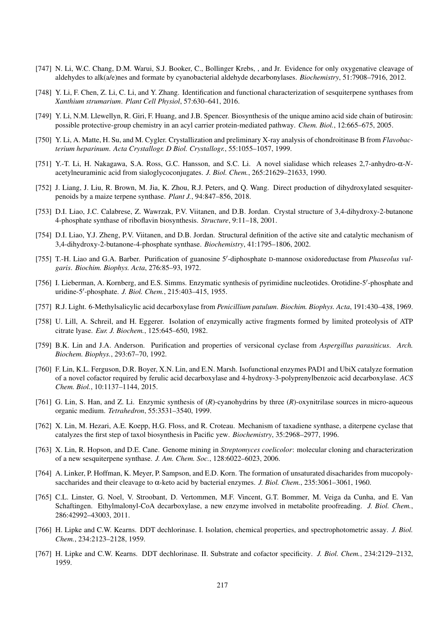- [747] N. Li, W.C. Chang, D.M. Warui, S.J. Booker, C., Bollinger Krebs, , and Jr. Evidence for only oxygenative cleavage of aldehydes to alk(a/e)nes and formate by cyanobacterial aldehyde decarbonylases. *Biochemistry*, 51:7908–7916, 2012.
- [748] Y. Li, F. Chen, Z. Li, C. Li, and Y. Zhang. Identification and functional characterization of sesquiterpene synthases from *Xanthium strumarium*. *Plant Cell Physiol*, 57:630–641, 2016.
- [749] Y. Li, N.M. Llewellyn, R. Giri, F. Huang, and J.B. Spencer. Biosynthesis of the unique amino acid side chain of butirosin: possible protective-group chemistry in an acyl carrier protein-mediated pathway. *Chem. Biol.*, 12:665–675, 2005.
- [750] Y. Li, A. Matte, H. Su, and M. Cygler. Crystallization and preliminary X-ray analysis of chondroitinase B from *Flavobacterium heparinum*. *Acta Crystallogr. D Biol. Crystallogr.*, 55:1055–1057, 1999.
- [751] Y.-T. Li, H. Nakagawa, S.A. Ross, G.C. Hansson, and S.C. Li. A novel sialidase which releases 2,7-anhydro-α-*N*acetylneuraminic acid from sialoglycoconjugates. *J. Biol. Chem.*, 265:21629–21633, 1990.
- [752] J. Liang, J. Liu, R. Brown, M. Jia, K. Zhou, R.J. Peters, and Q. Wang. Direct production of dihydroxylated sesquiterpenoids by a maize terpene synthase. *Plant J.*, 94:847–856, 2018.
- [753] D.I. Liao, J.C. Calabrese, Z. Wawrzak, P.V. Viitanen, and D.B. Jordan. Crystal structure of 3,4-dihydroxy-2-butanone 4-phosphate synthase of riboflavin biosynthesis. *Structure*, 9:11–18, 2001.
- [754] D.I. Liao, Y.J. Zheng, P.V. Viitanen, and D.B. Jordan. Structural definition of the active site and catalytic mechanism of 3,4-dihydroxy-2-butanone-4-phosphate synthase. *Biochemistry*, 41:1795–1806, 2002.
- [755] T.-H. Liao and G.A. Barber. Purification of guanosine 5'-diphosphate D-mannose oxidoreductase from *Phaseolus vulgaris*. *Biochim. Biophys. Acta*, 276:85–93, 1972.
- [756] I. Lieberman, A. Kornberg, and E.S. Simms. Enzymatic synthesis of pyrimidine nucleotides. Orotidine-5'-phosphate and uridine-5'-phosphate. *J. Biol. Chem.*, 215:403-415, 1955.
- [757] R.J. Light. 6-Methylsalicylic acid decarboxylase from *Penicillium patulum*. *Biochim. Biophys. Acta*, 191:430–438, 1969.
- [758] U. Lill, A. Schreil, and H. Eggerer. Isolation of enzymically active fragments formed by limited proteolysis of ATP citrate lyase. *Eur. J. Biochem.*, 125:645–650, 1982.
- [759] B.K. Lin and J.A. Anderson. Purification and properties of versiconal cyclase from *Aspergillus parasiticus*. *Arch. Biochem. Biophys.*, 293:67–70, 1992.
- [760] F. Lin, K.L. Ferguson, D.R. Boyer, X.N. Lin, and E.N. Marsh. Isofunctional enzymes PAD1 and UbiX catalyze formation of a novel cofactor required by ferulic acid decarboxylase and 4-hydroxy-3-polyprenylbenzoic acid decarboxylase. *ACS Chem. Biol.*, 10:1137–1144, 2015.
- [761] G. Lin, S. Han, and Z. Li. Enzymic synthesis of (*R*)-cyanohydrins by three (*R*)-oxynitrilase sources in micro-aqueous organic medium. *Tetrahedron*, 55:3531–3540, 1999.
- [762] X. Lin, M. Hezari, A.E. Koepp, H.G. Floss, and R. Croteau. Mechanism of taxadiene synthase, a diterpene cyclase that catalyzes the first step of taxol biosynthesis in Pacific yew. *Biochemistry*, 35:2968–2977, 1996.
- [763] X. Lin, R. Hopson, and D.E. Cane. Genome mining in *Streptomyces coelicolor*: molecular cloning and characterization of a new sesquiterpene synthase. *J. Am. Chem. Soc.*, 128:6022–6023, 2006.
- [764] A. Linker, P. Hoffman, K. Meyer, P. Sampson, and E.D. Korn. The formation of unsaturated disacharides from mucopolysaccharides and their cleavage to α-keto acid by bacterial enzymes. *J. Biol. Chem.*, 235:3061–3061, 1960.
- [765] C.L. Linster, G. Noel, V. Stroobant, D. Vertommen, M.F. Vincent, G.T. Bommer, M. Veiga da Cunha, and E. Van Schaftingen. Ethylmalonyl-CoA decarboxylase, a new enzyme involved in metabolite proofreading. *J. Biol. Chem.*, 286:42992–43003, 2011.
- [766] H. Lipke and C.W. Kearns. DDT dechlorinase. I. Isolation, chemical properties, and spectrophotometric assay. *J. Biol. Chem.*, 234:2123–2128, 1959.
- [767] H. Lipke and C.W. Kearns. DDT dechlorinase. II. Substrate and cofactor specificity. *J. Biol. Chem.*, 234:2129–2132, 1959.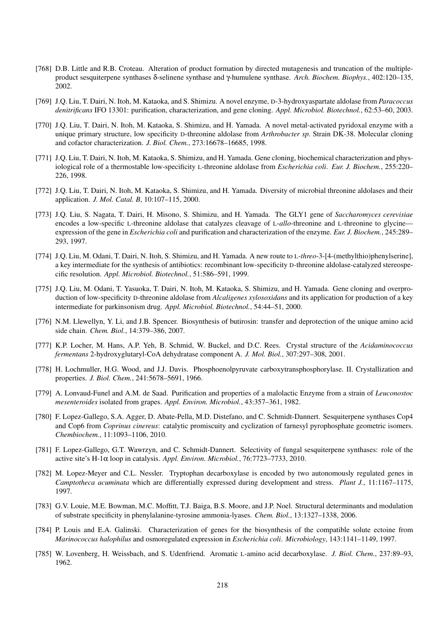- [768] D.B. Little and R.B. Croteau. Alteration of product formation by directed mutagenesis and truncation of the multipleproduct sesquiterpene synthases δ-selinene synthase and γ-humulene synthase. *Arch. Biochem. Biophys.*, 402:120–135, 2002.
- [769] J.Q. Liu, T. Dairi, N. Itoh, M. Kataoka, and S. Shimizu. A novel enzyme, D-3-hydroxyaspartate aldolase from *Paracoccus denitrificans* IFO 13301: purification, characterization, and gene cloning. *Appl. Microbiol. Biotechnol.*, 62:53–60, 2003.
- [770] J.Q. Liu, T. Dairi, N. Itoh, M. Kataoka, S. Shimizu, and H. Yamada. A novel metal-activated pyridoxal enzyme with a unique primary structure, low specificity D-threonine aldolase from *Arthrobacter sp*. Strain DK-38. Molecular cloning and cofactor characterization. *J. Biol. Chem.*, 273:16678–16685, 1998.
- [771] J.Q. Liu, T. Dairi, N. Itoh, M. Kataoka, S. Shimizu, and H. Yamada. Gene cloning, biochemical characterization and physiological role of a thermostable low-specificity L-threonine aldolase from *Escherichia coli*. *Eur. J. Biochem.*, 255:220– 226, 1998.
- [772] J.Q. Liu, T. Dairi, N. Itoh, M. Kataoka, S. Shimizu, and H. Yamada. Diversity of microbial threonine aldolases and their application. *J. Mol. Catal. B*, 10:107–115, 2000.
- [773] J.Q. Liu, S. Nagata, T. Dairi, H. Misono, S. Shimizu, and H. Yamada. The GLY1 gene of *Saccharomyces cerevisiae* encodes a low-specific L-threonine aldolase that catalyzes cleavage of L-*allo*-threonine and L-threonine to glycine expression of the gene in *Escherichia coli* and purification and characterization of the enzyme. *Eur. J. Biochem.*, 245:289– 293, 1997.
- [774] J.Q. Liu, M. Odani, T. Dairi, N. Itoh, S. Shimizu, and H. Yamada. A new route to L-*threo*-3-[4-(methylthio)phenylserine], a key intermediate for the synthesis of antibiotics: recombinant low-specificity D-threonine aldolase-catalyzed stereospecific resolution. *Appl. Microbiol. Biotechnol.*, 51:586–591, 1999.
- [775] J.Q. Liu, M. Odani, T. Yasuoka, T. Dairi, N. Itoh, M. Kataoka, S. Shimizu, and H. Yamada. Gene cloning and overproduction of low-specificity D-threonine aldolase from *Alcaligenes xylosoxidans* and its application for production of a key intermediate for parkinsonism drug. *Appl. Microbiol. Biotechnol.*, 54:44–51, 2000.
- [776] N.M. Llewellyn, Y. Li, and J.B. Spencer. Biosynthesis of butirosin: transfer and deprotection of the unique amino acid side chain. *Chem. Biol.*, 14:379–386, 2007.
- [777] K.P. Locher, M. Hans, A.P. Yeh, B. Schmid, W. Buckel, and D.C. Rees. Crystal structure of the *Acidaminococcus fermentans* 2-hydroxyglutaryl-CoA dehydratase component A. *J. Mol. Biol.*, 307:297–308, 2001.
- [778] H. Lochmuller, H.G. Wood, and J.J. Davis. Phosphoenolpyruvate carboxytransphosphorylase. II. Crystallization and properties. *J. Biol. Chem.*, 241:5678–5691, 1966.
- [779] A. Lonvaud-Funel and A.M. de Saad. Purification and properties of a malolactic Enzyme from a strain of *Leuconostoc mesenteroides* isolated from grapes. *Appl. Environ. Microbiol.*, 43:357–361, 1982.
- [780] F. Lopez-Gallego, S.A. Agger, D. Abate-Pella, M.D. Distefano, and C. Schmidt-Dannert. Sesquiterpene synthases Cop4 and Cop6 from *Coprinus cinereus*: catalytic promiscuity and cyclization of farnesyl pyrophosphate geometric isomers. *Chembiochem.*, 11:1093–1106, 2010.
- [781] F. Lopez-Gallego, G.T. Wawrzyn, and C. Schmidt-Dannert. Selectivity of fungal sesquiterpene synthases: role of the active site's H-1α loop in catalysis. *Appl. Environ. Microbiol.*, 76:7723–7733, 2010.
- [782] M. Lopez-Meyer and C.L. Nessler. Tryptophan decarboxylase is encoded by two autonomously regulated genes in *Camptotheca acuminata* which are differentially expressed during development and stress. *Plant J.*, 11:1167–1175, 1997.
- [783] G.V. Louie, M.E. Bowman, M.C. Moffitt, T.J. Baiga, B.S. Moore, and J.P. Noel. Structural determinants and modulation of substrate specificity in phenylalanine-tyrosine ammonia-lyases. *Chem. Biol.*, 13:1327–1338, 2006.
- [784] P. Louis and E.A. Galinski. Characterization of genes for the biosynthesis of the compatible solute ectoine from *Marinococcus halophilus* and osmoregulated expression in *Escherichia coli*. *Microbiology*, 143:1141–1149, 1997.
- [785] W. Lovenberg, H. Weissbach, and S. Udenfriend. Aromatic L-amino acid decarboxylase. *J. Biol. Chem.*, 237:89–93, 1962.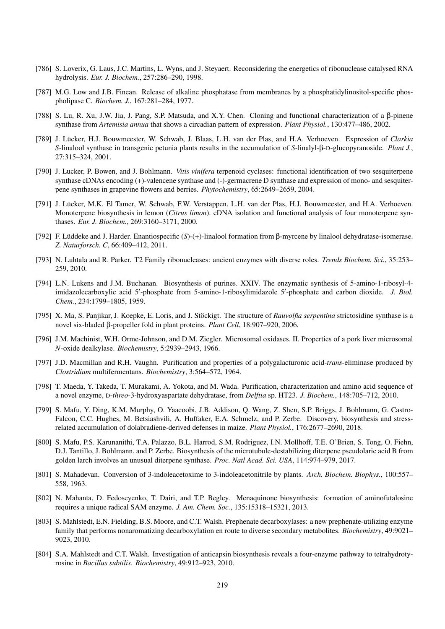- [786] S. Loverix, G. Laus, J.C. Martins, L. Wyns, and J. Steyaert. Reconsidering the energetics of ribonuclease catalysed RNA hydrolysis. *Eur. J. Biochem.*, 257:286–290, 1998.
- [787] M.G. Low and J.B. Finean. Release of alkaline phosphatase from membranes by a phosphatidylinositol-specific phospholipase C. *Biochem. J.*, 167:281–284, 1977.
- [788] S. Lu, R. Xu, J.W. Jia, J. Pang, S.P. Matsuda, and X.Y. Chen. Cloning and functional characterization of a β-pinene synthase from *Artemisia annua* that shows a circadian pattern of expression. *Plant Physiol.*, 130:477–486, 2002.
- [789] J. Lücker, H.J. Bouwmeester, W. Schwab, J. Blaas, L.H. van der Plas, and H.A. Verhoeven. Expression of *Clarkia S*-linalool synthase in transgenic petunia plants results in the accumulation of *S*-linalyl-β-D-glucopyranoside. *Plant J.*, 27:315–324, 2001.
- [790] J. Lucker, P. Bowen, and J. Bohlmann. *Vitis vinifera* terpenoid cyclases: functional identification of two sesquiterpene synthase cDNAs encoding (+)-valencene synthase and (-)-germacrene D synthase and expression of mono- and sesquiterpene synthases in grapevine flowers and berries. *Phytochemistry*, 65:2649–2659, 2004.
- [791] J. Lücker, M.K. El Tamer, W. Schwab, F.W. Verstappen, L.H. van der Plas, H.J. Bouwmeester, and H.A. Verhoeven. Monoterpene biosynthesis in lemon (*Citrus limon*). cDNA isolation and functional analysis of four monoterpene synthases. *Eur. J. Biochem.*, 269:3160–3171, 2000.
- [792] F. Lüddeke and J. Harder. Enantiospecific (S)-(+)-linalool formation from β-myrcene by linalool dehydratase-isomerase. *Z. Naturforsch. C*, 66:409–412, 2011.
- [793] N. Luhtala and R. Parker. T2 Family ribonucleases: ancient enzymes with diverse roles. *Trends Biochem. Sci.*, 35:253– 259, 2010.
- [794] L.N. Lukens and J.M. Buchanan. Biosynthesis of purines. XXIV. The enzymatic synthesis of 5-amino-1-ribosyl-4 imidazolecarboxylic acid 5'-phosphate from 5-amino-1-ribosylimidazole 5'-phosphate and carbon dioxide. *J. Biol. Chem.*, 234:1799–1805, 1959.
- [795] X. Ma, S. Panjikar, J. Koepke, E. Loris, and J. Stöckigt. The structure of *Rauvolfia serpentina* strictosidine synthase is a novel six-bladed β-propeller fold in plant proteins. *Plant Cell*, 18:907–920, 2006.
- [796] J.M. Machinist, W.H. Orme-Johnson, and D.M. Ziegler. Microsomal oxidases. II. Properties of a pork liver microsomal *N*-oxide dealkylase. *Biochemistry*, 5:2939–2943, 1966.
- [797] J.D. Macmillan and R.H. Vaughn. Purification and properties of a polygalacturonic acid-*trans*-eliminase produced by *Clostridium* multifermentans. *Biochemistry*, 3:564–572, 1964.
- [798] T. Maeda, Y. Takeda, T. Murakami, A. Yokota, and M. Wada. Purification, characterization and amino acid sequence of a novel enzyme, D-*threo*-3-hydroxyaspartate dehydratase, from *Delftia* sp. HT23. *J. Biochem.*, 148:705–712, 2010.
- [799] S. Mafu, Y. Ding, K.M. Murphy, O. Yaacoobi, J.B. Addison, Q. Wang, Z. Shen, S.P. Briggs, J. Bohlmann, G. Castro-Falcon, C.C. Hughes, M. Betsiashvili, A. Huffaker, E.A. Schmelz, and P. Zerbe. Discovery, biosynthesis and stressrelated accumulation of dolabradiene-derived defenses in maize. *Plant Physiol.*, 176:2677–2690, 2018.
- [800] S. Mafu, P.S. Karunanithi, T.A. Palazzo, B.L. Harrod, S.M. Rodriguez, I.N. Mollhoff, T.E. O'Brien, S. Tong, O. Fiehn, D.J. Tantillo, J. Bohlmann, and P. Zerbe. Biosynthesis of the microtubule-destabilizing diterpene pseudolaric acid B from golden larch involves an unusual diterpene synthase. *Proc. Natl Acad. Sci. USA*, 114:974–979, 2017.
- [801] S. Mahadevan. Conversion of 3-indoleacetoxime to 3-indoleacetonitrile by plants. *Arch. Biochem. Biophys.*, 100:557– 558, 1963.
- [802] N. Mahanta, D. Fedoseyenko, T. Dairi, and T.P. Begley. Menaquinone biosynthesis: formation of aminofutalosine requires a unique radical SAM enzyme. *J. Am. Chem. Soc.*, 135:15318–15321, 2013.
- [803] S. Mahlstedt, E.N. Fielding, B.S. Moore, and C.T. Walsh. Prephenate decarboxylases: a new prephenate-utilizing enzyme family that performs nonaromatizing decarboxylation en route to diverse secondary metabolites. *Biochemistry*, 49:9021– 9023, 2010.
- [804] S.A. Mahlstedt and C.T. Walsh. Investigation of anticapsin biosynthesis reveals a four-enzyme pathway to tetrahydrotyrosine in *Bacillus subtilis*. *Biochemistry*, 49:912–923, 2010.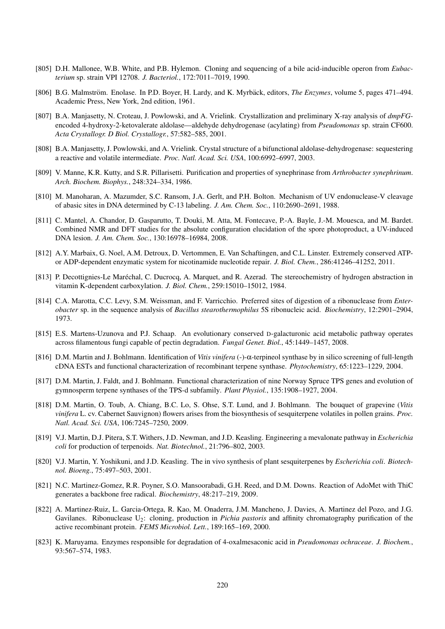- [805] D.H. Mallonee, W.B. White, and P.B. Hylemon. Cloning and sequencing of a bile acid-inducible operon from *Eubacterium* sp. strain VPI 12708. *J. Bacteriol.*, 172:7011–7019, 1990.
- [806] B.G. Malmström. Enolase. In P.D. Boyer, H. Lardy, and K. Myrbäck, editors, *The Enzymes*, volume 5, pages 471–494. Academic Press, New York, 2nd edition, 1961.
- [807] B.A. Manjasetty, N. Croteau, J. Powlowski, and A. Vrielink. Crystallization and preliminary X-ray analysis of *dmpFG*encoded 4-hydroxy-2-ketovalerate aldolase—aldehyde dehydrogenase (acylating) from *Pseudomonas* sp. strain CF600. *Acta Crystallogr. D Biol. Crystallogr.*, 57:582–585, 2001.
- [808] B.A. Manjasetty, J. Powlowski, and A. Vrielink. Crystal structure of a bifunctional aldolase-dehydrogenase: sequestering a reactive and volatile intermediate. *Proc. Natl. Acad. Sci. USA*, 100:6992–6997, 2003.
- [809] V. Manne, K.R. Kutty, and S.R. Pillarisetti. Purification and properties of synephrinase from *Arthrobacter synephrinum*. *Arch. Biochem. Biophys.*, 248:324–334, 1986.
- [810] M. Manoharan, A. Mazumder, S.C. Ransom, J.A. Gerlt, and P.H. Bolton. Mechanism of UV endonuclease-V cleavage of abasic sites in DNA determined by C-13 labeling. *J. Am. Chem. Soc.*, 110:2690–2691, 1988.
- [811] C. Mantel, A. Chandor, D. Gasparutto, T. Douki, M. Atta, M. Fontecave, P.-A. Bayle, J.-M. Mouesca, and M. Bardet. Combined NMR and DFT studies for the absolute configuration elucidation of the spore photoproduct, a UV-induced DNA lesion. *J. Am. Chem. Soc.*, 130:16978–16984, 2008.
- [812] A.Y. Marbaix, G. Noel, A.M. Detroux, D. Vertommen, E. Van Schaftingen, and C.L. Linster. Extremely conserved ATPor ADP-dependent enzymatic system for nicotinamide nucleotide repair. *J. Biol. Chem.*, 286:41246–41252, 2011.
- [813] P. Decottignies-Le Maréchal, C. Ducrocq, A. Marquet, and R. Azerad. The stereochemistry of hydrogen abstraction in vitamin K-dependent carboxylation. *J. Biol. Chem.*, 259:15010–15012, 1984.
- [814] C.A. Marotta, C.C. Levy, S.M. Weissman, and F. Varricchio. Preferred sites of digestion of a ribonuclease from *Enterobacter* sp. in the sequence analysis of *Bacillus stearothermophilus* 5S ribonucleic acid. *Biochemistry*, 12:2901–2904, 1973.
- [815] E.S. Martens-Uzunova and P.J. Schaap. An evolutionary conserved D-galacturonic acid metabolic pathway operates across filamentous fungi capable of pectin degradation. *Fungal Genet. Biol.*, 45:1449–1457, 2008.
- [816] D.M. Martin and J. Bohlmann. Identification of *Vitis vinifera* (-)-α-terpineol synthase by in silico screening of full-length cDNA ESTs and functional characterization of recombinant terpene synthase. *Phytochemistry*, 65:1223–1229, 2004.
- [817] D.M. Martin, J. Faldt, and J. Bohlmann. Functional characterization of nine Norway Spruce TPS genes and evolution of gymnosperm terpene synthases of the TPS-d subfamily. *Plant Physiol.*, 135:1908–1927, 2004.
- [818] D.M. Martin, O. Toub, A. Chiang, B.C. Lo, S. Ohse, S.T. Lund, and J. Bohlmann. The bouquet of grapevine (*Vitis vinifera* L. cv. Cabernet Sauvignon) flowers arises from the biosynthesis of sesquiterpene volatiles in pollen grains. *Proc. Natl. Acad. Sci. USA*, 106:7245–7250, 2009.
- [819] V.J. Martin, D.J. Pitera, S.T. Withers, J.D. Newman, and J.D. Keasling. Engineering a mevalonate pathway in *Escherichia coli* for production of terpenoids. *Nat. Biotechnol.*, 21:796–802, 2003.
- [820] V.J. Martin, Y. Yoshikuni, and J.D. Keasling. The in vivo synthesis of plant sesquiterpenes by *Escherichia coli*. *Biotechnol. Bioeng.*, 75:497–503, 2001.
- [821] N.C. Martinez-Gomez, R.R. Poyner, S.O. Mansoorabadi, G.H. Reed, and D.M. Downs. Reaction of AdoMet with ThiC generates a backbone free radical. *Biochemistry*, 48:217–219, 2009.
- [822] A. Martinez-Ruiz, L. Garcia-Ortega, R. Kao, M. Onaderra, J.M. Mancheno, J. Davies, A. Martinez del Pozo, and J.G. Gavilanes. Ribonuclease U<sub>2</sub>: cloning, production in *Pichia pastoris* and affinity chromatography purification of the active recombinant protein. *FEMS Microbiol. Lett.*, 189:165–169, 2000.
- [823] K. Maruyama. Enzymes responsible for degradation of 4-oxalmesaconic acid in *Pseudomonas ochraceae*. *J. Biochem.*, 93:567–574, 1983.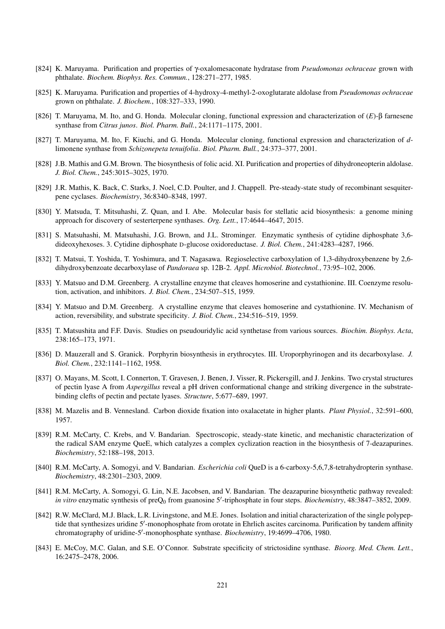- [824] K. Maruyama. Purification and properties of γ-oxalomesaconate hydratase from *Pseudomonas ochraceae* grown with phthalate. *Biochem. Biophys. Res. Commun.*, 128:271–277, 1985.
- [825] K. Maruyama. Purification and properties of 4-hydroxy-4-methyl-2-oxoglutarate aldolase from *Pseudomonas ochraceae* grown on phthalate. *J. Biochem.*, 108:327–333, 1990.
- [826] T. Maruyama, M. Ito, and G. Honda. Molecular cloning, functional expression and characterization of (*E*)-β farnesene synthase from *Citrus junos*. *Biol. Pharm. Bull.*, 24:1171–1175, 2001.
- [827] T. Maruyama, M. Ito, F. Kiuchi, and G. Honda. Molecular cloning, functional expression and characterization of *d*limonene synthase from *Schizonepeta tenuifolia*. *Biol. Pharm. Bull.*, 24:373–377, 2001.
- [828] J.B. Mathis and G.M. Brown. The biosynthesis of folic acid. XI. Purification and properties of dihydroneopterin aldolase. *J. Biol. Chem.*, 245:3015–3025, 1970.
- [829] J.R. Mathis, K. Back, C. Starks, J. Noel, C.D. Poulter, and J. Chappell. Pre-steady-state study of recombinant sesquiterpene cyclases. *Biochemistry*, 36:8340–8348, 1997.
- [830] Y. Matsuda, T. Mitsuhashi, Z. Quan, and I. Abe. Molecular basis for stellatic acid biosynthesis: a genome mining approach for discovery of sesterterpene synthases. *Org. Lett.*, 17:4644–4647, 2015.
- [831] S. Matsuhashi, M. Matsuhashi, J.G. Brown, and J.L. Strominger. Enzymatic synthesis of cytidine diphosphate 3,6 dideoxyhexoses. 3. Cytidine diphosphate D-glucose oxidoreductase. *J. Biol. Chem.*, 241:4283–4287, 1966.
- [832] T. Matsui, T. Yoshida, T. Yoshimura, and T. Nagasawa. Regioselective carboxylation of 1,3-dihydroxybenzene by 2,6 dihydroxybenzoate decarboxylase of *Pandoraea* sp. 12B-2. *Appl. Microbiol. Biotechnol.*, 73:95–102, 2006.
- [833] Y. Matsuo and D.M. Greenberg. A crystalline enzyme that cleaves homoserine and cystathionine. III. Coenzyme resolution, activation, and inhibitors. *J. Biol. Chem.*, 234:507–515, 1959.
- [834] Y. Matsuo and D.M. Greenberg. A crystalline enzyme that cleaves homoserine and cystathionine. IV. Mechanism of action, reversibility, and substrate specificity. *J. Biol. Chem.*, 234:516–519, 1959.
- [835] T. Matsushita and F.F. Davis. Studies on pseudouridylic acid synthetase from various sources. *Biochim. Biophys. Acta*, 238:165–173, 1971.
- [836] D. Mauzerall and S. Granick. Porphyrin biosynthesis in erythrocytes. III. Uroporphyrinogen and its decarboxylase. *J. Biol. Chem.*, 232:1141–1162, 1958.
- [837] O. Mayans, M. Scott, I. Connerton, T. Gravesen, J. Benen, J. Visser, R. Pickersgill, and J. Jenkins. Two crystal structures of pectin lyase A from *Aspergillus* reveal a pH driven conformational change and striking divergence in the substratebinding clefts of pectin and pectate lyases. *Structure*, 5:677–689, 1997.
- [838] M. Mazelis and B. Vennesland. Carbon dioxide fixation into oxalacetate in higher plants. *Plant Physiol.*, 32:591–600, 1957.
- [839] R.M. McCarty, C. Krebs, and V. Bandarian. Spectroscopic, steady-state kinetic, and mechanistic characterization of the radical SAM enzyme QueE, which catalyzes a complex cyclization reaction in the biosynthesis of 7-deazapurines. *Biochemistry*, 52:188–198, 2013.
- [840] R.M. McCarty, A. Somogyi, and V. Bandarian. *Escherichia coli* QueD is a 6-carboxy-5,6,7,8-tetrahydropterin synthase. *Biochemistry*, 48:2301–2303, 2009.
- [841] R.M. McCarty, A. Somogyi, G. Lin, N.E. Jacobsen, and V. Bandarian. The deazapurine biosynthetic pathway revealed: in vitro enzymatic synthesis of preQ<sub>0</sub> from guanosine 5'-triphosphate in four steps. *Biochemistry*, 48:3847–3852, 2009.
- [842] R.W. McClard, M.J. Black, L.R. Livingstone, and M.E. Jones. Isolation and initial characterization of the single polypeptide that synthesizes uridine 5'-monophosphate from orotate in Ehrlich ascites carcinoma. Purification by tandem affinity chromatography of uridine-5'-monophosphate synthase. *Biochemistry*, 19:4699-4706, 1980.
- [843] E. McCoy, M.C. Galan, and S.E. O'Connor. Substrate specificity of strictosidine synthase. *Bioorg. Med. Chem. Lett.*, 16:2475–2478, 2006.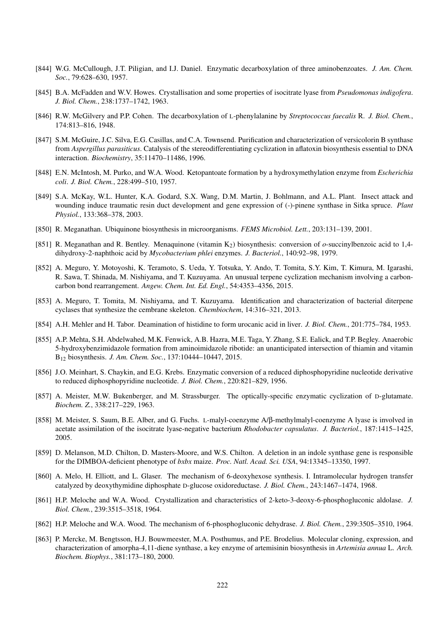- [844] W.G. McCullough, J.T. Piligian, and I.J. Daniel. Enzymatic decarboxylation of three aminobenzoates. *J. Am. Chem. Soc.*, 79:628–630, 1957.
- [845] B.A. McFadden and W.V. Howes. Crystallisation and some properties of isocitrate lyase from *Pseudomonas indigofera*. *J. Biol. Chem.*, 238:1737–1742, 1963.
- [846] R.W. McGilvery and P.P. Cohen. The decarboxylation of L-phenylalanine by *Streptococcus faecalis* R. *J. Biol. Chem.*, 174:813–816, 1948.
- [847] S.M. McGuire, J.C. Silva, E.G. Casillas, and C.A. Townsend. Purification and characterization of versicolorin B synthase from *Aspergillus parasiticus*. Catalysis of the stereodifferentiating cyclization in aflatoxin biosynthesis essential to DNA interaction. *Biochemistry*, 35:11470–11486, 1996.
- [848] E.N. McIntosh, M. Purko, and W.A. Wood. Ketopantoate formation by a hydroxymethylation enzyme from *Escherichia coli*. *J. Biol. Chem.*, 228:499–510, 1957.
- [849] S.A. McKay, W.L. Hunter, K.A. Godard, S.X. Wang, D.M. Martin, J. Bohlmann, and A.L. Plant. Insect attack and wounding induce traumatic resin duct development and gene expression of (-)-pinene synthase in Sitka spruce. *Plant Physiol.*, 133:368–378, 2003.
- [850] R. Meganathan. Ubiquinone biosynthesis in microorganisms. *FEMS Microbiol. Lett.*, 203:131–139, 2001.
- [851] R. Meganathan and R. Bentley. Menaquinone (vitamin K2) biosynthesis: conversion of *o*-succinylbenzoic acid to 1,4 dihydroxy-2-naphthoic acid by *Mycobacterium phlei* enzymes. *J. Bacteriol.*, 140:92–98, 1979.
- [852] A. Meguro, Y. Motoyoshi, K. Teramoto, S. Ueda, Y. Totsuka, Y. Ando, T. Tomita, S.Y. Kim, T. Kimura, M. Igarashi, R. Sawa, T. Shinada, M. Nishiyama, and T. Kuzuyama. An unusual terpene cyclization mechanism involving a carboncarbon bond rearrangement. *Angew. Chem. Int. Ed. Engl.*, 54:4353–4356, 2015.
- [853] A. Meguro, T. Tomita, M. Nishiyama, and T. Kuzuyama. Identification and characterization of bacterial diterpene cyclases that synthesize the cembrane skeleton. *Chembiochem*, 14:316–321, 2013.
- [854] A.H. Mehler and H. Tabor. Deamination of histidine to form urocanic acid in liver. *J. Biol. Chem.*, 201:775–784, 1953.
- [855] A.P. Mehta, S.H. Abdelwahed, M.K. Fenwick, A.B. Hazra, M.E. Taga, Y. Zhang, S.E. Ealick, and T.P. Begley. Anaerobic 5-hydroxybenzimidazole formation from aminoimidazole ribotide: an unanticipated intersection of thiamin and vitamin B<sup>12</sup> biosynthesis. *J. Am. Chem. Soc.*, 137:10444–10447, 2015.
- [856] J.O. Meinhart, S. Chaykin, and E.G. Krebs. Enzymatic conversion of a reduced diphosphopyridine nucleotide derivative to reduced diphosphopyridine nucleotide. *J. Biol. Chem.*, 220:821–829, 1956.
- [857] A. Meister, M.W. Bukenberger, and M. Strassburger. The optically-specific enzymatic cyclization of D-glutamate. *Biochem. Z.*, 338:217–229, 1963.
- [858] M. Meister, S. Saum, B.E. Alber, and G. Fuchs. L-malyl-coenzyme A/β-methylmalyl-coenzyme A lyase is involved in acetate assimilation of the isocitrate lyase-negative bacterium *Rhodobacter capsulatus*. *J. Bacteriol.*, 187:1415–1425, 2005.
- [859] D. Melanson, M.D. Chilton, D. Masters-Moore, and W.S. Chilton. A deletion in an indole synthase gene is responsible for the DIMBOA-deficient phenotype of *bxbx* maize. *Proc. Natl. Acad. Sci. USA*, 94:13345–13350, 1997.
- [860] A. Melo, H. Elliott, and L. Glaser. The mechanism of 6-deoxyhexose synthesis. I. Intramolecular hydrogen transfer catalyzed by deoxythymidine diphosphate D-glucose oxidoreductase. *J. Biol. Chem.*, 243:1467–1474, 1968.
- [861] H.P. Meloche and W.A. Wood. Crystallization and characteristics of 2-keto-3-deoxy-6-phosphogluconic aldolase. *J. Biol. Chem.*, 239:3515–3518, 1964.
- [862] H.P. Meloche and W.A. Wood. The mechanism of 6-phosphogluconic dehydrase. *J. Biol. Chem.*, 239:3505–3510, 1964.
- [863] P. Mercke, M. Bengtsson, H.J. Bouwmeester, M.A. Posthumus, and P.E. Brodelius. Molecular cloning, expression, and characterization of amorpha-4,11-diene synthase, a key enzyme of artemisinin biosynthesis in *Artemisia annua* L. *Arch. Biochem. Biophys.*, 381:173–180, 2000.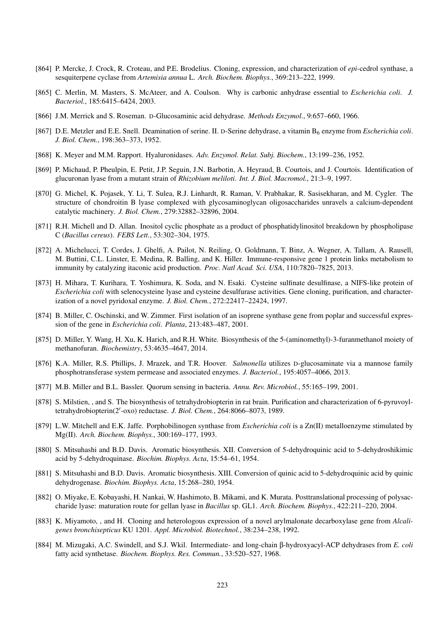- [864] P. Mercke, J. Crock, R. Croteau, and P.E. Brodelius. Cloning, expression, and characterization of *epi*-cedrol synthase, a sesquiterpene cyclase from *Artemisia annua* L. *Arch. Biochem. Biophys.*, 369:213–222, 1999.
- [865] C. Merlin, M. Masters, S. McAteer, and A. Coulson. Why is carbonic anhydrase essential to *Escherichia coli*. *J. Bacteriol.*, 185:6415–6424, 2003.
- [866] J.M. Merrick and S. Roseman. D-Glucosaminic acid dehydrase. *Methods Enzymol.*, 9:657–660, 1966.
- [867] D.E. Metzler and E.E. Snell. Deamination of serine. II. D-Serine dehydrase, a vitamin B<sup>6</sup> enzyme from *Escherichia coli*. *J. Biol. Chem.*, 198:363–373, 1952.
- [868] K. Meyer and M.M. Rapport. Hyaluronidases. *Adv. Enzymol. Relat. Subj. Biochem.*, 13:199–236, 1952.
- [869] P. Michaud, P. Pheulpin, E. Petit, J.P. Seguin, J.N. Barbotin, A. Heyraud, B. Courtois, and J. Courtois. Identification of glucuronan lyase from a mutant strain of *Rhizobium meliloti*. *Int. J. Biol. Macromol.*, 21:3–9, 1997.
- [870] G. Michel, K. Pojasek, Y. Li, T. Sulea, R.J. Linhardt, R. Raman, V. Prabhakar, R. Sasisekharan, and M. Cygler. The structure of chondroitin B lyase complexed with glycosaminoglycan oligosaccharides unravels a calcium-dependent catalytic machinery. *J. Biol. Chem.*, 279:32882–32896, 2004.
- [871] R.H. Michell and D. Allan. Inositol cyclic phosphate as a product of phosphatidylinositol breakdown by phospholipase C (*Bacillus cereus*). *FEBS Lett.*, 53:302–304, 1975.
- [872] A. Michelucci, T. Cordes, J. Ghelfi, A. Pailot, N. Reiling, O. Goldmann, T. Binz, A. Wegner, A. Tallam, A. Rausell, M. Buttini, C.L. Linster, E. Medina, R. Balling, and K. Hiller. Immune-responsive gene 1 protein links metabolism to immunity by catalyzing itaconic acid production. *Proc. Natl Acad. Sci. USA*, 110:7820–7825, 2013.
- [873] H. Mihara, T. Kurihara, T. Yoshimura, K. Soda, and N. Esaki. Cysteine sulfinate desulfinase, a NIFS-like protein of *Escherichia coli* with selenocysteine lyase and cysteine desulfurase activities. Gene cloning, purification, and characterization of a novel pyridoxal enzyme. *J. Biol. Chem.*, 272:22417–22424, 1997.
- [874] B. Miller, C. Oschinski, and W. Zimmer. First isolation of an isoprene synthase gene from poplar and successful expression of the gene in *Escherichia coli*. *Planta*, 213:483–487, 2001.
- [875] D. Miller, Y. Wang, H. Xu, K. Harich, and R.H. White. Biosynthesis of the 5-(aminomethyl)-3-furanmethanol moiety of methanofuran. *Biochemistry*, 53:4635–4647, 2014.
- [876] K.A. Miller, R.S. Phillips, J. Mrazek, and T.R. Hoover. *Salmonella* utilizes D-glucosaminate via a mannose family phosphotransferase system permease and associated enzymes. *J. Bacteriol.*, 195:4057–4066, 2013.
- [877] M.B. Miller and B.L. Bassler. Quorum sensing in bacteria. *Annu. Rev. Microbiol.*, 55:165–199, 2001.
- [878] S. Milstien, , and S. The biosynthesis of tetrahydrobiopterin in rat brain. Purification and characterization of 6-pyruvoyltetrahydrobiopterin(2'-oxo) reductase. *J. Biol. Chem.*, 264:8066-8073, 1989.
- [879] L.W. Mitchell and E.K. Jaffe. Porphobilinogen synthase from *Escherichia coli* is a Zn(II) metalloenzyme stimulated by Mg(II). *Arch. Biochem. Biophys.*, 300:169–177, 1993.
- [880] S. Mitsuhashi and B.D. Davis. Aromatic biosynthesis. XII. Conversion of 5-dehydroquinic acid to 5-dehydroshikimic acid by 5-dehydroquinase. *Biochim. Biophys. Acta*, 15:54–61, 1954.
- [881] S. Mitsuhashi and B.D. Davis. Aromatic biosynthesis. XIII. Conversion of quinic acid to 5-dehydroquinic acid by quinic dehydrogenase. *Biochim. Biophys. Acta*, 15:268–280, 1954.
- [882] O. Miyake, E. Kobayashi, H. Nankai, W. Hashimoto, B. Mikami, and K. Murata. Posttranslational processing of polysaccharide lyase: maturation route for gellan lyase in *Bacillus* sp. GL1. *Arch. Biochem. Biophys.*, 422:211–220, 2004.
- [883] K. Miyamoto, , and H. Cloning and heterologous expression of a novel arylmalonate decarboxylase gene from *Alcaligenes bronchisepticus* KU 1201. *Appl. Microbiol. Biotechnol.*, 38:234–238, 1992.
- [884] M. Mizugaki, A.C. Swindell, and S.J. Wkil. Intermediate- and long-chain β-hydroxyacyl-ACP dehydrases from *E. coli* fatty acid synthetase. *Biochem. Biophys. Res. Commun.*, 33:520–527, 1968.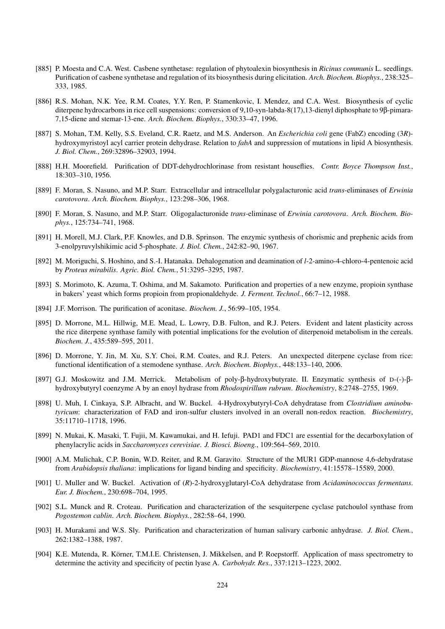- [885] P. Moesta and C.A. West. Casbene synthetase: regulation of phytoalexin biosynthesis in *Ricinus communis* L. seedlings. Purification of casbene synthetase and regulation of its biosynthesis during elicitation. *Arch. Biochem. Biophys.*, 238:325– 333, 1985.
- [886] R.S. Mohan, N.K. Yee, R.M. Coates, Y.Y. Ren, P. Stamenkovic, I. Mendez, and C.A. West. Biosynthesis of cyclic diterpene hydrocarbons in rice cell suspensions: conversion of 9,10-syn-labda-8(17),13-dienyl diphosphate to 9β-pimara-7,15-diene and stemar-13-ene. *Arch. Biochem. Biophys.*, 330:33–47, 1996.
- [887] S. Mohan, T.M. Kelly, S.S. Eveland, C.R. Raetz, and M.S. Anderson. An *Escherichia coli* gene (FabZ) encoding (3*R*) hydroxymyristoyl acyl carrier protein dehydrase. Relation to *fabA* and suppression of mutations in lipid A biosynthesis. *J. Biol. Chem.*, 269:32896–32903, 1994.
- [888] H.H. Moorefield. Purification of DDT-dehydrochlorinase from resistant houseflies. *Contr. Boyce Thompson Inst.*, 18:303–310, 1956.
- [889] F. Moran, S. Nasuno, and M.P. Starr. Extracellular and intracellular polygalacturonic acid *trans*-eliminases of *Erwinia carotovora*. *Arch. Biochem. Biophys.*, 123:298–306, 1968.
- [890] F. Moran, S. Nasuno, and M.P. Starr. Oligogalacturonide *trans*-eliminase of *Erwinia carotovora*. *Arch. Biochem. Biophys.*, 125:734–741, 1968.
- [891] H. Morell, M.J. Clark, P.F. Knowles, and D.B. Sprinson. The enzymic synthesis of chorismic and prephenic acids from 3-enolpyruvylshikimic acid 5-phosphate. *J. Biol. Chem.*, 242:82–90, 1967.
- [892] M. Moriguchi, S. Hoshino, and S.-I. Hatanaka. Dehalogenation and deamination of *l*-2-amino-4-chloro-4-pentenoic acid by *Proteus mirabilis*. *Agric. Biol. Chem.*, 51:3295–3295, 1987.
- [893] S. Morimoto, K. Azuma, T. Oshima, and M. Sakamoto. Purification and properties of a new enzyme, propioin synthase in bakers' yeast which forms propioin from propionaldehyde. *J. Ferment. Technol.*, 66:7–12, 1988.
- [894] J.F. Morrison. The purification of aconitase. *Biochem. J.*, 56:99–105, 1954.
- [895] D. Morrone, M.L. Hillwig, M.E. Mead, L. Lowry, D.B. Fulton, and R.J. Peters. Evident and latent plasticity across the rice diterpene synthase family with potential implications for the evolution of diterpenoid metabolism in the cereals. *Biochem. J.*, 435:589–595, 2011.
- [896] D. Morrone, Y. Jin, M. Xu, S.Y. Choi, R.M. Coates, and R.J. Peters. An unexpected diterpene cyclase from rice: functional identification of a stemodene synthase. *Arch. Biochem. Biophys.*, 448:133–140, 2006.
- [897] G.J. Moskowitz and J.M. Merrick. Metabolism of poly-β-hydroxybutyrate. II. Enzymatic synthesis of D-(-)-βhydroxybutyryl coenzyme A by an enoyl hydrase from *Rhodospirillum rubrum*. *Biochemistry*, 8:2748–2755, 1969.
- [898] U. Muh, I. Cinkaya, S.P. Albracht, and W. Buckel. 4-Hydroxybutyryl-CoA dehydratase from *Clostridium aminobutyricum*: characterization of FAD and iron-sulfur clusters involved in an overall non-redox reaction. *Biochemistry*, 35:11710–11718, 1996.
- [899] N. Mukai, K. Masaki, T. Fujii, M. Kawamukai, and H. Iefuji. PAD1 and FDC1 are essential for the decarboxylation of phenylacrylic acids in *Saccharomyces cerevisiae*. *J. Biosci. Bioeng.*, 109:564–569, 2010.
- [900] A.M. Mulichak, C.P. Bonin, W.D. Reiter, and R.M. Garavito. Structure of the MUR1 GDP-mannose 4,6-dehydratase from *Arabidopsis thaliana*: implications for ligand binding and specificity. *Biochemistry*, 41:15578–15589, 2000.
- [901] U. Muller and W. Buckel. Activation of (*R*)-2-hydroxyglutaryl-CoA dehydratase from *Acidaminococcus fermentans*. *Eur. J. Biochem.*, 230:698–704, 1995.
- [902] S.L. Munck and R. Croteau. Purification and characterization of the sesquiterpene cyclase patchoulol synthase from *Pogostemon cablin*. *Arch. Biochem. Biophys.*, 282:58–64, 1990.
- [903] H. Murakami and W.S. Sly. Purification and characterization of human salivary carbonic anhydrase. *J. Biol. Chem.*, 262:1382–1388, 1987.
- [904] K.E. Mutenda, R. Korner, T.M.I.E. Christensen, J. Mikkelsen, and P. Roepstorff. Application of mass spectrometry to ¨ determine the activity and specificity of pectin lyase A. *Carbohydr. Res.*, 337:1213–1223, 2002.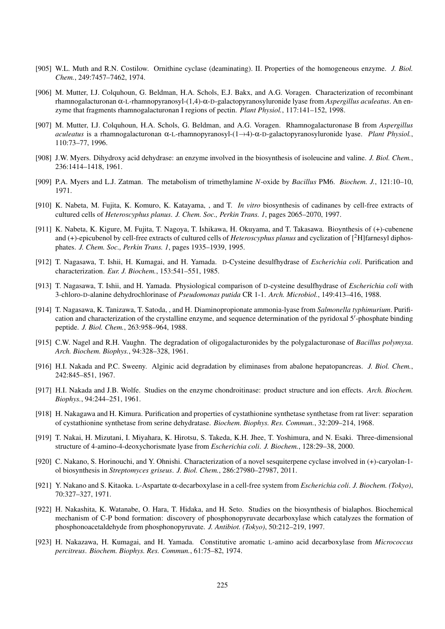- [905] W.L. Muth and R.N. Costilow. Ornithine cyclase (deaminating). II. Properties of the homogeneous enzyme. *J. Biol. Chem.*, 249:7457–7462, 1974.
- [906] M. Mutter, I.J. Colquhoun, G. Beldman, H.A. Schols, E.J. Bakx, and A.G. Voragen. Characterization of recombinant rhamnogalacturonan α-L-rhamnopyranosyl-(1,4)-α-D-galactopyranosyluronide lyase from *Aspergillus aculeatus*. An enzyme that fragments rhamnogalacturonan I regions of pectin. *Plant Physiol.*, 117:141–152, 1998.
- [907] M. Mutter, I.J. Colquhoun, H.A. Schols, G. Beldman, and A.G. Voragen. Rhamnogalacturonase B from *Aspergillus aculeatus* is a rhamnogalacturonan α-L-rhamnopyranosyl-(1→4)-α-D-galactopyranosyluronide lyase. *Plant Physiol.*, 110:73–77, 1996.
- [908] J.W. Myers. Dihydroxy acid dehydrase: an enzyme involved in the biosynthesis of isoleucine and valine. *J. Biol. Chem.*, 236:1414–1418, 1961.
- [909] P.A. Myers and L.J. Zatman. The metabolism of trimethylamine *N*-oxide by *Bacillus* PM6. *Biochem. J.*, 121:10–10, 1971.
- [910] K. Nabeta, M. Fujita, K. Komuro, K. Katayama, , and T. *In vitro* biosynthesis of cadinanes by cell-free extracts of cultured cells of *Heteroscyphus planus*. *J. Chem. Soc., Perkin Trans. 1*, pages 2065–2070, 1997.
- [911] K. Nabeta, K. Kigure, M. Fujita, T. Nagoya, T. Ishikawa, H. Okuyama, and T. Takasawa. Bioynthesis of (+)-cubenene and (+)-epicubenol by cell-free extracts of cultured cells of *Heteroscyphus planus* and cyclization of [2H]farnesyl diphosphates. *J. Chem. Soc., Perkin Trans. 1*, pages 1935–1939, 1995.
- [912] T. Nagasawa, T. Ishii, H. Kumagai, and H. Yamada. D-Cysteine desulfhydrase of *Escherichia coli*. Purification and characterization. *Eur. J. Biochem.*, 153:541–551, 1985.
- [913] T. Nagasawa, T. Ishii, and H. Yamada. Physiological comparison of D-cysteine desulfhydrase of *Escherichia coli* with 3-chloro-D-alanine dehydrochlorinase of *Pseudomonas putida* CR 1-1. *Arch. Microbiol.*, 149:413–416, 1988.
- [914] T. Nagasawa, K. Tanizawa, T. Satoda, , and H. Diaminopropionate ammonia-lyase from *Salmonella typhimurium*. Purification and characterization of the crystalline enzyme, and sequence determination of the pyridoxal 5'-phosphate binding peptide. *J. Biol. Chem.*, 263:958–964, 1988.
- [915] C.W. Nagel and R.H. Vaughn. The degradation of oligogalacturonides by the polygalacturonase of *Bacillus polymyxa*. *Arch. Biochem. Biophys.*, 94:328–328, 1961.
- [916] H.I. Nakada and P.C. Sweeny. Alginic acid degradation by eliminases from abalone hepatopancreas. *J. Biol. Chem.*, 242:845–851, 1967.
- [917] H.I. Nakada and J.B. Wolfe. Studies on the enzyme chondroitinase: product structure and ion effects. *Arch. Biochem. Biophys.*, 94:244–251, 1961.
- [918] H. Nakagawa and H. Kimura. Purification and properties of cystathionine synthetase synthetase from rat liver: separation of cystathionine synthetase from serine dehydratase. *Biochem. Biophys. Res. Commun.*, 32:209–214, 1968.
- [919] T. Nakai, H. Mizutani, I. Miyahara, K. Hirotsu, S. Takeda, K.H. Jhee, T. Yoshimura, and N. Esaki. Three-dimensional structure of 4-amino-4-deoxychorismate lyase from *Escherichia coli*. *J. Biochem.*, 128:29–38, 2000.
- [920] C. Nakano, S. Horinouchi, and Y. Ohnishi. Characterization of a novel sesquiterpene cyclase involved in (+)-caryolan-1 ol biosynthesis in *Streptomyces griseus*. *J. Biol. Chem.*, 286:27980–27987, 2011.
- [921] Y. Nakano and S. Kitaoka. L-Aspartate α-decarboxylase in a cell-free system from *Escherichia coli*. *J. Biochem. (Tokyo)*, 70:327–327, 1971.
- [922] H. Nakashita, K. Watanabe, O. Hara, T. Hidaka, and H. Seto. Studies on the biosynthesis of bialaphos. Biochemical mechanism of C-P bond formation: discovery of phosphonopyruvate decarboxylase which catalyzes the formation of phosphonoacetaldehyde from phosphonopyruvate. *J. Antibiot. (Tokyo)*, 50:212–219, 1997.
- [923] H. Nakazawa, H. Kumagai, and H. Yamada. Constitutive aromatic L-amino acid decarboxylase from *Micrococcus percitreus*. *Biochem. Biophys. Res. Commun.*, 61:75–82, 1974.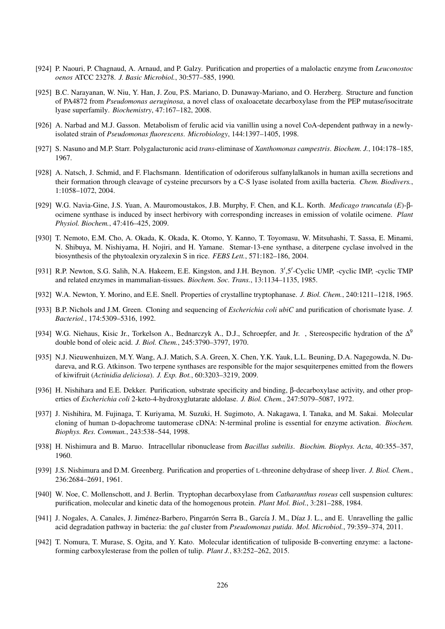- [924] P. Naouri, P. Chagnaud, A. Arnaud, and P. Galzy. Purification and properties of a malolactic enzyme from *Leuconostoc oenos* ATCC 23278. *J. Basic Microbiol.*, 30:577–585, 1990.
- [925] B.C. Narayanan, W. Niu, Y. Han, J. Zou, P.S. Mariano, D. Dunaway-Mariano, and O. Herzberg. Structure and function of PA4872 from *Pseudomonas aeruginosa*, a novel class of oxaloacetate decarboxylase from the PEP mutase/isocitrate lyase superfamily. *Biochemistry*, 47:167–182, 2008.
- [926] A. Narbad and M.J. Gasson. Metabolism of ferulic acid via vanillin using a novel CoA-dependent pathway in a newlyisolated strain of *Pseudomonas fluorescens*. *Microbiology*, 144:1397–1405, 1998.
- [927] S. Nasuno and M.P. Starr. Polygalacturonic acid *trans*-eliminase of *Xanthomonas campestris*. *Biochem. J.*, 104:178–185, 1967.
- [928] A. Natsch, J. Schmid, and F. Flachsmann. Identification of odoriferous sulfanylalkanols in human axilla secretions and their formation through cleavage of cysteine precursors by a C-S lyase isolated from axilla bacteria. *Chem. Biodivers.*, 1:1058–1072, 2004.
- [929] W.G. Navia-Gine, J.S. Yuan, A. Mauromoustakos, J.B. Murphy, F. Chen, and K.L. Korth. *Medicago truncatula* (*E*)-βocimene synthase is induced by insect herbivory with corresponding increases in emission of volatile ocimene. *Plant Physiol. Biochem.*, 47:416–425, 2009.
- [930] T. Nemoto, E.M. Cho, A. Okada, K. Okada, K. Otomo, Y. Kanno, T. Toyomasu, W. Mitsuhashi, T. Sassa, E. Minami, N. Shibuya, M. Nishiyama, H. Nojiri, and H. Yamane. Stemar-13-ene synthase, a diterpene cyclase involved in the biosynthesis of the phytoalexin oryzalexin S in rice. *FEBS Lett.*, 571:182–186, 2004.
- [931] R.P. Newton, S.G. Salih, N.A. Hakeem, E.E. Kingston, and J.H. Beynon. 3',5'-Cyclic UMP, -cyclic IMP, -cyclic TMP and related enzymes in mammalian-tissues. *Biochem. Soc. Trans.*, 13:1134–1135, 1985.
- [932] W.A. Newton, Y. Morino, and E.E. Snell. Properties of crystalline tryptophanase. *J. Biol. Chem.*, 240:1211–1218, 1965.
- [933] B.P. Nichols and J.M. Green. Cloning and sequencing of *Escherichia coli ubiC* and purification of chorismate lyase. *J. Bacteriol.*, 174:5309–5316, 1992.
- [934] W.G. Niehaus, Kisic Jr., Torkelson A., Bednarczyk A., D.J., Schroepfer, and Jr., Stereospecific hydration of the  $\Delta^9$ double bond of oleic acid. *J. Biol. Chem.*, 245:3790–3797, 1970.
- [935] N.J. Nieuwenhuizen, M.Y. Wang, A.J. Matich, S.A. Green, X. Chen, Y.K. Yauk, L.L. Beuning, D.A. Nagegowda, N. Dudareva, and R.G. Atkinson. Two terpene synthases are responsible for the major sesquiterpenes emitted from the flowers of kiwifruit (*Actinidia deliciosa*). *J. Exp. Bot.*, 60:3203–3219, 2009.
- [936] H. Nishihara and E.E. Dekker. Purification, substrate specificity and binding, β-decarboxylase activity, and other properties of *Escherichia coli* 2-keto-4-hydroxyglutarate aldolase. *J. Biol. Chem.*, 247:5079–5087, 1972.
- [937] J. Nishihira, M. Fujinaga, T. Kuriyama, M. Suzuki, H. Sugimoto, A. Nakagawa, I. Tanaka, and M. Sakai. Molecular cloning of human D-dopachrome tautomerase cDNA: N-terminal proline is essential for enzyme activation. *Biochem. Biophys. Res. Commun.*, 243:538–544, 1998.
- [938] H. Nishimura and B. Maruo. Intracellular ribonuclease from *Bacillus subtilis*. *Biochim. Biophys. Acta*, 40:355–357, 1960.
- [939] J.S. Nishimura and D.M. Greenberg. Purification and properties of L-threonine dehydrase of sheep liver. *J. Biol. Chem.*, 236:2684–2691, 1961.
- [940] W. Noe, C. Mollenschott, and J. Berlin. Tryptophan decarboxylase from *Catharanthus roseus* cell suspension cultures: purification, molecular and kinetic data of the homogenous protein. *Plant Mol. Biol.*, 3:281–288, 1984.
- [941] J. Nogales, A. Canales, J. Jiménez-Barbero, Pingarrón Serra B., García J. M., Díaz J. L., and E. Unravelling the gallic acid degradation pathway in bacteria: the *gal* cluster from *Pseudomonas putida*. *Mol. Microbiol.*, 79:359–374, 2011.
- [942] T. Nomura, T. Murase, S. Ogita, and Y. Kato. Molecular identification of tuliposide B-converting enzyme: a lactoneforming carboxylesterase from the pollen of tulip. *Plant J.*, 83:252–262, 2015.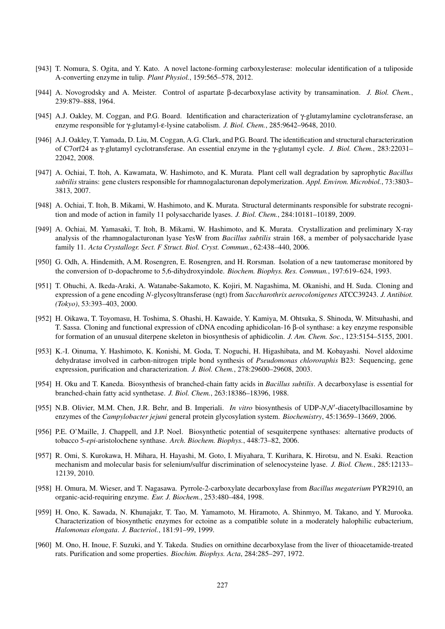- [943] T. Nomura, S. Ogita, and Y. Kato. A novel lactone-forming carboxylesterase: molecular identification of a tuliposide A-converting enzyme in tulip. *Plant Physiol.*, 159:565–578, 2012.
- [944] A. Novogrodsky and A. Meister. Control of aspartate β-decarboxylase activity by transamination. *J. Biol. Chem.*, 239:879–888, 1964.
- [945] A.J. Oakley, M. Coggan, and P.G. Board. Identification and characterization of γ-glutamylamine cyclotransferase, an enzyme responsible for γ-glutamyl-ε-lysine catabolism. *J. Biol. Chem.*, 285:9642–9648, 2010.
- [946] A.J. Oakley, T. Yamada, D. Liu, M. Coggan, A.G. Clark, and P.G. Board. The identification and structural characterization of C7orf24 as γ-glutamyl cyclotransferase. An essential enzyme in the γ-glutamyl cycle. *J. Biol. Chem.*, 283:22031– 22042, 2008.
- [947] A. Ochiai, T. Itoh, A. Kawamata, W. Hashimoto, and K. Murata. Plant cell wall degradation by saprophytic *Bacillus subtilis* strains: gene clusters responsible for rhamnogalacturonan depolymerization. *Appl. Environ. Microbiol.*, 73:3803– 3813, 2007.
- [948] A. Ochiai, T. Itoh, B. Mikami, W. Hashimoto, and K. Murata. Structural determinants responsible for substrate recognition and mode of action in family 11 polysaccharide lyases. *J. Biol. Chem.*, 284:10181–10189, 2009.
- [949] A. Ochiai, M. Yamasaki, T. Itoh, B. Mikami, W. Hashimoto, and K. Murata. Crystallization and preliminary X-ray analysis of the rhamnogalacturonan lyase YesW from *Bacillus subtilis* strain 168, a member of polysaccharide lyase family 11. *Acta Crystallogr. Sect. F Struct. Biol. Cryst. Commun.*, 62:438–440, 2006.
- [950] G. Odh, A. Hindemith, A.M. Rosengren, E. Rosengren, and H. Rorsman. Isolation of a new tautomerase monitored by the conversion of D-dopachrome to 5,6-dihydroxyindole. *Biochem. Biophys. Res. Commun.*, 197:619–624, 1993.
- [951] T. Ohuchi, A. Ikeda-Araki, A. Watanabe-Sakamoto, K. Kojiri, M. Nagashima, M. Okanishi, and H. Suda. Cloning and expression of a gene encoding *N*-glycosyltransferase (ngt) from *Saccharothrix aerocolonigenes* ATCC39243. *J. Antibiot. (Tokyo)*, 53:393–403, 2000.
- [952] H. Oikawa, T. Toyomasu, H. Toshima, S. Ohashi, H. Kawaide, Y. Kamiya, M. Ohtsuka, S. Shinoda, W. Mitsuhashi, and T. Sassa. Cloning and functional expression of cDNA encoding aphidicolan-16 β-ol synthase: a key enzyme responsible for formation of an unusual diterpene skeleton in biosynthesis of aphidicolin. *J. Am. Chem. Soc.*, 123:5154–5155, 2001.
- [953] K.-I. Oinuma, Y. Hashimoto, K. Konishi, M. Goda, T. Noguchi, H. Higashibata, and M. Kobayashi. Novel aldoxime dehydratase involved in carbon-nitrogen triple bond synthesis of *Pseudomonas chlororaphis* B23: Sequencing, gene expression, purification and characterization. *J. Biol. Chem.*, 278:29600–29608, 2003.
- [954] H. Oku and T. Kaneda. Biosynthesis of branched-chain fatty acids in *Bacillus subtilis*. A decarboxylase is essential for branched-chain fatty acid synthetase. *J. Biol. Chem.*, 263:18386–18396, 1988.
- [955] N.B. Olivier, M.M. Chen, J.R. Behr, and B. Imperiali. *In vitro* biosynthesis of UDP-*N,N'*-diacetylbacillosamine by enzymes of the *Campylobacter jejuni* general protein glycosylation system. *Biochemistry*, 45:13659–13669, 2006.
- [956] P.E. O'Maille, J. Chappell, and J.P. Noel. Biosynthetic potential of sesquiterpene synthases: alternative products of tobacco 5-*epi*-aristolochene synthase. *Arch. Biochem. Biophys.*, 448:73–82, 2006.
- [957] R. Omi, S. Kurokawa, H. Mihara, H. Hayashi, M. Goto, I. Miyahara, T. Kurihara, K. Hirotsu, and N. Esaki. Reaction mechanism and molecular basis for selenium/sulfur discrimination of selenocysteine lyase. *J. Biol. Chem.*, 285:12133– 12139, 2010.
- [958] H. Omura, M. Wieser, and T. Nagasawa. Pyrrole-2-carboxylate decarboxylase from *Bacillus megaterium* PYR2910, an organic-acid-requiring enzyme. *Eur. J. Biochem.*, 253:480–484, 1998.
- [959] H. Ono, K. Sawada, N. Khunajakr, T. Tao, M. Yamamoto, M. Hiramoto, A. Shinmyo, M. Takano, and Y. Murooka. Characterization of biosynthetic enzymes for ectoine as a compatible solute in a moderately halophilic eubacterium, *Halomonas elongata*. *J. Bacteriol.*, 181:91–99, 1999.
- [960] M. Ono, H. Inoue, F. Suzuki, and Y. Takeda. Studies on ornithine decarboxylase from the liver of thioacetamide-treated rats. Purification and some properties. *Biochim. Biophys. Acta*, 284:285–297, 1972.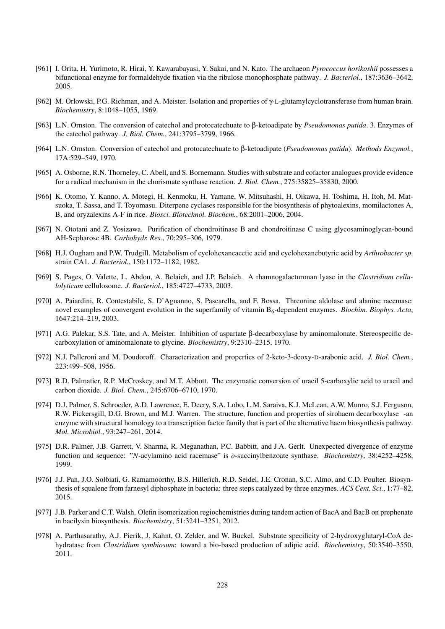- [961] I. Orita, H. Yurimoto, R. Hirai, Y. Kawarabayasi, Y. Sakai, and N. Kato. The archaeon *Pyrococcus horikoshii* possesses a bifunctional enzyme for formaldehyde fixation via the ribulose monophosphate pathway. *J. Bacteriol.*, 187:3636–3642, 2005.
- [962] M. Orlowski, P.G. Richman, and A. Meister. Isolation and properties of γ-L-glutamylcyclotransferase from human brain. *Biochemistry*, 8:1048–1055, 1969.
- [963] L.N. Ornston. The conversion of catechol and protocatechuate to β-ketoadipate by *Pseudomonas putida*. 3. Enzymes of the catechol pathway. *J. Biol. Chem.*, 241:3795–3799, 1966.
- [964] L.N. Ornston. Conversion of catechol and protocatechuate to β-ketoadipate (*Pseudomonas putida*). *Methods Enzymol.*, 17A:529–549, 1970.
- [965] A. Osborne, R.N. Thorneley, C. Abell, and S. Bornemann. Studies with substrate and cofactor analogues provide evidence for a radical mechanism in the chorismate synthase reaction. *J. Biol. Chem.*, 275:35825–35830, 2000.
- [966] K. Otomo, Y. Kanno, A. Motegi, H. Kenmoku, H. Yamane, W. Mitsuhashi, H. Oikawa, H. Toshima, H. Itoh, M. Matsuoka, T. Sassa, and T. Toyomasu. Diterpene cyclases responsible for the biosynthesis of phytoalexins, momilactones A, B, and oryzalexins A-F in rice. *Biosci. Biotechnol. Biochem.*, 68:2001–2006, 2004.
- [967] N. Ototani and Z. Yosizawa. Purification of chondroitinase B and chondroitinase C using glycosaminoglycan-bound AH-Sepharose 4B. *Carbohydr. Res.*, 70:295–306, 1979.
- [968] H.J. Ougham and P.W. Trudgill. Metabolism of cyclohexaneacetic acid and cyclohexanebutyric acid by *Arthrobacter sp*. strain CA1. *J. Bacteriol.*, 150:1172–1182, 1982.
- [969] S. Pages, O. Valette, L. Abdou, A. Belaich, and J.P. Belaich. A rhamnogalacturonan lyase in the *Clostridium cellulolyticum* cellulosome. *J. Bacteriol.*, 185:4727–4733, 2003.
- [970] A. Paiardini, R. Contestabile, S. D'Aguanno, S. Pascarella, and F. Bossa. Threonine aldolase and alanine racemase: novel examples of convergent evolution in the superfamily of vitamin B6-dependent enzymes. *Biochim. Biophys. Acta*, 1647:214–219, 2003.
- [971] A.G. Palekar, S.S. Tate, and A. Meister. Inhibition of aspartate β-decarboxylase by aminomalonate. Stereospecific decarboxylation of aminomalonate to glycine. *Biochemistry*, 9:2310–2315, 1970.
- [972] N.J. Palleroni and M. Doudoroff. Characterization and properties of 2-keto-3-deoxy-D-arabonic acid. *J. Biol. Chem.*, 223:499–508, 1956.
- [973] R.D. Palmatier, R.P. McCroskey, and M.T. Abbott. The enzymatic conversion of uracil 5-carboxylic acid to uracil and carbon dioxide. *J. Biol. Chem.*, 245:6706–6710, 1970.
- [974] D.J. Palmer, S. Schroeder, A.D. Lawrence, E. Deery, S.A. Lobo, L.M. Saraiva, K.J. McLean, A.W. Munro, S.J. Ferguson, R.W. Pickersgill, D.G. Brown, and M.J. Warren. The structure, function and properties of sirohaem decarboxylase−-an enzyme with structural homology to a transcription factor family that is part of the alternative haem biosynthesis pathway. *Mol. Microbiol.*, 93:247–261, 2014.
- [975] D.R. Palmer, J.B. Garrett, V. Sharma, R. Meganathan, P.C. Babbitt, and J.A. Gerlt. Unexpected divergence of enzyme function and sequence: "*N*-acylamino acid racemase" is *o*-succinylbenzoate synthase. *Biochemistry*, 38:4252–4258, 1999.
- [976] J.J. Pan, J.O. Solbiati, G. Ramamoorthy, B.S. Hillerich, R.D. Seidel, J.E. Cronan, S.C. Almo, and C.D. Poulter. Biosynthesis of squalene from farnesyl diphosphate in bacteria: three steps catalyzed by three enzymes. *ACS Cent. Sci.*, 1:77–82, 2015.
- [977] J.B. Parker and C.T. Walsh. Olefin isomerization regiochemistries during tandem action of BacA and BacB on prephenate in bacilysin biosynthesis. *Biochemistry*, 51:3241–3251, 2012.
- [978] A. Parthasarathy, A.J. Pierik, J. Kahnt, O. Zelder, and W. Buckel. Substrate specificity of 2-hydroxyglutaryl-CoA dehydratase from *Clostridium symbiosum*: toward a bio-based production of adipic acid. *Biochemistry*, 50:3540–3550, 2011.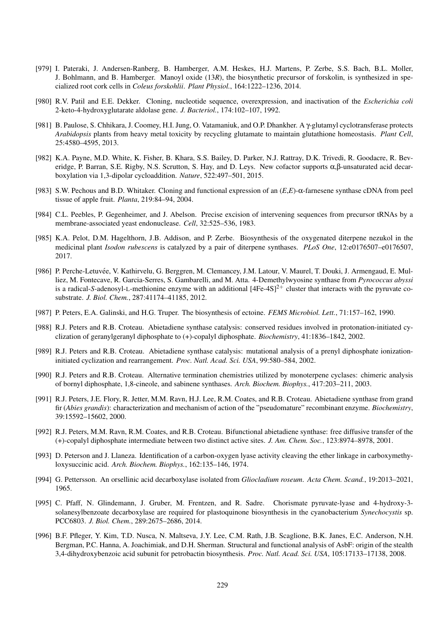- [979] I. Pateraki, J. Andersen-Ranberg, B. Hamberger, A.M. Heskes, H.J. Martens, P. Zerbe, S.S. Bach, B.L. Moller, J. Bohlmann, and B. Hamberger. Manoyl oxide (13*R*), the biosynthetic precursor of forskolin, is synthesized in specialized root cork cells in *Coleus forskohlii*. *Plant Physiol.*, 164:1222–1236, 2014.
- [980] R.V. Patil and E.E. Dekker. Cloning, nucleotide sequence, overexpression, and inactivation of the *Escherichia coli* 2-keto-4-hydroxyglutarate aldolase gene. *J. Bacteriol.*, 174:102–107, 1992.
- [981] B. Paulose, S. Chhikara, J. Coomey, H.I. Jung, O. Vatamaniuk, and O.P. Dhankher. A γ-glutamyl cyclotransferase protects *Arabidopsis* plants from heavy metal toxicity by recycling glutamate to maintain glutathione homeostasis. *Plant Cell*, 25:4580–4595, 2013.
- [982] K.A. Payne, M.D. White, K. Fisher, B. Khara, S.S. Bailey, D. Parker, N.J. Rattray, D.K. Trivedi, R. Goodacre, R. Beveridge, P. Barran, S.E. Rigby, N.S. Scrutton, S. Hay, and D. Leys. New cofactor supports  $\alpha, \beta$ -unsaturated acid decarboxylation via 1,3-dipolar cycloaddition. *Nature*, 522:497–501, 2015.
- [983] S.W. Pechous and B.D. Whitaker. Cloning and functional expression of an (*E*,*E*)-α-farnesene synthase cDNA from peel tissue of apple fruit. *Planta*, 219:84–94, 2004.
- [984] C.L. Peebles, P. Gegenheimer, and J. Abelson. Precise excision of intervening sequences from precursor tRNAs by a membrane-associated yeast endonuclease. *Cell*, 32:525–536, 1983.
- [985] K.A. Pelot, D.M. Hagelthorn, J.B. Addison, and P. Zerbe. Biosynthesis of the oxygenated diterpene nezukol in the medicinal plant *Isodon rubescens* is catalyzed by a pair of diterpene synthases. *PLoS One*, 12:e0176507–e0176507, 2017.
- [986] P. Perche-Letuvée, V. Kathirvelu, G. Berggren, M. Clemancey, J.M. Latour, V. Maurel, T. Douki, J. Armengaud, E. Mulliez, M. Fontecave, R. Garcia-Serres, S. Gambarelli, and M. Atta. 4-Demethylwyosine synthase from *Pyrococcus abyssi* is a radical-*S*-adenosyl-L-methionine enzyme with an additional  $[4Fe-4S]^2$ <sup>+</sup> cluster that interacts with the pyruvate cosubstrate. *J. Biol. Chem.*, 287:41174–41185, 2012.
- [987] P. Peters, E.A. Galinski, and H.G. Truper. The biosynthesis of ectoine. *FEMS Microbiol. Lett.*, 71:157–162, 1990.
- [988] R.J. Peters and R.B. Croteau. Abietadiene synthase catalysis: conserved residues involved in protonation-initiated cyclization of geranylgeranyl diphosphate to (+)-copalyl diphosphate. *Biochemistry*, 41:1836–1842, 2002.
- [989] R.J. Peters and R.B. Croteau. Abietadiene synthase catalysis: mutational analysis of a prenyl diphosphate ionizationinitiated cyclization and rearrangement. *Proc. Natl. Acad. Sci. USA*, 99:580–584, 2002.
- [990] R.J. Peters and R.B. Croteau. Alternative termination chemistries utilized by monoterpene cyclases: chimeric analysis of bornyl diphosphate, 1,8-cineole, and sabinene synthases. *Arch. Biochem. Biophys.*, 417:203–211, 2003.
- [991] R.J. Peters, J.E. Flory, R. Jetter, M.M. Ravn, H.J. Lee, R.M. Coates, and R.B. Croteau. Abietadiene synthase from grand fir (*Abies grandis*): characterization and mechanism of action of the "pseudomature" recombinant enzyme. *Biochemistry*, 39:15592–15602, 2000.
- [992] R.J. Peters, M.M. Ravn, R.M. Coates, and R.B. Croteau. Bifunctional abietadiene synthase: free diffusive transfer of the (+)-copalyl diphosphate intermediate between two distinct active sites. *J. Am. Chem. Soc.*, 123:8974–8978, 2001.
- [993] D. Peterson and J. Llaneza. Identification of a carbon-oxygen lyase activity cleaving the ether linkage in carboxymethyloxysuccinic acid. *Arch. Biochem. Biophys.*, 162:135–146, 1974.
- [994] G. Pettersson. An orsellinic acid decarboxylase isolated from *Gliocladium roseum*. *Acta Chem. Scand.*, 19:2013–2021, 1965.
- [995] C. Pfaff, N. Glindemann, J. Gruber, M. Frentzen, and R. Sadre. Chorismate pyruvate-lyase and 4-hydroxy-3solanesylbenzoate decarboxylase are required for plastoquinone biosynthesis in the cyanobacterium *Synechocystis* sp. PCC6803. *J. Biol. Chem.*, 289:2675–2686, 2014.
- [996] B.F. Pfleger, Y. Kim, T.D. Nusca, N. Maltseva, J.Y. Lee, C.M. Rath, J.B. Scaglione, B.K. Janes, E.C. Anderson, N.H. Bergman, P.C. Hanna, A. Joachimiak, and D.H. Sherman. Structural and functional analysis of AsbF: origin of the stealth 3,4-dihydroxybenzoic acid subunit for petrobactin biosynthesis. *Proc. Natl. Acad. Sci. USA*, 105:17133–17138, 2008.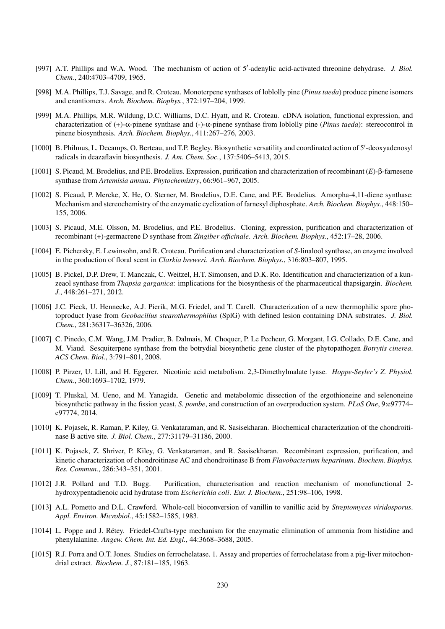- [997] A.T. Phillips and W.A. Wood. The mechanism of action of 5'-adenylic acid-activated threonine dehydrase. *J. Biol. Chem.*, 240:4703–4709, 1965.
- [998] M.A. Phillips, T.J. Savage, and R. Croteau. Monoterpene synthases of loblolly pine (*Pinus taeda*) produce pinene isomers and enantiomers. *Arch. Biochem. Biophys.*, 372:197–204, 1999.
- [999] M.A. Phillips, M.R. Wildung, D.C. Williams, D.C. Hyatt, and R. Croteau. cDNA isolation, functional expression, and characterization of (+)-α-pinene synthase and (-)-α-pinene synthase from loblolly pine (*Pinus taeda*): stereocontrol in pinene biosynthesis. *Arch. Biochem. Biophys.*, 411:267–276, 2003.
- [1000] B. Philmus, L. Decamps, O. Berteau, and T.P. Begley. Biosynthetic versatility and coordinated action of 5'-deoxyadenosyl radicals in deazaflavin biosynthesis. *J. Am. Chem. Soc.*, 137:5406–5413, 2015.
- [1001] S. Picaud, M. Brodelius, and P.E. Brodelius. Expression, purification and characterization of recombinant (*E*)-β-farnesene synthase from *Artemisia annua*. *Phytochemistry*, 66:961–967, 2005.
- [1002] S. Picaud, P. Mercke, X. He, O. Sterner, M. Brodelius, D.E. Cane, and P.E. Brodelius. Amorpha-4,11-diene synthase: Mechanism and stereochemistry of the enzymatic cyclization of farnesyl diphosphate. *Arch. Biochem. Biophys.*, 448:150– 155, 2006.
- [1003] S. Picaud, M.E. Olsson, M. Brodelius, and P.E. Brodelius. Cloning, expression, purification and characterization of recombinant (+)-germacrene D synthase from *Zingiber officinale*. *Arch. Biochem. Biophys.*, 452:17–28, 2006.
- [1004] E. Pichersky, E. Lewinsohn, and R. Croteau. Purification and characterization of *S*-linalool synthase, an enzyme involved in the production of floral scent in *Clarkia breweri*. *Arch. Biochem. Biophys.*, 316:803–807, 1995.
- [1005] B. Pickel, D.P. Drew, T. Manczak, C. Weitzel, H.T. Simonsen, and D.K. Ro. Identification and characterization of a kunzeaol synthase from *Thapsia garganica*: implications for the biosynthesis of the pharmaceutical thapsigargin. *Biochem. J.*, 448:261–271, 2012.
- [1006] J.C. Pieck, U. Hennecke, A.J. Pierik, M.G. Friedel, and T. Carell. Characterization of a new thermophilic spore photoproduct lyase from *Geobacillus stearothermophilus* (SplG) with defined lesion containing DNA substrates. *J. Biol. Chem.*, 281:36317–36326, 2006.
- [1007] C. Pinedo, C.M. Wang, J.M. Pradier, B. Dalmais, M. Choquer, P. Le Pecheur, G. Morgant, I.G. Collado, D.E. Cane, and M. Viaud. Sesquiterpene synthase from the botrydial biosynthetic gene cluster of the phytopathogen *Botrytis cinerea*. *ACS Chem. Biol.*, 3:791–801, 2008.
- [1008] P. Pirzer, U. Lill, and H. Eggerer. Nicotinic acid metabolism. 2,3-Dimethylmalate lyase. *Hoppe-Seyler's Z. Physiol. Chem.*, 360:1693–1702, 1979.
- [1009] T. Pluskal, M. Ueno, and M. Yanagida. Genetic and metabolomic dissection of the ergothioneine and selenoneine biosynthetic pathway in the fission yeast, *S. pombe*, and construction of an overproduction system. *PLoS One*, 9:e97774– e97774, 2014.
- [1010] K. Pojasek, R. Raman, P. Kiley, G. Venkataraman, and R. Sasisekharan. Biochemical characterization of the chondroitinase B active site. *J. Biol. Chem.*, 277:31179–31186, 2000.
- [1011] K. Pojasek, Z. Shriver, P. Kiley, G. Venkataraman, and R. Sasisekharan. Recombinant expression, purification, and kinetic characterization of chondroitinase AC and chondroitinase B from *Flavobacterium heparinum*. *Biochem. Biophys. Res. Commun.*, 286:343–351, 2001.
- [1012] J.R. Pollard and T.D. Bugg. Purification, characterisation and reaction mechanism of monofunctional 2 hydroxypentadienoic acid hydratase from *Escherichia coli*. *Eur. J. Biochem.*, 251:98–106, 1998.
- [1013] A.L. Pometto and D.L. Crawford. Whole-cell bioconversion of vanillin to vanillic acid by *Streptomyces viridosporus*. *Appl. Environ. Microbiol.*, 45:1582–1585, 1983.
- [1014] L. Poppe and J. Retey. Friedel-Crafts-type mechanism for the enzymatic elimination of ammonia from histidine and ´ phenylalanine. *Angew. Chem. Int. Ed. Engl.*, 44:3668–3688, 2005.
- [1015] R.J. Porra and O.T. Jones. Studies on ferrochelatase. 1. Assay and properties of ferrochelatase from a pig-liver mitochondrial extract. *Biochem. J.*, 87:181–185, 1963.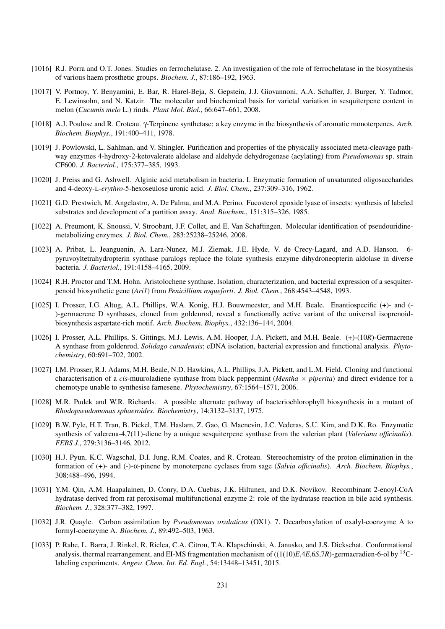- [1016] R.J. Porra and O.T. Jones. Studies on ferrochelatase. 2. An investigation of the role of ferrochelatase in the biosynthesis of various haem prosthetic groups. *Biochem. J.*, 87:186–192, 1963.
- [1017] V. Portnoy, Y. Benyamini, E. Bar, R. Harel-Beja, S. Gepstein, J.J. Giovannoni, A.A. Schaffer, J. Burger, Y. Tadmor, E. Lewinsohn, and N. Katzir. The molecular and biochemical basis for varietal variation in sesquiterpene content in melon (*Cucumis melo* L.) rinds. *Plant Mol. Biol.*, 66:647–661, 2008.
- [1018] A.J. Poulose and R. Croteau. γ-Terpinene synthetase: a key enzyme in the biosynthesis of aromatic monoterpenes. *Arch. Biochem. Biophys.*, 191:400–411, 1978.
- [1019] J. Powlowski, L. Sahlman, and V. Shingler. Purification and properties of the physically associated meta-cleavage pathway enzymes 4-hydroxy-2-ketovalerate aldolase and aldehyde dehydrogenase (acylating) from *Pseudomonas* sp. strain CF600. *J. Bacteriol.*, 175:377–385, 1993.
- [1020] J. Preiss and G. Ashwell. Alginic acid metabolism in bacteria. I. Enzymatic formation of unsaturated oligosaccharides and 4-deoxy-L-*erythro*-5-hexoseulose uronic acid. *J. Biol. Chem.*, 237:309–316, 1962.
- [1021] G.D. Prestwich, M. Angelastro, A. De Palma, and M.A. Perino. Fucosterol epoxide lyase of insects: synthesis of labeled substrates and development of a partition assay. *Anal. Biochem.*, 151:315–326, 1985.
- [1022] A. Preumont, K. Snoussi, V. Stroobant, J.F. Collet, and E. Van Schaftingen. Molecular identification of pseudouridinemetabolizing enzymes. *J. Biol. Chem.*, 283:25238–25246, 2008.
- [1023] A. Pribat, L. Jeanguenin, A. Lara-Nunez, M.J. Ziemak, J.E. Hyde, V. de Crecy-Lagard, and A.D. Hanson. 6 pyruvoyltetrahydropterin synthase paralogs replace the folate synthesis enzyme dihydroneopterin aldolase in diverse bacteria. *J. Bacteriol.*, 191:4158–4165, 2009.
- [1024] R.H. Proctor and T.M. Hohn. Aristolochene synthase. Isolation, characterization, and bacterial expression of a sesquiterpenoid biosynthetic gene (*Ari1*) from *Penicillium roqueforti*. *J. Biol. Chem.*, 268:4543–4548, 1993.
- [1025] I. Prosser, I.G. Altug, A.L. Phillips, W.A. Konig, H.J. Bouwmeester, and M.H. Beale. Enantiospecific (+)- and (-)-germacrene D synthases, cloned from goldenrod, reveal a functionally active variant of the universal isoprenoidbiosynthesis aspartate-rich motif. *Arch. Biochem. Biophys.*, 432:136–144, 2004.
- [1026] I. Prosser, A.L. Phillips, S. Gittings, M.J. Lewis, A.M. Hooper, J.A. Pickett, and M.H. Beale. (+)-(10*R*)-Germacrene A synthase from goldenrod, *Solidago canadensis*; cDNA isolation, bacterial expression and functional analysis. *Phytochemistry*, 60:691–702, 2002.
- [1027] I.M. Prosser, R.J. Adams, M.H. Beale, N.D. Hawkins, A.L. Phillips, J.A. Pickett, and L.M. Field. Cloning and functional characterisation of a *cis*-muuroladiene synthase from black peppermint (*Mentha* × *piperita*) and direct evidence for a chemotype unable to synthesise farnesene. *Phytochemistry*, 67:1564–1571, 2006.
- [1028] M.R. Pudek and W.R. Richards. A possible alternate pathway of bacteriochlorophyll biosynthesis in a mutant of *Rhodopseudomonas sphaeroides*. *Biochemistry*, 14:3132–3137, 1975.
- [1029] B.W. Pyle, H.T. Tran, B. Pickel, T.M. Haslam, Z. Gao, G. Macnevin, J.C. Vederas, S.U. Kim, and D.K. Ro. Enzymatic synthesis of valerena-4,7(11)-diene by a unique sesquiterpene synthase from the valerian plant (*Valeriana officinalis*). *FEBS J.*, 279:3136–3146, 2012.
- [1030] H.J. Pyun, K.C. Wagschal, D.I. Jung, R.M. Coates, and R. Croteau. Stereochemistry of the proton elimination in the formation of (+)- and (-)-α-pinene by monoterpene cyclases from sage (*Salvia officinalis*). *Arch. Biochem. Biophys.*, 308:488–496, 1994.
- [1031] Y.M. Qin, A.M. Haapalainen, D. Conry, D.A. Cuebas, J.K. Hiltunen, and D.K. Novikov. Recombinant 2-enoyl-CoA hydratase derived from rat peroxisomal multifunctional enzyme 2: role of the hydratase reaction in bile acid synthesis. *Biochem. J.*, 328:377–382, 1997.
- [1032] J.R. Quayle. Carbon assimilation by *Pseudomonas oxalaticus* (OX1). 7. Decarboxylation of oxalyl-coenzyme A to formyl-coenzyme A. *Biochem. J.*, 89:492–503, 1963.
- [1033] P. Rabe, L. Barra, J. Rinkel, R. Riclea, C.A. Citron, T.A. Klapschinski, A. Janusko, and J.S. Dickschat. Conformational analysis, thermal rearrangement, and EI-MS fragmentation mechanism of ((1(10)*E*,4*E*,6*S*,7*R*)-germacradien-6-ol by <sup>13</sup>Clabeling experiments. *Angew. Chem. Int. Ed. Engl.*, 54:13448–13451, 2015.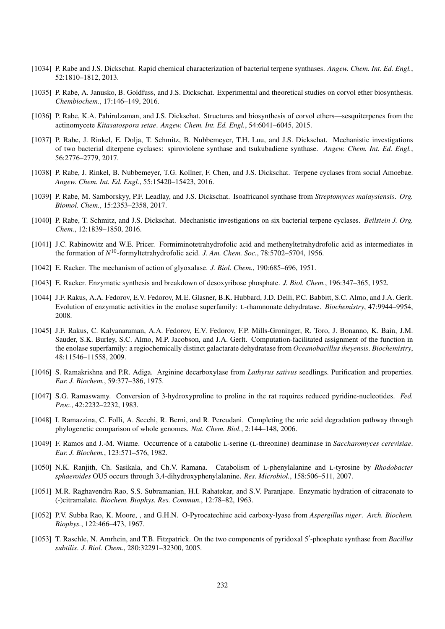- [1034] P. Rabe and J.S. Dickschat. Rapid chemical characterization of bacterial terpene synthases. *Angew. Chem. Int. Ed. Engl.*, 52:1810–1812, 2013.
- [1035] P. Rabe, A. Janusko, B. Goldfuss, and J.S. Dickschat. Experimental and theoretical studies on corvol ether biosynthesis. *Chembiochem.*, 17:146–149, 2016.
- [1036] P. Rabe, K.A. Pahirulzaman, and J.S. Dickschat. Structures and biosynthesis of corvol ethers—sesquiterpenes from the actinomycete *Kitasatospora setae*. *Angew. Chem. Int. Ed. Engl.*, 54:6041–6045, 2015.
- [1037] P. Rabe, J. Rinkel, E. Dolja, T. Schmitz, B. Nubbemeyer, T.H. Luu, and J.S. Dickschat. Mechanistic investigations of two bacterial diterpene cyclases: spiroviolene synthase and tsukubadiene synthase. *Angew. Chem. Int. Ed. Engl.*, 56:2776–2779, 2017.
- [1038] P. Rabe, J. Rinkel, B. Nubbemeyer, T.G. Kollner, F. Chen, and J.S. Dickschat. Terpene cyclases from social Amoebae. *Angew. Chem. Int. Ed. Engl.*, 55:15420–15423, 2016.
- [1039] P. Rabe, M. Samborskyy, P.F. Leadlay, and J.S. Dickschat. Isoafricanol synthase from *Streptomyces malaysiensis*. *Org. Biomol. Chem.*, 15:2353–2358, 2017.
- [1040] P. Rabe, T. Schmitz, and J.S. Dickschat. Mechanistic investigations on six bacterial terpene cyclases. *Beilstein J. Org. Chem.*, 12:1839–1850, 2016.
- [1041] J.C. Rabinowitz and W.E. Pricer. Formiminotetrahydrofolic acid and methenyltetrahydrofolic acid as intermediates in the formation of *N* <sup>10</sup>-formyltetrahydrofolic acid. *J. Am. Chem. Soc.*, 78:5702–5704, 1956.
- [1042] E. Racker. The mechanism of action of glyoxalase. *J. Biol. Chem.*, 190:685–696, 1951.
- [1043] E. Racker. Enzymatic synthesis and breakdown of desoxyribose phosphate. *J. Biol. Chem.*, 196:347–365, 1952.
- [1044] J.F. Rakus, A.A. Fedorov, E.V. Fedorov, M.E. Glasner, B.K. Hubbard, J.D. Delli, P.C. Babbitt, S.C. Almo, and J.A. Gerlt. Evolution of enzymatic activities in the enolase superfamily: L-rhamnonate dehydratase. *Biochemistry*, 47:9944–9954, 2008.
- [1045] J.F. Rakus, C. Kalyanaraman, A.A. Fedorov, E.V. Fedorov, F.P. Mills-Groninger, R. Toro, J. Bonanno, K. Bain, J.M. Sauder, S.K. Burley, S.C. Almo, M.P. Jacobson, and J.A. Gerlt. Computation-facilitated assignment of the function in the enolase superfamily: a regiochemically distinct galactarate dehydratase from *Oceanobacillus iheyensis*. *Biochemistry*, 48:11546–11558, 2009.
- [1046] S. Ramakrishna and P.R. Adiga. Arginine decarboxylase from *Lathyrus sativus* seedlings. Purification and properties. *Eur. J. Biochem.*, 59:377–386, 1975.
- [1047] S.G. Ramaswamy. Conversion of 3-hydroxyproline to proline in the rat requires reduced pyridine-nucleotides. *Fed. Proc.*, 42:2232–2232, 1983.
- [1048] I. Ramazzina, C. Folli, A. Secchi, R. Berni, and R. Percudani. Completing the uric acid degradation pathway through phylogenetic comparison of whole genomes. *Nat. Chem. Biol.*, 2:144–148, 2006.
- [1049] F. Ramos and J.-M. Wiame. Occurrence of a catabolic L-serine (L-threonine) deaminase in *Saccharomyces cerevisiae*. *Eur. J. Biochem.*, 123:571–576, 1982.
- [1050] N.K. Ranjith, Ch. Sasikala, and Ch.V. Ramana. Catabolism of L-phenylalanine and L-tyrosine by *Rhodobacter sphaeroides* OU5 occurs through 3,4-dihydroxyphenylalanine. *Res. Microbiol.*, 158:506–511, 2007.
- [1051] M.R. Raghavendra Rao, S.S. Subramanian, H.I. Rahatekar, and S.V. Paranjape. Enzymatic hydration of citraconate to (-)citramalate. *Biochem. Biophys. Res. Commun.*, 12:78–82, 1963.
- [1052] P.V. Subba Rao, K. Moore, , and G.H.N. O-Pyrocatechiuc acid carboxy-lyase from *Aspergillus niger*. *Arch. Biochem. Biophys.*, 122:466–473, 1967.
- [1053] T. Raschle, N. Amrhein, and T.B. Fitzpatrick. On the two components of pyridoxal 5'-phosphate synthase from *Bacillus subtilis*. *J. Biol. Chem.*, 280:32291–32300, 2005.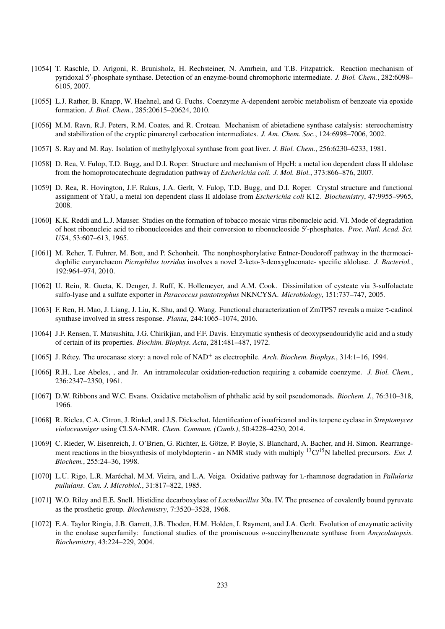- [1054] T. Raschle, D. Arigoni, R. Brunisholz, H. Rechsteiner, N. Amrhein, and T.B. Fitzpatrick. Reaction mechanism of pyridoxal 5'-phosphate synthase. Detection of an enzyme-bound chromophoric intermediate. *J. Biol. Chem.*, 282:6098-6105, 2007.
- [1055] L.J. Rather, B. Knapp, W. Haehnel, and G. Fuchs. Coenzyme A-dependent aerobic metabolism of benzoate via epoxide formation. *J. Biol. Chem.*, 285:20615–20624, 2010.
- [1056] M.M. Ravn, R.J. Peters, R.M. Coates, and R. Croteau. Mechanism of abietadiene synthase catalysis: stereochemistry and stabilization of the cryptic pimarenyl carbocation intermediates. *J. Am. Chem. Soc.*, 124:6998–7006, 2002.
- [1057] S. Ray and M. Ray. Isolation of methylglyoxal synthase from goat liver. *J. Biol. Chem.*, 256:6230–6233, 1981.
- [1058] D. Rea, V. Fulop, T.D. Bugg, and D.I. Roper. Structure and mechanism of HpcH: a metal ion dependent class II aldolase from the homoprotocatechuate degradation pathway of *Escherichia coli*. *J. Mol. Biol.*, 373:866–876, 2007.
- [1059] D. Rea, R. Hovington, J.F. Rakus, J.A. Gerlt, V. Fulop, T.D. Bugg, and D.I. Roper. Crystal structure and functional assignment of YfaU, a metal ion dependent class II aldolase from *Escherichia coli* K12. *Biochemistry*, 47:9955–9965, 2008.
- [1060] K.K. Reddi and L.J. Mauser. Studies on the formation of tobacco mosaic virus ribonucleic acid. VI. Mode of degradation of host ribonucleic acid to ribonucleosides and their conversion to ribonucleoside 5'-phosphates. Proc. Natl. Acad. Sci. *USA*, 53:607–613, 1965.
- [1061] M. Reher, T. Fuhrer, M. Bott, and P. Schonheit. The nonphosphorylative Entner-Doudoroff pathway in the thermoacidophilic euryarchaeon *Picrophilus torridus* involves a novel 2-keto-3-deoxygluconate- specific aldolase. *J. Bacteriol.*, 192:964–974, 2010.
- [1062] U. Rein, R. Gueta, K. Denger, J. Ruff, K. Hollemeyer, and A.M. Cook. Dissimilation of cysteate via 3-sulfolactate sulfo-lyase and a sulfate exporter in *Paracoccus pantotrophus* NKNCYSA. *Microbiology*, 151:737–747, 2005.
- [1063] F. Ren, H. Mao, J. Liang, J. Liu, K. Shu, and Q. Wang. Functional characterization of ZmTPS7 reveals a maize τ-cadinol synthase involved in stress response. *Planta*, 244:1065–1074, 2016.
- [1064] J.F. Rensen, T. Matsushita, J.G. Chirikjian, and F.F. Davis. Enzymatic synthesis of deoxypseudouridylic acid and a study of certain of its properties. *Biochim. Biophys. Acta*, 281:481–487, 1972.
- [1065] J. Rétey. The urocanase story: a novel role of NAD<sup>+</sup> as electrophile. *Arch. Biochem. Biophys.*, 314:1–16, 1994.
- [1066] R.H., Lee Abeles, , and Jr. An intramolecular oxidation-reduction requiring a cobamide coenzyme. *J. Biol. Chem.*, 236:2347–2350, 1961.
- [1067] D.W. Ribbons and W.C. Evans. Oxidative metabolism of phthalic acid by soil pseudomonads. *Biochem. J.*, 76:310–318, 1966.
- [1068] R. Riclea, C.A. Citron, J. Rinkel, and J.S. Dickschat. Identification of isoafricanol and its terpene cyclase in *Streptomyces violaceusniger* using CLSA-NMR. *Chem. Commun. (Camb.)*, 50:4228–4230, 2014.
- [1069] C. Rieder, W. Eisenreich, J. O'Brien, G. Richter, E. Götze, P. Boyle, S. Blanchard, A. Bacher, and H. Simon. Rearrangement reactions in the biosynthesis of molybdopterin - an NMR study with multiply <sup>13</sup>C/<sup>15</sup>N labelled precursors. *Eur. J. Biochem.*, 255:24–36, 1998.
- [1070] L.U. Rigo, L.R. Marechal, M.M. Vieira, and L.A. Veiga. Oxidative pathway for ´ L-rhamnose degradation in *Pallularia pullulans*. *Can. J. Microbiol.*, 31:817–822, 1985.
- [1071] W.O. Riley and E.E. Snell. Histidine decarboxylase of *Lactobacillus* 30a. IV. The presence of covalently bound pyruvate as the prosthetic group. *Biochemistry*, 7:3520–3528, 1968.
- [1072] E.A. Taylor Ringia, J.B. Garrett, J.B. Thoden, H.M. Holden, I. Rayment, and J.A. Gerlt. Evolution of enzymatic activity in the enolase superfamily: functional studies of the promiscuous *o*-succinylbenzoate synthase from *Amycolatopsis*. *Biochemistry*, 43:224–229, 2004.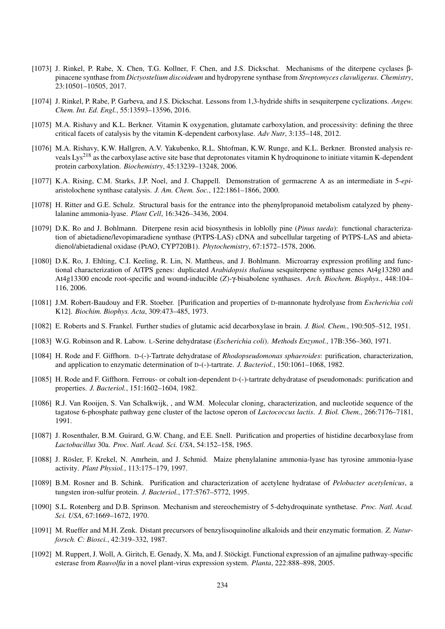- [1073] J. Rinkel, P. Rabe, X. Chen, T.G. Kollner, F. Chen, and J.S. Dickschat. Mechanisms of the diterpene cyclases βpinacene synthase from *Dictyostelium discoideum* and hydropyrene synthase from *Streptomyces clavuligerus*. *Chemistry*, 23:10501–10505, 2017.
- [1074] J. Rinkel, P. Rabe, P. Garbeva, and J.S. Dickschat. Lessons from 1,3-hydride shifts in sesquiterpene cyclizations. *Angew. Chem. Int. Ed. Engl.*, 55:13593–13596, 2016.
- [1075] M.A. Rishavy and K.L. Berkner. Vitamin K oxygenation, glutamate carboxylation, and processivity: defining the three critical facets of catalysis by the vitamin K-dependent carboxylase. *Adv Nutr*, 3:135–148, 2012.
- [1076] M.A. Rishavy, K.W. Hallgren, A.V. Yakubenko, R.L. Shtofman, K.W. Runge, and K.L. Berkner. Bronsted analysis reveals Lys<sup>218</sup> as the carboxylase active site base that deprotonates vitamin K hydroquinone to initiate vitamin K-dependent protein carboxylation. *Biochemistry*, 45:13239–13248, 2006.
- [1077] K.A. Rising, C.M. Starks, J.P. Noel, and J. Chappell. Demonstration of germacrene A as an intermediate in 5-*epi*aristolochene synthase catalysis. *J. Am. Chem. Soc.*, 122:1861–1866, 2000.
- [1078] H. Ritter and G.E. Schulz. Structural basis for the entrance into the phenylpropanoid metabolism catalyzed by phenylalanine ammonia-lyase. *Plant Cell*, 16:3426–3436, 2004.
- [1079] D.K. Ro and J. Bohlmann. Diterpene resin acid biosynthesis in loblolly pine (*Pinus taeda*): functional characterization of abietadiene/levopimaradiene synthase (PtTPS-LAS) cDNA and subcellular targeting of PtTPS-LAS and abietadienol/abietadienal oxidase (PtAO, CYP720B1). *Phytochemistry*, 67:1572–1578, 2006.
- [1080] D.K. Ro, J. Ehlting, C.I. Keeling, R. Lin, N. Mattheus, and J. Bohlmann. Microarray expression profiling and functional characterization of AtTPS genes: duplicated *Arabidopsis thaliana* sesquiterpene synthase genes At4g13280 and At4g13300 encode root-specific and wound-inducible (*Z*)-γ-bisabolene synthases. *Arch. Biochem. Biophys.*, 448:104– 116, 2006.
- [1081] J.M. Robert-Baudouy and F.R. Stoeber. [Purification and properties of D-mannonate hydrolyase from *Escherichia coli* K12]. *Biochim. Biophys. Acta*, 309:473–485, 1973.
- [1082] E. Roberts and S. Frankel. Further studies of glutamic acid decarboxylase in brain. *J. Biol. Chem.*, 190:505–512, 1951.
- [1083] W.G. Robinson and R. Labow. L-Serine dehydratase (*Escherichia coli*). *Methods Enzymol.*, 17B:356–360, 1971.
- [1084] H. Rode and F. Giffhorn. D-(-)-Tartrate dehydratase of *Rhodopseudomonas sphaeroides*: purification, characterization, and application to enzymatic determination of D-(-)-tartrate. *J. Bacteriol.*, 150:1061–1068, 1982.
- [1085] H. Rode and F. Giffhorn. Ferrous- or cobalt ion-dependent D-(-)-tartrate dehydratase of pseudomonads: purification and properties. *J. Bacteriol.*, 151:1602–1604, 1982.
- [1086] R.J. Van Rooijen, S. Van Schalkwijk, , and W.M. Molecular cloning, characterization, and nucleotide sequence of the tagatose 6-phosphate pathway gene cluster of the lactose operon of *Lactococcus lactis*. *J. Biol. Chem.*, 266:7176–7181, 1991.
- [1087] J. Rosenthaler, B.M. Guirard, G.W. Chang, and E.E. Snell. Purification and properties of histidine decarboxylase from *Lactobacillus* 30a. *Proc. Natl. Acad. Sci. USA*, 54:152–158, 1965.
- [1088] J. Rösler, F. Krekel, N. Amrhein, and J. Schmid. Maize phenylalanine ammonia-lyase has tyrosine ammonia-lyase activity. *Plant Physiol.*, 113:175–179, 1997.
- [1089] B.M. Rosner and B. Schink. Purification and characterization of acetylene hydratase of *Pelobacter acetylenicus*, a tungsten iron-sulfur protein. *J. Bacteriol.*, 177:5767–5772, 1995.
- [1090] S.L. Rotenberg and D.B. Sprinson. Mechanism and stereochemistry of 5-dehydroquinate synthetase. *Proc. Natl. Acad. Sci. USA*, 67:1669–1672, 1970.
- [1091] M. Rueffer and M.H. Zenk. Distant precursors of benzylisoquinoline alkaloids and their enzymatic formation. *Z. Naturforsch. C: Biosci.*, 42:319–332, 1987.
- [1092] M. Ruppert, J. Woll, A. Giritch, E. Genady, X. Ma, and J. Stockigt. Functional expression of an ajmaline pathway-specific ¨ esterase from *Rauvolfia* in a novel plant-virus expression system. *Planta*, 222:888–898, 2005.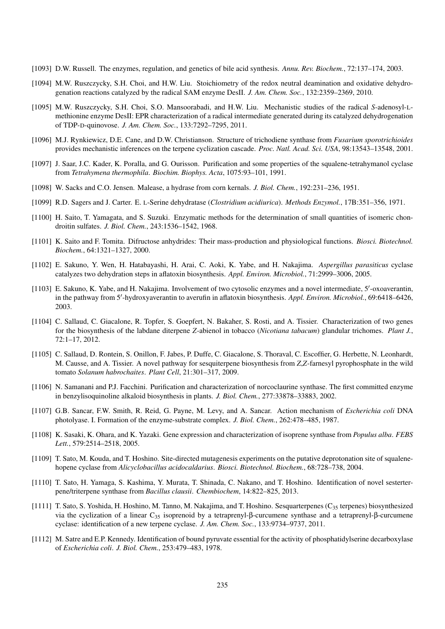- [1093] D.W. Russell. The enzymes, regulation, and genetics of bile acid synthesis. *Annu. Rev. Biochem.*, 72:137–174, 2003.
- [1094] M.W. Ruszczycky, S.H. Choi, and H.W. Liu. Stoichiometry of the redox neutral deamination and oxidative dehydrogenation reactions catalyzed by the radical SAM enzyme DesII. *J. Am. Chem. Soc.*, 132:2359–2369, 2010.
- [1095] M.W. Ruszczycky, S.H. Choi, S.O. Mansoorabadi, and H.W. Liu. Mechanistic studies of the radical *S*-adenosyl-Lmethionine enzyme DesII: EPR characterization of a radical intermediate generated during its catalyzed dehydrogenation of TDP-D-quinovose. *J. Am. Chem. Soc.*, 133:7292–7295, 2011.
- [1096] M.J. Rynkiewicz, D.E. Cane, and D.W. Christianson. Structure of trichodiene synthase from *Fusarium sporotrichioides* provides mechanistic inferences on the terpene cyclization cascade. *Proc. Natl. Acad. Sci. USA*, 98:13543–13548, 2001.
- [1097] J. Saar, J.C. Kader, K. Poralla, and G. Ourisson. Purification and some properties of the squalene-tetrahymanol cyclase from *Tetrahymena thermophila*. *Biochim. Biophys. Acta*, 1075:93–101, 1991.
- [1098] W. Sacks and C.O. Jensen. Malease, a hydrase from corn kernals. *J. Biol. Chem.*, 192:231–236, 1951.
- [1099] R.D. Sagers and J. Carter. E. L-Serine dehydratase (*Clostridium acidiurica*). *Methods Enzymol.*, 17B:351–356, 1971.
- [1100] H. Saito, T. Yamagata, and S. Suzuki. Enzymatic methods for the determination of small quantities of isomeric chondroitin sulfates. *J. Biol. Chem.*, 243:1536–1542, 1968.
- [1101] K. Saito and F. Tomita. Difructose anhydrides: Their mass-production and physiological functions. *Biosci. Biotechnol. Biochem.*, 64:1321–1327, 2000.
- [1102] E. Sakuno, Y. Wen, H. Hatabayashi, H. Arai, C. Aoki, K. Yabe, and H. Nakajima. *Aspergillus parasiticus* cyclase catalyzes two dehydration steps in aflatoxin biosynthesis. *Appl. Environ. Microbiol.*, 71:2999–3006, 2005.
- [1103] E. Sakuno, K. Yabe, and H. Nakajima. Involvement of two cytosolic enzymes and a novel intermediate, 5'-oxoaverantin, in the pathway from 5'-hydroxyaverantin to averufin in aflatoxin biosynthesis. Appl. Environ. Microbiol., 69:6418-6426, 2003.
- [1104] C. Sallaud, C. Giacalone, R. Topfer, S. Goepfert, N. Bakaher, S. Rosti, and A. Tissier. Characterization of two genes for the biosynthesis of the labdane diterpene *Z*-abienol in tobacco (*Nicotiana tabacum*) glandular trichomes. *Plant J.*, 72:1–17, 2012.
- [1105] C. Sallaud, D. Rontein, S. Onillon, F. Jabes, P. Duffe, C. Giacalone, S. Thoraval, C. Escoffier, G. Herbette, N. Leonhardt, M. Causse, and A. Tissier. A novel pathway for sesquiterpene biosynthesis from *Z*,*Z*-farnesyl pyrophosphate in the wild tomato *Solanum habrochaites*. *Plant Cell*, 21:301–317, 2009.
- [1106] N. Samanani and P.J. Facchini. Purification and characterization of norcoclaurine synthase. The first committed enzyme in benzylisoquinoline alkaloid biosynthesis in plants. *J. Biol. Chem.*, 277:33878–33883, 2002.
- [1107] G.B. Sancar, F.W. Smith, R. Reid, G. Payne, M. Levy, and A. Sancar. Action mechanism of *Escherichia coli* DNA photolyase. I. Formation of the enzyme-substrate complex. *J. Biol. Chem.*, 262:478–485, 1987.
- [1108] K. Sasaki, K. Ohara, and K. Yazaki. Gene expression and characterization of isoprene synthase from *Populus alba*. *FEBS Lett.*, 579:2514–2518, 2005.
- [1109] T. Sato, M. Kouda, and T. Hoshino. Site-directed mutagenesis experiments on the putative deprotonation site of squalenehopene cyclase from *Alicyclobacillus acidocaldarius*. *Biosci. Biotechnol. Biochem.*, 68:728–738, 2004.
- [1110] T. Sato, H. Yamaga, S. Kashima, Y. Murata, T. Shinada, C. Nakano, and T. Hoshino. Identification of novel sesterterpene/triterpene synthase from *Bacillus clausii*. *Chembiochem*, 14:822–825, 2013.
- [1111] T. Sato, S. Yoshida, H. Hoshino, M. Tanno, M. Nakajima, and T. Hoshino. Sesquarterpenes (C<sub>35</sub> terpenes) biosynthesized via the cyclization of a linear  $C_{35}$  isoprenoid by a tetraprenyl-β-curcumene synthase and a tetraprenyl-β-curcumene cyclase: identification of a new terpene cyclase. *J. Am. Chem. Soc.*, 133:9734–9737, 2011.
- [1112] M. Satre and E.P. Kennedy. Identification of bound pyruvate essential for the activity of phosphatidylserine decarboxylase of *Escherichia coli*. *J. Biol. Chem.*, 253:479–483, 1978.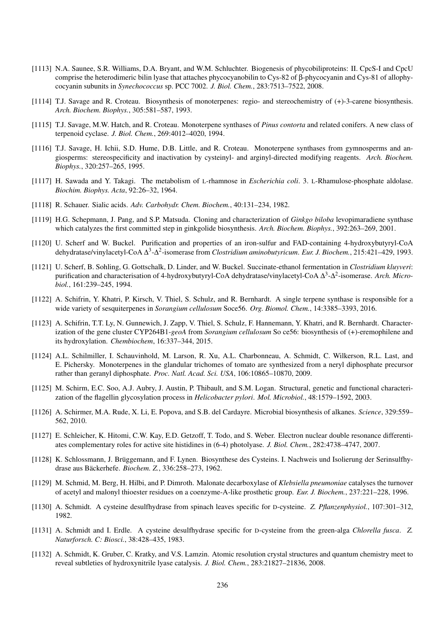- [1113] N.A. Saunee, S.R. Williams, D.A. Bryant, and W.M. Schluchter. Biogenesis of phycobiliproteins: II. CpcS-I and CpcU comprise the heterodimeric bilin lyase that attaches phycocyanobilin to Cys-82 of β-phycocyanin and Cys-81 of allophycocyanin subunits in *Synechococcus* sp. PCC 7002. *J. Biol. Chem.*, 283:7513–7522, 2008.
- [1114] T.J. Savage and R. Croteau. Biosynthesis of monoterpenes: regio- and stereochemistry of (+)-3-carene biosynthesis. *Arch. Biochem. Biophys.*, 305:581–587, 1993.
- [1115] T.J. Savage, M.W. Hatch, and R. Croteau. Monoterpene synthases of *Pinus contorta* and related conifers. A new class of terpenoid cyclase. *J. Biol. Chem.*, 269:4012–4020, 1994.
- [1116] T.J. Savage, H. Ichii, S.D. Hume, D.B. Little, and R. Croteau. Monoterpene synthases from gymnosperms and angiosperms: stereospecificity and inactivation by cysteinyl- and arginyl-directed modifying reagents. *Arch. Biochem. Biophys.*, 320:257–265, 1995.
- [1117] H. Sawada and Y. Takagi. The metabolism of L-rhamnose in *Escherichia coli*. 3. L-Rhamulose-phosphate aldolase. *Biochim. Biophys. Acta*, 92:26–32, 1964.
- [1118] R. Schauer. Sialic acids. *Adv. Carbohydr. Chem. Biochem.*, 40:131–234, 1982.
- [1119] H.G. Schepmann, J. Pang, and S.P. Matsuda. Cloning and characterization of *Ginkgo biloba* levopimaradiene synthase which catalyzes the first committed step in ginkgolide biosynthesis. *Arch. Biochem. Biophys.*, 392:263–269, 2001.
- [1120] U. Scherf and W. Buckel. Purification and properties of an iron-sulfur and FAD-containing 4-hydroxybutyryl-CoA dehydratase/vinylacetyl-CoA ∆<sup>3</sup>-∆<sup>2</sup>-isomerase from *Clostridium aminobutyricum. Eur. J. Biochem.*, 215:421–429, 1993.
- [1121] U. Scherf, B. Sohling, G. Gottschalk, D. Linder, and W. Buckel. Succinate-ethanol fermentation in *Clostridium kluyveri*: purification and characterisation of 4-hydroxybutyryl-CoA dehydratase/vinylacetyl-CoA Δ<sup>3</sup>-Δ<sup>2</sup>-isomerase. Arch. Micro*biol.*, 161:239–245, 1994.
- [1122] A. Schifrin, Y. Khatri, P. Kirsch, V. Thiel, S. Schulz, and R. Bernhardt. A single terpene synthase is responsible for a wide variety of sesquiterpenes in *Sorangium cellulosum* Soce56. *Org. Biomol. Chem.*, 14:3385–3393, 2016.
- [1123] A. Schifrin, T.T. Ly, N. Gunnewich, J. Zapp, V. Thiel, S. Schulz, F. Hannemann, Y. Khatri, and R. Bernhardt. Characterization of the gene cluster CYP264B1-*geoA* from *Sorangium cellulosum* So ce56: biosynthesis of (+)-eremophilene and its hydroxylation. *Chembiochem*, 16:337–344, 2015.
- [1124] A.L. Schilmiller, I. Schauvinhold, M. Larson, R. Xu, A.L. Charbonneau, A. Schmidt, C. Wilkerson, R.L. Last, and E. Pichersky. Monoterpenes in the glandular trichomes of tomato are synthesized from a neryl diphosphate precursor rather than geranyl diphosphate. *Proc. Natl. Acad. Sci. USA*, 106:10865–10870, 2009.
- [1125] M. Schirm, E.C. Soo, A.J. Aubry, J. Austin, P. Thibault, and S.M. Logan. Structural, genetic and functional characterization of the flagellin glycosylation process in *Helicobacter pylori*. *Mol. Microbiol.*, 48:1579–1592, 2003.
- [1126] A. Schirmer, M.A. Rude, X. Li, E. Popova, and S.B. del Cardayre. Microbial biosynthesis of alkanes. *Science*, 329:559– 562, 2010.
- [1127] E. Schleicher, K. Hitomi, C.W. Kay, E.D. Getzoff, T. Todo, and S. Weber. Electron nuclear double resonance differentiates complementary roles for active site histidines in (6-4) photolyase. *J. Biol. Chem.*, 282:4738–4747, 2007.
- [1128] K. Schlossmann, J. Brüggemann, and F. Lynen. Biosynthese des Cysteins. I. Nachweis und Isolierung der Serinsulfhydrase aus Bäckerhefe. Biochem. Z., 336:258-273, 1962.
- [1129] M. Schmid, M. Berg, H. Hilbi, and P. Dimroth. Malonate decarboxylase of *Klebsiella pneumoniae* catalyses the turnover of acetyl and malonyl thioester residues on a coenzyme-A-like prosthetic group. *Eur. J. Biochem.*, 237:221–228, 1996.
- [1130] A. Schmidt. A cysteine desulfhydrase from spinach leaves specific for D-cysteine. *Z. Pflanzenphysiol.*, 107:301–312, 1982.
- [1131] A. Schmidt and I. Erdle. A cysteine desulfhydrase specific for D-cysteine from the green-alga *Chlorella fusca*. *Z. Naturforsch. C: Biosci.*, 38:428–435, 1983.
- [1132] A. Schmidt, K. Gruber, C. Kratky, and V.S. Lamzin. Atomic resolution crystal structures and quantum chemistry meet to reveal subtleties of hydroxynitrile lyase catalysis. *J. Biol. Chem.*, 283:21827–21836, 2008.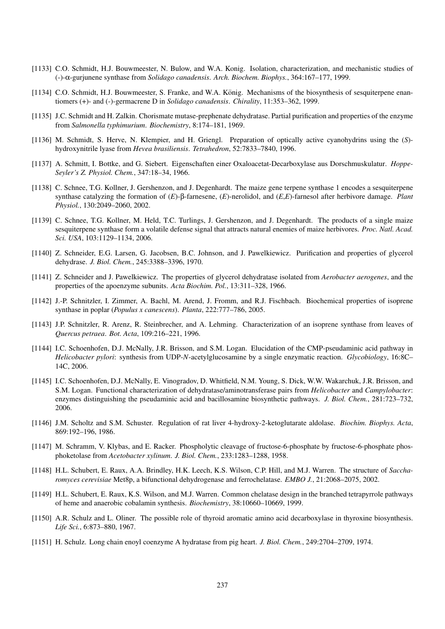- [1133] C.O. Schmidt, H.J. Bouwmeester, N. Bulow, and W.A. Konig. Isolation, characterization, and mechanistic studies of (-)-α-gurjunene synthase from *Solidago canadensis*. *Arch. Biochem. Biophys.*, 364:167–177, 1999.
- [1134] C.O. Schmidt, H.J. Bouwmeester, S. Franke, and W.A. König. Mechanisms of the biosynthesis of sesquiterpene enantiomers (+)- and (-)-germacrene D in *Solidago canadensis*. *Chirality*, 11:353–362, 1999.
- [1135] J.C. Schmidt and H. Zalkin. Chorismate mutase-prephenate dehydratase. Partial purification and properties of the enzyme from *Salmonella typhimurium*. *Biochemistry*, 8:174–181, 1969.
- [1136] M. Schmidt, S. Herve, N. Klempier, and H. Griengl. Preparation of optically active cyanohydrins using the (*S*) hydroxynitrile lyase from *Hevea brasiliensis*. *Tetrahedron*, 52:7833–7840, 1996.
- [1137] A. Schmitt, I. Bottke, and G. Siebert. Eigenschaften einer Oxaloacetat-Decarboxylase aus Dorschmuskulatur. *Hoppe-Seyler's Z. Physiol. Chem.*, 347:18–34, 1966.
- [1138] C. Schnee, T.G. Kollner, J. Gershenzon, and J. Degenhardt. The maize gene terpene synthase 1 encodes a sesquiterpene synthase catalyzing the formation of (*E*)-β-farnesene, (*E*)-nerolidol, and (*E*,*E*)-farnesol after herbivore damage. *Plant Physiol.*, 130:2049–2060, 2002.
- [1139] C. Schnee, T.G. Kollner, M. Held, T.C. Turlings, J. Gershenzon, and J. Degenhardt. The products of a single maize sesquiterpene synthase form a volatile defense signal that attracts natural enemies of maize herbivores. *Proc. Natl. Acad. Sci. USA*, 103:1129–1134, 2006.
- [1140] Z. Schneider, E.G. Larsen, G. Jacobsen, B.C. Johnson, and J. Pawelkiewicz. Purification and properties of glycerol dehydrase. *J. Biol. Chem.*, 245:3388–3396, 1970.
- [1141] Z. Schneider and J. Pawelkiewicz. The properties of glycerol dehydratase isolated from *Aerobacter aerogenes*, and the properties of the apoenzyme subunits. *Acta Biochim. Pol.*, 13:311–328, 1966.
- [1142] J.-P. Schnitzler, I. Zimmer, A. Bachl, M. Arend, J. Fromm, and R.J. Fischbach. Biochemical properties of isoprene synthase in poplar (*Populus x canescens*). *Planta*, 222:777–786, 2005.
- [1143] J.P. Schnitzler, R. Arenz, R. Steinbrecher, and A. Lehming. Characterization of an isoprene synthase from leaves of *Quercus petraea*. *Bot. Acta*, 109:216–221, 1996.
- [1144] I.C. Schoenhofen, D.J. McNally, J.R. Brisson, and S.M. Logan. Elucidation of the CMP-pseudaminic acid pathway in *Helicobacter pylori*: synthesis from UDP-*N*-acetylglucosamine by a single enzymatic reaction. *Glycobiology*, 16:8C– 14C, 2006.
- [1145] I.C. Schoenhofen, D.J. McNally, E. Vinogradov, D. Whitfield, N.M. Young, S. Dick, W.W. Wakarchuk, J.R. Brisson, and S.M. Logan. Functional characterization of dehydratase/aminotransferase pairs from *Helicobacter* and *Campylobacter*: enzymes distinguishing the pseudaminic acid and bacillosamine biosynthetic pathways. *J. Biol. Chem.*, 281:723–732, 2006.
- [1146] J.M. Scholtz and S.M. Schuster. Regulation of rat liver 4-hydroxy-2-ketoglutarate aldolase. *Biochim. Biophys. Acta*, 869:192–196, 1986.
- [1147] M. Schramm, V. Klybas, and E. Racker. Phospholytic cleavage of fructose-6-phosphate by fructose-6-phosphate phosphoketolase from *Acetobacter xylinum*. *J. Biol. Chem.*, 233:1283–1288, 1958.
- [1148] H.L. Schubert, E. Raux, A.A. Brindley, H.K. Leech, K.S. Wilson, C.P. Hill, and M.J. Warren. The structure of *Saccharomyces cerevisiae* Met8p, a bifunctional dehydrogenase and ferrochelatase. *EMBO J.*, 21:2068–2075, 2002.
- [1149] H.L. Schubert, E. Raux, K.S. Wilson, and M.J. Warren. Common chelatase design in the branched tetrapyrrole pathways of heme and anaerobic cobalamin synthesis. *Biochemistry*, 38:10660–10669, 1999.
- [1150] A.R. Schulz and L. Oliner. The possible role of thyroid aromatic amino acid decarboxylase in thyroxine biosynthesis. *Life Sci.*, 6:873–880, 1967.
- [1151] H. Schulz. Long chain enoyl coenzyme A hydratase from pig heart. *J. Biol. Chem.*, 249:2704–2709, 1974.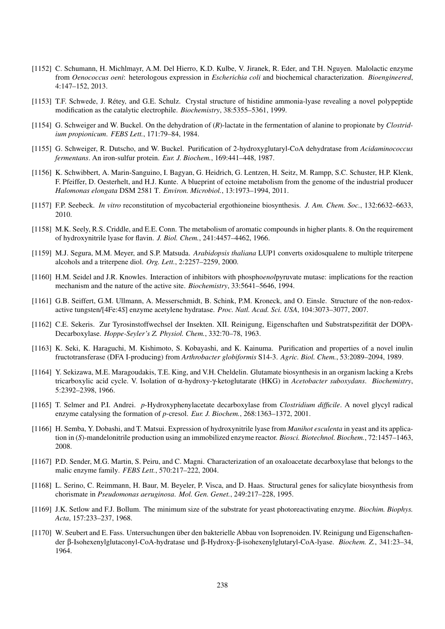- [1152] C. Schumann, H. Michlmayr, A.M. Del Hierro, K.D. Kulbe, V. Jiranek, R. Eder, and T.H. Nguyen. Malolactic enzyme from *Oenococcus oeni*: heterologous expression in *Escherichia coli* and biochemical characterization. *Bioengineered*, 4:147–152, 2013.
- [1153] T.F. Schwede, J. Retey, and G.E. Schulz. Crystal structure of histidine ammonia-lyase revealing a novel polypeptide ´ modification as the catalytic electrophile. *Biochemistry*, 38:5355–5361, 1999.
- [1154] G. Schweiger and W. Buckel. On the dehydration of (*R*)-lactate in the fermentation of alanine to propionate by *Clostridium propionicum*. *FEBS Lett.*, 171:79–84, 1984.
- [1155] G. Schweiger, R. Dutscho, and W. Buckel. Purification of 2-hydroxyglutaryl-CoA dehydratase from *Acidaminococcus fermentans*. An iron-sulfur protein. *Eur. J. Biochem.*, 169:441–448, 1987.
- [1156] K. Schwibbert, A. Marin-Sanguino, I. Bagyan, G. Heidrich, G. Lentzen, H. Seitz, M. Rampp, S.C. Schuster, H.P. Klenk, F. Pfeiffer, D. Oesterhelt, and H.J. Kunte. A blueprint of ectoine metabolism from the genome of the industrial producer *Halomonas elongata* DSM 2581 T. *Environ. Microbiol.*, 13:1973–1994, 2011.
- [1157] F.P. Seebeck. *In vitro* reconstitution of mycobacterial ergothioneine biosynthesis. *J. Am. Chem. Soc.*, 132:6632–6633, 2010.
- [1158] M.K. Seely, R.S. Criddle, and E.E. Conn. The metabolism of aromatic compounds in higher plants. 8. On the requirement of hydroxynitrile lyase for flavin. *J. Biol. Chem.*, 241:4457–4462, 1966.
- [1159] M.J. Segura, M.M. Meyer, and S.P. Matsuda. *Arabidopsis thaliana* LUP1 converts oxidosqualene to multiple triterpene alcohols and a triterpene diol. *Org. Lett.*, 2:2257–2259, 2000.
- [1160] H.M. Seidel and J.R. Knowles. Interaction of inhibitors with phospho*enol*pyruvate mutase: implications for the reaction mechanism and the nature of the active site. *Biochemistry*, 33:5641–5646, 1994.
- [1161] G.B. Seiffert, G.M. Ullmann, A. Messerschmidt, B. Schink, P.M. Kroneck, and O. Einsle. Structure of the non-redoxactive tungsten/[4Fe:4*S*] enzyme acetylene hydratase. *Proc. Natl. Acad. Sci. USA*, 104:3073–3077, 2007.
- [1162] C.E. Sekeris. Zur Tyrosinstoffwechsel der Insekten. XII. Reinigung, Eigenschaften und Substratspezifität der DOPA-Decarboxylase. *Hoppe-Seyler's Z. Physiol. Chem.*, 332:70–78, 1963.
- [1163] K. Seki, K. Haraguchi, M. Kishimoto, S. Kobayashi, and K. Kainuma. Purification and properties of a novel inulin fructotransferase (DFA I-producing) from *Arthrobacter globiformis* S14-3. *Agric. Biol. Chem.*, 53:2089–2094, 1989.
- [1164] Y. Sekizawa, M.E. Maragoudakis, T.E. King, and V.H. Cheldelin. Glutamate biosynthesis in an organism lacking a Krebs tricarboxylic acid cycle. V. Isolation of α-hydroxy-γ-ketoglutarate (HKG) in *Acetobacter suboxydans*. *Biochemistry*, 5:2392–2398, 1966.
- [1165] T. Selmer and P.I. Andrei. *p*-Hydroxyphenylacetate decarboxylase from *Clostridium difficile*. A novel glycyl radical enzyme catalysing the formation of *p*-cresol. *Eur. J. Biochem.*, 268:1363–1372, 2001.
- [1166] H. Semba, Y. Dobashi, and T. Matsui. Expression of hydroxynitrile lyase from *Manihot esculenta* in yeast and its application in (*S*)-mandelonitrile production using an immobilized enzyme reactor. *Biosci. Biotechnol. Biochem.*, 72:1457–1463, 2008.
- [1167] P.D. Sender, M.G. Martin, S. Peiru, and C. Magni. Characterization of an oxaloacetate decarboxylase that belongs to the malic enzyme family. *FEBS Lett.*, 570:217–222, 2004.
- [1168] L. Serino, C. Reimmann, H. Baur, M. Beyeler, P. Visca, and D. Haas. Structural genes for salicylate biosynthesis from chorismate in *Pseudomonas aeruginosa*. *Mol. Gen. Genet.*, 249:217–228, 1995.
- [1169] J.K. Setlow and F.J. Bollum. The minimum size of the substrate for yeast photoreactivating enzyme. *Biochim. Biophys. Acta*, 157:233–237, 1968.
- [1170] W. Seubert and E. Fass. Untersuchungen über den bakterielle Abbau von Isoprenoiden. IV. Reinigung und Eigenschaftender β-Isohexenylglutaconyl-CoA-hydratase und β-Hydroxy-β-isohexenylglutaryl-CoA-lyase. *Biochem. Z.*, 341:23–34, 1964.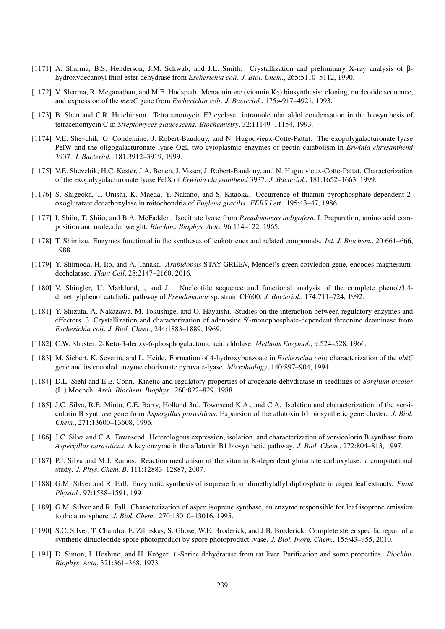- [1171] A. Sharma, B.S. Henderson, J.M. Schwab, and J.L. Smith. Crystallization and preliminary X-ray analysis of βhydroxydecanoyl thiol ester dehydrase from *Escherichia coli*. *J. Biol. Chem.*, 265:5110–5112, 1990.
- [1172] V. Sharma, R. Meganathan, and M.E. Hudspeth. Menaquinone (vitamin  $K_2$ ) biosynthesis: cloning, nucleotide sequence, and expression of the *menC* gene from *Escherichia coli*. *J. Bacteriol.*, 175:4917–4921, 1993.
- [1173] B. Shen and C.R. Hutchinson. Tetracenomycin F2 cyclase: intramolecular aldol condensation in the biosynthesis of tetracenomycin C in *Streptomyces glaucescens*. *Biochemistry*, 32:11149–11154, 1993.
- [1174] V.E. Shevchik, G. Condemine, J. Robert-Baudouy, and N. Hugouvieux-Cotte-Pattat. The exopolygalacturonate lyase PelW and the oligogalacturonate lyase Ogl, two cytoplasmic enzymes of pectin catabolism in *Erwinia chrysanthemi* 3937. *J. Bacteriol.*, 181:3912–3919, 1999.
- [1175] V.E. Shevchik, H.C. Kester, J.A. Benen, J. Visser, J. Robert-Baudouy, and N. Hugouvieux-Cotte-Pattat. Characterization of the exopolygalacturonate lyase PelX of *Erwinia chrysanthemi* 3937. *J. Bacteriol.*, 181:1652–1663, 1999.
- [1176] S. Shigeoka, T. Onishi, K. Maeda, Y. Nakano, and S. Kitaoka. Occurrence of thiamin pyrophosphate-dependent 2 oxoglutarate decarboxylase in mitochondria of *Euglena gracilis*. *FEBS Lett.*, 195:43–47, 1986.
- [1177] I. Shiio, T. Shiio, and B.A. McFadden. Isocitrate lyase from *Pseudomonas indigofera*. I. Preparation, amino acid composition and molecular weight. *Biochim. Biophys. Acta*, 96:114–122, 1965.
- [1178] T. Shimizu. Enzymes functional in the syntheses of leukotrienes and related compounds. *Int. J. Biochem.*, 20:661–666, 1988.
- [1179] Y. Shimoda, H. Ito, and A. Tanaka. *Arabidopsis* STAY-GREE*N*, Mendel's green cotyledon gene, encodes magnesiumdechelatase. *Plant Cell*, 28:2147–2160, 2016.
- [1180] V. Shingler, U. Marklund, , and J. Nucleotide sequence and functional analysis of the complete phenol/3,4 dimethylphenol catabolic pathway of *Pseudomonas* sp. strain CF600. *J. Bacteriol.*, 174:711–724, 1992.
- [1181] Y. Shizuta, A. Nakazawa, M. Tokushige, and O. Hayaishi. Studies on the interaction between regulatory enzymes and effectors. 3. Crystallization and characterization of adenosine 5'-monophosphate-dependent threonine deaminase from *Escherichia coli*. *J. Biol. Chem.*, 244:1883–1889, 1969.
- [1182] C.W. Shuster. 2-Keto-3-deoxy-6-phosphogalactonic acid aldolase. *Methods Enzymol.*, 9:524–528, 1966.
- [1183] M. Siebert, K. Severin, and L. Heide. Formation of 4-hydroxybenzoate in *Escherichia coli*: characterization of the *ubiC* gene and its encoded enzyme chorismate pyruvate-lyase. *Microbiology*, 140:897–904, 1994.
- [1184] D.L. Siehl and E.E. Conn. Kinetic and regulatory properties of arogenate dehydratase in seedlings of *Sorghum bicolor* (L.) Moench. *Arch. Biochem. Biophys.*, 260:822–829, 1988.
- [1185] J.C. Silva, R.E. Minto, C.E. Barry, Holland 3rd, Townsend K.A., and C.A. Isolation and characterization of the versicolorin B synthase gene from *Aspergillus parasiticus*. Expansion of the aflatoxin b1 biosynthetic gene cluster. *J. Biol. Chem.*, 271:13600–13608, 1996.
- [1186] J.C. Silva and C.A. Townsend. Heterologous expression, isolation, and characterization of versicolorin B synthase from *Aspergillus parasiticus*. A key enzyme in the aflatoxin B1 biosynthetic pathway. *J. Biol. Chem.*, 272:804–813, 1997.
- [1187] P.J. Silva and M.J. Ramos. Reaction mechanism of the vitamin K-dependent glutamate carboxylase: a computational study. *J. Phys. Chem. B*, 111:12883–12887, 2007.
- [1188] G.M. Silver and R. Fall. Enzymatic synthesis of isoprene from dimethylallyl diphosphate in aspen leaf extracts. *Plant Physiol.*, 97:1588–1591, 1991.
- [1189] G.M. Silver and R. Fall. Characterization of aspen isoprene synthase, an enzyme responsible for leaf isoprene emission to the atmosphere. *J. Biol. Chem.*, 270:13010–13016, 1995.
- [1190] S.C. Silver, T. Chandra, E. Zilinskas, S. Ghose, W.E. Broderick, and J.B. Broderick. Complete stereospecific repair of a synthetic dinucleotide spore photoproduct by spore photoproduct lyase. *J. Biol. Inorg. Chem.*, 15:943–955, 2010.
- [1191] D. Simon, J. Hoshino, and H. Kröger. L-Serine dehydratase from rat liver. Purification and some properties. *Biochim. Biophys. Acta*, 321:361–368, 1973.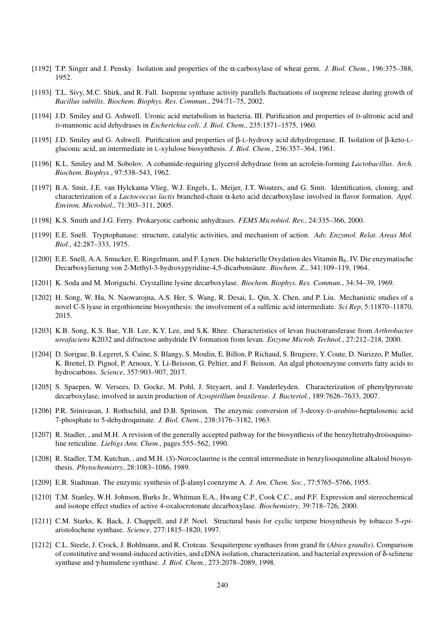- [1192] T.P. Singer and J. Pensky. Isolation and properties of the α-carboxylase of wheat germ. *J. Biol. Chem.*, 196:375–388, 1952.
- [1193] T.L. Sivy, M.C. Shirk, and R. Fall. Isoprene synthase activity parallels fluctuations of isoprene release during growth of *Bacillus subtilis*. *Biochem. Biophys. Res. Commun.*, 294:71–75, 2002.
- [1194] J.D. Smiley and G. Ashwell. Uronic acid metabolism in bacteria. III. Purification and properties of D-altronic acid and D-mannonic acid dehydrases in *Escherichia coli*. *J. Biol. Chem.*, 235:1571–1575, 1960.
- [1195] J.D. Smiley and G. Ashwell. Purification and properties of β-L-hydroxy acid dehydrogenase. II. Isolation of β-keto-Lgluconic acid, an intermediate in L-xylulose biosynthesis. *J. Biol. Chem.*, 236:357–364, 1961.
- [1196] K.L. Smiley and M. Sobolov. A cobamide-requiring glycerol dehydrase from an acrolein-forming *Lactobacillus*. *Arch. Biochem. Biophys.*, 97:538–543, 1962.
- [1197] B.A. Smit, J.E. van Hylckama Vlieg, W.J. Engels, L. Meijer, J.T. Wouters, and G. Smit. Identification, cloning, and characterization of a *Lactococcus lactis* branched-chain α-keto acid decarboxylase involved in flavor formation. *Appl. Environ. Microbiol.*, 71:303–311, 2005.
- [1198] K.S. Smith and J.G. Ferry. Prokaryotic carbonic anhydrases. *FEMS Microbiol. Rev.*, 24:335–366, 2000.
- [1199] E.E. Snell. Tryptophanase: structure, catalytic activities, and mechanism of action. *Adv. Enzymol. Relat. Areas Mol. Biol.*, 42:287–333, 1975.
- [1200] E.E. Snell, A.A. Smucker, E. Ringelmann, and F. Lynen. Die bakterielle Oxydation des Vitamin B<sub>6</sub>. IV. Die enzymatische Decarboxylierung von 2-Methyl-3-hydroxypyridine-4,5-dicarbonsaure. ¨ *Biochem. Z.*, 341:109–119, 1964.
- [1201] K. Soda and M. Moriguchi. Crystalline lysine decarboxylase. *Biochem. Biophys. Res. Commun.*, 34:34–39, 1969.
- [1202] H. Song, W. Hu, N. Naowarojna, A.S. Her, S. Wang, R. Desai, L. Qin, X. Chen, and P. Liu. Mechanistic studies of a novel C-S lyase in ergothioneine biosynthesis: the involvement of a sulfenic acid intermediate. *Sci Rep*, 5:11870–11870, 2015.
- [1203] K.B. Song, K.S. Bae, Y.B. Lee, K.Y. Lee, and S.K. Rhee. Characteristics of levan fructotransferase from *Arthrobacter ureafaciens* K2032 and difructose anhydride IV formation from levan. *Enzyme Microb. Technol.*, 27:212–218, 2000.
- [1204] D. Sorigue, B. Legeret, S. Cuine, S. Blangy, S. Moulin, E. Billon, P. Richaud, S. Brugiere, Y. Coute, D. Nurizzo, P. Muller, K. Brettel, D. Pignol, P. Arnoux, Y. Li-Beisson, G. Peltier, and F. Beisson. An algal photoenzyme converts fatty acids to hydrocarbons. *Science*, 357:903–907, 2017.
- [1205] S. Spaepen, W. Versees, D. Gocke, M. Pohl, J. Steyaert, and J. Vanderleyden. Characterization of phenylpyruvate decarboxylase, involved in auxin production of *Azospirillum brasilense*. *J. Bacteriol.*, 189:7626–7633, 2007.
- [1206] P.R. Srinivasan, J. Rothschild, and D.B. Sprinson. The enzymic conversion of 3-deoxy-D-*arabino*-heptulosonic acid 7-phosphate to 5-dehydroquinate. *J. Biol. Chem.*, 238:3176–3182, 1963.
- [1207] R. Stadler, , and M.H. A revision of the generally accepted pathway for the biosynthesis of the benzyltetrahydroisoquinoline reticuline. *Liebigs Ann. Chem.*, pages 555–562, 1990.
- [1208] R. Stadler, T.M. Kutchan, , and M.H. (*S*)-Norcoclaurine is the central intermediate in benzylisoquinoline alkaloid biosynthesis. *Phytochemistry*, 28:1083–1086, 1989.
- [1209] E.R. Stadtman. The enzymic synthesis of β-alanyl coenzyme A. *J. Am. Chem. Soc.*, 77:5765–5766, 1955.
- [1210] T.M. Stanley, W.H. Johnson, Burks Jr., Whitman E.A., Hwang C.P., Cook C.C., and P.F. Expression and stereochemical and isotope effect studies of active 4-oxalocrotonate decarboxylase. *Biochemistry*, 39:718–726, 2000.
- [1211] C.M. Starks, K. Back, J. Chappell, and J.P. Noel. Structural basis for cyclic terpene biosynthesis by tobacco 5-*epi*aristolochene synthase. *Science*, 277:1815–1820, 1997.
- [1212] C.L. Steele, J. Crock, J. Bohlmann, and R. Croteau. Sesquiterpene synthases from grand fir (*Abies grandis*). Comparison of constitutive and wound-induced activities, and cDNA isolation, characterization, and bacterial expression of δ-selinene synthase and γ-humulene synthase. *J. Biol. Chem.*, 273:2078–2089, 1998.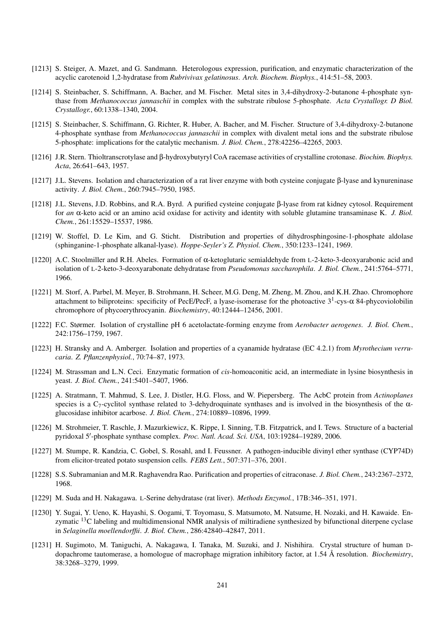- [1213] S. Steiger, A. Mazet, and G. Sandmann. Heterologous expression, purification, and enzymatic characterization of the acyclic carotenoid 1,2-hydratase from *Rubrivivax gelatinosus*. *Arch. Biochem. Biophys.*, 414:51–58, 2003.
- [1214] S. Steinbacher, S. Schiffmann, A. Bacher, and M. Fischer. Metal sites in 3,4-dihydroxy-2-butanone 4-phosphate synthase from *Methanococcus jannaschii* in complex with the substrate ribulose 5-phosphate. *Acta Crystallogr. D Biol. Crystallogr.*, 60:1338–1340, 2004.
- [1215] S. Steinbacher, S. Schiffmann, G. Richter, R. Huber, A. Bacher, and M. Fischer. Structure of 3,4-dihydroxy-2-butanone 4-phosphate synthase from *Methanococcus jannaschii* in complex with divalent metal ions and the substrate ribulose 5-phosphate: implications for the catalytic mechanism. *J. Biol. Chem.*, 278:42256–42265, 2003.
- [1216] J.R. Stern. Thioltranscrotylase and β-hydroxybutyryl CoA racemase activities of crystalline crotonase. *Biochim. Biophys. Acta*, 26:641–643, 1957.
- [1217] J.L. Stevens. Isolation and characterization of a rat liver enzyme with both cysteine conjugate β-lyase and kynureninase activity. *J. Biol. Chem.*, 260:7945–7950, 1985.
- [1218] J.L. Stevens, J.D. Robbins, and R.A. Byrd. A purified cysteine conjugate β-lyase from rat kidney cytosol. Requirement for *an* α-keto acid or an amino acid oxidase for activity and identity with soluble glutamine transaminase K. *J. Biol. Chem.*, 261:15529–15537, 1986.
- [1219] W. Stoffel, D. Le Kim, and G. Sticht. Distribution and properties of dihydrosphingosine-1-phosphate aldolase (sphinganine-1-phosphate alkanal-lyase). *Hoppe-Seyler's Z. Physiol. Chem.*, 350:1233–1241, 1969.
- [1220] A.C. Stoolmiller and R.H. Abeles. Formation of  $\alpha$ -ketoglutaric semialdehyde from L-2-keto-3-deoxyarabonic acid and isolation of L-2-keto-3-deoxyarabonate dehydratase from *Pseudomonas saccharophila*. *J. Biol. Chem.*, 241:5764–5771, 1966.
- [1221] M. Storf, A. Parbel, M. Meyer, B. Strohmann, H. Scheer, M.G. Deng, M. Zheng, M. Zhou, and K.H. Zhao. Chromophore attachment to biliproteins: specificity of PecE/PecF, a lyase-isomerase for the photoactive 3<sup>1</sup>-cys-α 84-phycoviolobilin chromophore of phycoerythrocyanin. *Biochemistry*, 40:12444–12456, 2001.
- [1222] F.C. Størmer. Isolation of crystalline pH 6 acetolactate-forming enzyme from *Aerobacter aerogenes*. *J. Biol. Chem.*, 242:1756–1759, 1967.
- [1223] H. Stransky and A. Amberger. Isolation and properties of a cyanamide hydratase (EC 4.2.1) from *Myrothecium verrucaria*. *Z. Pflanzenphysiol.*, 70:74–87, 1973.
- [1224] M. Strassman and L.N. Ceci. Enzymatic formation of *cis*-homoaconitic acid, an intermediate in lysine biosynthesis in yeast. *J. Biol. Chem.*, 241:5401–5407, 1966.
- [1225] A. Stratmann, T. Mahmud, S. Lee, J. Distler, H.G. Floss, and W. Piepersberg. The AcbC protein from *Actinoplanes* species is a C<sub>7</sub>-cyclitol synthase related to 3-dehydroquinate synthases and is involved in the biosynthesis of the  $\alpha$ glucosidase inhibitor acarbose. *J. Biol. Chem.*, 274:10889–10896, 1999.
- [1226] M. Strohmeier, T. Raschle, J. Mazurkiewicz, K. Rippe, I. Sinning, T.B. Fitzpatrick, and I. Tews. Structure of a bacterial pyridoxal 5'-phosphate synthase complex. Proc. Natl. Acad. Sci. USA, 103:19284-19289, 2006.
- [1227] M. Stumpe, R. Kandzia, C. Gobel, S. Rosahl, and I. Feussner. A pathogen-inducible divinyl ether synthase (CYP74D) from elicitor-treated potato suspension cells. *FEBS Lett.*, 507:371–376, 2001.
- [1228] S.S. Subramanian and M.R. Raghavendra Rao. Purification and properties of citraconase. *J. Biol. Chem.*, 243:2367–2372, 1968.
- [1229] M. Suda and H. Nakagawa. L-Serine dehydratase (rat liver). *Methods Enzymol.*, 17B:346–351, 1971.
- [1230] Y. Sugai, Y. Ueno, K. Hayashi, S. Oogami, T. Toyomasu, S. Matsumoto, M. Natsume, H. Nozaki, and H. Kawaide. Enzymatic <sup>13</sup>C labeling and multidimensional NMR analysis of miltiradiene synthesized by bifunctional diterpene cyclase in *Selaginella moellendorffii*. *J. Biol. Chem.*, 286:42840–42847, 2011.
- [1231] H. Sugimoto, M. Taniguchi, A. Nakagawa, I. Tanaka, M. Suzuki, and J. Nishihira. Crystal structure of human Ddopachrome tautomerase, a homologue of macrophage migration inhibitory factor, at 1.54 Å resolution. *Biochemistry*, 38:3268–3279, 1999.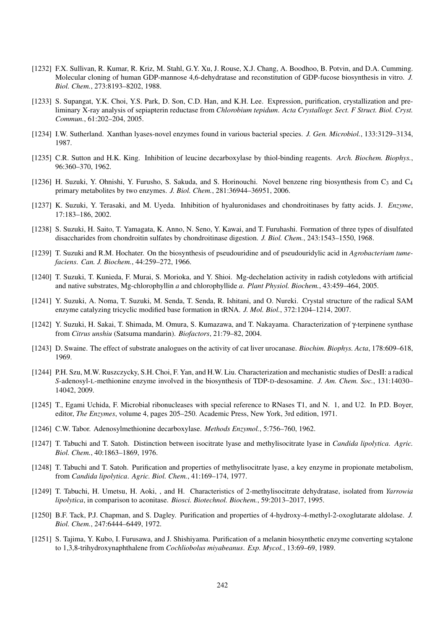- [1232] F.X. Sullivan, R. Kumar, R. Kriz, M. Stahl, G.Y. Xu, J. Rouse, X.J. Chang, A. Boodhoo, B. Potvin, and D.A. Cumming. Molecular cloning of human GDP-mannose 4,6-dehydratase and reconstitution of GDP-fucose biosynthesis in vitro. *J. Biol. Chem.*, 273:8193–8202, 1988.
- [1233] S. Supangat, Y.K. Choi, Y.S. Park, D. Son, C.D. Han, and K.H. Lee. Expression, purification, crystallization and preliminary X-ray analysis of sepiapterin reductase from *Chlorobium tepidum*. *Acta Crystallogr. Sect. F Struct. Biol. Cryst. Commun.*, 61:202–204, 2005.
- [1234] I.W. Sutherland. Xanthan lyases-novel enzymes found in various bacterial species. *J. Gen. Microbiol.*, 133:3129–3134, 1987.
- [1235] C.R. Sutton and H.K. King. Inhibition of leucine decarboxylase by thiol-binding reagents. *Arch. Biochem. Biophys.*, 96:360–370, 1962.
- [1236] H. Suzuki, Y. Ohnishi, Y. Furusho, S. Sakuda, and S. Horinouchi. Novel benzene ring biosynthesis from  $C_3$  and  $C_4$ primary metabolites by two enzymes. *J. Biol. Chem.*, 281:36944–36951, 2006.
- [1237] K. Suzuki, Y. Terasaki, and M. Uyeda. Inhibition of hyaluronidases and chondroitinases by fatty acids. J. *Enzyme*, 17:183–186, 2002.
- [1238] S. Suzuki, H. Saito, T. Yamagata, K. Anno, N. Seno, Y. Kawai, and T. Furuhashi. Formation of three types of disulfated disaccharides from chondroitin sulfates by chondroitinase digestion. *J. Biol. Chem.*, 243:1543–1550, 1968.
- [1239] T. Suzuki and R.M. Hochater. On the biosynthesis of pseudouridine and of pseudouridylic acid in *Agrobacterium tumefaciens*. *Can. J. Biochem.*, 44:259–272, 1966.
- [1240] T. Suzuki, T. Kunieda, F. Murai, S. Morioka, and Y. Shioi. Mg-dechelation activity in radish cotyledons with artificial and native substrates, Mg-chlorophyllin *a* and chlorophyllide *a*. *Plant Physiol. Biochem.*, 43:459–464, 2005.
- [1241] Y. Suzuki, A. Noma, T. Suzuki, M. Senda, T. Senda, R. Ishitani, and O. Nureki. Crystal structure of the radical SAM enzyme catalyzing tricyclic modified base formation in tRNA. *J. Mol. Biol.*, 372:1204–1214, 2007.
- [1242] Y. Suzuki, H. Sakai, T. Shimada, M. Omura, S. Kumazawa, and T. Nakayama. Characterization of γ-terpinene synthase from *Citrus unshiu* (Satsuma mandarin). *Biofactors*, 21:79–82, 2004.
- [1243] D. Swaine. The effect of substrate analogues on the activity of cat liver urocanase. *Biochim. Biophys. Acta*, 178:609–618, 1969.
- [1244] P.H. Szu, M.W. Ruszczycky, S.H. Choi, F. Yan, and H.W. Liu. Characterization and mechanistic studies of DesII: a radical *S*-adenosyl-L-methionine enzyme involved in the biosynthesis of TDP-D-desosamine. *J. Am. Chem. Soc.*, 131:14030– 14042, 2009.
- [1245] T., Egami Uchida, F. Microbial ribonucleases with special reference to RNases T1, and N. 1, and U2. In P.D. Boyer, editor, *The Enzymes*, volume 4, pages 205–250. Academic Press, New York, 3rd edition, 1971.
- [1246] C.W. Tabor. Adenosylmethionine decarboxylase. *Methods Enzymol.*, 5:756–760, 1962.
- [1247] T. Tabuchi and T. Satoh. Distinction between isocitrate lyase and methylisocitrate lyase in *Candida lipolytica*. *Agric. Biol. Chem.*, 40:1863–1869, 1976.
- [1248] T. Tabuchi and T. Satoh. Purification and properties of methylisocitrate lyase, a key enzyme in propionate metabolism, from *Candida lipolytica*. *Agric. Biol. Chem.*, 41:169–174, 1977.
- [1249] T. Tabuchi, H. Umetsu, H. Aoki, , and H. Characteristics of 2-methylisocitrate dehydratase, isolated from *Yarrowia lipolytica*, in comparison to aconitase. *Biosci. Biotechnol. Biochem.*, 59:2013–2017, 1995.
- [1250] B.F. Tack, P.J. Chapman, and S. Dagley. Purification and properties of 4-hydroxy-4-methyl-2-oxoglutarate aldolase. *J. Biol. Chem.*, 247:6444–6449, 1972.
- [1251] S. Tajima, Y. Kubo, I. Furusawa, and J. Shishiyama. Purification of a melanin biosynthetic enzyme converting scytalone to 1,3,8-trihydroxynaphthalene from *Cochliobolus miyabeanus*. *Exp. Mycol.*, 13:69–69, 1989.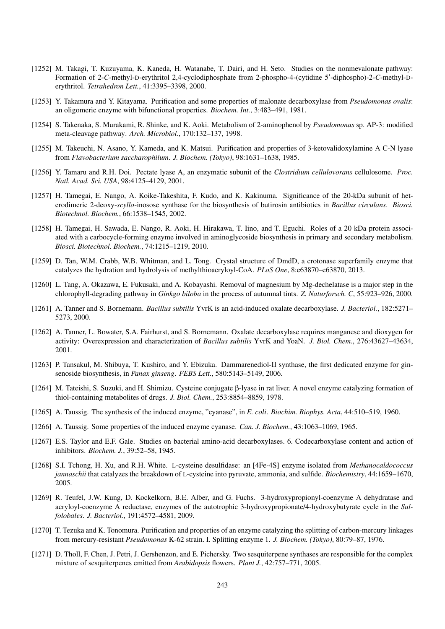- [1252] M. Takagi, T. Kuzuyama, K. Kaneda, H. Watanabe, T. Dairi, and H. Seto. Studies on the nonmevalonate pathway: Formation of 2-*C*-methyl-D-erythritol 2,4-cyclodiphosphate from 2-phospho-4-(cytidine 5'-diphospho)-2-*C*-methyl-Derythritol. *Tetrahedron Lett.*, 41:3395–3398, 2000.
- [1253] Y. Takamura and Y. Kitayama. Purification and some properties of malonate decarboxylase from *Pseudomonas ovalis*: an oligomeric enzyme with bifunctional properties. *Biochem. Int.*, 3:483–491, 1981.
- [1254] S. Takenaka, S. Murakami, R. Shinke, and K. Aoki. Metabolism of 2-aminophenol by *Pseudomonas* sp. AP-3: modified meta-cleavage pathway. *Arch. Microbiol.*, 170:132–137, 1998.
- [1255] M. Takeuchi, N. Asano, Y. Kameda, and K. Matsui. Purification and properties of 3-ketovalidoxylamine A C-N lyase from *Flavobacterium saccharophilum*. *J. Biochem. (Tokyo)*, 98:1631–1638, 1985.
- [1256] Y. Tamaru and R.H. Doi. Pectate lyase A, an enzymatic subunit of the *Clostridium cellulovorans* cellulosome. *Proc. Natl. Acad. Sci. USA*, 98:4125–4129, 2001.
- [1257] H. Tamegai, E. Nango, A. Koike-Takeshita, F. Kudo, and K. Kakinuma. Significance of the 20-kDa subunit of heterodimeric 2-deoxy-*scyllo*-inosose synthase for the biosynthesis of butirosin antibiotics in *Bacillus circulans*. *Biosci. Biotechnol. Biochem.*, 66:1538–1545, 2002.
- [1258] H. Tamegai, H. Sawada, E. Nango, R. Aoki, H. Hirakawa, T. Iino, and T. Eguchi. Roles of a 20 kDa protein associated with a carbocycle-forming enzyme involved in aminoglycoside biosynthesis in primary and secondary metabolism. *Biosci. Biotechnol. Biochem.*, 74:1215–1219, 2010.
- [1259] D. Tan, W.M. Crabb, W.B. Whitman, and L. Tong. Crystal structure of DmdD, a crotonase superfamily enzyme that catalyzes the hydration and hydrolysis of methylthioacryloyl-CoA. *PLoS One*, 8:e63870–e63870, 2013.
- [1260] L. Tang, A. Okazawa, E. Fukusaki, and A. Kobayashi. Removal of magnesium by Mg-dechelatase is a major step in the chlorophyll-degrading pathway in *Ginkgo biloba* in the process of autumnal tints. *Z. Naturforsch. C*, 55:923–926, 2000.
- [1261] A. Tanner and S. Bornemann. *Bacillus subtilis* YvrK is an acid-induced oxalate decarboxylase. *J. Bacteriol.*, 182:5271– 5273, 2000.
- [1262] A. Tanner, L. Bowater, S.A. Fairhurst, and S. Bornemann. Oxalate decarboxylase requires manganese and dioxygen for activity: Overexpression and characterization of *Bacillus subtilis* YvrK and YoaN. *J. Biol. Chem.*, 276:43627–43634, 2001.
- [1263] P. Tansakul, M. Shibuya, T. Kushiro, and Y. Ebizuka. Dammarenediol-II synthase, the first dedicated enzyme for ginsenoside biosynthesis, in *Panax ginseng*. *FEBS Lett.*, 580:5143–5149, 2006.
- [1264] M. Tateishi, S. Suzuki, and H. Shimizu. Cysteine conjugate β-lyase in rat liver. A novel enzyme catalyzing formation of thiol-containing metabolites of drugs. *J. Biol. Chem.*, 253:8854–8859, 1978.
- [1265] A. Taussig. The synthesis of the induced enzyme, "cyanase", in *E. coli*. *Biochim. Biophys. Acta*, 44:510–519, 1960.
- [1266] A. Taussig. Some properties of the induced enzyme cyanase. *Can. J. Biochem.*, 43:1063–1069, 1965.
- [1267] E.S. Taylor and E.F. Gale. Studies on bacterial amino-acid decarboxylases. 6. Codecarboxylase content and action of inhibitors. *Biochem. J.*, 39:52–58, 1945.
- [1268] S.I. Tchong, H. Xu, and R.H. White. L-cysteine desulfidase: an [4Fe-4S] enzyme isolated from *Methanocaldococcus jannaschii* that catalyzes the breakdown of L-cysteine into pyruvate, ammonia, and sulfide. *Biochemistry*, 44:1659–1670, 2005.
- [1269] R. Teufel, J.W. Kung, D. Kockelkorn, B.E. Alber, and G. Fuchs. 3-hydroxypropionyl-coenzyme A dehydratase and acryloyl-coenzyme A reductase, enzymes of the autotrophic 3-hydroxypropionate/4-hydroxybutyrate cycle in the *Sulfolobales*. *J. Bacteriol.*, 191:4572–4581, 2009.
- [1270] T. Tezuka and K. Tonomura. Purification and properties of an enzyme catalyzing the splitting of carbon-mercury linkages from mercury-resistant *Pseudomonas* K-62 strain. I. Splitting enzyme 1. *J. Biochem. (Tokyo)*, 80:79–87, 1976.
- [1271] D. Tholl, F. Chen, J. Petri, J. Gershenzon, and E. Pichersky. Two sesquiterpene synthases are responsible for the complex mixture of sesquiterpenes emitted from *Arabidopsis* flowers. *Plant J.*, 42:757–771, 2005.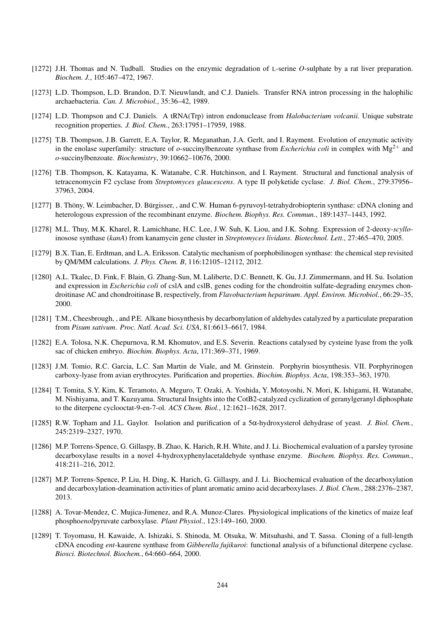- [1272] J.H. Thomas and N. Tudball. Studies on the enzymic degradation of L-serine *O*-sulphate by a rat liver preparation. *Biochem. J.*, 105:467–472, 1967.
- [1273] L.D. Thompson, L.D. Brandon, D.T. Nieuwlandt, and C.J. Daniels. Transfer RNA intron processing in the halophilic archaebacteria. *Can. J. Microbiol.*, 35:36–42, 1989.
- [1274] L.D. Thompson and C.J. Daniels. A tRNA(Trp) intron endonuclease from *Halobacterium volcanii*. Unique substrate recognition properties. *J. Biol. Chem.*, 263:17951–17959, 1988.
- [1275] T.B. Thompson, J.B. Garrett, E.A. Taylor, R. Meganathan, J.A. Gerlt, and I. Rayment. Evolution of enzymatic activity in the enolase superfamily: structure of  $o$ -succinylbenzoate synthase from *Escherichia coli* in complex with  $Mg^{2+}$  and *o*-succinylbenzoate. *Biochemistry*, 39:10662–10676, 2000.
- [1276] T.B. Thompson, K. Katayama, K. Watanabe, C.R. Hutchinson, and I. Rayment. Structural and functional analysis of tetracenomycin F2 cyclase from *Streptomyces glaucescens*. A type II polyketide cyclase. *J. Biol. Chem.*, 279:37956– 37963, 2004.
- [1277] B. Thöny, W. Leimbacher, D. Bürgisser, , and C.W. Human 6-pyruvoyl-tetrahydrobiopterin synthase: cDNA cloning and heterologous expression of the recombinant enzyme. *Biochem. Biophys. Res. Commun.*, 189:1437–1443, 1992.
- [1278] M.L. Thuy, M.K. Kharel, R. Lamichhane, H.C. Lee, J.W. Suh, K. Liou, and J.K. Sohng. Expression of 2-deoxy-*scyllo*inosose synthase (*kanA*) from kanamycin gene cluster in *Streptomyces lividans*. *Biotechnol. Lett.*, 27:465–470, 2005.
- [1279] B.X. Tian, E. Erdtman, and L.A. Eriksson. Catalytic mechanism of porphobilinogen synthase: the chemical step revisited by QM/MM calculations. *J. Phys. Chem. B*, 116:12105–12112, 2012.
- [1280] A.L. Tkalec, D. Fink, F. Blain, G. Zhang-Sun, M. Laliberte, D.C. Bennett, K. Gu, J.J. Zimmermann, and H. Su. Isolation and expression in *Escherichia coli* of cslA and cslB, genes coding for the chondroitin sulfate-degrading enzymes chondroitinase AC and chondroitinase B, respectively, from *Flavobacterium heparinum*. *Appl. Environ. Microbiol.*, 66:29–35, 2000.
- [1281] T.M., Cheesbrough, , and P.E. Alkane biosynthesis by decarbonylation of aldehydes catalyzed by a particulate preparation from *Pisum sativum*. *Proc. Natl. Acad. Sci. USA*, 81:6613–6617, 1984.
- [1282] E.A. Tolosa, N.K. Chepurnova, R.M. Khomutov, and E.S. Severin. Reactions catalysed by cysteine lyase from the yolk sac of chicken embryo. *Biochim. Biophys. Acta*, 171:369–371, 1969.
- [1283] J.M. Tomio, R.C. Garcia, L.C. San Martin de Viale, and M. Grinstein. Porphyrin biosynthesis. VII. Porphyrinogen carboxy-lyase from avian erythrocytes. Purification and properties. *Biochim. Biophys. Acta*, 198:353–363, 1970.
- [1284] T. Tomita, S.Y. Kim, K. Teramoto, A. Meguro, T. Ozaki, A. Yoshida, Y. Motoyoshi, N. Mori, K. Ishigami, H. Watanabe, M. Nishiyama, and T. Kuzuyama. Structural Insights into the CotB2-catalyzed cyclization of geranylgeranyl diphosphate to the diterpene cyclooctat-9-en-7-ol. *ACS Chem. Biol.*, 12:1621–1628, 2017.
- [1285] R.W. Topham and J.L. Gaylor. Isolation and purification of a 5α-hydroxysterol dehydrase of yeast. *J. Biol. Chem.*, 245:2319–2327, 1970.
- [1286] M.P. Torrens-Spence, G. Gillaspy, B. Zhao, K. Harich, R.H. White, and J. Li. Biochemical evaluation of a parsley tyrosine decarboxylase results in a novel 4-hydroxyphenylacetaldehyde synthase enzyme. *Biochem. Biophys. Res. Commun.*, 418:211–216, 2012.
- [1287] M.P. Torrens-Spence, P. Liu, H. Ding, K. Harich, G. Gillaspy, and J. Li. Biochemical evaluation of the decarboxylation and decarboxylation-deamination activities of plant aromatic amino acid decarboxylases. *J. Biol. Chem.*, 288:2376–2387, 2013.
- [1288] A. Tovar-Mendez, C. Mujica-Jimenez, and R.A. Munoz-Clares. Physiological implications of the kinetics of maize leaf phospho*enol*pyruvate carboxylase. *Plant Physiol.*, 123:149–160, 2000.
- [1289] T. Toyomasu, H. Kawaide, A. Ishizaki, S. Shinoda, M. Otsuka, W. Mitsuhashi, and T. Sassa. Cloning of a full-length cDNA encoding *ent*-kaurene synthase from *Gibberella fujikuroi*: functional analysis of a bifunctional diterpene cyclase. *Biosci. Biotechnol. Biochem.*, 64:660–664, 2000.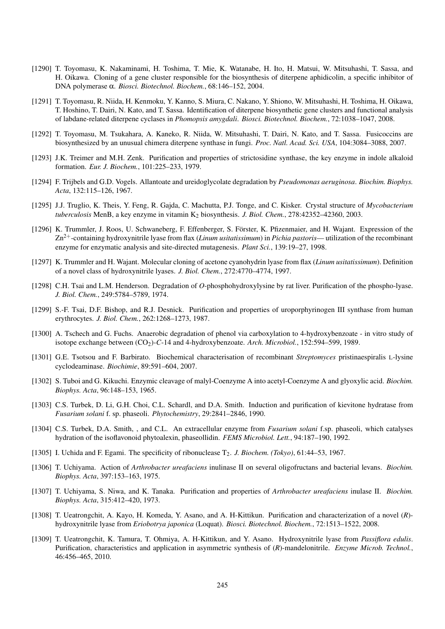- [1290] T. Toyomasu, K. Nakaminami, H. Toshima, T. Mie, K. Watanabe, H. Ito, H. Matsui, W. Mitsuhashi, T. Sassa, and H. Oikawa. Cloning of a gene cluster responsible for the biosynthesis of diterpene aphidicolin, a specific inhibitor of DNA polymerase α. *Biosci. Biotechnol. Biochem.*, 68:146–152, 2004.
- [1291] T. Toyomasu, R. Niida, H. Kenmoku, Y. Kanno, S. Miura, C. Nakano, Y. Shiono, W. Mitsuhashi, H. Toshima, H. Oikawa, T. Hoshino, T. Dairi, N. Kato, and T. Sassa. Identification of diterpene biosynthetic gene clusters and functional analysis of labdane-related diterpene cyclases in *Phomopsis amygdali*. *Biosci. Biotechnol. Biochem.*, 72:1038–1047, 2008.
- [1292] T. Toyomasu, M. Tsukahara, A. Kaneko, R. Niida, W. Mitsuhashi, T. Dairi, N. Kato, and T. Sassa. Fusicoccins are biosynthesized by an unusual chimera diterpene synthase in fungi. *Proc. Natl. Acad. Sci. USA*, 104:3084–3088, 2007.
- [1293] J.K. Treimer and M.H. Zenk. Purification and properties of strictosidine synthase, the key enzyme in indole alkaloid formation. *Eur. J. Biochem.*, 101:225–233, 1979.
- [1294] F. Trijbels and G.D. Vogels. Allantoate and ureidoglycolate degradation by *Pseudomonas aeruginosa*. *Biochim. Biophys. Acta*, 132:115–126, 1967.
- [1295] J.J. Truglio, K. Theis, Y. Feng, R. Gajda, C. Machutta, P.J. Tonge, and C. Kisker. Crystal structure of *Mycobacterium tuberculosis* MenB, a key enzyme in vitamin K<sub>2</sub> biosynthesis. *J. Biol. Chem.*, 278:42352–42360, 2003.
- [1296] K. Trummler, J. Roos, U. Schwaneberg, F. Effenberger, S. Förster, K. Pfizenmaier, and H. Wajant. Expression of the Zn2+-containing hydroxynitrile lyase from flax (*Linum usitatissimum*) in *Pichia pastoris*— utilization of the recombinant enzyme for enzymatic analysis and site-directed mutagenesis. *Plant Sci.*, 139:19–27, 1998.
- [1297] K. Trummler and H. Wajant. Molecular cloning of acetone cyanohydrin lyase from flax (*Linum usitatissimum*). Definition of a novel class of hydroxynitrile lyases. *J. Biol. Chem.*, 272:4770–4774, 1997.
- [1298] C.H. Tsai and L.M. Henderson. Degradation of *O*-phosphohydroxylysine by rat liver. Purification of the phospho-lyase. *J. Biol. Chem.*, 249:5784–5789, 1974.
- [1299] S.-F. Tsai, D.F. Bishop, and R.J. Desnick. Purification and properties of uroporphyrinogen III synthase from human erythrocytes. *J. Biol. Chem.*, 262:1268–1273, 1987.
- [1300] A. Tschech and G. Fuchs. Anaerobic degradation of phenol via carboxylation to 4-hydroxybenzoate in vitro study of isotope exchange between (CO<sub>2</sub>)-C-14 and 4-hydroxybenzoate. *Arch. Microbiol.*, 152:594–599, 1989.
- [1301] G.E. Tsotsou and F. Barbirato. Biochemical characterisation of recombinant *Streptomyces* pristinaespiralis L-lysine cyclodeaminase. *Biochimie*, 89:591–604, 2007.
- [1302] S. Tuboi and G. Kikuchi. Enzymic cleavage of malyl-Coenzyme A into acetyl-Coenzyme A and glyoxylic acid. *Biochim. Biophys. Acta*, 96:148–153, 1965.
- [1303] C.S. Turbek, D. Li, G.H. Choi, C.L. Schardl, and D.A. Smith. Induction and purification of kievitone hydratase from *Fusarium solani* f. sp. phaseoli. *Phytochemistry*, 29:2841–2846, 1990.
- [1304] C.S. Turbek, D.A. Smith, , and C.L. An extracellular enzyme from *Fusarium solani* f.sp. phaseoli, which catalyses hydration of the isoflavonoid phytoalexin, phaseollidin. *FEMS Microbiol. Lett.*, 94:187–190, 1992.
- [1305] I. Uchida and F. Egami. The specificity of ribonuclease T2. *J. Biochem. (Tokyo)*, 61:44–53, 1967.
- [1306] T. Uchiyama. Action of *Arthrobacter ureafaciens* inulinase II on several oligofructans and bacterial levans. *Biochim. Biophys. Acta*, 397:153–163, 1975.
- [1307] T. Uchiyama, S. Niwa, and K. Tanaka. Purification and properties of *Arthrobacter ureafaciens* inulase II. *Biochim. Biophys. Acta*, 315:412–420, 1973.
- [1308] T. Ueatrongchit, A. Kayo, H. Komeda, Y. Asano, and A. H-Kittikun. Purification and characterization of a novel (*R*) hydroxynitrile lyase from *Eriobotrya japonica* (Loquat). *Biosci. Biotechnol. Biochem.*, 72:1513–1522, 2008.
- [1309] T. Ueatrongchit, K. Tamura, T. Ohmiya, A. H-Kittikun, and Y. Asano. Hydroxynitrile lyase from *Passiflora edulis*. Purification, characteristics and application in asymmetric synthesis of (*R*)-mandelonitrile. *Enzyme Microb. Technol.*, 46:456–465, 2010.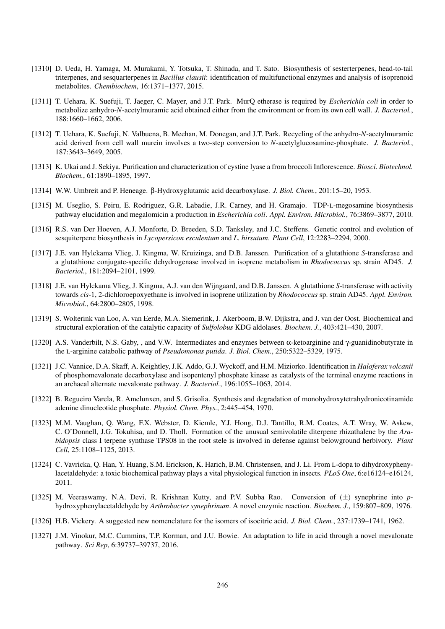- [1310] D. Ueda, H. Yamaga, M. Murakami, Y. Totsuka, T. Shinada, and T. Sato. Biosynthesis of sesterterpenes, head-to-tail triterpenes, and sesquarterpenes in *Bacillus clausii*: identification of multifunctional enzymes and analysis of isoprenoid metabolites. *Chembiochem*, 16:1371–1377, 2015.
- [1311] T. Uehara, K. Suefuji, T. Jaeger, C. Mayer, and J.T. Park. MurQ etherase is required by *Escherichia coli* in order to metabolize anhydro-*N*-acetylmuramic acid obtained either from the environment or from its own cell wall. *J. Bacteriol.*, 188:1660–1662, 2006.
- [1312] T. Uehara, K. Suefuji, N. Valbuena, B. Meehan, M. Donegan, and J.T. Park. Recycling of the anhydro-*N*-acetylmuramic acid derived from cell wall murein involves a two-step conversion to *N*-acetylglucosamine-phosphate. *J. Bacteriol.*, 187:3643–3649, 2005.
- [1313] K. Ukai and J. Sekiya. Purification and characterization of cystine lyase a from broccoli Inflorescence. *Biosci. Biotechnol. Biochem.*, 61:1890–1895, 1997.
- [1314] W.W. Umbreit and P. Heneage. β-Hydroxyglutamic acid decarboxylase. *J. Biol. Chem.*, 201:15–20, 1953.
- [1315] M. Useglio, S. Peiru, E. Rodriguez, G.R. Labadie, J.R. Carney, and H. Gramajo. TDP-L-megosamine biosynthesis pathway elucidation and megalomicin a production in *Escherichia coli*. *Appl. Environ. Microbiol.*, 76:3869–3877, 2010.
- [1316] R.S. van Der Hoeven, A.J. Monforte, D. Breeden, S.D. Tanksley, and J.C. Steffens. Genetic control and evolution of sesquiterpene biosynthesis in *Lycopersicon esculentum* and *L. hirsutum*. *Plant Cell*, 12:2283–2294, 2000.
- [1317] J.E. van Hylckama Vlieg, J. Kingma, W. Kruizinga, and D.B. Janssen. Purification of a glutathione *S*-transferase and a glutathione conjugate-specific dehydrogenase involved in isoprene metabolism in *Rhodococcus* sp. strain AD45. *J. Bacteriol.*, 181:2094–2101, 1999.
- [1318] J.E. van Hylckama Vlieg, J. Kingma, A.J. van den Wijngaard, and D.B. Janssen. A glutathione *S*-transferase with activity towards *cis*-1, 2-dichloroepoxyethane is involved in isoprene utilization by *Rhodococcus* sp. strain AD45. *Appl. Environ. Microbiol.*, 64:2800–2805, 1998.
- [1319] S. Wolterink van Loo, A. van Eerde, M.A. Siemerink, J. Akerboom, B.W. Dijkstra, and J. van der Oost. Biochemical and structural exploration of the catalytic capacity of *Sulfolobus* KDG aldolases. *Biochem. J.*, 403:421–430, 2007.
- [1320] A.S. Vanderbilt, N.S. Gaby, , and V.W. Intermediates and enzymes between α-ketoarginine and γ-guanidinobutyrate in the L-arginine catabolic pathway of *Pseudomonas putida*. *J. Biol. Chem.*, 250:5322–5329, 1975.
- [1321] J.C. Vannice, D.A. Skaff, A. Keightley, J.K. Addo, G.J. Wyckoff, and H.M. Miziorko. Identification in *Haloferax volcanii* of phosphomevalonate decarboxylase and isopentenyl phosphate kinase as catalysts of the terminal enzyme reactions in an archaeal alternate mevalonate pathway. *J. Bacteriol.*, 196:1055–1063, 2014.
- [1322] B. Regueiro Varela, R. Amelunxen, and S. Grisolia. Synthesis and degradation of monohydroxytetrahydronicotinamide adenine dinucleotide phosphate. *Physiol. Chem. Phys.*, 2:445–454, 1970.
- [1323] M.M. Vaughan, Q. Wang, F.X. Webster, D. Kiemle, Y.J. Hong, D.J. Tantillo, R.M. Coates, A.T. Wray, W. Askew, C. O'Donnell, J.G. Tokuhisa, and D. Tholl. Formation of the unusual semivolatile diterpene rhizathalene by the *Arabidopsis* class I terpene synthase TPS08 in the root stele is involved in defense against belowground herbivory. *Plant Cell*, 25:1108–1125, 2013.
- [1324] C. Vavricka, Q. Han, Y. Huang, S.M. Erickson, K. Harich, B.M. Christensen, and J. Li. From L-dopa to dihydroxyphenylacetaldehyde: a toxic biochemical pathway plays a vital physiological function in insects. *PLoS One*, 6:e16124–e16124, 2011.
- [1325] M. Veeraswamy, N.A. Devi, R. Krishnan Kutty, and P.V. Subba Rao. Conversion of (±) synephrine into *p*hydroxyphenylacetaldehyde by *Arthrobacter synephrinum*. A novel enzymic reaction. *Biochem. J.*, 159:807–809, 1976.
- [1326] H.B. Vickery. A suggested new nomenclature for the isomers of isocitric acid. *J. Biol. Chem.*, 237:1739–1741, 1962.
- [1327] J.M. Vinokur, M.C. Cummins, T.P. Korman, and J.U. Bowie. An adaptation to life in acid through a novel mevalonate pathway. *Sci Rep*, 6:39737–39737, 2016.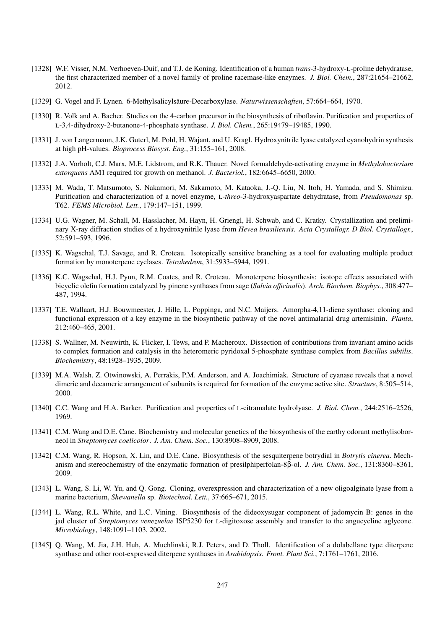- [1328] W.F. Visser, N.M. Verhoeven-Duif, and T.J. de Koning. Identification of a human *trans*-3-hydroxy-L-proline dehydratase, the first characterized member of a novel family of proline racemase-like enzymes. *J. Biol. Chem.*, 287:21654–21662, 2012.
- [1329] G. Vogel and F. Lynen. 6-Methylsalicylsäure-Decarboxylase. Naturwissenschaften, 57:664–664, 1970.
- [1330] R. Volk and A. Bacher. Studies on the 4-carbon precursor in the biosynthesis of riboflavin. Purification and properties of L-3,4-dihydroxy-2-butanone-4-phosphate synthase. *J. Biol. Chem.*, 265:19479–19485, 1990.
- [1331] J. von Langermann, J.K. Guterl, M. Pohl, H. Wajant, and U. Kragl. Hydroxynitrile lyase catalyzed cyanohydrin synthesis at high pH-values. *Bioprocess Biosyst. Eng.*, 31:155–161, 2008.
- [1332] J.A. Vorholt, C.J. Marx, M.E. Lidstrom, and R.K. Thauer. Novel formaldehyde-activating enzyme in *Methylobacterium extorquens* AM1 required for growth on methanol. *J. Bacteriol.*, 182:6645–6650, 2000.
- [1333] M. Wada, T. Matsumoto, S. Nakamori, M. Sakamoto, M. Kataoka, J.-Q. Liu, N. Itoh, H. Yamada, and S. Shimizu. Purification and characterization of a novel enzyme, L-*threo*-3-hydroxyaspartate dehydratase, from *Pseudomonas* sp. T62. *FEMS Microbiol. Lett.*, 179:147–151, 1999.
- [1334] U.G. Wagner, M. Schall, M. Hasslacher, M. Hayn, H. Griengl, H. Schwab, and C. Kratky. Crystallization and preliminary X-ray diffraction studies of a hydroxynitrile lyase from *Hevea brasiliensis*. *Acta Crystallogr. D Biol. Crystallogr.*, 52:591–593, 1996.
- [1335] K. Wagschal, T.J. Savage, and R. Croteau. Isotopically sensitive branching as a tool for evaluating multiple product formation by monoterpene cyclases. *Tetrahedron*, 31:5933–5944, 1991.
- [1336] K.C. Wagschal, H.J. Pyun, R.M. Coates, and R. Croteau. Monoterpene biosynthesis: isotope effects associated with bicyclic olefin formation catalyzed by pinene synthases from sage (*Salvia officinalis*). *Arch. Biochem. Biophys.*, 308:477– 487, 1994.
- [1337] T.E. Wallaart, H.J. Bouwmeester, J. Hille, L. Poppinga, and N.C. Maijers. Amorpha-4,11-diene synthase: cloning and functional expression of a key enzyme in the biosynthetic pathway of the novel antimalarial drug artemisinin. *Planta*, 212:460–465, 2001.
- [1338] S. Wallner, M. Neuwirth, K. Flicker, I. Tews, and P. Macheroux. Dissection of contributions from invariant amino acids to complex formation and catalysis in the heteromeric pyridoxal 5-phosphate synthase complex from *Bacillus subtilis*. *Biochemistry*, 48:1928–1935, 2009.
- [1339] M.A. Walsh, Z. Otwinowski, A. Perrakis, P.M. Anderson, and A. Joachimiak. Structure of cyanase reveals that a novel dimeric and decameric arrangement of subunits is required for formation of the enzyme active site. *Structure*, 8:505–514, 2000.
- [1340] C.C. Wang and H.A. Barker. Purification and properties of L-citramalate hydrolyase. *J. Biol. Chem.*, 244:2516–2526, 1969.
- [1341] C.M. Wang and D.E. Cane. Biochemistry and molecular genetics of the biosynthesis of the earthy odorant methylisoborneol in *Streptomyces coelicolor*. *J. Am. Chem. Soc.*, 130:8908–8909, 2008.
- [1342] C.M. Wang, R. Hopson, X. Lin, and D.E. Cane. Biosynthesis of the sesquiterpene botrydial in *Botrytis cinerea*. Mechanism and stereochemistry of the enzymatic formation of presilphiperfolan-8β-ol. *J. Am. Chem. Soc.*, 131:8360–8361, 2009.
- [1343] L. Wang, S. Li, W. Yu, and Q. Gong. Cloning, overexpression and characterization of a new oligoalginate lyase from a marine bacterium, *Shewanella* sp. *Biotechnol. Lett.*, 37:665–671, 2015.
- [1344] L. Wang, R.L. White, and L.C. Vining. Biosynthesis of the dideoxysugar component of jadomycin B: genes in the jad cluster of *Streptomyces venezuelae* ISP5230 for L-digitoxose assembly and transfer to the angucycline aglycone. *Microbiology*, 148:1091–1103, 2002.
- [1345] Q. Wang, M. Jia, J.H. Huh, A. Muchlinski, R.J. Peters, and D. Tholl. Identification of a dolabellane type diterpene synthase and other root-expressed diterpene synthases in *Arabidopsis*. *Front. Plant Sci.*, 7:1761–1761, 2016.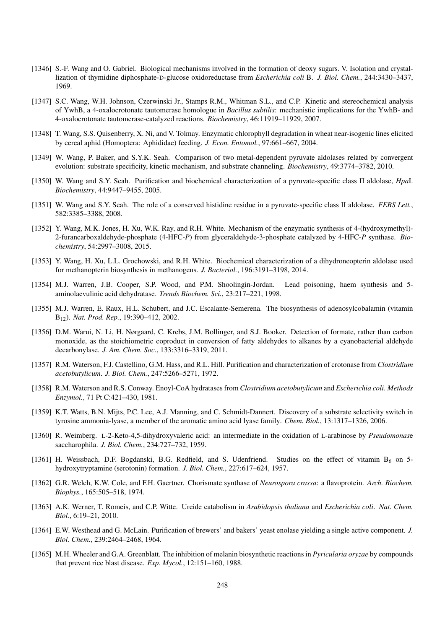- [1346] S.-F. Wang and O. Gabriel. Biological mechanisms involved in the formation of deoxy sugars. V. Isolation and crystallization of thymidine diphosphate-D-glucose oxidoreductase from *Escherichia coli* B. *J. Biol. Chem.*, 244:3430–3437, 1969.
- [1347] S.C. Wang, W.H. Johnson, Czerwinski Jr., Stamps R.M., Whitman S.L., and C.P. Kinetic and stereochemical analysis of YwhB, a 4-oxalocrotonate tautomerase homologue in *Bacillus subtilis*: mechanistic implications for the YwhB- and 4-oxalocrotonate tautomerase-catalyzed reactions. *Biochemistry*, 46:11919–11929, 2007.
- [1348] T. Wang, S.S. Quisenberry, X. Ni, and V. Tolmay. Enzymatic chlorophyll degradation in wheat near-isogenic lines elicited by cereal aphid (Homoptera: Aphididae) feeding. *J. Econ. Entomol.*, 97:661–667, 2004.
- [1349] W. Wang, P. Baker, and S.Y.K. Seah. Comparison of two metal-dependent pyruvate aldolases related by convergent evolution: substrate specificity, kinetic mechanism, and substrate channeling. *Biochemistry*, 49:3774–3782, 2010.
- [1350] W. Wang and S.Y. Seah. Purification and biochemical characterization of a pyruvate-specific class II aldolase, *Hpa*I. *Biochemistry*, 44:9447–9455, 2005.
- [1351] W. Wang and S.Y. Seah. The role of a conserved histidine residue in a pyruvate-specific class II aldolase. *FEBS Lett.*, 582:3385–3388, 2008.
- [1352] Y. Wang, M.K. Jones, H. Xu, W.K. Ray, and R.H. White. Mechanism of the enzymatic synthesis of 4-(hydroxymethyl)- 2-furancarboxaldehyde-phosphate (4-HFC-*P*) from glyceraldehyde-3-phosphate catalyzed by 4-HFC-*P* synthase. *Biochemistry*, 54:2997–3008, 2015.
- [1353] Y. Wang, H. Xu, L.L. Grochowski, and R.H. White. Biochemical characterization of a dihydroneopterin aldolase used for methanopterin biosynthesis in methanogens. *J. Bacteriol.*, 196:3191–3198, 2014.
- [1354] M.J. Warren, J.B. Cooper, S.P. Wood, and P.M. Shoolingin-Jordan. Lead poisoning, haem synthesis and 5 aminolaevulinic acid dehydratase. *Trends Biochem. Sci.*, 23:217–221, 1998.
- [1355] M.J. Warren, E. Raux, H.L. Schubert, and J.C. Escalante-Semerena. The biosynthesis of adenosylcobalamin (vitamin B12). *Nat. Prod. Rep.*, 19:390–412, 2002.
- [1356] D.M. Warui, N. Li, H. Nørgaard, C. Krebs, J.M. Bollinger, and S.J. Booker. Detection of formate, rather than carbon monoxide, as the stoichiometric coproduct in conversion of fatty aldehydes to alkanes by a cyanobacterial aldehyde decarbonylase. *J. Am. Chem. Soc.*, 133:3316–3319, 2011.
- [1357] R.M. Waterson, F.J. Castellino, G.M. Hass, and R.L. Hill. Purification and characterization of crotonase from *Clostridium acetobutylicum*. *J. Biol. Chem.*, 247:5266–5271, 1972.
- [1358] R.M. Waterson and R.S. Conway. Enoyl-CoA hydratases from *Clostridium acetobutylicum* and *Escherichia coli*. *Methods Enzymol.*, 71 Pt C:421–430, 1981.
- [1359] K.T. Watts, B.N. Mijts, P.C. Lee, A.J. Manning, and C. Schmidt-Dannert. Discovery of a substrate selectivity switch in tyrosine ammonia-lyase, a member of the aromatic amino acid lyase family. *Chem. Biol.*, 13:1317–1326, 2006.
- [1360] R. Weimberg. L-2-Keto-4,5-dihydroxyvaleric acid: an intermediate in the oxidation of L-arabinose by *Pseudomonas*e saccharophila. *J. Biol. Chem.*, 234:727–732, 1959.
- [1361] H. Weissbach, D.F. Bogdanski, B.G. Redfield, and S. Udenfriend. Studies on the effect of vitamin  $B_6$  on 5hydroxytryptamine (serotonin) formation. *J. Biol. Chem.*, 227:617–624, 1957.
- [1362] G.R. Welch, K.W. Cole, and F.H. Gaertner. Chorismate synthase of *Neurospora crassa*: a flavoprotein. *Arch. Biochem. Biophys.*, 165:505–518, 1974.
- [1363] A.K. Werner, T. Romeis, and C.P. Witte. Ureide catabolism in *Arabidopsis thaliana* and *Escherichia coli*. *Nat. Chem. Biol.*, 6:19–21, 2010.
- [1364] E.W. Westhead and G. McLain. Purification of brewers' and bakers' yeast enolase yielding a single active component. *J. Biol. Chem.*, 239:2464–2468, 1964.
- [1365] M.H. Wheeler and G.A. Greenblatt. The inhibition of melanin biosynthetic reactions in *Pyricularia oryzae* by compounds that prevent rice blast disease. *Exp. Mycol.*, 12:151–160, 1988.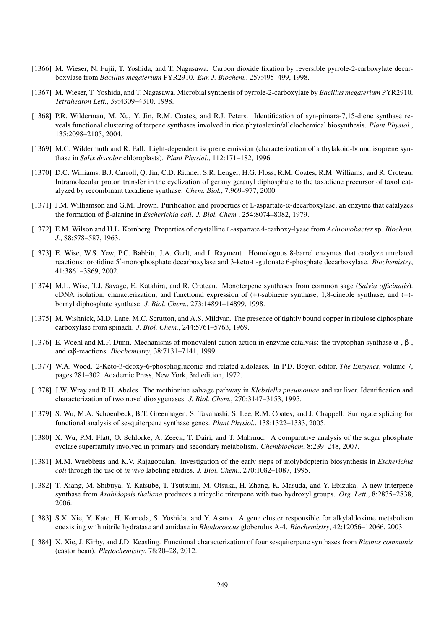- [1366] M. Wieser, N. Fujii, T. Yoshida, and T. Nagasawa. Carbon dioxide fixation by reversible pyrrole-2-carboxylate decarboxylase from *Bacillus megaterium* PYR2910. *Eur. J. Biochem.*, 257:495–499, 1998.
- [1367] M. Wieser, T. Yoshida, and T. Nagasawa. Microbial synthesis of pyrrole-2-carboxylate by *Bacillus megaterium* PYR2910. *Tetrahedron Lett.*, 39:4309–4310, 1998.
- [1368] P.R. Wilderman, M. Xu, Y. Jin, R.M. Coates, and R.J. Peters. Identification of syn-pimara-7,15-diene synthase reveals functional clustering of terpene synthases involved in rice phytoalexin/allelochemical biosynthesis. *Plant Physiol.*, 135:2098–2105, 2004.
- [1369] M.C. Wildermuth and R. Fall. Light-dependent isoprene emission (characterization of a thylakoid-bound isoprene synthase in *Salix discolor* chloroplasts). *Plant Physiol.*, 112:171–182, 1996.
- [1370] D.C. Williams, B.J. Carroll, Q. Jin, C.D. Rithner, S.R. Lenger, H.G. Floss, R.M. Coates, R.M. Williams, and R. Croteau. Intramolecular proton transfer in the cyclization of geranylgeranyl diphosphate to the taxadiene precursor of taxol catalyzed by recombinant taxadiene synthase. *Chem. Biol.*, 7:969–977, 2000.
- [1371] J.M. Williamson and G.M. Brown. Purification and properties of L-aspartate-α-decarboxylase, an enzyme that catalyzes the formation of β-alanine in *Escherichia coli*. *J. Biol. Chem.*, 254:8074–8082, 1979.
- [1372] E.M. Wilson and H.L. Kornberg. Properties of crystalline L-aspartate 4-carboxy-lyase from *Achromobacter* sp. *Biochem. J.*, 88:578–587, 1963.
- [1373] E. Wise, W.S. Yew, P.C. Babbitt, J.A. Gerlt, and I. Rayment. Homologous 8-barrel enzymes that catalyze unrelated reactions: orotidine 5'-monophosphate decarboxylase and 3-keto-L-gulonate 6-phosphate decarboxylase. *Biochemistry*, 41:3861–3869, 2002.
- [1374] M.L. Wise, T.J. Savage, E. Katahira, and R. Croteau. Monoterpene synthases from common sage (*Salvia officinalis*). cDNA isolation, characterization, and functional expression of (+)-sabinene synthase, 1,8-cineole synthase, and (+) bornyl diphosphate synthase. *J. Biol. Chem.*, 273:14891–14899, 1998.
- [1375] M. Wishnick, M.D. Lane, M.C. Scrutton, and A.S. Mildvan. The presence of tightly bound copper in ribulose diphosphate carboxylase from spinach. *J. Biol. Chem.*, 244:5761–5763, 1969.
- [1376] E. Woehl and M.F. Dunn. Mechanisms of monovalent cation action in enzyme catalysis: the tryptophan synthase  $\alpha$ -,  $\beta$ -, and αβ-reactions. *Biochemistry*, 38:7131–7141, 1999.
- [1377] W.A. Wood. 2-Keto-3-deoxy-6-phosphogluconic and related aldolases. In P.D. Boyer, editor, *The Enzymes*, volume 7, pages 281–302. Academic Press, New York, 3rd edition, 1972.
- [1378] J.W. Wray and R.H. Abeles. The methionine salvage pathway in *Klebsiella pneumoniae* and rat liver. Identification and characterization of two novel dioxygenases. *J. Biol. Chem.*, 270:3147–3153, 1995.
- [1379] S. Wu, M.A. Schoenbeck, B.T. Greenhagen, S. Takahashi, S. Lee, R.M. Coates, and J. Chappell. Surrogate splicing for functional analysis of sesquiterpene synthase genes. *Plant Physiol.*, 138:1322–1333, 2005.
- [1380] X. Wu, P.M. Flatt, O. Schlorke, A. Zeeck, T. Dairi, and T. Mahmud. A comparative analysis of the sugar phosphate cyclase superfamily involved in primary and secondary metabolism. *Chembiochem*, 8:239–248, 2007.
- [1381] M.M. Wuebbens and K.V. Rajagopalan. Investigation of the early steps of molybdopterin biosynthesis in *Escherichia coli* through the use of *in vivo* labeling studies. *J. Biol. Chem.*, 270:1082–1087, 1995.
- [1382] T. Xiang, M. Shibuya, Y. Katsube, T. Tsutsumi, M. Otsuka, H. Zhang, K. Masuda, and Y. Ebizuka. A new triterpene synthase from *Arabidopsis thaliana* produces a tricyclic triterpene with two hydroxyl groups. *Org. Lett.*, 8:2835–2838, 2006.
- [1383] S.X. Xie, Y. Kato, H. Komeda, S. Yoshida, and Y. Asano. A gene cluster responsible for alkylaldoxime metabolism coexisting with nitrile hydratase and amidase in *Rhodococcus* globerulus A-4. *Biochemistry*, 42:12056–12066, 2003.
- [1384] X. Xie, J. Kirby, and J.D. Keasling. Functional characterization of four sesquiterpene synthases from *Ricinus communis* (castor bean). *Phytochemistry*, 78:20–28, 2012.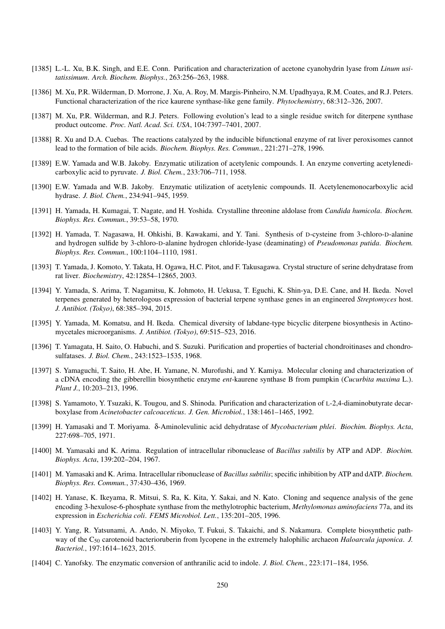- [1385] L.-L. Xu, B.K. Singh, and E.E. Conn. Purification and characterization of acetone cyanohydrin lyase from *Linum usitatissimum*. *Arch. Biochem. Biophys.*, 263:256–263, 1988.
- [1386] M. Xu, P.R. Wilderman, D. Morrone, J. Xu, A. Roy, M. Margis-Pinheiro, N.M. Upadhyaya, R.M. Coates, and R.J. Peters. Functional characterization of the rice kaurene synthase-like gene family. *Phytochemistry*, 68:312–326, 2007.
- [1387] M. Xu, P.R. Wilderman, and R.J. Peters. Following evolution's lead to a single residue switch for diterpene synthase product outcome. *Proc. Natl. Acad. Sci. USA*, 104:7397–7401, 2007.
- [1388] R. Xu and D.A. Cuebas. The reactions catalyzed by the inducible bifunctional enzyme of rat liver peroxisomes cannot lead to the formation of bile acids. *Biochem. Biophys. Res. Commun.*, 221:271–278, 1996.
- [1389] E.W. Yamada and W.B. Jakoby. Enzymatic utilization of acetylenic compounds. I. An enzyme converting acetylenedicarboxylic acid to pyruvate. *J. Biol. Chem.*, 233:706–711, 1958.
- [1390] E.W. Yamada and W.B. Jakoby. Enzymatic utilization of acetylenic compounds. II. Acetylenemonocarboxylic acid hydrase. *J. Biol. Chem.*, 234:941–945, 1959.
- [1391] H. Yamada, H. Kumagai, T. Nagate, and H. Yoshida. Crystalline threonine aldolase from *Candida humicola*. *Biochem. Biophys. Res. Commun.*, 39:53–58, 1970.
- [1392] H. Yamada, T. Nagasawa, H. Ohkishi, B. Kawakami, and Y. Tani. Synthesis of D-cysteine from 3-chloro-D-alanine and hydrogen sulfide by 3-chloro-D-alanine hydrogen chloride-lyase (deaminating) of *Pseudomonas putida*. *Biochem. Biophys. Res. Commun.*, 100:1104–1110, 1981.
- [1393] T. Yamada, J. Komoto, Y. Takata, H. Ogawa, H.C. Pitot, and F. Takusagawa. Crystal structure of serine dehydratase from rat liver. *Biochemistry*, 42:12854–12865, 2003.
- [1394] Y. Yamada, S. Arima, T. Nagamitsu, K. Johmoto, H. Uekusa, T. Eguchi, K. Shin-ya, D.E. Cane, and H. Ikeda. Novel terpenes generated by heterologous expression of bacterial terpene synthase genes in an engineered *Streptomyces* host. *J. Antibiot. (Tokyo)*, 68:385–394, 2015.
- [1395] Y. Yamada, M. Komatsu, and H. Ikeda. Chemical diversity of labdane-type bicyclic diterpene biosynthesis in Actinomycetales microorganisms. *J. Antibiot. (Tokyo)*, 69:515–523, 2016.
- [1396] T. Yamagata, H. Saito, O. Habuchi, and S. Suzuki. Purification and properties of bacterial chondroitinases and chondrosulfatases. *J. Biol. Chem.*, 243:1523–1535, 1968.
- [1397] S. Yamaguchi, T. Saito, H. Abe, H. Yamane, N. Murofushi, and Y. Kamiya. Molecular cloning and characterization of a cDNA encoding the gibberellin biosynthetic enzyme *ent*-kaurene synthase B from pumpkin (*Cucurbita maxima* L.). *Plant J.*, 10:203–213, 1996.
- [1398] S. Yamamoto, Y. Tsuzaki, K. Tougou, and S. Shinoda. Purification and characterization of L-2,4-diaminobutyrate decarboxylase from *Acinetobacter calcoaceticus*. *J. Gen. Microbiol.*, 138:1461–1465, 1992.
- [1399] H. Yamasaki and T. Moriyama. δ-Aminolevulinic acid dehydratase of *Mycobacterium phlei*. *Biochim. Biophys. Acta*, 227:698–705, 1971.
- [1400] M. Yamasaki and K. Arima. Regulation of intracellular ribonuclease of *Bacillus subtilis* by ATP and ADP. *Biochim. Biophys. Acta*, 139:202–204, 1967.
- [1401] M. Yamasaki and K. Arima. Intracellular ribonuclease of *Bacillus subtilis*; specific inhibition by ATP and dATP. *Biochem. Biophys. Res. Commun.*, 37:430–436, 1969.
- [1402] H. Yanase, K. Ikeyama, R. Mitsui, S. Ra, K. Kita, Y. Sakai, and N. Kato. Cloning and sequence analysis of the gene encoding 3-hexulose-6-phosphate synthase from the methylotrophic bacterium, *Methylomonas aminofaciens* 77a, and its expression in *Escherichia coli*. *FEMS Microbiol. Lett.*, 135:201–205, 1996.
- [1403] Y. Yang, R. Yatsunami, A. Ando, N. Miyoko, T. Fukui, S. Takaichi, and S. Nakamura. Complete biosynthetic pathway of the C<sup>50</sup> carotenoid bacterioruberin from lycopene in the extremely halophilic archaeon *Haloarcula japonica*. *J. Bacteriol.*, 197:1614–1623, 2015.
- [1404] C. Yanofsky. The enzymatic conversion of anthranilic acid to indole. *J. Biol. Chem.*, 223:171–184, 1956.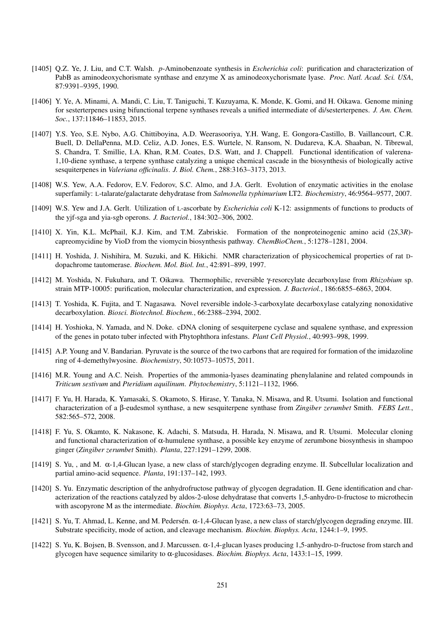- [1405] Q.Z. Ye, J. Liu, and C.T. Walsh. *p*-Aminobenzoate synthesis in *Escherichia coli*: purification and characterization of PabB as aminodeoxychorismate synthase and enzyme X as aminodeoxychorismate lyase. *Proc. Natl. Acad. Sci. USA*, 87:9391–9395, 1990.
- [1406] Y. Ye, A. Minami, A. Mandi, C. Liu, T. Taniguchi, T. Kuzuyama, K. Monde, K. Gomi, and H. Oikawa. Genome mining for sesterterpenes using bifunctional terpene synthases reveals a unified intermediate of di/sesterterpenes. *J. Am. Chem. Soc.*, 137:11846–11853, 2015.
- [1407] Y.S. Yeo, S.E. Nybo, A.G. Chittiboyina, A.D. Weerasooriya, Y.H. Wang, E. Gongora-Castillo, B. Vaillancourt, C.R. Buell, D. DellaPenna, M.D. Celiz, A.D. Jones, E.S. Wurtele, N. Ransom, N. Dudareva, K.A. Shaaban, N. Tibrewal, S. Chandra, T. Smillie, I.A. Khan, R.M. Coates, D.S. Watt, and J. Chappell. Functional identification of valerena-1,10-diene synthase, a terpene synthase catalyzing a unique chemical cascade in the biosynthesis of biologically active sesquiterpenes in *Valeriana officinalis*. *J. Biol. Chem.*, 288:3163–3173, 2013.
- [1408] W.S. Yew, A.A. Fedorov, E.V. Fedorov, S.C. Almo, and J.A. Gerlt. Evolution of enzymatic activities in the enolase superfamily: L-talarate/galactarate dehydratase from *Salmonella typhimurium* LT2. *Biochemistry*, 46:9564–9577, 2007.
- [1409] W.S. Yew and J.A. Gerlt. Utilization of L-ascorbate by *Escherichia coli* K-12: assignments of functions to products of the yjf-sga and yia-sgb operons. *J. Bacteriol.*, 184:302–306, 2002.
- [1410] X. Yin, K.L. McPhail, K.J. Kim, and T.M. Zabriskie. Formation of the nonproteinogenic amino acid (2*S*,3*R*) capreomycidine by VioD from the viomycin biosynthesis pathway. *ChemBioChem.*, 5:1278–1281, 2004.
- [1411] H. Yoshida, J. Nishihira, M. Suzuki, and K. Hikichi. NMR characterization of physicochemical properties of rat Ddopachrome tautomerase. *Biochem. Mol. Biol. Int.*, 42:891–899, 1997.
- [1412] M. Yoshida, N. Fukuhara, and T. Oikawa. Thermophilic, reversible γ-resorcylate decarboxylase from *Rhizobium* sp. strain MTP-10005: purification, molecular characterization, and expression. *J. Bacteriol.*, 186:6855–6863, 2004.
- [1413] T. Yoshida, K. Fujita, and T. Nagasawa. Novel reversible indole-3-carboxylate decarboxylase catalyzing nonoxidative decarboxylation. *Biosci. Biotechnol. Biochem.*, 66:2388–2394, 2002.
- [1414] H. Yoshioka, N. Yamada, and N. Doke. cDNA cloning of sesquiterpene cyclase and squalene synthase, and expression of the genes in potato tuber infected with Phytophthora infestans. *Plant Cell Physiol.*, 40:993–998, 1999.
- [1415] A.P. Young and V. Bandarian. Pyruvate is the source of the two carbons that are required for formation of the imidazoline ring of 4-demethylwyosine. *Biochemistry*, 50:10573–10575, 2011.
- [1416] M.R. Young and A.C. Neish. Properties of the ammonia-lyases deaminating phenylalanine and related compounds in *Triticum sestivum* and *Pteridium aquilinum*. *Phytochemistry*, 5:1121–1132, 1966.
- [1417] F. Yu, H. Harada, K. Yamasaki, S. Okamoto, S. Hirase, Y. Tanaka, N. Misawa, and R. Utsumi. Isolation and functional characterization of a β-eudesmol synthase, a new sesquiterpene synthase from *Zingiber zerumbet* Smith. *FEBS Lett.*, 582:565–572, 2008.
- [1418] F. Yu, S. Okamto, K. Nakasone, K. Adachi, S. Matsuda, H. Harada, N. Misawa, and R. Utsumi. Molecular cloning and functional characterization of  $\alpha$ -humulene synthase, a possible key enzyme of zerumbone biosynthesis in shampoo ginger (*Zingiber zerumbet* Smith). *Planta*, 227:1291–1299, 2008.
- [1419] S. Yu, , and M. α-1,4-Glucan lyase, a new class of starch/glycogen degrading enzyme. II. Subcellular localization and partial amino-acid sequence. *Planta*, 191:137–142, 1993.
- [1420] S. Yu. Enzymatic description of the anhydrofructose pathway of glycogen degradation. II. Gene identification and characterization of the reactions catalyzed by aldos-2-ulose dehydratase that converts 1,5-anhydro-D-fructose to microthecin with ascopyrone M as the intermediate. *Biochim. Biophys. Acta*, 1723:63–73, 2005.
- [1421] S. Yu, T. Ahmad, L. Kenne, and M. Pedersén.  $\alpha$ -1,4-Glucan lyase, a new class of starch/glycogen degrading enzyme. III. Substrate specificity, mode of action, and cleavage mechanism. *Biochim. Biophys. Acta*, 1244:1–9, 1995.
- [1422] S. Yu, K. Bojsen, B. Svensson, and J. Marcussen. α-1,4-glucan lyases producing 1,5-anhydro-D-fructose from starch and glycogen have sequence similarity to α-glucosidases. *Biochim. Biophys. Acta*, 1433:1–15, 1999.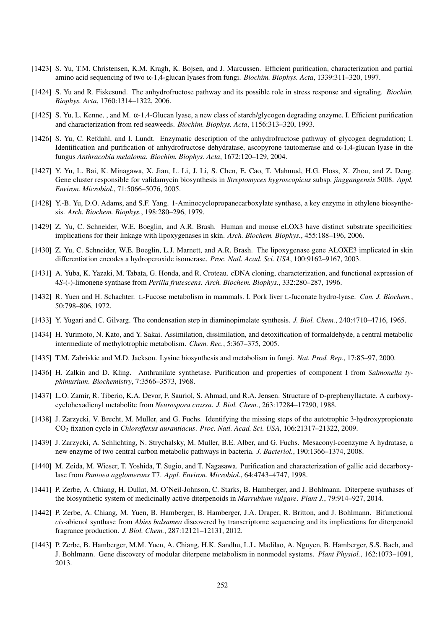- [1423] S. Yu, T.M. Christensen, K.M. Kragh, K. Bojsen, and J. Marcussen. Efficient purification, characterization and partial amino acid sequencing of two α-1,4-glucan lyases from fungi. *Biochim. Biophys. Acta*, 1339:311–320, 1997.
- [1424] S. Yu and R. Fiskesund. The anhydrofructose pathway and its possible role in stress response and signaling. *Biochim. Biophys. Acta*, 1760:1314–1322, 2006.
- [1425] S. Yu, L. Kenne, , and M. α-1,4-Glucan lyase, a new class of starch/glycogen degrading enzyme. I. Efficient purification and characterization from red seaweeds. *Biochim. Biophys. Acta*, 1156:313–320, 1993.
- [1426] S. Yu, C. Refdahl, and I. Lundt. Enzymatic description of the anhydrofructose pathway of glycogen degradation; I. Identification and purification of anhydrofructose dehydratase, ascopyrone tautomerase and α-1,4-glucan lyase in the fungus *Anthracobia melaloma*. *Biochim. Biophys. Acta*, 1672:120–129, 2004.
- [1427] Y. Yu, L. Bai, K. Minagawa, X. Jian, L. Li, J. Li, S. Chen, E. Cao, T. Mahmud, H.G. Floss, X. Zhou, and Z. Deng. Gene cluster responsible for validamycin biosynthesis in *Streptomyces hygroscopicus* subsp. *jinggangensis* 5008. *Appl. Environ. Microbiol.*, 71:5066–5076, 2005.
- [1428] Y.-B. Yu, D.O. Adams, and S.F. Yang. 1-Aminocyclopropanecarboxylate synthase, a key enzyme in ethylene biosynthesis. *Arch. Biochem. Biophys.*, 198:280–296, 1979.
- [1429] Z. Yu, C. Schneider, W.E. Boeglin, and A.R. Brash. Human and mouse eLOX3 have distinct substrate specificities: implications for their linkage with lipoxygenases in skin. *Arch. Biochem. Biophys.*, 455:188–196, 2006.
- [1430] Z. Yu, C. Schneider, W.E. Boeglin, L.J. Marnett, and A.R. Brash. The lipoxygenase gene ALOXE3 implicated in skin differentiation encodes a hydroperoxide isomerase. *Proc. Natl. Acad. Sci. USA*, 100:9162–9167, 2003.
- [1431] A. Yuba, K. Yazaki, M. Tabata, G. Honda, and R. Croteau. cDNA cloning, characterization, and functional expression of 4*S*-(-)-limonene synthase from *Perilla frutescens*. *Arch. Biochem. Biophys.*, 332:280–287, 1996.
- [1432] R. Yuen and H. Schachter. L-Fucose metabolism in mammals. I. Pork liver L-fuconate hydro-lyase. *Can. J. Biochem.*, 50:798–806, 1972.
- [1433] Y. Yugari and C. Gilvarg. The condensation step in diaminopimelate synthesis. *J. Biol. Chem.*, 240:4710–4716, 1965.
- [1434] H. Yurimoto, N. Kato, and Y. Sakai. Assimilation, dissimilation, and detoxification of formaldehyde, a central metabolic intermediate of methylotrophic metabolism. *Chem. Rec.*, 5:367–375, 2005.
- [1435] T.M. Zabriskie and M.D. Jackson. Lysine biosynthesis and metabolism in fungi. *Nat. Prod. Rep.*, 17:85–97, 2000.
- [1436] H. Zalkin and D. Kling. Anthranilate synthetase. Purification and properties of component I from *Salmonella typhimurium*. *Biochemistry*, 7:3566–3573, 1968.
- [1437] L.O. Zamir, R. Tiberio, K.A. Devor, F. Sauriol, S. Ahmad, and R.A. Jensen. Structure of D-prephenyllactate. A carboxycyclohexadienyl metabolite from *Neurospora crassa*. *J. Biol. Chem.*, 263:17284–17290, 1988.
- [1438] J. Zarzycki, V. Brecht, M. Muller, and G. Fuchs. Identifying the missing steps of the autotrophic 3-hydroxypropionate CO<sup>2</sup> fixation cycle in *Chloroflexus aurantiacus*. *Proc. Natl. Acad. Sci. USA*, 106:21317–21322, 2009.
- [1439] J. Zarzycki, A. Schlichting, N. Strychalsky, M. Muller, B.E. Alber, and G. Fuchs. Mesaconyl-coenzyme A hydratase, a new enzyme of two central carbon metabolic pathways in bacteria. *J. Bacteriol.*, 190:1366–1374, 2008.
- [1440] M. Zeida, M. Wieser, T. Yoshida, T. Sugio, and T. Nagasawa. Purification and characterization of gallic acid decarboxylase from *Pantoea agglomerans* T7. *Appl. Environ. Microbiol.*, 64:4743–4747, 1998.
- [1441] P. Zerbe, A. Chiang, H. Dullat, M. O'Neil-Johnson, C. Starks, B. Hamberger, and J. Bohlmann. Diterpene synthases of the biosynthetic system of medicinally active diterpenoids in *Marrubium vulgare*. *Plant J.*, 79:914–927, 2014.
- [1442] P. Zerbe, A. Chiang, M. Yuen, B. Hamberger, B. Hamberger, J.A. Draper, R. Britton, and J. Bohlmann. Bifunctional *cis*-abienol synthase from *Abies balsamea* discovered by transcriptome sequencing and its implications for diterpenoid fragrance production. *J. Biol. Chem.*, 287:12121–12131, 2012.
- [1443] P. Zerbe, B. Hamberger, M.M. Yuen, A. Chiang, H.K. Sandhu, L.L. Madilao, A. Nguyen, B. Hamberger, S.S. Bach, and J. Bohlmann. Gene discovery of modular diterpene metabolism in nonmodel systems. *Plant Physiol.*, 162:1073–1091, 2013.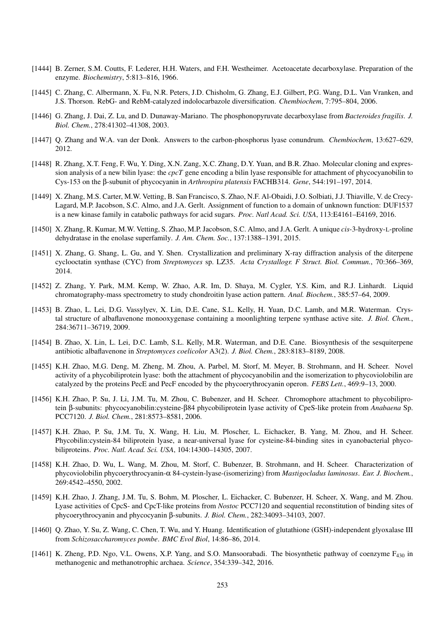- [1444] B. Zerner, S.M. Coutts, F. Lederer, H.H. Waters, and F.H. Westheimer. Acetoacetate decarboxylase. Preparation of the enzyme. *Biochemistry*, 5:813–816, 1966.
- [1445] C. Zhang, C. Albermann, X. Fu, N.R. Peters, J.D. Chisholm, G. Zhang, E.J. Gilbert, P.G. Wang, D.L. Van Vranken, and J.S. Thorson. RebG- and RebM-catalyzed indolocarbazole diversification. *Chembiochem*, 7:795–804, 2006.
- [1446] G. Zhang, J. Dai, Z. Lu, and D. Dunaway-Mariano. The phosphonopyruvate decarboxylase from *Bacteroides fragilis*. *J. Biol. Chem.*, 278:41302–41308, 2003.
- [1447] Q. Zhang and W.A. van der Donk. Answers to the carbon-phosphorus lyase conundrum. *Chembiochem*, 13:627–629, 2012.
- [1448] R. Zhang, X.T. Feng, F. Wu, Y. Ding, X.N. Zang, X.C. Zhang, D.Y. Yuan, and B.R. Zhao. Molecular cloning and expression analysis of a new bilin lyase: the *cpcT* gene encoding a bilin lyase responsible for attachment of phycocyanobilin to Cys-153 on the β-subunit of phycocyanin in *Arthrospira platensis* FACHB314. *Gene*, 544:191–197, 2014.
- [1449] X. Zhang, M.S. Carter, M.W. Vetting, B. San Francisco, S. Zhao, N.F. Al-Obaidi, J.O. Solbiati, J.J. Thiaville, V. de Crecy-Lagard, M.P. Jacobson, S.C. Almo, and J.A. Gerlt. Assignment of function to a domain of unknown function: DUF1537 is a new kinase family in catabolic pathways for acid sugars. *Proc. Natl Acad. Sci. USA*, 113:E4161–E4169, 2016.
- [1450] X. Zhang, R. Kumar, M.W. Vetting, S. Zhao, M.P. Jacobson, S.C. Almo, and J.A. Gerlt. A unique *cis*-3-hydroxy-L-proline dehydratase in the enolase superfamily. *J. Am. Chem. Soc.*, 137:1388–1391, 2015.
- [1451] X. Zhang, G. Shang, L. Gu, and Y. Shen. Crystallization and preliminary X-ray diffraction analysis of the diterpene cyclooctatin synthase (CYC) from *Streptomyces* sp. LZ35. *Acta Crystallogr. F Struct. Biol. Commun.*, 70:366–369, 2014.
- [1452] Z. Zhang, Y. Park, M.M. Kemp, W. Zhao, A.R. Im, D. Shaya, M. Cygler, Y.S. Kim, and R.J. Linhardt. Liquid chromatography-mass spectrometry to study chondroitin lyase action pattern. *Anal. Biochem.*, 385:57–64, 2009.
- [1453] B. Zhao, L. Lei, D.G. Vassylyev, X. Lin, D.E. Cane, S.L. Kelly, H. Yuan, D.C. Lamb, and M.R. Waterman. Crystal structure of albaflavenone monooxygenase containing a moonlighting terpene synthase active site. *J. Biol. Chem.*, 284:36711–36719, 2009.
- [1454] B. Zhao, X. Lin, L. Lei, D.C. Lamb, S.L. Kelly, M.R. Waterman, and D.E. Cane. Biosynthesis of the sesquiterpene antibiotic albaflavenone in *Streptomyces coelicolor* A3(2). *J. Biol. Chem.*, 283:8183–8189, 2008.
- [1455] K.H. Zhao, M.G. Deng, M. Zheng, M. Zhou, A. Parbel, M. Storf, M. Meyer, B. Strohmann, and H. Scheer. Novel activity of a phycobiliprotein lyase: both the attachment of phycocyanobilin and the isomerization to phycoviolobilin are catalyzed by the proteins PecE and PecF encoded by the phycoerythrocyanin operon. *FEBS Lett.*, 469:9–13, 2000.
- [1456] K.H. Zhao, P. Su, J. Li, J.M. Tu, M. Zhou, C. Bubenzer, and H. Scheer. Chromophore attachment to phycobiliprotein β-subunits: phycocyanobilin:cysteine-β84 phycobiliprotein lyase activity of CpeS-like protein from *Anabaena* Sp. PCC7120. *J. Biol. Chem.*, 281:8573–8581, 2006.
- [1457] K.H. Zhao, P. Su, J.M. Tu, X. Wang, H. Liu, M. Ploscher, L. Eichacker, B. Yang, M. Zhou, and H. Scheer. Phycobilin:cystein-84 biliprotein lyase, a near-universal lyase for cysteine-84-binding sites in cyanobacterial phycobiliproteins. *Proc. Natl. Acad. Sci. USA*, 104:14300–14305, 2007.
- [1458] K.H. Zhao, D. Wu, L. Wang, M. Zhou, M. Storf, C. Bubenzer, B. Strohmann, and H. Scheer. Characterization of phycoviolobilin phycoerythrocyanin-α 84-cystein-lyase-(isomerizing) from *Mastigocladus laminosus*. *Eur. J. Biochem.*, 269:4542–4550, 2002.
- [1459] K.H. Zhao, J. Zhang, J.M. Tu, S. Bohm, M. Ploscher, L. Eichacker, C. Bubenzer, H. Scheer, X. Wang, and M. Zhou. Lyase activities of CpcS- and CpcT-like proteins from *Nostoc* PCC7120 and sequential reconstitution of binding sites of phycoerythrocyanin and phycocyanin β-subunits. *J. Biol. Chem.*, 282:34093–34103, 2007.
- [1460] Q. Zhao, Y. Su, Z. Wang, C. Chen, T. Wu, and Y. Huang. Identification of glutathione (GSH)-independent glyoxalase III from *Schizosaccharomyces pombe*. *BMC Evol Biol*, 14:86–86, 2014.
- [1461] K. Zheng, P.D. Ngo, V.L. Owens, X.P. Yang, and S.O. Mansoorabadi. The biosynthetic pathway of coenzyme F<sub>430</sub> in methanogenic and methanotrophic archaea. *Science*, 354:339–342, 2016.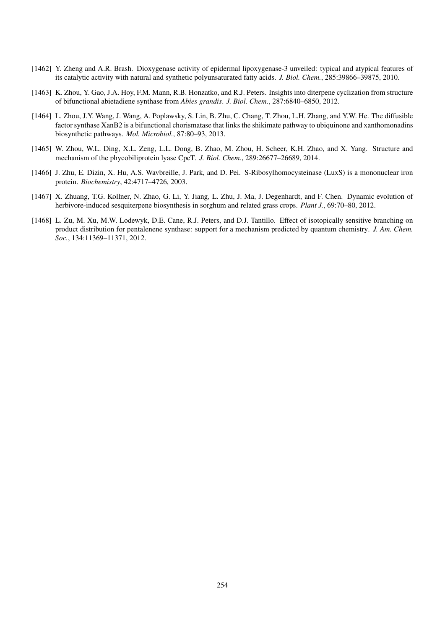- [1462] Y. Zheng and A.R. Brash. Dioxygenase activity of epidermal lipoxygenase-3 unveiled: typical and atypical features of its catalytic activity with natural and synthetic polyunsaturated fatty acids. *J. Biol. Chem.*, 285:39866–39875, 2010.
- [1463] K. Zhou, Y. Gao, J.A. Hoy, F.M. Mann, R.B. Honzatko, and R.J. Peters. Insights into diterpene cyclization from structure of bifunctional abietadiene synthase from *Abies grandis*. *J. Biol. Chem.*, 287:6840–6850, 2012.
- [1464] L. Zhou, J.Y. Wang, J. Wang, A. Poplawsky, S. Lin, B. Zhu, C. Chang, T. Zhou, L.H. Zhang, and Y.W. He. The diffusible factor synthase XanB2 is a bifunctional chorismatase that links the shikimate pathway to ubiquinone and xanthomonadins biosynthetic pathways. *Mol. Microbiol.*, 87:80–93, 2013.
- [1465] W. Zhou, W.L. Ding, X.L. Zeng, L.L. Dong, B. Zhao, M. Zhou, H. Scheer, K.H. Zhao, and X. Yang. Structure and mechanism of the phycobiliprotein lyase CpcT. *J. Biol. Chem.*, 289:26677–26689, 2014.
- [1466] J. Zhu, E. Dizin, X. Hu, A.S. Wavbreille, J. Park, and D. Pei. S-Ribosylhomocysteinase (LuxS) is a mononuclear iron protein. *Biochemistry*, 42:4717–4726, 2003.
- [1467] X. Zhuang, T.G. Kollner, N. Zhao, G. Li, Y. Jiang, L. Zhu, J. Ma, J. Degenhardt, and F. Chen. Dynamic evolution of herbivore-induced sesquiterpene biosynthesis in sorghum and related grass crops. *Plant J.*, 69:70–80, 2012.
- [1468] L. Zu, M. Xu, M.W. Lodewyk, D.E. Cane, R.J. Peters, and D.J. Tantillo. Effect of isotopically sensitive branching on product distribution for pentalenene synthase: support for a mechanism predicted by quantum chemistry. *J. Am. Chem. Soc.*, 134:11369–11371, 2012.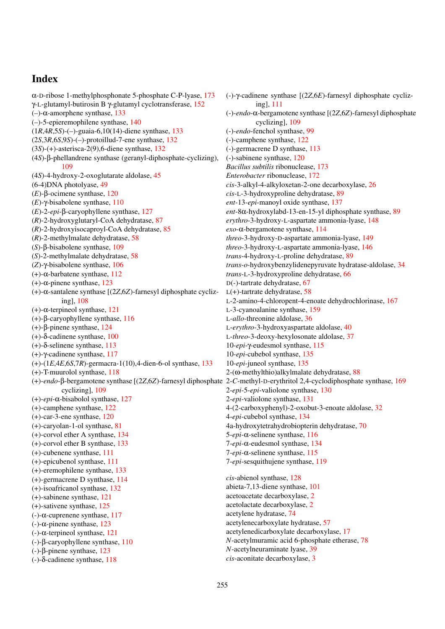## Index

α-D-ribose 1-methylphosphonate 5-phosphate C-P-lyase, [173](#page-172-0) γ-L-glutamyl-butirosin B γ-glutamyl cyclotransferase, [152](#page-151-0) (–)-α-amorphene synthase, [133](#page-132-0) (–)-5-epieremophilene synthase, [140](#page-139-0) (1*R*,4*R*,5*S*)-(–)-guaia-6,10(14)-diene synthase, [133](#page-132-0) (2*S*,3*R*,6*S*,9*S*)-(–)-protoillud-7-ene synthase, [132](#page-131-0) (3*S*)-(+)-asterisca-2(9),6-diene synthase, [132](#page-131-0) (4*S*)-β-phellandrene synthase (geranyl-diphosphate-cyclizing), [109](#page-108-0) (4*S*)-4-hydroxy-2-oxoglutarate aldolase, [45](#page-44-0) (6-4)DNA photolyase, [49](#page-48-0) (*E*)-β-ocimene synthase, [120](#page-119-0) (*E*)-γ-bisabolene synthase, [110](#page-109-0) (*E*)-2-*epi*-β-caryophyllene synthase, [127](#page-126-0) (*R*)-2-hydroxyglutaryl-CoA dehydratase, [87](#page-86-0) (*R*)-2-hydroxyisocaproyl-CoA dehydratase, [85](#page-84-0) (*R*)-2-methylmalate dehydratase, [58](#page-57-0) (*S*)-β-bisabolene synthase, [109](#page-108-0) (*S*)-2-methylmalate dehydratase, [58](#page-57-0) (*Z*)-γ-bisabolene synthase, [106](#page-105-0) (+)-α-barbatene synthase, [112](#page-111-0) (+)-α-pinene synthase, [123](#page-122-0) (+)-α-santalene synthase [(2*Z*,6*Z*)-farnesyl diphosphate cyclizing], [108](#page-107-0) (+)-α-terpineol synthase, [121](#page-120-0) (+)-β-caryophyllene synthase, [116](#page-115-0) (+)-β-pinene synthase, [124](#page-123-0) (+)-δ-cadinene synthase, [100](#page-99-0) (+)-δ-selinene synthase, [113](#page-112-0) (+)-γ-cadinene synthase, [117](#page-116-0) (+)-(1*E*,4*E*,6*S*,7*R*)-germacra-1(10),4-dien-6-ol synthase, [133](#page-132-0) (+)-T-muurolol synthase, [118](#page-117-0) (+)-*endo*-β-bergamotene synthase [(2*Z*,6*Z*)-farnesyl diphosphate 2-*C*-methyl-D-erythritol 2,4-cyclodiphosphate synthase, [169](#page-168-0) cyclizing], [109](#page-108-0) (+)-*epi*-α-bisabolol synthase, [127](#page-126-0) (+)-camphene synthase, [122](#page-121-0) (+)-car-3-ene synthase, [120](#page-119-0) (+)-caryolan-1-ol synthase, [81](#page-80-0) (+)-corvol ether A synthase, [134](#page-133-0) (+)-corvol ether B synthase, [133](#page-132-0) (+)-cubenene synthase, [111](#page-110-0) (+)-epicubenol synthase, [111](#page-110-0) (+)-eremophilene synthase, [133](#page-132-0) (+)-germacrene D synthase, [114](#page-113-0) (+)-isoafricanol synthase, [132](#page-131-0) (+)-sabinene synthase, [121](#page-120-0) (+)-sativene synthase, [125](#page-124-0) (-)-α-cuprenene synthase, [117](#page-116-0) (-)-α-pinene synthase, [123](#page-122-0) (-)-α-terpineol synthase, [121](#page-120-0) (-)-β-caryophyllene synthase, [110](#page-109-0) (-)-β-pinene synthase, [123](#page-122-0) (-)-δ-cadinene synthase, [118](#page-117-0)

(-)-γ-cadinene synthase [(2*Z*,6*E*)-farnesyl diphosphate cyclizing], [111](#page-110-0) (-)-*endo*-α-bergamotene synthase [(2*Z*,6*Z*)-farnesyl diphosphate cyclizing], [109](#page-108-0) (-)-*endo*-fenchol synthase, [99](#page-98-0) (-)-camphene synthase, [122](#page-121-0) (-)-germacrene D synthase, [113](#page-112-0) (-)-sabinene synthase, [120](#page-119-0) *Bacillus subtilis* ribonuclease, [173](#page-172-0) *Enterobacter* ribonuclease, [172](#page-171-0) *cis*-3-alkyl-4-alkyloxetan-2-one decarboxylase, [26](#page-25-0) *cis*-L-3-hydroxyproline dehydratase, [89](#page-88-0) *ent*-13-*epi*-manoyl oxide synthase, [137](#page-136-0) *ent*-8α-hydroxylabd-13-en-15-yl diphosphate synthase, [89](#page-88-0) *erythro*-3-hydroxy-L-aspartate ammonia-lyase, [148](#page-147-0) *exo*-α-bergamotene synthase, [114](#page-113-0) *threo*-3-hydroxy-D-aspartate ammonia-lyase, [149](#page-148-0) *threo*-3-hydroxy-L-aspartate ammonia-lyase, [146](#page-145-0) *trans*-4-hydroxy-L-proline dehydratase, [89](#page-88-0) *trans*-*o*-hydroxybenzylidenepyruvate hydratase-aldolase, [34](#page-33-0) *trans*-L-3-hydroxyproline dehydratase, [66](#page-65-0) D(-)-tartrate dehydratase, [67](#page-66-0)  $L(+)$ -tartrate dehydratase, [58](#page-57-0) L-2-amino-4-chloropent-4-enoate dehydrochlorinase, [167](#page-166-0) L-3-cyanoalanine synthase, [159](#page-158-0) L-*allo*-threonine aldolase, [36](#page-35-0) L-*erythro*-3-hydroxyaspartate aldolase, [40](#page-39-0) L-*threo*-3-deoxy-hexylosonate aldolase, [37](#page-36-0) 10-*epi*-γ-eudesmol synthase, [115](#page-114-0) 10-*epi*-cubebol synthase, [135](#page-134-0) 10-*epi*-juneol synthase, [135](#page-134-0) 2-(ω-methylthio)alkylmalate dehydratase, [88](#page-87-0) 2-*epi*-5-*epi*-valiolone synthase, [130](#page-129-0) 2-*epi*-valiolone synthase, [131](#page-130-0) 4-(2-carboxyphenyl)-2-oxobut-3-enoate aldolase, [32](#page-31-0) 4-*epi*-cubebol synthase, [134](#page-133-0) 4a-hydroxytetrahydrobiopterin dehydratase, [70](#page-69-0) 5-*epi*-α-selinene synthase, [116](#page-115-0) 7-*epi*-α-eudesmol synthase, [134](#page-133-0) 7-*epi*-α-selinene synthase, [115](#page-114-0) 7-*epi*-sesquithujene synthase, [119](#page-118-0) *cis*-abienol synthase, [128](#page-127-0) abieta-7,13-diene synthase, [101](#page-100-0) acetoacetate decarboxylase, [2](#page-1-0) acetolactate decarboxylase, [2](#page-1-0) acetylene hydratase, [74](#page-73-0) acetylenecarboxylate hydratase, [57](#page-56-0)

acetylenedicarboxylate decarboxylase, [17](#page-16-0) *N*-acetylmuramic acid 6-phosphate etherase, [78](#page-77-0)

*N*-acetylneuraminate lyase, [39](#page-38-0)

*cis*-aconitate decarboxylase, [3](#page-2-0)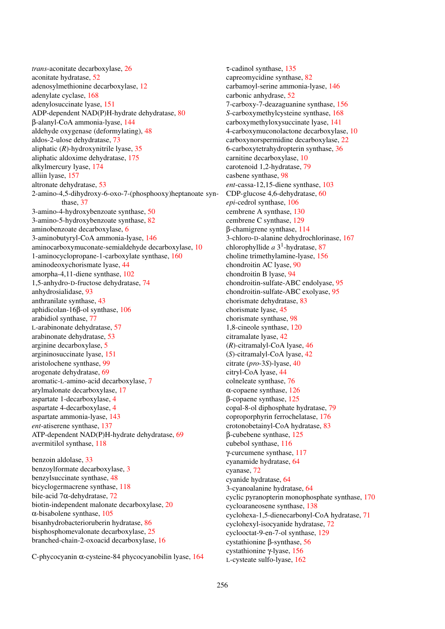*trans*-aconitate decarboxylase, [26](#page-25-0) aconitate hydratase, [52](#page-51-0) adenosylmethionine decarboxylase, [12](#page-11-0) adenylate cyclase, [168](#page-167-0) adenylosuccinate lyase, [151](#page-150-0) ADP-dependent NAD(P)H-hydrate dehydratase, [80](#page-79-0) β-alanyl-CoA ammonia-lyase, [144](#page-143-0) aldehyde oxygenase (deformylating), [48](#page-47-0) aldos-2-ulose dehydratase, [73](#page-72-0) aliphatic (*R*)-hydroxynitrile lyase, [35](#page-34-0) aliphatic aldoxime dehydratase, [175](#page-174-0) alkylmercury lyase, [174](#page-173-0) alliin lyase, [157](#page-156-0) altronate dehydratase, [53](#page-52-0) 2-amino-4,5-dihydroxy-6-oxo-7-(phosphooxy)heptanoate synthase, [37](#page-36-0) 3-amino-4-hydroxybenzoate synthase, [50](#page-49-0) 3-amino-5-hydroxybenzoate synthase, [82](#page-81-0) aminobenzoate decarboxylase, [6](#page-5-0) 3-aminobutyryl-CoA ammonia-lyase, [146](#page-145-0) aminocarboxymuconate-semialdehyde decarboxylase, [10](#page-9-0) 1-aminocyclopropane-1-carboxylate synthase, [160](#page-159-0) aminodeoxychorismate lyase, [44](#page-43-0) amorpha-4,11-diene synthase, [102](#page-101-0) 1,5-anhydro-D-fructose dehydratase, [74](#page-73-0) anhydrosialidase, [93](#page-92-0) anthranilate synthase, [43](#page-42-0) aphidicolan-16β-ol synthase, [106](#page-105-0) arabidiol synthase, [77](#page-76-0) L-arabinonate dehydratase, [57](#page-56-0) arabinonate dehydratase, [53](#page-52-0) arginine decarboxylase, [5](#page-4-0) argininosuccinate lyase, [151](#page-150-0) aristolochene synthase, [99](#page-98-0) arogenate dehydratase, [69](#page-68-0) aromatic-L-amino-acid decarboxylase, [7](#page-6-0) arylmalonate decarboxylase, [17](#page-16-0) aspartate 1-decarboxylase, [4](#page-3-0) aspartate 4-decarboxylase, [4](#page-3-0) aspartate ammonia-lyase, [143](#page-142-0) *ent*-atiserene synthase, [137](#page-136-0) ATP-dependent NAD(P)H-hydrate dehydratase, [69](#page-68-0) avermitilol synthase, [118](#page-117-0)

benzoin aldolase, [33](#page-32-0) benzoylformate decarboxylase, [3](#page-2-0) benzylsuccinate synthase, [48](#page-47-0) bicyclogermacrene synthase, [118](#page-117-0) bile-acid 7α-dehydratase, [72](#page-71-0) biotin-independent malonate decarboxylase, [20](#page-19-0) α-bisabolene synthase, [105](#page-104-0) bisanhydrobacterioruberin hydratase, [86](#page-85-0) bisphosphomevalonate decarboxylase, [25](#page-24-0) branched-chain-2-oxoacid decarboxylase, [16](#page-15-0)

C-phycocyanin α-cysteine-84 phycocyanobilin lyase, [164](#page-163-0)

τ-cadinol synthase, [135](#page-134-0) capreomycidine synthase, [82](#page-81-0) carbamoyl-serine ammonia-lyase, [146](#page-145-0) carbonic anhydrase, [52](#page-51-0) 7-carboxy-7-deazaguanine synthase, [156](#page-155-0) *S*-carboxymethylcysteine synthase, [168](#page-167-0) carboxymethyloxysuccinate lyase, [141](#page-140-0) 4-carboxymuconolactone decarboxylase, [10](#page-9-0) carboxynorspermidine decarboxylase, [22](#page-21-0) 6-carboxytetrahydropterin synthase, [36](#page-35-0) carnitine decarboxylase, [10](#page-9-0) carotenoid 1,2-hydratase, [79](#page-78-0) casbene synthase, [98](#page-97-0) *ent*-cassa-12,15-diene synthase, [103](#page-102-0) CDP-glucose 4,6-dehydratase, [60](#page-59-0) *epi*-cedrol synthase, [106](#page-105-0) cembrene A synthase, [130](#page-129-0) cembrene C synthase, [129](#page-128-0) β-chamigrene synthase, [114](#page-113-0) 3-chloro-D-alanine dehydrochlorinase, [167](#page-166-0) chlorophyllide *a* 3 1 -hydratase, [87](#page-86-0) choline trimethylamine-lyase, [156](#page-155-0) chondroitin AC lyase, [90](#page-89-0) chondroitin B lyase, [94](#page-93-0) chondroitin-sulfate-ABC endolyase, [95](#page-94-0) chondroitin-sulfate-ABC exolyase, [95](#page-94-0) chorismate dehydratase, [83](#page-82-0) chorismate lyase, [45](#page-44-0) chorismate synthase, [98](#page-97-0) 1,8-cineole synthase, [120](#page-119-0) citramalate lyase, [42](#page-41-0) (*R*)-citramalyl-CoA lyase, [46](#page-45-0) (*S*)-citramalyl-CoA lyase, [42](#page-41-0) citrate (*pro*-3*S*)-lyase, [40](#page-39-0) citryl-CoA lyase, [44](#page-43-0) colneleate synthase, [76](#page-75-0) α-copaene synthase, [126](#page-125-0) β-copaene synthase, [125](#page-124-0) copal-8-ol diphosphate hydratase, [79](#page-78-0) coproporphyrin ferrochelatase, [176](#page-175-0) crotonobetainyl-CoA hydratase, [83](#page-82-0) β-cubebene synthase, [125](#page-124-0) cubebol synthase, [116](#page-115-0) γ-curcumene synthase, [117](#page-116-0) cyanamide hydratase, [64](#page-63-0) cyanase, [72](#page-71-0) cyanide hydratase, [64](#page-63-0) 3-cyanoalanine hydratase, [64](#page-63-0) cyclic pyranopterin monophosphate synthase, [170](#page-169-0) cycloaraneosene synthase, [138](#page-137-0) cyclohexa-1,5-dienecarbonyl-CoA hydratase, [71](#page-70-0) cyclohexyl-isocyanide hydratase, [72](#page-71-0) cyclooctat-9-en-7-ol synthase, [129](#page-128-0) cystathionine β-synthase, [56](#page-55-0) cystathionine γ-lyase, [156](#page-155-0) L-cysteate sulfo-lyase, [162](#page-161-0)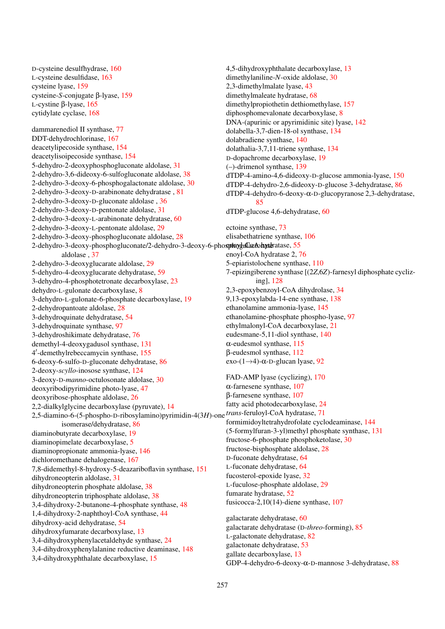D-cysteine desulfhydrase, [160](#page-159-0) L-cysteine desulfidase, [163](#page-162-0) cysteine lyase, [159](#page-158-0) cysteine-*S*-conjugate β-lyase, [159](#page-158-0) L-cystine β-lyase, [165](#page-164-0) cytidylate cyclase, [168](#page-167-0)

dammarenediol II synthase, [77](#page-76-0) DDT-dehydrochlorinase, [167](#page-166-0) deacetylipecoside synthase, [154](#page-153-0) deacetylisoipecoside synthase, [154](#page-153-0) 5-dehydro-2-deoxyphosphogluconate aldolase, [31](#page-30-0) 2-dehydro-3,6-dideoxy-6-sulfogluconate aldolase, [38](#page-37-0) 2-dehydro-3-deoxy-6-phosphogalactonate aldolase, [30](#page-29-0) 2-dehydro-3-deoxy-D-arabinonate dehydratase , [81](#page-80-0) 2-dehydro-3-deoxy-D-gluconate aldolase , [36](#page-35-0) 2-dehydro-3-deoxy-D-pentonate aldolase, [31](#page-30-0) 2-dehydro-3-deoxy-L-arabinonate dehydratase, [60](#page-59-0) 2-dehydro-3-deoxy-L-pentonate aldolase, [29](#page-28-0) 2-dehydro-3-deoxy-phosphogluconate aldolase, [28](#page-27-0) 2-dehydro-3-deoxy-phosphogluconate/2-dehydro-3-deoxy-6-phosployglalactohydratase, [55](#page-54-0) aldolase , [37](#page-36-0) 2-dehydro-3-deoxyglucarate aldolase, [29](#page-28-0) 5-dehydro-4-deoxyglucarate dehydratase, [59](#page-58-0) 3-dehydro-4-phosphotetronate decarboxylase, [23](#page-22-0) dehydro-L-gulonate decarboxylase, [8](#page-7-0) 3-dehydro-L-gulonate-6-phosphate decarboxylase, [19](#page-18-0) 2-dehydropantoate aldolase, [28](#page-27-0) 3-dehydroquinate dehydratase, [54](#page-53-0) 3-dehydroquinate synthase, [97](#page-96-0) 3-dehydroshikimate dehydratase, [76](#page-75-0) demethyl-4-deoxygadusol synthase, [131](#page-130-0) 4 0 -demethylrebeccamycin synthase, [155](#page-154-0) 6-deoxy-6-sulfo-D-gluconate dehydratase, [86](#page-85-0) 2-deoxy-*scyllo*-inosose synthase, [124](#page-123-0) 3-deoxy-D-*manno*-octulosonate aldolase, [30](#page-29-0) deoxyribodipyrimidine photo-lyase, [47](#page-46-0) deoxyribose-phosphate aldolase, [26](#page-25-0) 2,2-dialkylglycine decarboxylase (pyruvate), [14](#page-13-0) 2,5-diamino-6-(5-phospho-D-ribosylamino)pyrimidin-4(3*H*)-one *trans*-feruloyl-CoA hydratase, [71](#page-70-0) isomerase/dehydratase, [86](#page-85-0) diaminobutyrate decarboxylase, [19](#page-18-0) diaminopimelate decarboxylase, [5](#page-4-0) diaminopropionate ammonia-lyase, [146](#page-145-0) dichloromethane dehalogenase, [167](#page-166-0) 7,8-didemethyl-8-hydroxy-5-deazariboflavin synthase, [151](#page-150-0) dihydroneopterin aldolase, [31](#page-30-0) dihydroneopterin phosphate aldolase, [38](#page-37-0) dihydroneopterin triphosphate aldolase, [38](#page-37-0) 3,4-dihydroxy-2-butanone-4-phosphate synthase, [48](#page-47-0) 1,4-dihydroxy-2-naphthoyl-CoA synthase, [44](#page-43-0) dihydroxy-acid dehydratase, [54](#page-53-0) dihydroxyfumarate decarboxylase, [13](#page-12-0) 3,4-dihydroxyphenylacetaldehyde synthase, [24](#page-23-0) 3,4-dihydroxyphenylalanine reductive deaminase, [148](#page-147-0) 3,4-dihydroxyphthalate decarboxylase, [15](#page-14-0)

4,5-dihydroxyphthalate decarboxylase, [13](#page-12-0) dimethylaniline-*N*-oxide aldolase, [30](#page-29-0) 2,3-dimethylmalate lyase, [43](#page-42-0) dimethylmaleate hydratase, [68](#page-67-0) dimethylpropiothetin dethiomethylase, [157](#page-156-0) diphosphomevalonate decarboxylase, [8](#page-7-0) DNA-(apurinic or apyrimidinic site) lyase, [142](#page-141-0) dolabella-3,7-dien-18-ol synthase, [134](#page-133-0) dolabradiene synthase, [140](#page-139-0) dolathalia-3,7,11-triene synthase, [134](#page-133-0) D-dopachrome decarboxylase, [19](#page-18-0) (–)-drimenol synthase, [139](#page-138-0) dTDP-4-amino-4,6-dideoxy-D-glucose ammonia-lyase, [150](#page-149-0) dTDP-4-dehydro-2,6-dideoxy-D-glucose 3-dehydratase, [86](#page-85-0) dTDP-4-dehydro-6-deoxy-α-D-glucopyranose 2,3-dehydratase, [85](#page-84-0) dTDP-glucose 4,6-dehydratase, [60](#page-59-0) ectoine synthase, [73](#page-72-0) elisabethatriene synthase, [106](#page-105-0) enoyl-CoA hydratase 2, [76](#page-75-0) 5-epiaristolochene synthase, [110](#page-109-0) 7-epizingiberene synthase [(2*Z*,6*Z*)-farnesyl diphosphate cyclizing], [128](#page-127-0) 2,3-epoxybenzoyl-CoA dihydrolase, [34](#page-33-0) 9,13-epoxylabda-14-ene synthase, [138](#page-137-0) ethanolamine ammonia-lyase, [145](#page-144-0) ethanolamine-phosphate phospho-lyase, [97](#page-96-0) ethylmalonyl-CoA decarboxylase, [21](#page-20-0) eudesmane-5,11-diol synthase, [140](#page-139-0) α-eudesmol synthase, [115](#page-114-0) β-eudesmol synthase, [112](#page-111-0) exo-(1→4)-α-D-glucan lyase, [92](#page-91-0) FAD-AMP lyase (cyclizing), [170](#page-169-0) α-farnesene synthase, [107](#page-106-0) β-farnesene synthase, [107](#page-106-0) fatty acid photodecarboxylase, [24](#page-23-0) formimidoyltetrahydrofolate cyclodeaminase, [144](#page-143-0) (5-formylfuran-3-yl)methyl phosphate synthase, [131](#page-130-0) fructose-6-phosphate phosphoketolase, [30](#page-29-0) fructose-bisphosphate aldolase, [28](#page-27-0) D-fuconate dehydratase, [64](#page-63-0) L-fuconate dehydratase, [64](#page-63-0) fucosterol-epoxide lyase, [32](#page-31-0) L-fuculose-phosphate aldolase, [29](#page-28-0) fumarate hydratase, [52](#page-51-0) fusicocca-2,10(14)-diene synthase, [107](#page-106-0) galactarate dehydratase, [60](#page-59-0) galactarate dehydratase (D-*threo*-forming), [85](#page-84-0) L-galactonate dehydratase, [82](#page-81-0) galactonate dehydratase, [53](#page-52-0)

gallate decarboxylase, [13](#page-12-0)

GDP-4-dehydro-6-deoxy-α-D-mannose 3-dehydratase, [88](#page-87-0)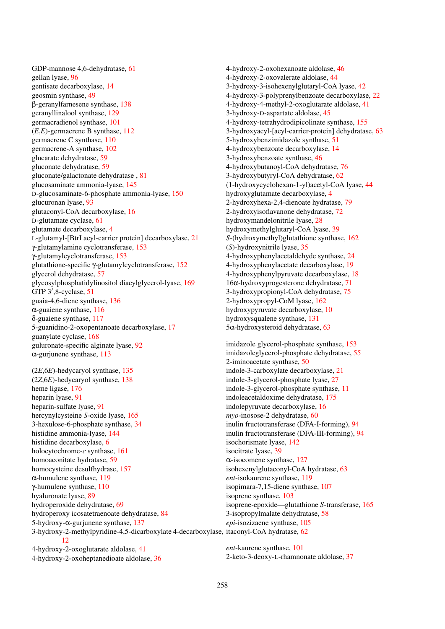GDP-mannose 4,6-dehydratase, [61](#page-60-0) gellan lyase, [96](#page-95-0) gentisate decarboxylase, [14](#page-13-0) geosmin synthase, [49](#page-48-0) β-geranylfarnesene synthase, [138](#page-137-0) geranyllinalool synthase, [129](#page-128-0) germacradienol synthase, [101](#page-100-0) (*E*,*E*)-germacrene B synthase, [112](#page-111-0) germacrene C synthase, [110](#page-109-0) germacrene-A synthase, [102](#page-101-0) glucarate dehydratase, [59](#page-58-0) gluconate dehydratase, [59](#page-58-0) gluconate/galactonate dehydratase , [81](#page-80-0) glucosaminate ammonia-lyase, [145](#page-144-0) D-glucosaminate-6-phosphate ammonia-lyase, [150](#page-149-0) glucuronan lyase, [93](#page-92-0) glutaconyl-CoA decarboxylase, [16](#page-15-0) D-glutamate cyclase, [61](#page-60-0) glutamate decarboxylase, [4](#page-3-0) L-glutamyl-[BtrI acyl-carrier protein] decarboxylase, [21](#page-20-0) γ-glutamylamine cyclotransferase, [153](#page-152-0) γ-glutamylcyclotransferase, [153](#page-152-0) glutathione-specific γ-glutamylcyclotransferase, [152](#page-151-0) glycerol dehydratase, [57](#page-56-0) glycosylphosphatidylinositol diacylglycerol-lyase, [169](#page-168-0) GTP 3',8-cyclase, [51](#page-50-0) guaia-4,6-diene synthase, [136](#page-135-0) α-guaiene synthase, [116](#page-115-0) δ-guaiene synthase, [117](#page-116-0) 5-guanidino-2-oxopentanoate decarboxylase, [17](#page-16-0) guanylate cyclase, [168](#page-167-0) guluronate-specific alginate lyase, [92](#page-91-0)  $\alpha$ -gurjunene synthase, [113](#page-112-0)

(2*E*,6*E*)-hedycaryol synthase, [135](#page-134-0) (2*Z*,6*E*)-hedycaryol synthase, [138](#page-137-0) heme ligase, [176](#page-175-0) heparin lyase, [91](#page-90-0) heparin-sulfate lyase, [91](#page-90-0) hercynylcysteine *S*-oxide lyase, [165](#page-164-0) 3-hexulose-6-phosphate synthase, [34](#page-33-0) histidine ammonia-lyase, [144](#page-143-0) histidine decarboxylase, [6](#page-5-0) holocytochrome-*c* synthase, [161](#page-160-0) homoaconitate hydratase, [59](#page-58-0) homocysteine desulfhydrase, [157](#page-156-0) α-humulene synthase, [119](#page-118-0) γ-humulene synthase, [110](#page-109-0) hyaluronate lyase, [89](#page-88-0) hydroperoxide dehydratase, [69](#page-68-0) hydroperoxy icosatetraenoate dehydratase, [84](#page-83-0) 5-hydroxy-α-gurjunene synthase, [137](#page-136-0) 3-hydroxy-2-methylpyridine-4,5-dicarboxylate 4-decarboxylase, itaconyl-CoA hydratase, [62](#page-61-0) [12](#page-11-0) 4-hydroxy-2-oxoglutarate aldolase, [41](#page-40-0) 4-hydroxy-2-oxoheptanedioate aldolase, [36](#page-35-0) isochorismate lyase, [142](#page-141-0) isocitrate lyase, [39](#page-38-0) isoprene synthase, [103](#page-102-0) *ent*-kaurene synthase, [101](#page-100-0)

4-hydroxy-2-oxohexanoate aldolase, [46](#page-45-0) 4-hydroxy-2-oxovalerate aldolase, [44](#page-43-0) 3-hydroxy-3-isohexenylglutaryl-CoA lyase, [42](#page-41-0) 4-hydroxy-3-polyprenylbenzoate decarboxylase, [22](#page-21-0) 4-hydroxy-4-methyl-2-oxoglutarate aldolase, [41](#page-40-0) 3-hydroxy-D-aspartate aldolase, [45](#page-44-0) 4-hydroxy-tetrahydrodipicolinate synthase, [155](#page-154-0) 3-hydroxyacyl-[acyl-carrier-protein] dehydratase, [63](#page-62-0) 5-hydroxybenzimidazole synthase, [51](#page-50-0) 4-hydroxybenzoate decarboxylase, [14](#page-13-0) 3-hydroxybenzoate synthase, [46](#page-45-0) 4-hydroxybutanoyl-CoA dehydratase, [76](#page-75-0) 3-hydroxybutyryl-CoA dehydratase, [62](#page-61-0) (1-hydroxycyclohexan-1-yl)acetyl-CoA lyase, [44](#page-43-0) hydroxyglutamate decarboxylase, [4](#page-3-0) 2-hydroxyhexa-2,4-dienoate hydratase, [79](#page-78-0) 2-hydroxyisoflavanone dehydratase, [72](#page-71-0) hydroxymandelonitrile lyase, [28](#page-27-0) hydroxymethylglutaryl-CoA lyase, [39](#page-38-0) *S*-(hydroxymethyl)glutathione synthase, [162](#page-161-0) (*S*)-hydroxynitrile lyase, [35](#page-34-0) 4-hydroxyphenylacetaldehyde synthase, [24](#page-23-0) 4-hydroxyphenylacetate decarboxylase, [19](#page-18-0) 4-hydroxyphenylpyruvate decarboxylase, [18](#page-17-0) 16α-hydroxyprogesterone dehydratase, [71](#page-70-0) 3-hydroxypropionyl-CoA dehydratase, [75](#page-74-0) 2-hydroxypropyl-CoM lyase, [162](#page-161-0) hydroxypyruvate decarboxylase, [10](#page-9-0) hydroxysqualene synthase, [131](#page-130-0) 5α-hydroxysteroid dehydratase, [63](#page-62-0)

imidazole glycerol-phosphate synthase, [153](#page-152-0) imidazoleglycerol-phosphate dehydratase, [55](#page-54-0) 2-iminoacetate synthase, [50](#page-49-0) indole-3-carboxylate decarboxylase, [21](#page-20-0) indole-3-glycerol-phosphate lyase, [27](#page-26-0) indole-3-glycerol-phosphate synthase, [11](#page-10-0) indoleacetaldoxime dehydratase, [175](#page-174-0) indolepyruvate decarboxylase, [16](#page-15-0) *myo*-inosose-2 dehydratase, [60](#page-59-0) inulin fructotransferase (DFA-I-forming), [94](#page-93-0) inulin fructotransferase (DFA-III-forming), [94](#page-93-0) α-isocomene synthase, [127](#page-126-0) isohexenylglutaconyl-CoA hydratase, [63](#page-62-0) *ent*-isokaurene synthase, [119](#page-118-0) isopimara-7,15-diene synthase, [107](#page-106-0) isoprene-epoxide—glutathione *S*-transferase, [165](#page-164-0) 3-isopropylmalate dehydratase, [58](#page-57-0) *epi*-isozizaene synthase, [105](#page-104-0)

2-keto-3-deoxy-L-rhamnonate aldolase, [37](#page-36-0)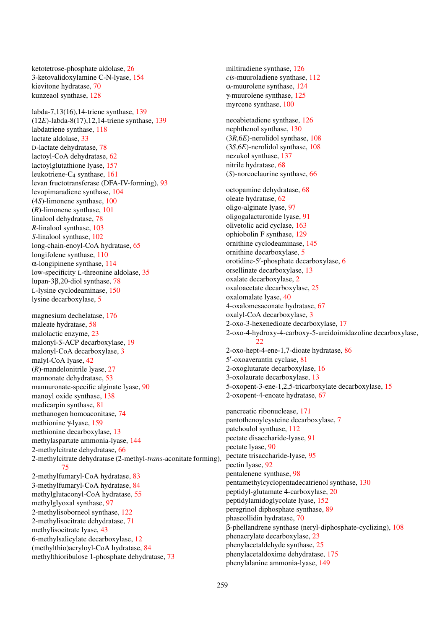ketotetrose-phosphate aldolase, [26](#page-25-0) 3-ketovalidoxylamine C-N-lyase, [154](#page-153-0) kievitone hydratase, [70](#page-69-0) kunzeaol synthase, [128](#page-127-0)

labda-7,13(16),14-triene synthase, [139](#page-138-0) (12*E*)-labda-8(17),12,14-triene synthase, [139](#page-138-0) labdatriene synthase, [118](#page-117-0) lactate aldolase, [33](#page-32-0) D-lactate dehydratase, [78](#page-77-0) lactoyl-CoA dehydratase, [62](#page-61-0) lactoylglutathione lyase, [157](#page-156-0) leukotriene-C<sub>4</sub> synthase, [161](#page-160-0) levan fructotransferase (DFA-IV-forming), [93](#page-92-0) levopimaradiene synthase, [104](#page-103-0) (4*S*)-limonene synthase, [100](#page-99-0) (*R*)-limonene synthase, [101](#page-100-0) linalool dehydratase, [78](#page-77-0) *R*-linalool synthase, [103](#page-102-0) *S*-linalool synthase, [102](#page-101-0) long-chain-enoyl-CoA hydratase, [65](#page-64-0) longifolene synthase, [110](#page-109-0) α-longipinene synthase, [114](#page-113-0) low-specificity L-threonine aldolase, [35](#page-34-0) lupan-3β,20-diol synthase, [78](#page-77-0) L-lysine cyclodeaminase, [150](#page-149-0) lysine decarboxylase, [5](#page-4-0)

magnesium dechelatase, [176](#page-175-0) maleate hydratase, [58](#page-57-0) malolactic enzyme, [23](#page-22-0) malonyl-*S*-ACP decarboxylase, [19](#page-18-0) malonyl-CoA decarboxylase, [3](#page-2-0) malyl-CoA lyase, [42](#page-41-0) (*R*)-mandelonitrile lyase, [27](#page-26-0) mannonate dehydratase, [53](#page-52-0) mannuronate-specific alginate lyase, [90](#page-89-0) manoyl oxide synthase, [138](#page-137-0) medicarpin synthase, [81](#page-80-0) methanogen homoaconitase, [74](#page-73-0) methionine γ-lyase, [159](#page-158-0) methionine decarboxylase, [13](#page-12-0) methylaspartate ammonia-lyase, [144](#page-143-0) 2-methylcitrate dehydratase, [66](#page-65-0) 2-methylcitrate dehydratase (2-methyl-*trans*-aconitate forming), [75](#page-74-0) 2-methylfumaryl-CoA hydratase, [83](#page-82-0) 3-methylfumaryl-CoA hydratase, [84](#page-83-0) methylglutaconyl-CoA hydratase, [55](#page-54-0) methylglyoxal synthase, [97](#page-96-0) 2-methylisoborneol synthase, [122](#page-121-0) 2-methylisocitrate dehydratase, [71](#page-70-0) methylisocitrate lyase, [43](#page-42-0) 6-methylsalicylate decarboxylase, [12](#page-11-0) (methylthio)acryloyl-CoA hydratase, [84](#page-83-0) methylthioribulose 1-phosphate dehydratase, [73](#page-72-0)

miltiradiene synthase, [126](#page-125-0) *cis*-muuroladiene synthase, [112](#page-111-0) α-muurolene synthase, [124](#page-123-0) γ-muurolene synthase, [125](#page-124-0) myrcene synthase, [100](#page-99-0) neoabietadiene synthase, [126](#page-125-0) nephthenol synthase, [130](#page-129-0) (3*R*,6*E*)-nerolidol synthase, [108](#page-107-0) (3*S*,6*E*)-nerolidol synthase, [108](#page-107-0) nezukol synthase, [137](#page-136-0) nitrile hydratase, [68](#page-67-0) (*S*)-norcoclaurine synthase, [66](#page-65-0) octopamine dehydratase, [68](#page-67-0) oleate hydratase, [62](#page-61-0) oligo-alginate lyase, [97](#page-96-0) oligogalacturonide lyase, [91](#page-90-0) olivetolic acid cyclase, [163](#page-162-0) ophiobolin F synthase, [129](#page-128-0) ornithine cyclodeaminase, [145](#page-144-0) ornithine decarboxylase, [5](#page-4-0) orotidine-5'-phosphate decarboxylase, [6](#page-5-0) orsellinate decarboxylase, [13](#page-12-0) oxalate decarboxylase, [2](#page-1-0) oxaloacetate decarboxylase, [25](#page-24-0) oxalomalate lyase, [40](#page-39-0) 4-oxalomesaconate hydratase, [67](#page-66-0) oxalyl-CoA decarboxylase, [3](#page-2-0) 2-oxo-3-hexenedioate decarboxylase, [17](#page-16-0) 2-oxo-4-hydroxy-4-carboxy-5-ureidoimidazoline decarboxylase,  $22$ 2-oxo-hept-4-ene-1,7-dioate hydratase, [86](#page-85-0) 5 0 -oxoaverantin cyclase, [81](#page-80-0) 2-oxoglutarate decarboxylase, [16](#page-15-0) 3-oxolaurate decarboxylase, [13](#page-12-0) 5-oxopent-3-ene-1,2,5-tricarboxylate decarboxylase, [15](#page-14-0) 2-oxopent-4-enoate hydratase, [67](#page-66-0) pancreatic ribonuclease, [171](#page-170-0) pantothenoylcysteine decarboxylase, [7](#page-6-0) patchoulol synthase, [112](#page-111-0) pectate disaccharide-lyase, [91](#page-90-0) pectate lyase, [90](#page-89-0) pectate trisaccharide-lyase, [95](#page-94-0) pectin lyase, [92](#page-91-0) pentalenene synthase, [98](#page-97-0) pentamethylcyclopentadecatrienol synthase, [130](#page-129-0) peptidyl-glutamate 4-carboxylase, [20](#page-19-0) peptidylamidoglycolate lyase, [152](#page-151-0) peregrinol diphosphate synthase, [89](#page-88-0)

phaseollidin hydratase, [70](#page-69-0) β-phellandrene synthase (neryl-diphosphate-cyclizing), [108](#page-107-0) phenacrylate decarboxylase, [23](#page-22-0) phenylacetaldehyde synthase, [25](#page-24-0) phenylacetaldoxime dehydratase, [175](#page-174-0) phenylalanine ammonia-lyase, [149](#page-148-0)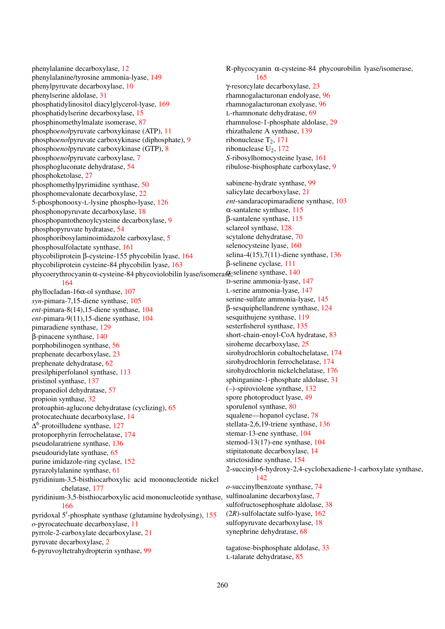phenylalanine decarboxylase, [12](#page-11-0) phenylalanine/tyrosine ammonia-lyase, [149](#page-148-0) phenylpyruvate decarboxylase, [10](#page-9-0) phenylserine aldolase, [31](#page-30-0) phosphatidylinositol diacylglycerol-lyase, [169](#page-168-0) phosphatidylserine decarboxylase, [15](#page-14-0) phosphinomethylmalate isomerase, [87](#page-86-0) phospho*enol*pyruvate carboxykinase (ATP), [11](#page-10-0) phospho*enol*pyruvate carboxykinase (diphosphate), [9](#page-8-0) phospho*enol*pyruvate carboxykinase (GTP), [8](#page-7-0) phospho*enol*pyruvate carboxylase, [7](#page-6-0) phosphogluconate dehydratase, [54](#page-53-0) phosphoketolase, [27](#page-26-0) phosphomethylpyrimidine synthase, [50](#page-49-0) phosphomevalonate decarboxylase, [22](#page-21-0) 5-phosphonooxy-L-lysine phospho-lyase, [126](#page-125-0) phosphonopyruvate decarboxylase, [18](#page-17-0) phosphopantothenoylcysteine decarboxylase, [9](#page-8-0) phosphopyruvate hydratase, [54](#page-53-0) phosphoribosylaminoimidazole carboxylase, [5](#page-4-0) phosphosulfolactate synthase, [161](#page-160-0) phycobiliprotein β-cysteine-155 phycobilin lyase, [164](#page-163-0) phycobiliprotein cysteine-84 phycobilin lyase, [163](#page-162-0) phycoerythrocyanin α-cysteine-84 phycoviolobilin lyase/isomera\$, selinene synthase, [140](#page-139-0) [164](#page-163-0)

phyllocladan-16α-ol synthase, [107](#page-106-0) *syn*-pimara-7,15-diene synthase, [105](#page-104-0) *ent*-pimara-8(14),15-diene synthase, [104](#page-103-0) *ent*-pimara-9(11),15-diene synthase, [104](#page-103-0) pimaradiene synthase, [129](#page-128-0) β-pinacene synthase, [140](#page-139-0) porphobilinogen synthase, [56](#page-55-0) prephenate decarboxylase, [23](#page-22-0) prephenate dehydratase, [62](#page-61-0) presilphiperfolanol synthase, [113](#page-112-0) pristinol synthase, [137](#page-136-0) propanediol dehydratase, [57](#page-56-0) propioin synthase, [32](#page-31-0) protoaphin-aglucone dehydratase (cyclizing), [65](#page-64-0) protocatechuate decarboxylase, [14](#page-13-0) ∆ 6 -protoilludene synthase, [127](#page-126-0) protoporphyrin ferrochelatase, [174](#page-173-0) pseudolaratriene synthase, [136](#page-135-0) pseudouridylate synthase, [65](#page-64-0) purine imidazole-ring cyclase, [152](#page-151-0) pyrazolylalanine synthase, [61](#page-60-0) pyridinium-3,5-bisthiocarboxylic acid mononucleotide nickel chelatase, [177](#page-176-0) pyridinium-3,5-bisthiocarboxylic acid mononucleotide synthase, [166](#page-165-0) pyridoxal 5'-phosphate synthase (glutamine hydrolysing), [155](#page-154-0) *o*-pyrocatechuate decarboxylase, [11](#page-10-0) pyrrole-2-carboxylate decarboxylase, [21](#page-20-0) pyruvate decarboxylase, [2](#page-1-0) 6-pyruvoyltetrahydropterin synthase, [99](#page-98-0)

R-phycocyanin α-cysteine-84 phycourobilin lyase/isomerase, [165](#page-164-0) γ-resorcylate decarboxylase, [23](#page-22-0) rhamnogalacturonan endolyase, [96](#page-95-0) rhamnogalacturonan exolyase, [96](#page-95-0) L-rhamnonate dehydratase, [69](#page-68-0) rhamnulose-1-phosphate aldolase, [29](#page-28-0) rhizathalene A synthase, [139](#page-138-0) ribonuclease  $T_2$ , [171](#page-170-0) ribonuclease  $U_2$ , [172](#page-171-0) *S*-ribosylhomocysteine lyase, [161](#page-160-0) ribulose-bisphosphate carboxylase, [9](#page-8-0) sabinene-hydrate synthase, [99](#page-98-0) salicylate decarboxylase, [21](#page-20-0) *ent*-sandaracopimaradiene synthase, [103](#page-102-0) α-santalene synthase, [115](#page-114-0) β-santalene synthase, [115](#page-114-0) sclareol synthase, [128](#page-127-0) scytalone dehydratase, [70](#page-69-0) selenocysteine lyase, [160](#page-159-0) selina-4(15),7(11)-diene synthase, [136](#page-135-0) β-selinene cyclase, [111](#page-110-0) D-serine ammonia-lyase, [147](#page-146-0) L-serine ammonia-lyase, [147](#page-146-0) serine-sulfate ammonia-lyase, [145](#page-144-0) β-sesquiphellandrene synthase, [124](#page-123-0) sesquithujene synthase, [119](#page-118-0) sesterfisherol synthase, [135](#page-134-0) short-chain-enoyl-CoA hydratase, [83](#page-82-0) siroheme decarboxylase, [25](#page-24-0) sirohydrochlorin cobaltochelatase, [174](#page-173-0) sirohydrochlorin ferrochelatase, [174](#page-173-0) sirohydrochlorin nickelchelatase, [176](#page-175-0) sphinganine-1-phosphate aldolase, [31](#page-30-0) (–)-spiroviolene synthase, [132](#page-131-0) spore photoproduct lyase, [49](#page-48-0) sporulenol synthase, [80](#page-79-0) squalene—hopanol cyclase, [78](#page-77-0)

2-succinyl-6-hydroxy-2,4-cyclohexadiene-1-carboxylate synthase, [142](#page-141-0) *o*-succinylbenzoate synthase, [74](#page-73-0) sulfinoalanine decarboxylase, [7](#page-6-0) sulfofructosephosphate aldolase, [38](#page-37-0) (2*R*)-sulfolactate sulfo-lyase, [162](#page-161-0) sulfopyruvate decarboxylase, [18](#page-17-0) synephrine dehydratase, [68](#page-67-0) tagatose-bisphosphate aldolase, [33](#page-32-0) L-talarate dehydratase, [85](#page-84-0)

stellata-2,6,19-triene synthase, [136](#page-135-0) stemar-13-ene synthase, [104](#page-103-0) stemod-13(17)-ene synthase, [104](#page-103-0) stipitatonate decarboxylase, [14](#page-13-0) strictosidine synthase, [154](#page-153-0)